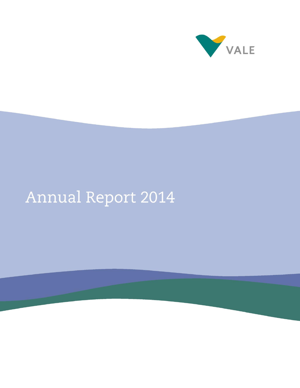

# Annual Report 2014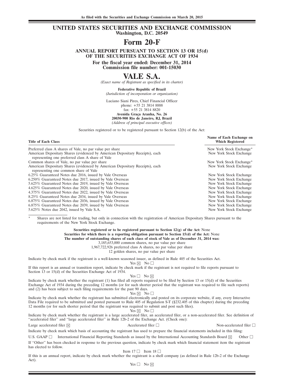#### **UNITED STATES SECURITIES AND EXCHANGE COMMISSION Washington, D.C. 20549**

# **Form 20-F**

**ANNUAL REPORT PURSUANT TO SECTION 13 OR 15(d) OF THE SECURITIES EXCHANGE ACT OF 1934**

**For the fiscal year ended: December 31, 2014**

**Commission file number: 001-15030**

# **VALE S.A.**

*(Exact name of Registrant as specified in its charter)*

**Federative Republic of Brazil**

*(Jurisdiction of incorporation or organization)*

Luciano Siani Pires, Chief Financial Officer phone: +55 21 3814 8888 fax: +55 21 3814 8820 **Avenida Gra¸ca Aranha, No. 26 20030-900 Rio de Janeiro, RJ, Brazil** *(Address of principal executive offices)*

Securities registered or to be registered pursuant to Section 12(b) of the Act:

#### **Title of Each Class Which Registered** Preferred class A shares of Vale, no par value per share<br>
American Depositary Shares (evidenced by American Depositary Receipts), each<br>
New York Stock Exchange American Depositary Shares (evidenced by American Depositary Receipts), each representing one preferred class A share of Vale Common shares of Vale, no par value per share New York Stock Exchange\* New York Stock Exchange\* American Depositary Shares (evidenced by American Depositary Receipts), each New York Stock Exchange representing one common share of Vale 6.25% Guaranteed Notes due 2016, issued by Vale Overseas New York Stock Exchange 6.250% Guaranteed Notes due 2017, issued by Vale Overseas New York Stock Exchange New York Stock Exchange<br>1992 - Stock Exchange Stock Exchange Stock Exchange Stock Exchange New York Stock Exchange 5.625% Guaranteed Notes due 2019, issued by Vale Overseas New York Stock Exchange<br>4.625% Guaranteed Notes due 2020, issued by Vale Overseas New York Stock Exchange 4.625% Guaranteed Notes due 2020, issued by Vale Overseas 4.375% Guaranteed Notes due 2022, issued by Vale Overseas New York Stock Exchange<br>8.25% Guaranteed Notes due 2034, issued by Vale Overseas New York Stock Exchange 8.25% Guaranteed Notes due 2034, issued by Vale Overseas New York Stock Exchange New York Stock Exchange 6.875% Guaranteed Notes due 2036, issued by Vale Overseas New York Stock Exchange 6.875% Guaranteed Notes due 2036, issued by Vale Overseas New York Stock Exchange New York Stock Exchange 6.875% Guaranteed Notes due 2039, issued by Vale Overseas New York Stock Exchange 6.875% Guaranteed Notes due 2039, issued by Vale Overseas New York Stock Exchange New York Stock Exchange 3.625% Notes due 2042, issued by Vale S.A. 5.625% Notes due 2042, issued by Vale S.A.

Shares are not listed for trading, but only in connection with the registration of American Depositary Shares pursuant to the requirements of the New York Stock Exchange.

> **Securities registered or to be registered pursuant to Section 12(g) of the Act:** None **Securities for which there is a reporting obligation pursuant to Section 15(d) of the Act:** None **The number of outstanding shares of each class of stock of Vale as of December 31, 2014 was:** 3,185,653,000 common shares, no par value per share

1,967,722,926 preferred class A shares, no par value per share

12 golden shares, no par value per share

Indicate by check mark if the registrant is a well-known seasoned issuer, as defined in Rule 405 of the Securities Act.

Yes  $\boxtimes$  No  $\Box$ 

If this report is an annual or transition report, indicate by check mark if the registrant is not required to file reports pursuant to Section 13 or 15(d) of the Securities Exchange Act of 1934.

 $Yes \Box No \boxtimes$ 

Indicate by check mark whether the registrant (1) has filed all reports required to be filed by Section 13 or 15(d) of the Securities Exchange Act of 1934 during the preceding 12 months (or for such shorter period that the registrant was required to file such reports) and (2) has been subject to such filing requirements for the past 90 days.

Yes  $\boxtimes$  No  $\Box$ 

Indicate by check mark whether the registrant has submitted electronically and posted on its corporate website, if any, every Interactive Data File required to be submitted and posted pursuant to Rule 405 of Regulation S-T (§232.405 of this chapter) during the preceding 12 months (or for such shorter period that the registrant was required to submit and post such files).

Yes  $\boxtimes$  No  $\Box$ 

Indicate by check mark whether the registrant is a large accelerated filer, an accelerated filer, or a non-accelerated filer. See definition of "accelerated filer" and "large accelerated filer" in Rule 12b-2 of the Exchange Act. (Check one):

Large accelerated filer  $\boxtimes$ 

 $\Box$  Non-accelerated filer  $\Box$ 

**Name of Each Exchange on**

Indicate by check mark which basis of accounting the registrant has used to prepare the financial statements included in this filing:

U.S. GAAP  $\Box$  International Financial Reporting Standards as issued by the International Accounting Standards Board  $\boxtimes$  Other  $\Box$ If ''Other'' has been checked in response to the previous question, indicate by check mark which financial statement item the registrant has elected to follow.

Item  $17 \Box$  Item  $18 \Box$ 

If this is an annual report, indicate by check mark whether the registrant is a shell company (as defined in Rule 12b-2 of the Exchange Act).

 $Yes \Box No \boxtimes$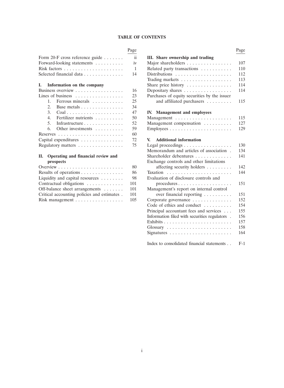# **TABLE OF CONTENTS**

| Form 20-F cross reference guide $\dots \dots$            |    | III. Share ownership and trading            |
|----------------------------------------------------------|----|---------------------------------------------|
| Forward-looking statements $\dots \dots \dots$ iv        |    | Major shareholders                          |
| Risk factors $\dots \dots \dots \dots \dots \dots \dots$ |    | Related party transactions                  |
| Selected financial data                                  | 14 | Distributions $\ldots \ldots \ldots \ldots$ |

| I. Information on the company                     |    | Share price history                               |
|---------------------------------------------------|----|---------------------------------------------------|
| Business overview                                 | 16 | Depositary shares                                 |
| Lines of business $\dots \dots \dots \dots \dots$ | 23 | Purchases of equity securities by the issuer      |
| 1. Ferrous minerals $\ldots$                      | 25 | and affiliated purchasers                         |
| 2. Base metals $\dots \dots \dots \dots \dots$    | 34 |                                                   |
|                                                   | 47 | IV. Management and employees                      |
| 4. Fertilizer nutrients                           | 50 |                                                   |
| 5. Infrastructure                                 | 52 | Management compensation                           |
| 6. Other investments $\dots \dots$                | 59 |                                                   |
|                                                   | 60 |                                                   |
| Capital expenditures                              | 72 | V. Additional information                         |
| Regulatory matters                                | 75 | Legal proceedings $\dots \dots \dots \dots \dots$ |

| Overview $\dots \dots \dots \dots \dots \dots \dots \dots$ | affecting security holders $\dots \dots$         |
|------------------------------------------------------------|--------------------------------------------------|
| 86                                                         |                                                  |
| 98                                                         | Evaluation of disclosure controls and            |
| Contractual obligations $\ldots \ldots \ldots \ldots$ 101  | $procedures \dots \dots \dots \dots \dots \dots$ |
| Off-balance sheet arrangements<br>- 101                    | Management's report on internal control          |
| 101                                                        | over financial reporting $\dots \dots$           |
|                                                            | Corporate governance                             |
|                                                            | 80 -                                             |

|                                                             | Page |                                                             | Page  |
|-------------------------------------------------------------|------|-------------------------------------------------------------|-------|
| Form 20-F cross reference guide                             | ii   | III. Share ownership and trading                            |       |
| Forward-looking statements                                  | iv   | Major shareholders                                          | 107   |
|                                                             | 1    | Related party transactions                                  | 110   |
| Selected financial data                                     | 14   |                                                             | 112   |
|                                                             |      |                                                             | 113   |
| I.<br>Information on the company                            |      | Share price history                                         | 114   |
| Business overview                                           | 16   | Depositary shares                                           | 114   |
| Lines of business $\dots \dots \dots \dots \dots$           | 23   | Purchases of equity securities by the issuer                |       |
| 1.<br>Ferrous minerals                                      | 25   | and affiliated purchasers                                   | 115   |
| 2.<br>Base metals                                           | 34   |                                                             |       |
| 3.<br>$Coal$                                                | 47   | IV. Management and employees                                |       |
| 4.<br>Fertilizer nutrients                                  | 50   |                                                             | 115   |
| 5.<br>Infrastructure                                        | 52   | Management compensation                                     | 127   |
| Other investments<br>6.                                     | 59   |                                                             | 129   |
| $Reserves \ldots \ldots \ldots \ldots \ldots \ldots \ldots$ | 60   |                                                             |       |
| Capital expenditures                                        | 72   | <b>Additional information</b><br>V.                         |       |
| Regulatory matters                                          | 75   | Legal proceedings                                           | 130   |
|                                                             |      | Memorandum and articles of association.                     | 134   |
| II. Operating and financial review and                      |      | Shareholder debentures                                      | 141   |
| prospects                                                   |      | Exchange controls and other limitations                     |       |
| Overview $\dots \dots \dots \dots \dots \dots \dots \dots$  | 80   | affecting security holders                                  | 142   |
| Results of operations $\dots \dots \dots \dots$             | 86   |                                                             | 144   |
| Liquidity and capital resources $\dots \dots$               | 98   | Evaluation of disclosure controls and                       |       |
| Contractual obligations                                     | 101  | procedures                                                  | 151   |
| Off-balance sheet arrangements                              | 101  | Management's report on internal control                     |       |
| Critical accounting policies and estimates.                 | 101  | over financial reporting                                    | 151   |
| Risk management $\ldots \ldots \ldots \ldots \ldots$        | 105  | Corporate governance                                        | 152   |
|                                                             |      | Code of ethics and conduct                                  | 154   |
|                                                             |      | Principal accountant fees and services                      | 155   |
|                                                             |      | Information filed with securities regulators .              | 156   |
|                                                             |      |                                                             | 157   |
|                                                             |      | $Glossary \ldots \ldots \ldots \ldots \ldots \ldots \ldots$ | 158   |
|                                                             |      |                                                             | 164   |
|                                                             |      | Index to consolidated financial statements                  | $F-1$ |
|                                                             |      |                                                             |       |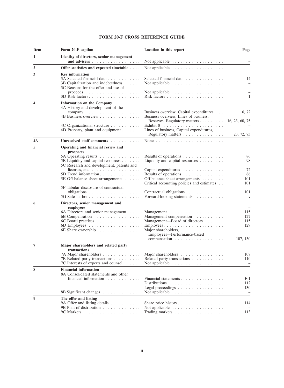# **FORM 20-F CROSS REFERENCE GUIDE**

| Item             | Form 20-F caption                                                                                                                                                                         | Location in this report                                                                                                                  | Page                                            |
|------------------|-------------------------------------------------------------------------------------------------------------------------------------------------------------------------------------------|------------------------------------------------------------------------------------------------------------------------------------------|-------------------------------------------------|
| 1                | Identity of directors, senior management                                                                                                                                                  | Not applicable $\dots \dots \dots \dots \dots \dots$                                                                                     |                                                 |
| $\boldsymbol{2}$ | Offer statistics and expected timetable                                                                                                                                                   |                                                                                                                                          |                                                 |
| 3                | <b>Key information</b><br>3A Selected financial data<br>3B Capitalization and indebtedness<br>3C Reasons for the offer and use of<br>proceeds $\ldots \ldots \ldots \ldots \ldots \ldots$ | Selected financial data<br>Not applicable $\dots \dots \dots \dots \dots \dots$<br>Not applicable $\dots \dots \dots \dots \dots \dots$  | 14                                              |
|                  |                                                                                                                                                                                           |                                                                                                                                          | $\mathbf{1}$                                    |
| 4                | Information on the Company<br>4A History and development of the<br>4B Business overview                                                                                                   | Business overview, Capital expenditures<br>Business overview, Lines of business,<br>Reserves, Regulatory matters                         | 16, 72<br>16, 23, 60, 75                        |
|                  | 4C Organizational structure<br>4D Property, plant and equipment                                                                                                                           | Lines of business, Capital expenditures,<br>Regulatory matters                                                                           | 23, 72, 75                                      |
| 4A               | Unresolved staff comments                                                                                                                                                                 | None $\ldots \ldots \ldots \ldots \ldots \ldots \ldots \ldots \ldots$                                                                    |                                                 |
| 5                | Operating and financial review and<br>prospects<br>5A Operating results $\dots \dots \dots \dots$<br>5B Liquidity and capital resources                                                   | Results of operations<br>Liquidity and capital resources $\dots \dots$                                                                   | 86<br>98                                        |
|                  | 5C Research and development, patents and<br>licenses, etc. $\ldots \ldots \ldots \ldots \ldots$<br>5D Trend information<br>5E Off-balance sheet arrangements                              | Capital expenditures<br>Results of operations<br>Off-balance sheet arrangements<br>Critical accounting policies and estimates            | 72<br>86<br>101<br>101                          |
|                  | 5F Tabular disclosure of contractual<br>obligations $\ldots \ldots \ldots \ldots \ldots \ldots$                                                                                           | Contractual obligations<br>Forward-looking statements                                                                                    | 101<br>iv                                       |
| 6                | Directors, senior management and<br>employees<br>6A Directors and senior management<br>6B Compensation<br>6C Board practices                                                              | Management compensation<br>Management—Board of directors<br>Major shareholders,<br>Employees-Performance-based<br>compensation           | 115<br>127<br>115<br>129<br>107, 130            |
| $\overline{7}$   | Major shareholders and related party<br>transactions<br>7A Major shareholders<br>7B Related party transactions<br>7C Interests of experts and counsel                                     | Major shareholders $\dots \dots \dots \dots \dots$<br>Related party transactions<br>Not applicable $\dots \dots \dots \dots \dots \dots$ | 107<br>110                                      |
|                  | <b>Financial information</b><br>8A Consolidated statements and other<br>financial information $\ldots \ldots \ldots \ldots$<br>8B Significant changes                                     | Financial statements<br>Legal proceedings<br>Not applicable                                                                              | $F-1$<br>112<br>130<br>$\overline{\phantom{a}}$ |
| 9                | The offer and listing<br>9A Offer and listing details                                                                                                                                     |                                                                                                                                          | 114                                             |
|                  | 9B Plan of distribution                                                                                                                                                                   | Not applicable $\dots \dots \dots \dots \dots \dots$                                                                                     | 113                                             |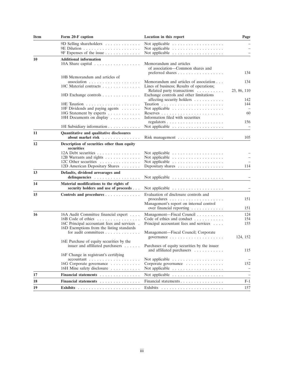| <b>Item</b> | Form 20-F caption                                            | Location in this report                                                   | Page                            |
|-------------|--------------------------------------------------------------|---------------------------------------------------------------------------|---------------------------------|
|             | 9D Selling shareholders $\dots \dots \dots$                  |                                                                           |                                 |
|             |                                                              | Not applicable $\ldots \ldots \ldots \ldots \ldots$                       |                                 |
|             |                                                              |                                                                           |                                 |
| 10          | <b>Additional information</b>                                |                                                                           |                                 |
|             | 10A Share capital $\ldots \ldots \ldots \ldots \ldots$       | Memorandum and articles<br>of association-Common shares and               |                                 |
|             |                                                              | preferred shares $\ldots \ldots \ldots \ldots \ldots$                     | 134                             |
|             | 10B Memorandum and articles of                               |                                                                           |                                 |
|             |                                                              | Memorandum and articles of association                                    | 134                             |
|             | 10C Material contracts                                       | Lines of business; Results of operations;<br>Related party transactions   | 23, 86, 110                     |
|             | 10D Exchange controls                                        | Exchange controls and other limitations                                   |                                 |
|             |                                                              | affecting security holders                                                | 142                             |
|             |                                                              |                                                                           | 144                             |
|             | 10F Dividends and paying agents $\dots \dots$                | Not applicable $\dots \dots \dots \dots \dots \dots$                      |                                 |
|             | 10G Statement by experts                                     |                                                                           | 60                              |
|             | 10H Documents on display                                     | Information filed with securities                                         |                                 |
|             |                                                              |                                                                           | 156                             |
|             | 10I Subsidiary information                                   | Not applicable $\dots \dots \dots \dots \dots \dots$                      |                                 |
| 11          | Quantitative and qualitative disclosures                     |                                                                           |                                 |
|             | about market risk                                            | Risk management                                                           | 105                             |
| 12          | Description of securities other than equity<br>securities    |                                                                           |                                 |
|             | $12A$ Debt securities                                        | Not applicable $\dots \dots \dots \dots \dots \dots$                      |                                 |
|             | 12B Warrants and rights                                      | Not applicable $\dots \dots \dots \dots \dots \dots$                      |                                 |
|             | 12C Other securities                                         | Not applicable $\dots \dots \dots \dots \dots \dots$                      |                                 |
|             | 12D American Depositary Shares                               | Depositary shares $\dots \dots \dots \dots \dots$                         | 114                             |
| 13          | Defaults, dividend arrearages and<br>delinquencies           |                                                                           |                                 |
| 14          | Material modifications to the rights of                      |                                                                           |                                 |
|             | security holders and use of proceeds                         |                                                                           |                                 |
| 15          | Controls and procedures                                      | Evaluation of disclosure controls and                                     | 151                             |
|             |                                                              | Management's report on internal control                                   |                                 |
|             |                                                              | over financial reporting                                                  | 151                             |
| 16          |                                                              | Management—Fiscal Council                                                 | 124                             |
|             | 16A Audit Committee financial expert<br>$16B$ Code of ethics | Code of ethics and conduct $\dots \dots \dots$                            | 154                             |
|             | 16C Principal accountant fees and services.                  | Principal accountant fees and services                                    | 155                             |
|             | 16D Exemptions from the listing standards                    |                                                                           |                                 |
|             | for audit committees                                         | Management—Fiscal Council; Corporate                                      |                                 |
|             |                                                              | governance $\ldots \ldots \ldots \ldots \ldots \ldots$                    | 124, 152                        |
|             | 16E Purchase of equity securities by the                     |                                                                           |                                 |
|             | issuer and affiliated purchasers                             | Purchases of equity securities by the issuer<br>and affiliated purchasers | 115                             |
|             | 16F Change in registrant's certifying                        |                                                                           |                                 |
|             | $accountant \dots \dots \dots \dots \dots \dots \dots \dots$ | Not applicable $\dots \dots \dots \dots \dots \dots$                      |                                 |
|             | 16G Corporate governance<br>16H Mine safety disclosure       | Corporate governance                                                      | 152<br>$\overline{\phantom{a}}$ |
|             |                                                              | Not applicable $\dots \dots \dots \dots \dots \dots$                      |                                 |
| 17          | Financial statements                                         | Not applicable $\dots \dots \dots \dots \dots \dots$                      | $\overline{\phantom{a}}$        |
| 18          | Financial statements                                         | Financial statements                                                      | $F-1$                           |
| 19          |                                                              |                                                                           | 157                             |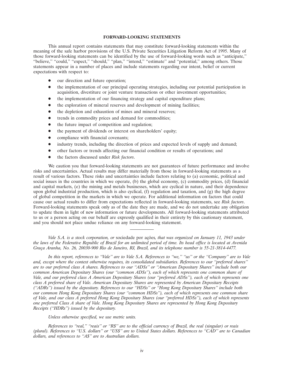#### **FORWARD-LOOKING STATEMENTS**

This annual report contains statements that may constitute forward-looking statements within the meaning of the safe harbor provisions of the U.S. Private Securities Litigation Reform Act of 1995. Many of those forward-looking statements can be identified by the use of forward-looking words such as ''anticipate,'' "believe," "could," "expect," "should," "plan," "intend," "estimate" and "potential," among others. Those statements appear in a number of places and include statements regarding our intent, belief or current expectations with respect to:

- our direction and future operation;
- the implementation of our principal operating strategies, including our potential participation in acquisition, divestiture or joint venture transactions or other investment opportunities;
- the implementation of our financing strategy and capital expenditure plans;
- the exploration of mineral reserves and development of mining facilities;
- the depletion and exhaustion of mines and mineral reserves;
- trends in commodity prices and demand for commodities;
- the future impact of competition and regulation;
- the payment of dividends or interest on shareholders' equity;
- compliance with financial covenants;
- industry trends, including the direction of prices and expected levels of supply and demand;
- other factors or trends affecting our financial condition or results of operations; and
- the factors discussed under *Risk factors*.

We caution you that forward-looking statements are not guarantees of future performance and involve risks and uncertainties. Actual results may differ materially from those in forward-looking statements as a result of various factors. These risks and uncertainties include factors relating to (a) economic, political and social issues in the countries in which we operate, (b) the global economy, (c) commodity prices, (d) financial and capital markets, (e) the mining and metals businesses, which are cyclical in nature, and their dependence upon global industrial production, which is also cyclical, (f) regulation and taxation, and (g) the high degree of global competition in the markets in which we operate. For additional information on factors that could cause our actual results to differ from expectations reflected in forward-looking statements, see *Risk factors*. Forward-looking statements speak only as of the date they are made, and we do not undertake any obligation to update them in light of new information or future developments. All forward-looking statements attributed to us or a person acting on our behalf are expressly qualified in their entirety by this cautionary statement, and you should not place undue reliance on any forward-looking statement.

*Vale S.A. is a stock corporation, or sociedade por ações, that was organized on January 11, 1943 under the laws of the Federative Republic of Brazil for an unlimited period of time. Its head office is located at Avenida Gra¸ca Aranha, No. 26, 20030-900 Rio de Janeiro, RJ, Brazil, and its telephone number is 55-21-3814-4477.*

*In this report, references to ''Vale'' are to Vale S.A. References to ''we,'' ''us'' or the ''Company'' are to Vale and, except where the context otherwise requires, its consolidated subsidiaries. References to our ''preferred shares'' are to our preferred class A shares. References to our ''ADSs'' or ''American Depositary Shares'' include both our common American Depositary Shares (our ''common ADSs''), each of which represents one common share of Vale, and our preferred class A American Depositary Shares (our ''preferred ADSs''), each of which represents one class A preferred share of Vale. American Depositary Shares are represented by American Depositary Receipts (''ADRs'') issued by the depositary. References to our ''HDSs'' or ''Hong Kong Depositary Shares'' include both our common Hong Kong Depositary Shares (our ''common HDSs''), each of which represents one common share of Vale, and our class A preferred Hong Kong Depositary Shares (our ''preferred HDSs''), each of which represents one preferred Class A share of Vale. Hong Kong Depositary Shares are represented by Hong Kong Depositary Receipts (''HDRs'') issued by the depositary.*

*Unless otherwise specified, we use metric units.*

*References to ''real,'' ''reais'' or ''R\$'' are to the official currency of Brazil, the real (singular) or reais (plural). References to ''U.S. dollars'' or ''US\$'' are to United States dollars. References to ''CAD'' are to Canadian dollars, and references to ''A\$'' are to Australian dollars.*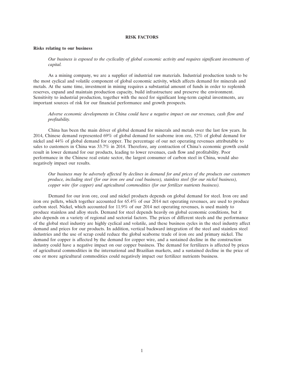#### **RISK FACTORS**

#### **Risks relating to our business**

*Our business is exposed to the cyclicality of global economic activity and requires significant investments of capital.*

As a mining company, we are a supplier of industrial raw materials. Industrial production tends to be the most cyclical and volatile component of global economic activity, which affects demand for minerals and metals. At the same time, investment in mining requires a substantial amount of funds in order to replenish reserves, expand and maintain production capacity, build infrastructure and preserve the environment. Sensitivity to industrial production, together with the need for significant long-term capital investments, are important sources of risk for our financial performance and growth prospects.

### *Adverse economic developments in China could have a negative impact on our revenues, cash flow and profitability.*

China has been the main driver of global demand for minerals and metals over the last few years. In 2014, Chinese demand represented 69% of global demand for seaborne iron ore, 52% of global demand for nickel and 44% of global demand for copper. The percentage of our net operating revenues attributable to sales to customers in China was 33.7% in 2014. Therefore, any contraction of China's economic growth could result in lower demand for our products, leading to lower revenues, cash flow and profitability. Poor performance in the Chinese real estate sector, the largest consumer of carbon steel in China, would also negatively impact our results.

*Our business may be adversely affected by declines in demand for and prices of the products our customers produce, including steel (for our iron ore and coal business), stainless steel (for our nickel business), copper wire (for copper) and agricultural commodities (for our fertilizer nutrients business).*

Demand for our iron ore, coal and nickel products depends on global demand for steel. Iron ore and iron ore pellets, which together accounted for 65.4% of our 2014 net operating revenues, are used to produce carbon steel. Nickel, which accounted for 11.9% of our 2014 net operating revenues, is used mainly to produce stainless and alloy steels. Demand for steel depends heavily on global economic conditions, but it also depends on a variety of regional and sectorial factors. The prices of different steels and the performance of the global steel industry are highly cyclical and volatile, and these business cycles in the steel industry affect demand and prices for our products. In addition, vertical backward integration of the steel and stainless steel industries and the use of scrap could reduce the global seaborne trade of iron ore and primary nickel. The demand for copper is affected by the demand for copper wire, and a sustained decline in the construction industry could have a negative impact on our copper business. The demand for fertilizers is affected by prices of agricultural commodities in the international and Brazilian markets, and a sustained decline in the price of one or more agricultural commodities could negatively impact our fertilizer nutrients business.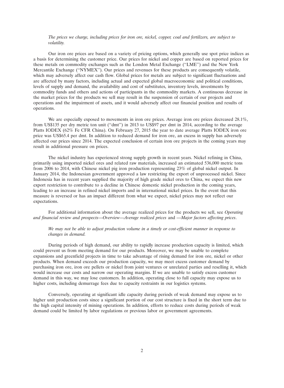#### *The prices we charge, including prices for iron ore, nickel, copper, coal and fertilizers, are subject to volatility.*

Our iron ore prices are based on a variety of pricing options, which generally use spot price indices as a basis for determining the customer price. Our prices for nickel and copper are based on reported prices for these metals on commodity exchanges such as the London Metal Exchange (''LME'') and the New York Mercantile Exchange (''NYMEX''). Our prices and revenues for these products are consequently volatile, which may adversely affect our cash flow. Global prices for metals are subject to significant fluctuations and are affected by many factors, including actual and expected global macroeconomic and political conditions, levels of supply and demand, the availability and cost of substitutes, inventory levels, investments by commodity funds and others and actions of participants in the commodity markets. A continuous decrease in the market prices for the products we sell may result in the suspension of certain of our projects and operations and the impairment of assets, and it would adversely affect our financial position and results of operations.

We are especially exposed to movements in iron ore prices. Average iron ore prices decreased 28.1%, from US\$135 per dry metric ton unit (''dmt'') in 2013 to US\$97 per dmt in 2014, according to the average Platts IODEX (62% Fe CFR China). On February 27, 2015 the year to date average Platts IODEX iron ore price was US\$65.4 per dmt. In addition to reduced demand for iron ore, an excess in supply has adversely affected our prices since 2014. The expected conclusion of certain iron ore projects in the coming years may result in additional pressure on prices.

The nickel industry has experienced strong supply growth in recent years. Nickel refining in China, primarily using imported nickel ores and related raw materials, increased an estimated 536,000 metric tons from 2006 to 2014, with Chinese nickel pig iron production representing 23% of global nickel output. In January 2014, the Indonesian government approved a law restricting the export of unprocessed nickel. Since Indonesia has in recent years supplied the majority of high grade nickel ores to China, we expect this new export restriction to contribute to a decline in Chinese domestic nickel production in the coming years, leading to an increase in refined nickel imports and in international nickel prices. In the event that this measure is reversed or has an impact different from what we expect, nickel prices may not reflect our expectations.

For additional information about the average realized prices for the products we sell, see *Operating and financial review and prospects—Overview—Average realized prices* and *—Major factors affecting prices*.

*We may not be able to adjust production volume in a timely or cost-efficient manner in response to changes in demand.*

During periods of high demand, our ability to rapidly increase production capacity is limited, which could prevent us from meeting demand for our products. Moreover, we may be unable to complete expansions and greenfield projects in time to take advantage of rising demand for iron ore, nickel or other products. When demand exceeds our production capacity, we may meet excess customer demand by purchasing iron ore, iron ore pellets or nickel from joint ventures or unrelated parties and reselling it, which would increase our costs and narrow our operating margins. If we are unable to satisfy excess customer demand in this way, we may lose customers. In addition, operating close to full capacity may expose us to higher costs, including demurrage fees due to capacity restraints in our logistics systems.

Conversely, operating at significant idle capacity during periods of weak demand may expose us to higher unit production costs since a significant portion of our cost structure is fixed in the short term due to the high capital intensity of mining operations. In addition, efforts to reduce costs during periods of weak demand could be limited by labor regulations or previous labor or government agreements.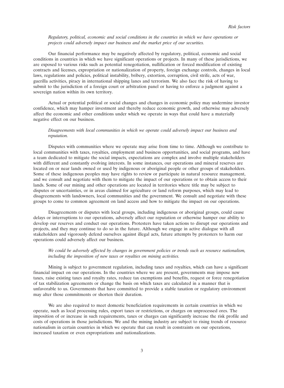#### *Regulatory, political, economic and social conditions in the countries in which we have operations or projects could adversely impact our business and the market price of our securities.*

Our financial performance may be negatively affected by regulatory, political, economic and social conditions in countries in which we have significant operations or projects. In many of these jurisdictions, we are exposed to various risks such as potential renegotiation, nullification or forced modification of existing contracts and licenses, expropriation or nationalization of property, foreign exchange controls, changes in local laws, regulations and policies, political instability, bribery, extortion, corruption, civil strife, acts of war, guerilla activities, piracy in international shipping lanes and terrorism. We also face the risk of having to submit to the jurisdiction of a foreign court or arbitration panel or having to enforce a judgment against a sovereign nation within its own territory.

Actual or potential political or social changes and changes in economic policy may undermine investor confidence, which may hamper investment and thereby reduce economic growth, and otherwise may adversely affect the economic and other conditions under which we operate in ways that could have a materially negative effect on our business.

#### *Disagreements with local communities in which we operate could adversely impact our business and reputation.*

Disputes with communities where we operate may arise from time to time. Although we contribute to local communities with taxes, royalties, employment and business opportunities, and social programs, and have a team dedicated to mitigate the social impacts, expectations are complex and involve multiple stakeholders with different and constantly evolving interests. In some instances, our operations and mineral reserves are located on or near lands owned or used by indigenous or aboriginal people or other groups of stakeholders. Some of these indigenous peoples may have rights to review or participate in natural resource management, and we consult and negotiate with them to mitigate the impact of our operations or to obtain access to their lands. Some of our mining and other operations are located in territories where title may be subject to disputes or uncertainties, or in areas claimed for agriculture or land reform purposes, which may lead to disagreements with landowners, local communities and the government. We consult and negotiate with these groups to come to common agreement on land access and how to mitigate the impact on our operations.

Disagreements or disputes with local groups, including indigenous or aboriginal groups, could cause delays or interruptions to our operations, adversely affect our reputation or otherwise hamper our ability to develop our reserves and conduct our operations. Protesters have taken actions to disrupt our operations and projects, and they may continue to do so in the future. Although we engage in active dialogue with all stakeholders and vigorously defend ourselves against illegal acts, future attempts by protesters to harm our operations could adversely affect our business.

### *We could be adversely affected by changes in government policies or trends such as resource nationalism, including the imposition of new taxes or royalties on mining activities.*

Mining is subject to government regulation, including taxes and royalties, which can have a significant financial impact on our operations. In the countries where we are present, governments may impose new taxes, raise existing taxes and royalty rates, reduce tax exemptions and benefits, request or force renegotiation of tax stabilization agreements or change the basis on which taxes are calculated in a manner that is unfavorable to us. Governments that have committed to provide a stable taxation or regulatory environment may alter those commitments or shorten their duration.

We are also required to meet domestic beneficiation requirements in certain countries in which we operate, such as local processing rules, export taxes or restrictions, or charges on unprocessed ores. The imposition of or increase in such requirements, taxes or charges can significantly increase the risk profile and costs of operations in those jurisdictions. We and the mining industry are subject to rising trends of resource nationalism in certain countries in which we operate that can result in constraints on our operations, increased taxation or even expropriations and nationalizations.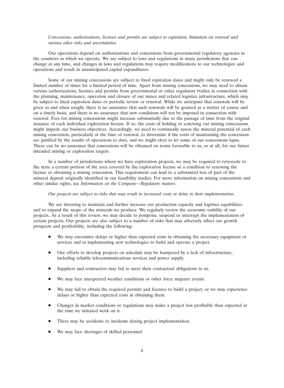#### *Concessions, authorizations, licenses and permits are subject to expiration, limitation on renewal and various other risks and uncertainties.*

Our operations depend on authorizations and concessions from governmental regulatory agencies in the countries in which we operate. We are subject to laws and regulations in many jurisdictions that can change at any time, and changes in laws and regulations may require modifications to our technologies and operations and result in unanticipated capital expenditures.

Some of our mining concessions are subject to fixed expiration dates and might only be renewed a limited number of times for a limited period of time. Apart from mining concessions, we may need to obtain various authorizations, licenses and permits from governmental or other regulatory bodies in connection with the planning, maintenance, operation and closure of our mines and related logistics infrastructure, which may be subject to fixed expiration dates or periodic review or renewal. While we anticipate that renewals will be given as and when sought, there is no assurance that such renewals will be granted as a matter of course and on a timely basis, and there is no assurance that new conditions will not be imposed in connection with renewal. Fees for mining concessions might increase substantially due to the passage of time from the original issuance of each individual exploration license. If so, the costs of holding or renewing our mining concessions might impede our business objectives. Accordingly, we need to continually assess the mineral potential of each mining concession, particularly at the time of renewal, to determine if the costs of maintaining the concession are justified by the results of operations to date, and we might elect to let some of our concessions lapse. There can be no assurance that concessions will be obtained on terms favorable to us, or at all, for our future intended mining or exploration targets.

In a number of jurisdictions where we have exploration projects, we may be required to retrocede to the state a certain portion of the area covered by the exploration license as a condition to renewing the license or obtaining a mining concession. This requirement can lead to a substantial loss of part of the mineral deposit originally identified in our feasibility studies. For more information on mining concessions and other similar rights, see *Information on the Company—Regulatory matters*.

#### *Our projects are subject to risks that may result in increased costs or delay in their implementation.*

We are investing to maintain and further increase our production capacity and logistics capabilities and to expand the scope of the minerals we produce. We regularly review the economic viability of our projects. As a result of this review, we may decide to postpone, suspend or interrupt the implementation of certain projects. Our projects are also subject to a number of risks that may adversely affect our growth prospects and profitability, including the following:

- We may encounter delays or higher than expected costs in obtaining the necessary equipment or services and in implementing new technologies to build and operate a project.
- Our efforts to develop projects on schedule may be hampered by a lack of infrastructure, including reliable telecommunications services and power supply.
- Suppliers and contractors may fail to meet their contractual obligations to us.
- We may face unexpected weather conditions or other force majeure events.
- We may fail to obtain the required permits and licenses to build a project, or we may experience delays or higher than expected costs in obtaining them.
- Changes in market conditions or regulations may make a project less profitable than expected at the time we initiated work on it.
- There may be accidents or incidents during project implementation.
- We may face shortages of skilled personnel.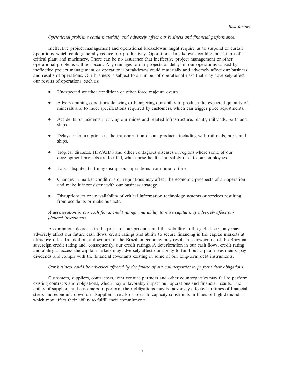#### *Operational problems could materially and adversely affect our business and financial performance.*

Ineffective project management and operational breakdowns might require us to suspend or curtail operations, which could generally reduce our productivity. Operational breakdowns could entail failure of critical plant and machinery. There can be no assurance that ineffective project management or other operational problems will not occur. Any damages to our projects or delays in our operations caused by ineffective project management or operational breakdowns could materially and adversely affect our business and results of operations. Our business is subject to a number of operational risks that may adversely affect our results of operations, such as:

- Unexpected weather conditions or other force majeure events.
- Adverse mining conditions delaying or hampering our ability to produce the expected quantity of minerals and to meet specifications required by customers, which can trigger price adjustments.
- Accidents or incidents involving our mines and related infrastructure, plants, railroads, ports and ships.
- Delays or interruptions in the transportation of our products, including with railroads, ports and ships.
- Tropical diseases, HIV/AIDS and other contagious diseases in regions where some of our development projects are located, which pose health and safety risks to our employees.
- Labor disputes that may disrupt our operations from time to time.
- Changes in market conditions or regulations may affect the economic prospects of an operation and make it inconsistent with our business strategy.
- Disruptions to or unavailability of critical information technology systems or services resulting from accidents or malicious acts.

### *A deterioration in our cash flows, credit ratings and ability to raise capital may adversely affect our planned investments.*

A continuous decrease in the prices of our products and the volatility in the global economy may adversely affect our future cash flows, credit ratings and ability to secure financing in the capital markets at attractive rates. In addition, a downturn in the Brazilian economy may result in a downgrade of the Brazilian sovereign credit rating and, consequently, our credit ratings. A deterioration in our cash flows, credit rating and ability to access the capital markets may adversely affect our ability to fund our capital investments, pay dividends and comply with the financial covenants existing in some of our long-term debt instruments.

# *Our business could be adversely affected by the failure of our counterparties to perform their obligations.*

Customers, suppliers, contractors, joint venture partners and other counterparties may fail to perform existing contracts and obligations, which may unfavorably impact our operations and financial results. The ability of suppliers and customers to perform their obligations may be adversely affected in times of financial stress and economic downturn. Suppliers are also subject to capacity constraints in times of high demand which may affect their ability to fulfill their commitments.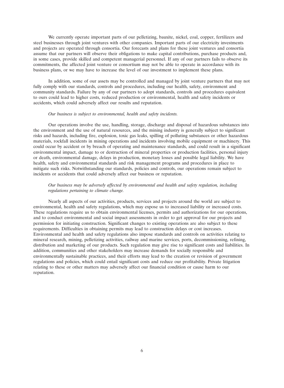We currently operate important parts of our pelletizing, bauxite, nickel, coal, copper, fertilizers and steel businesses through joint ventures with other companies. Important parts of our electricity investments and projects are operated through consortia. Our forecasts and plans for these joint ventures and consortia assume that our partners will observe their obligations to make capital contributions, purchase products and, in some cases, provide skilled and competent managerial personnel. If any of our partners fails to observe its commitments, the affected joint venture or consortium may not be able to operate in accordance with its business plans, or we may have to increase the level of our investment to implement these plans.

In addition, some of our assets may be controlled and managed by joint venture partners that may not fully comply with our standards, controls and procedures, including our health, safety, environment and community standards. Failure by any of our partners to adopt standards, controls and procedures equivalent to ours could lead to higher costs, reduced production or environmental, health and safety incidents or accidents, which could adversely affect our results and reputation.

#### *Our business is subject to environmental, health and safety incidents.*

Our operations involve the use, handling, storage, discharge and disposal of hazardous substances into the environment and the use of natural resources, and the mining industry is generally subject to significant risks and hazards, including fire, explosion, toxic gas leaks, spilling of polluting substances or other hazardous materials, rockfall incidents in mining operations and incidents involving mobile equipment or machinery. This could occur by accident or by breach of operating and maintenance standards, and could result in a significant environmental impact, damage to or destruction of mineral properties or production facilities, personal injury or death, environmental damage, delays in production, monetary losses and possible legal liability. We have health, safety and environmental standards and risk management programs and procedures in place to mitigate such risks. Notwithstanding our standards, policies and controls, our operations remain subject to incidents or accidents that could adversely affect our business or reputation.

### *Our business may be adversely affected by environmental and health and safety regulation, including regulations pertaining to climate change.*

Nearly all aspects of our activities, products, services and projects around the world are subject to environmental, health and safety regulations, which may expose us to increased liability or increased costs. These regulations require us to obtain environmental licenses, permits and authorizations for our operations, and to conduct environmental and social impact assessments in order to get approval for our projects and permission for initiating construction. Significant changes to existing operations are also subject to these requirements. Difficulties in obtaining permits may lead to construction delays or cost increases. Environmental and health and safety regulations also impose standards and controls on activities relating to mineral research, mining, pelletizing activities, railway and marine services, ports, decommissioning, refining, distribution and marketing of our products. Such regulation may give rise to significant costs and liabilities. In addition, communities and other stakeholders may increase demands for socially responsible and environmentally sustainable practices, and their efforts may lead to the creation or revision of government regulations and policies, which could entail significant costs and reduce our profitability. Private litigation relating to these or other matters may adversely affect our financial condition or cause harm to our reputation.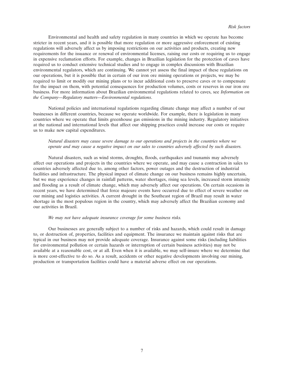Environmental and health and safety regulation in many countries in which we operate has become stricter in recent years, and it is possible that more regulation or more aggressive enforcement of existing regulations will adversely affect us by imposing restrictions on our activities and products, creating new requirements for the issuance or renewal of environmental licenses, raising our costs or requiring us to engage in expensive reclamation efforts. For example, changes in Brazilian legislation for the protection of caves have required us to conduct extensive technical studies and to engage in complex discussions with Brazilian environmental regulators, which are continuing. We cannot yet assess the final impact of these regulations on our operations, but it is possible that in certain of our iron ore mining operations or projects, we may be required to limit or modify our mining plans or to incur additional costs to preserve caves or to compensate for the impact on them, with potential consequences for production volumes, costs or reserves in our iron ore business. For more information about Brazilian environmental regulations related to caves, see *Information on the Company—Regulatory matters—Environmental regulations*.

National policies and international regulations regarding climate change may affect a number of our businesses in different countries, because we operate worldwide. For example, there is legislation in many countries where we operate that limits greenhouse gas emissions in the mining industry. Regulatory initiatives at the national and international levels that affect our shipping practices could increase our costs or require us to make new capital expenditures.

### *Natural disasters may cause severe damage to our operations and projects in the countries where we operate and may cause a negative impact on our sales to countries adversely affected by such disasters.*

Natural disasters, such as wind storms, droughts, floods, earthquakes and tsunamis may adversely affect our operations and projects in the countries where we operate, and may cause a contraction in sales to countries adversely affected due to, among other factors, power outages and the destruction of industrial facilities and infrastructure. The physical impact of climate change on our business remains highly uncertain, but we may experience changes in rainfall patterns, water shortages, rising sea levels, increased storm intensity and flooding as a result of climate change, which may adversely affect our operations. On certain occasions in recent years, we have determined that force majeure events have occurred due to effect of severe weather on our mining and logistics activities. A current drought in the Southeast region of Brazil may result in water shortage in the most populous region in the country, which may adversely affect the Brazilian economy and our activities in Brazil.

#### *We may not have adequate insurance coverage for some business risks.*

Our businesses are generally subject to a number of risks and hazards, which could result in damage to, or destruction of, properties, facilities and equipment. The insurance we maintain against risks that are typical in our business may not provide adequate coverage. Insurance against some risks (including liabilities for environmental pollution or certain hazards or interruption of certain business activities) may not be available at a reasonable cost, or at all. Even when it is available, we may self-insure where we determine that is more cost-effective to do so. As a result, accidents or other negative developments involving our mining, production or transportation facilities could have a material adverse effect on our operations.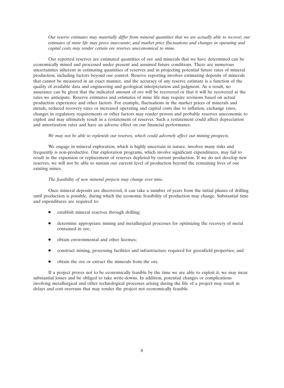*Our reserve estimates may materially differ from mineral quantities that we are actually able to recover; our estimates of mine life may prove inaccurate; and market price fluctuations and changes in operating and capital costs may render certain ore reserves uneconomical to mine.*

Our reported reserves are estimated quantities of ore and minerals that we have determined can be economically mined and processed under present and assumed future conditions. There are numerous uncertainties inherent in estimating quantities of reserves and in projecting potential future rates of mineral production, including factors beyond our control. Reserve reporting involves estimating deposits of minerals that cannot be measured in an exact manner, and the accuracy of any reserve estimate is a function of the quality of available data and engineering and geological interpretation and judgment. As a result, no assurance can be given that the indicated amount of ore will be recovered or that it will be recovered at the rates we anticipate. Reserve estimates and estimates of mine life may require revisions based on actual production experience and other factors. For example, fluctuations in the market prices of minerals and metals, reduced recovery rates or increased operating and capital costs due to inflation, exchange rates, changes in regulatory requirements or other factors may render proven and probable reserves uneconomic to exploit and may ultimately result in a restatement of reserves. Such a restatement could affect depreciation and amortization rates and have an adverse effect on our financial performance.

### *We may not be able to replenish our reserves, which could adversely affect our mining prospects.*

We engage in mineral exploration, which is highly uncertain in nature, involves many risks and frequently is non-productive. Our exploration programs, which involve significant expenditures, may fail to result in the expansion or replacement of reserves depleted by current production. If we do not develop new reserves, we will not be able to sustain our current level of production beyond the remaining lives of our existing mines.

#### *The feasibility of new mineral projects may change over time.*

Once mineral deposits are discovered, it can take a number of years from the initial phases of drilling until production is possible, during which the economic feasibility of production may change. Substantial time and expenditures are required to:

- establish mineral reserves through drilling;
- determine appropriate mining and metallurgical processes for optimizing the recovery of metal contained in ore;
- obtain environmental and other licenses;
- construct mining, processing facilities and infrastructure required for greenfield properties; and
- obtain the ore or extract the minerals from the ore.

If a project proves not to be economically feasible by the time we are able to exploit it, we may incur substantial losses and be obliged to take write-downs. In addition, potential changes or complications involving metallurgical and other technological processes arising during the life of a project may result in delays and cost overruns that may render the project not economically feasible.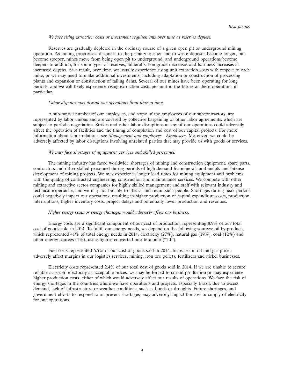#### *We face rising extraction costs or investment requirements over time as reserves deplete.*

Reserves are gradually depleted in the ordinary course of a given open pit or underground mining operation. As mining progresses, distances to the primary crusher and to waste deposits become longer, pits become steeper, mines move from being open pit to underground, and underground operations become deeper. In addition, for some types of reserves, mineralization grade decreases and hardness increases at increased depths. As a result, over time, we usually experience rising unit extraction costs with respect to each mine, or we may need to make additional investments, including adaptation or construction of processing plants and expansion or construction of tailing dams. Several of our mines have been operating for long periods, and we will likely experience rising extraction costs per unit in the future at these operations in particular.

#### *Labor disputes may disrupt our operations from time to time.*

A substantial number of our employees, and some of the employees of our subcontractors, are represented by labor unions and are covered by collective bargaining or other labor agreements, which are subject to periodic negotiation. Strikes and other labor disruptions at any of our operations could adversely affect the operation of facilities and the timing of completion and cost of our capital projects. For more information about labor relations, see *Management and employees*—*Employees*. Moreover, we could be adversely affected by labor disruptions involving unrelated parties that may provide us with goods or services.

#### *We may face shortages of equipment, services and skilled personnel.*

The mining industry has faced worldwide shortages of mining and construction equipment, spare parts, contractors and other skilled personnel during periods of high demand for minerals and metals and intense development of mining projects. We may experience longer lead times for mining equipment and problems with the quality of contracted engineering, construction and maintenance services. We compete with other mining and extractive sector companies for highly skilled management and staff with relevant industry and technical experience, and we may not be able to attract and retain such people. Shortages during peak periods could negatively impact our operations, resulting in higher production or capital expenditure costs, production interruptions, higher inventory costs, project delays and potentially lower production and revenues.

#### *Higher energy costs or energy shortages would adversely affect our business.*

Energy costs are a significant component of our cost of production, representing 8.9% of our total cost of goods sold in 2014. To fulfill our energy needs, we depend on the following sources: oil by-products, which represented 41% of total energy needs in 2014, electricity  $(27%)$ , natural gas  $(19%)$ , coal  $(12%)$  and other energy sources (1%), using figures converted into terajoule (''TJ'').

Fuel costs represented 6.5% of our cost of goods sold in 2014. Increases in oil and gas prices adversely affect margins in our logistics services, mining, iron ore pellets, fertilizers and nickel businesses.

Electricity costs represented 2.4% of our total cost of goods sold in 2014. If we are unable to secure reliable access to electricity at acceptable prices, we may be forced to curtail production or may experience higher production costs, either of which would adversely affect our results of operations. We face the risk of energy shortages in the countries where we have operations and projects, especially Brazil, due to excess demand, lack of infrastructure or weather conditions, such as floods or droughts. Future shortages, and government efforts to respond to or prevent shortages, may adversely impact the cost or supply of electricity for our operations.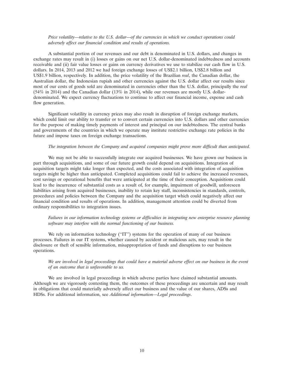#### *Price volatility—relative to the U.S. dollar—of the currencies in which we conduct operations could adversely affect our financial condition and results of operations.*

A substantial portion of our revenues and our debt is denominated in U.S. dollars, and changes in exchange rates may result in (i) losses or gains on our net U.S. dollar-denominated indebtedness and accounts receivable and (ii) fair value losses or gains on currency derivatives we use to stabilize our cash flow in U.S. dollars. In 2014, 2013 and 2012 we had foreign exchange losses of US\$2.1 billion, US\$2.8 billion and US\$1.9 billion, respectively. In addition, the price volatility of the Brazilian *real*, the Canadian dollar, the Australian dollar, the Indonesian rupiah and other currencies against the U.S. dollar affect our results since most of our costs of goods sold are denominated in currencies other than the U.S. dollar, principally the *real* (54% in 2014) and the Canadian dollar (13% in 2014), while our revenues are mostly U.S. dollardenominated. We expect currency fluctuations to continue to affect our financial income, expense and cash flow generation.

Significant volatility in currency prices may also result in disruption of foreign exchange markets, which could limit our ability to transfer or to convert certain currencies into U.S. dollars and other currencies for the purpose of making timely payments of interest and principal on our indebtedness. The central banks and governments of the countries in which we operate may institute restrictive exchange rate policies in the future and impose taxes on foreign exchange transactions.

### *The integration between the Company and acquired companies might prove more difficult than anticipated.*

We may not be able to successfully integrate our acquired businesses. We have grown our business in part through acquisitions, and some of our future growth could depend on acquisitions. Integration of acquisition targets might take longer than expected, and the costs associated with integration of acquisition targets might be higher than anticipated. Completed acquisitions could fail to achieve the increased revenues, cost savings or operational benefits that were anticipated at the time of their conception. Acquisitions could lead to the incurrence of substantial costs as a result of, for example, impairment of goodwill, unforeseen liabilities arising from acquired businesses, inability to retain key staff, inconsistencies in standards, controls, procedures and policies between the Company and the acquisition target which could negatively affect our financial condition and results of operations. In addition, management attention could be diverted from ordinary responsibilities to integration issues.

#### *Failures in our information technology systems or difficulties in integrating new enterprise resource planning software may interfere with the normal functioning of our business.*

We rely on information technology ("IT") systems for the operation of many of our business processes. Failures in our IT systems, whether caused by accident or malicious acts, may result in the disclosure or theft of sensible information, misappropriation of funds and disruptions to our business operations.

### *We are involved in legal proceedings that could have a material adverse effect on our business in the event of an outcome that is unfavorable to us.*

We are involved in legal proceedings in which adverse parties have claimed substantial amounts. Although we are vigorously contesting them, the outcomes of these proceedings are uncertain and may result in obligations that could materially adversely affect our business and the value of our shares, ADSs and HDSs. For additional information, see *Additional information—Legal proceedings*.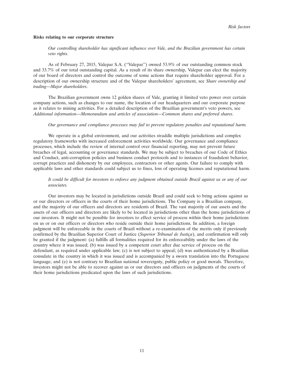#### **Risks relating to our corporate structure**

*Our controlling shareholder has significant influence over Vale, and the Brazilian government has certain veto rights.*

As of February 27, 2015, Valepar S.A. (''Valepar'') owned 53.9% of our outstanding common stock and 33.7% of our total outstanding capital. As a result of its share ownership, Valepar can elect the majority of our board of directors and control the outcome of some actions that require shareholder approval. For a description of our ownership structure and of the Valepar shareholders' agreement, see *Share ownership and trading*—*Major shareholders*.

The Brazilian government owns 12 golden shares of Vale, granting it limited veto power over certain company actions, such as changes to our name, the location of our headquarters and our corporate purpose as it relates to mining activities. For a detailed description of the Brazilian government's veto powers, see *Additional information*—*Memorandum and articles of association*—*Common shares and preferred shares*.

#### *Our governance and compliance processes may fail to prevent regulatory penalties and reputational harm.*

We operate in a global environment, and our activities straddle multiple jurisdictions and complex regulatory frameworks with increased enforcement activities worldwide. Our governance and compliance processes, which include the review of internal control over financial reporting, may not prevent future breaches of legal, accounting or governance standards. We may be subject to breaches of our Code of Ethics and Conduct, anti-corruption policies and business conduct protocols and to instances of fraudulent behavior, corrupt practices and dishonesty by our employees, contractors or other agents. Our failure to comply with applicable laws and other standards could subject us to fines, loss of operating licenses and reputational harm.

### *It could be difficult for investors to enforce any judgment obtained outside Brazil against us or any of our associates.*

Our investors may be located in jurisdictions outside Brazil and could seek to bring actions against us or our directors or officers in the courts of their home jurisdictions. The Company is a Brazilian company, and the majority of our officers and directors are residents of Brazil. The vast majority of our assets and the assets of our officers and directors are likely to be located in jurisdictions other than the home jurisdictions of our investors. It might not be possible for investors to effect service of process within their home jurisdictions on us or on our officers or directors who reside outside their home jurisdictions. In addition, a foreign judgment will be enforceable in the courts of Brazil without a re-examination of the merits only if previously confirmed by the Brazilian Superior Court of Justice (*Superior Tribunal de Justiça*), and confirmation will only be granted if the judgment: (a) fulfills all formalities required for its enforceability under the laws of the country where it was issued; (b) was issued by a competent court after due service of process on the defendant, as required under applicable law; (c) is not subject to appeal; (d) was authenticated by a Brazilian consulate in the country in which it was issued and is accompanied by a sworn translation into the Portuguese language; and (e) is not contrary to Brazilian national sovereignty, public policy or good morals. Therefore, investors might not be able to recover against us or our directors and officers on judgments of the courts of their home jurisdictions predicated upon the laws of such jurisdictions.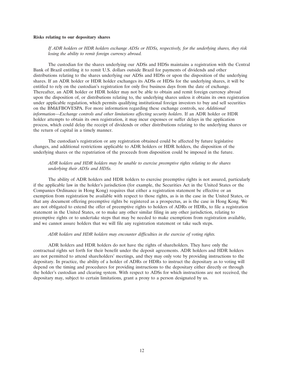#### **Risks relating to our depositary shares**

*If ADR holders or HDR holders exchange ADSs or HDSs, respectively, for the underlying shares, they risk losing the ability to remit foreign currency abroad.*

The custodian for the shares underlying our ADSs and HDSs maintains a registration with the Central Bank of Brazil entitling it to remit U.S. dollars outside Brazil for payments of dividends and other distributions relating to the shares underlying our ADSs and HDSs or upon the disposition of the underlying shares. If an ADR holder or HDR holder exchanges its ADSs or HDSs for the underlying shares, it will be entitled to rely on the custodian's registration for only five business days from the date of exchange. Thereafter, an ADR holder or HDR holder may not be able to obtain and remit foreign currency abroad upon the disposition of, or distributions relating to, the underlying shares unless it obtains its own registration under applicable regulation, which permits qualifying institutional foreign investors to buy and sell securities on the BM&FBOVESPA. For more information regarding these exchange controls, see *Additional information*—*Exchange controls and other limitations affecting security holders*. If an ADR holder or HDR holder attempts to obtain its own registration, it may incur expenses or suffer delays in the application process, which could delay the receipt of dividends or other distributions relating to the underlying shares or the return of capital in a timely manner.

The custodian's registration or any registration obtained could be affected by future legislative changes, and additional restrictions applicable to ADR holders or HDR holders, the disposition of the underlying shares or the repatriation of the proceeds from disposition could be imposed in the future.

### *ADR holders and HDR holders may be unable to exercise preemptive rights relating to the shares underlying their ADSs and HDSs.*

The ability of ADR holders and HDR holders to exercise preemptive rights is not assured, particularly if the applicable law in the holder's jurisdiction (for example, the Securities Act in the United States or the Companies Ordinance in Hong Kong) requires that either a registration statement be effective or an exemption from registration be available with respect to those rights, as is in the case in the United States, or that any document offering preemptive rights be registered as a prospectus, as is the case in Hong Kong. We are not obligated to extend the offer of preemptive rights to holders of ADRs or HDRs, to file a registration statement in the United States, or to make any other similar filing in any other jurisdiction, relating to preemptive rights or to undertake steps that may be needed to make exemptions from registration available, and we cannot assure holders that we will file any registration statement or take such steps.

#### *ADR holders and HDR holders may encounter difficulties in the exercise of voting rights.*

ADR holders and HDR holders do not have the rights of shareholders. They have only the contractual rights set forth for their benefit under the deposit agreements. ADR holders and HDR holders are not permitted to attend shareholders' meetings, and they may only vote by providing instructions to the depositary. In practice, the ability of a holder of ADRs or HDRs to instruct the depositary as to voting will depend on the timing and procedures for providing instructions to the depositary either directly or through the holder's custodian and clearing system. With respect to ADSs for which instructions are not received, the depositary may, subject to certain limitations, grant a proxy to a person designated by us.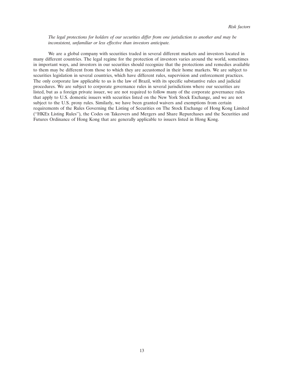#### *The legal protections for holders of our securities differ from one jurisdiction to another and may be inconsistent, unfamiliar or less effective than investors anticipate.*

We are a global company with securities traded in several different markets and investors located in many different countries. The legal regime for the protection of investors varies around the world, sometimes in important ways, and investors in our securities should recognize that the protections and remedies available to them may be different from those to which they are accustomed in their home markets. We are subject to securities legislation in several countries, which have different rules, supervision and enforcement practices. The only corporate law applicable to us is the law of Brazil, with its specific substantive rules and judicial procedures. We are subject to corporate governance rules in several jurisdictions where our securities are listed, but as a foreign private issuer, we are not required to follow many of the corporate governance rules that apply to U.S. domestic issuers with securities listed on the New York Stock Exchange, and we are not subject to the U.S. proxy rules. Similarly, we have been granted waivers and exemptions from certain requirements of the Rules Governing the Listing of Securities on The Stock Exchange of Hong Kong Limited (''HKEx Listing Rules''), the Codes on Takeovers and Mergers and Share Repurchases and the Securities and Futures Ordinance of Hong Kong that are generally applicable to issuers listed in Hong Kong.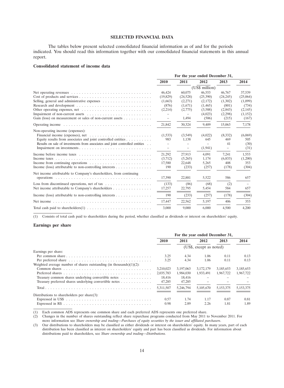# **SELECTED FINANCIAL DATA**

The tables below present selected consolidated financial information as of and for the periods indicated. You should read this information together with our consolidated financial statements in this annual report.

#### **Consolidated statement of income data**

| Net operating revenues $\dots \dots \dots \dots \dots \dots \dots \dots \dots \dots \dots \dots$                                             | 2010<br>46,424<br>(19,829) | 2011<br>60,075           | 2012<br>(US\$ million) | 2013      | 2014     |
|----------------------------------------------------------------------------------------------------------------------------------------------|----------------------------|--------------------------|------------------------|-----------|----------|
|                                                                                                                                              |                            |                          |                        |           |          |
|                                                                                                                                              |                            |                          |                        |           |          |
|                                                                                                                                              |                            |                          | 46,553                 | 46,767    | 37,539   |
|                                                                                                                                              |                            | (24,528)                 | (25,390)               | (24, 245) | (25,064) |
|                                                                                                                                              | (1,663)                    | (2,271)                  | (2,172)                | (1,302)   | (1,099)  |
|                                                                                                                                              | (876)                      | (1,671)                  | (1, 465)               | (801)     | (734)    |
|                                                                                                                                              | (2,214)                    | (2,775)                  | (3,588)                | (2,843)   | (2,145)  |
|                                                                                                                                              |                            |                          | (4,023)                | (2,298)   | (1,152)  |
| Gain (loss) on measurement or sales of non-current assets $\dots \dots \dots$                                                                | $\overline{\phantom{m}}$   | 1,494                    | (506)                  | (215)     | (167)    |
|                                                                                                                                              | 21,842                     | 30,324                   | 9,409                  | 15,063    | 7,178    |
| Non-operating income (expenses):                                                                                                             |                            |                          |                        |           |          |
|                                                                                                                                              | (1,533)                    | (3,549)                  | (4,022)                | (8,332)   | (6,069)  |
| Equity results from associates and joint controlled entities                                                                                 | 983                        | 1,138                    | 645                    | 469       | 505      |
| Results on sale of investments from associates and joint controlled entities                                                                 |                            |                          |                        | 41        | (30)     |
|                                                                                                                                              |                            | $\overline{\phantom{m}}$ | (1, 941)               |           | (31)     |
| Income before income taxes $\dots \dots \dots \dots \dots \dots \dots \dots \dots \dots \dots$                                               | 21,292                     | 27,913                   | 4,091                  | 7,241     | 1,553    |
| Income taxes $\ldots \ldots \ldots \ldots \ldots \ldots \ldots \ldots \ldots \ldots \ldots \ldots$                                           | (3,712)                    | (5,265)                  | 1,174                  | (6,833)   | (1,200)  |
| Income from continuing operations $\dots \dots \dots \dots \dots \dots \dots \dots$                                                          | 17,580                     | 22,648                   | 5,265                  | 408       | 353      |
| Income (loss) attributable to non-controlling interests                                                                                      | 190                        | (233)                    | (257)                  | (178)     | (304)    |
| Net income attributable to Company's shareholders, from continuing                                                                           |                            |                          |                        |           |          |
|                                                                                                                                              | 17,390                     | 22,881                   | 5,522                  | 586       | 657      |
| Loss from discontinued operations, net of tax $\dots \dots \dots \dots \dots \dots$                                                          | (133)                      | (86)                     | (68)                   | (2)       |          |
| Net income attributable to Company's shareholders                                                                                            | 17,257                     | 22,795                   | 5,454                  | 584       | 657      |
| Income (loss) attributable to non-controlling interests $\dots \dots \dots \dots \dots$                                                      | 190                        | (233)                    | (257)                  | (178)     | (304)    |
| Net income $\ldots$ , $\ldots$ , $\ldots$ , $\ldots$ , $\ldots$ , $\ldots$ , $\ldots$ , $\ldots$ , $\ldots$ , $\ldots$ , $\ldots$ , $\ldots$ | 17,447                     | 22,562                   | 5,197                  | 406       | 353      |
|                                                                                                                                              | 3,000                      | 9,000                    | 6,000                  | 4.500     | 4,200    |

(1) Consists of total cash paid to shareholders during the period, whether classified as dividends or interest on shareholders' equity.

#### **Earnings per share**

|                                                                                                  | For the year ended December 31, |           |           |           |           |  |
|--------------------------------------------------------------------------------------------------|---------------------------------|-----------|-----------|-----------|-----------|--|
|                                                                                                  | 2010                            | 2011      | 2012      | 2013      | 2014      |  |
|                                                                                                  | (US\$, except as noted)         |           |           |           |           |  |
| Earnings per share:                                                                              |                                 |           |           |           |           |  |
| Per common share $\dots \dots \dots \dots \dots \dots \dots \dots \dots \dots \dots \dots \dots$ | 3.25                            | 4.34      | 1.06      | 0.11      | 0.13      |  |
|                                                                                                  | 3.25                            | 4.34      | 1.06      | 0.11      | 0.13      |  |
| Weighted average number of shares outstanding (in thousands) $(1)(2)$ :                          |                                 |           |           |           |           |  |
|                                                                                                  | 3,210,023                       | 3,197,063 | 3,172,179 | 3,185,653 | 3,185,653 |  |
|                                                                                                  | 2.035.783                       | 1.984.030 | 1.933.491 | 1.967.722 | 1,967,722 |  |
| Treasury common shares underlying convertible notes $\dots \dots \dots$                          | 18.416                          | 18,416    |           |           |           |  |
| Treasury preferred shares underlying convertible notes $\dots \dots \dots$                       | 47,285                          | 47,285    |           |           |           |  |
|                                                                                                  | 5.311.507                       | 5.246.794 | 5.105.670 | 5.153.375 | 5,153,375 |  |
| Distributions to shareholders per share $(3)$ :                                                  |                                 |           |           |           |           |  |
|                                                                                                  | 0.57                            | 1.74      | 1.17      | 0.87      | 0.81      |  |
|                                                                                                  | 0.98                            | 2.89      | 2.26      | 1.81      | 1.89      |  |

(1) Each common ADS represents one common share and each preferred ADS represents one preferred share.

(2) Changes in the number of shares outstanding reflect share repurchase programs conducted from May 2011 to November 2011. For more information see *Share ownership and trading*—*Purchases of equity securities by the issuer and affiliated purchasers*.

(3) Our distributions to shareholders may be classified as either dividends or interest on shareholders' equity. In many years, part of each distribution has been classified as interest on shareholders' equity and part has been classified as dividends. For information about distributions paid to shareholders, see *Share ownership and trading*—*Distributions.*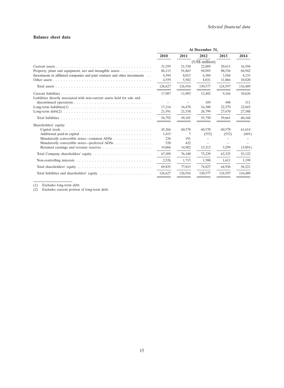### **Balance sheet data**

|                                                                                               | At December 31, |         |                |         |         |
|-----------------------------------------------------------------------------------------------|-----------------|---------|----------------|---------|---------|
|                                                                                               | 2010            | 2011    | 2012           | 2013    | 2014    |
|                                                                                               |                 |         | (US\$ million) |         |         |
|                                                                                               | 31,559          | 21,538  | 22,069         | 20,611  | 16,594  |
| Property, plant and equipment, net and intangible assets                                      | 86,115          | 91,863  | 94,093         | 88,536  | 84,942  |
| Investments in affiliated companies and joint ventures and other investments                  | 4.394           | 8,013   | 6.384          | 3,584   | 4,133   |
|                                                                                               | 4,559           | 5,502   | 8,031          | 11,866  | 10,820  |
|                                                                                               | 126,627         | 126,916 | 130,577        | 124,597 | 116,489 |
|                                                                                               | 17,987          | 11,093  | 12,402         | 9,164   | 10,626  |
| Liabilities directly associated with non-current assets held for sale and                     |                 |         |                |         |         |
|                                                                                               |                 |         | 169            | 448     | 111     |
|                                                                                               | 17,214          | 16.470  | 16,380         | 22,379  | 22,043  |
|                                                                                               | 21,591          | 21,538  | 26,799         | 27,670  | 27,388  |
|                                                                                               | 56,792          | 49,101  | 55,750         | 59,661  | 60,168  |
| Shareholders' equity:                                                                         |                 |         |                |         |         |
|                                                                                               | 45,266          | 60,578  | 60,578         | 60,578  | 61,614  |
|                                                                                               | 1,413           | 7       | (552)          | (552)   | (601)   |
| Mandatorily convertible notes—common ADSs $\dots \dots \dots \dots \dots$                     | 236             | 191     |                |         |         |
| Mandatorily convertible notes—preferred ADSs                                                  | 528             | 422     |                |         |         |
|                                                                                               | 19,866          | 14,902  | 13,213         | 3,299   | (5,891) |
|                                                                                               | 67,309          | 76,100  | 73,239         | 63,325  | 55,122  |
| Non-controlling interests $\dots \dots \dots \dots \dots \dots \dots \dots \dots \dots \dots$ | 2,526           | 1,715   | 1,588          | 1,611   | 1,199   |
|                                                                                               | 69,835          | 77,815  | 74,827         | 64,936  | 56,321  |
|                                                                                               | 126,627         | 126,916 | 130,577        | 124,597 | 116,489 |

(1) Excludes long-term debt.

(2) Excludes current portion of long-term debt.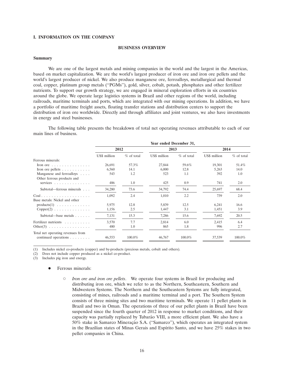#### **I. INFORMATION ON THE COMPANY**

#### **BUSINESS OVERVIEW**

#### **Summary**

We are one of the largest metals and mining companies in the world and the largest in the Americas, based on market capitalization. We are the world's largest producer of iron ore and iron ore pellets and the world's largest producer of nickel. We also produce manganese ore, ferroalloys, metallurgical and thermal coal, copper, platinum group metals (''PGMs''), gold, silver, cobalt, potash, phosphates and other fertilizer nutrients. To support our growth strategy, we are engaged in mineral exploration efforts in six countries around the globe. We operate large logistics systems in Brazil and other regions of the world, including railroads, maritime terminals and ports, which are integrated with our mining operations. In addition, we have a portfolio of maritime freight assets, floating transfer stations and distribution centers to support the distribution of iron ore worldwide. Directly and through affiliates and joint ventures, we also have investments in energy and steel businesses.

The following table presents the breakdown of total net operating revenues attributable to each of our main lines of business.

|                                                                    |              | Year ended December 31, |              |              |              |              |  |  |
|--------------------------------------------------------------------|--------------|-------------------------|--------------|--------------|--------------|--------------|--|--|
|                                                                    | 2012         |                         | 2013         |              | 2014         |              |  |  |
|                                                                    | US\$ million | $%$ of total            | US\$ million | $%$ of total | US\$ million | $%$ of total |  |  |
| Ferrous minerals:                                                  |              |                         |              |              |              |              |  |  |
| Iron ore $\ldots$ , $\ldots$ , $\ldots$ , $\ldots$                 | 26,691       | 57.3%                   | 27,844       | 59.6%        | 19,301       | 51.4%        |  |  |
| Iron ore pellets $\dots \dots \dots$                               | 6,560        | 14.1                    | 6,000        | 12.8         | 5,263        | 14.0         |  |  |
| Manganese and ferroalloys<br>Other ferrous products and            | 543          | 1.2                     | 523          | 1.1          | 392          | 1.0          |  |  |
| services $\ldots \ldots \ldots \ldots$                             | 486          | 1.0                     | 425          | 0.9          | 741          | 2.0          |  |  |
| Subtotal—ferrous minerals                                          | 34,280       | 73.6                    | 34,792       | 74.4         | 25,697       | 68.4         |  |  |
| Coal<br>Base metals: Nickel and other                              | 1,092        | 2.4                     | 1,010        | 2.2          | 739          | 2.0          |  |  |
| $products(1) \ldots \ldots \ldots \ldots$                          | 5,975        | 12.8                    | 5,839        | 12.5         | 6,241        | 16.6         |  |  |
| $Copper(2) \ldots \ldots \ldots \ldots$                            | 1,156        | 2.5                     | 1,447        | 3.1          | 1,451        | 3.9          |  |  |
| Subtotal—base metals                                               | 7,131        | 15.3                    | 7,286        | 15.6         | 7,692        | 20.5         |  |  |
| Fertilizer nutrients                                               | 3,570        | 7.7                     | 2,814        | 6.0          | 2,415        | 6.4          |  |  |
| Other $(3)$                                                        | 480          | 1.0                     | 865          | 1.8          | 996          | 2.7          |  |  |
| Total net operating revenues from<br>continued operations $\ldots$ | 46,553       | $100.0\%$               | 46,767       | $100.0\%$    | 37,539       | $100.0\%$    |  |  |

(1) Includes nickel co-products (copper) and by-products (precious metals, cobalt and others).

(2) Does not include copper produced as a nickel co-product.

 $(3)$  Includes pig iron and energy.

#### Ferrous minerals:

 *Iron ore and iron ore pellets*. We operate four systems in Brazil for producing and distributing iron ore, which we refer to as the Northern, Southeastern, Southern and Midwestern Systems. The Northern and the Southeastern Systems are fully integrated, consisting of mines, railroads and a maritime terminal and a port. The Southern System consists of three mining sites and two maritime terminals. We operate 11 pellet plants in Brazil and two in Oman. The operations of three of our pellet plants in Brazil have been suspended since the fourth quarter of 2012 in response to market conditions, and their capacity was partially replaced by Tubarão VIII, a more efficient plant. We also have a 50% stake in Samarco Mineração S.A. ("Samarco"), which operates an integrated system in the Brazilian states of Minas Gerais and Espírito Santo, and we have  $25\%$  stakes in two pellet companies in China.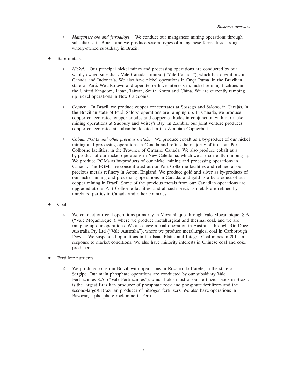- *Manganese ore and ferroalloys*. We conduct our manganese mining operations through subsidiaries in Brazil, and we produce several types of manganese ferroalloys through a wholly-owned subsidiary in Brazil.
- Base metals:
	- *Nickel*. Our principal nickel mines and processing operations are conducted by our wholly-owned subsidiary Vale Canada Limited (''Vale Canada''), which has operations in Canada and Indonesia. We also have nickel operations in Onça Puma, in the Brazilian state of Pará. We also own and operate, or have interests in, nickel refining facilities in the United Kingdom, Japan, Taiwan, South Korea and China. We are currently ramping up nickel operations in New Caledonia.
	- *Copper*. In Brazil, we produce copper concentrates at Sossego and Salobo, in Carajas, in ´ the Brazilian state of Para. Salobo operations are ramping up. In Canada, we produce ´ copper concentrates, copper anodes and copper cathodes in conjunction with our nickel mining operations at Sudbury and Voisey's Bay. In Zambia, our joint venture produces copper concentrates at Lubambe, located in the Zambian Copperbelt.
	- *Cobalt, PGMs and other precious metals*. We produce cobalt as a by-product of our nickel mining and processing operations in Canada and refine the majority of it at our Port Colborne facilities, in the Province of Ontario, Canada. We also produce cobalt as a by-product of our nickel operations in New Caledonia, which we are currently ramping up. We produce PGMs as by-products of our nickel mining and processing operations in Canada. The PGMs are concentrated at our Port Colborne facilities and refined at our precious metals refinery in Acton, England. We produce gold and silver as by-products of our nickel mining and processing operations in Canada, and gold as a by-product of our copper mining in Brazil. Some of the precious metals from our Canadian operations are upgraded at our Port Colborne facilities, and all such precious metals are refined by unrelated parties in Canada and other countries.
- Coal:
	- $\circ$  We conduct our coal operations primarily in Mozambique through Vale Moçambique, S.A. ("Vale Moçambique"), where we produce metallurgical and thermal coal, and we are ramping up our operations. We also have a coal operation in Australia through Rio Doce Australia Pty Ltd (''Vale Australia''), where we produce metallurgical coal in Carborough Downs. We suspended operations in the Isaac Plains and Integra Coal mines in 2014 in response to market conditions. We also have minority interests in Chinese coal and coke producers.
- Fertilizer nutrients:
	- We produce potash in Brazil, with operations in Rosario do Catete, in the state of Sergipe. Our main phosphate operations are conducted by our subsidiary Vale Fertilizantes S.A. ("Vale Fertilizantes"), which holds most of our fertilizer assets in Brazil, is the largest Brazilian producer of phosphate rock and phosphate fertilizers and the second-largest Brazilian producer of nitrogen fertilizers. We also have operations in Bayóvar, a phosphate rock mine in Peru.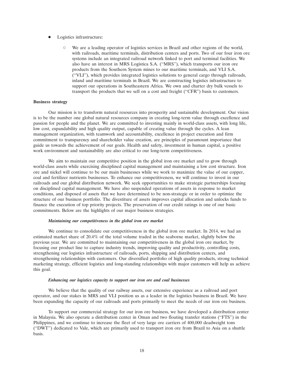- Logistics infrastructure:
	- We are a leading operator of logistics services in Brazil and other regions of the world, with railroads, maritime terminals, distribution centers and ports. Two of our four iron ore systems include an integrated railroad network linked to port and terminal facilities. We also have an interest in MRS Logística S.A. ("MRS"), which transports our iron ore products from the Southern System mines to our maritime terminals, and VLI S.A. (''VLI''), which provides integrated logistics solutions to general cargo through railroads, inland and maritime terminals in Brazil. We are constructing logistics infrastructure to support our operations in Southeastern Africa. We own and charter dry bulk vessels to transport the products that we sell on a cost and freight (''CFR'') basis to customers.

#### **Business strategy**

Our mission is to transform natural resources into prosperity and sustainable development. Our vision is to be the number one global natural resources company in creating long-term value through excellence and passion for people and the planet. We are committed to investing mainly in world-class assets, with long life, low cost, expandability and high quality output, capable of creating value through the cycles. A lean management organization, with teamwork and accountability, excellence in project execution and firm commitment to transparency and shareholder value creation, are principles of paramount importance that guide us towards the achievement of our goals. Health and safety, investment in human capital, a positive work environment and sustainability are also critical to our long-term competitiveness.

We aim to maintain our competitive position in the global iron ore market and to grow through world-class assets while exercising disciplined capital management and maintaining a low cost structure. Iron ore and nickel will continue to be our main businesses while we work to maximize the value of our copper, coal and fertilizer nutrients businesses. To enhance our competitiveness, we will continue to invest in our railroads and our global distribution network. We seek opportunities to make strategic partnerships focusing on disciplined capital management. We have also suspended operations of assets in response to market conditions, and disposed of assets that we have determined to be non-strategic or in order to optimize the structure of our business portfolio. The divestiture of assets improves capital allocation and unlocks funds to finance the execution of top priority projects. The preservation of our credit ratings is one of our basic commitments. Below are the highlights of our major business strategies.

#### *Maintaining our competitiveness in the global iron ore market*

We continue to consolidate our competitiveness in the global iron ore market. In 2014, we had an estimated market share of 20.4% of the total volume traded in the seaborne market, slightly below the previous year. We are committed to maintaining our competitiveness in the global iron ore market, by focusing our product line to capture industry trends, improving quality and productivity, controlling costs, strengthening our logistics infrastructure of railroads, ports, shipping and distribution centers, and strengthening relationships with customers. Our diversified portfolio of high quality products, strong technical marketing strategy, efficient logistics and long-standing relationships with major customers will help us achieve this goal.

#### *Enhancing our logistics capacity to support our iron ore and coal businesses*

We believe that the quality of our railway assets, our extensive experience as a railroad and port operator, and our stakes in MRS and VLI position us as a leader in the logistics business in Brazil. We have been expanding the capacity of our railroads and ports primarily to meet the needs of our iron ore business.

To support our commercial strategy for our iron ore business, we have developed a distribution center in Malaysia. We also operate a distribution center in Oman and two floating transfer stations (''FTS'') in the Philippines, and we continue to increase the fleet of very large ore carriers of 400,000 deadweight tons (''DWT'') dedicated to Vale, which are primarily used to transport iron ore from Brazil to Asia on a shuttle basis.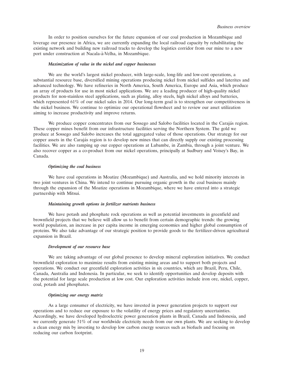In order to position ourselves for the future expansion of our coal production in Mozambique and leverage our presence in Africa, we are currently expanding the local railroad capacity by rehabilitating the existing network and building new railroad tracks to develop the logistics corridor from our mine to a new port under construction at Nacala-à-Velha, in Mozambique.

#### *Maximization of value in the nickel and copper businesses*

We are the world's largest nickel producer, with large-scale, long-life and low-cost operations, a substantial resource base, diversified mining operations producing nickel from nickel sulfides and laterites and advanced technology. We have refineries in North America, South America, Europe and Asia, which produce an array of products for use in most nickel applications. We are a leading producer of high-quality nickel products for non-stainless steel applications, such as plating, alloy steels, high nickel alloys and batteries, which represented 61% of our nickel sales in 2014. Our long-term goal is to strengthen our competitiveness in the nickel business. We continue to optimize our operational flowsheet and to review our asset utilization aiming to increase productivity and improve returns.

We produce copper concentrates from our Sossego and Salobo facilities located in the Carajás region. These copper mines benefit from our infrastructure facilities serving the Northern System. The gold we produce at Sossego and Salobo increases the total aggregated value of those operations. Our strategy for our copper assets in the Carajás region is to develop new mines that can directly supply our existing processing facilities. We are also ramping up our copper operations at Lubambe, in Zambia, through a joint venture. We also recover copper as a co-product from our nickel operations, principally at Sudbury and Voisey's Bay, in Canada.

#### *Optimizing the coal business*

We have coal operations in Moatize (Mozambique) and Australia, and we hold minority interests in two joint ventures in China. We intend to continue pursuing organic growth in the coal business mainly through the expansion of the Moatize operations in Mozambique, where we have entered into a strategic partnership with Mitsui.

#### *Maintaining growth options in fertilizer nutrients business*

We have potash and phosphate rock operations as well as potential investments in greenfield and brownfield projects that we believe will allow us to benefit from certain demographic trends: the growing world population, an increase in per capita income in emerging economies and higher global consumption of proteins. We also take advantage of our strategic position to provide goods to the fertilizer-driven agricultural expansion in Brazil.

#### *Development of our resource base*

We are taking advantage of our global presence to develop mineral exploration initiatives. We conduct brownfield exploration to maximize results from existing mining areas and to support both projects and operations. We conduct our greenfield exploration activities in six countries, which are Brazil, Peru, Chile, Canada, Australia and Indonesia. In particular, we seek to identify opportunities and develop deposits with the potential for large scale production at low cost. Our exploration activities include iron ore, nickel, copper, coal, potash and phosphates.

#### *Optimizing our energy matrix*

As a large consumer of electricity, we have invested in power generation projects to support our operations and to reduce our exposure to the volatility of energy prices and regulatory uncertainties. Accordingly, we have developed hydroelectric power generation plants in Brazil, Canada and Indonesia, and we currently generate 51% of our worldwide electricity needs from our own plants. We are seeking to develop a clean energy mix by investing to develop low carbon energy sources such as biofuels and focusing on reducing our carbon footprint.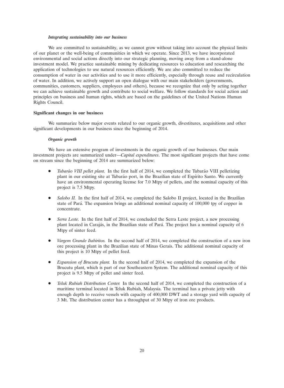#### *Integrating sustainability into our business*

We are committed to sustainability, as we cannot grow without taking into account the physical limits of our planet or the well-being of communities in which we operate. Since 2013, we have incorporated environmental and social actions directly into our strategic planning, moving away from a stand-alone investment model. We practice sustainable mining by dedicating resources to education and researching the application of technologies to use natural resources efficiently. We are also committed to reduce the consumption of water in our activities and to use it more efficiently, especially through reuse and recirculation of water. In addition, we actively support an open dialogue with our main stakeholders (governments, communities, customers, suppliers, employees and others), because we recognize that only by acting together we can achieve sustainable growth and contribute to social welfare. We follow standards for social action and principles on business and human rights, which are based on the guidelines of the United Nations Human Rights Council.

#### **Significant changes in our business**

We summarize below major events related to our organic growth, divestitures, acquisitions and other significant developments in our business since the beginning of 2014.

#### *Organic growth*

We have an extensive program of investments in the organic growth of our businesses. Our main investment projects are summarized under—*Capital expenditures*. The most significant projects that have come on stream since the beginning of 2014 are summarized below:

- *Tubarão VIII pellet plant.* In the first half of 2014, we completed the Tubarão VIII pelletizing plant in our existing site at Tubarão port, in the Brazilian state of Espírito Santo. We currently have an environmental operating license for 7.0 Mtpy of pellets, and the nominal capacity of this project is 7.5 Mtpy.
- *Salobo II.* In the first half of 2014, we completed the Salobo II project, located in the Brazilian state of Pará. The expansion brings an additional nominal capacity of 100,000 tpy of copper in concentrate.
- *Serra Leste.* In the first half of 2014, we concluded the Serra Leste project, a new processing plant located in Carajás, in the Brazilian state of Pará. The project has a nominal capacity of 6 Mtpy of sinter feed.
- *Vargem Grande Itabiritos.* In the second half of 2014, we completed the construction of a new iron ore processing plant in the Brazilian state of Minas Gerais. The additional nominal capacity of this project is 10 Mtpy of pellet feed.
- *Expansion of Brucutu plant.* In the second half of 2014, we completed the expansion of the Brucutu plant, which is part of our Southeastern System. The additional nominal capacity of this project is 9.5 Mtpy of pellet and sinter feed.
- *Teluk Rubiah Distribution Center.* In the second half of 2014, we completed the construction of a maritime terminal located in Teluk Rubiah, Malaysia. The terminal has a private jetty with enough depth to receive vessels with capacity of 400,000 DWT and a storage yard with capacity of 3 Mt. The distribution center has a throughput of 30 Mtpy of iron ore products.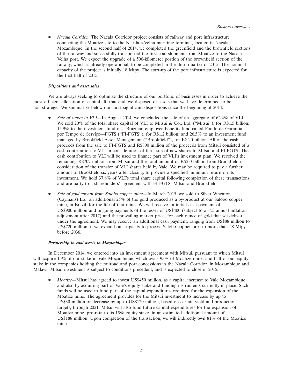• *Nacala Corridor.* The Nacala Corridor project consists of railway and port infrastructure connecting the Moatize site to the Nacala-à-Velha maritime terminal, located in Nacala, Mozambique. In the second half of 2014, we completed the greenfield and the brownfield sections of the railway and successfully transported the first coal shipment from Moatize to the Nacala a `Velha port. We expect the upgrade of a 500-kilometer portion of the brownfield section of the railway, which is already operational, to be completed in the third quarter of 2015. The nominal capacity of the project is initially 18 Mtpy. The start-up of the port infrastructure is expected for the first half of 2015.

#### *Dispositions and asset sales*

We are always seeking to optimize the structure of our portfolio of businesses in order to achieve the most efficient allocation of capital. To that end, we disposed of assets that we have determined to be non-strategic. We summarize below our most significant dispositions since the beginning of 2014.

- *Sale of stakes in VLI—*In August 2014, we concluded the sale of an aggregate of 62.4% of VLI. We sold 20% of the total share capital of VLI to Mitsui & Co., Ltd. ("Mitsui"), for R\$1.5 billion; 15.9% to the investment fund of a Brazilian employee benefits fund called Fundo de Garantia por Tempo de Serviço—FGTS ("FI-FGTS"), for R\$1.2 billion; and 26.5% to an investment fund managed by Brookfield Asset Management (''Brookfield''), for R\$2.0 billion. All of the cash proceeds from the sale to FI-FGTS and R\$800 million of the proceeds from Mitsui consisted of a cash contribution to VLI in consideration of the issue of new shares to Mitsui and FI-FGTS. The cash contribution to VLI will be used to finance part of VLI's investment plan. We received the remaining R\$709 million from Mitsui and the total amount of R\$2.0 billion from Brookfield in consideration of the transfer of VLI shares held by Vale. We may be required to pay a further amount to Brookfield six years after closing, to provide a specified minimum return on its investment. We hold 37.6% of VLI's total share capital following completion of these transactions and are party to a shareholders' agreement with FI-FGTS, Mitsui and Brookfield.
- *Sale of gold stream from Salobo copper mine—*In March 2015, we sold to Silver Wheaton (Caymans) Ltd. an additional 25% of the gold produced as a by-product at our Salobo copper mine, in Brazil, for the life of that mine. We will receive an initial cash payment of US\$900 million and ongoing payments of the lesser of US\$400 (subject to a 1% annual inflation adjustment after 2017) and the prevailing market price, for each ounce of gold that we deliver under the agreement. We may receive an additional cash payment, ranging from US\$88 million to US\$720 million, if we expand our capacity to process Salobo copper ores to more than 28 Mtpy before 2036.

#### *Partnership in coal assets in Mozambique*

In December 2014, we entered into an investment agreement with Mitsui, pursuant to which Mitsui will acquire 15% of our stake in Vale Moçambique, which owns  $95%$  of Moatize mine, and half of our equity stake in the companies holding the railroad and port concessions in the Nacala Corridor, in Mozambique and Malawi. Mitsui investment is subject to conditions precedent, and is expected to close in 2015.

*Moatize*—Mitsui has agreed to invest US\$450 million, as a capital increase to Vale Moçambique and also by acquiring part of Vale's equity stake and funding instruments currently in place. Such funds will be used to fund part of the capital expenditures required for the expansion of the Moatize mine. The agreement provides for the Mitsui investment to increase by up to US\$30 million or decrease by up to US\$120 million, based on certain yield and production targets, through 2021. Mitsui will also fund future capital expenditures for the expansion of Moatize mine, pro-rata to its 15% equity stake, in an estimated additional amount of US\$188 million. Upon completion of the transaction, we will indirectly own 81% of the Moatize mine.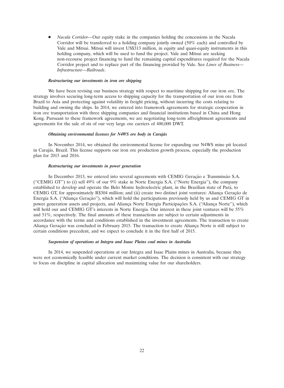*Nacala Corridor—*Our equity stake in the companies holding the concessions in the Nacala Corridor will be transferred to a holding company jointly owned (50% each) and controlled by Vale and Mitsui. Mitsui will invest US\$313 million, in equity and quasi-equity instruments in this holding company, which will be used to fund the project. Vale and Mitsui are seeking non-recourse project financing to fund the remaining capital expenditures required for the Nacala Corridor project and to replace part of the financing provided by Vale. See *Lines of Business— Infrastructure—Railroads*.

#### *Restructuring our investments in iron ore shipping*

We have been revising our business strategy with respect to maritime shipping for our iron ore. The strategy involves securing long-term access to shipping capacity for the transportation of our iron ore from Brazil to Asia and protecting against volatility in freight pricing, without incurring the costs relating to building and owning the ships. In 2014, we entered into framework agreements for strategic cooperation in iron ore transportation with three shipping companies and financial institutions based in China and Hong Kong. Pursuant to these framework agreements, we are negotiating long-term affreightment agreements and agreements for the sale of six of our very large ore carriers of 400,000 DWT.

#### *Obtaining environmental licenses for N4WS ore body in Caraj´as*

In November 2014, we obtained the environmental license for expanding our N4WS mine pit located in Carajás, Brazil. This license supports our iron ore production growth process, especially the production plan for 2015 and 2016.

#### *Restructuring our investments in power generation*

In December 2013, we entered into several agreements with CEMIG Geração e Transmissão S.A. (''CEMIG GT'') to (i) sell 49% of our 9% stake in Norte Energia S.A. (''Norte Energia''), the company established to develop and operate the Belo Monte hydroelectric plant, in the Brazilian state of Para, to ´ CEMIG GT, for approximately R\$304 million; and (ii) create two distinct joint ventures: Aliança Geração de Energia S.A. (''Aliança Geração''), which will hold the participations previously held by us and CEMIG GT in power generation assets and projects, and Aliança Norte Energia Participações S.A. ('Aliança Norte''), which will hold our and CEMIG GT's interests in Norte Energia. Our interest in these joint ventures will be 55% and 51%, respectively. The final amounts of these transactions are subject to certain adjustments in accordance with the terms and conditions established in the investment agreements. The transaction to create Aliança Geração was concluded in February 2015. The transaction to create Aliança Norte is still subject to certain conditions precedent, and we expect to conclude it in the first half of 2015.

#### *Suspension of operations at Integra and Isaac Plains coal mines in Australia*

In 2014, we suspended operations at our Integra and Isaac Plains mines in Australia, because they were not economically feasible under current market conditions. The decision is consistent with our strategy to focus on discipline in capital allocation and maximizing value for our shareholders.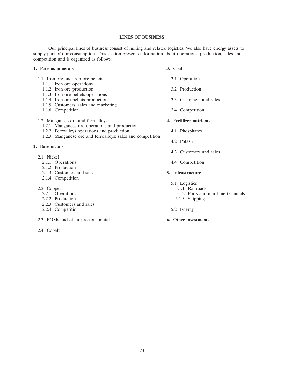#### **LINES OF BUSINESS**

Our principal lines of business consist of mining and related logistics. We also have energy assets to supply part of our consumption. This section presents information about operations, production, sales and competition and is organized as follows.

### **1. Ferrous minerals 3. Coal**

- 1.1 Iron ore and iron ore pellets 3.1 Operations
	- 1.1.1 Iron ore operations
	- 1.1.2 Iron ore production 3.2 Production
	- 1.1.3 Iron ore pellets operations
	- 1.1.4 Iron ore pellets production 3.3 Customers and sales
	- 1.1.5 Customers, sales and marketing
	-

# 1.2 Manganese ore and ferroalloys **4. Fertilizer nutrients**

- 1.2.1 Manganese ore operations and production
- 1.2.2 Ferroalloys operations and production 4.1 Phosphates
- 1.2.3 Manganese ore and ferroalloys: sales and competition

# **2. Base metals**

- 2.1 Nickel
	- 2.1.1 Operations 4.4 Competition
	- 2.1.2 Production
	- 2.1.3 Customers and sales **5. Infrastructure**
	- 2.1.4 Competition

- 2.2 Copper 5.1.1 Railroads<br>2.2.1 Operations 5.1.2 Ports and
	- $2.2.2$  Production
	- 2.2.3 Customers and sales
	- 2.2.4 Competition 5.2 Energy
- 2.3 PGMs and other precious metals **6. Other investments**
- 2.4 Cobalt
- -
	-
	-
- 1.1.6 Competition 3.4 Competition

- 
- 4.2 Potash
- 4.3 Customers and sales
- 

- 5.1 Logistics
	-
	- $5.1.2$  Ports and maritime terminals  $5.1.3$  Shipping
	-
-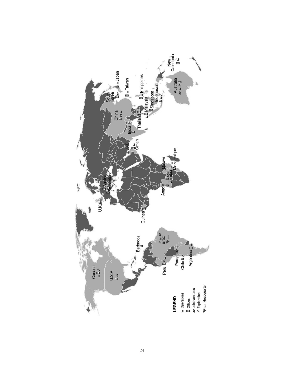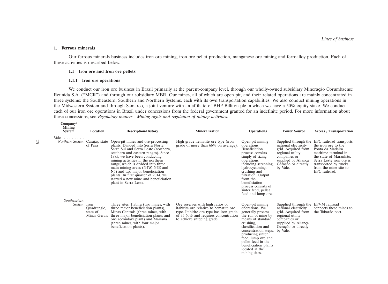#### **1. Ferrous minerals**

Our ferrous minerals business includes iron ore mining, iron ore pellet production, manganese ore mining and ferroalloy production. Each of these activities is described below.

#### **1.1 Iron ore and Iron ore pellets**

#### **1.1.1 Iron ore operations**

We conduct our iron ore business in Brazil primarily at the parent-company level, through our wholly-owned subsidiary Mineração Corumbaense Reunida S.A. (''MCR'') and through our subsidiary MBR. Our mines, all of which are open pit, and their related operations are mainly concentrated in three systems: the Southeastern, Southern and Northern Systems, each with its own transportation capabilities. We also conduct mining operations in the Midwestern System and through Samarco, a joint venture with an affiliate of BHP Billiton plc in which we have a 50% equity stake. We conduct each of our iron ore operations in Brazil under concessions from the federal government granted for an indefinite period. For more information about these concessions, see *Regulatory matters*—*Mining rights and regulation of mining activities*.

| Company/<br><b>Mining</b><br><b>System</b> | Location                | <b>Description/History</b>                                                                                                                                                                                                                                                                                                                                                                                                                                    | <b>Mineralization</b>                                                                                                                                                                                  | <b>Operations</b>                                                                                                                                                                                                                                                                        | <b>Power Source</b>                                                                                                                                                             | <b>Access / Transportation</b>                                                                                                                                                                                     |
|--------------------------------------------|-------------------------|---------------------------------------------------------------------------------------------------------------------------------------------------------------------------------------------------------------------------------------------------------------------------------------------------------------------------------------------------------------------------------------------------------------------------------------------------------------|--------------------------------------------------------------------------------------------------------------------------------------------------------------------------------------------------------|------------------------------------------------------------------------------------------------------------------------------------------------------------------------------------------------------------------------------------------------------------------------------------------|---------------------------------------------------------------------------------------------------------------------------------------------------------------------------------|--------------------------------------------------------------------------------------------------------------------------------------------------------------------------------------------------------------------|
| Vale<br>Northern System Carajás, state     | of Pará                 | Open-pit mines and ore-processing<br>plants. Divided into Serra Norte,<br>Serra Sul and Serra Leste (northern,<br>southern and eastern ranges). Since<br>1985, we have been conducting<br>mining activities in the northern<br>range, which is divided into three<br>main mining areas (N4W, N4E and<br>N <sub>5</sub> ) and two major beneficiation<br>plants. In first quarter of 2014, we<br>started a new mine and beneficiation<br>plant in Serra Leste. | High grade hematite ore type (iron<br>grade of more than 66% on average).                                                                                                                              | Open-pit mining<br>operations.<br>Beneficiation<br>process consists<br>simply of sizing<br>operations,<br>including screening,<br>hydrocycloning,<br>crushing and<br>filtration. Output<br>from the<br>beneficiation<br>process consists of<br>sinter feed, pellet<br>feed and lump ore. | Supplied through the<br>national electricity<br>grid. Acquired from<br>regional utility<br>companies or<br>supplied by Alianca<br>Geração or directly<br>by Vale.               | EFC railroad transports<br>the iron ore to the<br>Ponta da Madeira<br>maritime terminal in<br>the state of Maranhão.<br>Serra Leste iron ore is<br>transported by trucks<br>from the mine site to<br>EFC railroad. |
| Southeastern<br><i>System</i> Iron         | Quadrangle,<br>state of | Three sites: Itabira (two mines, with<br>three major beneficiation plants),<br>Minas Centrais (three mines, with<br>Minas Gerais three major beneficiation plants and<br>one secondary plant) and Mariana<br>(three mines, with four major<br>beneficiation plants).                                                                                                                                                                                          | Ore reserves with high ratios of<br>itabirite ore relative to hematite ore<br>type. Itabirite ore type has iron grade<br>of $35{\text -}60\%$ and requires concentration<br>to achieve shipping grade. | Open-pit mining<br>operations. We<br>generally process<br>the run-of-mine by<br>means of standard<br>crushing,<br>classification and<br>concentration steps,<br>producing sinter<br>feed, lump ore and<br>pellet feed in the<br>beneficiation plants<br>located at the<br>mining sites.  | Supplied through the EFVM railroad<br>national electricity<br>grid. Acquired from<br>regional utility<br>companies or<br>supplied by Aliança<br>Geração or directly<br>by Vale. | connects these mines to<br>the Tubarão port.                                                                                                                                                                       |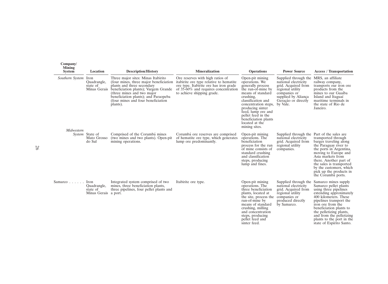| Company/<br><b>Mining</b><br><b>System</b> | Location                                                | <b>Description/History</b>                                                                                                                                                                                                                                                 | <b>Mineralization</b>                                                                                                                                                                          | <b>Operations</b>                                                                                                                                                                                                                                                                       | <b>Power Source</b>                                                                                                                                               | <b>Access</b> / Transportation                                                                                                                                                                                                                                                                                        |
|--------------------------------------------|---------------------------------------------------------|----------------------------------------------------------------------------------------------------------------------------------------------------------------------------------------------------------------------------------------------------------------------------|------------------------------------------------------------------------------------------------------------------------------------------------------------------------------------------------|-----------------------------------------------------------------------------------------------------------------------------------------------------------------------------------------------------------------------------------------------------------------------------------------|-------------------------------------------------------------------------------------------------------------------------------------------------------------------|-----------------------------------------------------------------------------------------------------------------------------------------------------------------------------------------------------------------------------------------------------------------------------------------------------------------------|
| Southern System Iron<br>Midwestern         | Quadrangle,<br>state of<br>Minas Gerais                 | Three major sites: Minas Itabirito<br>(four mines, three major beneficiation<br>plants and three secondary<br>beneficiation plants); Vargem Grande<br>(three mines and two major<br>beneficiation plants); and Paraopeba<br>(four mines and four beneficiation<br>plants). | Ore reserves with high ratios of<br>itabirite ore type relative to hematite<br>ore type. Itabirite ore has iron grade<br>of $35-60\%$ and requires concentration<br>to achieve shipping grade. | Open-pit mining<br>operations. We<br>generally process<br>the run-of-mine by<br>means of standard<br>crushing,<br>classification and<br>concentration steps,<br>producing sinter<br>feed, lump ore and<br>pellet feed in the<br>beneficiation plants<br>located at the<br>mining sites. | Supplied through the<br>national electricity<br>grid. Acquired from<br>regional utility<br>companies or<br>supplied by Aliança<br>Geração or directly<br>by Vale. | MRS, an affiliate<br>railway company,<br>transports our iron ore<br>products from the<br>mines to our Guaíba<br>Island and Itaguaí<br>maritime terminals in<br>the state of Rio de<br>Janeiro.                                                                                                                        |
|                                            | System State of<br>Mato Grosso<br>do Sul                | Comprised of the Corumbá mines<br>(two mines and two plants). Open-pit<br>mining operations.                                                                                                                                                                               | Corumbá ore reserves are comprised<br>of hematite ore type, which generates<br>lump ore predominantly.                                                                                         | Open-pit mining<br>operations. The<br>beneficiation<br>process for the run<br>of mine consists of<br>standard crushing<br>and classification<br>steps, producing<br>lump and fines.                                                                                                     | Supplied through the Part of the sales are<br>national electricity<br>grid. Acquired from<br>regional utility<br>companies.                                       | transported through<br>barges traveling along<br>the Paraguay river to<br>the ports in Argentina,<br>moving to Europe and<br>Asia markets from<br>there. Another part of<br>the sales is transported<br>by the customers, which<br>pick up the products in<br>the Corumba ports.                                      |
| Samarco $\ldots$                           | Iron<br>Quadrangle,<br>state of<br>Minas Gerais a port. | Integrated system comprised of two<br>mines, three beneficiation plants,<br>three pipelines, four pellet plants and                                                                                                                                                        | Itabirite ore type.                                                                                                                                                                            | Open-pit mining<br>operations. The<br>three beneficiation<br>plants, located at<br>the site, process the<br>run-of-mine by<br>means of standard<br>crushing, milling<br>and concentration<br>steps, producing<br>pellet feed and<br>sinter feed.                                        | Supplied through the<br>national electricity<br>grid. Acquired from<br>regional utility<br>companies or<br>produced directly<br>by Samarco.                       | Samarco mines supply<br>Samarco pellet plants<br>using three pipelines<br>extending approximately<br>400 kilometers. These<br>pipelines transport the<br>iron ore from the<br>beneficiation plants to<br>the pelletizing plants,<br>and from the pelletizing<br>plants to the port in the<br>state of Espírito Santo. |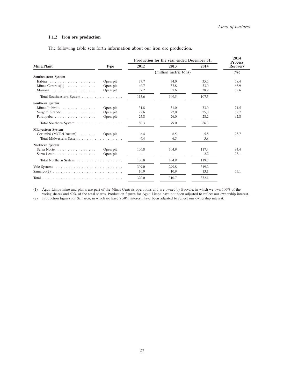#### **1.1.2 Iron ore production**

The following table sets forth information about our iron ore production.

|                               |             | Production for the year ended December 31, | 2014<br><b>Process</b> |       |                 |
|-------------------------------|-------------|--------------------------------------------|------------------------|-------|-----------------|
| <b>Mine/Plant</b>             | <b>Type</b> | 2012                                       | 2013                   | 2014  | <b>Recovery</b> |
|                               |             | (million metric tons)                      |                        |       | $(\%)$          |
| <b>Southeastern System</b>    |             |                                            |                        |       |                 |
| Itabira                       | Open pit    | 37.7                                       | 34.0                   | 35.5  | 58.4            |
| Minas Centrais $(1)$          | Open pit    | 40.7                                       | 37.8                   | 33.0  | 68.9            |
| Mariana                       | Open pit    | 37.2                                       | 37.6                   | 38.9  | 82.6            |
| Total Southeastern System     |             | 115.6                                      | 109.5                  | 107.5 |                 |
| <b>Southern System</b>        |             |                                            |                        |       |                 |
| Minas Itabirito               | Open pit    | 31.8                                       | 31.0                   | 33.0  | 71.5            |
| Vargem Grande                 | Open pit    | 22,6                                       | 22,0                   | 25,0  | 82.7            |
| Paraopeba                     | Open pit    | 25.8                                       | 26.0                   | 28.2  | 92.8            |
| Total Southern System         |             | 80.3                                       | 79.0                   | 86.3  |                 |
| <b>Midwestern System</b>      |             |                                            |                        |       |                 |
| Corumbá (MCR/Urucum) Open pit |             | 6.4                                        | 6.5                    | 5.8   | 73.7            |
| Total Midwestern System       |             | 6.4                                        | 6.5                    | 5.8   |                 |
| <b>Northern System</b>        |             |                                            |                        |       |                 |
| Serra Norte                   | Open pit    | 106.8                                      | 104.9                  | 117.4 | 94.4            |
| Serra Leste                   | Open pit    |                                            |                        | 2.2   | 98.1            |
| Total Northern System         |             | 106.8                                      | 104.9                  | 119.7 |                 |
|                               |             | 309.0                                      | 299.8                  | 319.2 |                 |
| $Samarco(2)$                  |             | 10.9                                       | 10.9                   | 13.1  | 55.1            |
|                               |             | 320.0                                      | 310.7                  | 332.4 |                 |

(1) Agua Limpa mine and plants are part of the Minas Centrais operations and are owned by Baovale, in which we own 100% of the ´ voting shares and 50% of the total shares. Production figures for Agua Limpa have not been adjusted to reflect our ownership interest. ´

(2) Production figures for Samarco, in which we have a 50% interest, have been adjusted to reflect our ownership interest.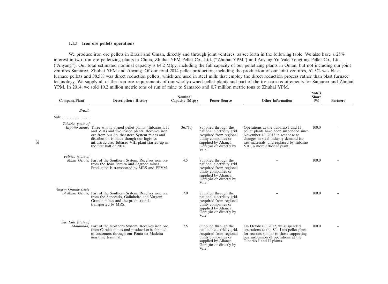#### **1.1.3 Iron ore pellets operations**

We produce iron ore pellets in Brazil and Oman, directly and through joint ventures, as set forth in the following table. We also have a 25% interest in two iron ore pelletizing plants in China, Zhuhai YPM Pellet Co., Ltd. (''Zhuhai YPM'') and Anyang Yu Vale Yongtong Pellet Co., Ltd. (''Anyang''). Our total estimated nominal capacity is 64.2 Mtpy, including the full capacity of our pelletizing plants in Oman, but not including our joint ventures Samarco, Zhuhai YPM and Anyang. Of our total 2014 pellet production, including the production of our joint ventures, 61.5% was blast furnace pellets and 38.5% was direct reduction pellets, which are used in steel mills that employ the direct reduction process rather than blast furnace technology. We supply all of the iron ore requirements of our wholly-owned pellet plants and part of the iron ore requirements for Samarco and Zhuhai YPM. In 2014, we sold 10.2 million metric tons of run of mine to Samarco and 0.7 million metric tons to Zhuhai YPM.

| Company/Plant        | <b>Description / History</b>                                                                                                                                                                                                                                                                         | <b>Nominal</b><br>Capacity (Mtpy) | <b>Power Source</b>                                                                                                                                            | <b>Other Information</b>                                                                                                                                                                                                             | Vale's<br><b>Share</b><br>$(\%)$ | <b>Partners</b> |
|----------------------|------------------------------------------------------------------------------------------------------------------------------------------------------------------------------------------------------------------------------------------------------------------------------------------------------|-----------------------------------|----------------------------------------------------------------------------------------------------------------------------------------------------------------|--------------------------------------------------------------------------------------------------------------------------------------------------------------------------------------------------------------------------------------|----------------------------------|-----------------|
| <b>Brazil:</b>       |                                                                                                                                                                                                                                                                                                      |                                   |                                                                                                                                                                |                                                                                                                                                                                                                                      |                                  |                 |
| Vale                 |                                                                                                                                                                                                                                                                                                      |                                   |                                                                                                                                                                |                                                                                                                                                                                                                                      |                                  |                 |
| Tubarão (state of    | <i>Espírito Santo</i> ) Three wholly owned pellet plants (Tubarão I, II<br>and VIII) and five leased plants. Receives iron<br>ore from our Southeastern System mines and<br>distribution is made though our logistics<br>infrastructure. Tubarão VIII plant started up in<br>the first half of 2014. | 36.7(1)                           | Supplied through the<br>national electricity grid.<br>Acquired from regional<br>utility companies or<br>supplied by Aliança<br>Geração or directly by<br>Vale. | Operations at the Tubarão I and II<br>pellet plants have been suspended since<br>November 13, 2012 in response to<br>changes in steel industry demand for<br>raw materials, and replaced by Tubarão<br>VIII, a more efficient plant. | 100.0                            |                 |
| Fábrica (state of    | Minas Gerais) Part of the Southern System. Receives iron ore<br>from the João Pereira and Segredo mines.<br>Production is transported by MRS and EFVM.                                                                                                                                               | 4.5                               | Supplied through the<br>national electricity grid.<br>Acquired from regional<br>utility companies or<br>supplied by Aliança<br>Geração or directly by<br>Vale. |                                                                                                                                                                                                                                      | 100.0                            |                 |
| Vargem Grande (state | of Minas Gerais) Part of the Southern System. Receives iron ore<br>from the Sapecado, Galinheiro and Vargem<br>Grande mines and the production is<br>transported by MRS.                                                                                                                             | 7.0                               | Supplied through the<br>national electricity grid.<br>Acquired from regional<br>utility companies or<br>supplied by Aliança<br>Geração or directly by<br>Vale. |                                                                                                                                                                                                                                      | 100.0                            |                 |
| São Luís (state of   | Maranhão) Part of the Northern System. Receives iron ore<br>from Carajás mines and production is shipped<br>to customers through our Ponta da Madeira<br>maritime terminal.                                                                                                                          | 7.5                               | Supplied through the<br>national electricity grid.<br>Acquired from regional<br>utility companies or<br>supplied by Aliança<br>Geração or directly by<br>Vale. | On October 8, 2012, we suspended<br>operations at the São Luís pellet plant<br>for reasons similar to those supporting<br>our suspension of operations at the<br>Tubarão I and II plants.                                            | 100.0                            |                 |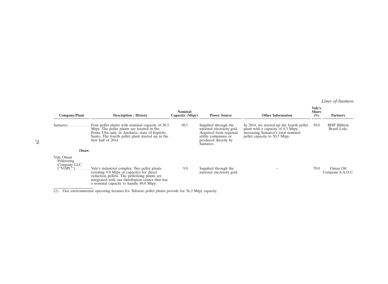# *Lines of business*

| Company/Plant                                        | <b>Description / History</b>                                                                                                                                                                                                               | <b>Nominal</b><br>Capacity (Mtpy) | <b>Power Source</b>                                                                                                                      | <b>Other Information</b>                                                                                                                              | Vale's<br><b>Share</b><br>$(\%)$ | <b>Partners</b>                     |
|------------------------------------------------------|--------------------------------------------------------------------------------------------------------------------------------------------------------------------------------------------------------------------------------------------|-----------------------------------|------------------------------------------------------------------------------------------------------------------------------------------|-------------------------------------------------------------------------------------------------------------------------------------------------------|----------------------------------|-------------------------------------|
|                                                      | Samarco Four pellet plants with nominal capacity of $30.5$<br>Mtpy. The pellet plants are located in the<br>Ponta Ubu unit, in Anchieta, state of Espírito<br>Santo. The fourth pellet plant started up in the<br>first half of 2014.      | 30.5                              | Supplied through the<br>national electricity grid.<br>Acquired from regional<br>utility companies or<br>produced directly by<br>Samarco. | In 2014, we started up the fourth pellet<br>plant with a capacity of 8.3 Mtpy,<br>increasing Samarco's total nominal<br>pellet capacity to 30.5 Mtpy. | 50.0                             | <b>BHP</b> Billiton<br>Brasil Ltda. |
| Oman:                                                |                                                                                                                                                                                                                                            |                                   |                                                                                                                                          |                                                                                                                                                       |                                  |                                     |
| Vale Oman<br>Pelletizing<br>Company LLC<br>(``VOPC") | Vale's industrial complex. Two pellet plants<br>(totaling 9.0 Mtpy of capacity) for direct<br>reduction pellets. The pelletizing plants are<br>integrated with our distribution center that has<br>a nominal capacity to handle 40.0 Mtpy. | 9.0                               | Supplied through the<br>national electricity grid.                                                                                       |                                                                                                                                                       | 70.0                             | Oman Oil<br>Company S.A.O.C.        |

 $\overline{(1)}$  Our environmental operating licenses for Tubarão pellet plants provide for 36.2 Mtpy capacity.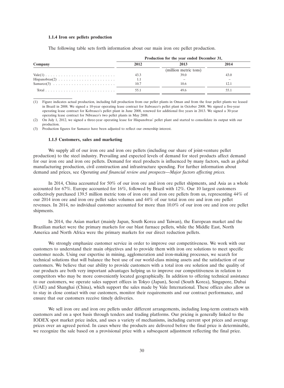#### **1.1.4 Iron ore pellets production**

The following table sets forth information about our main iron ore pellet production.

|         |      | Production for the year ended December 31, |      |
|---------|------|--------------------------------------------|------|
| Company | 2012 | 2013                                       | 2014 |
|         |      | (million metric tons)                      |      |
|         | 43.3 | 39.0                                       | 43.0 |
|         | 1.1  |                                            |      |
|         | 10.7 | 10.6                                       | 12.1 |
|         | 55.1 | 49.6                                       |      |

(1) Figure indicates actual production, including full production from our pellet plants in Oman and from the four pellet plants we leased in Brazil in 2008. We signed a 10-year operating lease contract for Itabrasco's pellet plant in October 2008. We signed a five-year operating lease contract for Kobrasco's pellet plant in June 2008, renewed for additional five years in 2013. We signed a 30-year operating lease contract for Nibrasco's two pellet plants in May 2008.

(2) On July 1, 2012, we signed a three-year operating lease for Hispanobras' pellet plant and started to consolidate its output with our production.

(3) Production figures for Samarco have been adjusted to reflect our ownership interest.

#### **1.1.5 Customers, sales and marketing**

We supply all of our iron ore and iron ore pellets (including our share of joint-venture pellet production) to the steel industry. Prevailing and expected levels of demand for steel products affect demand for our iron ore and iron ore pellets. Demand for steel products is influenced by many factors, such as global manufacturing production, civil construction and infrastructure spending. For further information about demand and prices, see *Operating and financial review and prospects—Major factors affecting prices.*

In 2014, China accounted for 50% of our iron ore and iron ore pellet shipments, and Asia as a whole accounted for 67%. Europe accounted for 16%, followed by Brazil with 12%. Our 10 largest customers collectively purchased 139.5 million metric tons of iron ore and iron ore pellets from us, representing 44% of our 2014 iron ore and iron ore pellet sales volumes and 44% of our total iron ore and iron ore pellet revenues. In 2014, no individual customer accounted for more than 10.0% of our iron ore and iron ore pellet shipments.

In 2014, the Asian market (mainly Japan, South Korea and Taiwan), the European market and the Brazilian market were the primary markets for our blast furnace pellets, while the Middle East, North America and North Africa were the primary markets for our direct reduction pellets.

We strongly emphasize customer service in order to improve our competitiveness. We work with our customers to understand their main objectives and to provide them with iron ore solutions to meet specific customer needs. Using our expertise in mining, agglomeration and iron-making processes, we search for technical solutions that will balance the best use of our world-class mining assets and the satisfaction of our customers. We believe that our ability to provide customers with a total iron ore solution and the quality of our products are both very important advantages helping us to improve our competitiveness in relation to competitors who may be more conveniently located geographically. In addition to offering technical assistance to our customers, we operate sales support offices in Tokyo (Japan), Seoul (South Korea), Singapore, Dubai (UAE) and Shanghai (China), which support the sales made by Vale International. These offices also allow us to stay in close contact with our customers, monitor their requirements and our contract performance, and ensure that our customers receive timely deliveries.

We sell iron ore and iron ore pellets under different arrangements, including long-term contracts with customers and on a spot basis through tenders and trading platforms. Our pricing is generally linked to the IODEX spot market price index, and uses a variety of mechanisms, including current spot prices and average prices over an agreed period. In cases where the products are delivered before the final price is determinable, we recognize the sale based on a provisional price with a subsequent adjustment reflecting the final price.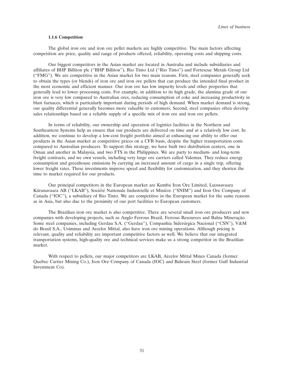#### **1.1.6 Competition**

The global iron ore and iron ore pellet markets are highly competitive. The main factors affecting competition are price, quality and range of products offered, reliability, operating costs and shipping costs.

Our biggest competitors in the Asian market are located in Australia and include subsidiaries and affiliates of BHP Billiton plc (''BHP Billiton''), Rio Tinto Ltd (''Rio Tinto'') and Fortescue Metals Group Ltd (''FMG''). We are competitive in the Asian market for two main reasons. First, steel companies generally seek to obtain the types (or blends) of iron ore and iron ore pellets that can produce the intended final product in the most economic and efficient manner. Our iron ore has low impurity levels and other properties that generally lead to lower processing costs. For example, in addition to its high grade, the alumina grade of our iron ore is very low compared to Australian ores, reducing consumption of coke and increasing productivity in blast furnaces, which is particularly important during periods of high demand. When market demand is strong, our quality differential generally becomes more valuable to customers. Second, steel companies often develop sales relationships based on a reliable supply of a specific mix of iron ore and iron ore pellets.

In terms of reliability, our ownership and operation of logistics facilities in the Northern and Southeastern Systems help us ensure that our products are delivered on time and at a relatively low cost. In addition, we continue to develop a low-cost freight portfolio aimed at enhancing our ability to offer our products in the Asian market at competitive prices on a CFR basis, despite the higher transportation costs compared to Australian producers. To support this strategy, we have built two distribution centers, one in Oman and another in Malaysia, and two FTS in the Philippines. We are party to medium- and long-term freight contracts, and we own vessels, including very large ore carriers called Valemax. They reduce energy consumption and greenhouse emissions by carrying an increased amount of cargo in a single trip, offering lower freight rates. These investments improve speed and flexibility for customization, and they shorten the time to market required for our products.

Our principal competitors in the European market are Kumba Iron Ore Limited, Luossavaara Kiirunavaara AB ("LKAB"), Société Nationale Industrielle et Minière ("SNIM") and Iron Ore Company of Canada (''IOC''), a subsidiary of Rio Tinto. We are competitive in the European market for the same reasons as in Asia, but also due to the proximity of our port facilities to European customers.

The Brazilian iron ore market is also competitive. There are several small iron ore producers and new companies with developing projects, such as Anglo Ferrous Brazil, Ferrous Resources and Bahia Mineração. Some steel companies, including Gerdau S.A. ("Gerdau"), Companhia Siderúrgica Nacional ("CSN"), V&M do Brasil S.A., Usiminas and Arcelor Mittal, also have iron ore mining operations. Although pricing is relevant, quality and reliability are important competitive factors as well. We believe that our integrated transportation systems, high-quality ore and technical services make us a strong competitor in the Brazilian market.

With respect to pellets, our major competitors are LKAB, Arcelor Mittal Mines Canada (former Quebec Cartier Mining Co.), Iron Ore Company of Canada (IOC) and Bahrain Steel (former Gulf Industrial Investment Co).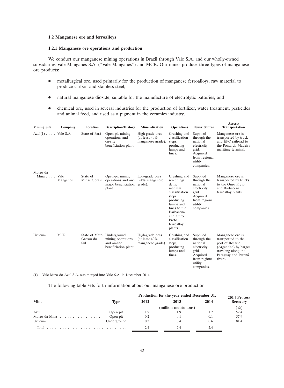## **1.2 Manganese ore and ferroalloys**

## **1.2.1 Manganese ore operations and production**

We conduct our manganese mining operations in Brazil through Vale S.A. and our wholly-owned subsidiaries Vale Manganês S.A. ("Vale Manganês") and MCR. Our mines produce three types of manganese ore products:

- metallurgical ore, used primarily for the production of manganese ferroalloys, raw material to produce carbon and stainless steel;
- natural manganese dioxide, suitable for the manufacture of electrolytic batteries; and
- chemical ore, used in several industries for the production of fertilizer, water treatment, pesticides and animal feed, and used as a pigment in the ceramics industry.

| <b>Mining Site</b>           | Company  | <b>Location</b>                   | <b>Description/History</b>                                              | <b>Mineralization</b>                                    | <b>Operations</b>                                                                                                                                              | <b>Power Source</b>                                                                                               | Access/<br><b>Transportation</b>                                                                                                            |
|------------------------------|----------|-----------------------------------|-------------------------------------------------------------------------|----------------------------------------------------------|----------------------------------------------------------------------------------------------------------------------------------------------------------------|-------------------------------------------------------------------------------------------------------------------|---------------------------------------------------------------------------------------------------------------------------------------------|
| $Azul(1) \ldots$ . Vale S.A. |          | State of Pará                     | Open-pit mining<br>operations and<br>on-site<br>beneficiation plant.    | High-grade ores<br>(at least $40\%$<br>manganese grade). | Crushing and<br>classification<br>steps,<br>producing<br>lumps and<br>fines.                                                                                   | Supplied<br>through the<br>national<br>electricity<br>grid.<br>Acquired<br>from regional<br>utility<br>companies. | Manganese ore is<br>transported by truck<br>and EFC railroad to<br>the Ponta da Madeira<br>maritime terminal.                               |
| Morro da<br>Mina Vale        |          | State of                          | Open-pit mining                                                         | Low-grade ores                                           | Crushing and                                                                                                                                                   | Supplied                                                                                                          | Manganese ore is                                                                                                                            |
|                              | Manganês | Minas Gerais                      | operations and one<br>major beneficiation grade).<br>plant.             | $(24\%$ manganese                                        | screening/<br>dense<br>medium<br>classification<br>steps,<br>producing<br>lumps and<br>fines to the<br>Barbacena<br>and Ouro<br>Preto<br>ferroalloy<br>plants. | through the<br>national<br>electricity<br>grid.<br>Acquired<br>from regional<br>utility<br>companies.             | transported by trucks<br>to the Ouro Preto<br>and Barbacena<br>ferroalloy plants.                                                           |
| Urucum MCR                   |          | State of Mato<br>Grosso do<br>Sul | Underground<br>mining operations<br>and on-site<br>beneficiation plant. | High-grade ores<br>(at least $40\%$<br>manganese grade). | Crushing and<br>classification<br>steps,<br>producing<br>lumps and<br>fines.                                                                                   | Supplied<br>through the<br>national<br>electricity<br>grid.<br>Acquired<br>from regional<br>utility<br>companies. | Manganese ore is<br>transported to the<br>port of Rosario<br>(Argentina) by barges<br>traveling along the<br>Paraguay and Paraná<br>rivers. |

(1) Vale Mina do Azul S.A. was merged into Vale S.A. in December 2014.

The following table sets forth information about our manganese ore production.

|               |          | Production for the year ended December 31, | 2014 Process |      |                 |
|---------------|----------|--------------------------------------------|--------------|------|-----------------|
| <b>Mine</b>   | Type     | 2012                                       | 2013         | 2014 | <b>Recovery</b> |
|               |          | (million metric tons)                      |              |      | $(\%)$          |
|               | Open pit |                                            |              |      | 52.4            |
| Morro da Mina | Open pit | 0.2                                        | (0.1)        |      | 57.9            |
|               |          | 0.3                                        | (1.4)        | 0.6  | 81.4            |
| Total         |          |                                            |              |      |                 |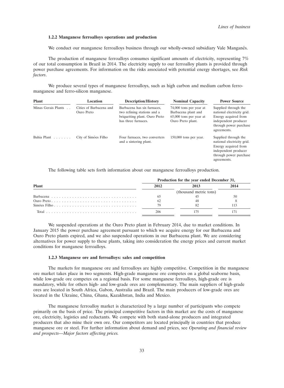### **1.2.2 Manganese ferroalloys operations and production**

We conduct our manganese ferroalloys business through our wholly-owned subsidiary Vale Manganes.

The production of manganese ferroalloys consumes significant amounts of electricity, representing 7% of our total consumption in Brazil in 2014. The electricity supply to our ferroalloy plants is provided through power purchase agreements. For information on the risks associated with potential energy shortages, see *Risk factors*.

We produce several types of manganese ferroalloys, such as high carbon and medium carbon ferromanganese and ferro-silicon manganese.

| <b>Plant</b>        | Location                              | <b>Description/History</b>                                                                                         | <b>Nominal Capacity</b>                                                                          | <b>Power Source</b>                                                                                                                         |  |
|---------------------|---------------------------------------|--------------------------------------------------------------------------------------------------------------------|--------------------------------------------------------------------------------------------------|---------------------------------------------------------------------------------------------------------------------------------------------|--|
| Minas Gerais Plants | Cities of Barbacena and<br>Ouro Preto | Barbacena has six furnaces,<br>two refining stations and a<br>briquetting plant. Ouro Preto<br>has three furnaces. | 74,000 tons per year at<br>Barbacena plant and<br>$65,000$ tons per year at<br>Ouro Preto plant. | Supplied through the<br>national electricity grid.<br>Energy acquired from<br>independent producer<br>through power purchase<br>agreements. |  |
| Bahia Plant         | City of Simões Filho                  | Four furnaces, two converters<br>and a sintering plant.                                                            | $150,000$ tons per year.                                                                         | Supplied through the<br>national electricity grid.<br>Energy acquired from<br>independent producer<br>through power purchase<br>agreements. |  |

The following table sets forth information about our manganese ferroalloys production.

|              | Production for the year ended December 31, |                        |      |  |  |
|--------------|--------------------------------------------|------------------------|------|--|--|
| <b>Plant</b> | 2012                                       | 2013                   | 2014 |  |  |
|              |                                            | (thousand metric tons) |      |  |  |
|              | 65                                         |                        | 50   |  |  |
|              | 62                                         |                        |      |  |  |
|              |                                            | 82                     |      |  |  |
|              |                                            |                        |      |  |  |

We suspended operations at the Ouro Preto plant in February 2014, due to market conditions. In January 2015 the power purchase agreement pursuant to which we acquire energy for our Barbacena and Ouro Preto plants expired, and we also suspended operations in our Barbacena plant. We are considering alternatives for power supply to these plants, taking into consideration the energy prices and current market conditions for manganese ferroalloys.

## **1.2.3 Manganese ore and ferroalloys: sales and competition**

The markets for manganese ore and ferroalloys are highly competitive. Competition in the manganese ore market takes place in two segments. High-grade manganese ore competes on a global seaborne basis, while low-grade ore competes on a regional basis. For some manganese ferroalloys, high-grade ore is mandatory, while for others high- and low-grade ores are complementary. The main suppliers of high-grade ores are located in South Africa, Gabon, Australia and Brazil. The main producers of low-grade ores are located in the Ukraine, China, Ghana, Kazakhstan, India and Mexico.

The manganese ferroalloy market is characterized by a large number of participants who compete primarily on the basis of price. The principal competitive factors in this market are the costs of manganese ore, electricity, logistics and reductants. We compete with both stand-alone producers and integrated producers that also mine their own ore. Our competitors are located principally in countries that produce manganese ore or steel. For further information about demand and prices, see *Operating and financial review and prospects—Major factors affecting prices.*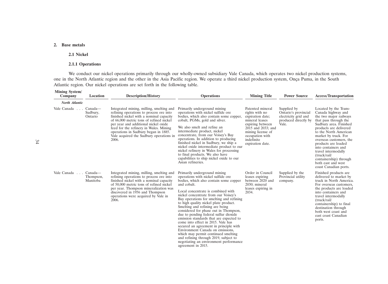# **2. Base metals**

#### **2.1 Nickel**

# **2.1.1 Operations**

We conduct our nickel operations primarily through our wholly-owned subsidiary Vale Canada, which operates two nickel production systems, one in the North Atlantic region and the other in the Asia Pacific region. We operate a third nickel production system, Onça Puma, in the South Atlantic region. Our nickel operations are set forth in the following table.

| <b>Mining System/</b><br>Company    | Location                         | <b>Description/History</b>                                                                                                                                                                                                                                                                                                                              | <b>Operations</b>                                                                                                                                                                                                                                                                                                                                                                                                                                                                                                                                                                                                                                                                                                                  | <b>Mining Title</b>                                                                                                                                                                          | <b>Power Source</b>                                                                          | <b>Access/Transportation</b>                                                                                                                                                                                                                                                                                                                                                                 |
|-------------------------------------|----------------------------------|---------------------------------------------------------------------------------------------------------------------------------------------------------------------------------------------------------------------------------------------------------------------------------------------------------------------------------------------------------|------------------------------------------------------------------------------------------------------------------------------------------------------------------------------------------------------------------------------------------------------------------------------------------------------------------------------------------------------------------------------------------------------------------------------------------------------------------------------------------------------------------------------------------------------------------------------------------------------------------------------------------------------------------------------------------------------------------------------------|----------------------------------------------------------------------------------------------------------------------------------------------------------------------------------------------|----------------------------------------------------------------------------------------------|----------------------------------------------------------------------------------------------------------------------------------------------------------------------------------------------------------------------------------------------------------------------------------------------------------------------------------------------------------------------------------------------|
| North Atlantic                      |                                  |                                                                                                                                                                                                                                                                                                                                                         |                                                                                                                                                                                                                                                                                                                                                                                                                                                                                                                                                                                                                                                                                                                                    |                                                                                                                                                                                              |                                                                                              |                                                                                                                                                                                                                                                                                                                                                                                              |
| Vale Canada<br>$\sim$ $\sim$ $\sim$ | Canada—<br>Sudbury,<br>Ontario   | Integrated mining, milling, smelting and<br>refining operations to process ore into<br>finished nickel with a nominal capacity<br>of 66,000 metric tons of refined nickel<br>per year and additional nickel oxide<br>feed for the refinery in Wales. Mining<br>operations in Sudbury began in 1885.<br>Vale acquired the Sudbury operations in<br>2006. | Primarily underground mining<br>operations with nickel sulfide ore<br>bodies, which also contain some copper,<br>cobalt, PGMs, gold and silver.<br>We also smelt and refine an<br>intermediate product, nickel<br>concentrate, from our Voisey's Bay<br>operations. In addition to producing<br>finished nickel in Sudbury, we ship a<br>nickel oxide intermediate product to our<br>nickel refinery in Wales for processing<br>to final products. We also have<br>capabilities to ship nickel oxide to our<br>Asian refineries.                                                                                                                                                                                                   | Patented mineral<br>rights with no<br>expiration date;<br>mineral leases<br>expiring between<br>2015 and 2033; and<br>mining license of<br>occupation with<br>indefinite<br>expiration date. | Supplied by<br>Ontario's provincial<br>electricity grid and<br>produced directly by<br>Vale. | Located by the Trans-<br>Canada highway and<br>the two major railways<br>that pass through the<br>Sudbury area. Finished<br>products are delivered<br>to the North American<br>market by truck. For<br>overseas customers, the<br>products are loaded<br>into containers and<br>travel intermodally<br>(truek/rail/<br>containership) through<br>both east and west<br>coast Canadian ports. |
| Vale Canada                         | Canada—<br>Thompson,<br>Manitoba | Integrated mining, milling, smelting and<br>refining operations to process ore into<br>finished nickel with a nominal capacity<br>of 50,000 metric tons of refined nickel<br>per year. Thompson mineralization was<br>discovered in 1956 and Thompson<br>operations were acquired by Vale in<br>2006.                                                   | Primarily underground mining<br>operations with nickel sulfide ore<br>bodies, which also contain some copper<br>and cobalt.<br>Local concentrate is combined with<br>nickel concentrate from our Voisey's<br>Bay operations for smelting and refining<br>to high quality nickel plate product.<br>Smelting and refining are being<br>considered for phase out in Thompson,<br>due to pending federal sulfur dioxide<br>emission standards that are expected to<br>come into effect in 2015. Vale has<br>secured an agreement in principle with<br>Environment Canada on emissions,<br>which may permit continued smelting<br>and refining through 2019, subject to<br>negotiating an environment performance<br>agreement in 2015. | Order in Council<br>leases expiring<br>between 2020 and<br>2030; mineral<br>leases expiring in<br>2034.                                                                                      | Supplied by the<br>Provincial utility<br>company.                                            | Finished products are.<br>delivered to market by<br>truck in North America.<br>For overseas customers,<br>the products are loaded<br>into containers and<br>travel intermodally<br>(truek/rail/<br>containership) to final<br>destination through<br>both west coast and<br>east coast Canadian<br>ports.                                                                                    |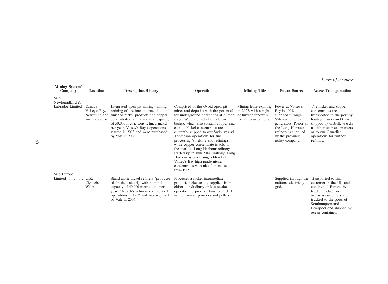*Lines of business*

| <b>Mining System/</b><br>Company | Location                                                 | <b>Description/History</b>                                                                                                                                                                                                                                                                            | <b>Operations</b>                                                                                                                                                                                                                                                                                                                                                                                                                                                                                                                                                                                  | <b>Mining Title</b>                                                                            | <b>Power Source</b>                                                                                                                                                                       | <b>Access/Transportation</b>                                                                                                                                                                                                |
|----------------------------------|----------------------------------------------------------|-------------------------------------------------------------------------------------------------------------------------------------------------------------------------------------------------------------------------------------------------------------------------------------------------------|----------------------------------------------------------------------------------------------------------------------------------------------------------------------------------------------------------------------------------------------------------------------------------------------------------------------------------------------------------------------------------------------------------------------------------------------------------------------------------------------------------------------------------------------------------------------------------------------------|------------------------------------------------------------------------------------------------|-------------------------------------------------------------------------------------------------------------------------------------------------------------------------------------------|-----------------------------------------------------------------------------------------------------------------------------------------------------------------------------------------------------------------------------|
| Vale<br>Newfoundland &           |                                                          |                                                                                                                                                                                                                                                                                                       |                                                                                                                                                                                                                                                                                                                                                                                                                                                                                                                                                                                                    |                                                                                                |                                                                                                                                                                                           |                                                                                                                                                                                                                             |
| Labrador Limited<br>Vale Europe  | Canada—<br>Voisey's Bay,<br>Newfoundland<br>and Labrador | Integrated open-pit mining, milling,<br>refining of ore into intermediate and<br>finished nickel products and copper<br>concentrates with a nominal capacity<br>of 50,000 metric tons refined nickel<br>per year. Voisey's Bay's operations<br>started in 2005 and were purchased<br>by Vale in 2006. | Comprised of the Ovoid open pit<br>mine, and deposits with the potential<br>for underground operations at a later<br>stage. We mine nickel sulfide ore<br>bodies, which also contain copper and<br>cobalt. Nickel concentrates are<br>currently shipped to our Sudbury and<br>Thompson operations for final<br>processing (smelting and refining)<br>while copper concentrate is sold to<br>the market. Long Harbour refinery<br>started up in July 2014. Initially, Long<br>Harbour is processing a blend of<br>Voisey's Bay high grade nickel<br>concentrates with nickel in matte<br>from PTVI. | Mining lease expiring<br>in 2027, with a right<br>of further renewals<br>for ten year periods. | Power at Voisey's<br>Bay is $100\%$<br>supplied through<br>Vale owned diesel<br>generators. Power at<br>the Long Harbour<br>refinery is supplied<br>by the provincial<br>utility company. | The nickel and copper<br>concentrates are<br>transported to the port by<br>haulage trucks and then<br>shipped by drybulk vessels<br>to either overseas markets<br>or to our Canadian<br>operations for further<br>refining. |
| Limited $\ldots$ .               | $U.K.$ —<br>Clydach,<br>Wales                            | Stand-alone nickel refinery (producer<br>of finished nickel), with nominal<br>capacity of 40,000 metric tons per<br>year. Clydach's refinery commenced<br>operations in 1902 and was acquired<br>by Vale in 2006.                                                                                     | Processes a nickel intermediate<br>product, nickel oxide, supplied from<br>either our Sudbury or Matsuzaka<br>operation to produce finished nickel<br>in the form of powders and pellets.                                                                                                                                                                                                                                                                                                                                                                                                          |                                                                                                | Supplied through the<br>national electricity<br>grid.                                                                                                                                     | Transported to final<br>customer in the UK and<br>continental Europe by<br>truck. Product for<br>overseas customers are<br>trucked to the ports of<br>Southampton and<br>Liverpool and shipped by<br>ocean container.       |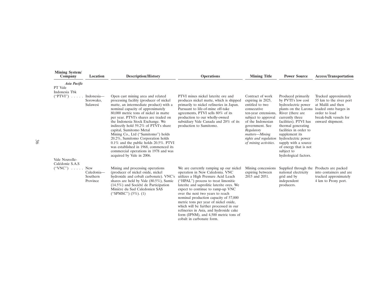| <b>Mining System/</b><br>Company                     | Location                                  | <b>Description/History</b>                                                                                                                                                                                                                                                                                                                                                                                                                                                                                                                                                                       | <b>Operations</b>                                                                                                                                                                                                                                                                                                                                                                                                                                                                                                         | <b>Mining Title</b>                                                                                                                                                                                                                              | <b>Power Source</b>                                                                                                                                                                                                                                                                                                                      | <b>Access/Transportation</b>                                                                                                                                   |
|------------------------------------------------------|-------------------------------------------|--------------------------------------------------------------------------------------------------------------------------------------------------------------------------------------------------------------------------------------------------------------------------------------------------------------------------------------------------------------------------------------------------------------------------------------------------------------------------------------------------------------------------------------------------------------------------------------------------|---------------------------------------------------------------------------------------------------------------------------------------------------------------------------------------------------------------------------------------------------------------------------------------------------------------------------------------------------------------------------------------------------------------------------------------------------------------------------------------------------------------------------|--------------------------------------------------------------------------------------------------------------------------------------------------------------------------------------------------------------------------------------------------|------------------------------------------------------------------------------------------------------------------------------------------------------------------------------------------------------------------------------------------------------------------------------------------------------------------------------------------|----------------------------------------------------------------------------------------------------------------------------------------------------------------|
| Asia Pacific<br>PT Vale<br>Indonesia Tbk             |                                           |                                                                                                                                                                                                                                                                                                                                                                                                                                                                                                                                                                                                  |                                                                                                                                                                                                                                                                                                                                                                                                                                                                                                                           |                                                                                                                                                                                                                                                  |                                                                                                                                                                                                                                                                                                                                          |                                                                                                                                                                |
| ("PTVI")                                             | Indonesia-<br>Sorowako,<br>Sulawesi       | Open cast mining area and related<br>processing facility (producer of nickel<br>matte, an intermediate product) with a<br>nominal capacity of approximately<br>80,000 metric tons of nickel in matte<br>per year. PTVI's shares are traded on<br>the Indonesia Stock Exchange. We<br>indirectly hold 59.2% of PTVI's share<br>capital, Sumitomo Metal<br>Mining Co., Ltd ("Sumitomo") holds<br>20.2%, Sumitomo Corporation holds<br>$0.1\%$ and the public holds $20.5\%$ . PTVI<br>was established in 1968, commenced its<br>commercial operations in 1978 and was<br>acquired by Vale in 2006. | PTVI mines nickel laterite ore and<br>produces nickel matte, which is shipped<br>primarily to nickel refineries in Japan.<br>Pursuant to life-of-mine off-take<br>agreements, PTVI sells 80% of its<br>production to our wholly-owned<br>subsidiary Vale Canada and 20% of its<br>production to Sumitomo.                                                                                                                                                                                                                 | Contract of work<br>expiring in 2025,<br>entitled to two<br>consecutive<br>ten-year extensions,<br>subject to approval<br>of the Indonesian<br>government. See<br>Regulatory<br>matters-Mining<br>rights and regulation<br>of mining activities. | Produced primarily<br>by PVTI's low cost<br>hydroelectric power<br>plants on the Larona<br>River (there are<br>currently three<br>facilities). PTVI has<br>thermal generating<br>facilities in order to<br>supplement its<br>hydroelectric power<br>supply with a source<br>of energy that is not<br>subject to<br>hydrological factors. | Trucked approximately<br>55 km to the river port<br>at Malili and then<br>loaded onto barges in<br>order to load<br>break-bulk vessels for<br>onward shipment. |
| Vale Nouvelle-<br>Calédonie S.A.S<br>$("VNC") \dots$ | New<br>Caledonia-<br>Southern<br>Province | Mining and processing operations<br>(producer of nickel oxide, nickel<br>hydroxide and cobalt carbonate). VNC's<br>shares are held by Vale $(80.5\%)$ , Sumic<br>$(14.5\%)$ and Société de Participation<br>Minière du Sud Caledonien SAS<br>("SPMSC") $(5\%)$ . (1)                                                                                                                                                                                                                                                                                                                             | We are currently ramping up our nickel<br>operation in New Caledonia. VNC<br>utilizes a High Pressure Acid Leach<br>("HPAL") process to treat limonitic<br>laterite and saprolitic laterite ores. We<br>expect to continue to ramp-up VNC<br>over the next two years to reach<br>nominal production capacity of 57,000<br>metric tons per year of nickel oxide,<br>which will be further processed in our<br>refineries in Asia, and hydroxide cake<br>form (IPNM), and 4,500 metric tons of<br>cobalt in carbonate form. | Mining concessions<br>expiring between<br>2015 and 2051.                                                                                                                                                                                         | Supplied through the Products are packed<br>national electricity<br>grid and by<br>independent<br>producers.                                                                                                                                                                                                                             | into containers and are<br>trucked approximately<br>4 km to Prony port.                                                                                        |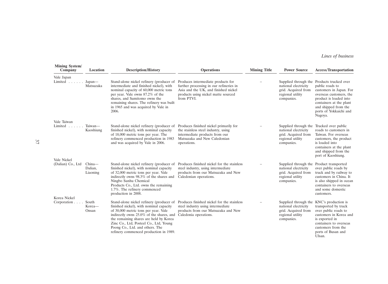# *Lines of business*

| <b>Mining System/</b><br>Company                 | Location                      | <b>Description/History</b>                                                                                                                                                                                                                                                                      | <b>Operations</b>                                                                                                                                                                        | <b>Mining Title</b> | <b>Power Source</b>                                                                                                       | <b>Access/Transportation</b>                                                                                                                                                                                                          |
|--------------------------------------------------|-------------------------------|-------------------------------------------------------------------------------------------------------------------------------------------------------------------------------------------------------------------------------------------------------------------------------------------------|------------------------------------------------------------------------------------------------------------------------------------------------------------------------------------------|---------------------|---------------------------------------------------------------------------------------------------------------------------|---------------------------------------------------------------------------------------------------------------------------------------------------------------------------------------------------------------------------------------|
| Vale Japan<br>Limited                            | Japan—<br>Matsuzaka           | Stand-alone nickel refinery (producer of<br>intermediate and finished nickel), with<br>nominal capacity of 60,000 metric tons<br>per year. Vale owns 87.2% of the<br>shares, and Sumitomo owns the<br>remaining shares. The refinery was built<br>in 1965 and was acquired by Vale in<br>2006.  | Produces intermediate products for<br>further processing in our refineries in<br>Asia and the UK, and finished nickel<br>products using nickel matte sourced<br>from PTVI.               |                     | national electricity<br>grid. Acquired from<br>regional utility<br>companies.                                             | Supplied through the Products trucked over<br>public roads to<br>customers in Japan. For<br>overseas customers, the<br>product is loaded into<br>containers at the plant<br>and shipped from the<br>ports of Yokkaichi and<br>Nagoya. |
| Vale Taiwan<br>Limited $\ldots$ .                | Taiwan-<br>Kaoshiung          | Stand-alone nickel refinery (producer of<br>finished nickel), with nominal capacity<br>of 18,000 metric tons per year. The<br>refinery commenced production in 1983<br>and was acquired by Vale in 2006.                                                                                        | Produces finished nickel primarily for<br>the stainless steel industry, using<br>intermediate products from our<br>Matsuzaka and New Caledonian<br>operations.                           |                     | Supplied through the Trucked over public<br>national electricity<br>grid. Acquired from<br>regional utility<br>companies. | roads to customers in<br>Taiwan. For overseas<br>customers, the product<br>is loaded into<br>containers at the plant<br>and shipped from the<br>port of Kaoshiung.                                                                    |
| Vale Nickel<br>(Dalian) Co., Ltd<br>Korea Nickel | China-<br>Dalian,<br>Liaoning | Stand-alone nickel refinery (producer of<br>finished nickel), with nominal capacity<br>of 32,000 metric tons per year. Vale<br>indirectly owns 98.3% of the shares and<br>Ningbo Sunhu Chemical<br>Products Co., Ltd. owns the remaining<br>1.7%. The refinery commenced<br>production in 2008. | Produces finished nickel for the stainless<br>steel industry, using intermediate<br>products from our Matsuzaka and New<br>Caledonian operations.                                        |                     | Supplied through the Product transported<br>national electricity<br>grid. Acquired from<br>regional utility<br>companies. | over public roads by<br>truck and by railway to<br>customers in China. It<br>is also shipped in ocean<br>containers to overseas<br>and some domestic<br>customers.                                                                    |
| Corporation.                                     | South<br>Korea-<br>Onsan      | finished nickel), with nominal capacity<br>of 30,000 metric tons per year. Vale<br>indirectly owns 25.0% of the shares, and<br>the remaining shares are held by Korea<br>Zinc Co., Ltd, Posteel Co., Ltd, Young<br>Poong Co., Ltd. and others. The<br>refinery commenced production in 1989.    | Stand-alone nickel refinery (producer of Produces finished nickel for the stainless<br>steel industry using intermediate<br>products from our Matsuzaka and New<br>Caledonia operations. |                     | Supplied through the KNC's production is<br>national electricity<br>grid. Acquired from<br>regional utility<br>companies. | transported by truck<br>over public roads to<br>customers in Korea and<br>is exported in<br>containers to overseas<br>customers from the<br>ports of Busan and<br>Ulsan.                                                              |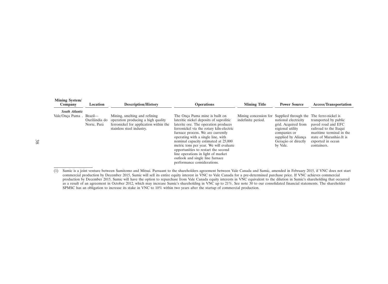| <b>Mining System/</b><br>Company | Location                                | <b>Description/History</b>                                                                                                                 | <b>Operations</b>                                                                                                                                                                                                                                                                                                                                                                                                                                                         | <b>Mining Title</b> | <b>Power Source</b>                                                                                                                                                                                         | <b>Access/Transportation</b>                                                                                                                                      |
|----------------------------------|-----------------------------------------|--------------------------------------------------------------------------------------------------------------------------------------------|---------------------------------------------------------------------------------------------------------------------------------------------------------------------------------------------------------------------------------------------------------------------------------------------------------------------------------------------------------------------------------------------------------------------------------------------------------------------------|---------------------|-------------------------------------------------------------------------------------------------------------------------------------------------------------------------------------------------------------|-------------------------------------------------------------------------------------------------------------------------------------------------------------------|
| <b>South Atlantic</b>            |                                         |                                                                                                                                            |                                                                                                                                                                                                                                                                                                                                                                                                                                                                           |                     |                                                                                                                                                                                                             |                                                                                                                                                                   |
| Vale/Onca Puma                   | Brazil—<br>Ourilândia do<br>Norte, Pará | Mining, smelting and refining<br>operation producing a high quality<br>ferronickel for application within the<br>stainless steel industry. | The Onca Puma mine is built on<br>lateritic nickel deposits of saprolitic<br>laterite ore. The operation produces<br>ferronickel via the rotary kiln-electric<br>furnace process. We are currently<br>operating with a single line, with<br>nominal capacity estimated at 25,000<br>metric tons per year. We will evaluate<br>opportunities to restart the second<br>line operations in light of market<br>outlook and single line furnace<br>performance considerations. | indefinite period.  | Mining concession for Supplied through the The ferro-nickel is<br>national electricity<br>grid. Acquired from<br>regional utility<br>companies or<br>supplied by Aliança<br>Geração or directly<br>by Vale. | transported by public<br>payed road and EFC<br>railroad to the Itaqui<br>maritime terminal in the<br>state of Maranhão. It is<br>exported in ocean<br>containers. |

<sup>(1)</sup> Sumic is a joint venture between Sumitomo and Mitsui. Pursuant to the shareholders agreement between Vale Canada and Sumic, amended in February 2015, if VNC does not start commercial production by December 2015, Sumic will sell its entire equity interest in VNC to Vale Canada for a pre-determined purchase price. If VNC achieves commercial production by December 2015, Sumic will have the option to repurchase from Vale Canada equity interests in VNC equivalent to the dilution in Sumic's shareholding that occurred as a result of an agreement in October 2012, which may increase Sumic's shareholding in VNC up to 21%. See note 30 to our consolidated financial statements. The shareholder SPMSC has an obligation to increase its stake in VNC to 10% within two years after the startup of commercial production.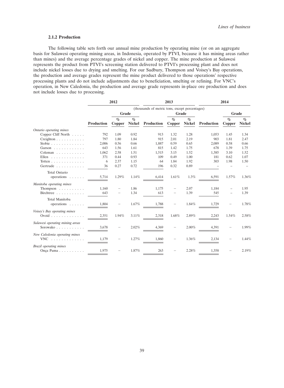# **2.1.2 Production**

The following table sets forth our annual mine production by operating mine (or on an aggregate basis for Sulawesi operating mining areas, in Indonesia, operated by PTVI, because it has mining areas rather than mines) and the average percentage grades of nickel and copper. The mine production at Sulawesi represents the product from PTVI's screening station delivered to PTVI's processing plant and does not include nickel losses due to drying and smelting. For our Sudbury, Thompson and Voisey's Bay operations, the production and average grades represent the mine product delivered to those operations' respective processing plants and do not include adjustments due to beneficiation, smelting or refining. For VNC's operation, in New Caledonia, the production and average grade represents in-place ore production and does not include losses due to processing.

|                                                |            | 2012           |                       |                                                | 2013           |                       |            | 2014           |                       |  |
|------------------------------------------------|------------|----------------|-----------------------|------------------------------------------------|----------------|-----------------------|------------|----------------|-----------------------|--|
|                                                |            |                |                       | (thousands of metric tons, except percentages) |                |                       |            |                |                       |  |
|                                                |            | Grade<br>Grade |                       |                                                |                | Grade                 |            |                |                       |  |
|                                                | Production | $\%$<br>Copper | $\%$<br><b>Nickel</b> | Production                                     | $\%$<br>Copper | $\%$<br><b>Nickel</b> | Production | $\%$<br>Copper | $\%$<br><b>Nickel</b> |  |
| Ontario operating mines                        |            |                |                       |                                                |                |                       |            |                |                       |  |
| Copper Cliff North                             | 792        | 1.09           | 0.92                  | 913                                            | 1.32           | 1.28                  | 1,053      | 1.45           | 1.34                  |  |
| $C$ reighton $\ldots \ldots \ldots$            | 797        | 1.80           | 1.84                  | 915                                            | 2.01           | 2.19                  | 903        | 1.81           | 2.47                  |  |
| Stobie $\ldots \ldots \ldots \ldots$           | 2,006      | 0.56           | 0.66                  | 1,887                                          | 0.59           | 0.65                  | 2,089      | 0.58           | 0.66                  |  |
| Garson                                         | 643        | 1.56           | 1.61                  | 815                                            | 1.42           | 1.75                  | 678        | 1.39           | 1.75                  |  |
| Coleman                                        | 1,062      | 2.58           | 1.51                  | 1,515                                          | 3.15           | 1.52                  | 1,385      | 3.10           | 1.52                  |  |
| Ellen                                          | 371        | 0.44           | 0.93                  | 109                                            | 0.49           | 1.00                  | 181        | 0.62           | 1.07                  |  |
| Totten                                         | 6          | 2.37           | 1.15                  | 64                                             | 1.84           | 1.92                  | 303        | 1.98           | 1.50                  |  |
| Gertrude                                       | 36         | 0.27           | 0.72                  | 196                                            | 0.32           | 0.89                  |            |                |                       |  |
| <b>Total Ontario</b><br>operations             | 5,714      | 1.29%          | 1.14%                 | 6,414                                          | 1.61%          | 1.3%                  | 6,591      | 1.57%          | 1.36%                 |  |
| Manitoba operating mines                       |            |                |                       |                                                |                |                       |            |                |                       |  |
| Thompson $\dots \dots \dots$                   | 1,160      |                | 1.86                  | 1,175                                          |                | 2.07                  | 1,184      |                | 1.95                  |  |
| Birchtree                                      | 643        |                | 1.34                  | 613                                            |                | 1.39                  | 545        |                | 1.39                  |  |
| Total Manitoba<br>operations                   | 1,804      |                | 1.67%                 | 1.788                                          |                | 1.84%                 | 1.729      |                | 1.78%                 |  |
| Voisey's Bay operating mines<br>Ovoid $\ldots$ | 2,351      | 1.94%          | 3.11%                 | 2,318                                          | 1.68%          | 2.89%                 | 2,243      | 1.54%          | 2.58%                 |  |
| Sulawesi operating mining areas<br>Sorowako    | 3,678      |                | 2.02%                 | 4,369                                          |                | $2.00\%$              | 4,391      |                | 1.99%                 |  |
| New Caledonia operating mines<br>$VNC$ ,       | 1,179      |                | 1.27%                 | 1,860                                          |                | 1.36%                 | 2,134      |                | 1.44%                 |  |
| Brazil operating mines<br>Onça Puma            | 1,975      |                | 1.87%                 | 263                                            |                | 2.28%                 | 1,358      |                | 2.19%                 |  |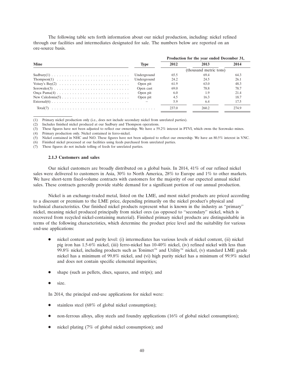The following table sets forth information about our nickel production, including: nickel refined through our facilities and intermediates designated for sale. The numbers below are reported on an ore-source basis.

|                                                                                          |             | Production for the year ended December 31, |                        |       |  |
|------------------------------------------------------------------------------------------|-------------|--------------------------------------------|------------------------|-------|--|
| <b>Mine</b>                                                                              | <b>Type</b> | 2012                                       | 2013                   | 2014  |  |
|                                                                                          |             |                                            | (thousand metric tons) |       |  |
| $Sudbury(1)$                                                                             | Underground | 65.5                                       | 69.4                   | 64.3  |  |
|                                                                                          | Underground | 24.2                                       | 24.5                   | 26.1  |  |
| Voisey's Bay(2) $\ldots \ldots \ldots \ldots \ldots \ldots \ldots \ldots$                | Open pit    | 61.9                                       | 63.0                   | 48.3  |  |
|                                                                                          | Open cast   | 69.0                                       | 78.8                   | 78.7  |  |
|                                                                                          | Open pit    | 6.0                                        | 1.9                    | 21.4  |  |
| New Caledonia(5) $\ldots \ldots \ldots \ldots \ldots \ldots \ldots \ldots \ldots \ldots$ | Open pit    | 4.5                                        | 16.3                   | 18.7  |  |
|                                                                                          |             | 5.9                                        | 6.4                    | 17.5  |  |
|                                                                                          |             | 237.0                                      | 260.2                  | 274.9 |  |

(1) Primary nickel production only (i.e., does not include secondary nickel from unrelated parties).

(2) Includes finished nickel produced at our Sudbury and Thompson operations.

(3) These figures have not been adjusted to reflect our ownership. We have a 59.2% interest in PTVI, which owns the Sorowako mines.

(4) Primary production only. Nickel contained in ferro-nickel.

(5) Nickel contained in NHC and NiO. These figures have not been adjusted to reflect our ownership. We have an 80.5% interest in VNC.

(6) Finished nickel processed at our facilities using feeds purchased from unrelated parties.

(7) These figures do not include tolling of feeds for unrelated parties.

### **2.1.3 Customers and sales**

Our nickel customers are broadly distributed on a global basis. In 2014, 41% of our refined nickel sales were delivered to customers in Asia, 30% to North America, 28% to Europe and 1% to other markets. We have short-term fixed-volume contracts with customers for the majority of our expected annual nickel sales. These contracts generally provide stable demand for a significant portion of our annual production.

Nickel is an exchange-traded metal, listed on the LME, and most nickel products are priced according to a discount or premium to the LME price, depending primarily on the nickel product's physical and technical characteristics. Our finished nickel products represent what is known in the industry as ''primary'' nickel, meaning nickel produced principally from nickel ores (as opposed to ''secondary'' nickel, which is recovered from recycled nickel-containing material). Finished primary nickel products are distinguishable in terms of the following characteristics, which determine the product price level and the suitability for various end-use applications:

- nickel content and purity level: (i) intermediates has various levels of nickel content, (ii) nickel pig iron has 1.5-6% nickel, (iii) ferro-nickel has 10-40% nickel, (iv) refined nickel with less than 99.8% nickel, including products such as Tonimet<sup> $m$ </sup> and Utility<sup> $m$ </sup> nickel, (v) standard LME grade nickel has a minimum of 99.8% nickel, and (vi) high purity nickel has a minimum of 99.9% nickel and does not contain specific elemental impurities;
- shape (such as pellets, discs, squares, and strips); and
- size.

In 2014, the principal end-use applications for nickel were:

- stainless steel (68% of global nickel consumption);
- non-ferrous alloys, alloy steels and foundry applications (16% of global nickel consumption);
- nickel plating (7% of global nickel consumption); and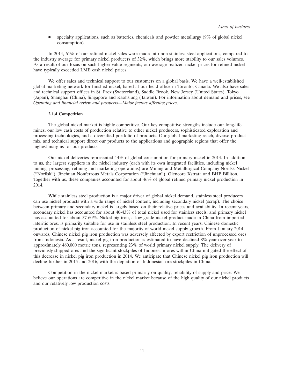$\bullet$  specialty applications, such as batteries, chemicals and powder metallurgy (9% of global nickel consumption).

In 2014, 61% of our refined nickel sales were made into non-stainless steel applications, compared to the industry average for primary nickel producers of 32%, which brings more stability to our sales volumes. As a result of our focus on such higher-value segments, our average realized nickel prices for refined nickel have typically exceeded LME cash nickel prices.

We offer sales and technical support to our customers on a global basis. We have a well-established global marketing network for finished nickel, based at our head office in Toronto, Canada. We also have sales and technical support offices in St. Prex (Switzerland), Saddle Brook, New Jersey (United States), Tokyo (Japan), Shanghai (China), Singapore and Kaohsiung (Taiwan). For information about demand and prices, see *Operating and financial review and prospects—Major factors affecting prices*.

## **2.1.4 Competition**

The global nickel market is highly competitive. Our key competitive strengths include our long-life mines, our low cash costs of production relative to other nickel producers, sophisticated exploration and processing technologies, and a diversified portfolio of products. Our global marketing reach, diverse product mix, and technical support direct our products to the applications and geographic regions that offer the highest margins for our products.

Our nickel deliveries represented 14% of global consumption for primary nickel in 2014. In addition to us, the largest suppliers in the nickel industry (each with its own integrated facilities, including nickel mining, processing, refining and marketing operations) are Mining and Metallurgical Company Norilsk Nickel (''Norilsk''), Jinchuan Nonferrous Metals Corporation (''Jinchuan''), Glencore Xstrata and BHP Billiton. Together with us, these companies accounted for about 46% of global refined primary nickel production in 2014.

While stainless steel production is a major driver of global nickel demand, stainless steel producers can use nickel products with a wide range of nickel content, including secondary nickel (scrap). The choice between primary and secondary nickel is largely based on their relative prices and availability. In recent years, secondary nickel has accounted for about 40-43% of total nickel used for stainless steels, and primary nickel has accounted for about 57-60%. Nickel pig iron, a low-grade nickel product made in China from imported lateritic ores, is primarily suitable for use in stainless steel production. In recent years, Chinese domestic production of nickel pig iron accounted for the majority of world nickel supply growth. From January 2014 onwards, Chinese nickel pig iron production was adversely affected by export restriction of unprocessed ores from Indonesia. As a result, nickel pig iron production is estimated to have declined 8% year-over-year to approximately 460,000 metric tons, representing 23% of world primary nickel supply. The delivery of previously shipped ores and the significant stockpiles of Indonesian ores within China mitigated the effect of this decrease in nickel pig iron production in 2014. We anticipate that Chinese nickel pig iron production will decline further in 2015 and 2016, with the depletion of Indonesian ore stockpiles in China.

Competition in the nickel market is based primarily on quality, reliability of supply and price. We believe our operations are competitive in the nickel market because of the high quality of our nickel products and our relatively low production costs.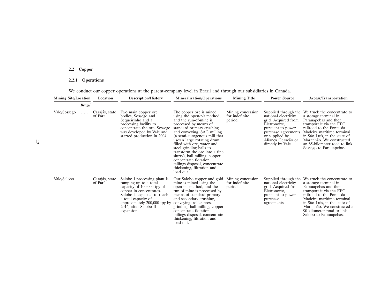# **2.2 Copper**

# **2.2.1 Operations**

We conduct our copper operations at the parent-company level in Brazil and through our subsidiaries in Canada.

| <b>Mining Site/Location</b> | Location                   | <b>Description/History</b>                                                                                                                                                                                                                  | <b>Mineralization/Operations</b>                                                                                                                                                                                                                                                                                                                                                                                                                                      | <b>Mining Title</b>                            | <b>Power Source</b>                                                                                                                                                                          | <b>Access/Transportation</b>                                                                                                                                                                                                                                                             |
|-----------------------------|----------------------------|---------------------------------------------------------------------------------------------------------------------------------------------------------------------------------------------------------------------------------------------|-----------------------------------------------------------------------------------------------------------------------------------------------------------------------------------------------------------------------------------------------------------------------------------------------------------------------------------------------------------------------------------------------------------------------------------------------------------------------|------------------------------------------------|----------------------------------------------------------------------------------------------------------------------------------------------------------------------------------------------|------------------------------------------------------------------------------------------------------------------------------------------------------------------------------------------------------------------------------------------------------------------------------------------|
| <b>Brazil</b>               |                            |                                                                                                                                                                                                                                             |                                                                                                                                                                                                                                                                                                                                                                                                                                                                       |                                                |                                                                                                                                                                                              |                                                                                                                                                                                                                                                                                          |
| Vale/Sossego<br>$\cdots$    | Carajás, state<br>of Pará. | Two main copper ore.<br>bodies, Sossego and<br>Sequeirinho and a<br>processing facility to<br>concentrate the ore. Sossego<br>was developed by Vale and<br>started production in 2004.                                                      | The copper ore is mined.<br>using the open-pit method,<br>and the run-of-mine is<br>processed by means of<br>standard primary crushing<br>and conveying, SAG milling<br>(a semi-autogenous mill that<br>uses a large rotating drum<br>filled with ore, water and<br>steel grinding balls to<br>transform the ore into a fine.<br>slurry), ball milling, copper<br>concentrate flotation,<br>tailings disposal, concentrate<br>thickening, filtration and<br>load out. | Mining concession<br>for indefinite<br>period. | Supplied through the<br>national electricity<br>grid. Acquired from<br>Eletronorte,<br>pursuant to power<br>purchase agreements<br>or supplied by<br>Aliança Geração or<br>directly by Vale. | We truck the concentrate to<br>a storage terminal in<br>Parauapebas and then<br>transport it via the EFC<br>railroad to the Ponta da<br>Madeira maritime terminal<br>in São Luís, in the state of<br>Maranhão. We constructed<br>an 85-kilometer road to link<br>Sossego to Parauapebas. |
| Vale/Salobo Carajás, state  | of Pará.                   | Salobo I processing plant is<br>ramping up to a total<br>capacity of 100,000 tpy of<br>copper in concentrates.<br>Salobo is expected to reach<br>a total capacity of<br>approximately 200,000 tpy by<br>2016, after Salobo II<br>expansion. | Our Salobo copper and gold<br>mine is mined using the<br>open-pit method, and the<br>run-of-mine is processed by<br>means of standard primary<br>and secondary crushing,<br>conveying, roller press<br>grinding, ball milling, copper<br>concentrate flotation,<br>tailings disposal, concentrate<br>thickening, filtration and<br>load out.                                                                                                                          | Mining concession<br>for indefinite<br>period. | Supplied through the<br>national electricity<br>grid. Acquired from<br>Eletronorte,<br>pursuant to power<br>purchase<br>agreements.                                                          | We truck the concentrate to<br>a storage terminal in<br>Parauapebas and then<br>transport it via the EFC<br>railroad to the Ponta da<br>Madeira maritime terminal<br>in São Luís, in the state of<br>Maranhão. We constructed a<br>90-kilometer road to link<br>Salobo to Parauapebas.   |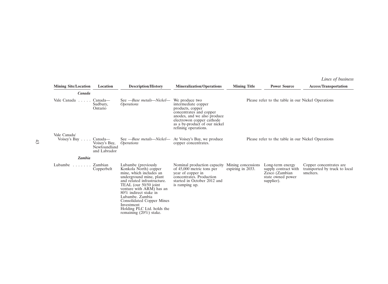*Lines of business*

| <b>Mining Site/Location</b>  | Location                                                 | <b>Description/History</b>                                                                                                                                                                                                                                                                                                                | <b>Mineralization/Operations</b>                                                                                                                                                                          | <b>Mining Title</b> | <b>Power Source</b>                                                                           | <b>Access/Transportation</b>                                          |
|------------------------------|----------------------------------------------------------|-------------------------------------------------------------------------------------------------------------------------------------------------------------------------------------------------------------------------------------------------------------------------------------------------------------------------------------------|-----------------------------------------------------------------------------------------------------------------------------------------------------------------------------------------------------------|---------------------|-----------------------------------------------------------------------------------------------|-----------------------------------------------------------------------|
| Canada                       |                                                          |                                                                                                                                                                                                                                                                                                                                           |                                                                                                                                                                                                           |                     |                                                                                               |                                                                       |
| Vale Canada<br>1.1.1.1.1     | Canada—<br>Sudbury,<br>Ontario                           | See - Base metals - Nickel -<br><i>Operations</i>                                                                                                                                                                                                                                                                                         | We produce two<br>intermediate copper<br>products, copper<br>concentrates and copper<br>anodes, and we also produce<br>electrowon copper cathode<br>as a by-product of our nickel<br>refining operations. |                     | Please refer to the table in our Nickel Operations                                            |                                                                       |
| Vale Canada/<br>Voisey's Bay | Canada—<br>Voisey's Bay,<br>Newfoundland<br>and Labrador | See - Base metals - Nickel -<br><i>Operations</i>                                                                                                                                                                                                                                                                                         | At Voisey's Bay, we produce<br>copper concentrates.                                                                                                                                                       |                     | Please refer to the table in our Nickel Operations                                            |                                                                       |
| <b>Zambia</b>                |                                                          |                                                                                                                                                                                                                                                                                                                                           |                                                                                                                                                                                                           |                     |                                                                                               |                                                                       |
| Lubambe $\ldots$             | Zambian<br>Copperbelt                                    | Lubambe (previously<br>Konkola North) copper<br>mine, which includes an<br>underground mine, plant<br>and related infrastructure.<br>TEAL (our 50/50 joint)<br>venture with ARM) has an<br>80% indirect stake in<br>Lubambe. Zambia<br>Consolidated Copper Mines<br>Investment<br>Holding PLC Ltd. holds the<br>remaining $(20\%)$ stake. | Nominal production capacity Mining concessions<br>of 45,000 metric tons per<br>year of copper in<br>concentrates. Production<br>started in October 2012 and<br>is ramping up.                             | expiring in 2033.   | Long-term energy<br>supply contract with<br>Zesco (Zambian<br>state owned power<br>supplier). | Copper concentrates are<br>transported by truck to local<br>smelters. |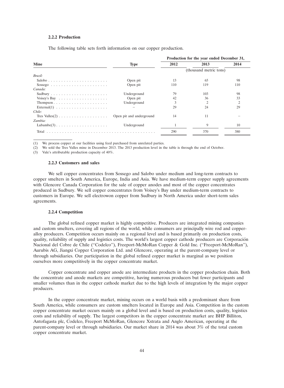#### **2.2.2 Production**

The following table sets forth information on our copper production.

|                                                         |                          | Production for the year ended December 31, |      |      |  |
|---------------------------------------------------------|--------------------------|--------------------------------------------|------|------|--|
| <b>Mine</b>                                             | <b>Type</b>              | 2012                                       | 2013 | 2014 |  |
|                                                         |                          | (thousand metric tons)                     |      |      |  |
| Brazil:                                                 |                          |                                            |      |      |  |
| Salobo                                                  | Open pit                 | 13                                         | 65   | 98   |  |
|                                                         | Open pit                 | 110                                        | 119  | 110  |  |
| Canada:                                                 |                          |                                            |      |      |  |
|                                                         | Underground              | 79                                         | 103  | 98   |  |
| Voisey's Bay $\ldots \ldots \ldots \ldots \ldots$       | Open pit                 | 42                                         | 36   | 33   |  |
|                                                         | Underground              | 3                                          | 2    | 2    |  |
| External(1) $\ldots \ldots \ldots \ldots \ldots \ldots$ |                          | 29                                         | 24   | 29   |  |
| Chile:                                                  |                          |                                            |      |      |  |
|                                                         | Open pit and underground | 14                                         | 11   |      |  |
| Zambia:                                                 |                          |                                            |      |      |  |
| Lubambe $(3)$                                           | Underground              |                                            | 9    | 10   |  |
| Total                                                   |                          | 290                                        | 370  | 380  |  |

(1) We process copper at our facilities using feed purchased from unrelated parties.

(2) We sold the Tres Valles mine in December 2013. The 2013 production level in the table is through the end of October.

(3) Vale's attributable production capacity of 40%.

## **2.2.3 Customers and sales**

We sell copper concentrates from Sossego and Salobo under medium and long-term contracts to copper smelters in South America, Europe, India and Asia. We have medium-term copper supply agreements with Glencore Canada Corporation for the sale of copper anodes and most of the copper concentrates produced in Sudbury. We sell copper concentrates from Voisey's Bay under medium-term contracts to customers in Europe. We sell electrowon copper from Sudbury in North America under short-term sales agreements.

## **2.2.4 Competition**

The global refined copper market is highly competitive. Producers are integrated mining companies and custom smelters, covering all regions of the world, while consumers are principally wire rod and copperalloy producers. Competition occurs mainly on a regional level and is based primarily on production costs, quality, reliability of supply and logistics costs. The world's largest copper cathode producers are Corporacion´ Nacional del Cobre de Chile (''Codelco''), Freeport-McMoRan Copper & Gold Inc. (''Freeport-McMoRan''), Aurubis AG, Jiangxi Copper Corporation Ltd. and Glencore, operating at the parent-company level or through subsidiaries. Our participation in the global refined copper market is marginal as we position ourselves more competitively in the copper concentrate market.

Copper concentrate and copper anode are intermediate products in the copper production chain. Both the concentrate and anode markets are competitive, having numerous producers but fewer participants and smaller volumes than in the copper cathode market due to the high levels of integration by the major copper producers.

In the copper concentrate market, mining occurs on a world basis with a predominant share from South America, while consumers are custom smelters located in Europe and Asia. Competition in the custom copper concentrate market occurs mainly on a global level and is based on production costs, quality, logistics costs and reliability of supply. The largest competitors in the copper concentrate market are BHP Billiton, Antofagasta plc, Codelco, Freeport McMoRan, Glencore Xstrata and Anglo American, operating at the parent-company level or through subsidiaries. Our market share in 2014 was about 3% of the total custom copper concentrate market.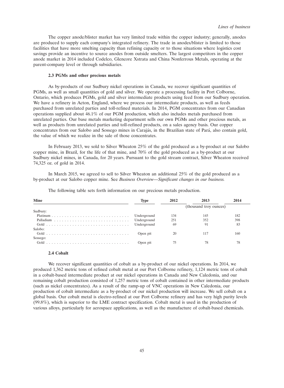The copper anode/blister market has very limited trade within the copper industry; generally, anodes are produced to supply each company's integrated refinery. The trade in anodes/blister is limited to those facilities that have more smelting capacity than refining capacity or to those situations where logistics cost savings provide an incentive to source anodes from outside smelters. The largest competitors in the copper anode market in 2014 included Codelco, Glencore Xstrata and China Nonferrous Metals, operating at the parent-company level or through subsidiaries.

# **2.3 PGMs and other precious metals**

As by-products of our Sudbury nickel operations in Canada, we recover significant quantities of PGMs, as well as small quantities of gold and silver. We operate a processing facility in Port Colborne, Ontario, which produces PGMs, gold and silver intermediate products using feed from our Sudbury operation. We have a refinery in Acton, England, where we process our intermediate products, as well as feeds purchased from unrelated parties and toll-refined materials. In 2014, PGM concentrates from our Canadian operations supplied about 46.1% of our PGM production, which also includes metals purchased from unrelated parties. Our base metals marketing department sells our own PGMs and other precious metals, as well as products from unrelated parties and toll-refined products, on a sales agency basis. Our copper concentrates from our Salobo and Sossego mines in Carajás, in the Brazilian state of Pará, also contain gold, the value of which we realize in the sale of those concentrates.

In February 2013, we sold to Silver Wheaton 25% of the gold produced as a by-product at our Salobo copper mine, in Brazil, for the life of that mine, and 70% of the gold produced as a by-product at our Sudbury nickel mines, in Canada, for 20 years. Pursuant to the gold stream contract, Silver Wheaton received 74,325 oz. of gold in 2014.

In March 2015, we agreed to sell to Silver Wheaton an additional 25% of the gold produced as a by-product at our Salobo copper mine. See *Business Overview—Significant changes in our business.*

| <b>Mine</b> | Type        | 2012                   | 2013 | 2014 |
|-------------|-------------|------------------------|------|------|
|             |             | (thousand troy ounces) |      |      |
| Sudbury:    |             |                        |      |      |
|             | Underground | 134                    | 145  | 182  |
|             |             | 251                    | 352  | 398  |
|             |             | 69                     | 91   | 83   |
| Salobo:     |             |                        |      |      |
|             | Open pit    | 20                     |      | 160  |
| Sossego:    |             |                        |      |      |
|             | Open pit    |                        |      | 78   |

The following table sets forth information on our precious metals production.

#### **2.4 Cobalt**

We recover significant quantities of cobalt as a by-product of our nickel operations. In 2014, we produced 1,362 metric tons of refined cobalt metal at our Port Colborne refinery, 1,124 metric tons of cobalt in a cobalt-based intermediate product at our nickel operations in Canada and New Caledonia, and our remaining cobalt production consisted of 1,257 metric tons of cobalt contained in other intermediate products (such as nickel concentrates). As a result of the ramp-up of VNC operations in New Caledonia, our production of cobalt intermediate as a by-product of our nickel production will increase. We sell cobalt on a global basis. Our cobalt metal is electro-refined at our Port Colborne refinery and has very high purity levels (99.8%), which is superior to the LME contract specification. Cobalt metal is used in the production of various alloys, particularly for aerospace applications, as well as the manufacture of cobalt-based chemicals.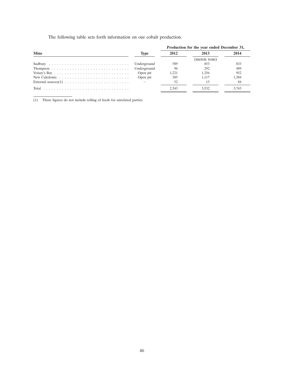The following table sets forth information on our cobalt production.

|                                                                                      |             | Production for the year ended December 31, |               |       |  |
|--------------------------------------------------------------------------------------|-------------|--------------------------------------------|---------------|-------|--|
| <b>Mine</b>                                                                          | <b>Type</b> | 2012                                       | 2013          | 2014  |  |
|                                                                                      |             |                                            | (metric tons) |       |  |
|                                                                                      | Underground | 589                                        | 853           | 833   |  |
|                                                                                      | Underground | -96                                        | 292           | 489   |  |
| Voisey's Bay $\ldots \ldots \ldots \ldots \ldots \ldots \ldots \ldots \ldots \ldots$ | Open pit    | 1.221                                      | 1.256         | 952   |  |
| New Caledonia $\ldots \ldots \ldots \ldots \ldots \ldots \ldots \ldots$              | Open pit    | 385                                        | 1.117         | 1.384 |  |
|                                                                                      |             | .52                                        | 13            | -84   |  |
|                                                                                      |             | 2.343                                      | 3.532         | 3.743 |  |

(1) These figures do not include tolling of feeds for unrelated parties.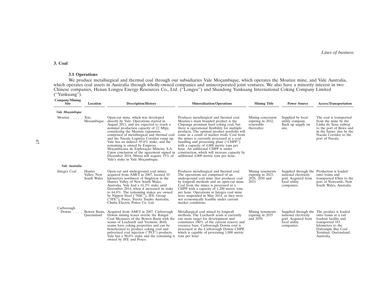#### **3. Coal**

# **3.1 Operations**

We produce metallurgical and thermal coal through our subsidiaries Vale Moçambique, which operates the Moatize mine, and Vale Australia, which operates coal assets in Australia through wholly-owned companies and unincorporated joint ventures. We also have a minority interest in two Chinese companies, Henan Longyu Energy Resources Co., Ltd. (''Longyu'') and Shandong Yankuang International Coking Company Limited (''Yankuang'').

| <b>Company/Mining</b><br><b>Site</b> | Location                             | <b>Description/History</b>                                                                                                                                                                                                                                                                                                                                                                                                                                                                                                                                                                                    | <b>Mineralization/Operations</b>                                                                                                                                                                                                                                                                                                                                                                                                                                                             | <b>Mining Title</b>                                                | <b>Power Source</b>                                                                                                     | <b>Access/Transportation</b>                                                                                                                                                                     |
|--------------------------------------|--------------------------------------|---------------------------------------------------------------------------------------------------------------------------------------------------------------------------------------------------------------------------------------------------------------------------------------------------------------------------------------------------------------------------------------------------------------------------------------------------------------------------------------------------------------------------------------------------------------------------------------------------------------|----------------------------------------------------------------------------------------------------------------------------------------------------------------------------------------------------------------------------------------------------------------------------------------------------------------------------------------------------------------------------------------------------------------------------------------------------------------------------------------------|--------------------------------------------------------------------|-------------------------------------------------------------------------------------------------------------------------|--------------------------------------------------------------------------------------------------------------------------------------------------------------------------------------------------|
| Vale Moçambique                      |                                      |                                                                                                                                                                                                                                                                                                                                                                                                                                                                                                                                                                                                               |                                                                                                                                                                                                                                                                                                                                                                                                                                                                                              |                                                                    |                                                                                                                         |                                                                                                                                                                                                  |
| Moatize Tete,                        | Mozambique                           | Open-cut mine, which was developed<br>directly by Vale. Operations started in<br>August 2011, and are expected to reach a<br>nominal production capacity of 22 Mtpy,<br>considering the Moatize expansion,<br>comprised of metallurgical and thermal coal<br>and the Nacala Logistics Corridor ramp up.<br>Vale has an indirect 95.0% stake, and the<br>remaining is owned by Empresa<br>Moçambicana de Exploração Mineira, S.A.<br>Upon conclusion of the agreement signed in construction, which will increase capacity by<br>December 2014, Mitsui will acquire 15% of<br>Vale's stake in Vale Moçambique. | Produces metallurgical and thermal coal.<br>Moatize's main branded product is the<br>Chipanga premium hard coking coal, but<br>there is operational flexibility for multiple<br>products. The optimal product portfolio will<br>come as a result of market trials. Coal from<br>the mines is currently processed at a coal<br>handling and processing plant ("CHPP") with a capacity of 4,000 metric tons per<br>hour. An additional CHPP is under<br>additional 4,000 metric tons per hour. | Mining concession<br>expiring in 2032,<br>renewable<br>thereafter. | Supplied by local<br>utility company.<br>Back up supply on<br>site.                                                     | The coal is transported<br>from the mine by the<br>Linha do Sena railway<br>to the port of Beira and<br>in the future also by the<br>Nacala Corridor to the<br>port of Nacala.                   |
| Vale Australia                       |                                      |                                                                                                                                                                                                                                                                                                                                                                                                                                                                                                                                                                                                               |                                                                                                                                                                                                                                                                                                                                                                                                                                                                                              |                                                                    |                                                                                                                         |                                                                                                                                                                                                  |
| Integra Coal                         | Hunter<br>Valley, New<br>South Wales | Open-cut and underground coal mines,<br>acquired from AMCI in 2007, located 10<br>kilometers northwest of Singleton in the<br>Hunter Valley of New South Wales,<br>Australia. Vale had a 61.2% stake until<br>December 2014, when it increased its stake<br>to 64.8%. The remaining stakes are owned<br>by Nippon Steel ("NSC"), JFE Group<br>"JFE"), Posco, Toyota Tsusho Australia,<br>Chubu Electric Power Co. Ltd.                                                                                                                                                                                        | Produces metallurgical and thermal coal.<br>The operations are comprised of an<br>underground coal mine that produces coal<br>by longwall methods and an open-cut mine.<br>Coal from the mines is processed at a<br>CHPP with a capacity of 1,200 metric tons<br>per hour. Operations at Integra coal mine<br>were suspended in May 2014, as they were<br>not economically feasible under current<br>market conditions.                                                                      | Mining tenements<br>expiring in 2023,<br>$2026, 2030$ and<br>2033. | Supplied through the Production is loaded<br>national electricity<br>grid. Acquired from<br>local utility<br>companies. | onto trains and<br>transported 83km to the<br>port of Newcastle, New<br>South Wales, Australia.                                                                                                  |
| Carborough<br>Downs $\ldots$         | Queensland                           | Bowen Basin, Acquired from AMCI in 2007. Carborough<br>Downs mining leases overlie the Rangal<br>Coal Measures of the Bowen Basin with the<br>seams of Leichardt and Vermont. Both<br>seams have coking properties and can be<br>beneficiated to produce coking coal and<br>pulverized coal injection ("PCI") products.<br>Vale has a $90.0\%$ stake and the remaining is<br>owned by JFE and Posco.                                                                                                                                                                                                          | Metallurgical coal mined by longwall<br>methods. The Leichardt seam is currently<br>our main target for development and<br>constitutes $100\%$ of the current reserve and<br>resource base. Carborough Downs coal is<br>processed at the Carborough Downs CHPP,<br>which is capable of processing 1,000 metric<br>tons per hour                                                                                                                                                              | Mining tenements<br>expiring in 2035<br>and 2039.                  | national electricity<br>grid. Acquired from<br>local utility<br>companies.                                              | Supplied through the The product is loaded<br>onto trains at a rail<br>loadout facility and<br>transported 163<br>kilometers to the<br>Dalrymple Bay Coal<br>Terminal, Queensland,<br>Australia. |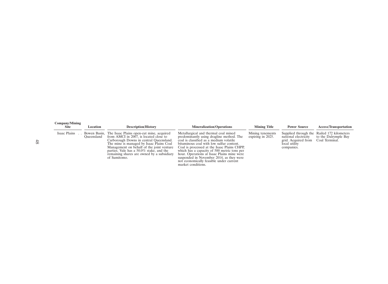| Company/Mining<br><b>Site</b> | Location   | <b>Description/History</b>                                                                                                                                                                                                                                                                                                                    | <b>Mineralization/Operations</b>                                                                                                                                                                                                                                                                                                                                                                                                 | <b>Mining Title</b>                   | <b>Power Source</b>                                                        | <b>Access/Transportation</b>                                                         |
|-------------------------------|------------|-----------------------------------------------------------------------------------------------------------------------------------------------------------------------------------------------------------------------------------------------------------------------------------------------------------------------------------------------|----------------------------------------------------------------------------------------------------------------------------------------------------------------------------------------------------------------------------------------------------------------------------------------------------------------------------------------------------------------------------------------------------------------------------------|---------------------------------------|----------------------------------------------------------------------------|--------------------------------------------------------------------------------------|
| Isaac Plains                  | Oueensland | Bowen Basin, The Isaac Plains open-cut mine, acquired<br>from AMCI in 2007, is located close to<br>Carborough Downs in central Queensland.<br>The mine is managed by Isaac Plains Coal<br>Management on behalf of the joint venture<br>parties. Vale has a 50.0% stake, and the<br>remaining shares are owned by a subsidiary<br>of Sumitomo. | Metallurgical and thermal coal mined<br>predominantly using dragline method. The<br>coal is classified as a medium volatile<br>bituminous coal with low sulfur content.<br>Coal is processed at the Isaac Plains CHPP.<br>which has a capacity of 500 metric tons per<br>hour. Operations at Isaac Plains mine were<br>suspended in November 2014, as they were<br>not economically feasible under current<br>market conditions. | Mining tenements<br>expiring in 2025. | national electricity<br>grid. Acquired from<br>local utility<br>companies. | Supplied through the Railed 172 kilometers<br>to the Dalrymple Bay<br>Coal Terminal. |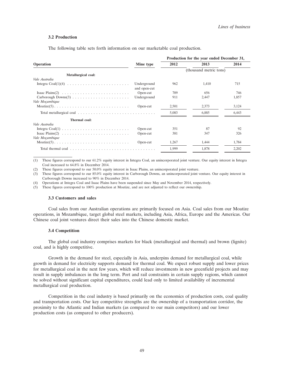#### **3.2 Production**

The following table sets forth information on our marketable coal production.

|                                                                           |                             | Production for the year ended December 31, |                        |       |  |
|---------------------------------------------------------------------------|-----------------------------|--------------------------------------------|------------------------|-------|--|
| <b>Operation</b>                                                          | Mine type                   | 2012                                       | 2013                   | 2014  |  |
|                                                                           |                             |                                            | (thousand metric tons) |       |  |
| Metallurgical coal:                                                       |                             |                                            |                        |       |  |
| <i>Vale Australia</i>                                                     |                             |                                            |                        |       |  |
|                                                                           | Underground<br>and open-cut | 962                                        | 1,410                  | 715   |  |
| Isaac Plains(2) $\ldots \ldots \ldots \ldots \ldots \ldots \ldots \ldots$ | Open-cut                    | 709                                        | 656                    | 746   |  |
|                                                                           | Underground                 | 911                                        | 2,447                  | 1,857 |  |
| <i>Vale Mocambique</i>                                                    |                             |                                            |                        |       |  |
|                                                                           | Open-cut                    | 2,501                                      | 2,373                  | 3,124 |  |
|                                                                           |                             | 5,083                                      | 6,885                  | 6,443 |  |
| Thermal coal:                                                             |                             |                                            |                        |       |  |
| Vale Australia                                                            |                             |                                            |                        |       |  |
|                                                                           | Open-cut                    | 351                                        | 87                     | 92    |  |
| Isaac Plains(2) $\ldots \ldots \ldots \ldots \ldots \ldots \ldots \ldots$ | Open-cut                    | 381                                        | 347                    | 326   |  |
| Vale Moçambique                                                           |                             |                                            |                        |       |  |
|                                                                           | Open-cut                    | 1.267                                      | 1.444                  | 1,784 |  |
|                                                                           |                             | 1,999                                      | 1,878                  | 2,202 |  |
|                                                                           |                             |                                            |                        |       |  |

(1) These figures correspond to our 61.2% equity interest in Integra Coal, an unincorporated joint venture. Our equity interest in Integra Coal increased to 64.8% in December 2014.

(2) These figures correspond to our 50.0% equity interest in Isaac Plains, an unincorporated joint venture.

(3) These figures correspond to our 85.0% equity interest in Carborough Downs, an unincorporated joint venture. Our equity interest in Carborough Downs increased to 90% in December 2014.

(4) Operations at Integra Coal and Isaac Plains have been suspended since May and November 2014, respectively.

(5) These figures correspond to 100% production at Moatize, and are not adjusted to reflect our ownership.

#### **3.3 Customers and sales**

Coal sales from our Australian operations are primarily focused on Asia. Coal sales from our Moatize operations, in Mozambique, target global steel markets, including Asia, Africa, Europe and the Americas. Our Chinese coal joint ventures direct their sales into the Chinese domestic market.

### **3.4 Competition**

The global coal industry comprises markets for black (metallurgical and thermal) and brown (lignite) coal, and is highly competitive.

Growth in the demand for steel, especially in Asia, underpins demand for metallurgical coal, while growth in demand for electricity supports demand for thermal coal. We expect robust supply and lower prices for metallurgical coal in the next few years, which will reduce investments in new greenfield projects and may result in supply imbalances in the long term. Port and rail constraints in certain supply regions, which cannot be solved without significant capital expenditures, could lead only to limited availability of incremental metallurgical coal production.

Competition in the coal industry is based primarily on the economics of production costs, coal quality and transportation costs. Our key competitive strengths are the ownership of a transportation corridor, the proximity to the Atlantic and Indian markets (as compared to our main competitors) and our lower production costs (as compared to other producers).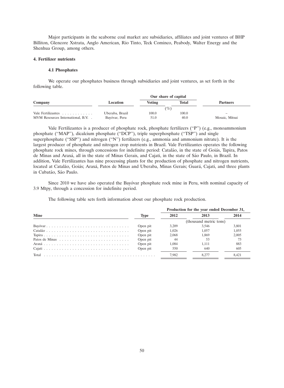Major participants in the seaborne coal market are subsidiaries, affiliates and joint ventures of BHP Billiton, Glencore Xstrata, Anglo American, Rio Tinto, Teck Cominco, Peabody, Walter Energy and the Shenhua Group, among others.

# **4. Fertilizer nutrients**

## **4.1 Phosphates**

We operate our phosphates business through subsidiaries and joint ventures, as set forth in the following table.

| Company                          | Location        | Voting | Total | <b>Partners</b>          |
|----------------------------------|-----------------|--------|-------|--------------------------|
|                                  |                 | $(\%)$ |       |                          |
| Vale Fertilizantes               | Uberaba, Brazil | 100.0  | 100.0 | $\overline{\phantom{0}}$ |
| MVM Resources International, B.V | Bayóvar, Peru   | 51.0   | 40.0  | Mosaic, Mitsui           |

Vale Fertilizantes is a producer of phosphate rock, phosphate fertilizers (''P'') (e.g., monoammonium phosphate ("MAP"), dicalcium phosphate ("DCP"), triple superphosphate ("TSP") and single superphosphate ("SSP") and nitrogen ("N") fertilizers (e.g., ammonia and ammonium nitrate). It is the largest producer of phosphate and nitrogen crop nutrients in Brazil. Vale Fertilizantes operates the following phosphate rock mines, through concessions for indefinite period: Catalão, in the state of Goiás, Tapira, Patos de Minas and Araxá, all in the state of Minas Gerais, and Cajati, in the state of São Paulo, in Brazil. In addition, Vale Fertilizantes has nine processing plants for the production of phosphate and nitrogen nutrients, located at Catalão, Goiás; Araxá, Patos de Minas and Uberaba, Minas Gerais; Guará, Cajati, and three plants in Cubatão, São Paulo.

Since 2010 we have also operated the Bayóvar phosphate rock mine in Peru, with nominal capacity of 3.9 Mtpy, through a concession for indefinite period.

The following table sets forth information about our phosphate rock production.

|             |          | Production for the year ended December 31, |                        |       |  |
|-------------|----------|--------------------------------------------|------------------------|-------|--|
| <b>Mine</b> | Type     | 2012                                       | 2013                   | 2014  |  |
|             |          |                                            | (thousand metric tons) |       |  |
|             | Open pit | 3.209                                      | 3.546                  | 3.801 |  |
|             | Open pit | 1.026                                      | 1.057                  | 1.055 |  |
|             | Open pit | 2.068                                      | 1.869                  | 2.005 |  |
|             | Open pit |                                            | 53                     |       |  |
|             | Open pit | 1.084                                      | 1.111                  | 883   |  |
|             | Open pit | 550                                        | 640                    | 605   |  |
| Total       |          | 7.982                                      |                        | 8.421 |  |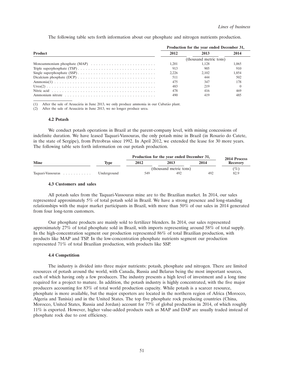The following table sets forth information about our phosphate and nitrogen nutrients production.

|                                                                                                          | Production for the year ended December 31, |                        |       |  |
|----------------------------------------------------------------------------------------------------------|--------------------------------------------|------------------------|-------|--|
| <b>Product</b>                                                                                           | 2012                                       | 2013                   | 2014  |  |
|                                                                                                          |                                            | (thousand metric tons) |       |  |
|                                                                                                          | 1.201                                      | 1.128                  | 1.065 |  |
|                                                                                                          | 913                                        | 905                    | 910   |  |
|                                                                                                          | 2.226                                      | 2.102                  | 1.854 |  |
| Dicalcium phosphate (DCP) $\ldots \ldots \ldots \ldots \ldots \ldots \ldots \ldots \ldots \ldots \ldots$ | 511                                        | 444                    | 502   |  |
|                                                                                                          | 475                                        | 347                    | 178   |  |
|                                                                                                          | 483                                        | 219                    |       |  |
|                                                                                                          | 478                                        | 416                    | 469   |  |
|                                                                                                          | 490                                        | 419                    | 48.   |  |

 $(1)$  After the sale of Araucária in June 2013, we only produce ammonia in our Cubatão plant.

(2) After the sale of Araucária in June 2013, we no longer produce urea.

#### **4.2 Potash**

We conduct potash operations in Brazil at the parent-company level, with mining concessions of indefinite duration. We have leased Taquari-Vassouras, the only potash mine in Brazil (in Rosario do Catete, in the state of Sergipe), from Petrobras since 1992. In April 2012, we extended the lease for 30 more years. The following table sets forth information on our potash production.

|                   |             | Production for the year ended December 31, | 2014 Process           |      |                 |
|-------------------|-------------|--------------------------------------------|------------------------|------|-----------------|
| <b>Mine</b>       | Tvpe        | 2012<br>2013                               |                        | 2014 | <b>Recovery</b> |
|                   |             |                                            | (thousand metric tons) |      | $(\%)$          |
| Taquari-Vassouras | Underground | 549                                        | 492                    | 492  | 82.9            |

#### **4.3 Customers and sales**

All potash sales from the Taquari-Vassouras mine are to the Brazilian market. In 2014, our sales represented approximately 5% of total potash sold in Brazil. We have a strong presence and long-standing relationships with the major market participants in Brazil, with more than 50% of our sales in 2014 generated from four long-term customers.

Our phosphate products are mainly sold to fertilizer blenders. In 2014, our sales represented approximately 27% of total phosphate sold in Brazil, with imports representing around 58% of total supply. In the high-concentration segment our production represented 86% of total Brazilian production, with products like MAP and TSP. In the low-concentration phosphate nutrients segment our production represented 71% of total Brazilian production, with products like SSP.

### **4.4 Competition**

The industry is divided into three major nutrients: potash, phosphate and nitrogen. There are limited resources of potash around the world, with Canada, Russia and Belarus being the most important sources, each of which having only a few producers. The industry presents a high level of investment and a long time required for a project to mature. In addition, the potash industry is highly concentrated, with the five major producers accounting for 83% of total world production capacity. While potash is a scarcer resource, phosphate is more available, but the major exporters are located in the northern region of Africa (Morocco, Algeria and Tunisia) and in the United States. The top five phosphate rock producing countries (China, Morocco, United States, Russia and Jordan) account for 77% of global production in 2014, of which roughly 11% is exported. However, higher value-added products such as MAP and DAP are usually traded instead of phosphate rock due to cost efficiency.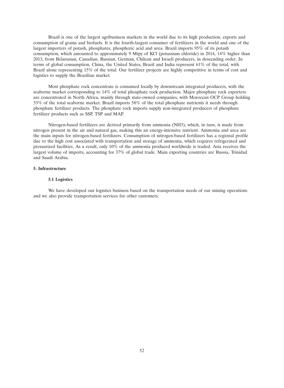Brazil is one of the largest agribusiness markets in the world due to its high production, exports and consumption of grains and biofuels. It is the fourth-largest consumer of fertilizers in the world and one of the largest importers of potash, phosphates, phosphoric acid and urea. Brazil imports 95% of its potash consumption, which amounted to approximately 9 Mtpy of KCl (potassium chloride) in 2014, 14% higher than 2013, from Belarusian, Canadian, Russian, German, Chilean and Israeli producers, in descending order. In terms of global consumption, China, the United States, Brazil and India represent 61% of the total, with Brazil alone representing 15% of the total. Our fertilizer projects are highly competitive in terms of cost and logistics to supply the Brazilian market.

Most phosphate rock concentrate is consumed locally by downstream integrated producers, with the seaborne market corresponding to 14% of total phosphate rock production. Major phosphate rock exporters are concentrated in North Africa, mainly through state-owned companies, with Moroccan OCP Group holding 33% of the total seaborne market. Brazil imports 58% of the total phosphate nutrients it needs through phosphate fertilizer products. The phosphate rock imports supply non-integrated producers of phosphate fertilizer products such as SSP, TSP and MAP.

Nitrogen-based fertilizers are derived primarily from ammonia (NH3), which, in turn, is made from nitrogen present in the air and natural gas, making this an energy-intensive nutrient. Ammonia and urea are the main inputs for nitrogen-based fertilizers. Consumption of nitrogen-based fertilizers has a regional profile due to the high cost associated with transportation and storage of ammonia, which requires refrigerated and pressurized facilities. As a result, only 10% of the ammonia produced worldwide is traded. Asia receives the largest volume of imports, accounting for 37% of global trade. Main exporting countries are Russia, Trinidad and Saudi Arabia.

# **5. Infrastructure**

## **5.1 Logistics**

We have developed our logistics business based on the transportation needs of our mining operations and we also provide transportation services for other customers.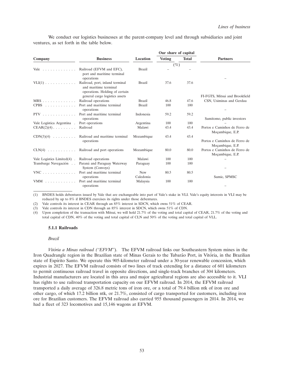We conduct our logistics businesses at the parent-company level and through subsidiaries and joint ventures, as set forth in the table below.

|                                            |                                                                                            |               | Our share of capital |              |                                                   |
|--------------------------------------------|--------------------------------------------------------------------------------------------|---------------|----------------------|--------------|---------------------------------------------------|
| Company                                    | <b>Business</b>                                                                            | Location      | <b>Voting</b>        | <b>Total</b> | <b>Partners</b>                                   |
|                                            |                                                                                            |               | $(\%)$               |              |                                                   |
| Vale $\ldots$ , $\ldots$ , $\ldots$        | Railroad (EFVM and EFC),<br>port and maritime terminal<br>operations                       | <b>Brazil</b> |                      |              |                                                   |
| $VLI(1)$                                   | Railroad, port, inland terminal<br>and maritime terminal<br>operations. Holding of certain | Brazil        | 37.6                 | 37.6         |                                                   |
|                                            | general cargo logistics assets                                                             |               |                      |              | FI-FGTS, Mitsui and Brookfield                    |
| $MRS$                                      | Railroad operations                                                                        | <b>Brazil</b> | 46.8                 | 47.6         | CSN, Usiminas and Gerdau                          |
| $CPBS$ ,                                   | Port and maritime terminal<br>operations                                                   | <b>Brazil</b> | 100                  | 100          |                                                   |
| $PTV$ ,,,,,,,,,,,,,,,                      | Port and maritime terminal<br>operations                                                   | Indonesia     | 59.2                 | 59.2         | Sumitomo, public investors                        |
|                                            |                                                                                            |               | 100                  | 100          |                                                   |
| Vale Logística Argentina . Port operations |                                                                                            | Argentina     |                      |              |                                                   |
| $CEAR(2)(4)$                               | Railroad                                                                                   | Malawi        | 43.4                 | 43.4         | Portos e Caminhos de Ferro de<br>Moçambique, E.P. |
| $CDN(3)(4) \ldots \ldots \ldots$           | Railroad and maritime terminal                                                             | Mozambique    | 43.4                 | 43.4         |                                                   |
|                                            | operations                                                                                 |               |                      |              | Portos e Caminhos de Ferro de<br>Moçambique, E.P. |
| $CLN(4)$                                   | Railroad and port operations                                                               | Mozambique    | 80.0                 | 80.0         | Portos e Caminhos de Ferro de<br>Moçambique, E.P. |
| Vale Logistics Limited $(4)$ .             | Railroad operations                                                                        | Malawi        | 100                  | 100          |                                                   |
| Transbarge Navegación                      | Paraná and Paraguay Waterway<br>System (Convoys)                                           | Paraguay      | 100                  | 100          |                                                   |
| $VNC$                                      | Port and maritime terminal                                                                 | <b>New</b>    | 80.5                 | 80.5         |                                                   |
|                                            | operations                                                                                 | Caledonia     |                      |              | Sumic, SPMSC                                      |
| $VMM$ ,                                    | Port and maritime terminal<br>operations                                                   | Malaysia      | 100                  | 100          |                                                   |

(1) BNDES holds debentures issued by Vale that are exchangeable into part of Vale's stake in VLI. Vale's equity interests in VLI may be reduced by up to 8% if BNDES exercises its rights under those debentures.

(2) Vale controls its interest in CEAR through an 85% interest in SDCN, which owns 51% of CEAR.

(3) Vale controls its interest in CDN through an 85% interest in SDCN, which owns 51% of CDN.

(4) Upon completion of the transaction with Mitsui, we will hold 21.7% of the voting and total capital of CEAR, 21.7% of the voting and total capital of CDN, 40% of the voting and total capital of CLN and 50% of the voting and total capital of VLL.

## **5.1.1 Railroads**

#### *Brazil*

Vitória a Minas railroad ("EFVM"). The EFVM railroad links our Southeastern System mines in the Iron Quadrangle region in the Brazilian state of Minas Gerais to the Tubarão Port, in Vitória, in the Brazilian state of Espírito Santo. We operate this 905-kilometer railroad under a 30-year renewable concession, which expires in 2027. The EFVM railroad consists of two lines of track extending for a distance of 601 kilometers to permit continuous railroad travel in opposite directions, and single-track branches of 304 kilometers. Industrial manufacturers are located in this area and major agricultural regions are also accessible to it. VLI has rights to use railroad transportation capacity on our EFVM railroad. In 2014, the EFVM railroad transported a daily average of 326.8 metric tons of iron ore, or a total of 79.4 billion ntk of iron ore and other cargo, of which 17.2 billion ntk, or 21.7%, consisted of cargo transported for customers, including iron ore for Brazilian customers. The EFVM railroad also carried 955 thousand passengers in 2014. In 2014, we had a fleet of 323 locomotives and 15,146 wagons at EFVM.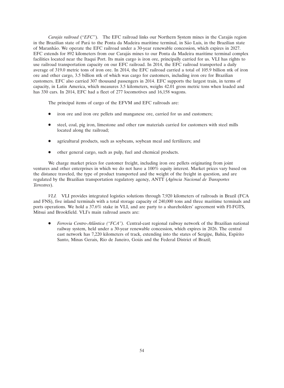*Carajás railroad* (*"EFC"*). The EFC railroad links our Northern System mines in the Carajás region in the Brazilian state of Pará to the Ponta da Madeira maritime terminal, in São Luis, in the Brazilian state of Maranhão. We operate the EFC railroad under a 30-year renewable concession, which expires in 2027. EFC extends for 892 kilometers from our Carajás mines to our Ponta da Madeira maritime terminal complex facilities located near the Itaqui Port. Its main cargo is iron ore, principally carried for us. VLI has rights to use railroad transportation capacity on our EFC railroad. In 2014, the EFC railroad transported a daily average of 319.0 metric tons of iron ore. In 2014, the EFC railroad carried a total of 105.9 billion ntk of iron ore and other cargo, 3.5 billion ntk of which was cargo for customers, including iron ore for Brazilian customers. EFC also carried 307 thousand passengers in 2014. EFC supports the largest train, in terms of capacity, in Latin America, which measures 3.5 kilometers, weighs 42.01 gross metric tons when loaded and has 330 cars. In 2014, EFC had a fleet of 277 locomotives and 16,158 wagons.

The principal items of cargo of the EFVM and EFC railroads are:

- iron ore and iron ore pellets and manganese ore, carried for us and customers;
- steel, coal, pig iron, limestone and other raw materials carried for customers with steel mills located along the railroad;
- agricultural products, such as soybeans, soybean meal and fertilizers; and
- other general cargo, such as pulp, fuel and chemical products.

We charge market prices for customer freight, including iron ore pellets originating from joint ventures and other enterprises in which we do not have a 100% equity interest. Market prices vary based on the distance traveled, the type of product transported and the weight of the freight in question, and are regulated by the Brazilian transportation regulatory agency, ANTT (*Agˆencia Nacional de Transportes Terrestres*).

*VLI.* VLI provides integrated logistics solutions through 7,920 kilometers of railroads in Brazil (FCA and FNS), five inland terminals with a total storage capacity of 240,000 tons and three maritime terminals and ports operations. We hold a 37.6% stake in VLI, and are party to a shareholders' agreement with FI-FGTS, Mitsui and Brookfield. VLI's main railroad assets are:

*Ferrovia Centro-Atlântica ("FCA").* Central-east regional railway network of the Brazilian national railway system, held under a 30-year renewable concession, which expires in 2026. The central east network has 7,220 kilometers of track, extending into the states of Sergipe, Bahia, Espírito Santo, Minas Gerais, Rio de Janeiro, Goiás and the Federal District of Brazil;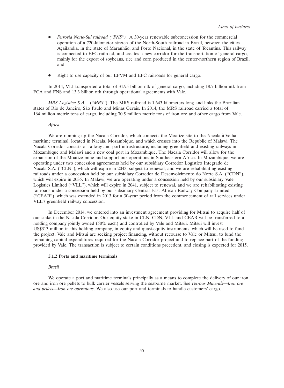- *Ferrovia Norte-Sul railroad (''FNS'').* A 30-year renewable subconcession for the commercial operation of a 720-kilometer stretch of the North-South railroad in Brazil, between the cities Acailandia, in the state of Maranhão, and Porto Nacional, in the state of Tocantins. This railway is connected to EFC railroad, and creates a new corridor for the transportation of general cargo, mainly for the export of soybeans, rice and corn produced in the center-northern region of Brazil; and
- Right to use capacity of our EFVM and EFC railroads for general cargo.

In 2014, VLI transported a total of 31.95 billion ntk of general cargo, including 18.7 billion ntk from FCA and FNS and 13.3 billion ntk through operational agreements with Vale.

*MRS Logística S.A.* ("*MRS*"). The MRS railroad is 1,643 kilometers long and links the Brazilian states of Rio de Janeiro, São Paulo and Minas Gerais. In 2014, the MRS railroad carried a total of 164 million metric tons of cargo, including 70.5 million metric tons of iron ore and other cargo from Vale.

#### *Africa*

We are ramping up the Nacala Corridor, which connects the Moatize site to the Nacala-à-Velha maritime terminal, located in Nacala, Mozambique, and which crosses into the Republic of Malawi. The Nacala Corridor consists of railway and port infrastructure, including greenfield and existing railways in Mozambique and Malawi and a new coal port in Mozambique. The Nacala Corridor will allow for the expansion of the Moatize mine and support our operations in Southeastern Africa. In Mozambique, we are operating under two concession agreements held by our subsidiary Corredor Logístico Integrado de Nacala S.A. ("CLN"), which will expire in 2043, subject to renewal, and we are rehabilitating existing railroads under a concession held by our subsidiary Corredor de Desenvolvimento do Norte S.A. (''CDN''), which will expire in 2035. In Malawi, we are operating under a concession held by our subsidiary Vale Logistics Limited ("VLL"), which will expire in 2041, subject to renewal, and we are rehabilitating existing railroads under a concession held by our subsidiary Central East African Railway Company Limited (''CEAR''), which was extended in 2013 for a 30-year period from the commencement of rail services under VLL's greenfield railway concession.

In December 2014, we entered into an investment agreement providing for Mitsui to acquire half of our stake in the Nacala Corridor. Our equity stake in CLN, CDN, VLL and CEAR will be transferred to a holding company jointly owned (50% each) and controlled by Vale and Mitsui. Mitsui will invest US\$313 million in this holding company, in equity and quasi-equity instruments, which will be used to fund the project. Vale and Mitsui are seeking project financing, without recourse to Vale or Mitsui, to fund the remaining capital expenditures required for the Nacala Corridor project and to replace part of the funding provided by Vale. The transaction is subject to certain conditions precedent, and closing is expected for 2015.

### **5.1.2 Ports and maritime terminals**

# *Brazil*

We operate a port and maritime terminals principally as a means to complete the delivery of our iron ore and iron ore pellets to bulk carrier vessels serving the seaborne market. See *Ferrous Minerals—Iron ore and pellets*—*Iron ore operations*. We also use our port and terminals to handle customers' cargo.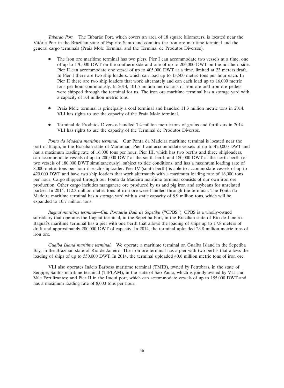*Tubarão Port.* The Tubarão Port, which covers an area of 18 square kilometers, is located near the Vitória Port in the Brazilian state of Espírito Santo and contains the iron ore maritime terminal and the general cargo terminals (Praia Mole Terminal and the Terminal de Produtos Diversos).

- The iron ore maritime terminal has two piers. Pier I can accommodate two vessels at a time, one of up to 170,000 DWT on the southern side and one of up to 200,000 DWT on the northern side. Pier II can accommodate one vessel of up to 405,000 DWT at a time, limited at 23 meters draft. In Pier I there are two ship loaders, which can load up to 13,500 metric tons per hour each. In Pier II there are two ship loaders that work alternately and can each load up to 16,000 metric tons per hour continuously. In 2014, 101.5 million metric tons of iron ore and iron ore pellets were shipped through the terminal for us. The iron ore maritime terminal has a storage yard with a capacity of 3.4 million metric tons.
- Praia Mole terminal is principally a coal terminal and handled 11.3 million metric tons in 2014. VLI has rights to use the capacity of the Praia Mole terminal.
- Terminal de Produtos Diversos handled 7.4 million metric tons of grains and fertilizers in 2014. VLI has rights to use the capacity of the Terminal de Produtos Diversos.

*Ponta da Madeira maritime terminal.* Our Ponta da Madeira maritime terminal is located near the port of Itaqui, in the Brazilian state of Maranhão. Pier I can accommodate vessels of up to 420,000 DWT and has a maximum loading rate of 16,000 tons per hour. Pier III, which has two berths and three shiploaders, can accommodate vessels of up to 200,000 DWT at the south berth and 180,000 DWT at the north berth (or two vessels of 180,000 DWT simultaneously), subject to tide conditions, and has a maximum loading rate of 8,000 metric tons per hour in each shiploader. Pier IV (south berth) is able to accommodate vessels of up to 420,000 DWT and have two ship loaders that work alternately with a maximum loading rate of 16,000 tons per hour. Cargo shipped through our Ponta da Madeira maritime terminal consists of our own iron ore production. Other cargo includes manganese ore produced by us and pig iron and soybeans for unrelated parties. In 2014, 112.3 million metric tons of iron ore were handled through the terminal. The Ponta da Madeira maritime terminal has a storage yard with a static capacity of 8.9 million tons, which will be expanded to 10.7 million tons.

Itaguaí maritime terminal—Cia. Portuária Baía de Sepetiba ("CPBS"). CPBS is a wholly-owned subsidiary that operates the Itaguaí terminal, in the Sepetiba Port, in the Brazilian state of Rio de Janeiro. Itaguai's maritime terminal has a pier with one berth that allows the loading of ships up to 17.8 meters of draft and approximately 200,000 DWT of capacity. In 2014, the terminal uploaded 23.8 million metric tons of iron ore.

*Guaíba Island maritime terminal.* We operate a maritime terminal on Guaíba Island in the Sepetiba Bay, in the Brazilian state of Rio de Janeiro. The iron ore terminal has a pier with two berths that allows the loading of ships of up to 350,000 DWT. In 2014, the terminal uploaded 40.6 million metric tons of iron ore.

VLI also operates Inacio Barbosa maritime terminal (TMIB), owned by Petrobras, in the state of ´ Sergipe; Santos maritime terminal (TIPLAM), in the state of São Paulo, which is jointly owned by VLI and Vale Fertilizantes; and Pier II in the Itaqui port, which can accommodate vessels of up to 155,000 DWT and has a maximum loading rate of 8,000 tons per hour.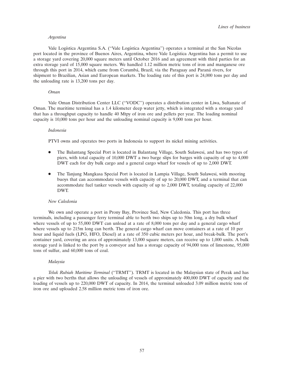#### *Argentina*

Vale Logística Argentina S.A. ("Vale Logística Argentina") operates a terminal at the San Nicolas port located in the province of Buenos Aires, Argentina, where Vale Logística Argentina has a permit to use a storage yard covering 20,000 square meters until October 2016 and an agreement with third parties for an extra storage yard of 15,000 square meters. We handled 1.12 million metric tons of iron and manganese ore through this port in 2014, which came from Corumbá, Brazil, via the Paraguay and Paraná rivers, for shipment to Brazilian, Asian and European markets. The loading rate of this port is 24,000 tons per day and the unloading rate is 13,200 tons per day.

## *Oman*

Vale Oman Distribution Center LLC (''VODC'') operates a distribution center in Liwa, Sultanate of Oman. The maritime terminal has a 1.4 kilometer deep water jetty, which is integrated with a storage yard that has a throughput capacity to handle 40 Mtpy of iron ore and pellets per year. The loading nominal capacity is 10,000 tons per hour and the unloading nominal capacity is 9,000 tons per hour.

#### *Indonesia*

PTVI owns and operates two ports in Indonesia to support its nickel mining activities.

- The Balantang Special Port is located in Balantang Village, South Sulawesi, and has two types of piers, with total capacity of 10,000 DWT a two barge slips for barges with capacity of up to 4,000 DWT each for dry bulk cargo and a general cargo wharf for vessels of up to 2,000 DWT.
- The Tanjung Mangkasa Special Port is located in Lampia Village, South Sulawesi, with mooring buoys that can accommodate vessels with capacity of up to 20,000 DWT, and a terminal that can accommodate fuel tanker vessels with capacity of up to 2,000 DWT, totaling capacity of 22,000 DWT.

# *New Caledonia*

We own and operate a port in Prony Bay, Province Sud, New Caledonia. This port has three terminals, including a passenger ferry terminal able to berth two ships up to 50m long, a dry bulk wharf where vessels of up to 55,000 DWT can unload at a rate of 8,000 tons per day and a general cargo wharf where vessels up to 215m long can berth. The general cargo wharf can move containers at a rate of 10 per hour and liquid fuels (LPG, HFO, Diesel) at a rate of 350 cubic meters per hour, and break-bulk. The port's container yard, covering an area of approximately 13,000 square meters, can receive up to 1,000 units. A bulk storage yard is linked to the port by a conveyor and has a storage capacity of 94,000 tons of limestone, 95,000 tons of sulfur, and 60,000 tons of coal.

## *Malaysia*

*Teluk Rubiah Maritime Terminal* (''TRMT''). TRMT is located in the Malaysian state of Perak and has a pier with two berths that allows the unloading of vessels of approximately 400,000 DWT of capacity and the loading of vessels up to 220,000 DWT of capacity. In 2014, the terminal unloaded 3.09 million metric tons of iron ore and uploaded 2.58 million metric tons of iron ore.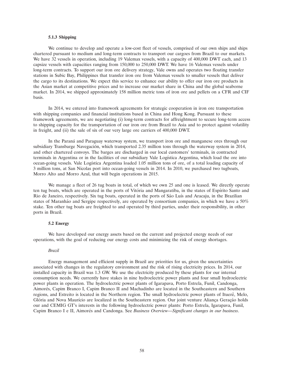### **5.1.3 Shipping**

We continue to develop and operate a low-cost fleet of vessels, comprised of our own ships and ships chartered pursuant to medium and long-term contracts to transport our cargoes from Brazil to our markets. We have 32 vessels in operation, including 19 Valemax vessels, with a capacity of 400,000 DWT each, and 13 capsize vessels with capacities ranging from 150,000 to 250,000 DWT. We have 16 Valemax vessels under long-term contracts. To support our iron ore delivery strategy, Vale owns and operates two floating transfer stations in Subic Bay, Philippines that transfer iron ore from Valemax vessels to smaller vessels that deliver the cargo to its destinations. We expect this service to enhance our ability to offer our iron ore products in the Asian market at competitive prices and to increase our market share in China and the global seaborne market. In 2014, we shipped approximately 158 million metric tons of iron ore and pellets on a CFR and CIF basis.

In 2014, we entered into framework agreements for strategic cooperation in iron ore transportation with shipping companies and financial institutions based in China and Hong Kong. Pursuant to these framework agreements, we are negotiating (i) long-term contracts for affreightment to secure long-term access to shipping capacity for the transportation of our iron ore from Brazil to Asia and to protect against volatility in freight, and (ii) the sale of six of our very large ore carriers of 400,000 DWT.

In the Paraná and Paraguay waterway system, we transport iron ore and manganese ores through our subsidiary Transbarge Navegación, which transported 2.35 million tons through the waterway system in 2014, and other chartered convoys. The barges are discharged in our local customers' terminals, in contracted terminals in Argentina or in the facilities of our subsidiary Vale Logística Argentina, which load the ore into ocean-going vessels. Vale Logística Argentina loaded 1.05 million tons of ore, of a total loading capacity of 3 million tons, at San Nicolas port into ocean-going vessels in 2014. In 2010, we purchased two tugboats, Morro Alto and Morro Azul, that will begin operations in 2015.

We manage a fleet of 26 tug boats in total, of which we own 25 and one is leased. We directly operate ten tug boats, which are operated in the ports of Vitória and Mangaratiba, in the states of Espírito Santo and Rio de Janeiro, respectively. Six tug boats, operated in the ports of São Luís and Aracaju, in the Brazilian states of Maranhão and Sergipe respectively, are operated by consortium companies, in which we have a 50% stake. Ten other tug boats are freighted to and operated by third parties, under their responsibility, in other ports in Brazil.

# **5.2 Energy**

We have developed our energy assets based on the current and projected energy needs of our operations, with the goal of reducing our energy costs and minimizing the risk of energy shortages.

## *Brazil*

Energy management and efficient supply in Brazil are priorities for us, given the uncertainties associated with changes in the regulatory environment and the risk of rising electricity prices. In 2014, our installed capacity in Brazil was 1.3 GW. We use the electricity produced by these plants for our internal consumption needs. We currently have stakes in nine hydroelectric power plants and four small hydroelectric power plants in operation. The hydroelectric power plants of Igarapava, Porto Estrela, Funil, Candonga, Aimores, Capim Branco I, Capim Branco II and Machadinho are located in the Southeastern and Southern ´ regions, and Estreito is located in the Northern region. The small hydroelectric power plants of Ituerê, Melo, Glória and Nova Maurício are localized in the Southeastern region. Our joint venture Aliança Geração holds our and CEMIG GT's interests in the following hydroelectric power plants: Porto Estrela, Igarapava, Funil, Capim Branco I e II, Aimorés and Candonga. See *Business Overview—Significant changes in our business*.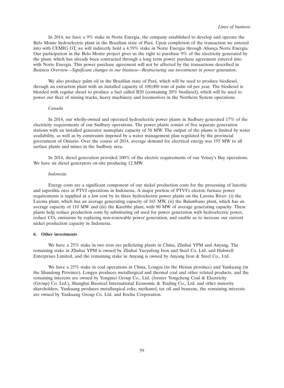In 2014, we have a 9% stake in Norte Energia, the company established to develop and operate the Belo Monte hydroelectric plant in the Brazilian state of Para. Upon completion of the transaction we entered ´ into with CEMIG GT, we will indirectly hold a 4.59% stake in Norte Energia through Aliança Norte Energia. Our participation in the Belo Monte project gives us the right to purchase 9% of the electricity generated by the plant, which has already been contracted through a long term power purchase agreement entered into with Norte Energia. This power purchase agreement will not be affected by the transactions described in *Business Overview—Significant changes in our business—Restructuring our investments in power generation*.

We also produce palm oil in the Brazilian state of Pará, which will be used to produce biodiesel, through an extraction plant with an installed capacity of 100,000 tons of palm oil per year. The biodiesel is blended with regular diesel to produce a fuel called B20 (containing 20% biodiesel), which will be used to power our fleet of mining trucks, heavy machinery and locomotives in the Northern System operations.

#### *Canada*

In 2014, our wholly-owned and operated hydroelectric power plants in Sudbury generated 17% of the electricity requirements of our Sudbury operations. The power plants consist of five separate generation stations with an installed generator nameplate capacity of 56 MW. The output of the plants is limited by water availability, as well as by constraints imposed by a water management plan regulated by the provincial government of Ontario. Over the course of 2014, average demand for electrical energy was 195 MW to all surface plants and mines in the Sudbury area.

In 2014, diesel generation provided 100% of the electric requirements of our Voisey's Bay operations. We have six diesel generators on-site producing 12 MW.

#### *Indonesia*

Energy costs are a significant component of our nickel production costs for the processing of lateritic and saprolitic ores at PTVI operations in Indonesia. A major portion of PTVI's electric furnace power requirements is supplied at a low cost by its three hydroelectric power plants on the Larona River: (i) the Larona plant, which has an average generating capacity of 165 MW, (ii) the Balambano plant, which has an average capacity of 110 MW and (iii) the Karebbe plant, with 90 MW of average generating capacity. These plants help reduce production costs by substituting oil used for power generation with hydroelectric power, reduce  $CO<sub>2</sub>$  emissions by replacing non-renewable power generation, and enable us to increase our current nickel production capacity in Indonesia.

## **6. Other investments**

We have a 25% stake in two iron ore pelletizing plants in China, Zhuhai YPM and Anyang. The remaining stake in Zhuhai YPM is owned by Zhuhai Yueyufeng Iron and Steel Co. Ltd. and Halswell Enterprises Limited, and the remaining stake in Anyang is owned by Anyang Iron & Steel Co., Ltd.

We have a 25% stake in coal operations in China, Longyu (in the Henan province) and Yankuang (in the Shandong Province). Longyu produces metallurgical and thermal coal and other related products, and the remaining interests are owned by Yongmei Group Co., Ltd. (former Yongcheng Coal & Electricity (Group) Co. Ltd.), Shanghai Baosteel International Economic & Trading Co., Ltd. and other minority shareholders. Yankuang produces metallurgical coke, methanol, tar oil and benzene, the remaining interests are owned by Yankuang Group Co. Ltd. and Itochu Corporation.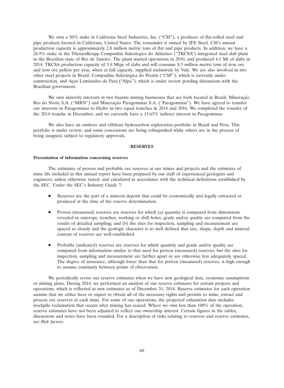We own a 50% stake in California Steel Industries, Inc. ("CSI"), a producer of flat-rolled steel and pipe products located in California, United States. The remainder is owned by JFE Steel. CSI's annual production capacity is approximately 2.8 million metric tons of flat and pipe products. In addition, we have a 26.9% stake in the ThyssenKrupp Companhia Siderúrgica do Atlântico ("TKCSA") integrated steel slab plant in the Brazilian state of Rio de Janeiro. The plant started operations in 2010, and produced 4.1 Mt of slabs in 2014. TKCSA production capacity of 5.0 Mtpy of slabs and will consume 8.5 million metric tons of iron ore and iron ore pellets per year, when at full capacity, supplied exclusively by Vale. We are also involved in two other steel projects in Brazil: Companhia Siderúrgica do Pecém ("CSP"), which is currently under construction, and Aços Laminados do Pará (''Alpa''), which is under review pending discussions with the Brazilian government.

We own minority interests in two bauxite mining businesses that are both located in Brazil: Mineração Rio do Norte S.A. ("MRN") and Mineração Paragominas S.A. ("Paragominas"). We have agreed to transfer our interests in Paragominas to Hydro in two equal tranches in 2014 and 2016. We completed the transfer of the 2014 tranche in December, and we currently have a 13.63% indirect interest in Paragominas.

We also have an onshore and offshore hydrocarbon exploration portfolio in Brazil and Peru. This portfolio is under review, and some concessions are being relinquished while others are in the process of being assigned, subject to regulatory approvals.

## **RESERVES**

#### **Presentation of information concerning reserves**

The estimates of proven and probable ore reserves at our mines and projects and the estimates of mine life included in this annual report have been prepared by our staff of experienced geologists and engineers, unless otherwise stated, and calculated in accordance with the technical definitions established by the SEC. Under the SEC's Industry Guide 7:

- Reserves are the part of a mineral deposit that could be economically and legally extracted or produced at the time of the reserve determination.
- Proven (measured) reserves are reserves for which (a) quantity is computed from dimensions revealed in outcrops, trenches, working or drill holes; grade and/or quality are computed from the results of detailed sampling; and (b) the sites for inspection, sampling and measurement are spaced so closely and the geologic character is so well defined that size, shape, depth and mineral content of reserves are well-established.
- Probable (indicated) reserves are reserves for which quantity and grade and/or quality are computed from information similar to that used for proven (measured) reserves, but the sites for inspection, sampling and measurement are farther apart or are otherwise less adequately spaced. The degree of assurance, although lower than that for proven (measured) reserves, is high enough to assume continuity between points of observation.

We periodically revise our reserve estimates when we have new geological data, economic assumptions or mining plans. During 2014, we performed an analysis of our reserve estimates for certain projects and operations, which is reflected in new estimates as of December 31, 2014. Reserve estimates for each operation assume that we either have or expect to obtain all of the necessary rights and permits to mine, extract and process ore reserves at each mine. For some of our operations, the projected exhaustion date includes stockpile reclamation that occurs after mining has ceased. Where we own less than 100% of the operation, reserve estimates have not been adjusted to reflect our ownership interest. Certain figures in the tables, discussions and notes have been rounded. For a description of risks relating to reserves and reserve estimates, see *Risk factors*.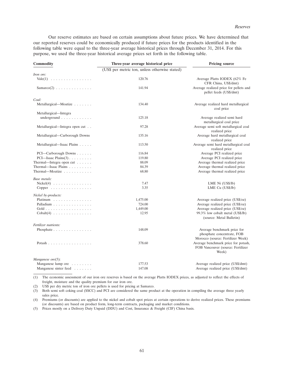Our reserve estimates are based on certain assumptions about future prices. We have determined that our reported reserves could be economically produced if future prices for the products identified in the following table were equal to the three-year average historical prices through December 31, 2014. For this purpose, we used the three-year historical average prices set forth in the following table.

| Commodity                                      | Three-year average historical price            | <b>Pricing source</b>                                                                          |  |  |
|------------------------------------------------|------------------------------------------------|------------------------------------------------------------------------------------------------|--|--|
|                                                | (US\$ per metric ton, unless otherwise stated) |                                                                                                |  |  |
| Iron ore:                                      |                                                |                                                                                                |  |  |
| $\text{Value}(1)$                              | 120.76                                         | Average Platts IODEX (62% Fe<br>CFR China, US\$/dmt)                                           |  |  |
| $Samarco(2) \ldots \ldots \ldots \ldots$       | 141.94                                         | Average realized price for pellets and<br>pellet feeds (US\$/dmt)                              |  |  |
| Coal:                                          |                                                |                                                                                                |  |  |
| Metallurgical—Moatize                          | 134.40                                         | Average realized hard metallurgical<br>coal price                                              |  |  |
| Metallurgical—Integra                          |                                                |                                                                                                |  |  |
| underground $\ldots \ldots \ldots$             | 125.18                                         | Average realized semi hard<br>metallurgical coal price                                         |  |  |
| Metallurgical—Integra open cut                 | 97.28                                          | Average semi soft metallurgical coal<br>realized price                                         |  |  |
| Metallurgical-Carborough Downs                 | 135.16                                         | Average hard metallurgical coal<br>realized price                                              |  |  |
| Metallurgical—Isaac Plains                     | 113.50                                         | Average semi hard metallurgical coal<br>realized price                                         |  |  |
| PCI—Carborough Downs                           | 116.84                                         | Average PCI realized price                                                                     |  |  |
| PCI—Isaac Plains $(3)$                         | 119.80                                         | Average PCI realized price                                                                     |  |  |
| Thermal—Integra open cut                       | 88.09                                          | Average thermal realized price                                                                 |  |  |
| Thermal—Isaac Plains $\ldots$ ,                | 84.39                                          | Average thermal realized price                                                                 |  |  |
| Thermal-Moatize                                | 68.80                                          | Average thermal realized price                                                                 |  |  |
| Base metals:                                   |                                                |                                                                                                |  |  |
| $Nickel(4) \ldots \ldots \ldots \ldots$        | 7.47                                           | LME Ni (US\$/lb)                                                                               |  |  |
| $Copper \ldots \ldots \ldots \ldots \ldots$    | 3.35                                           | LME Cu (US\$/lb)                                                                               |  |  |
| Nickel by-products:                            |                                                |                                                                                                |  |  |
| Platinum                                       | 1,475.00                                       | Average realized price (US\$/oz)                                                               |  |  |
| Palladium                                      | 724.00                                         | Average realized price (US\$/oz)                                                               |  |  |
| Gold                                           | 1,449.00                                       | Average realized price (US\$/oz)                                                               |  |  |
| $\text{Cobalt}(4) \ldots \ldots \ldots \ldots$ | 12.95                                          | 99.3% low cobalt metal (US\$/lb)<br>(source: Metal Bulletin)                                   |  |  |
| Fertilizer nutrients:                          |                                                |                                                                                                |  |  |
| Phosphate $\ldots \ldots \ldots \ldots \ldots$ | 148.09                                         | Average benchmark price for<br>phosphate concentrate, FOB<br>Morocco (source: Fertilizer Week) |  |  |
| Potash                                         | 378.60                                         | Average benchmark price for potash,<br>FOB Vancouver (source: Fertilizer<br>Week)              |  |  |
| Manganese $ore(5)$ :                           |                                                |                                                                                                |  |  |
| Manganese lump ore                             | 177.53                                         | Average realized price (US\$/dmt)                                                              |  |  |
| Manganese sinter feed                          | 147.08                                         | Average realized price (US\$/dmt)                                                              |  |  |

(1) The economic assessment of our iron ore reserves is based on the average Platts IODEX prices, as adjusted to reflect the effects of freight, moisture and the quality premium for our iron ore.

(2) US\$ per dry metric ton of iron ore pellets is used for pricing at Samarco.

(3) Both semi soft coking coal (SSCC) and PCI are considered the same product at the operation in compiling the average three yearly sales price.

(4) Premiums (or discounts) are applied to the nickel and cobalt spot prices at certain operations to derive realized prices. These premiums (or discounts) are based on product form, long-term contracts, packaging and market conditions.

(5) Prices mostly on a Delivery Duty Unpaid (DDU) and Cost, Insurance & Freight (CIF) China basis.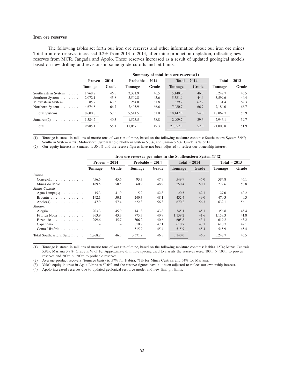#### **Iron ore reserves**

The following tables set forth our iron ore reserves and other information about our iron ore mines. Total iron ore reserves increased 0.2% from 2013 to 2014, after mine production depletion, reflecting new reserves from MCR, Jangada and Apolo. These reserves increased as a result of updated geological models based on new drilling and revisions in some grade cutoffs and pit limits.

|                                     |                | Summary of total iron ore reserves $(1)$ |                 |       |                |       |                |       |  |  |  |  |
|-------------------------------------|----------------|------------------------------------------|-----------------|-------|----------------|-------|----------------|-------|--|--|--|--|
|                                     | Proven $-2014$ |                                          | Probable - 2014 |       | Total $-2014$  |       | Total $-2013$  |       |  |  |  |  |
|                                     | <b>Tonnage</b> | Grade                                    | <b>Tonnage</b>  | Grade | <b>Tonnage</b> | Grade | <b>Tonnage</b> | Grade |  |  |  |  |
| Southeastern System                 | 1.768.2        | 46.5                                     | 3.371.9         | 46.5  | 5,140.0        | 46.5  | 5.247.7        | 46.5  |  |  |  |  |
| Southern System                     | 2,072.1        | 45.8                                     | 3,509.8         | 43.6  | 5,581.9        | 44.4  | 5,599.6        | 44.4  |  |  |  |  |
| Midwestern System                   | 85.7           | 63.3                                     | 254.0           | 61.8  | 339.7          | 62.2  | 31.4           | 62.3  |  |  |  |  |
| Northern System                     | 4,674.8        | 66.7                                     | 2,405.9         | 66.6  | 7,080.7        | 66.7  | 7,184.0        | 66.7  |  |  |  |  |
| Total Systems                       | 8,600.8        | 57.5                                     | 9,541.5         | 51.0  | 18,142.3       | 54.0  | 18,062.7       | 53.9  |  |  |  |  |
| $Samarco(2) \ldots \ldots \ldots$   | 1.384.2        | 40.5                                     | 1,525.5         | 38.8  | 2,909.7        | 39.6  | 2.946.1        | 39.7  |  |  |  |  |
| Total $\ldots \ldots \ldots \ldots$ | 9.985.1        | 55.1                                     | 11,067.1        | 49.3  | 21,052.0       | 52.0  | 21,008.8       | 51.9  |  |  |  |  |

(1) Tonnage is stated in millions of metric tons of wet run-of-mine, based on the following moisture contents: Southeastern System 3.9%; Southern System 4.3%; Midwestern System 8.1%; Northern System 5.8%; and Samarco 6%. Grade is % of Fe.

(2) Our equity interest in Samarco is 50.0% and the reserve figures have not been adjusted to reflect our ownership interest.

|                                          | Iron ore reserves per mine in the Southeastern System $(1)(2)$ |       |                |                 |                |               |                |               |  |  |
|------------------------------------------|----------------------------------------------------------------|-------|----------------|-----------------|----------------|---------------|----------------|---------------|--|--|
|                                          | Proven $-2014$                                                 |       |                | Probable - 2014 |                | Total $-2014$ |                | Total $-2013$ |  |  |
|                                          | <b>Tonnage</b>                                                 | Grade | <b>Tonnage</b> | Grade           | <b>Tonnage</b> | Grade         | <b>Tonnage</b> | Grade         |  |  |
| Itabira                                  |                                                                |       |                |                 |                |               |                |               |  |  |
| Conceição $\ldots$ , $\ldots$ , $\ldots$ | 456.6                                                          | 45.6  | 93.3           | 47.9            | 549.9          | 46.0          | 584.8          | 46.1          |  |  |
| Minas do Meio                            | 189.5                                                          | 50.5  | 60.9           | 48.9            | 250.4          | 50.1          | 272.6          | 50.8          |  |  |
| Minas Centrais                           |                                                                |       |                |                 |                |               |                |               |  |  |
| Agua Limpa $(3)$                         | 15.3                                                           | 41.9  | 5.2            | 42.8            | 20.5           | 42.1          | 27.0           | 42.2          |  |  |
| Brucutu $\ldots$ , $\ldots$ , $\ldots$   | 192.1                                                          | 50.1  | 240.3          | 48.1            | 432.4          | 49.0          | 470.3          | 49.3          |  |  |
| $Apolo(4) \ldots \ldots \ldots \ldots$   | 47.9                                                           | 57.4  | 622.3          | 56.3            | 670.2          | 56.3          | 632.1          | 56.1          |  |  |
| Mariana                                  |                                                                |       |                |                 |                |               |                |               |  |  |
| Alegria $\ldots$ ,                       | 203.3                                                          | 45.9  | 141.8          | 43.8            | 345.1          | 45.1          | 356.8          | 45.4          |  |  |
| Fábrica Nova                             | 363.9                                                          | 43.3  | 775.3          | 40.9            | 1,139.2        | 41.6          | 1,158.3        | 41.8          |  |  |
| Fazendão                                 | 299.6                                                          | 45.7  | 306.2          | 40.6            | 605.8          | 43.1          | 619.2          | 43.2          |  |  |
| Capanema $\ldots \ldots \ldots$          |                                                                |       | 610.7          | 47.1            | 610.7          | 47.1          | 610.7          | 47.1          |  |  |
| Conta História                           |                                                                |       | 515.9          | 45.4            | 515.9          | 45.4          | 515.9          | 45.4          |  |  |
| Total Southeastern System                | 1.768.2                                                        | 46.5  | 3.371.9        | 46.5            | 5,140.0        | 46.5          | 5.247.7        | 46.5          |  |  |

(1) Tonnage is stated in millions of metric tons of wet run-of-mine, based on the following moisture contents: Itabira 1.5%; Minas Centrais 5.9%; Mariana 3.9%. Grade is % of Fe. Approximate drill hole spacing used to classify the reserves were: 100m  $\times$  100m to proven reserves and  $200m \times 200m$  to probable reserves.

(2) Average product recovery (tonnage basis) is: 57% for Itabira, 71% for Minas Centrais and 54% for Mariana.

(3) Vale's equity interest in Agua Limpa is 50.0% and the reserve figures have not been adjusted to reflect our ownership interest. ´

(4) Apolo increased reserves due to updated geological resource model and new final pit limits.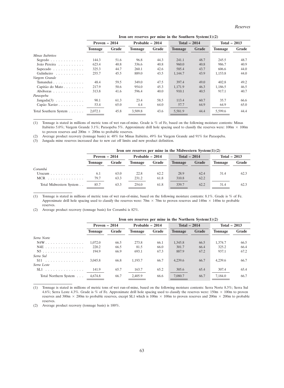|                                   | Iron ore reserves per mine in the Southern System $(1)(2)$ |       |                |                 |                |               |                |               |  |  |
|-----------------------------------|------------------------------------------------------------|-------|----------------|-----------------|----------------|---------------|----------------|---------------|--|--|
|                                   | Proven $-2014$                                             |       |                | Probable - 2014 |                | Total $-2014$ |                | Total $-2013$ |  |  |
|                                   | <b>Tonnage</b>                                             | Grade | <b>Tonnage</b> | Grade           | <b>Tonnage</b> | Grade         | <b>Tonnage</b> | Grade         |  |  |
| Minas Itabiritos                  |                                                            |       |                |                 |                |               |                |               |  |  |
| Segredo                           | 144.3                                                      | 51.6  | 96.8           | 44.3            | 241.1          | 48.7          | 245.5          | 48.7          |  |  |
| João Pereira                      | 623.4                                                      | 40.8  | 336.6          | 40.8            | 960.0          | 40.8          | 986.7          | 40.9          |  |  |
| Sapecado                          | 325.3                                                      | 44.7  | 260.1          | 42.6            | 585.4          | 43.7          | 606.6          | 44.0          |  |  |
| Galinheiro                        | 255.7                                                      | 45.5  | 889.0          | 43.5            | 1,144.7        | 43.9          | 1,153.8        | 44.0          |  |  |
| Vargem Grande                     |                                                            |       |                |                 |                |               |                |               |  |  |
| Tamanduá                          | 48.4                                                       | 59.5  | 349.0          | 47.5            | 397.4          | 49.0          | 402.8          | 49.2          |  |  |
| Capitão do Mato                   | 217.9                                                      | 50.6  | 954.0          | 45.3            | 1,171.9        | 46.3          | 1,186.5        | 46.5          |  |  |
| Abóboras                          | 313.8                                                      | 41.6  | 596.4          | 40.0            | 910.1          | 40.5          | 917.1          | 40.7          |  |  |
| Paraopeba                         |                                                            |       |                |                 |                |               |                |               |  |  |
| $Jangada(3) \ldots \ldots \ldots$ | 90.1                                                       | 61.3  | 23.4           | 58.5            | 113.4          | 60.7          | 35.7           | 66.6          |  |  |
| Capão Xavier                      | 53.4                                                       | 65.0  | 4.4            | 64.0            | 57.7           | 64.9          | 64.9           | 65.0          |  |  |
| Total Southern System             | 2.072.1                                                    | 45.8  | 3.509.8        | 43.6            | 5,581.9        | 44.4          | 5.599.6        | 44.4          |  |  |

(1) Tonnage is stated in millions of metric tons of wet run-of-mine. Grade is % of Fe, based on the following moisture contents: Minas Itabirito 5.0%; Vargem Grande 3.1%; Paraopeba 5%. Approximate drill hole spacing used to classify the reserves were:  $100m \times 100m$ to proven reserves and  $200m \times 200m$  to probable reserves.

(2) Average product recovery (tonnage basis) is: 48% for Minas Itabirito, 49% for Vargem Grande and 91% for Paraopeba.

(3) Jangada mine reserves increased due to new cut off limits and new product definition.

| Iron ore reserves per mine in the Midwestern System $(1)(2)$ |  |  |  |
|--------------------------------------------------------------|--|--|--|
|--------------------------------------------------------------|--|--|--|

|                                      | Proven $-2014$ |       | Probable $-2014$ |       | Total $-2014$  |       | Total $-2013$  |       |  |
|--------------------------------------|----------------|-------|------------------|-------|----------------|-------|----------------|-------|--|
|                                      | <b>Tonnage</b> | Grade | <b>Tonnage</b>   | Grade | <b>Tonnage</b> | Grade | <b>Tonnage</b> | Grade |  |
| Corumbá                              |                |       |                  |       |                |       |                |       |  |
| Urucum $\ldots \ldots \ldots \ldots$ | 6.1            | 63.0  | 22.8             | 62.2  | 28.9           | 62.4  | 31.4           | 62.3  |  |
| $MCR$                                | 79.7           | 63.3  | 231.2            | 61.8  | 310.8          | 62.2  |                |       |  |
| Total Midwestern System              | 85.7           | 63.3  | 254.0            | 61.8  | 339.7          | 62.2  | 31.4           | 62.3  |  |

(1) Tonnage is stated in millions of metric tons of wet run-of-mine, based on the following moisture contents: 8.1%. Grade is % of Fe. Approximate drill hole spacing used to classify the reserves were: 70m  $\times$  70m to proven reserves and 140m  $\times$  140m to probable reserves.

(2) Average product recovery (tonnage basis) for Corumba is  $82\%$ .

|                       | Iron ore reserves per mine in the Northern System $(1)(2)$ |       |                  |       |                |       |                |       |  |  |
|-----------------------|------------------------------------------------------------|-------|------------------|-------|----------------|-------|----------------|-------|--|--|
|                       | Proven $-2014$                                             |       | Probable $-2014$ |       | Total $-2014$  |       | Total $-2013$  |       |  |  |
|                       | Tonnage                                                    | Grade | <b>Tonnage</b>   | Grade | <b>Tonnage</b> | Grade | <b>Tonnage</b> | Grade |  |  |
| Serra Norte           |                                                            |       |                  |       |                |       |                |       |  |  |
| N4W                   | 1,072.0                                                    | 66.5  | 273.8            | 66.1  | 1,345.8        | 66.5  | 1.374.7        | 66.5  |  |  |
| N4E                   | 220.2                                                      | 66.5  | 81.5             | 66.0  | 301.7          | 66.4  | 325.2          | 66.4  |  |  |
| N5                    | 194.9                                                      | 66.9  | 693.1            | 67.3  | 887.9          | 67.2  | 937.1          | 67.2  |  |  |
| Serra Sul             |                                                            |       |                  |       |                |       |                |       |  |  |
| S11                   | 3.045.8                                                    | 66.8  | 1.193.7          | 66.7  | 4.239.6        | 66.7  | 4.239.6        | 66.7  |  |  |
| Serra Leste           |                                                            |       |                  |       |                |       |                |       |  |  |
| $SL1$                 | 141.9                                                      | 65.7  | 163.7            | 65.2  | 305.6          | 65.4  | 307.4          | 65.4  |  |  |
| Total Northern System | 4.674.8                                                    | 66.7  | 2.405.9          | 66.6  | 7,080.7        | 66.7  | 7.184.0        | 66.7  |  |  |

(1) Tonnage is stated in millions of metric tons of wet run-of-mine, based on the following moisture contents: Serra Norte 8.3%; Serra Sul 4.6%; Serra Leste 4.3%. Grade is % of Fe. Approximate drill hole spacing used to classify the reserves were:  $150 \text{m} \times 100 \text{m}$  to proven reserves and 300m  $\times$  200m to probable reserves, except SL1 which is 100m  $\times$  100m to proven reserves and 200m  $\times$  200m to probable reserves.

(2) Average product recovery (tonnage basis) is 100%.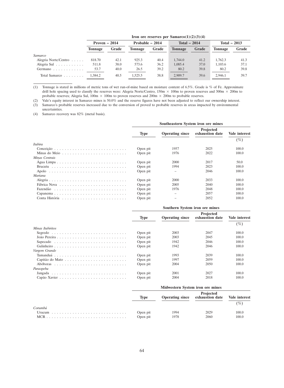|  |  |  |  | Iron ore reserves per Samarco $(1)(2)(3)(4)$ |  |  |  |  |  |  |  |
|--|--|--|--|----------------------------------------------|--|--|--|--|--|--|--|
|--|--|--|--|----------------------------------------------|--|--|--|--|--|--|--|

| Proven $-2014$ |       | Probable - 2014 |       | Total $-2014$  |       | Total $-2013$ |       |  |  |
|----------------|-------|-----------------|-------|----------------|-------|---------------|-------|--|--|
| Tonnage        | Grade | <b>Tonnage</b>  | Grade | <b>Tonnage</b> | Grade | Tonnage       | Grade |  |  |
|                |       |                 |       |                |       |               |       |  |  |
| 818.70         | 42.1  | 925.3           | 40.4  | 1,744.0        | 41.2  | 1.762.3       | 41.3  |  |  |
| 511.8          | 38.0  | 573.6           | 36.2  | 1,085.4        | 37.0  | 1.103.6       | 37.1  |  |  |
| 53.7           | 40.0  | 26.5            | 39.2  | 80.2           | 39.8  | 80.2          | 39.8  |  |  |
| 1.384.2        | 40.5  | 1.525.5         | 38.8  | 2,909.7        | 39.6  | 2.946.1       | 39.7  |  |  |
|                |       |                 |       |                |       |               |       |  |  |

(1) Tonnage is stated in millions of metric tons of wet run-of-mine based on moisture content of 6.5%. Grade is % of Fe. Approximate drill hole spacing used to classify the reserves were: Alegria Norte/Centro, 150m  $\times$  100m to proven reserves and 300m  $\times$  200m to probable reserves; Alegria Sul,  $100m \times 100m$  to proven reserves and  $200m \times 200m$  to probable reserves.

(2) Vale's equity interest in Samarco mines is 50.0% and the reserve figures have not been adjusted to reflect our ownership interest. (3) Samarco's probable reserves increased due to the conversion of proved to probable reserves in areas impacted by environmental uncertainties.

(4) Samarco recovery was 82% (metal basis).

|                | Southeastern System iron ore mines |                        |                                     |                      |  |  |  |  |
|----------------|------------------------------------|------------------------|-------------------------------------|----------------------|--|--|--|--|
|                | <b>Type</b>                        | <b>Operating since</b> | <b>Projected</b><br>exhaustion date | <b>Vale interest</b> |  |  |  |  |
|                |                                    |                        |                                     | $( \% )$             |  |  |  |  |
| Itabira        |                                    |                        |                                     |                      |  |  |  |  |
|                | Open pit                           | 1957                   | 2025                                | 100.0                |  |  |  |  |
|                | Open pit                           | 1976                   | 2022                                | 100.0                |  |  |  |  |
| Minas Centrais |                                    |                        |                                     |                      |  |  |  |  |
|                | Open pit                           | 2000                   | 2017                                | 50.0                 |  |  |  |  |
|                | Open pit                           | 1994                   | 2023                                | 100.0                |  |  |  |  |
|                | Open pit                           |                        | 2046                                | 100.0                |  |  |  |  |
| Mariana        |                                    |                        |                                     |                      |  |  |  |  |
|                | Open pit                           | 2000                   | 2033                                | 100.0                |  |  |  |  |
|                | Open pit                           | 2005                   | 2040                                | 100.0                |  |  |  |  |
|                | Open pit                           | 1976                   | 2048                                | 100.0                |  |  |  |  |
|                | Open pit                           |                        | 2057                                | 100.0                |  |  |  |  |
|                | Open pit                           |                        | 2052                                | 100.0                |  |  |  |  |

|                  | Southern System iron ore mines |                        |                                     |               |  |  |  |  |
|------------------|--------------------------------|------------------------|-------------------------------------|---------------|--|--|--|--|
|                  | <b>Type</b>                    | <b>Operating since</b> | <b>Projected</b><br>exhaustion date | Vale interest |  |  |  |  |
|                  |                                |                        |                                     | $(\%)$        |  |  |  |  |
| Minas Itabiritos |                                |                        |                                     |               |  |  |  |  |
|                  | Open pit                       | 2003                   | 2047                                | 100.0         |  |  |  |  |
|                  | Open pit                       | 2003                   | 2045                                | 100.0         |  |  |  |  |
|                  | Open pit                       | 1942                   | 2046                                | 100.0         |  |  |  |  |
|                  | Open pit                       | 1942                   | 2046                                | 100.0         |  |  |  |  |
| Vargem Grande    |                                |                        |                                     |               |  |  |  |  |
|                  | Open pit                       | 1993                   | 2039                                | 100.0         |  |  |  |  |
|                  | Open pit                       | 1997                   | 2059                                | 100.0         |  |  |  |  |
|                  | Open pit                       | 2004                   | 2050                                | 100.0         |  |  |  |  |
| Paraopeba        |                                |                        |                                     |               |  |  |  |  |
|                  | Open pit                       | 2001                   | 2027                                | 100.0         |  |  |  |  |
|                  | Open pit                       | 2004                   | 2018                                | 100.0         |  |  |  |  |
|                  |                                |                        |                                     |               |  |  |  |  |

|         | Midwestern System iron ore mines |      |                                                            |          |  |  |  |
|---------|----------------------------------|------|------------------------------------------------------------|----------|--|--|--|
|         | <b>Type</b>                      |      | Projected<br>Operating since exhaustion date Vale interest |          |  |  |  |
| Corumbá |                                  |      |                                                            | $( \% )$ |  |  |  |
|         | Open pit                         | 1994 | 2029                                                       | 100.0    |  |  |  |
|         | Open pit                         | 1978 | 2060                                                       | 100.0    |  |  |  |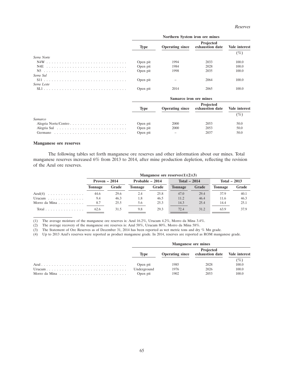|             |             | Northern System iron ore mines |                              |               |
|-------------|-------------|--------------------------------|------------------------------|---------------|
|             | <b>Type</b> | <b>Operating since</b>         | Projected<br>exhaustion date | Vale interest |
|             |             |                                |                              | $(\%)$        |
| Serra Norte |             |                                |                              |               |
|             | Open pit    | 1994                           | 2033                         | 100.0         |
|             | Open pit    | 1984                           | 2028                         | 100.0         |
|             | Open pit    | 1998                           | 2035                         | 100.0         |
| Serra Sul   |             |                                |                              |               |
|             | Open pit    |                                | 2064                         | 100.0         |
| Serra Leste |             |                                |                              |               |
|             | Open pit    | 2014                           | 2065                         | 100.0         |
|             |             | Samarco iron ore mines         |                              |               |
|             | <b>Type</b> | <b>Operating since</b>         | Projected<br>exhaustion date | Vale interest |
|             |             |                                |                              | $(\%)$        |
| Samarco     |             |                                |                              |               |
|             | Open pit    | 2000                           | 2053                         | 50.0          |
|             | Open pit    | 2000                           | 2053                         | 50.0          |
|             | Open pit    |                                | 2037                         | 50.0          |

#### **Manganese ore reserves**

The following tables set forth manganese ore reserves and other information about our mines. Total manganese reserves increased 6% from 2013 to 2014, after mine production depletion, reflecting the revision of the Azul ore reserves.

|                                       | Manganese ore reserves $(1)(2)(3)$ |       |                 |       |                |       |                |       |  |
|---------------------------------------|------------------------------------|-------|-----------------|-------|----------------|-------|----------------|-------|--|
|                                       | Proven $-2014$                     |       | Probable - 2014 |       | Total $-2014$  |       | Total $-2013$  |       |  |
|                                       | <b>Tonnage</b>                     | Grade | <b>Tonnage</b>  | Grade | <b>Tonnage</b> | Grade | <b>Tonnage</b> | Grade |  |
| $Azul(4) \ldots \ldots \ldots \ldots$ | 44.6                               | 29.6  | 2.4             | 25.8  | 47.0           | 29.4  | 37.9           | 40.1  |  |
| Urucum $\ldots \ldots \ldots \ldots$  | 9.4                                | 46.3  | 1.8             | 46.5  | 11.2           | 46.4  | 11.6           | 46.3  |  |
| Morro da Mina $\ldots$ , $\ldots$     | 8.7                                | 25.5  | 5.6             | 25.3  | 14.3           | 25.4  | 14.4           | 25.1  |  |
| Total $\ldots$                        | 62.6                               | 31.5  | 9.8             | 29.3  | 72.4           | 31.2  | 63.9           | 37.9  |  |

(1) The average moisture of the manganese ore reserves is: Azul 16.2%, Urucum 4.2%, Morro da Mina 3.4%.

(2) The average recovery of the manganese ore reserves is: Azul 58%, Urucum 80%, Morro da Mina 58%.

(3) The Statement of Ore Reserves as of December 31, 2014 has been reported as wet metric tons and dry % Mn grade.

(4) Up to 2013 Azul's reserves were reported as product manganese grade. In 2014, reserves are reported as ROM manganese grade.

| <b>Manganese ore mines</b> |      |                                                            |        |  |  |  |
|----------------------------|------|------------------------------------------------------------|--------|--|--|--|
| Tvpe                       |      | Projected<br>Operating since exhaustion date Vale interest |        |  |  |  |
|                            |      |                                                            | $(\%)$ |  |  |  |
| Open pit                   | 1985 | 2028                                                       | 100.0  |  |  |  |
| Underground                | 1976 | 2026                                                       | 100.0  |  |  |  |
| Open pit                   | 1902 | 2053                                                       | 100.0  |  |  |  |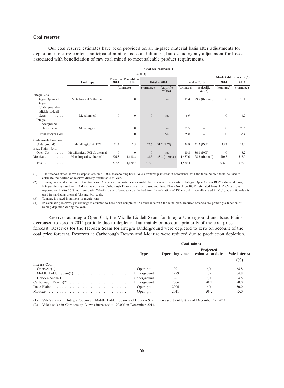#### **Coal reserves**

Our coal reserve estimates have been provided on an in-place material basis after adjustments for depletion, moisture content, anticipated mining losses and dilution, but excluding any adjustment for losses associated with beneficiation of raw coal mined to meet saleable product requirements.

|                                                              | Coal ore reserves $(1)$               |                |                                                               |                |                       |                                |                       |              |           |
|--------------------------------------------------------------|---------------------------------------|----------------|---------------------------------------------------------------|----------------|-----------------------|--------------------------------|-----------------------|--------------|-----------|
|                                                              | ROM(2)                                |                |                                                               |                |                       |                                |                       |              |           |
|                                                              | Coal type                             | 2014           | Proven - Probable -<br>Total $-2014$<br>2014<br>Total $-2013$ |                | 2014                  | Marketable Reserves(3)<br>2013 |                       |              |           |
|                                                              |                                       |                | (tonnage)                                                     | (tonnage)      | (calorific)<br>value) | (tonnage)                      | (calorific)<br>value) | (tonnage)    | (tonnage) |
| Integra Coal:                                                |                                       |                |                                                               |                |                       |                                |                       |              |           |
| Integra Open-cut<br>Integra                                  | Metallurgical & thermal               | $\overline{0}$ | $\overline{0}$                                                | $\overline{0}$ | n/a                   | 19.4                           | $29.7$ (thermal)      | $\mathbf{0}$ | 10.1      |
| Underground-<br>Middle Liddell<br>Seam                       | Metallurgical                         | $\overline{0}$ | $\overline{0}$                                                | $\overline{0}$ | n/a                   | 6.9                            |                       | $\mathbf{0}$ | 4.7       |
| Integra<br>Underground—                                      |                                       |                |                                                               |                |                       |                                |                       |              |           |
| Hebden Seam                                                  | Metallurgical                         | $\mathbf{0}$   | $\overline{0}$                                                | $\overline{0}$ | n/a                   | 29.5                           |                       | $\mathbf{0}$ | 20.6      |
| Total Integra Coal.                                          |                                       | $\Omega$       | $\boldsymbol{0}$                                              | $\Omega$       | n/a                   | 55.8                           |                       | $\theta$     | 35.4      |
| Carborough Downs-<br>Underground $(4)$<br>Isaac Plains North | Metallurgical & PCI                   | 21.2           | 2.5                                                           | 23.7           | 31.2 (PCI)            | 26.8                           | 31.2 (PCI)            | 15.7         | 17.4      |
|                                                              | Open Cut Metallurgical, PCI & thermal | $\overline{0}$ | $\overline{0}$                                                | $\overline{0}$ | n/a                   | 10.8                           | 30.1 (PCI)            | $\theta$     | 8.2       |
|                                                              | Moatize Metallurgical & thermal l     | 276.3          | 1,148.2                                                       | 1,424.5        | $28.3$ (thermal)      | 1,437.0                        | $28.3$ (thermal)      | 510.5        | 515.0     |
| Total $\ldots$ , $\ldots$                                    |                                       | 297.5          | 1,150.7                                                       | 1,448.2        |                       | 1,530.4                        |                       | 526.2        | 576.0     |

(1) The reserves stated above by deposit are on a 100% shareholding basis. Vale's ownership interest in accordance with the table below should be used to calculate the portion of reserves directly attributable to Vale.

(2) Tonnage is stated in millions of metric tons. Reserves are reported on a variable basis in regard to moisture: Integra Open Cut on ROM estimated basis, Integra Underground on ROM estimated basis, Carborough Downs on air dry basis, and Isaac Plains North on ROM estimated basis + 2%.Moatize is reported on in situ 6.5% moisture basis. Calorific value of product coal derived from beneficiation of ROM coal is typically stated in MJ/kg. Calorific value is used in marketing thermal (th) and PCI coals.

(3) Tonnage is stated in millions of metric tons.

(4) In calculating reserves, gas drainage is assumed to have been completed in accordance with the mine plan. Reduced reserves are primarily a function of mining depletion during the year.

Reserves at Integra Open Cut, the Middle Liddell Seam for Integra Underground and Isaac Plains decreased to zero in 2014 partially due to depletion but mainly on account primarily of the coal price forecast. Reserves for the Hebden Seam for Integra Underground were depleted to zero on account of the coal price forecast. Reserves at Carborough Downs and Moatize were reduced due to production depletion.

|               | <b>Coal mines</b> |                        |                              |               |  |  |  |
|---------------|-------------------|------------------------|------------------------------|---------------|--|--|--|
|               | <b>Type</b>       | <b>Operating since</b> | Projected<br>exhaustion date | Vale interest |  |  |  |
|               |                   |                        |                              | $( \% )$      |  |  |  |
| Integra Coal: |                   |                        |                              |               |  |  |  |
|               | Open pit          | 1991                   | n/a                          | 64.8          |  |  |  |
|               | Underground       | 1999                   | n/a                          | 64.8          |  |  |  |
|               | Underground       |                        | n/a                          | 64.8          |  |  |  |
|               | Underground       | 2006                   | 2021                         | 90.0          |  |  |  |
|               | Open pit          | 2006                   | n/a                          | 50.0          |  |  |  |
|               | Open pit          | 2011                   | 2042                         | 95.0          |  |  |  |

(1) Vale's stakes in Integra Open-cut, Middle Liddell Seam and Hebden Seam increased to 64.8% as of December 19, 2014.

(2) Vale's stake in Carborough Downs increased to 90.0% in December 2014.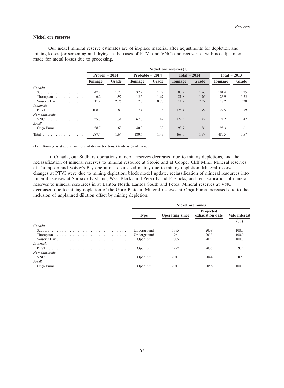#### **Nickel ore reserves**

Our nickel mineral reserve estimates are of in-place material after adjustments for depletion and mining losses (or screening and drying in the cases of PTVI and VNC) and recoveries, with no adjustments made for metal losses due to processing.

|                                            | Nickel ore reserves $(1)$ |       |                 |       |                |       |                |       |  |
|--------------------------------------------|---------------------------|-------|-----------------|-------|----------------|-------|----------------|-------|--|
|                                            | Proven $-2014$            |       | Probable - 2014 |       | Total $-2014$  |       | Total $-2013$  |       |  |
|                                            | <b>Tonnage</b>            | Grade | Tonnage         | Grade | <b>Tonnage</b> | Grade | <b>Tonnage</b> | Grade |  |
| Canada                                     |                           |       |                 |       |                |       |                |       |  |
| Sudbury                                    | 47.2                      | 1.25  | 37.9            | 1.27  | 85.2           | 1.26  | 101.4          | 1.25  |  |
| Thompson $\dots \dots \dots$               | 6.2                       | 1.97  | 15.5            | 1.67  | 21.8           | 1.76  | 23.9           | 1.75  |  |
| Voisey's Bay $\dots \dots \dots$           | 11.9                      | 2.76  | 2.8             | 0.70  | 14.7           | 2.37  | 17.2           | 2.38  |  |
| <i>Indonesia</i>                           |                           |       |                 |       |                |       |                |       |  |
| $PTVI$                                     | 108.0                     | 1.80  | 17.4            | 1.75  | 125.4          | 1.79  | 127.5          | 1.79  |  |
| New Caledonia                              |                           |       |                 |       |                |       |                |       |  |
| $VNC$                                      | 55.3                      | 1.34  | 67.0            | 1.49  | 122.3          | 1.42  | 124.2          | 1.42  |  |
| <b>Brazil</b>                              |                           |       |                 |       |                |       |                |       |  |
| Onça Puma                                  | 58.7                      | 1.68  | 40.0            | 1.39  | 98.7           | 1.56  | 95.3           | 1.61  |  |
| Total $\ldots \ldots \ldots \ldots \ldots$ | 287.4                     | 1.64  | 180.6           | 1.45  | 468.0          | 1.57  | 489.5          | 1.57  |  |

(1) Tonnage is stated in millions of dry metric tons. Grade is % of nickel.

In Canada, our Sudbury operations mineral reserves decreased due to mining depletions, and the reclassification of mineral reserves to mineral resource at Stobie and at Copper Cliff Mine. Mineral reserves at Thompson and Voisey's Bay operations decreased mainly due to mining depletion. Mineral reserves changes at PTVI were due to mining depletion, block model update, reclassification of mineral resources into mineral reserves at Soroako East and, West Blocks and Petea E and F Blocks, and reclassification of mineral reserves to mineral resources in at Lantoa North, Lantoa South and Petea. Mineral reserves at VNC decreased due to mining depletion of the Goro Plateau. Mineral reserves at Onça Puma increased due to the inclusion of unplanned dilution offset by mining depletion.

|             | <b>Nickel ore mines</b><br>Projected<br><b>Operating since</b><br>exhaustion date<br>1885<br>2039<br>2033<br>1961<br>2005<br>2022<br>1977<br>2035 |      |                           |
|-------------|---------------------------------------------------------------------------------------------------------------------------------------------------|------|---------------------------|
| <b>Type</b> |                                                                                                                                                   |      | Vale interest<br>$( \% )$ |
|             |                                                                                                                                                   |      |                           |
| Underground |                                                                                                                                                   |      | 100.0                     |
| Underground |                                                                                                                                                   |      | 100.0                     |
| Open pit    |                                                                                                                                                   |      | 100.0                     |
|             |                                                                                                                                                   |      |                           |
| Open pit    |                                                                                                                                                   |      | 59.2                      |
|             |                                                                                                                                                   |      |                           |
| Open pit    | 2011                                                                                                                                              | 2044 | 80.5                      |
|             |                                                                                                                                                   |      |                           |
| Open pit    | 2011                                                                                                                                              | 2056 | 100.0                     |
|             |                                                                                                                                                   |      |                           |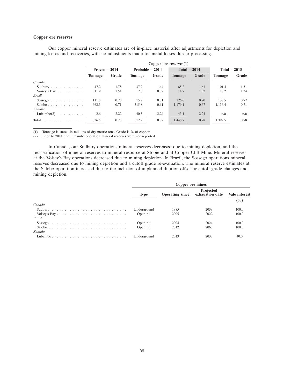# **Copper ore reserves**

| mining losses and recoveries, with no adjustments made for metal losses due to processing. |                           |       |                 |       |                |       |                |       |  |  |
|--------------------------------------------------------------------------------------------|---------------------------|-------|-----------------|-------|----------------|-------|----------------|-------|--|--|
|                                                                                            | Copper ore reserves $(1)$ |       |                 |       |                |       |                |       |  |  |
|                                                                                            | Proven $-2014$            |       | Probable - 2014 |       | Total $-2014$  |       | Total $-2013$  |       |  |  |
|                                                                                            | <b>Tonnage</b>            | Grade | <b>Tonnage</b>  | Grade | <b>Tonnage</b> | Grade | <b>Tonnage</b> | Grade |  |  |
| Canada                                                                                     |                           |       |                 |       |                |       |                |       |  |  |
| Sudbury                                                                                    | 47.2                      | 1.75  | 37.9            | 1.44  | 85.2           | 1.61  | 101.4          | 1.51  |  |  |
| Voisey's Bay $\dots \dots \dots$                                                           | 11.9                      | 1.54  | 2.8             | 0.39  | 14.7           | 1.32  | 17.2           | 1.34  |  |  |
| <b>Brazil</b>                                                                              |                           |       |                 |       |                |       |                |       |  |  |
| Sossego                                                                                    | 111.5                     | 0.70  | 15.2            | 0.71  | 126.6          | 0.70  | 137.5          | 0.77  |  |  |
| Salobo                                                                                     | 663.3                     | 0.71  | 515.8           | 0.61  | 1.179.1        | 0.67  | 1.136.4        | 0.71  |  |  |
| Zambia                                                                                     |                           |       |                 |       |                |       |                |       |  |  |
| Lubambe $(2)$                                                                              | 2.6                       | 2.22  | 40.5            | 2.24  | 43.1           | 2.24  | n/a            | n/a   |  |  |
| Total $\ldots \ldots \ldots \ldots \ldots$                                                 | 836.5                     | 0.78  | 612.2           | 0.77  | 1,448.7        | 0.78  | 1.392.5        | 0.78  |  |  |

Our copper mineral reserve estimates are of in-place material after adjustments for depletion and

(1) Tonnage is stated in millions of dry metric tons. Grade is % of copper.

(2) Prior to 2014, the Lubambe operation mineral reserves were not reported.

In Canada, our Sudbury operations mineral reserves decreased due to mining depletion, and the reclassification of mineral reserves to mineral resource at Stobie and at Copper Cliff Mine. Mineral reserves at the Voisey's Bay operations decreased due to mining depletion. In Brazil, the Sossego operations mineral reserves decreased due to mining depletion and a cutoff grade re-evaluation. The mineral reserve estimates at the Salobo operation increased due to the inclusion of unplanned dilution offset by cutoff grade changes and mining depletion.

|               |             | Copper ore mines       |                              |               |  |  |
|---------------|-------------|------------------------|------------------------------|---------------|--|--|
|               | <b>Type</b> | <b>Operating since</b> | Projected<br>exhaustion date | Vale interest |  |  |
| Canada        |             |                        |                              | $(\%)$        |  |  |
|               | Underground | 1885                   | 2039                         | 100.0         |  |  |
|               | Open pit    | 2005                   | 2022                         | 100.0         |  |  |
| <b>Brazil</b> |             |                        |                              |               |  |  |
|               | Open pit    | 2004                   | 2024                         | 100.0         |  |  |
|               | Open pit    | 2012                   | 2065                         | 100.0         |  |  |
| Zambia        |             |                        |                              |               |  |  |
| Lubambe       | Underground | 2013                   | 2038                         | 40.0          |  |  |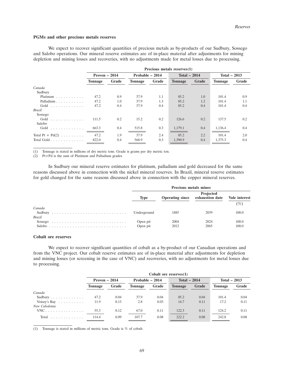#### **PGMs and other precious metals reserves**

We expect to recover significant quantities of precious metals as by-products of our Sudbury, Sossego and Salobo operations. Our mineral reserve estimates are of in-place material after adjustments for mining depletion and mining losses and recoveries, with no adjustments made for metal losses due to processing.

|                                           | Precious metals reserves(1) |       |                 |       |                |       |                |       |  |
|-------------------------------------------|-----------------------------|-------|-----------------|-------|----------------|-------|----------------|-------|--|
|                                           | Proven $-2014$              |       | Probable - 2014 |       | Total $-2014$  |       | Total $-2013$  |       |  |
|                                           | <b>Tonnage</b>              | Grade | <b>Tonnage</b>  | Grade | <b>Tonnage</b> | Grade | <b>Tonnage</b> | Grade |  |
| Canada                                    |                             |       |                 |       |                |       |                |       |  |
| Sudbury                                   |                             |       |                 |       |                |       |                |       |  |
| Platinum $\ldots$ , $\ldots$ , $\ldots$   | 47.2                        | 0.9   | 37.9            | 1.1   | 85.2           | 1.0   | 101.4          | 0.9   |  |
| Palladium                                 | 47.2                        | 1.0   | 37.9            | 1.3   | 85.2           | 1.2   | 101.4          | 1.1   |  |
| Gold $\ldots \ldots \ldots \ldots$        | 47.2                        | 0.4   | 37.9            | 0.4   | 85.2           | 0.4   | 101.4          | 0.4   |  |
| Brazil                                    |                             |       |                 |       |                |       |                |       |  |
| Sossego                                   |                             |       |                 |       |                |       |                |       |  |
| Gold                                      | 111.5                       | 0.2   | 15.2            | 0.2   | 126.6          | 0.2   | 137.5          | 0.2   |  |
| Salobo                                    |                             |       |                 |       |                |       |                |       |  |
| Gold $\ldots$                             | 663.3                       | 0.4   | 515.8           | 0.3   | 1,179.1        | 0.4   | 1,136.4        | 0.4   |  |
| Total Pt + $Pd(2)$                        | 47.2                        | 1.9   | 37.9            | 2.4   | 85.2           | 2.2   | 101.4          | 2.0   |  |
| Total Gold $\ldots$ , $\ldots$ , $\ldots$ | 822.0                       | 0.4   | 568.9           | 0.3   | 1,390.9        | 0.4   | 1,375.3        | 0.4   |  |

(1) Tonnage is stated in millions of dry metric tons. Grade is grams per dry metric ton.

(2) Pt+Pd is the sum of Platinum and Palladium grades

In Sudbury our mineral reserve estimates for platinum, palladium and gold decreased for the same reasons discussed above in connection with the nickel mineral reserves. In Brazil, mineral reserve estimates for gold changed for the same reasons discussed above in connection with the copper mineral reserves.

|               | <b>Precious metals mines</b> |                        |                              |                      |  |  |
|---------------|------------------------------|------------------------|------------------------------|----------------------|--|--|
|               | <b>Type</b>                  | <b>Operating since</b> | Projected<br>exhaustion date | <b>Vale interest</b> |  |  |
| Canada        | Underground                  | 1885                   | 2039                         | $(\%)$<br>100.0      |  |  |
| <b>Brazil</b> | Open pit                     | 2004                   | 2024                         | 100.0                |  |  |
| Salobo        | Open pit                     | 2012                   | 2065                         | 100.0                |  |  |

# **Cobalt ore reserves**

We expect to recover significant quantities of cobalt as a by-product of our Canadian operations and from the VNC project. Our cobalt reserve estimates are of in-place material after adjustments for depletion and mining losses (or screening in the case of VNC) and recoveries, with no adjustments for metal losses due to processing.

|                                  | Cobalt ore reserves $(1)$ |       |                 |       |                |       |                |       |  |
|----------------------------------|---------------------------|-------|-----------------|-------|----------------|-------|----------------|-------|--|
|                                  | Proven $-2014$            |       | Probable - 2014 |       | Total $-2014$  |       | Total $-2013$  |       |  |
|                                  | Tonnage                   | Grade | <b>Tonnage</b>  | Grade | <b>Tonnage</b> | Grade | <b>Tonnage</b> | Grade |  |
| Canada                           |                           |       |                 |       |                |       |                |       |  |
| Sudbury                          | 47.2                      | 0.04  | 37.9            | 0.04  | 85.2           | 0.04  | 101.4          | 0.04  |  |
| Voisey's Bay $\dots \dots \dots$ | 11.9                      | 0.13  | 2.8             | 0.03  | 14.7           | 0.11  | 17.2           | 0.11  |  |
| New Caledonia                    |                           |       |                 |       |                |       |                |       |  |
| $VNC$                            | 55.3                      | 0.12  | 67.0            | 0.11  | 122.3          | 0.11  | 124.2          | 0.11  |  |
| Total                            | 114.4                     | 0.09  | 107.7           | 0.08  | 222.2          | 0.08  | 242.8          | 0.08  |  |

(1) Tonnage is stated in millions of metric tons. Grade is % of cobalt.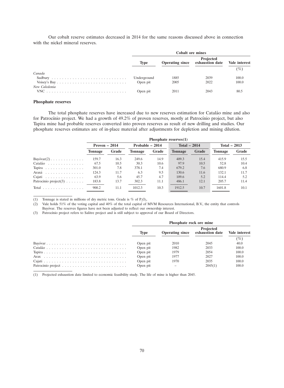Our cobalt reserve estimates decreased in 2014 for the same reasons discussed above in connection with the nickel mineral reserves.

| <b>Cobalt ore mines</b> |                        |           |                               |  |  |
|-------------------------|------------------------|-----------|-------------------------------|--|--|
| <b>Type</b>             | <b>Operating since</b> | Projected | (%)                           |  |  |
|                         |                        |           |                               |  |  |
| Underground             | 1885                   | 2039      | 100.0                         |  |  |
| Open pit                | 2005                   | 2022      | 100.0                         |  |  |
|                         |                        |           |                               |  |  |
| Open pit                | 2011                   | 2043      | 80.5                          |  |  |
|                         |                        |           | exhaustion date Vale interest |  |  |

### **Phosphate reserves**

The total phosphate reserves have increased due to new reserves estimation for Catalão mine and also for Patrocínio project. We had a growth of 49.2% of proven reserves, mostly at Patrocínio project, but also Tapira mine had probable reserves converted into proven reserves as result of new drilling and studies. Our phosphate reserves estimates are of in-place material after adjustments for depletion and mining dilution.

|                                            | Phosphate reserves $(1)$ |       |                 |       |                |       |                |       |  |  |
|--------------------------------------------|--------------------------|-------|-----------------|-------|----------------|-------|----------------|-------|--|--|
|                                            | Proven $-2014$           |       | Probable - 2014 |       | Total $-2014$  |       | Total $-2013$  |       |  |  |
|                                            | <b>Tonnage</b>           | Grade | <b>Tonnage</b>  | Grade | <b>Tonnage</b> | Grade | <b>Tonnage</b> | Grade |  |  |
| $Bayóvar(2) \ldots \ldots \ldots \ldots$   | 159.7                    | 16.3  | 249.6           | 14.9  | 409.3          | 15.4  | 415.9          | 15.5  |  |  |
| Catalão                                    | 67.5                     | 10.5  | 30.3            | 10.6  | 97.9           | 10.5  | 52.8           | 10.4  |  |  |
| Tapira                                     | 301.0                    | 7.8   | 378.1           | 7.4   | 679.2          | 7.6   | 680.9          | 6.8   |  |  |
| Araxá                                      | 124.3                    | 11.7  | 6.3             | 9.5   | 130.6          | 11.6  | 132.1          | 11.7  |  |  |
| Cajati                                     | 63.9                     | 5.6   | 45.7            | 4.7   | 109.6          | 5.2   | 114.4          | 5.2   |  |  |
| Patrocinio project $(3)$                   | 183.8                    | 13.7  | 302.3           | 11.1  | 486.1          | 12.1  | 205.7          | 11.4  |  |  |
| Total $\ldots \ldots \ldots \ldots \ldots$ | 900.2                    | 11.1  | 1012.3          | 10.3  | 1912.5         | 10.7  | 1601.8         | 10.1  |  |  |

(1) Tonnage is stated in millions of dry metric tons. Grade is % of  $P_2O_5$ .<br>(2) Vale holds 51% of the voting capital and 40% of the total capital of 1 Vale holds 51% of the voting capital and 40% of the total capital of MVM Resources International, B.V., the entity that controls Bayóvar. The reserves figures have not been adjusted to reflect our ownership interest.

(3) Patrocínio project refers to Salitre project and is still subject to approval of our Board of Directors.

| Phosphate rock ore mine |                        |                                     |               |  |  |  |
|-------------------------|------------------------|-------------------------------------|---------------|--|--|--|
| Type                    | <b>Operating since</b> | <b>Projected</b><br>exhaustion date | Vale interest |  |  |  |
|                         |                        |                                     | $(\%)$        |  |  |  |
| Open pit                | 2010                   | 2045                                | 40.0          |  |  |  |
| Open pit                | 1982                   | 2033                                | 100.0         |  |  |  |
| Open pit                | 1979                   | 2054                                | 100.0         |  |  |  |
| Open pit                | 1977                   | 2027                                | 100.0         |  |  |  |
| Open pit                | 1970                   | 2035                                | 100.0         |  |  |  |
| Open pit                |                        | 2045(1)                             | 100.0         |  |  |  |

(1) Projected exhaustion date limited to economic feasibility study. The life of mine is higher than 2045.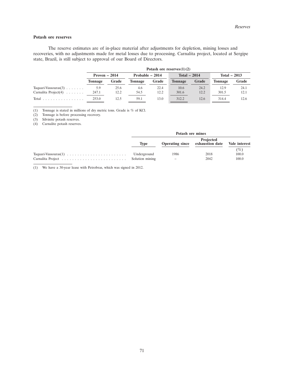# **Potash ore reserves**

The reserve estimates are of in-place material after adjustments for depletion, mining losses and recoveries, with no adjustments made for metal losses due to processing. Carnalita project, located at Sergipe state, Brazil, is still subject to approval of our Board of Directors.

|                                                 | Potash ore reserves $(1)(2)$ |       |                 |       |                |       |                |       |  |
|-------------------------------------------------|------------------------------|-------|-----------------|-------|----------------|-------|----------------|-------|--|
|                                                 | Proven $-2014$               |       | Probable - 2014 |       | Total $-2014$  |       | Total $-2013$  |       |  |
|                                                 | <b>Tonnage</b>               | Grade | <b>Tonnage</b>  | Grade | <b>Tonnage</b> | Grade | <b>Tonnage</b> | Grade |  |
| Taquari-Vassouras $(3)$                         | 5.9                          | 25.6  | 4.6             | 22.4  | 10.6           | 24.2  | 12.9           | 24.1  |  |
| Carnalita Project $(4)$                         | 247.1                        | 12.2  | 54.5            | 12.2  | 301.6          | 12.2  | 301.5          | 12.1  |  |
| Total $\ldots$ , $\ldots$ , $\ldots$ , $\ldots$ | 253.0                        | 12.5  | 59.1            | 13.0  | 312.2          | 12.6  | 314.4          | 12.6  |  |

(1) Tonnage is stated in millions of dry metric tons. Grade is % of KCl.

(2) Tonnage is before processing recovery.

(3) Silvinite potash reserves.

(4) Carnalite potash reserves.

| Potash ore mines |      |                                                            |       |  |  |
|------------------|------|------------------------------------------------------------|-------|--|--|
| Type             |      | Projected<br>Operating since exhaustion date Vale interest |       |  |  |
|                  |      |                                                            | (%)   |  |  |
| Underground      | 1986 | 2018                                                       | 100.0 |  |  |
|                  |      | 2042                                                       | 100.0 |  |  |

(1) We have a 30-year lease with Petrobras, which was signed in 2012.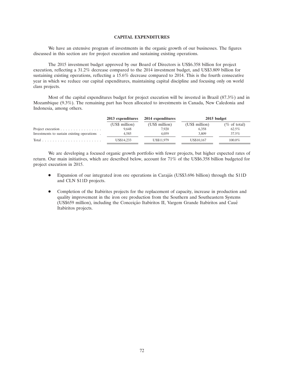### **CAPITAL EXPENDITURES**

We have an extensive program of investments in the organic growth of our businesses. The figures discussed in this section are for project execution and sustaining existing operations.

The 2015 investment budget approved by our Board of Directors is US\$6.358 billion for project execution, reflecting a 31.2% decrease compared to the 2014 investment budget, and US\$3.809 billion for sustaining existing operations, reflecting a 15.6% decrease compared to 2014. This is the fourth consecutive year in which we reduce our capital expenditures, maintaining capital discipline and focusing only on world class projects.

Most of the capital expenditures budget for project execution will be invested in Brazil (87.3%) and in Mozambique (9.3%). The remaining part has been allocated to investments in Canada, New Caledonia and Indonesia, among others.

|                                                        | 2013 expenditures | 2014 expenditures | 2015 budget    |                 |  |
|--------------------------------------------------------|-------------------|-------------------|----------------|-----------------|--|
|                                                        | (US\$ million)    | (US\$ million)    | (US\$ million) | $(\%$ of total) |  |
| Project execution $\ldots \ldots \ldots \ldots \ldots$ | 9.648             | 7.920             | 6.358          | $62.5\%$        |  |
| Investments to sustain existing operations.            | 4.585             | 4.059             | 3.809          | 37.5%           |  |
|                                                        | US\$14,233        | US\$11.979        | US\$10,167     | 100.0%          |  |

We are developing a focused organic growth portfolio with fewer projects, but higher expected rates of return. Our main initiatives, which are described below, account for 71% of the US\$6.358 billion budgeted for project execution in 2015.

- Expansion of our integrated iron ore operations in Carajás (US\$3.696 billion) through the S11D and CLN S11D projects.
- Completion of the Itabirites projects for the replacement of capacity, increase in production and quality improvement in the iron ore production from the Southern and Southeastern Systems (US\$659 million), including the Conceição Itabiritos II, Vargem Grande Itabiritos and Cauê<br>Itabiritos projects.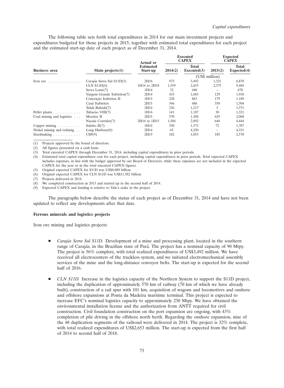The following table sets forth total expenditures in 2014 for our main investment projects and expenditures budgeted for those projects in 2015, together with estimated total expenditures for each project and the estimated start-up date of each project as of December 31, 2014.

|                                                                 |                             | <b>Actual or</b>             |         | <b>Executed</b><br><b>CAPEX</b> | <b>Expected</b><br><b>CAPEX</b> |                             |
|-----------------------------------------------------------------|-----------------------------|------------------------------|---------|---------------------------------|---------------------------------|-----------------------------|
| <b>Business area</b>                                            | Main projects $(1)$         | <b>Estimated</b><br>Start-up | 2014(2) | <b>Total</b><br>Executed(3)     | 2015(2)                         | <b>Total</b><br>Expected(4) |
|                                                                 |                             |                              |         |                                 | (US\$ million)                  |                             |
| Iron or $\cdot \cdot \cdot \cdot \cdot \cdot \cdot \cdot \cdot$ | Carajás Serra Sul S11D(5)   | 2H16                         | 973     | 3,492                           | 1,321                           | 6,878                       |
|                                                                 | $CLN$ $S11D(6)$             | 1H14 to 2H18                 | 1,559   | 2,653                           | 2,375                           | 9,484                       |
|                                                                 | Serra Leste(7)              | 1H14                         | 32      | 440                             |                                 | 478                         |
|                                                                 | Vargem Grande Itabiritos(7) | 2H14                         | 433     | 1,683                           | 129                             | 1,910                       |
|                                                                 | Conceição Itabiritos II     | 1H15                         | 228     | 863                             | 179                             | 1,189                       |
|                                                                 | Cauê Itabiritos             | 2H15                         | 346     | 686                             | 350                             | 1,504                       |
|                                                                 | Teluk Rubiah(7)             | 2H14                         | 236     | 1,217                           | 5                               | 1,371                       |
| Pellet plants                                                   | Tubarão VIII(7)             | 1H14                         | 141     | 1,187                           | 30                              | 1,321                       |
| Coal mining and logistics $\ldots$                              | Moatize II                  | 2H15                         | 570     | 1,384                           | 629                             | 2,068                       |
|                                                                 | Nacala Corridor(7)          | 2H14 to 1H15                 | 1,584   | 2,892                           | 648                             | 4,444                       |
| Copper mining $\ldots \ldots \ldots$                            | Salobo $II(7)$              | 1H14                         | 350     | 1,371                           | 72                              | 1,707                       |
| Nickel mining and refining                                      | Long Harbour $(8)$          | 2H14                         | 65      | 4,250                           | -                               | 4,331                       |
| Steelmaking                                                     | CSP(9)                      | 2H15                         | 182     | 1,055                           | 185                             | 2,570                       |

(1) Projects approved by the board of directors.

(2) All figures presented on a cash basis.

(3) Total executed CAPEX through December 31, 2014, including capital expenditures in prior periods.

(4) Estimated total capital expenditure cost for each project, including capital expenditures in prior periods. Total expected CAPEX includes expenses, in line with the budget approved by our Board of Directors, while these expenses are not included in the expected CAPEX for the year or in the total executed CAPEX figures.

(5) Original expected CAPEX for S11D was US\$8.089 billion.

(6) Original expected CAPEX for CLN S11D was US\$11.582 billion.

(7) Projects delivered in 2014.

We completed construction in 2013 and started up in the second half of 2014.

(9) Expected CAPEX and funding is relative to Vale's stake in the project.

The paragraphs below describe the status of each project as of December 31, 2014 and have not been updated to reflect any developments after that date.

### **Ferrous minerals and logistics projects**

Iron ore mining and logistics projects:

- *Carajás Serra Sul S11D.* Development of a mine and processing plant, located in the southern range of Carajás, in the Brazilian state of Pará. The project has a nominal capacity of 90 Mtpy. The project is 56% complete, with total realized expenditures of US\$3,492 million. We have received all electrocenters of the truckless system, and we initiated electromechanical assembly services of the mine and the long-distance conveyor belts. The start-up is expected for the second half of 2016.
- *CLN S11D.* Increase in the logistics capacity of the Northern System to support the S11D project, including the duplication of approximately 570 km of railway (70 km of which we have already built), construction of a rail spur with 101 km, acquisition of wagons and locomotives and onshore and offshore expansions at Ponta da Madeira maritime terminal. This project is expected to increase EFC's nominal logistics capacity to approximately 230 Mtpy. We have obtained the environmental installation license and the authorization from ANTT required for civil construction. Civil foundation construction on the port expansion are ongoing, with 43% completion of pile driving in the offshore north berth. Regarding the onshore expansion, nine of the 48 duplication segments of the railroad were delivered in 2014. The project is 32% complete, with total realized expenditures of US\$2,653 million. The start-up is expected from the first half of 2014 to second half of 2018.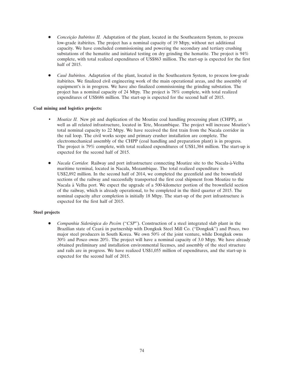- *Conceição Itabiritos II.* Adaptation of the plant, located in the Southeastern System, to process low-grade itabirites. The project has a nominal capacity of 19 Mtpy, without net additional capacity. We have concluded commissioning and powering the secondary and tertiary crushing substations of the hematite and initiated testing on dry grinding the hematite. The project is 94% complete, with total realized expenditures of US\$863 million. The start-up is expected for the first half of 2015.
- *Cauˆe Itabiritos.* Adaptation of the plant, located in the Southeastern System, to process low-grade itabirites. We finalized civil engineering work of the main operational areas, and the assembly of equipment's is in progress. We have also finalized commissioning the grinding substation. The project has a nominal capacity of 24 Mtpy. The project is 78% complete, with total realized expenditures of US\$686 million. The start-up is expected for the second half of 2015.

# **Coal mining and logistics projects:**

- *Moatize II.* New pit and duplication of the Moatize coal handling processing plant (CHPP), as well as all related infrastructure, located in Tete, Mozambique. The project will increase Moatize's total nominal capacity to 22 Mtpy. We have received the first train from the Nacala corridor in the rail loop. The civil works scope and primary crusher installation are complete. The electromechanical assembly of the CHPP (coal handling and preparation plant) is in progress. The project is 79% complete, with total realized expenditures of US\$1,384 million. The start-up is expected for the second half of 2015.
- *Nacala Corridor.* Railway and port infrastructure connecting Moatize site to the Nacala-à-Velha maritime terminal, located in Nacala, Mozambique. The total realized expenditure is US\$2,892 million. In the second half of 2014, we completed the greenfield and the brownfield sections of the railway and successfully transported the first coal shipment from Moatize to the Nacala a Velha port. We expect the upgrade of a 500-kilometer portion of the brownfield section ` of the railway, which is already operational, to be completed in the third quarter of 2015. The nominal capacity after completion is initially 18 Mtpy. The start-up of the port infrastructure is expected for the first half of 2015.

# **Steel projects**

*Companhia Siderúrgica do Pecém* ("*CSP*"). Construction of a steel integrated slab plant in the Brazilian state of Ceará in partnership with Dongkuk Steel Mill Co. ("Dongkuk") and Posco, two major steel producers in South Korea. We own 50% of the joint venture, while Dongkuk owns 30% and Posco owns 20%. The project will have a nominal capacity of 3.0 Mtpy. We have already obtained preliminary and installation environmental licenses, and assembly of the steel structure and rails are in progress. We have realized US\$1,055 million of expenditures, and the start-up is expected for the second half of 2015.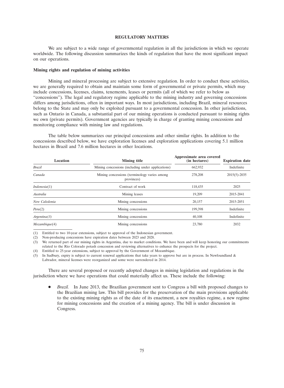### **REGULATORY MATTERS**

We are subject to a wide range of governmental regulation in all the jurisdictions in which we operate worldwide. The following discussion summarizes the kinds of regulation that have the most significant impact on our operations.

### **Mining rights and regulation of mining activities**

Mining and mineral processing are subject to extensive regulation. In order to conduct these activities, we are generally required to obtain and maintain some form of governmental or private permits, which may include concessions, licenses, claims, tenements, leases or permits (all of which we refer to below as ''concessions''). The legal and regulatory regime applicable to the mining industry and governing concessions differs among jurisdictions, often in important ways. In most jurisdictions, including Brazil, mineral resources belong to the State and may only be exploited pursuant to a governmental concession. In other jurisdictions, such as Ontario in Canada, a substantial part of our mining operations is conducted pursuant to mining rights we own (private permits). Government agencies are typically in charge of granting mining concessions and monitoring compliance with mining law and regulations.

The table below summarizes our principal concessions and other similar rights. In addition to the concessions described below, we have exploration licenses and exploration applications covering 5.1 million hectares in Brazil and 7.6 million hectares in other locations.

| Location      | <b>Mining title</b>                                        | Approximate area covered<br>(in hectares) | <b>Expiration date</b> |
|---------------|------------------------------------------------------------|-------------------------------------------|------------------------|
| <b>Brazil</b> | Mining concessions (including under applications)          | 662,932                                   | Indefinite             |
| Canada        | Mining concessions (terminology varies among<br>provinces) | 278,208                                   | $2015(5) - 2035$       |
| Indonesia(1)  | Contract of work                                           | 118,435                                   | 2025                   |
| Australia     | Mining leases                                              | 19,209                                    | 2015-2041              |
| New Caledonia | Mining concessions                                         | 20,157                                    | 2015-2051              |
| Penu(2)       | Mining concessions                                         | 199,398                                   | Indefinite             |
| Argentina(3)  | Mining concessions                                         | 40,108                                    | Indefinite             |
| Mozambique(4) | Mining concessions                                         | 23,780                                    | 2032                   |

(1) Entitled to two 10-year extensions, subject to approval of the Indonesian government.

(2) Non-producing concessions have expiration dates between 2023 and 2028.

(3) We returned part of our mining rights in Argentina, due to market conditions. We have been and will keep honoring our commitments related to the Rio Colorado potash concession and reviewing alternatives to enhance the prospects for the project.

(4) Entitled to 25-year extensions, subject to approval by the Government of Mozambique.

(5) In Sudbury, expiry is subject to current renewal applications that take years to approve but are in process. In Newfoundland & Labrador, mineral licenses were reorganized and some were surrendered in 2014.

There are several proposed or recently adopted changes in mining legislation and regulations in the jurisdiction where we have operations that could materially affect us. These include the following:

 *Brazil.* In June 2013, the Brazilian government sent to Congress a bill with proposed changes to the Brazilian mining law. This bill provides for the preservation of the main provisions applicable to the existing mining rights as of the date of its enactment, a new royalties regime, a new regime for mining concessions and the creation of a mining agency. The bill is under discussion in Congress.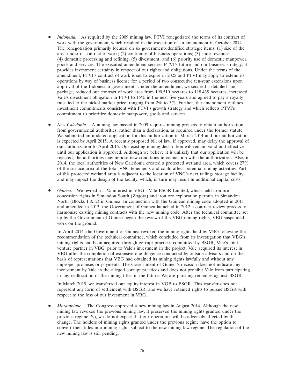- *Indonesia.* As required by the 2009 mining law, PTVI renegotiated the terms of its contract of work with the government, which resulted in the execution of an amendment in October 2014. The renegotiation primarily focused on six government-identified strategic items: (1) size of the area under of contract of work; (2) continuity of business operations; (3) state revenues; (4) domestic processing and refining; (5) divestment; and (6) priority use of domestic manpower, goods and services. The executed amendment secures PTVI's future and our business strategy; it provides investment certainty in respect of our rights and obligations. Under the terms of the amendment, PTVI's contract of work is set to expire in 2025 and PTVI may apply to extend its operations by way of business license for a period of two consecutive ten-year extensions upon approval of the Indonesian government. Under the amendment, we secured a detailed land package, reduced our contract of work area from 190,510 hectares to 118,435 hectares, increased Vale's divestment obligation in PTVI to 15% in the next five years and agreed to pay a royalty rate tied to the nickel market price, ranging from 2% to 3%. Further, the amendment outlines investment commitments consistent with PTVI's growth strategy and which reflects PTVI's commitment to prioritize domestic manpower, goods and services.
- *New Caledonia.* A mining law passed in 2009 requires mining projects to obtain authorization from governmental authorities, rather than a declaration, as required under the former statute. We submitted an updated application for this authorization in March 2014 and our authorization is expected by April 2015. A recently proposed bill of law, if approved, may delay the approval of our authorization to April 2016. Our existing mining declaration will remain valid and effective until our application is approved. Although we believe it is unlikely that our application will be rejected, the authorities may impose new conditions in connection with the authorization. Also, in 2014, the local authorities of New Caledonia created a protected wetland area, which covers 27% of the surface area of the total VNC tenements and could affect potential mining activities. Part of this protected wetland area is adjacent to the location of VNC's next tailings storage facility, and may impact the design of the facility, which, in turn may result in additional capital costs.
- *Guinea.* We owned a 51% interest in VBG—Vale BSGR Limited, which held iron ore concession rights in Simandou South (Zogota) and iron ore exploration permits in Simandou North (Blocks 1 & 2) in Guinea. In connection with the Guinean mining code adopted in 2011 and amended in 2013, the Government of Guinea launched in 2012 a contract review process to harmonize existing mining contracts with the new mining code. After the technical committee set up by the Government of Guinea began the review of the VBG mining rights, VBG suspended work on the ground.

In April 2014, the Government of Guinea revoked the mining rights held by VBG following the recommendation of the technical committee, which concluded from its investigation that VBG's mining rights had been acquired through corrupt practices committed by BSGR, Vale's joint venture partner in VBG, prior to Vale's investment in the project. Vale acquired its interest in VBG after the completion of extensive due diligence conducted by outside advisors and on the basis of representations that VBG had obtained its mining rights lawfully and without any improper promises or payments. The Government of Guinea's decision does not indicate any involvement by Vale in the alleged corrupt practices and does not prohibit Vale from participating in any reallocation of the mining titles in the future. We are pursuing remedies against BSGR.

In March 2015, we transferred our equity interest in VGB to BSGR. This transfer does not represent any form of settlement with BSGR, and we have retained rights to pursue BSGR with respect to the loss of our investment in VBG.

 *Mozambique.* The Congress approved a new mining law in August 2014. Although the new mining law revoked the previous mining law, it preserved the mining rights granted under the previous regime. So, we do not expect that our operations will be adversely affected by this change. The holders of mining rights granted under the previous regime have the option to convert their titles into mining rights subject to the new mining law regime. The regulation of the new mining law is still pending.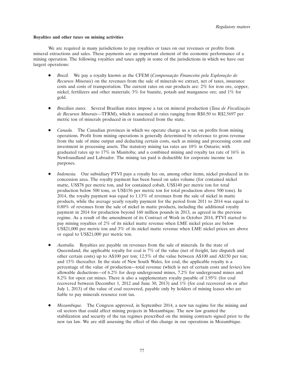#### **Royalties and other taxes on mining activities**

We are required in many jurisdictions to pay royalties or taxes on our revenues or profits from mineral extractions and sales. These payments are an important element of the economic performance of a mining operation. The following royalties and taxes apply in some of the jurisdictions in which we have our largest operations:

- *Brazil.* We pay a royalty known as the CFEM (*Compensação Financeira pela Exploração de Recursos Minerais*) on the revenues from the sale of minerals we extract, net of taxes, insurance costs and costs of transportation. The current rates on our products are: 2% for iron ore, copper, nickel, fertilizers and other materials; 3% for bauxite, potash and manganese ore; and 1% for gold.
- *Brazilian states.* Several Brazilian states impose a tax on mineral production (*Taxa de Fiscalização de Recursos Minerais*—TFRM), which is assessed at rates ranging from R\$0.50 to R\$2.5697 per metric ton of minerals produced in or transferred from the state.
- *Canada.* The Canadian provinces in which we operate charge us a tax on profits from mining operations. Profit from mining operations is generally determined by reference to gross revenue from the sale of mine output and deducting certain costs, such as mining and processing costs and investment in processing assets. The statutory mining tax rates are 10% in Ontario; with graduated rates up to 17% in Manitoba; and a combined mining and royalty tax rate of 16% in Newfoundland and Labrador. The mining tax paid is deductible for corporate income tax purposes.
- *Indonesia.* Our subsidiary PTVI pays a royalty fee on, among other items, nickel produced in its concession area. The royalty payment has been based on sales volume (for contained nickel matte, US\$78 per metric ton, and for contained cobalt, US\$140 per metric ton for total production below 500 tons, or US\$156 per metric ton for total production above 500 tons). In 2014, the royalty payment was equal to 1.13% of revenues from the sale of nickel in matte products, while the average yearly royalty payment for the period from 2011 to 2014 was equal to 0.80% of revenues from the sale of nickel in matte products, including the additional royalty payment in 2014 for production beyond 160 million pounds in 2013, as agreed in the previous regime. As a result of the amendment of its Contract of Work in October 2014, PTVI started to pay mining royalties of 2% of its nickel matte revenue when LME nickel prices are below US\$21,000 per metric ton and 3% of its nickel matte revenue when LME nickel prices are above or equal to US\$21,000 per metric ton.
- *Australia.* Royalties are payable on revenues from the sale of minerals. In the state of Queensland, the applicable royalty for coal is 7% of the value (net of freight, late dispatch and other certain costs) up to A\$100 per ton; 12.5% of the value between A\$100 and A\$150 per ton; and 15% thereafter. In the state of New South Wales, for coal, the applicable royalty is a percentage of the value of production—total revenue (which is net of certain costs and levies) less allowable deductions—of 6.2% for deep underground mines, 7.2% for underground mines and 8.2% for open cut mines. There is also a supplementary royalty payable of 1.95% (for coal recovered between December 1, 2012 and June 30, 2013) and 1% (for coal recovered on or after July 1, 2013) of the value of coal recovered, payable only by holders of mining leases who are liable to pay minerals resource rent tax.
- *Mozambique.* The Congress approved, in September 2014, a new tax regime for the mining and oil sectors that could affect mining projects in Mozambique. The new law granted the stabilization and security of the tax regimes prescribed on the mining contracts signed prior to the new tax law. We are still assessing the effect of this change in our operations in Mozambique.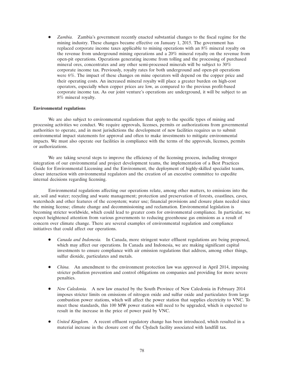*Zambia.* Zambia's government recently enacted substantial changes to the fiscal regime for the mining industry. These changes became effective on January 1, 2015. The government has replaced corporate income taxes applicable to mining operations with an 8% mineral royalty on the revenue from underground mining operations and a 20% mineral royalty on the revenue from open-pit operations. Operations generating income from tolling and the processing of purchased mineral ores, concentrates and any other semi-processed minerals will be subject to 30% corporate income tax. Previously, royalty rates for both underground and open-pit operations were 6%. The impact of these changes on mine operators will depend on the copper price and their operating costs. An increased mineral royalty will place a greater burden on high-cost operators, especially when copper prices are low, as compared to the previous profit-based corporate income tax. As our joint venture's operations are underground, it will be subject to an 8% mineral royalty.

#### **Environmental regulations**

We are also subject to environmental regulations that apply to the specific types of mining and processing activities we conduct. We require approvals, licenses, permits or authorizations from governmental authorities to operate, and in most jurisdictions the development of new facilities requires us to submit environmental impact statements for approval and often to make investments to mitigate environmental impacts. We must also operate our facilities in compliance with the terms of the approvals, licenses, permits or authorizations.

We are taking several steps to improve the efficiency of the licensing process, including stronger integration of our environmental and project development teams, the implementation of a Best Practices Guide for Environmental Licensing and the Environment, the deployment of highly-skilled specialist teams, closer interaction with environmental regulators and the creation of an executive committee to expedite internal decisions regarding licensing.

Environmental regulations affecting our operations relate, among other matters, to emissions into the air, soil and water; recycling and waste management; protection and preservation of forests, coastlines, caves, watersheds and other features of the ecosystem; water use; financial provisions and closure plans needed since the mining license; climate change and decommissioning and reclamation. Environmental legislation is becoming stricter worldwide, which could lead to greater costs for environmental compliance. In particular, we expect heightened attention from various governments to reducing greenhouse gas emissions as a result of concern over climate change. There are several examples of environmental regulation and compliance initiatives that could affect our operations.

- *Canada and Indonesia.* In Canada, more stringent water effluent regulations are being proposed, which may affect our operations. In Canada and Indonesia, we are making significant capital investments to ensure compliance with air emission regulations that address, among other things, sulfur dioxide, particulates and metals.
- *China.* An amendment to the environment protection law was approved in April 2014, imposing stricter pollution prevention and control obligations on companies and providing for more severe penalties.
- *New Caledonia.* A new law enacted by the South Province of New Caledonia in February 2014 imposes stricter limits on emissions of nitrogen oxide and sulfur oxide and particulates from large combustion power stations, which will affect the power station that supplies electricity to VNC. To meet these standards, this 100 MW power station will need to be upgraded, which is expected to result in the increase in the price of power paid by VNC.
- *United Kingdom.* A recent effluent regulatory change has been introduced, which resulted in a material increase in the closure cost of the Clydach facility associated with landfill tax.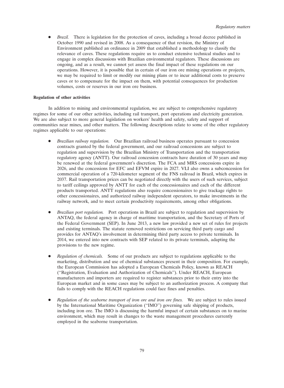• *Brazil.* There is legislation for the protection of caves, including a broad decree published in October 1990 and revised in 2008. As a consequence of that revision, the Ministry of Environment published an ordinance in 2009 that established a methodology to classify the relevance of caves. These regulations require us to conduct extensive technical studies and to engage in complex discussions with Brazilian environmental regulators. These discussions are ongoing, and as a result, we cannot yet assess the final impact of these regulations on our operations. However, it is possible that in certain of our iron ore mining operations or projects, we may be required to limit or modify our mining plans or to incur additional costs to preserve caves or to compensate for the impact on them, with potential consequences for production volumes, costs or reserves in our iron ore business.

# **Regulation of other activities**

In addition to mining and environmental regulation, we are subject to comprehensive regulatory regimes for some of our other activities, including rail transport, port operations and electricity generation. We are also subject to more general legislation on workers' health and safety, safety and support of communities near mines, and other matters. The following descriptions relate to some of the other regulatory regimes applicable to our operations:

- *Brazilian railway regulation.* Our Brazilian railroad business operates pursuant to concession contracts granted by the federal government, and our railroad concessions are subject to regulation and supervision by the Brazilian Ministry of Transportation and the transportation regulatory agency (ANTT). Our railroad concession contracts have duration of 30 years and may be renewed at the federal government's discretion. The FCA and MRS concessions expire in 2026, and the concessions for EFC and EFVM expire in 2027. VLI also owns a subconcession for commercial operation of a 720-kilometer segment of the FNS railroad in Brazil, which expires in 2037. Rail transportation prices can be negotiated directly with the users of such services, subject to tariff ceilings approved by ANTT for each of the concessionaires and each of the different products transported. ANTT regulations also require concessionaires to give trackage rights to other concessionaires, and authorized railway independent operators, to make investments in the railway network, and to meet certain productivity requirements, among other obligations.
- *Brazilian port regulation.* Port operations in Brazil are subject to regulation and supervision by ANTAQ, the federal agency in charge of maritime transportation, and the Secretary of Ports of the Federal Government (SEP). In June 2013, a new law provided a new set of rules for projects and existing terminals. The statute removed restrictions on servicing third party cargo and provides for ANTAQ's involvement in determining third party access to private terminals. In 2014, we entered into new contracts with SEP related to its private terminals, adapting the provisions to the new regime.
- *Regulation of chemicals.* Some of our products are subject to regulations applicable to the marketing, distribution and use of chemical substances present in their composition. For example, the European Commission has adopted a European Chemicals Policy, known as REACH (''Registration, Evaluation and Authorization of Chemicals''). Under REACH, European manufacturers and importers are required to register substances prior to their entry into the European market and in some cases may be subject to an authorization process. A company that fails to comply with the REACH regulations could face fines and penalties.
- *Regulation of the seaborne transport of iron ore and iron ore fines.* We are subject to rules issued by the International Maritime Organization (''IMO'') governing safe shipping of products, including iron ore. The IMO is discussing the harmful impact of certain substances on to marine environment, which may result in changes to the waste management procedures currently employed in the seaborne transportation.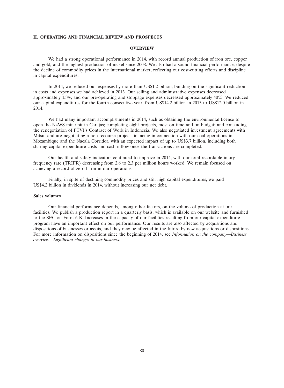### **II. OPERATING AND FINANCIAL REVIEW AND PROSPECTS**

### **OVERVIEW**

We had a strong operational performance in 2014, with record annual production of iron ore, copper and gold, and the highest production of nickel since 2008. We also had a sound financial performance, despite the decline of commodity prices in the international market, reflecting our cost-cutting efforts and discipline in capital expenditures.

In 2014, we reduced our expenses by more than US\$1.2 billion, building on the significant reduction in costs and expenses we had achieved in 2013. Our selling and administrative expenses decreased approximately 15%, and our pre-operating and stoppage expenses decreased approximately 40%. We reduced our capital expenditures for the fourth consecutive year, from US\$14.2 billion in 2013 to US\$12.0 billion in 2014.

We had many important accomplishments in 2014, such as obtaining the environmental license to open the N4WS mine pit in Carajas; completing eight projects, most on time and on budget; and concluding ´ the renegotiation of PTVI's Contract of Work in Indonesia. We also negotiated investment agreements with Mitsui and are negotiating a non-recourse project financing in connection with our coal operations in Mozambique and the Nacala Corridor, with an expected impact of up to US\$3.7 billion, including both sharing capital expenditure costs and cash inflow once the transactions are completed.

Our health and safety indicators continued to improve in 2014, with our total recordable injury frequency rate (TRIFR) decreasing from 2.6 to 2.3 per million hours worked. We remain focused on achieving a record of zero harm in our operations.

Finally, in spite of declining commodity prices and still high capital expenditures, we paid US\$4.2 billion in dividends in 2014, without increasing our net debt.

# **Sales volumes**

Our financial performance depends, among other factors, on the volume of production at our facilities. We publish a production report in a quarterly basis, which is available on our website and furnished to the SEC on Form 6-K. Increases in the capacity of our facilities resulting from our capital expenditure program have an important effect on our performance. Our results are also affected by acquisitions and dispositions of businesses or assets, and they may be affected in the future by new acquisitions or dispositions. For more information on dispositions since the beginning of 2014, see *Information on the company—Business overview—Significant changes in our business*.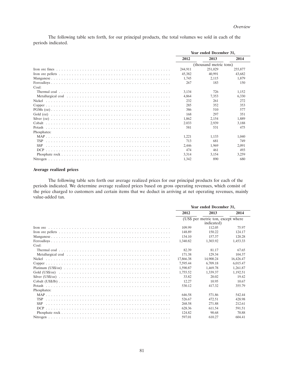The following table sets forth, for our principal products, the total volumes we sold in each of the periods indicated.

|             | Year ended December 31, |                        |         |
|-------------|-------------------------|------------------------|---------|
|             | 2012                    | 2013                   | 2014    |
|             |                         | (thousand metric tons) |         |
|             | 244,911                 | 251,029                | 255,877 |
|             | 45.382                  | 40.991                 | 43,682  |
|             | 1.745                   | 2.115                  | 1.879   |
|             | 267                     | 183                    | 150     |
| Coal:       |                         |                        |         |
|             | 3.134                   | 726                    | 1.152   |
|             | 4.864                   | 7.353                  | 6.330   |
|             | 232                     | 261                    | 272     |
|             | 285                     | 352                    | 353     |
|             | 386                     | 510                    | 577     |
|             | 168                     | 297                    | 351     |
|             | 1.862                   | 2.154                  | 1.889   |
|             | 2.033                   | 2.939                  | 3.188   |
|             | 581                     | 531                    | 475     |
| Phosphates: |                         |                        |         |
|             | 1,221                   | 1.133                  | 1.040   |
|             | 713                     | 681                    | 749     |
|             | 2.446                   | 1.969                  | 2.091   |
|             | 474                     | 461                    | 493     |
|             | 3.314                   | 3.154                  | 3.259   |
|             | 1.342                   | 890                    | 680     |

# **Average realized prices**

The following table sets forth our average realized prices for our principal products for each of the periods indicated. We determine average realized prices based on gross operating revenues, which consist of the price charged to customers and certain items that we deduct in arriving at net operating revenues, mainly value-added tax.

|             | Year ended December 31,                          |           |           |
|-------------|--------------------------------------------------|-----------|-----------|
|             | 2012                                             | 2013      | 2014      |
|             | (US\$ per metric ton, except where<br>indicated) |           |           |
|             | 109.99                                           | 112.05    | 75.97     |
|             | 148.89                                           | 150.22    | 124.17    |
|             | 134.10                                           | 157.37    | 120.28    |
|             | 1.340.82                                         | 1.303.92  | 1,453.33  |
| Coal:       |                                                  |           |           |
|             | 82.39                                            | 81.17     | 67.65     |
|             | 171.38                                           | 129.34    | 104.37    |
|             | 17,866.38                                        | 14,900.24 | 16,426.47 |
|             | 7.595.44                                         | 6,709.18  | 6.015.47  |
|             | 1,590.87                                         | 1.469.78  | 1.261.87  |
|             | 1.755.52                                         | 1.339.37  | 1.192.51  |
|             | 33.82                                            | 20.02     | 19.42     |
|             | 12.27                                            | 10.95     | 10.67     |
|             | 530.12                                           | 417.32    | 355.79    |
| Phosphates: |                                                  |           |           |
|             | 646.58                                           | 571.86    | 542.44    |
|             | 526.67                                           | 472.51    | 428.98    |
|             | 268.58                                           | 271.88    | 212.61    |
|             | 628.36                                           | 611.54    | 591.51    |
|             | 124.82                                           | 90.68     | 70.88     |
|             | 597.01                                           | 610.27    | 604.41    |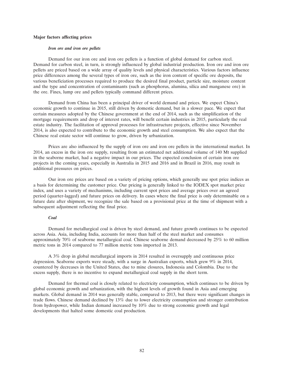#### **Major factors affecting prices**

#### *Iron ore and iron ore pellets*

Demand for our iron ore and iron ore pellets is a function of global demand for carbon steel. Demand for carbon steel, in turn, is strongly influenced by global industrial production. Iron ore and iron ore pellets are priced based on a wide array of quality levels and physical characteristics. Various factors influence price differences among the several types of iron ore, such as the iron content of specific ore deposits, the various beneficiation processes required to produce the desired final product, particle size, moisture content and the type and concentration of contaminants (such as phosphorus, alumina, silica and manganese ore) in the ore. Fines, lump ore and pellets typically command different prices.

Demand from China has been a principal driver of world demand and prices. We expect China's economic growth to continue in 2015, still driven by domestic demand, but in a slower pace. We expect that certain measures adopted by the Chinese government at the end of 2014, such as the simplification of the mortgage requirements and drop of interest rates, will benefit certain industries in 2015, particularly the real estate industry. The facilitation of approval processes for infrastructure projects, effective since November 2014, is also expected to contribute to the economic growth and steel consumption. We also expect that the Chinese real estate sector will continue to grow, driven by urbanization.

Prices are also influenced by the supply of iron ore and iron ore pellets in the international market. In 2014, an excess in the iron ore supply, resulting from an estimated net additional volume of 140 Mt supplied in the seaborne market, had a negative impact in our prices. The expected conclusion of certain iron ore projects in the coming years, especially in Australia in 2015 and 2016 and in Brazil in 2016, may result in additional pressures on prices.

Our iron ore prices are based on a variety of pricing options, which generally use spot price indices as a basis for determining the customer price. Our pricing is generally linked to the IODEX spot market price index, and uses a variety of mechanisms, including current spot prices and average prices over an agreed period (quarter-lagged) and future prices on delivery. In cases where the final price is only determinable on a future date after shipment, we recognize the sale based on a provisional price at the time of shipment with a subsequent adjustment reflecting the final price.

## *Coal*

Demand for metallurgical coal is driven by steel demand, and future growth continues to be expected across Asia. Asia, including India, accounts for more than half of the steel market and consumes approximately 70% of seaborne metallurgical coal. Chinese seaborne demand decreased by 25% to 60 million metric tons in 2014 compared to 77 million metric tons imported in 2013.

A 3% drop in global metallurgical imports in 2014 resulted in oversupply and continuous price depression. Seaborne exports were steady, with a surge in Australian exports, which grew 9% in 2014, countered by decreases in the United States, due to mine closures, Indonesia and Colombia. Due to the excess supply, there is no incentive to expand metallurgical coal supply in the short term.

Demand for thermal coal is closely related to electricity consumption, which continues to be driven by global economic growth and urbanization, with the highest levels of growth found in Asia and emerging markets. Global demand in 2014 was generally stable, compared to 2013, but there were significant changes in trade flows. Chinese demand declined by 13% due to lower electricity consumption and stronger contribution from hydropower, while Indian demand increased by 10% due to strong economic growth and legal developments that halted some domestic coal production.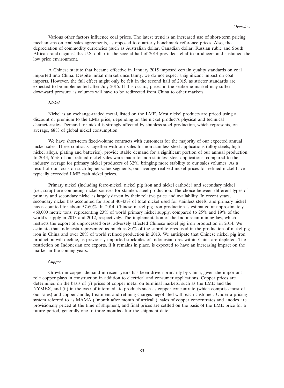Various other factors influence coal prices. The latest trend is an increased use of short-term pricing mechanisms on coal sales agreements, as opposed to quarterly benchmark reference prices. Also, the depreciation of commodity currencies (such as Australian dollar, Canadian dollar, Russian ruble and South African rand) against the U.S. dollar in the second half of 2014 provided relief to producers and sustained the low price environment.

A Chinese statute that became effective in January 2015 imposed certain quality standards on coal imported into China. Despite initial market uncertainty, we do not expect a significant impact on coal imports. However, the full effect might only be felt in the second half of 2015, as stricter standards are expected to be implemented after July 2015. If this occurs, prices in the seaborne market may suffer downward pressure as volumes will have to be redirected from China to other markets.

#### *Nickel*

Nickel is an exchange-traded metal, listed on the LME. Most nickel products are priced using a discount or premium to the LME price, depending on the nickel product's physical and technical characteristics. Demand for nickel is strongly affected by stainless steel production, which represents, on average, 68% of global nickel consumption.

We have short-term fixed-volume contracts with customers for the majority of our expected annual nickel sales. These contracts, together with our sales for non-stainless steel applications (alloy steels, high nickel alloys, plating and batteries), provide stable demand for a significant portion of our annual production. In 2014, 61% of our refined nickel sales were made for non-stainless steel applications, compared to the industry average for primary nickel producers of 32%, bringing more stability to our sales volumes. As a result of our focus on such higher-value segments, our average realized nickel prices for refined nickel have typically exceeded LME cash nickel prices.

Primary nickel (including ferro-nickel, nickel pig iron and nickel cathode) and secondary nickel (i.e., scrap) are competing nickel sources for stainless steel production. The choice between different types of primary and secondary nickel is largely driven by their relative price and availability. In recent years, secondary nickel has accounted for about 40-43% of total nickel used for stainless steels, and primary nickel has accounted for about 57-60%. In 2014, Chinese nickel pig iron production is estimated at approximately 460,000 metric tons, representing 23% of world primary nickel supply, compared to 25% and 19% of the world's supply in 2013 and 2012, respectively. The implementation of the Indonesian mining law, which restricts the export of unprocessed ores, adversely affected Chinese nickel pig iron production in 2014. We estimate that Indonesia represented as much as 80% of the saprolite ores used in the production of nickel pig iron in China and over 20% of world refined production in 2013. We anticipate that Chinese nickel pig iron production will decline, as previously imported stockpiles of Indonesian ores within China are depleted. The restriction on Indonesian ore exports, if it remains in place, is expected to have an increasing impact on the market in the coming years.

### *Copper*

Growth in copper demand in recent years has been driven primarily by China, given the important role copper plays in construction in addition to electrical and consumer applications. Copper prices are determined on the basis of (i) prices of copper metal on terminal markets, such as the LME and the NYMEX, and (ii) in the case of intermediate products such as copper concentrate (which comprise most of our sales) and copper anode, treatment and refining charges negotiated with each customer. Under a pricing system referred to as MAMA (''month after month of arrival''), sales of copper concentrates and anodes are provisionally priced at the time of shipment, and final prices are settled on the basis of the LME price for a future period, generally one to three months after the shipment date.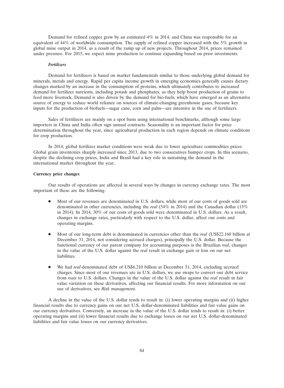Demand for refined copper grew by an estimated 4% in 2014, and China was responsible for an equivalent of 44% of worldwide consumption. The supply of refined copper increased with the 5% growth in global mine output in 2014, as a result of the ramp up of new projects. Throughout 2014, prices remained under pressure. For 2015, we expect mine production to continue expanding based on prior investments.

#### *Fertilizers*

Demand for fertilizers is based on market fundamentals similar to those underlying global demand for minerals, metals and energy. Rapid per capita income growth in emerging economies generally causes dietary changes marked by an increase in the consumption of proteins, which ultimately contributes to increased demand for fertilizer nutrients, including potash and phosphates, as they help boost production of grains to feed more livestock. Demand is also driven by the demand for bio-fuels, which have emerged as an alternative source of energy to reduce world reliance on sources of climate-changing greenhouse gases, because key inputs for the production of biofuels—sugar cane, corn and palm—are intensive in the use of fertilizers.

Sales of fertilizers are mainly on a spot basis using international benchmarks, although some large importers in China and India often sign annual contracts. Seasonality is an important factor for price determination throughout the year, since agricultural production in each region depends on climate conditions for crop production.

In 2014, global fertilizer market conditions were weak due to lower agriculture commodities prices. Global grain inventories sharply increased since 2013, due to two consecutives bumper crops. In this scenario, despite the declining crop prices, India and Brasil had a key role in sustaining the demand in the international market throughout the year.

### **Currency price changes**

Our results of operations are affected in several ways by changes in currency exchange rates. The most important of these are the following:

- Most of our revenues are denominated in U.S. dollars, while most of our costs of goods sold are denominated in other currencies, including the *real* (54% in 2014) and the Canadian dollar (13% in 2014). In 2014, 30% of our costs of goods sold were denominated in U.S. dollars. As a result, changes in exchange rates, particularly with respect to the U.S. dollar, affect our costs and operating margins.
- Most of our long-term debt is denominated in currencies other than the *real* (US\$22.160 billion at December 31, 2014, not considering accrued charges), principally the U.S. dollar. Because the functional currency of our parent company for accounting purposes is the Brazilian *real*, changes in the value of the U.S. dollar against the *real* result in exchange gain or loss on our net liabilities.
- We had *real*-denominated debt of US\$6.210 billion at December 31, 2014, excluding accrued charges. Since most of our revenues are in U.S. dollars, we use swaps to convert our debt service from *reais* to U.S. dollars. Changes in the value of the U.S. dollar against the *real* result in fair value variation on these derivatives, affecting our financial results. For more information on our use of derivatives, see *Risk management*.

A decline in the value of the U.S. dollar tends to result in: (i) lower operating margins and (ii) higher financial results due to currency gains on our net U.S. dollar-denominated liabilities and fair value gains on our currency derivatives. Conversely, an increase in the value of the U.S. dollar tends to result in: (i) better operating margins and (ii) lower financial results due to exchange losses on our net U.S. dollar-denominated liabilities and fair value losses on our currency derivatives.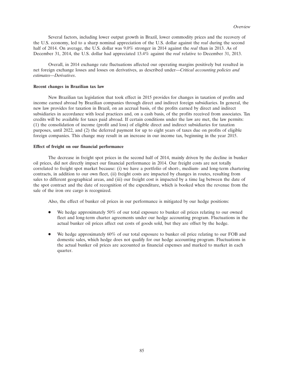Several factors, including lower output growth in Brazil, lower commodity prices and the recovery of the U.S. economy, led to a sharp nominal appreciation of the U.S. dollar against the *real* during the second half of 2014. On average, the U.S. dollar was 9.0% stronger in 2014 against the *real* than in 2013. As of December 31, 2014, the U.S. dollar had appreciated 13.4% against the *real* relative to December 31, 2013.

Overall, in 2014 exchange rate fluctuations affected our operating margins positively but resulted in net foreign exchange losses and losses on derivatives, as described under—*Critical accounting policies and estimates—Derivatives*.

#### **Recent changes in Brazilian tax law**

New Brazilian tax legislation that took effect in 2015 provides for changes in taxation of profits and income earned abroad by Brazilian companies through direct and indirect foreign subsidiaries. In general, the new law provides for taxation in Brazil, on an accrual basis, of the profits earned by direct and indirect subsidiaries in accordance with local practices and, on a cash basis, of the profits received from associates. Tax credits will be available for taxes paid abroad. If certain conditions under the law are met, the law permits: (1) the consolidation of income (profit and loss) of eligible direct and indirect subsidiaries for taxation purposes, until 2022, and (2) the deferred payment for up to eight years of taxes due on profits of eligible foreign companies. This change may result in an increase in our income tax, beginning in the year 2015.

### **Effect of freight on our financial performance**

The decrease in freight spot prices in the second half of 2014, mainly driven by the decline in bunker oil prices, did not directly impact our financial performance in 2014. Our freight costs are not totally correlated to freight spot market because: (i) we have a portfolio of short-, medium- and long-term chartering contracts, in addition to our own fleet, (ii) freight costs are impacted by changes in routes, resulting from sales to different geographical areas, and (iii) our freight cost is impacted by a time lag between the date of the spot contract and the date of recognition of the expenditure, which is booked when the revenue from the sale of the iron ore cargo is recognized.

Also, the effect of bunker oil prices in our performance is mitigated by our hedge positions:

- We hedge approximately 50% of our total exposure to bunker oil prices relating to our owned fleet and long-term charter agreements under our hedge accounting program. Fluctuations in the actual bunker oil prices affect out costs of goods sold, but they are offset by the hedge.
- We hedge approximately 60% of our total exposure to bunker oil price relating to our FOB and domestic sales, which hedge does not qualify for our hedge accounting program. Fluctuations in the actual bunker oil prices are accounted as financial expenses and marked to market in each quarter.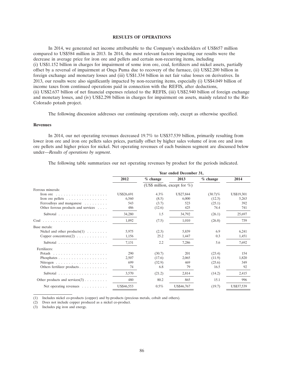### **RESULTS OF OPERATIONS**

In 2014, we generated net income attributable to the Company's stockholders of US\$657 million compared to US\$584 million in 2013. In 2014, the most relevant factors impacting our results were the decrease in average price for iron ore and pellets and certain non-recurring items, including (i) US\$1.152 billion in charges for impairment of some iron ore, coal, fertilizers and nickel assets, partially offset by a reversal of impairment at Onça Puma due to recovery of the furnace, (ii) US\$2.200 billion in foreign exchange and monetary losses and (iii) US\$1.334 billion in net fair value losses on derivatives. In 2013, our results were also significantly impacted by non-recurring items, especially (i) US\$4.049 billion of income taxes from continued operations paid in connection with the REFIS, after deductions, (ii) US\$2.637 billion of net financial expenses related to the REFIS, (iii) US\$2.940 billion of foreign exchange and monetary losses, and (iv) US\$2.298 billion in charges for impairment on assets, mainly related to the Rio Colorado potash project.

The following discussion addresses our continuing operations only, except as otherwise specified.

### **Revenues**

In 2014, our net operating revenues decreased 19.7% to US\$37.539 billion, primarily resulting from lower iron ore and iron ore pellets sales prices, partially offset by higher sales volume of iron ore and iron ore pellets and higher prices for nickel. Net operating revenues of each business segment are discussed below under—*Results of operations by segment*.

The following table summarizes our net operating revenues by product for the periods indicated.

| Year ended December 31, |            |            |                                  |            |  |
|-------------------------|------------|------------|----------------------------------|------------|--|
| 2012                    | $%$ change | 2013       | $%$ change                       | 2014       |  |
|                         |            |            |                                  |            |  |
|                         |            |            |                                  |            |  |
| US\$26,691              | $4.3\%$    | US27,844   | $(30.7)\%$                       | US\$19,301 |  |
| 6,560                   | (8.5)      | 6,000      | (12.3)                           | 5,263      |  |
| 543                     | (3.7)      | 523        | (25.1)                           | 392        |  |
| 486                     | (12.6)     | 425        | 74.4                             | 741        |  |
| 34,280                  | 1.5        | 34,792     | (26.1)                           | 25,697     |  |
| 1,092                   | (7.5)      | 1,010      | (26.8)                           | 739        |  |
|                         |            |            |                                  |            |  |
| 5,975                   | (2.3)      | 5,839      | 6.9                              | 6,241      |  |
| 1.156                   | 25.2       | 1.447      | 0.3                              | 1.451      |  |
| 7,131                   | 2.2        | 7,286      | 5.6                              | 7.692      |  |
|                         |            |            |                                  |            |  |
| 290                     | (30.7)     | 201        | (23.4)                           | 154        |  |
| 2,507                   | (17.6)     | 2,065      | (11.9)                           | 1,820      |  |
| 699                     | (32.9)     | 469        | (25.6)                           | 349        |  |
| 74                      | 6.8        | 79         | 16.5                             | 92         |  |
| 3,570                   | (21.2)     | 2,814      | (14.2)                           | 2,415      |  |
| 480                     | 80.2       | 865        | 15.1                             | 996        |  |
| US\$46,553              | $0.5\%$    | US\$46,767 | (19.7)                           | US\$37,539 |  |
|                         |            |            | (US\$ million, except for $\%$ ) |            |  |

(1) Includes nickel co-products (copper) and by-products (precious metals, cobalt and others).

(2) Does not include copper produced as a nickel co-product.

(3) Includes pig iron and energy.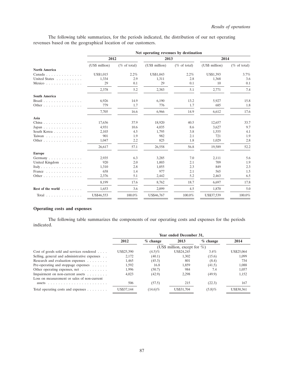The following table summarizes, for the periods indicated, the distribution of our net operating revenues based on the geographical location of our customers.

|                                                 | 2012           |                 |                |                 |                |                 |
|-------------------------------------------------|----------------|-----------------|----------------|-----------------|----------------|-----------------|
|                                                 |                |                 | 2013           |                 | 2014           |                 |
|                                                 | (US\$ million) | $(\%$ of total) | (US\$ million) | $(\%$ of total) | (US\$ million) | $(\%$ of total) |
| <b>North America</b>                            |                |                 |                |                 |                |                 |
| Canada                                          | US\$1,015      | 2.2%            | US\$1,043      | 2.2%            | US\$1,393      | 3.7%            |
| United States                                   | 1,334          | 2.9             | 1,311          | 2.8             | 1,368          | 3.6             |
| Mexico                                          | 29             | 0.1             | 29             | 0.1             | 10             | 0.1             |
|                                                 | 2,378          | 5.2             | 2,383          | 5.1             | 2,771          | 7.4             |
| <b>South America</b>                            |                |                 |                |                 |                |                 |
| Brazil                                          | 6,926          | 14.9            | 6,190          | 13.2            | 5,927          | 15.8            |
| Other                                           | 779            | 1.7             | 776            | 1.7             | 685            | 1.8             |
|                                                 | 7,705          | 16.6            | 6,966          | 14.9            | 6,612          | 17.6            |
| Asia                                            |                |                 |                |                 |                |                 |
| China                                           | 17,636         | 37.9            | 18,920         | 40.5            | 12,657         | 33.7            |
| Japan                                           | 4,931          | 10.6            | 4,035          | 8.6             | 3,627          | 9.7             |
| South Korea                                     | 2,103          | 4.5             | 1,795          | 3.8             | 1,555          | 4.1             |
| Taiwan                                          | 901            | 1.9             | 982            | 2.1             | 721            | 1.9             |
| Other                                           | 1,047          | 2.2             | 825            | 1.8             | 1,029          | 2.8             |
|                                                 | 26,617         | 57.1            | 26,558         | 56.8            | 19,589         | 52.2            |
| <b>Europe</b>                                   |                |                 |                |                 |                |                 |
| Germany                                         | 2,935          | 6.3             | 3,285          | 7.0             | 2,111          | 5.6             |
| United Kingdom                                  | 920            | 2.0             | 1,003          | 2.1             | 709            | 1.9             |
| Italy                                           | 1,310          | 2.8             | 1,055          | 2.3             | 849            | 2.3             |
| France                                          | 658            | 1.4             | 977            | 2.1             | 565            | 1.5             |
| Other                                           | 2,376          | 5.1             | 2,442          | 5.2             | 2,463          | 6.5             |
|                                                 | 8.199          | 17.6            | 8.762          | 18.7            | 6.697          | 17.8            |
| Rest of the world                               | 1,653          | 3.6             | 2,099          | 4.5             | 1,870          | 5.0             |
| Total $\ldots$ , $\ldots$ , $\ldots$ , $\ldots$ | US\$46,553     | 100.0%          | US\$46,767     | 100.0%          | US\$37,539     | 100.0%          |

# **Operating costs and expenses**

The following table summarizes the components of our operating costs and expenses for the periods indicated.

|                                                   | Year ended December 31, |            |                                  |            |            |
|---------------------------------------------------|-------------------------|------------|----------------------------------|------------|------------|
|                                                   | 2012                    | $%$ change | 2013                             | $%$ change | 2014       |
|                                                   |                         |            | (US\$ million, except for $\%$ ) |            |            |
| Cost of goods sold and services rendered $\dots$  | US\$25,390              | $(4.5)\%$  | US\$24,245                       | $3.4\%$    | US\$25,064 |
| Selling, general and administrative expenses      | 2.172                   | (40.1)     | 1.302                            | (15.6)     | 1,099      |
| Research and evaluation expenses                  | 1.465                   | (45.3)     | 801                              | (8.4)      | 734        |
| Pre-operating and stoppage expenses $\dots \dots$ | 1.592                   | 16.8       | 1.859                            | (41.5)     | 1.088      |
| Other operating expenses, net $\dots \dots$       | 1,996                   | (50.7)     | 984                              | 7.4        | 1,057      |
| Impairment on non-current assets                  | 4,023                   | (42.9)     | 2.298                            | (49.9)     | 1,152      |
| Loss on measurement or sales of non-current       |                         |            |                                  |            |            |
| assets                                            | 506                     | (57.5)     | 215                              | (22.3)     | 167        |
| Total operating costs and expenses $\dots \dots$  | US\$37,144              | $(14.6)\%$ | US\$31,704                       | $(5.8)\%$  | US\$30,361 |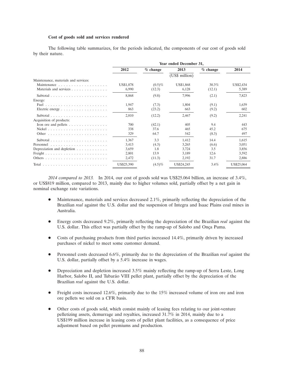#### **Cost of goods sold and services rendered**

The following table summarizes, for the periods indicated, the components of our cost of goods sold by their nature.

|                                                       | Year ended December 31, |            |                |            |            |
|-------------------------------------------------------|-------------------------|------------|----------------|------------|------------|
|                                                       | 2012                    | $%$ change | 2013           | $%$ change | 2014       |
|                                                       |                         |            | (US\$ million) |            |            |
| Maintenance, materials and services:                  |                         |            |                |            |            |
|                                                       | US\$1,878               | $(0.5)\%$  | US\$1,868      | 30.3%      | US\$2,434  |
| Materials and services                                | 6,990                   | (12.3)     | 6,128          | (12.1)     | 5,389      |
|                                                       | 8,868                   | (9.8)      | 7,996          | (2.1)      | 7,823      |
| Energy:                                               |                         |            |                |            |            |
|                                                       | 1,947                   | (7.3)      | 1,804          | (9.1)      | 1,639      |
| Electric energy $\dots \dots \dots \dots \dots \dots$ | 863                     | (23.2)     | 663            | (9.2)      | 602        |
|                                                       | 2,810                   | (12.2)     | 2,467          | (9.2)      | 2,241      |
| Acquisition of products:                              |                         |            |                |            |            |
| Iron ore and pellets $\dots \dots \dots \dots$        | 700                     | (42.1)     | 405            | 9.4        | 443        |
|                                                       | 338                     | 37.6       | 465            | 45.2       | 675        |
|                                                       | 329                     | 64.7       | 542            | (8.3)      | 497        |
|                                                       | 1,367                   | 3.3        | 1,412          | 14.4       | 1,615      |
|                                                       | 3,413                   | (4.3)      | 3,265          | (6.6)      | 3,051      |
| Depreciation and depletion                            | 3,659                   | 1.8        | 3,724          | 3.5        | 3,856      |
|                                                       | 2,801                   | 13.9       | 3,189          | 12.6       | 3,592      |
|                                                       | 2,472                   | (11.3)     | 2,192          | 31.7       | 2,886      |
|                                                       | US\$25,390              | $(4.5)\%$  | US\$24,245     | 3.4%       | US\$25,064 |

*2014 compared to 2013.* In 2014, our cost of goods sold was US\$25.064 billion, an increase of 3.4%, or US\$819 million, compared to 2013, mainly due to higher volumes sold, partially offset by a net gain in nominal exchange rate variations.

- Maintenance, materials and services decreased 2.1%, primarily reflecting the depreciation of the Brazilian *real* against the U.S. dollar and the suspension of Integra and Isaac Plains coal mines in Australia.
- Energy costs decreased 9.2%, primarily reflecting the depreciation of the Brazilian *real* against the U.S. dollar. This effect was partially offset by the ramp-up of Salobo and Onça Puma.
- Costs of purchasing products from third parties increased 14.4%, primarily driven by increased purchases of nickel to meet some customer demand.
- Personnel costs decreased 6.6%, primarily due to the depreciation of the Brazilian *real* against the U.S. dollar, partially offset by a 5.4% increase in wages.
- Depreciation and depletion increased 3.5% mainly reflecting the ramp-up of Serra Leste, Long Harbor, Salobo II, and Tubarão VIII pellet plant, partially offset by the depreciation of the Brazilian *real* against the U.S. dollar.
- Freight costs increased 12.6%, primarily due to the 15% increased volume of iron ore and iron ore pellets we sold on a CFR basis.
- Other costs of goods sold, which consist mainly of leasing fees relating to our joint-venture pelletizing assets, demurrage and royalties, increased 31.7% in 2014, mainly due to a US\$199 million increase in leasing costs of pellet plant facilities, as a consequence of price adjustment based on pellet premiums and production.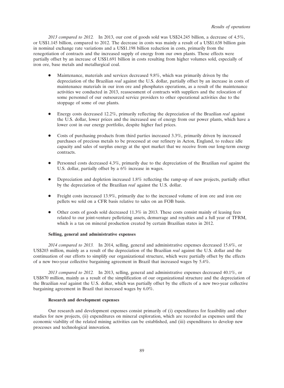*2013 compared to 2012.* In 2013, our cost of goods sold was US\$24.245 billion, a decrease of 4.5%, or US\$1.145 billion, compared to 2012. The decrease in costs was mainly a result of a US\$1.638 billion gain in nominal exchange rate variations and a US\$1.198 billion reduction in costs, primarily from the renegotiation of contracts and the increased supply of energy from our own plants. Those effects were partially offset by an increase of US\$1.691 billion in costs resulting from higher volumes sold, especially of iron ore, base metals and metallurgical coal.

- Maintenance, materials and services decreased 9.8%, which was primarily driven by the depreciation of the Brazilian *real* against the U.S. dollar, partially offset by an increase in costs of maintenance materials in our iron ore and phosphates operations, as a result of the maintenance activities we conducted in 2013, reassessment of contracts with suppliers and the relocation of some personnel of our outsourced service providers to other operational activities due to the stoppage of some of our plants.
- Energy costs decreased 12.2%, primarily reflecting the depreciation of the Brazilian *real* against the U.S. dollar, lower prices and the increased use of energy from our power plants, which have a lower cost in our energy portfolio, despite higher fuel prices.
- Costs of purchasing products from third parties increased 3.3%, primarily driven by increased purchases of precious metals to be processed at our refinery in Acton, England, to reduce idle capacity and sales of surplus energy at the spot market that we receive from our long-term energy contracts.
- Personnel costs decreased 4.3%, primarily due to the depreciation of the Brazilian *real* against the U.S. dollar, partially offset by a 6% increase in wages.
- Depreciation and depletion increased 1.8% reflecting the ramp-up of new projects, partially offset by the depreciation of the Brazilian *real* against the U.S. dollar.
- Freight costs increased 13.9%, primarily due to the increased volume of iron ore and iron ore pellets we sold on a CFR basis relative to sales on an FOB basis.
- Other costs of goods sold decreased 11.3% in 2013. These costs consist mainly of leasing fees related to our joint-venture pelletizing assets, demurrage and royalties and a full year of TFRM, which is a tax on mineral production created by certain Brazilian states in 2012.

# **Selling, general and administrative expenses**

*2014 compared to 2013.* In 2014, selling, general and administrative expenses decreased 15.6%, or US\$203 million, mainly as a result of the depreciation of the Brazilian *real* against the U.S. dollar and the continuation of our efforts to simplify our organizational structure, which were partially offset by the effects of a new two-year collective bargaining agreement in Brazil that increased wages by 5.4%.

*2013 compared to 2012.* In 2013, selling, general and administrative expenses decreased 40.1%, or US\$870 million, mainly as a result of the simplification of our organizational structure and the depreciation of the Brazilian *real* against the U.S. dollar, which was partially offset by the effects of a new two-year collective bargaining agreement in Brazil that increased wages by 6.0%.

### **Research and development expenses**

Our research and development expenses consist primarily of (i) expenditures for feasibility and other studies for new projects, (ii) expenditures on mineral exploration, which are recorded as expenses until the economic viability of the related mining activities can be established, and (iii) expenditures to develop new processes and technological innovation.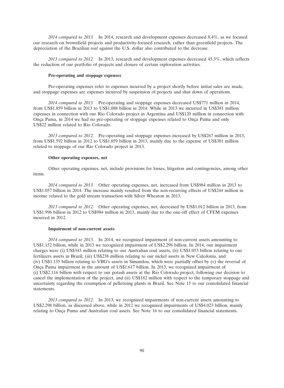*2014 compared to 2013.* In 2014, research and development expenses decreased 8.4%, as we focused our research on brownfield projects and productivity-focused research, rather than greenfield projects. The depreciation of the Brazilian *real* against the U.S. dollar also contributed to the decrease.

*2013 compared to 2012.* In 2013, research and development expenses decreased 45.3%, which reflects the reduction of our portfolio of projects and closure of certain exploration activities.

# **Pre-operating and stoppage expenses**

Pre-operating expenses refer to expenses incurred by a project shortly before initial sales are made, and stoppage expenses are expenses incurred by suspension of projects and shut down of operations.

*2014 compared to 2013.* Pre-operating and stoppage expenses decreased US\$771 million in 2014, from US\$1.859 billion in 2013 to US\$1.088 billion in 2014. While in 2013 we incurred in US\$381 million expenses in connection with our Rio Colorado project in Argentina and US\$120 million in connection with Onça Puma, in 2014 we had no pre-operating or stoppage expenses related to Onça Puma and only US\$22 million related to Rio Colorado.

*2013 compared to 2012.* Pre-operating and stoppage expenses increased by US\$267 million in 2013, from US\$1.592 billion in 2012 to US\$1.859 billion in 2013, mainly due to the expense of US\$381 million related to stoppage of our Rio Colorado project in 2013.

### **Other operating expenses, net**

Other operating expenses, net, include provisions for losses, litigation and contingencies, among other items.

*2014 compared to 2013.* Other operating expenses, net, increased from US\$984 million in 2013 to US\$1.057 billion in 2014. The increase mainly resulted from the non-recurring effects of US\$244 million in income related to the gold stream transaction with Silver Wheaton in 2013.

*2013 compared to 2012.* Other operating expenses, net, decreased by US\$1.012 billion in 2013, from US\$1.996 billion in 2012 to US\$984 million in 2013, mainly due to the one-off effect of CFEM expenses incurred in 2012.

### **Impairment of non-current assets**

*2014 compared to 2013.* In 2014, we recognized impairment of non-current assets amounting to US\$1.152 billion, while in 2013 we recognized impairment of US\$2.298 billion. In 2014, our impairment charges were (i) US\$343 million relating to our Australian coal assets, (ii) US\$1.053 billion relating to our fertilizers assets in Brazil, (iii) US\$238 million relating to our nickel assets in New Caledonia, and (iv) US\$1.135 billion relating to VBG's assets in Simandou, which were partially offset by (v) the reversal of Onça Puma impairment in the amount of US\$1.617 billion. In 2013, we recognized impairment of (i) US\$2.116 billion with respect to our potash assets at the Rio Colorado project, following our decision to cancel the implementation of the project, and (ii) US\$182 million with respect to the temporary stoppage and uncertainty regarding the resumption of pelletizing plants in Brazil. See Note 15 to our consolidated financial statements.

*2013 compared to 2012.* In 2013, we recognized impairments of non-current assets amounting to US\$2.298 billion, as discussed above, while in 2012 we recognized impairments of US\$4.023 billion, mainly relating to Onça Puma and Australian coal assets. See Note 16 to our consolidated financial statements.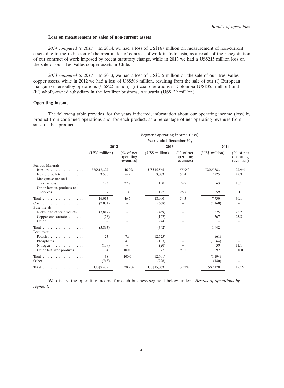#### **Loss on measurement or sales of non-current assets**

*2014 compared to 2013.* In 2014, we had a loss of US\$167 million on measurement of non-current assets due to the reduction of the area under of contract of work in Indonesia, as a result of the renegotiation of our contract of work imposed by recent statutory change, while in 2013 we had a US\$215 million loss on the sale of our Tres Valles copper assets in Chile.

*2013 compared to 2012.* In 2013, we had a loss of US\$215 million on the sale of our Tres Valles copper assets, while in 2012 we had a loss of US\$506 million, resulting from the sale of our (i) European manganese ferroalloy operations (US\$22 million), (ii) coal operations in Colombia (US\$355 million) and (iii) wholly-owned subsidiary in the fertilizer business, Araucaria (US\$129 million).

# **Operating income**

The following table provides, for the years indicated, information about our operating income (loss) by product from continued operations and, for each product, as a percentage of net operating revenues from sales of that product.

|                                                      | Segment operating income (loss) |                                        |                |                                        |                |                                        |  |  |
|------------------------------------------------------|---------------------------------|----------------------------------------|----------------|----------------------------------------|----------------|----------------------------------------|--|--|
|                                                      | Year ended December 31,         |                                        |                |                                        |                |                                        |  |  |
|                                                      | 2012                            |                                        | 2013           |                                        |                | 2014                                   |  |  |
|                                                      | (US\$ million)                  | $(\%$ of net<br>operating<br>revenues) | (US\$ million) | $(\%$ of net<br>operating<br>revenues) | (US\$ million) | $(\%$ of net<br>operating<br>revenues) |  |  |
| Ferrous Minerals:                                    |                                 |                                        |                |                                        |                |                                        |  |  |
| Iron ore $\ldots$ , $\ldots$ , $\ldots$              | US\$12,327                      | 46.2%                                  | US\$15,565     | 55.9%                                  | US\$5,383      | 27.9%                                  |  |  |
| Iron ore pellets<br>Manganese ore and                | 3,556                           | 54.2                                   | 3,083          | 51.4                                   | 2,225          | 42.3                                   |  |  |
| ferroalloys $\ldots$ ,<br>Other ferrous products and | 123                             | 22.7                                   | 130            | 24.9                                   | 63             | 16.1                                   |  |  |
| services                                             | 7                               | 1.4                                    | 122            | 28.7                                   | 59             | 8.0                                    |  |  |
| Total $\ldots$                                       | 16,013                          | 46.7                                   | 18,900         | 54.3                                   | 7,730          | 30.1                                   |  |  |
| $Coal$ ,<br>Base metals:                             | (2,031)                         |                                        | (668)          |                                        | (1,160)        |                                        |  |  |
| Nickel and other products                            | (3,817)                         |                                        | (459)          |                                        | 1,575          | 25.2                                   |  |  |
| Copper concentrate                                   | (76)                            |                                        | (127)          |                                        | 367            | 25.3                                   |  |  |
| Other $\ldots$ , $\ldots$ , $\ldots$                 | $\overline{\phantom{m}}$        |                                        | 244            |                                        |                |                                        |  |  |
| Total<br>Fertilizers:                                | (3,893)                         |                                        | (342)          |                                        | 1,942          |                                        |  |  |
| Potash                                               | 23                              | 7.9                                    | (2,525)        |                                        | (61)           |                                        |  |  |
| Phosphates                                           | 100                             | 4.0                                    | (133)          |                                        | (1,264)        |                                        |  |  |
| Nitrogen $\ldots \ldots \ldots$                      | (159)                           | -                                      | (20)           |                                        | 39             | 11.1                                   |  |  |
| Other fertilizer products                            | 74                              | 100.0                                  | 77             | 97.5                                   | 92             | 100.0                                  |  |  |
| Total $\ldots$ , $\ldots$ , $\ldots$ , $\ldots$      | 38                              | 100.0                                  | (2,601)        |                                        | (1,194)        |                                        |  |  |
| Other                                                | (718)                           |                                        | (226)          |                                        | (140)          |                                        |  |  |
| Total                                                | US\$9,409                       | 20.2%                                  | US\$15,063     | 32.2%                                  | US\$7,178      | 19.1%                                  |  |  |

We discuss the operating income for each business segment below under—*Results of operations by segment*.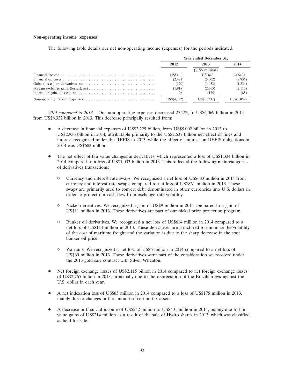#### **Non-operating income (expenses)**

The following table details our net non-operating income (expenses) for the periods indicated.

|                                                                                                     | Year ended December 31, |                |                |  |
|-----------------------------------------------------------------------------------------------------|-------------------------|----------------|----------------|--|
|                                                                                                     | 2012                    | 2013           | 2014           |  |
|                                                                                                     |                         | (US\$ million) |                |  |
|                                                                                                     | <b>US\$411</b>          | <b>US\$643</b> | <b>US\$401</b> |  |
|                                                                                                     | (2,421)                 | (5,002)        | (2,936)        |  |
|                                                                                                     | (120)                   | (1,033)        | (1,334)        |  |
|                                                                                                     | (1,918)                 | (2,765)        | (2,115)        |  |
|                                                                                                     | 26                      | (175)          | (85)           |  |
| Non-operating income (expenses) $\dots \dots \dots \dots \dots \dots \dots \dots \dots \dots \dots$ | $US\$(4.022)$           | US\$(8,332)    | US\$(6.069)    |  |

*2014 compared to 2013.* Our non-operating expenses decreased 27.2%, to US\$6.069 billion in 2014 from US\$8.332 billion in 2013. This decrease principally resulted from:

- A decrease in financial expenses of US\$2.225 billion, from US\$5.002 billion in 2013 to US\$2.936 billion in 2014, attributable primarily to the US\$2.637 billion net effect of fines and interest recognized under the REFIS in 2013, while the effect of interest on REFIS obligations in 2014 was US\$683 million.
- The net effect of fair value changes in derivatives, which represented a loss of US\$1.334 billion in 2014 compared to a loss of US\$1.033 billion in 2013. This reflected the following main categories of derivatives transactions:
	- Currency and interest rate swaps. We recognized a net loss of US\$683 million in 2014 from currency and interest rate swaps, compared to net loss of US\$861 million in 2013. These swaps are primarily used to convert debt denominated in other currencies into U.S. dollars in order to protect our cash flow from exchange rate volatility.
	- $\circ$  Nickel derivatives. We recognized a gain of US\$9 million in 2014 compared to a gain of US\$11 million in 2013. These derivatives are part of our nickel price protection program.
	- Bunker oil derivatives. We recognized a net loss of US\$614 million in 2014 compared to a net loss of US\$114 million in 2013. These derivatives are structured to minimize the volatility of the cost of maritime freight and the variation is due to the sharp decrease in the spot bunker oil price.
	- Warrants. We recognized a net loss of US\$6 million in 2014 compared to a net loss of US\$60 million in 2013. These derivatives were part of the consideration we received under the 2013 gold sale contract with Silver Wheaton.
- Net foreign exchange losses of US\$2.115 billion in 2014 compared to net foreign exchange losses of US\$2.765 billion in 2013, principally due to the depreciation of the Brazilian *real* against the U.S. dollar in each year.
- A net indexation loss of US\$85 million in 2014 compared to a loss of US\$175 million in 2013, mainly due to changes in the amount of certain tax assets.
- A decrease in financial income of US\$242 million to US\$401 million in 2014, mainly due to fair value gains of US\$214 million as a result of the sale of Hydro shares in 2013, which was classified as held for sale.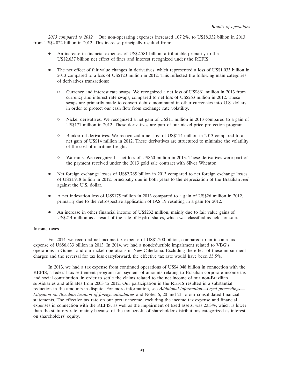*2013 compared to 2012.* Our non-operating expenses increased 107.2%, to US\$8.332 billion in 2013 from US\$4.022 billion in 2012. This increase principally resulted from:

- An increase in financial expenses of US\$2.581 billion, attributable primarily to the US\$2.637 billion net effect of fines and interest recognized under the REFIS.
- The net effect of fair value changes in derivatives, which represented a loss of US\$1.033 billion in 2013 compared to a loss of US\$120 million in 2012. This reflected the following main categories of derivatives transactions:
	- Currency and interest rate swaps. We recognized a net loss of US\$861 million in 2013 from currency and interest rate swaps, compared to net loss of US\$263 million in 2012. These swaps are primarily made to convert debt denominated in other currencies into U.S. dollars in order to protect our cash flow from exchange rate volatility.
	- Nickel derivatives. We recognized a net gain of US\$11 million in 2013 compared to a gain of US\$171 million in 2012. These derivatives are part of our nickel price protection program.
	- Bunker oil derivatives. We recognized a net loss of US\$114 million in 2013 compared to a net gain of US\$14 million in 2012. These derivatives are structured to minimize the volatility of the cost of maritime freight.
	- Warrants. We recognized a net loss of US\$60 million in 2013. These derivatives were part of the payment received under the 2013 gold sale contract with Silver Wheaton.
- Net foreign exchange losses of US\$2.765 billion in 2013 compared to net foreign exchange losses of US\$1.918 billion in 2012, principally due in both years to the depreciation of the Brazilian *real* against the U.S. dollar.
- A net indexation loss of US\$175 million in 2013 compared to a gain of US\$26 million in 2012, primarily due to the retrospective application of IAS 19 resulting in a gain for 2012.
- An increase in other financial income of US\$232 million, mainly due to fair value gains of US\$214 million as a result of the sale of Hydro shares, which was classified as held for sale.

# **Income taxes**

For 2014, we recorded net income tax expense of US\$1.200 billion, compared to an income tax expense of US\$6.833 billion in 2013. In 2014, we had a nondeductible impairment related to VBG's operations in Guinea and our nickel operations in New Caledonia. Excluding the effect of these impairment charges and the reversal for tax loss carryforward, the effective tax rate would have been 35.5%.

In 2013, we had a tax expense from continued operations of US\$4.048 billion in connection with the REFIS, a federal tax settlement program for payment of amounts relating to Brazilian corporate income tax and social contribution, in order to settle the claims related to the net income of our non-Brazilian subsidiaries and affiliates from 2003 to 2012. Our participation in the REFIS resulted in a substantial reduction in the amounts in dispute. For more information, see *Additional information—Legal proceedings*— *Litigation on Brazilian taxation of foreign subsidiaries* and Notes 6, 20 and 21 to our consolidated financial statements. The effective tax rate on our pretax income, excluding the income tax expense and financial expenses in connection with the REFIS, as well as the impairment of fixed assets, was 23.3%, which is lower than the statutory rate, mainly because of the tax benefit of shareholder distributions categorized as interest on shareholders' equity.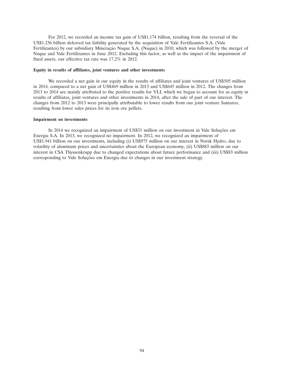For 2012, we recorded an income tax gain of US\$1.174 billion, resulting from the reversal of the US\$1.236 billion deferred tax liability generated by the acquisition of Vale Fertilizantes S.A. (Vale Fertilizantes) by our subsidiary Mineração Naque S.A. (Naque) in 2010, which was followed by the merger of Naque and Vale Fertilizantes in June 2012. Excluding this factor, as well as the impact of the impairment of fixed assets, our effective tax rate was 17.2% in 2012.

### **Equity in results of affiliates, joint ventures and other investments**

We recorded a net gain in our equity in the results of affiliates and joint ventures of US\$505 million in 2014, compared to a net gain of US\$469 million in 2013 and US\$645 million in 2012. The changes from 2013 to 2014 are mainly attributed to the positive results for VLI, which we began to account for as equity in results of affiliates, joint ventures and other investments in 2014, after the sale of part of our interest. The changes from 2012 to 2013 were principally attributable to lower results from our joint venture Samarco, resulting from lower sales prices for its iron ore pellets.

#### **Impairment on investments**

In 2014 we recognized an impairment of US\$31 million on our investment in Vale Soluções em Energia S.A. In 2013, we recognized no impairment. In 2012, we recognized an impairment of US\$1.941 billion on our investments, including (i) US\$975 million on our interest in Norsk Hydro, due to volatility of aluminum prices and uncertainties about the European economy, (ii) US\$883 million on our interest in CSA Thyssenkrupp due to changed expectations about future performance and (iii) US\$83 million corresponding to Vale Soluções em Energia due to changes in our investment strategy.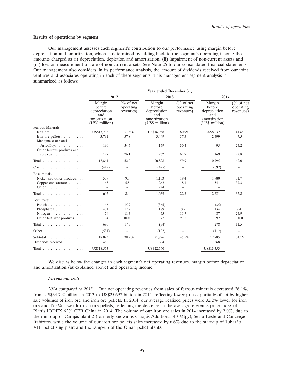#### **Results of operations by segment**

Our management assesses each segment's contribution to our performance using margin before depreciation and amortization, which is determined by adding back to the segment's operating income the amounts charged as (i) depreciation, depletion and amortization, (ii) impairment of non-current assets and (iii) loss on measurement or sale of non-current assets. See Note 26 to our consolidated financial statements. Our management also considers, in its performance analysis, the amount of dividends received from our joint ventures and associates operating in each of these segments. This management segment analysis is summarized as follows:

|                                                                                                                 | Year ended December 31,                                                   |                                        |                                                                           |                                        |                                                                           |                                        |
|-----------------------------------------------------------------------------------------------------------------|---------------------------------------------------------------------------|----------------------------------------|---------------------------------------------------------------------------|----------------------------------------|---------------------------------------------------------------------------|----------------------------------------|
|                                                                                                                 | 2012                                                                      |                                        | 2013                                                                      |                                        | 2014                                                                      |                                        |
|                                                                                                                 | Margin<br>before<br>depreciation<br>and<br>amortization<br>(US\$ million) | $(\%$ of net<br>operating<br>revenues) | Margin<br>before<br>depreciation<br>and<br>amortization<br>(US\$ million) | $(\%$ of net<br>operating<br>revenues) | Margin<br>before<br>depreciation<br>and<br>amortization<br>(US\$ million) | $(\%$ of net<br>operating<br>revenues) |
| Ferrous Minerals:                                                                                               |                                                                           |                                        |                                                                           |                                        |                                                                           |                                        |
| Iron ore $\ldots \ldots \ldots \ldots$                                                                          | US\$13,733                                                                | 51.5%                                  | US\$16,958                                                                | 60.9%                                  | <b>US\$8.032</b>                                                          | 41.6%                                  |
| Iron ore pellets $\ldots$<br>Manganese ore and                                                                  | 3,791                                                                     | 57.8                                   | 3,449                                                                     | 57.5                                   | 2,499                                                                     | 47.5                                   |
| ferroalloys<br>Other ferrous products and                                                                       | 190                                                                       | 34.5                                   | 159                                                                       | 30.4                                   | 95                                                                        | 24.2                                   |
| services $\ldots$ , $\ldots$ , $\ldots$                                                                         | 127                                                                       | 26.1                                   | 262                                                                       | 61.7                                   | 169                                                                       | 22.8                                   |
| Total $\ldots$ , $\ldots$ , $\ldots$ , $\ldots$ , $\ldots$                                                      | 17.841                                                                    | 52.0                                   | 20.828                                                                    | 59.9                                   | 10,795                                                                    | 42.0                                   |
| $Coal$ ,                                                                                                        | (449)                                                                     |                                        | (495)                                                                     |                                        | (697)                                                                     | $\overline{\phantom{m}}$               |
| Base metals:<br>Nickel and other products<br>Copper concentrate<br>Other                                        | 539<br>63                                                                 | 9.0<br>5.5<br>$\overline{\phantom{0}}$ | 1,133<br>262<br>244                                                       | 19.4<br>18.1                           | 1,980<br>541                                                              | 31.7<br>37.3                           |
| Total $\ldots$                                                                                                  | 602                                                                       | 8.4                                    | 1,639                                                                     | 22.5                                   | 2,521                                                                     | 32.8                                   |
| Fertilizers:<br>Potash<br>Phosphates $\ldots$ ,<br>Nitrogen $\ldots \ldots \ldots$<br>Other fertilizer products | 46<br>431<br>79<br>74                                                     | 15.9<br>17.2<br>11.3<br>100.0          | (365)<br>179<br>55<br>77                                                  | 8.7<br>11.7<br>97.5                    | (35)<br>134<br>87<br>92                                                   | 7.4<br>24.9<br>100.0                   |
| Total $\ldots$ , $\ldots$ , $\ldots$ , $\ldots$                                                                 | 630                                                                       | 17.7                                   | (54)                                                                      |                                        | 278                                                                       | 11.5                                   |
| Other<br>.                                                                                                      | (531)                                                                     | $\overline{\phantom{m}}$               | (192)                                                                     |                                        | (112)                                                                     |                                        |
| Subtotal<br>Dividends received                                                                                  | 18,093<br>460                                                             | 38.9%                                  | 21,726<br>834                                                             | 45.5%                                  | 12,785<br>568                                                             | 34.1%                                  |
| Total $\ldots \ldots \ldots \ldots \ldots$                                                                      | US\$18,553                                                                |                                        | US\$22,560                                                                |                                        | US\$13,353                                                                |                                        |
|                                                                                                                 |                                                                           |                                        |                                                                           |                                        |                                                                           |                                        |

We discuss below the changes in each segment's net operating revenues, margin before depreciation and amortization (as explained above) and operating income.

#### *Ferrous minerals*

*2014 compared to 2013.* Our net operating revenues from sales of ferrous minerals decreased 26.1%, from US\$34.792 billion in 2013 to US\$25.697 billion in 2014, reflecting lower prices, partially offset by higher sale volumes of iron ore and iron ore pellets. In 2014, our average realized prices were 32.2% lower for iron ore and 17.3% lower for iron ore pellets, reflecting the decrease in the average reference price index of Platt's IODEX 62% CFR China in 2014. The volume of our iron ore sales in 2014 increased by 2.0%, due to the ramp-up of Carajás plant 2 (formerly known as Carajás Additional 40 Mtpy), Serra Leste and Conceição Itabiritos, while the volume of our iron ore pellets sales increased by  $6.6\%$  due to the start-up of Tubarão VIII pelletizing plant and the ramp-up of the Oman pellet plants.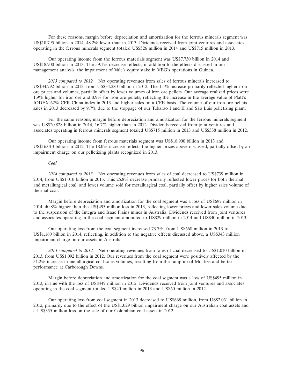For these reasons, margin before depreciation and amortization for the ferrous minerals segment was US\$10.795 billion in 2014, 48.2% lower than in 2013. Dividends received from joint ventures and associates operating in the ferrous minerals segment totaled US\$526 million in 2014 and US\$715 million in 2013.

Our operating income from the ferrous materials segment was US\$7.730 billion in 2014 and US\$18.900 billion in 2013. The 59.1% decrease reflects, in addition to the effects discussed in our management analysis, the impairment of Vale's equity stake in VBG's operations in Guinea.

*2013 compared to 2012.* Net operating revenues from sales of ferrous minerals increased to US\$34.792 billion in 2013, from US\$34.280 billion in 2012. The 1.5% increase primarily reflected higher iron ore prices and volumes, partially offset by lower volumes of iron ore pellets. Our average realized prices were 1.9% higher for iron ore and 0.9% for iron ore pellets, reflecting the increase in the average value of Platt's IODEX 62% CFR China index in 2013 and higher sales on a CFR basis. The volume of our iron ore pellets sales in 2013 decreased by 9.7% due to the stoppage of our Tubarão I and II and São Luis pelletizing plant.

For the same reasons, margin before depreciation and amortization for the ferrous minerals segment was US\$20.828 billion in 2014, 16.7% higher than in 2012. Dividends received from joint ventures and associates operating in ferrous minerals segment totaled US\$715 million in 2013 and US\$338 million in 2012.

Our operating income from ferrous materials segment was US\$18.900 billion in 2013 and US\$16.013 billion in 2012. The 18.0% increase reflects the higher prices above discussed, partially offset by an impairment charge on our pelletizing plants recognized in 2013.

# *Coal*

*2014 compared to 2013.* Net operating revenues from sales of coal decreased to US\$739 million in 2014, from US\$1.010 billion in 2013. This 26.8% decrease primarily reflected lower prices for both thermal and metallurgical coal, and lower volume sold for metallurgical coal, partially offset by higher sales volume of thermal coal.

Margin before depreciation and amortization for the coal segment was a loss of US\$697 million in 2014, 40.8% higher than the US\$495 million loss in 2013, reflecting lower prices and lower sales volume due to the suspension of the Integra and Isaac Plains mines in Australia. Dividends received from joint ventures and associates operating in the coal segment amounted to US\$29 million in 2014 and US\$40 million in 2013.

Our operating loss from the coal segment increased 73.7%, from US\$668 million in 2013 to US\$1.160 billion in 2014, reflecting, in addition to the negative effects discussed above, a US\$343 million impairment charge on our assets in Australia.

*2013 compared to 2012.* Net operating revenues from sales of coal decreased to US\$1.010 billion in 2013, from US\$1.092 billion in 2012. Our revenues from the coal segment were positively affected by the 51.2% increase in metallurgical coal sales volumes, resulting from the ramp-up of Moatize and better performance at Carborough Downs.

Margin before depreciation and amortization for the coal segment was a loss of US\$495 million in 2013, in line with the loss of US\$449 million in 2012. Dividends received from joint ventures and associates operating in the coal segment totaled US\$40 million in 2013 and US\$60 million in 2012.

Our operating loss from coal segment in 2013 decreased to US\$668 million, from US\$2.031 billion in 2012, primarily due to the effect of the US\$1.029 billion impairment charge on our Australian coal assets and a US\$355 million loss on the sale of our Colombian coal assets in 2012.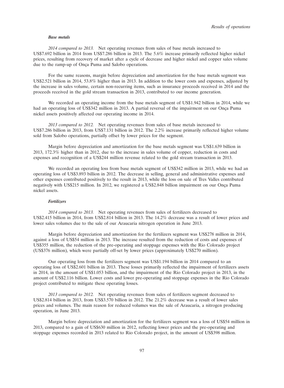#### *Base metals*

*2014 compared to 2013.* Net operating revenues from sales of base metals increased to US\$7.692 billion in 2014 from US\$7.286 billion in 2013. The 5.6% increase primarily reflected higher nickel prices, resulting from recovery of market after a cycle of decrease and higher nickel and copper sales volume due to the ramp-up of Onça Puma and Salobo operations.

For the same reasons, margin before depreciation and amortization for the base metals segment was US\$2.521 billion in 2014, 53.8% higher than in 2013. In addition to the lower costs and expenses, adjusted by the increase in sales volume, certain non-recurring items, such as insurance proceeds received in 2014 and the proceeds received in the gold stream transaction in 2013, contributed to our income generation.

We recorded an operating income from the base metals segment of US\$1.942 billion in 2014, while we had an operating loss of US\$342 million in 2013. A partial reversal of the impairment on our Onça Puma nickel assets positively affected our operating income in 2014.

*2013 compared to 2012.* Net operating revenues from sales of base metals increased to US\$7.286 billion in 2013, from US\$7.131 billion in 2012. The 2.2% increase primarily reflected higher volume sold from Salobo operations, partially offset by lower prices for the segment.

Margin before depreciation and amortization for the base metals segment was US\$1.639 billion in 2013, 172.3% higher than in 2012, due to the increase in sales volume of copper, reduction in costs and expenses and recognition of a US\$244 million revenue related to the gold stream transaction in 2013.

We recorded an operating loss from base metals segment of US\$342 million in 2013, while we had an operating loss of US\$3.893 billion in 2012. The decrease in selling, general and administrative expenses and other expenses contributed positively to the result in 2013, while the loss on sale of Tres Valles contributed negatively with US\$215 million. In 2012, we registered a US\$2.848 billion impairment on our Onça Puma nickel assets.

# *Fertilizers*

*2014 compared to 2013.* Net operating revenues from sales of fertilizers decreased to US\$2.415 billion in 2014, from US\$2.814 billion in 2013. The 14.2% decrease was a result of lower prices and lower sales volumes due to the sale of our Araucaria nitrogen operation in June 2013.

Margin before depreciation and amortization for the fertilizers segment was US\$278 million in 2014, against a loss of US\$54 million in 2013. The increase resulted from the reduction of costs and expenses of US\$355 million, the reduction of the pre-operating and stoppage expenses with the Rio Colorado project (US\$376 million), which were partially off-set by lower prices (approximately US\$270 million).

Our operating loss from the fertilizers segment was US\$1.194 billion in 2014 compared to an operating loss of US\$2.601 billion in 2013. These losses primarily reflected the impairment of fertilizers assets in 2014, in the amount of US\$1.053 billion, and the impairment of the Rio Colorado project in 2013, in the amount of US\$2.116 billion. Lower costs and lower pre-operating and stoppage expenses in the Rio Colorado project contributed to mitigate these operating losses.

*2013 compared to 2012.* Net operating revenues from sales of fertilizers segment decreased to US\$2.814 billion in 2013, from US\$3.570 billion in 2012. The 21.2% decrease was a result of lower sales prices and volumes. The main reason for reduced volumes was the sale of Araucaria, a nitrogen producing operation, in June 2013.

Margin before depreciation and amortization for the fertilizers segment was a loss of US\$54 million in 2013, compared to a gain of US\$630 million in 2012, reflecting lower prices and the pre-operating and stoppage expenses recorded in 2013 related to Rio Colorado project, in the amount of US\$398 million.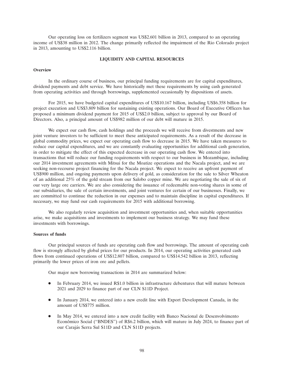Our operating loss on fertilizers segment was US\$2.601 billion in 2013, compared to an operating income of US\$38 million in 2012. The change primarily reflected the impairment of the Rio Colorado project in 2013, amounting to US\$2.116 billion.

### **LIQUIDITY AND CAPITAL RESOURCES**

### **Overview**

In the ordinary course of business, our principal funding requirements are for capital expenditures, dividend payments and debt service. We have historically met these requirements by using cash generated from operating activities and through borrowings, supplemented occasionally by dispositions of assets.

For 2015, we have budgeted capital expenditures of US\$10.167 billion, including US\$6.358 billion for project execution and US\$3.809 billion for sustaining existing operations. Our Board of Executive Officers has proposed a minimum dividend payment for 2015 of US\$2.0 billion, subject to approval by our Board of Directors. Also, a principal amount of US\$982 million of our debt will mature in 2015.

We expect our cash flow, cash holdings and the proceeds we will receive from divestments and new joint venture investors to be sufficient to meet these anticipated requirements. As a result of the decrease in global commodity prices, we expect our operating cash flow to decrease in 2015. We have taken measures to reduce our capital expenditures, and we are constantly evaluating opportunities for additional cash generation, in order to mitigate the effect of this expected decrease in our operating cash flow. We entered into transactions that will reduce our funding requirements with respect to our business in Mozambique, including our 2014 investment agreements with Mitsui for the Moatize operations and the Nacala project, and we are seeking non-recourse project financing for the Nacala project. We expect to receive an upfront payment of US\$900 million, and ongoing payments upon delivery of gold, as consideration for the sale to Silver Wheaton of an additional 25% of the gold stream from our Salobo copper mine. We are negotiating the sale of six of our very large ore carriers. We are also considering the issuance of redeemable non-voting shares in some of our subsidiaries, the sale of certain investments, and joint ventures for certain of our businesses. Finally, we are committed to continue the reduction in our expenses and to maintain discipline in capital expenditures. If necessary, we may fund our cash requirements for 2015 with additional borrowing.

We also regularly review acquisition and investment opportunities and, when suitable opportunities arise, we make acquisitions and investments to implement our business strategy. We may fund these investments with borrowings.

# **Sources of funds**

Our principal sources of funds are operating cash flow and borrowings. The amount of operating cash flow is strongly affected by global prices for our products. In 2014, our operating activities generated cash flows from continued operations of US\$12.807 billion, compared to US\$14.542 billion in 2013, reflecting primarily the lower prices of iron ore and pellets.

Our major new borrowing transactions in 2014 are summarized below:

- In February 2014, we issued R\$1.0 billion in infrastructure debentures that will mature between 2021 and 2029 to finance part of our CLN S11D Project.
- In January 2014, we entered into a new credit line with Export Development Canada, in the amount of US\$775 million.
- In May 2014, we entered into a new credit facility with Banco Nacional de Desenvolvimento Econômico Social ("BNDES") of R\$6.2 billion, which will mature in July 2024, to finance part of our Carajás Serra Sul S11D and CLN S11D projects.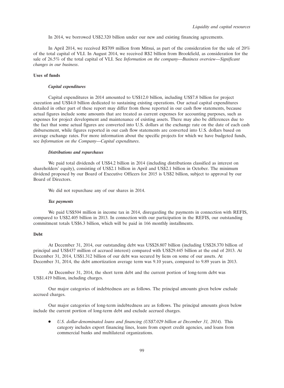In 2014, we borrowed US\$2.320 billion under our new and existing financing agreements.

In April 2014, we received R\$709 million from Mitsui, as part of the consideration for the sale of 20% of the total capital of VLI. In August 2014, we received R\$2 billion from Brookfield, as consideration for the sale of 26.5% of the total capital of VLI. See *Information on the company—Business overview—Significant changes in our business*.

# **Uses of funds**

#### *Capital expenditures*

Capital expenditures in 2014 amounted to US\$12.0 billion, including US\$7.8 billion for project execution and US\$4.0 billion dedicated to sustaining existing operations. Our actual capital expenditures detailed in other part of these report may differ from those reported in our cash flow statements, because actual figures include some amounts that are treated as current expenses for accounting purposes, such as expenses for project development and maintenance of existing assets. There may also be differences due to the fact that some actual figures are converted into U.S. dollars at the exchange rate on the date of each cash disbursement, while figures reported in our cash flow statements are converted into U.S. dollars based on average exchange rates. For more information about the specific projects for which we have budgeted funds, see *Information on the Company—Capital expenditures*.

#### *Distributions and repurchases*

We paid total dividends of US\$4.2 billion in 2014 (including distributions classified as interest on shareholders' equity), consisting of US\$2.1 billion in April and US\$2.1 billion in October. The minimum dividend proposed by our Board of Executive Officers for 2015 is US\$2 billion, subject to approval by our Board of Directors.

We did not repurchase any of our shares in 2014.

### *Tax payments*

We paid US\$504 million in income tax in 2014, disregarding the payments in connection with REFIS, compared to US\$2.405 billion in 2013. In connection with our participation in the REFIS, our outstanding commitment totals US\$6.3 billion, which will be paid in 166 monthly installments.

#### **Debt**

At December 31, 2014, our outstanding debt was US\$28.807 billion (including US\$28.370 billion of principal and US\$437 million of accrued interest) compared with US\$29.445 billion at the end of 2013. At December 31, 2014, US\$1.312 billion of our debt was secured by liens on some of our assets. At December 31, 2014, the debt amortization average term was 9.10 years, compared to 9.89 years in 2013.

At December 31, 2014, the short term debt and the current portion of long-term debt was US\$1.419 billion, including charges.

Our major categories of indebtedness are as follows. The principal amounts given below exclude accrued charges.

Our major categories of long-term indebtedness are as follows. The principal amounts given below include the current portion of long-term debt and exclude accrued charges.

 *U.S. dollar-denominated loans and financing (US\$7.029 billion at December 31, 2014).* This category includes export financing lines, loans from export credit agencies, and loans from commercial banks and multilateral organizations.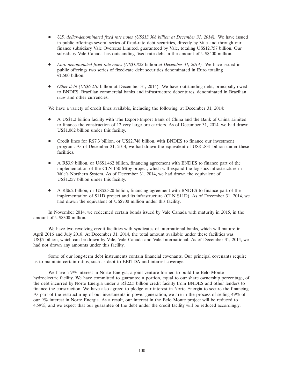- *U.S. dollar-denominated fixed rate notes (US\$13.308 billion at December 31, 2014).* We have issued in public offerings several series of fixed-rate debt securities, directly by Vale and through our finance subsidiary Vale Overseas Limited, guaranteed by Vale, totaling US\$12.757 billion. Our subsidiary Vale Canada has outstanding fixed rate debt in the amount of US\$400 million.
- *Euro-denominated fixed rate notes (US\$1.822* billion *at December 31, 2014).* We have issued in public offerings two series of fixed-rate debt securities denominated in Euro totaling  $£1.500$  billion.
- *Other debt (US\$6.210* billion at December 31, 2014). We have outstanding debt, principally owed to BNDES, Brazilian commercial banks and infrastructure debentures, denominated in Brazilian *reais* and other currencies.

We have a variety of credit lines available, including the following, at December 31, 2014:

- A US\$1.2 billion facility with The Export-Import Bank of China and the Bank of China Limited to finance the construction of 12 very large ore carriers. As of December 31, 2014, we had drawn US\$1.062 billion under this facility.
- Credit lines for R\$7.3 billion, or US\$2.748 billion, with BNDES to finance our investment program. As of December 31, 2014, we had drawn the equivalent of US\$1.831 billion under these facilities.
- A R\$3.9 billion, or US\$1.462 billion, financing agreement with BNDES to finance part of the implementation of the CLN 150 Mtpy project, which will expand the logistics infrastructure in Vale's Northern System. As of December 31, 2014, we had drawn the equivalent of US\$1.257 billion under this facility.
- A R\$6.2 billion, or US\$2.320 billion, financing agreement with BNDES to finance part of the implementation of S11D project and its infrastructure (CLN S11D). As of December 31, 2014, we had drawn the equivalent of US\$700 million under this facility.

In November 2014, we redeemed certain bonds issued by Vale Canada with maturity in 2015, in the amount of US\$300 million.

We have two revolving credit facilities with syndicates of international banks, which will mature in April 2016 and July 2018. At December 31, 2014, the total amount available under these facilities was US\$5 billion, which can be drawn by Vale, Vale Canada and Vale International. As of December 31, 2014, we had not drawn any amounts under this facility.

Some of our long-term debt instruments contain financial covenants. Our principal covenants require us to maintain certain ratios, such as debt to EBITDA and interest coverage.

We have a 9% interest in Norte Energia, a joint venture formed to build the Belo Monte hydroelectric facility. We have committed to guarantee a portion, equal to our share ownership percentage, of the debt incurred by Norte Energia under a R\$22.5 billion credit facility from BNDES and other lenders to finance the construction. We have also agreed to pledge our interest in Norte Energia to secure the financing. As part of the restructuring of our investments in power generation, we are in the process of selling 49% of our 9% interest in Norte Energia. As a result, our interest in the Belo Monte project will be reduced to 4.59%, and we expect that our guarantee of the debt under the credit facility will be reduced accordingly.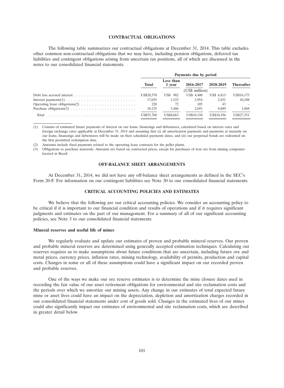# **CONTRACTUAL OBLIGATIONS**

The following table summarizes our contractual obligations at December 31, 2014. This table excludes other common non-contractual obligations that we may have, including pension obligations, deferred tax liabilities and contingent obligations arising from uncertain tax positions, all of which are discussed in the notes to our consolidated financial statements.

|       | Payments due by period |                     |                   |            |                   |
|-------|------------------------|---------------------|-------------------|------------|-------------------|
|       | <b>Total</b>           | Less than<br>1 vear | 2016-2017         | 2018-2019  | <b>Thereafter</b> |
|       | (US\$ million)         |                     |                   |            |                   |
|       | US\$28,370             | <b>US\$</b> 982     | <b>US\$</b> 4,400 | US\$ 6.813 | US\$16,175        |
|       | 17.035                 | 1.523               | 2.954             | 2.451      | 10.108            |
|       | 220                    |                     | 105               | 43         |                   |
|       | 10.135                 | 5.486               | 2.691             | 0.889      | 1.068             |
| Total | US\$55,760             | US\$8,063           | US\$10.150        | US\$10.196 | US\$27.351        |

(1) Consists of estimated future payments of interest on our loans, financings and debentures, calculated based on interest rates and foreign exchange rates applicable at December 31, 2014 and assuming that (i) all amortization payments and payments at maturity on our loans, financings and debentures will be made on their scheduled payments dates, and (ii) our perpetual bonds are redeemed on the first permitted redemption date.

(2) Amounts include fixed payments related to the operating lease contracts for the pellet plants.

(3) Obligations to purchase materials. Amounts are based on contracted prices, except for purchases of iron ore from mining companies located in Brazil.

# **OFF-BALANCE SHEET ARRANGEMENTS**

At December 31, 2014, we did not have any off-balance sheet arrangements as defined in the SEC's Form 20-F. For information on our contingent liabilities see Note 30 to our consolidated financial statements.

# **CRITICAL ACCOUNTING POLICIES AND ESTIMATES**

We believe that the following are our critical accounting policies. We consider an accounting policy to be critical if it is important to our financial condition and results of operations and if it requires significant judgments and estimates on the part of our management. For a summary of all of our significant accounting policies, see Note 3 to our consolidated financial statements.

## **Mineral reserves and useful life of mines**

We regularly evaluate and update our estimates of proven and probable mineral reserves. Our proven and probable mineral reserves are determined using generally accepted estimation techniques. Calculating our reserves requires us to make assumptions about future conditions that are uncertain, including future ore and metal prices, currency prices, inflation rates, mining technology, availability of permits, production and capital costs. Changes in some or all of these assumptions could have a significant impact on our recorded proven and probable reserves.

One of the ways we make our ore reserve estimates is to determine the mine closure dates used in recording the fair value of our asset retirement obligations for environmental and site reclamation costs and the periods over which we amortize our mining assets. Any change in our estimates of total expected future mine or asset lives could have an impact on the depreciation, depletion and amortization charges recorded in our consolidated financial statements under cost of goods sold. Changes in the estimated lives of our mines could also significantly impact our estimates of environmental and site reclamation costs, which are described in greater detail below.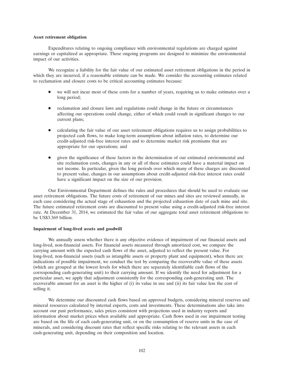#### **Asset retirement obligation**

Expenditures relating to ongoing compliance with environmental regulations are charged against earnings or capitalized as appropriate. These ongoing programs are designed to minimize the environmental impact of our activities.

We recognize a liability for the fair value of our estimated asset retirement obligations in the period in which they are incurred, if a reasonable estimate can be made. We consider the accounting estimates related to reclamation and closure costs to be critical accounting estimates because:

- we will not incur most of these costs for a number of years, requiring us to make estimates over a long period;
- reclamation and closure laws and regulations could change in the future or circumstances affecting our operations could change, either of which could result in significant changes to our current plans;
- calculating the fair value of our asset retirement obligations requires us to assign probabilities to projected cash flows, to make long-term assumptions about inflation rates, to determine our credit-adjusted risk-free interest rates and to determine market risk premiums that are appropriate for our operations; and
- given the significance of these factors in the determination of our estimated environmental and site reclamation costs, changes in any or all of these estimates could have a material impact on net income. In particular, given the long periods over which many of these charges are discounted to present value, changes in our assumptions about credit-adjusted risk-free interest rates could have a significant impact on the size of our provision.

Our Environmental Department defines the rules and procedures that should be used to evaluate our asset retirement obligations. The future costs of retirement of our mines and sites are reviewed annually, in each case considering the actual stage of exhaustion and the projected exhaustion date of each mine and site. The future estimated retirement costs are discounted to present value using a credit-adjusted risk-free interest rate. At December 31, 2014, we estimated the fair value of our aggregate total asset retirement obligations to be US\$3.369 billion.

### **Impairment of long-lived assets and goodwill**

We annually assess whether there is any objective evidence of impairment of our financial assets and long-lived, non-financial assets. For financial assets measured through amortized cost, we compare the carrying amount with the expected cash flows of the asset, adjusted to reflect the present value. For long-lived, non-financial assets (such as intangible assets or property plant and equipment), when there are indications of possible impairment, we conduct the test by comparing the recoverable value of these assets (which are grouped at the lowest levels for which there are separately identifiable cash flows of the corresponding cash-generating unit) to their carrying amount. If we identify the need for adjustment for a particular asset, we apply that adjustment consistently for the corresponding cash-generating unit. The recoverable amount for an asset is the higher of (i) its value in use and (ii) its fair value less the cost of selling it.

We determine our discounted cash flows based on approved budgets, considering mineral reserves and mineral resources calculated by internal experts, costs and investments. These determinations also take into account our past performance, sales prices consistent with projections used in industry reports and information about market prices when available and appropriate. Cash flows used in our impairment testing are based on the life of each cash-generating unit, or on the consumption of reserve units in the case of minerals, and considering discount rates that reflect specific risks relating to the relevant assets in each cash-generating unit, depending on their composition and location.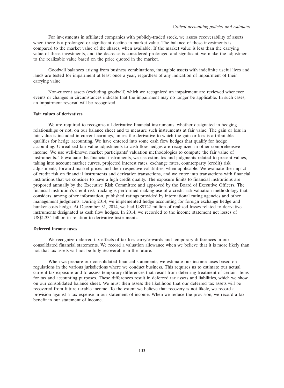For investments in affiliated companies with publicly-traded stock, we assess recoverability of assets when there is a prolonged or significant decline in market value. The balance of these investments is compared to the market value of the shares, when available. If the market value is less than the carrying value of these investments, and the decrease is considered prolonged and significant, we make the adjustment to the realizable value based on the price quoted in the market.

Goodwill balances arising from business combinations, intangible assets with indefinite useful lives and lands are tested for impairment at least once a year, regardless of any indication of impairment of their carrying value.

Non-current assets (excluding goodwill) which we recognized an impairment are reviewed whenever events or changes in circumstances indicate that the impairment may no longer be applicable. In such cases, an impairment reversal will be recognized.

# **Fair values of derivatives**

We are required to recognize all derivative financial instruments, whether designated in hedging relationships or not, on our balance sheet and to measure such instruments at fair value. The gain or loss in fair value is included in current earnings, unless the derivative to which the gain or loss is attributable qualifies for hedge accounting. We have entered into some cash flow hedges that qualify for hedge accounting. Unrealized fair value adjustments to cash flow hedges are recognized in other comprehensive income. We use well-known market participants' valuation methodologies to compute the fair value of instruments. To evaluate the financial instruments, we use estimates and judgments related to present values, taking into account market curves, projected interest rates, exchange rates, counterparty (credit) risk adjustments, forward market prices and their respective volatilities, when applicable. We evaluate the impact of credit risk on financial instruments and derivative transactions, and we enter into transactions with financial institutions that we consider to have a high credit quality. The exposure limits to financial institutions are proposed annually by the Executive Risk Committee and approved by the Board of Executive Officers. The financial institution's credit risk tracking is performed making use of a credit risk valuation methodology that considers, among other information, published ratings provided by international rating agencies and other management judgments. During 2014, we implemented hedge accounting for foreign exchange hedge and bunker costs hedge. At December 31, 2014, we had US\$122 million of realized losses related to derivative instruments designated as cash flow hedges. In 2014, we recorded to the income statement net losses of US\$1.334 billion in relation to derivative instruments.

# **Deferred income taxes**

We recognize deferred tax effects of tax loss carryforwards and temporary differences in our consolidated financial statements. We record a valuation allowance when we believe that it is more likely than not that tax assets will not be fully recoverable in the future.

When we prepare our consolidated financial statements, we estimate our income taxes based on regulations in the various jurisdictions where we conduct business. This requires us to estimate our actual current tax exposure and to assess temporary differences that result from deferring treatment of certain items for tax and accounting purposes. These differences result in deferred tax assets and liabilities, which we show on our consolidated balance sheet. We must then assess the likelihood that our deferred tax assets will be recovered from future taxable income. To the extent we believe that recovery is not likely, we record a provision against a tax expense in our statement of income. When we reduce the provision, we record a tax benefit in our statement of income.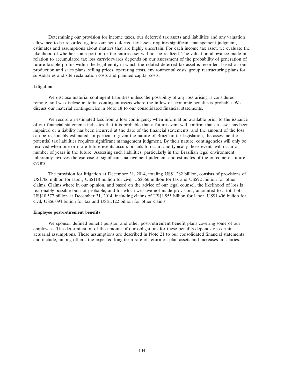Determining our provision for income taxes, our deferred tax assets and liabilities and any valuation allowance to be recorded against our net deferred tax assets requires significant management judgment, estimates and assumptions about matters that are highly uncertain. For each income tax asset, we evaluate the likelihood of whether some portion or the entire asset will not be realized. The valuation allowance made in relation to accumulated tax loss carryforwards depends on our assessment of the probability of generation of future taxable profits within the legal entity in which the related deferred tax asset is recorded, based on our production and sales plans, selling prices, operating costs, environmental costs, group restructuring plans for subsidiaries and site reclamation costs and planned capital costs.

#### **Litigation**

We disclose material contingent liabilities unless the possibility of any loss arising is considered remote, and we disclose material contingent assets where the inflow of economic benefits is probable. We discuss our material contingencies in Note 18 to our consolidated financial statements.

We record an estimated loss from a loss contingency when information available prior to the issuance of our financial statements indicates that it is probable that a future event will confirm that an asset has been impaired or a liability has been incurred at the date of the financial statements, and the amount of the loss can be reasonably estimated. In particular, given the nature of Brazilian tax legislation, the assessment of potential tax liabilities requires significant management judgment. By their nature, contingencies will only be resolved when one or more future events occurs or fails to occur, and typically those events will occur a number of years in the future. Assessing such liabilities, particularly in the Brazilian legal environment, inherently involves the exercise of significant management judgment and estimates of the outcome of future events.

The provision for litigation at December 31, 2014, totaling US\$1.282 billion, consists of provisions of US\$706 million for labor, US\$118 million for civil, US\$366 million for tax and US\$92 million for other claims. Claims where in our opinion, and based on the advice of our legal counsel, the likelihood of loss is reasonably possible but not probable, and for which we have not made provisions, amounted to a total of US\$10.577 billion at December 31, 2014, including claims of US\$1.955 billion for labor, US\$1.406 billion for civil, US\$6.094 billion for tax and US\$1.122 billion for other claims.

# **Employee post-retirement benefits**

We sponsor defined benefit pension and other post-retirement benefit plans covering some of our employees. The determination of the amount of our obligations for these benefits depends on certain actuarial assumptions. These assumptions are described in Note 21 to our consolidated financial statements and include, among others, the expected long-term rate of return on plan assets and increases in salaries.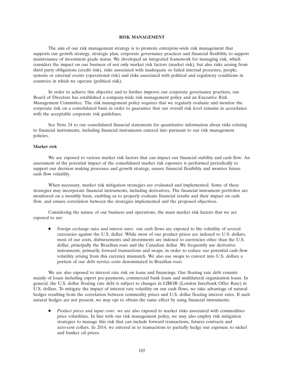# **RISK MANAGEMENT**

The aim of our risk management strategy is to promote enterprise-wide risk management that supports our growth strategy, strategic plan, corporate governance practices and financial flexibility to support maintenance of investment grade status. We developed an integrated framework for managing risk, which considers the impact on our business of not only market risk factors (market risk), but also risks arising from third party obligations (credit risk), risks associated with inadequate or failed internal processes, people, systems or external events (operational risk) and risks associated with political and regulatory conditions in countries in which we operate (political risk).

In order to achieve this objective and to further improve our corporate governance practices, our Board of Directors has established a company-wide risk management policy and an Executive Risk Management Committee. The risk management policy requires that we regularly evaluate and monitor the corporate risk on a consolidated basis in order to guarantee that our overall risk level remains in accordance with the acceptable corporate risk guidelines.

See Note 24 to our consolidated financial statements for quantitative information about risks relating to financial instruments, including financial instruments entered into pursuant to our risk management policies.

### **Market risk**

We are exposed to various market risk factors that can impact our financial stability and cash flow. An assessment of the potential impact of the consolidated market risk exposure is performed periodically to support our decision making processes and growth strategy, ensure financial flexibility and monitor future cash flow volatility.

When necessary, market risk mitigation strategies are evaluated and implemented. Some of these strategies may incorporate financial instruments, including derivatives. The financial instrument portfolios are monitored on a monthly basis, enabling us to properly evaluate financial results and their impact on cash flow, and ensure correlation between the strategies implemented and the proposed objectives.

Considering the nature of our business and operations, the main market risk factors that we are exposed to are:

 *Foreign exchange rates and interest rates:* our cash flows are exposed to the volatility of several currencies against the U.S. dollar. While most of our product prices are indexed to U.S. dollars, most of our costs, disbursements and investments are indexed to currencies other than the U.S. dollar, principally the Brazilian *reais* and the Canadian dollar. We frequently use derivative instruments, primarily forward transactions and swaps, in order to reduce our potential cash flow volatility arising from this currency mismatch. We also use swaps to convert into U.S. dollars a portion of our debt service costs denominated in Brazilian *reais*.

We are also exposed to interest rate risk on loans and financings. Our floating rate debt consists mainly of loans including export pre-payments, commercial bank loans and multilateral organization loans. In general, the U.S. dollar floating rate debt is subject to changes in LIBOR (London Interbank Offer Rate) in U.S. dollars. To mitigate the impact of interest rate volatility on our cash flows, we take advantage of natural hedges resulting from the correlation between commodity prices and U.S. dollar floating interest rates. If such natural hedges are not present, we may opt to obtain the same effect by using financial instruments.

 *Product prices and input costs:* we are also exposed to market risks associated with commodities price volatilities. In line with our risk management policy, we may also employ risk mitigation strategies to manage this risk that can include forward transactions, futures contracts and zero-cost collars. In 2014, we entered in to transactions to partially hedge our exposure to nickel and bunker oil prices.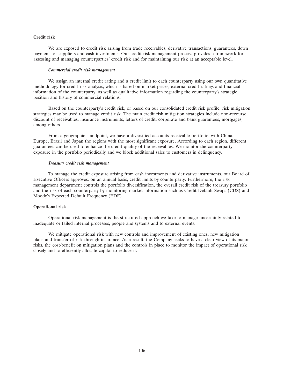# **Credit risk**

We are exposed to credit risk arising from trade receivables, derivative transactions, guarantees, down payment for suppliers and cash investments. Our credit risk management process provides a framework for assessing and managing counterparties' credit risk and for maintaining our risk at an acceptable level.

### *Commercial credit risk management*

We assign an internal credit rating and a credit limit to each counterparty using our own quantitative methodology for credit risk analysis, which is based on market prices, external credit ratings and financial information of the counterparty, as well as qualitative information regarding the counterparty's strategic position and history of commercial relations.

Based on the counterparty's credit risk, or based on our consolidated credit risk profile, risk mitigation strategies may be used to manage credit risk. The main credit risk mitigation strategies include non-recourse discount of receivables, insurance instruments, letters of credit, corporate and bank guarantees, mortgages, among others.

From a geographic standpoint, we have a diversified accounts receivable portfolio, with China, Europe, Brazil and Japan the regions with the most significant exposure. According to each region, different guarantees can be used to enhance the credit quality of the receivables. We monitor the counterparty exposure in the portfolio periodically and we block additional sales to customers in delinquency.

### *Treasury credit risk management*

To manage the credit exposure arising from cash investments and derivative instruments, our Board of Executive Officers approves, on an annual basis, credit limits by counterparty. Furthermore, the risk management department controls the portfolio diversification, the overall credit risk of the treasury portfolio and the risk of each counterparty by monitoring market information such as Credit Default Swaps (CDS) and Moody's Expected Default Frequency (EDF).

# **Operational risk**

Operational risk management is the structured approach we take to manage uncertainty related to inadequate or failed internal processes, people and systems and to external events.

We mitigate operational risk with new controls and improvement of existing ones, new mitigation plans and transfer of risk through insurance. As a result, the Company seeks to have a clear view of its major risks, the cost-benefit on mitigation plans and the controls in place to monitor the impact of operational risk closely and to efficiently allocate capital to reduce it.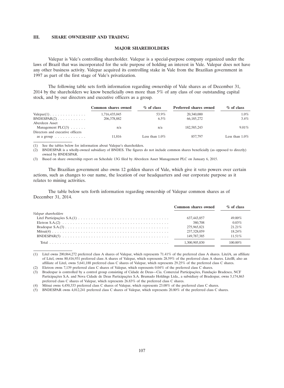# **III. SHARE OWNERSHIP AND TRADING**

### **MAJOR SHAREHOLDERS**

Valepar is Vale's controlling shareholder. Valepar is a special-purpose company organized under the laws of Brazil that was incorporated for the sole purpose of holding an interest in Vale. Valepar does not have any other business activity. Valepar acquired its controlling stake in Vale from the Brazilian government in 1997 as part of the first stage of Vale's privatization.

The following table sets forth information regarding ownership of Vale shares as of December 31, 2014 by the shareholders we know beneficially own more than 5% of any class of our outstanding capital stock, and by our directors and executive officers as a group.

|                                                         | Common shares owned | % of class        | <b>Preferred shares owned</b> | % of class        |
|---------------------------------------------------------|---------------------|-------------------|-------------------------------|-------------------|
| $\text{Valepar}(1) \ldots \ldots \ldots \ldots$         | 1,716,435,045       | 53.9%             | 20,340,000                    | $1.0\%$           |
| BNDERPAR(2)<br>Aberdeen Asset                           | 206,378,882         | $6.5\%$           | 66, 185, 272                  | $3.4\%$           |
| Management $PLC(3)$<br>Directors and executive officers | n/a                 | n/a               | 182,585,243                   | $9.01\%$          |
| as a group $\ldots \ldots \ldots$                       | 11.816              | Less than $1.0\%$ | 857.797                       | Less than $1.0\%$ |

(1) See the tables below for information about Valepar's shareholders.

(2) BNDESPAR is a wholly-owned subsidiary of BNDES. The figures do not include common shares beneficially (as opposed to directly) owned by BNDESPAR.

(3) Based on share ownership report on Schedule 13G filed by Aberdeen Asset Management PLC on January 6, 2015.

The Brazilian government also owns 12 golden shares of Vale, which give it veto powers over certain actions, such as changes to our name, the location of our headquarters and our corporate purpose as it relates to mining activities.

The table below sets forth information regarding ownership of Valepar common shares as of December 31, 2014.

|                      | Common shares owned | $\%$ of class |
|----------------------|---------------------|---------------|
| Valepar shareholders |                     |               |
|                      | 637,443,857         | 49.00%        |
|                      | 380,708             | 0.03%         |
|                      | 275,965,821         | $21.21\%$     |
|                      | 237,328,059         | 18.24%        |
|                      | 149,787,385         | 11.51\%       |
|                      | 1.300.905.830       | 100.00%       |

(1) Litel owns 200,864,272 preferred class A shares of Valepar, which represents 71.41% of the preferred class A shares. LitelA, an affiliate of Litel, owns 80,416,931 preferred class A shares of Valepar, which represents 28.59% of the preferred class A shares. LitelB, also an affiliate of Litel, owns 5,641,188 preferred class C shares of Valepar, which represents 29.25% of the preferred class C shares.

(2) Eletron owns 7,139 preferred class C shares of Valepar, which represents 0.04% of the preferred class C shares.

(3) Bradespar is controlled by a control group consisting of Cidade de Deus—Cia. Comercial Participações, Fundação Bradesco, NCF Participações S.A. and Nova Cidade de Deus Participações S.A. Brumado Holdings Ltda., a subsidiary of Bradespar, owns 5,174,863 preferred class C shares of Valepar, which represents 26.83% of the preferred class C shares.

(4) Mitsui owns 4,450,333 preferred class C shares of Valepar, which represents 23.08% of the preferred class C shares.

(5) BNDESPAR owns 4,012,241 preferred class C shares of Valepar, which represents 20.80% of the preferred class C shares.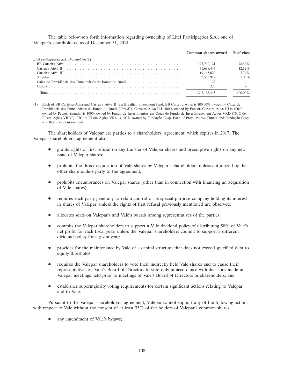The table below sets forth information regarding ownership of Litel Participações S.A., one of Valepar's shareholders, as of December 31, 2014.

|                                          | Common shares owned % of class |           |
|------------------------------------------|--------------------------------|-----------|
| Litel Participações S.A. shareholders(1) |                                |           |
|                                          | 193,740,121                    | 78.40%    |
|                                          | 31,688,443                     | $12.82\%$ |
|                                          | 19.115.620                     | $7.74\%$  |
|                                          | 2.583.919                      | $1.05\%$  |
|                                          |                                |           |
|                                          | 220                            |           |
| Total                                    | 247, 128, 345                  |           |

(1) Each of BB Carteira Ativa and Carteira Ativa II is a Brazilian investment fund. BB Carteira Ativa is 100.00% owned by Caixa de Previdência dos Funcionários do Banco do Brasil ("Previ"). Carteira Ativa II is 100% owned by Funcef. Carteira Ativa III is 100% owned by Petros. Singular is 100% owned by Fundo de Investimentos em Cotas de Fundo de Investimento em Ações VRD ("FIC de FI em Ações VRD''). FIC de FI em Ações VRD is 100% owned by Fundação Cesp. Each of Previ, Petros, Funcef and Fundação Cesp is a Brazilian pension fund.

The shareholders of Valepar are parties to a shareholders' agreement, which expires in 2017. The Valepar shareholders' agreement also:

- grants rights of first refusal on any transfer of Valepar shares and preemptive rights on any new issue of Valepar shares;
- prohibits the direct acquisition of Vale shares by Valepar's shareholders unless authorized by the other shareholders party to the agreement;
- prohibits encumbrances on Valepar shares (other than in connection with financing an acquisition of Vale shares);
- requires each party generally to retain control of its special purpose company holding its interest in shares of Valepar, unless the rights of first refusal previously mentioned are observed;
- allocates seats on Valepar's and Vale's boards among representatives of the parties;
- commits the Valepar shareholders to support a Vale dividend policy of distributing 50% of Vale's net profit for each fiscal year, unless the Valepar shareholders commit to support a different dividend policy for a given year;
- provides for the maintenance by Vale of a capital structure that does not exceed specified debt to equity thresholds;
- requires the Valepar shareholders to vote their indirectly held Vale shares and to cause their representatives on Vale's Board of Directors to vote only in accordance with decisions made at Valepar meetings held prior to meetings of Vale's Board of Directors or shareholders; and
- establishes supermajority voting requirements for certain significant actions relating to Valepar and to Vale.

Pursuant to the Valepar shareholders' agreement, Valepar cannot support any of the following actions with respect to Vale without the consent of at least 75% of the holders of Valepar's common shares:

any amendment of Vale's bylaws;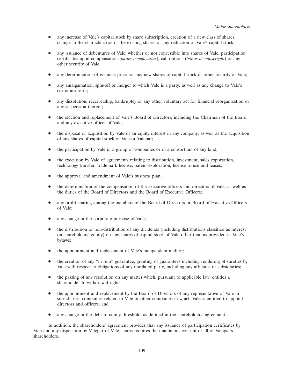- any increase of Vale's capital stock by share subscription, creation of a new class of shares, change in the characteristics of the existing shares or any reduction of Vale's capital stock;
- any issuance of debentures of Vale, whether or not convertible into shares of Vale, participation  $c$ ertificates upon compensation (*partes beneficiárias*), call options (*bônus de subscrição*) or any other security of Vale;
- any determination of issuance price for any new shares of capital stock or other security of Vale;
- any amalgamation, spin-off or merger to which Vale is a party, as well as any change to Vale's corporate form;
- any dissolution, receivership, bankruptcy or any other voluntary act for financial reorganization or any suspension thereof;
- the election and replacement of Vale's Board of Directors, including the Chairman of the Board, and any executive officer of Vale;
- the disposal or acquisition by Vale of an equity interest in any company, as well as the acquisition of any shares of capital stock of Vale or Valepar;
- the participation by Vale in a group of companies or in a consortium of any kind;
- the execution by Vale of agreements relating to distribution, investment, sales exportation, technology transfer, trademark license, patent exploration, license to use and leases;
- the approval and amendment of Vale's business plan;
- the determination of the compensation of the executive officers and directors of Vale, as well as the duties of the Board of Directors and the Board of Executive Officers;
- any profit sharing among the members of the Board of Directors or Board of Executive Officers of Vale;
- any change in the corporate purpose of Vale;
- the distribution or non-distribution of any dividends (including distributions classified as interest on shareholders' equity) on any shares of capital stock of Vale other than as provided in Vale's bylaws;
- the appointment and replacement of Vale's independent auditor;
- the creation of any ''in rem'' guarantee, granting of guarantees including rendering of sureties by Vale with respect to obligations of any unrelated party, including any affiliates or subsidiaries;
- the passing of any resolution on any matter which, pursuant to applicable law, entitles a shareholder to withdrawal rights;
- the appointment and replacement by the Board of Directors of any representative of Vale in subsidiaries, companies related to Vale or other companies in which Vale is entitled to appoint directors and officers; and
- any change in the debt to equity threshold, as defined in the shareholders' agreement.

In addition, the shareholders' agreement provides that any issuance of participation certificates by Vale and any disposition by Valepar of Vale shares requires the unanimous consent of all of Valepar's shareholders.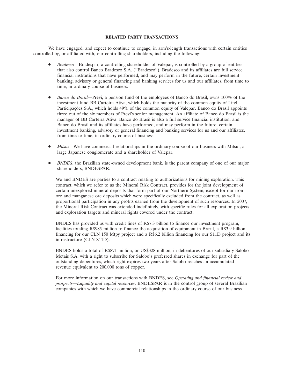# **RELATED PARTY TRANSACTIONS**

We have engaged, and expect to continue to engage, in arm's-length transactions with certain entities controlled by, or affiliated with, our controlling shareholders, including the following:

- *Bradesco*—Bradespar, a controlling shareholder of Valepar, is controlled by a group of entities that also control Banco Bradesco S.A. (''Bradesco''). Bradesco and its affiliates are full service financial institutions that have performed, and may perform in the future, certain investment banking, advisory or general financing and banking services for us and our affiliates, from time to time, in ordinary course of business.
- *Banco do Brasil—*Previ, a pension fund of the employees of Banco do Brasil, owns 100% of the investment fund BB Carteira Ativa, which holds the majority of the common equity of Litel Participações S.A., which holds 49% of the common equity of Valepar. Banco do Brasil appoints three out of the six members of Previ's senior management. An affiliate of Banco do Brasil is the manager of BB Carteira Ativa. Banco do Brasil is also a full service financial institution, and Banco do Brasil and its affiliates have performed, and may perform in the future, certain investment banking, advisory or general financing and banking services for us and our affiliates, from time to time, in ordinary course of business.
- *Mitsui*—We have commercial relationships in the ordinary course of our business with Mitsui, a large Japanese conglomerate and a shareholder of Valepar.
- *BNDES*, the Brazilian state-owned development bank, is the parent company of one of our major shareholders, BNDESPAR.

We and BNDES are parties to a contract relating to authorizations for mining exploration. This contract, which we refer to as the Mineral Risk Contract, provides for the joint development of certain unexplored mineral deposits that form part of our Northern System, except for our iron ore and manganese ore deposits which were specifically excluded from the contract, as well as proportional participation in any profits earned from the development of such resources. In 2007, the Mineral Risk Contract was extended indefinitely, with specific rules for all exploration projects and exploration targets and mineral rights covered under the contract.

BNDES has provided us with credit lines of R\$7.3 billion to finance our investment program, facilities totaling R\$985 million to finance the acquisition of equipment in Brazil, a R\$3.9 billion financing for our CLN 150 Mtpy project and a R\$6.2 billion financing for our S11D project and its infrastructure (CLN S11D).

BNDES holds a total of R\$871 million, or US\$328 million, in debentures of our subsidiary Salobo Metais S.A. with a right to subscribe for Salobo's preferred shares in exchange for part of the outstanding debentures, which right expires two years after Salobo reaches an accumulated revenue equivalent to 200,000 tons of copper.

For more information on our transactions with BNDES, see *Operating and financial review and prospects*—*Liquidity and capital resources*. BNDESPAR is in the control group of several Brazilian companies with which we have commercial relationships in the ordinary course of our business.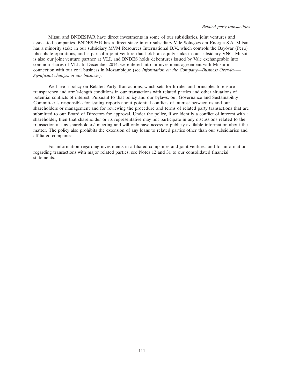Mitsui and BNDESPAR have direct investments in some of our subsidiaries, joint ventures and associated companies. BNDESPAR has a direct stake in our subsidiary Vale Soluções em Energia S.A. Mitsui has a minority stake in our subsidiary MVM Resources International B.V., which controls the Bayóvar (Peru) phosphate operations, and is part of a joint venture that holds an equity stake in our subsidiary VNC. Mitsui is also our joint venture partner at VLI, and BNDES holds debentures issued by Vale exchangeable into common shares of VLI. In December 2014, we entered into an investment agreement with Mitsui in connection with our coal business in Mozambique (see *Information on the Company—Business Overview— Significant changes in our business*).

We have a policy on Related Party Transactions, which sets forth rules and principles to ensure transparency and arm's-length conditions in our transactions with related parties and other situations of potential conflicts of interest. Pursuant to that policy and our bylaws, our Governance and Sustainability Committee is responsible for issuing reports about potential conflicts of interest between us and our shareholders or management and for reviewing the procedure and terms of related party transactions that are submitted to our Board of Directors for approval. Under the policy, if we identify a conflict of interest with a shareholder, then that shareholder or its representative may not participate in any discussions related to the transaction at any shareholders' meeting and will only have access to publicly available information about the matter. The policy also prohibits the extension of any loans to related parties other than our subsidiaries and affiliated companies.

For information regarding investments in affiliated companies and joint ventures and for information regarding transactions with major related parties, see Notes 12 and 31 to our consolidated financial statements.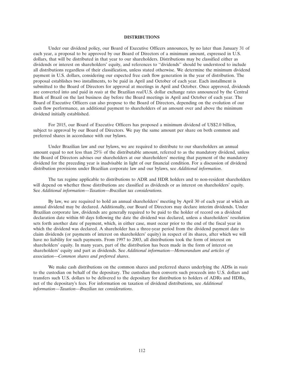# **DISTRIBUTIONS**

Under our dividend policy, our Board of Executive Officers announces, by no later than January 31 of each year, a proposal to be approved by our Board of Directors of a minimum amount, expressed in U.S. dollars, that will be distributed in that year to our shareholders. Distributions may be classified either as dividends or interest on shareholders' equity, and references to "dividends" should be understood to include all distributions regardless of their classification, unless stated otherwise. We determine the minimum dividend payment in U.S. dollars, considering our expected free cash flow generation in the year of distribution. The proposal establishes two installments, to be paid in April and October of each year. Each installment is submitted to the Board of Directors for approval at meetings in April and October. Once approved, dividends are converted into and paid in *reais* at the Brazilian *real*/U.S. dollar exchange rates announced by the Central Bank of Brazil on the last business day before the Board meetings in April and October of each year. The Board of Executive Officers can also propose to the Board of Directors, depending on the evolution of our cash flow performance, an additional payment to shareholders of an amount over and above the minimum dividend initially established.

For 2015, our Board of Executive Officers has proposed a minimum dividend of US\$2.0 billion, subject to approval by our Board of Directors. We pay the same amount per share on both common and preferred shares in accordance with our bylaws.

Under Brazilian law and our bylaws, we are required to distribute to our shareholders an annual amount equal to not less than 25% of the distributable amount, referred to as the mandatory dividend, unless the Board of Directors advises our shareholders at our shareholders' meeting that payment of the mandatory dividend for the preceding year is inadvisable in light of our financial condition. For a discussion of dividend distribution provisions under Brazilian corporate law and our bylaws, see *Additional information*.

The tax regime applicable to distributions to ADR and HDR holders and to non-resident shareholders will depend on whether those distributions are classified as dividends or as interest on shareholders' equity. See *Additional information*—*Taxation—Brazilian tax considerations.*

By law, we are required to hold an annual shareholders' meeting by April 30 of each year at which an annual dividend may be declared. Additionally, our Board of Directors may declare interim dividends. Under Brazilian corporate law, dividends are generally required to be paid to the holder of record on a dividend declaration date within 60 days following the date the dividend was declared, unless a shareholders' resolution sets forth another date of payment, which, in either case, must occur prior to the end of the fiscal year in which the dividend was declared. A shareholder has a three-year period from the dividend payment date to claim dividends (or payments of interest on shareholders' equity) in respect of its shares, after which we will have no liability for such payments. From 1997 to 2003, all distributions took the form of interest on shareholders' equity. In many years, part of the distribution has been made in the form of interest on shareholders' equity and part as dividends. See *Additional information—Memorandum and articles of association*—*Common shares and preferred shares*.

We make cash distributions on the common shares and preferred shares underlying the ADSs in *reais* to the custodian on behalf of the depositary. The custodian then converts such proceeds into U.S. dollars and transfers such U.S. dollars to be delivered to the depositary for distribution to holders of ADRs and HDRs, net of the depositary's fees. For information on taxation of dividend distributions, see *Additional information*—*Taxation—Brazilian tax considerations*.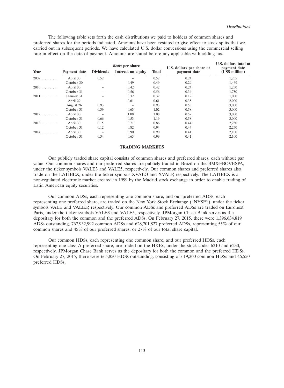The following table sets forth the cash distributions we paid to holders of common shares and preferred shares for the periods indicated. Amounts have been restated to give effect to stock splits that we carried out in subsequent periods. We have calculated U.S. dollar conversions using the commercial selling rate in effect on the date of payment. Amounts are stated before any applicable withholding tax.

|        |              | <i>Reals</i> per share |                          |              | U.S. dollars per share at | U.S. dollars total at<br>payment date |  |
|--------|--------------|------------------------|--------------------------|--------------|---------------------------|---------------------------------------|--|
| Year   | Payment date | <b>Dividends</b>       | Interest on equity       | <b>Total</b> | payment date              | (US\$ million)                        |  |
| 2009   | April 30     | 0.52                   |                          | 0.52         | 0.24                      | 1,255                                 |  |
|        | October 30   |                        | 0.49                     | 0.49         | 0.29                      | 1,469                                 |  |
| $2010$ | April 30     |                        | 0.42                     | 0.42         | 0.24                      | 1,250                                 |  |
|        | October 31   |                        | 0.56                     | 0.56         | 0.34                      | 1,750                                 |  |
| $2011$ | January 31   |                        | 0.32                     | 0.32         | 0.19                      | 1,000                                 |  |
|        | April 29     |                        | 0.61                     | 0.61         | 0.38                      | 2,000                                 |  |
|        | August 26    | 0.93                   | $\overline{\phantom{m}}$ | 0.93         | 0.58                      | 3,000                                 |  |
|        | October 31   | 0.39                   | 0.63                     | 1.02         | 0.58                      | 3,000                                 |  |
| $2012$ | April 30     |                        | 1.08                     | 1.08         | 0.59                      | 3,000                                 |  |
|        | October 31   | 0.66                   | 0.53                     | 1.19         | 0.58                      | 3,000                                 |  |
| $2013$ | April 30     | 0.15                   | 0.71                     | 0.86         | 0.44                      | 2,250                                 |  |
|        | October 31   | 0.12                   | 0.82                     | 0.94         | 0.44                      | 2,250                                 |  |
| $2014$ | April 30     |                        | 0.90                     | 0.90         | 0.41                      | 2,100                                 |  |
|        | October 31   | 0.34                   | 0.65                     | 0.99         | 0.41                      | 2,100                                 |  |

#### **TRADING MARKETS**

Our publicly traded share capital consists of common shares and preferred shares, each without par value. Our common shares and our preferred shares are publicly traded in Brazil on the BM&FBOVESPA, under the ticker symbols VALE3 and VALE5, respectively. Our common shares and preferred shares also trade on the LATIBEX, under the ticker symbols XVALO and XVALP, respectively. The LATIBEX is a non-regulated electronic market created in 1999 by the Madrid stock exchange in order to enable trading of Latin American equity securities.

Our common ADSs, each representing one common share, and our preferred ADSs, each representing one preferred share, are traded on the New York Stock Exchange (''NYSE''), under the ticker symbols VALE and VALE.P, respectively. Our common ADSs and preferred ADSs are traded on Euronext Paris, under the ticker symbols VALE3 and VALE5, respectively. JPMorgan Chase Bank serves as the depositary for both the common and the preferred ADSs. On February 27, 2015, there were 1,396,634,819 ADSs outstanding, 767,932,992 common ADSs and 628,701,827 preferred ADSs, representing 55% of our common shares and 45% of our preferred shares, or 27% of our total share capital.

Our common HDSs, each representing one common share, and our preferred HDSs, each representing one class A preferred share, are traded on the HKEx, under the stock codes 6210 and 6230, respectively. JPMorgan Chase Bank serves as the depositary for both the common and the preferred HDSs. On February 27, 2015, there were 665,850 HDSs outstanding, consisting of 619,300 common HDSs and 46,550 preferred HDSs.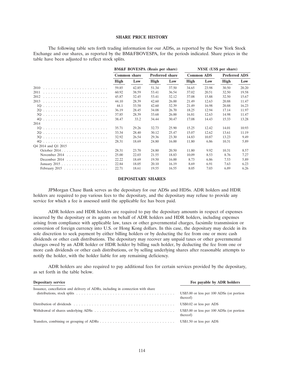# **SHARE PRICE HISTORY**

The following table sets forth trading information for our ADSs, as reported by the New York Stock Exchange and our shares, as reported by the BM&FBOVESPA, for the periods indicated. Share prices in the table have been adjusted to reflect stock splits.

|                                                    | <b>BM&amp;F BOVESPA</b> (Reais per share) |       |                        | NYSE (US\$ per share) |                   |       |                      |       |
|----------------------------------------------------|-------------------------------------------|-------|------------------------|-----------------------|-------------------|-------|----------------------|-------|
|                                                    | <b>Common share</b>                       |       | <b>Preferred share</b> |                       | <b>Common ADS</b> |       | <b>Preferred ADS</b> |       |
|                                                    | High                                      | Low   | High                   | Low                   | High              | Low   | <b>High</b>          | Low   |
|                                                    | 59.85                                     | 42.85 | 51.34                  | 37.50                 | 34.65             | 23.98 | 30.50                | 20.20 |
|                                                    | 60.92                                     | 38.59 | 53.41                  | 36.54                 | 37.02             | 20.51 | 32.50                | 19.58 |
|                                                    | 45.87                                     | 32.45 | 53.41                  | 32.12                 | 37.08             | 15.88 | 32.50                | 15.67 |
| 2013                                               | 44.10                                     | 28.39 | 42.60                  | 26.00                 | 21.49             | 12.63 | 20.88                | 11.47 |
|                                                    | 44.1                                      | 33.58 | 42.60                  | 32.39                 | 21.49             | 16.98 | 20.88                | 16.23 |
|                                                    | 36.19                                     | 28.45 | 34.08                  | 26.70                 | 18.25             | 12.94 | 17.14                | 11.97 |
|                                                    | 37.85                                     | 28.39 | 33.68                  | 26.00                 | 16.81             | 12.63 | 14.98                | 11.47 |
|                                                    | 38.47                                     | 33.2  | 34.44                  | 30.47                 | 17.08             | 14.43 | 15.33                | 13.28 |
| 2014                                               |                                           |       |                        |                       |                   |       |                      |       |
| 10                                                 | 35.71                                     | 29.26 | 32.73                  | 25.90                 | 15.25             | 12.42 | 14.01                | 10.93 |
|                                                    | 33.34                                     | 28.40 | 30.12                  | 25.47                 | 15.07             | 12.62 | 13.61                | 11.19 |
|                                                    | 32.92                                     | 26.54 | 29.36                  | 23.30                 | 14.83             | 10.87 | 13.23                | 9.49  |
|                                                    | 28.31                                     | 18.69 | 24.80                  | 16.00                 | 11.80             | 6.86  | 10.31                | 5.89  |
| O <sub>4</sub> 2014 and O <sub>1</sub> 2015        |                                           |       |                        |                       |                   |       |                      |       |
| October 2014.                                      | 28.31                                     | 23.70 | 24.80                  | 20.50                 | 11.80             | 9.92  | 10.31                | 8.57  |
| November 2014 $\ldots \ldots \ldots \ldots \ldots$ | 25.00                                     | 22.03 | 21.55                  | 18.83                 | 10.09             | 8.53  | 8.76                 | 7.27  |
| December 2014 $\ldots \ldots \ldots \ldots \ldots$ | 22.22                                     | 18.69 | 19.50                  | 16.00                 | 8.73              | 6.86  | 7.53                 | 5.89  |
|                                                    | 22.84                                     | 18.05 | 20.10                  | 16.19                 | 8.69              | 6.91  | 7.63                 | 6.23  |
|                                                    | 22.71                                     | 18.61 | 19.55                  | 16.55                 | 8.05              | 7.03  | 6.89                 | 6.26  |

## **DEPOSITARY SHARES**

JPMorgan Chase Bank serves as the depositary for our ADSs and HDSs. ADR holders and HDR holders are required to pay various fees to the depositary, and the depositary may refuse to provide any service for which a fee is assessed until the applicable fee has been paid.

ADR holders and HDR holders are required to pay the depositary amounts in respect of expenses incurred by the depositary or its agents on behalf of ADR holders and HDR holders, including expenses arising from compliance with applicable law, taxes or other governmental charges, facsimile transmission or conversion of foreign currency into U.S. or Hong Kong dollars. In this case, the depositary may decide in its sole discretion to seek payment by either billing holders or by deducting the fee from one or more cash dividends or other cash distributions. The depositary may recover any unpaid taxes or other governmental charges owed by an ADR holder or HDR holder by billing such holder, by deducting the fee from one or more cash dividends or other cash distributions, or by selling underlying shares after reasonable attempts to notify the holder, with the holder liable for any remaining deficiency.

ADR holders are also required to pay additional fees for certain services provided by the depositary, as set forth in the table below.

| <b>Depositary service</b>                                                       | Fee payable by ADR holders                            |
|---------------------------------------------------------------------------------|-------------------------------------------------------|
| Issuance, cancellation and delivery of ADRs, including in connection with share | US\$5.00 or less per 100 ADSs (or portion<br>thereof) |
|                                                                                 | US\$0.02 or less per ADS                              |
|                                                                                 | US\$5.00 or less per 100 ADSs (or portion<br>thereof) |
|                                                                                 | US\$1.50 or less per ADS                              |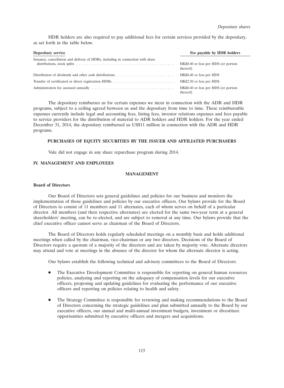HDR holders are also required to pay additional fees for certain services provided by the depositary, as set forth in the table below.

| <b>Depositary service</b>                                                                                                                                                                                   | Fee payable by HDR holders                       |
|-------------------------------------------------------------------------------------------------------------------------------------------------------------------------------------------------------------|--------------------------------------------------|
| Issuance, cancellation and delivery of HDRs, including in connection with share<br>distributions, stock splits $\ldots \ldots \ldots \ldots \ldots \ldots \ldots \ldots \ldots \ldots \ldots \ldots \ldots$ | HK\$0.40 or less per HDS (or portion<br>thereof) |
|                                                                                                                                                                                                             | HK\$0.40 or less per HDS                         |
| Transfer of certificated or direct registration HDRs                                                                                                                                                        | HK\$2.50 or less per HDS                         |
|                                                                                                                                                                                                             | HK\$0.40 or less per HDS (or portion<br>thereof) |

The depositary reimburses us for certain expenses we incur in connection with the ADR and HDR programs, subject to a ceiling agreed between us and the depositary from time to time. These reimbursable expenses currently include legal and accounting fees, listing fees, investor relations expenses and fees payable to service providers for the distribution of material to ADR holders and HDR holders. For the year ended December 31, 2014, the depositary reimbursed us US\$11 million in connection with the ADR and HDR programs.

# **PURCHASES OF EQUITY SECURITIES BY THE ISSUER AND AFFILIATED PURCHASERS**

Vale did not engage in any share repurchase program during 2014.

# **IV. MANAGEMENT AND EMPLOYEES**

# **MANAGEMENT**

# **Board of Directors**

Our Board of Directors sets general guidelines and policies for our business and monitors the implementation of those guidelines and policies by our executive officers. Our bylaws provide for the Board of Directors to consist of 11 members and 11 alternates, each of whom serves on behalf of a particular director. All members (and their respective alternates) are elected for the same two-year term at a general shareholders' meeting, can be re-elected, and are subject to removal at any time. Our bylaws provide that the chief executive officer cannot serve as chairman of the Board of Directors.

The Board of Directors holds regularly scheduled meetings on a monthly basis and holds additional meetings when called by the chairman, vice-chairman or any two directors. Decisions of the Board of Directors require a quorum of a majority of the directors and are taken by majority vote. Alternate directors may attend and vote at meetings in the absence of the director for whom the alternate director is acting.

Our bylaws establish the following technical and advisory committees to the Board of Directors:

- The Executive Development Committee is responsible for reporting on general human resources policies, analyzing and reporting on the adequacy of compensation levels for our executive officers, proposing and updating guidelines for evaluating the performance of our executive officers and reporting on policies relating to health and safety.
- The Strategy Committee is responsible for reviewing and making recommendations to the Board of Directors concerning the strategic guidelines and plan submitted annually to the Board by our executive officers, our annual and multi-annual investment budgets, investment or divestiture opportunities submitted by executive officers and mergers and acquisitions.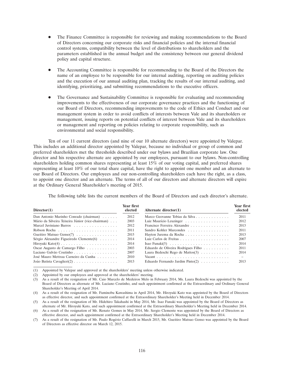- The Finance Committee is responsible for reviewing and making recommendations to the Board of Directors concerning our corporate risks and financial policies and the internal financial control systems, compatibility between the level of distributions to shareholders and the parameters established in the annual budget and the consistency between our general dividend policy and capital structure.
- The Accounting Committee is responsible for recommending to the Board of the Directors the name of an employee to be responsible for our internal auditing, reporting on auditing policies and the execution of our annual auditing plan, tracking the results of our internal auditing, and identifying, prioritizing, and submitting recommendations to the executive officers.
- The Governance and Sustainability Committee is responsible for evaluating and recommending improvements to the effectiveness of our corporate governance practices and the functioning of our Board of Directors, recommending improvements to the code of Ethics and Conduct and our management system in order to avoid conflicts of interests between Vale and its shareholders or management, issuing reports on potential conflicts of interest between Vale and its shareholders or management and reporting on policies relating to corporate responsibility, such as environmental and social responsibility.

Ten of our 11 current directors (and nine of our 10 alternate directors) were appointed by Valepar. This includes an additional director appointed by Valepar, because no individual or group of common and preferred shareholders met the thresholds described under our bylaws and Brazilian corporate law. One director and his respective alternate are appointed by our employees, pursuant to our bylaws. Non-controlling shareholders holding common shares representing at least 15% of our voting capital, and preferred shares representing at least 10% of our total share capital, have the right to appoint one member and an alternate to our Board of Directors. Our employees and our non-controlling shareholders each have the right, as a class, to appoint one director and an alternate. The terms of all of our directors and alternate directors will expire at the Ordinary General Shareholder's meeting of 2015.

The following table lists the current members of the Board of Directors and each director's alternate.

| Director(1)                                       | Year first<br>elected | Alternate director $(1)$            | Year first<br>elected |
|---------------------------------------------------|-----------------------|-------------------------------------|-----------------------|
| Dan Antonio Marinho Conrado (chairman)            | 2012                  | Marco Geovanne Tobias da Silva      | 2011                  |
| Mário da Silveira Teixeira Júnior (vice-chairman) | 2003                  | Luiz Maurício Leuzinger             | 2012                  |
| Marcel Juviniano Barros                           | 2012                  | Francisco Ferreira Alexandre        | 2013                  |
|                                                   | 2011                  | Sandro Kohler Marcondes             | 2011                  |
| Gueitiro Matsuo Genso(7)                          | 2015                  | Hayton Jurema da Rocha              | 2013                  |
| Sérgio Alexandre Figueiredo Clemente $(6)$        | 2014                  |                                     | 2007                  |
|                                                   | 2014                  |                                     | 2014                  |
| Oscar Augusto de Camargo Filho                    | 2003                  | Eduardo de Oliveira Rodrigues Filho | 2011                  |
| Luciano Galvão Coutinho                           | 2007                  | Laura Bedeschi Rego de Mattos(3)    | 2014                  |
| José Mauro Mettrau Carneiro da Cunha              | 2010                  |                                     |                       |
| João Batista Cavaglieri(2)                        | 2013                  | Eduardo Fernando Jardim Pinto $(2)$ | 2013                  |

(1) Appointed by Valepar and approved at the shareholders' meeting unless otherwise indicated.

(2) Appointed by our employees and approved at the shareholders' meeting.

(3) As a result of the resignation of Mr. Caio Marcelo de Medeiros Melo in February 2014, Ms. Laura Bedeschi was appointed by the Board of Directors as alternate of Mr. Luciano Coutinho, and such appointment confirmed at the Extraordinary and Ordinary General Shareholder's Meeting of April 2014.

(7) As a result of the resignation of Mr. Paulo Rogerio Caffarelli in March 2015, Mr. Gueitiro Matsuo Genso was appointed by the Board ´ of Directors as effective director on March 12, 2015.

<sup>(4)</sup> As a result of the resignation of Mr. Fuminobu Kawashima in April 2014, Mr. Hiroyuki Kato was appointed by the Board of Directors as effective director, and such appointment confirmed at the Extraordinary Shareholder's Meeting held in December 2014.

<sup>(5)</sup> As a result of the resignation of Mr. Hidehiro Takahashi in May 2014, Mr. Isao Funaki was appointed by the Board of Directors as alternate of Mr. Hiroyuki Kato, and such appointment confirmed at the Extraordinary Shareholder's Meeting held in December 2014. (6) As a result of the resignation of Mr. Renato Gomes in May 2014, Mr. Sergio Clemente was appointed by the Board of Directors as

effective director, and such appointment confirmed at the Extraordinary Shareholder's Meeting held in December 2014.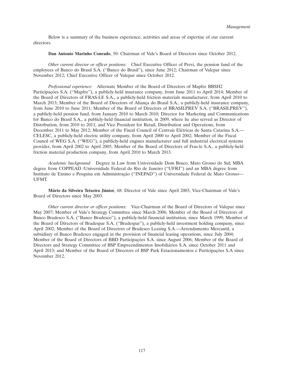Below is a summary of the business experience, activities and areas of expertise of our current directors.

# **Dan Antonio Marinho Conrado**, 50: Chairman of Vale's Board of Directors since October 2012.

*Other current director or officer positions:* Chief Executive Officer of Previ, the pension fund of the employees of Banco do Brasil S.A. (''Banco do Brasil''), since June 2012; Chairman of Valepar since November 2012; Chief Executive Officer of Valepar since October 2012.

*Professional experience:* Alternate Member of the Board of Directors of Mapfre BBSH2 Participações S.A. ("Mapfre"), a publicly-held insurance company, from June 2011 to April 2014; Member of the Board of Directors of FRAS-LE S.A., a publicly-held friction materials manufacturer, from April 2010 to March 2013; Member of the Board of Directors of Aliança do Brasil S.A., a publicly-held insurance company, from June 2010 to June 2011; Member of the Board of Directors of BRASILPREV S.A. (''BRASILPREV''), a publicly-held pension fund, from January 2010 to March 2010; Director for Marketing and Communications for Banco do Brasil S.A., a publicly-held financial institution, in 2009, where he also served as Director of Distribution, from 2010 to 2011, and Vice President for Retail, Distribution and Operations, from December 2011 to May 2012; Member of the Fiscal Council of Centrais Elétricas de Santa Catarina S.A.— CELESC, a publicly-held electric utility company, from April 2000 to April 2002; Member of the Fiscal Council of WEG S.A. (''WEG''), a publicly-held engines manufacturer and full industrial electrical systems provider, from April 2002 to April 2005; Member of the Board of Directors of Fras-le S.A., a publicly-held friction material production company, from April 2010 to March 2013.

*Academic background:* Degree in Law from Universidade Dom Bosco, Mato Grosso do Sul; MBA degree from COPPEAD /Universidade Federal do Rio de Janeiro (''UFRJ'') and an MBA degree from Instituto de Ensino e Pesquisa em Administração ("INEPAD") of Universidade Federal de Mato Grosso-UFMT.

**Mário da Silveira Teixeira Júnior, 68:** Director of Vale since April 2003, Vice-Chairman of Vale's Board of Directors since May 2003.

*Other current director or officer positions:* Vice-Chairman of the Board of Directors of Valepar since May 2007; Member of Vale's Strategy Committee since March 2006; Member of the Board of Directors of Banco Bradesco S.A. (''Banco Bradesco''), a publicly-held financial institution, since March 1999; Member of the Board of Directors of Bradespar S.A. (''Bradespar''), a publicly-held investment holding company, since April 2002; Member of the Board of Directors of Bradesco Leasing S.A.—Arrendamento Mercantil, a subsidiary of Banco Bradesco engaged in the provision of financial leasing operations, since July 2004; Member of the Board of Directors of BBD Participações S.A. since August 2006; Member of the Board of Directors and Strategy Committee of BSP Empreendimentos Imobiliarios S.A. since October 2011 and ´ April 2013; and Member of the Board of Directors of BSP Park Estacionamentos e Participações S.A since November 2012.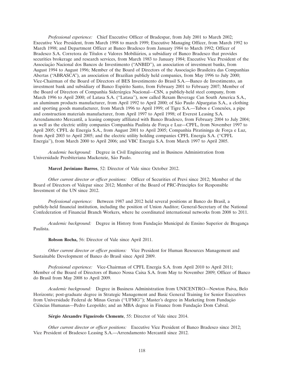*Professional experience:* Chief Executive Officer of Bradespar, from July 2001 to March 2002; Executive Vice President, from March 1998 to march 1999; Executive Managing Officer, from March 1992 to March 1998; and Department Officer at Banco Bradesco from January 1984 to March 1992; Officer of Bradesco S.A. Corretora de Títulos e Valores Mobiliários, a subsidiary of Banco Bradesco that provides securities brokerage and research services, from March 1983 to January 1984; Executive Vice President of the Associação Nacional dos Bancos de Investimento ("ANBID"), an association of investment banks, from August 1994 to August 1996; Member of the Board of Directors of the Associação Brasileira das Companhias Abertas (''ABRASCA''), an association of Brazilian publicly held companies, from May 1996 to July 2000; Vice-Chairman of the Board of Directors of BES Investimento do Brasil S.A.—Banco de Investimento, an investment bank and subsidiary of Banco Espírito Santo, from February 2001 to February 2007; Member of the Board of Directors of Companhia Siderúrgica Nacional—CSN, a publicly-held steel company, from March 1996 to April 2000; of Latasa S.A. (''Latasa''), now called Rexam Beverage Can South America S.A., an aluminum products manufacturer, from April 1992 to April 2000; of São Paulo Alpargatas S.A., a clothing and sporting goods manufacturer, from March 1996 to April 1999; of Tigre S.A.—Tubos e Conexões, a pipe and construction materials manufacturer, from April 1997 to April 1998; of Everest Leasing S.A. Arrendamento Mercantil, a leasing company affiliated with Banco Bradesco, from February 2004 to July 2004; as well as the electric utility companies Companhia Paulista de Força e Luz—CPFL, from November 1997 to April 2005; CPFL de Energia S.A., from August 2001 to April 2005; Companhia Piratininga de Força e Luz, from April 2003 to April 2005; and the electric utility holding companies CPFL Energia S.A. (''CPFL Energia''), from March 2000 to April 2006; and VBC Energia S.A. from March 1997 to April 2005.

*Academic background:* Degree in Civil Engineering and in Business Administration from Universidade Presbiteriana Mackenzie, São Paulo.

**Marcel Juviniano Barros**, 52: Director of Vale since October 2012.

*Other current director or officer positions:* Officer of Securities of Previ since 2012; Member of the Board of Directors of Valepar since 2012; Member of the Board of PRC-Principles for Responsible Investment of the UN since 2012.

*Professional experience:* Between 1987 and 2012 held several positions at Banco do Brasil, a publicly-held financial institution, including the position of Union Auditor; General-Secretary of the National Confederation of Financial Branch Workers, where he coordinated international networks from 2008 to 2011.

*Academic background:* Degree in History from Fundação Municipal de Ensino Superior de Bragança Paulista.

**Robson Rocha,** 56: Director of Vale since April 2011.

*Other current director or officer positions:* Vice President for Human Resources Management and Sustainable Development of Banco do Brasil since April 2009.

*Professional experience:* Vice-Chairman of CPFL Energia S.A. from April 2010 to April 2011; Member of the Board of Directors of Banco Nossa Caixa S.A. from May to November 2009; Officer of Banco do Brasil from May 2008 to April 2009.

*Academic background:* Degree in Business Administration from UNICENTRO—Newton Paiva, Belo Horizonte; post-graduate degree in Strategic Management and Basic General Training for Senior Executives from Universidade Federal de Minas Gerais ("UFMG"); Master's degree in Marketing from Fundação Ciências Humanas—Pedro Leopoldo; and an MBA degree in Finance from Fundação Dom Cabral.

**Sérgio Alexandre Figueiredo Clemente**, 55: Director of Vale since 2014.

*Other current director or officer positions:* Executive Vice President of Banco Bradesco since 2012; Vice President of Bradesco Leasing S.A.—Arrendamento Mercantil since 2012.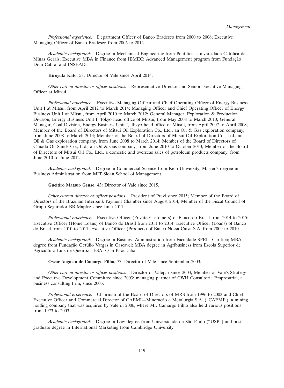*Professional experience:* Department Officer of Banco Bradesco from 2000 to 2006; Executive Managing Officer of Banco Bradesco from 2006 to 2012.

*Academic background:* Degree in Mechanical Engineering from Pontifícia Universidade Católica de Minas Gerais; Executive MBA in Finance from IBMEC; Advanced Management program from Fundação Dom Cabral and INSEAD.

**Hiroyuki Kato,** 58: Director of Vale since April 2014.

*Other current director or officer positions:* Representative Director and Senior Executive Managing Officer at Mitsui.

*Professional experience:* Executive Managing Officer and Chief Operating Officer of Energy Business Unit I at Mitsui, from April 2012 to March 2014; Managing Officer and Chief Operating Officer of Energy Business Unit I at Mitsui, from April 2010 to March 2012; General Manager, Exploration & Production Division, Energy Business Unit I, Tokyo head office of Mitsui, from May 2008 to March 2010; General Manager, Coal Division, Energy Business Unit I, Tokyo head office of Mitsui, from April 2007 to April 2008; Member of the Board of Directors of Mitsui Oil Exploration Co., Ltd., an Oil & Gas exploration company, from June 2008 to March 2014; Member of the Board of Directors of Mitsui Oil Exploration Co., Ltd., an Oil & Gas exploration company, from June 2008 to March 2014; Member of the Board of Directors of Canada Oil Sands Co., Ltd., an Oil & Gas company, from June 2010 to October 2013; Member of the Board of Directors of Mitsui Oil Co., Ltd., a domestic and overseas sales of petroleum products company, from June 2010 to June 2012.

*Academic background:* Degree in Commercial Science from Keio University; Master's degree in Business Administration from MIT Sloan School of Management.

**Gueitiro Matsuo Genso**, 43: Director of Vale since 2015.

*Other current director or officer positions:* President of Previ since 2015; Member of the Board of Directors of the Brazilian Interbank Payment Chamber since August 2014; Member of the Fiscal Council of Grupo Segurador BB Mapfre since June 2011.

*Professional experience:* Executive Officer (Private Customers) of Banco do Brasil from 2014 to 2015; Executive Officer (Home Loans) of Banco do Brasil from 2011 to 2014; Executive Officer (Loans) of Banco do Brasil from 2010 to 2011; Executive Officer (Products) of Banco Nossa Caixa S.A. from 2009 to 2010.

*Academic background:* Degree in Business Administration from Faculdade SPEI—Curitiba; MBA degree from Fundação Getúlio Vargas in Cascavel; MBA degree in Agribusiness from Escola Superior de Agricultura Luiz de Queiroz—ESALQ in Piracicaba.

**Oscar Augusto de Camargo Filho**, 77: Director of Vale since September 2003.

*Other current director or officer positions:* Director of Valepar since 2003; Member of Vale's Strategy and Executive Development Committee since 2003; managing partner of CWH Consultoria Empresarial, a business consulting firm, since 2003.

*Professional experience:* Chairman of the Board of Directors of MRS from 1996 to 2003 and Chief Executive Officer and Commercial Director of CAEMI—Mineração e Metalurgia S.A. ("CAEMI"), a mining holding company that was acquired by Vale in 2006, where Mr. Camargo Filho also held various positions from 1973 to 2003.

*Academic background:* Degree in Law degree from Universidade de São Paulo ("USP") and post graduate degree in International Marketing from Cambridge University.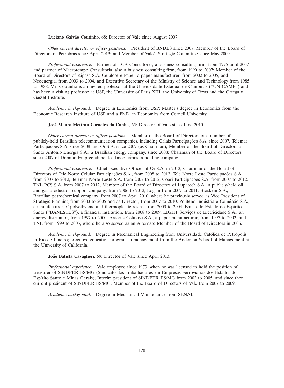Luciano Galvão Coutinho, 68: Director of Vale since August 2007.

*Other current director or officer positions:* President of BNDES since 2007; Member of the Board of Directors of Petrobras since April 2013; and Member of Vale's Strategic Committee since May 2009.

*Professional experience:* Partner of LCA Consultores, a business consulting firm, from 1995 until 2007 and partner of Macrotempo Consultoria, also a business consulting firm, from 1990 to 2007; Member of the Board of Directors of Ripasa S.A. Celulose e Papel, a paper manufacturer, from 2002 to 2005, and Neoenergia, from 2003 to 2004, and Executive Secretary of the Ministry of Science and Technology from 1985 to 1988. Mr. Coutinho is an invited professor at the Universidade Estadual de Campinas (''UNICAMP'') and has been a visiting professor at USP, the University of Paris XIII, the University of Texas and the Ortega y Gasset Institute.

*Academic background:* Degree in Economics from USP; Master's degree in Economics from the Economic Research Institute of USP and a Ph.D. in Economics from Cornell University.

**José Mauro Mettrau Carneiro da Cunha**, 65: Director of Vale since June 2010.

*Other current director or officer positions:* Member of the Board of Directors of a number of publicly-held Brazilian telecommunication companies, including Calais Participações S.A. since 2007, Telemar Participações S.A. since 2008 and Oi S.A. since 2009 (as Chairman); Member of the Board of Directors of Santo Antonio Energia S.A., a Brazilian energy company, since 2008; Chairman of the Board of Directors since 2007 of Dommo Empreendimentos Imobiliários, a holding company.

*Professional experience:* Chief Executive Officer of Oi S.A. in 2013; Chairman of the Board of Directors of Tele Norte Celular Participações S.A., from 2008 to 2012, Tele Norte Leste Participações S.A. from 2007 to 2012, Telemar Norte Leste S.A. from 2007 to 2012, Coari Participações S.A. from 2007 to 2012, TNL PCS S.A. from 2007 to 2012; Member of the Board of Directors of Lupatech S.A., a publicly-held oil and gas production support company, from 2006 to 2012, Log-In from 2007 to 2011, Braskem S.A., a Brazilian petrochemical company, from 2007 to April 2010, where he previously served as Vice President of Strategic Planning from 2003 to 2005 and as Director, from 2007 to 2010, Politeno Indústria e Comércio S.A., a manufacturer of polyethylene and thermoplastic resins, from 2003 to 2004, Banco do Estado do Espírito Santo ("BANESTES"), a financial institution, from 2008 to 2009, LIGHT Serviços de Eletricidade S.A., an energy distributor, from 1997 to 2000, Aracruz Celulose S.A., a paper manufacturer, from 1997 to 2002, and TNL from 1999 to 2003, where he also served as an Alternate Member of the Board of Directors in 2006.

*Academic background:* Degree in Mechanical Engineering from Universidade Católica de Petrópolis in Rio de Janeiro; executive education program in management from the Anderson School of Management at the University of California.

**João Batista Cavaglieri**, 59: Director of Vale since April 2013.

*Professional experience:* Vale employee since 1973, when he was licensed to hold the position of treasurer of SINDFER ES/MG (Sindicato dos Trabalhadores em Empresas Ferroviarias dos Estados do ´ Espírito Santo e Minas Gerais); Interim president of SINDFER ES/MG from 2002 to 2005, and since then current president of SINDFER ES/MG; Member of the Board of Directors of Vale from 2007 to 2009.

*Academic background:* Degree in Mechanical Maintenance from SENAI.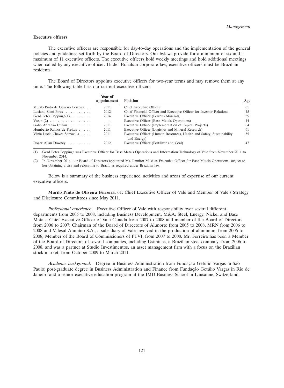#### **Executive officers**

The executive officers are responsible for day-to-day operations and the implementation of the general policies and guidelines set forth by the Board of Directors. Our bylaws provide for a minimum of six and a maximum of 11 executive officers. The executive officers hold weekly meetings and hold additional meetings when called by any executive officer. Under Brazilian corporate law, executive officers must be Brazilian residents.

The Board of Directors appoints executive officers for two-year terms and may remove them at any time. The following table lists our current executive officers.

|                                                | Year of<br>appointment | <b>Position</b>                                                                      | Age |
|------------------------------------------------|------------------------|--------------------------------------------------------------------------------------|-----|
| Murilo Pinto de Oliveira Ferreira              | 2011                   | Chief Executive Officer                                                              | 61  |
| Luciano Siani Pires                            | 2012                   | Chief Financial Officer and Executive Officer for Investor Relations                 | 45  |
| Gerd Peter Poppinga $(1)$                      | 2014                   | Executive Officer (Ferrous Minerals)                                                 | 55  |
| $\text{Vacant}(2) \ldots \ldots \ldots \ldots$ | $\qquad \qquad -$      | Executive Officer (Base Metals Operations)                                           | 44  |
| Galib Abrahão Chaim                            | 2011                   | Executive Officer (Implementation of Capital Projects)                               | 64  |
| Humberto Ramos de Freitas                      | 2011                   | Executive Officer (Logistics and Mineral Research)                                   | 61  |
| Vânia Lucia Chaves Somavilla                   | 2011                   | Executive Officer (Human Resources, Health and Safety, Sustainability<br>and Energy) | 55  |
| Roger Allan Downey                             | 2012                   | Executive Officer (Fertilizer and Coal)                                              | 47  |
|                                                |                        |                                                                                      |     |

(1) Gerd Peter Poppinga was Executive Officer for Base Metals Operations and Information Technology of Vale from November 2011 to November 2014.

(2) In November 2014, our Board of Directors appointed Ms. Jennifer Maki as Executive Officer for Base Metals Operations, subject to her obtaining a visa and relocating to Brazil, as required under Brazilian law.

Below is a summary of the business experience, activities and areas of expertise of our current executive officers.

**Murilo Pinto de Oliveira Ferreira**, 61: Chief Executive Officer of Vale and Member of Vale's Strategy and Disclosure Committees since May 2011.

*Professional experience:* Executive Officer of Vale with responsibility over several different departments from 2005 to 2008, including Business Development, M&A, Steel, Energy, Nickel and Base Metals; Chief Executive Officer of Vale Canada from 2007 to 2008 and member of the Board of Directors from 2006 to 2007; Chairman of the Board of Directors of Alunorte from 2005 to 2008, MRN from 2006 to 2008 and Valesul Alumíno S.A., a subsidiary of Vale involved in the production of aluminum, from 2006 to 2008; Member of the Board of Commissioners of PTVI, from 2007 to 2008. Mr. Ferreira has been a Member of the Board of Directors of several companies, including Usiminas, a Brazilian steel company, from 2006 to 2008, and was a partner at Studio Investimentos, an asset management firm with a focus on the Brazilian stock market, from October 2009 to March 2011.

*Academic background:* Degree in Business Administration from Fundação Getúlio Vargas in São Paulo; post-graduate degree in Business Administration and Finance from Fundação Getúlio Vargas in Rio de Janeiro and a senior executive education program at the IMD Business School in Lausanne, Switzerland.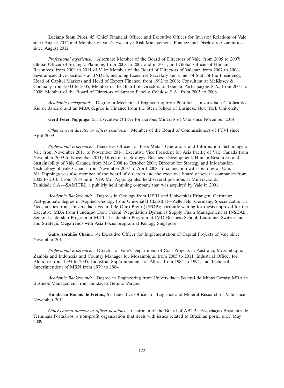**Luciano Siani Pires**, 45: Chief Financial Officer and Executive Officer for Investor Relations of Vale since August 2012 and Member of Vale's Executive Risk Management, Finance and Disclosure Committees since August 2012.

*Professional experience:* Alternate Member of the Board of Directors of Vale, from 2005 to 2007; Global Officer of Strategic Planning, from 2008 to 2009 and in 2011, and Global Officer of Human Resources, from 2009 to 2011 of Vale; Member of the Board of Directors of Valepar, from 2007 to 2008; Several executive positions at BNDES, including Executive Secretary and Chief of Staff of the Presidency, Head of Capital Markets and Head of Export Finance, from 1992 to 2008; Consultant at McKinsey & Company from 2003 to 2005; Member of the Board of Directors of Telemar Participações S.A., from 2005 to 2008; Member of the Board of Directors of Suzano Papel e Celulose S.A., from 2005 to 2008.

*Academic background:* Degree in Mechanical Engineering from Pontifícia Universidade Católica do Rio de Janeiro and an MBA degree in Finance from the Stern School of Business, New York University.

**Gerd Peter Poppinga**, 55: Executive Officer for Ferrous Minerals of Vale since November 2014.

*Other current director or officer positions:* Member of the Board of Commissioners of PTVI since April 2009.

*Professional experience:* Executive Officer for Base Metals Operations and Information Technology of Vale from November 2011 to November 2014; Executive Vice President for Asia Pacific of Vale Canada from November 2009 to November 2011; Director for Strategy, Business Development, Human Resources and Sustainability of Vale Canada from May 2008 to October 2009; Director for Strategy and Information Technology of Vale Canada from November 2007 to April 2008. In connection with his roles at Vale, Mr. Poppinga was also member of the board of directors and the executive board of several companies from 2005 to 2010. From 1985 until 1999, Mr. Poppinga also held several positions at Mineração da Trinidade S.A.—SAMITRI, a publicly held mining company that was acquired by Vale in 2001.

*Academic Background:* Degrees in Geology from UFRJ and Universität Erlangen, Germany; Post-graduate degree in Applied Geology from Universität Clausthal—Zellerfeld, Germany; Specialization in Geostatistics from Universidade Federal de Ouro Preto (UFOP); currently waiting for thesis approval for the Executive MBA from Fundação Dom Cabral; Negotiation Dynamics Supply Chain Management at INSEAD; Senior Leadership Program at M.I.T.; Leadership Program at IMD Business School, Lausanne, Switzerland; and Strategic Megatrends with Asia Focus program at Kellogg Singapore.

Galib Abrahão Chaim, 64: Executive Officer for Implementation of Capital Projects of Vale since November 2011.

*Professional experience:* Director of Vale's Department of Coal Projects in Australia, Mozambique, Zambia and Indonesia and Country Manager for Mozambique from 2005 to 2011; Industrial Officer for Alunorte from 1994 to 2005; Industrial Superintendent for Albras from 1984 to 1994; and Technical Superintendent of MRN from 1979 to 1984.

*Academic Background:* Degree in Engineering from Universidade Federal de Minas Gerais; MBA in Business Management from Fundação Getúlio Vargas.

**Humberto Ramos de Freitas**, 61: Executive Officer for Logistics and Mineral Research of Vale since November 2011.

*Other current director or officer positions:* Chairman of the Board of ABTP—Associação Brasileira de Terminais Portuários, a non-profit organization that deals with issues related to Brazilian ports, since May 2009.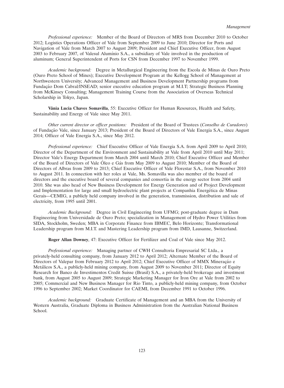*Professional experience:* Member of the Board of Directors of MRS from December 2010 to October 2012; Logistics Operations Officer of Vale from September 2009 to June 2010; Director for Ports and Navigation of Vale from March 2007 to August 2009; President and Chief Executive Officer, from August 2003 to February 2007, of Valesul Alumínio S.A., a subsidiary of Vale involved in the production of aluminum; General Superintendent of Ports for CSN from December 1997 to November 1999.

*Academic background:* Degree in Metallurgical Engineering from the Escola de Minas de Ouro Preto (Ouro Preto School of Mines); Executive Development Program at the Kellogg School of Management at Northwestern University; Advanced Management and Business Development Partnership programs from Fundação Dom Cabral/INSEAD; senior executive education program at M.I.T; Strategic Business Planning from McKinsey Consulting; Management Training Course from the Association of Overseas Technical Scholarship in Tokyo, Japan.

Vânia Lucia Chaves Somavilla, 55: Executive Officer for Human Resources, Health and Safety, Sustainability and Energy of Vale since May 2011.

*Other current director or officer positions:* President of the Board of Trustees (*Conselho de Curadores*) of Fundação Vale, since January 2013; President of the Board of Directors of Vale Energia S.A., since August 2014; Officer of Vale Energia S.A., since May 2012.

*Professional experience:* Chief Executive Officer of Vale Energia S.A. from April 2009 to April 2010; Director of the Department of the Environment and Sustainability at Vale from April 2010 until May 2011; Director Vale's Energy Department from March 2004 until March 2010; Chief Executive Officer and Member of the Board of Directors of Vale Óleo e Gás from May 2009 to August 2010; Member of the Board of Directors of Albras from 2009 to 2013; Chief Executive Officer of Vale Florestar S.A., from November 2010 to August 2011. In connection with her roles at Vale, Ms. Somavilla was also member of the board of directors and the executive board of several companies and consortia in the energy sector from 2004 until 2010. She was also head of New Business Development for Energy Generation and of Project Development and Implementation for large and small hydroelectric plant projects at Companhia Energetica de Minas ´ Gerais—CEMIG, a publicly held company involved in the generation, transmission, distribution and sale of electricity, from 1995 until 2001.

*Academic Background:* Degree in Civil Engineering from UFMG; post-graduate degree in Dam Engineering from Universidade de Ouro Preto; specialization in Management of Hydro Power Utilities from SIDA, Stockholm, Sweden; MBA in Corporate Finance from IBMEC, Belo Horizonte; Transformational Leadership program from M.I.T. and Mastering Leadership program from IMD, Lausanne, Switzerland.

**Roger Allan Downey**, 47: Executive Officer for Fertilizer and Coal of Vale since May 2012.

*Professional experience:* Managing partner of CWH Consultoria Empresarial SC Ltda., a privately-held consulting company, from January 2012 to April 2012; Alternate Member of the Board of Directors of Valepar from February 2012 to April 2012; Chief Executive Officer of MMX Mineração e Metálicos S.A., a publicly-held mining company, from August 2009 to November 2011; Director of Equity Research for Banco de Investimentos Credit Suisse (Brasil) S.A., a privately-held brokerage and investment bank, from August 2005 to August 2009; Strategic Marketing Manager for Iron Ore at Vale from 2002 to 2005; Commercial and New Business Manager for Rio Tinto, a publicly-held mining company, from October 1996 to September 2002; Market Coordinator for CAEMI, from December 1991 to October 1996.

*Academic background:* Graduate Certificate of Management and an MBA from the University of Western Australia, Graduate Diploma in Business Administration from the Australian National Business School.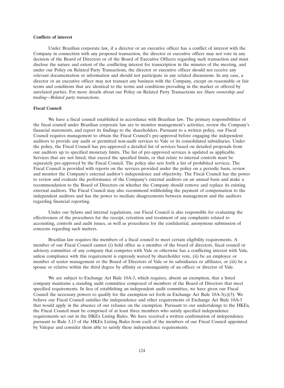#### **Conflicts of interest**

Under Brazilian corporate law, if a director or an executive officer has a conflict of interest with the Company in connection with any proposed transaction, the director or executive officer may not vote in any decision of the Board of Directors or of the Board of Executive Officers regarding such transaction and must disclose the nature and extent of the conflicting interest for transcription in the minutes of the meeting, and under our Policy on Related Party Transactions, the director or executive officer should not receive any relevant documentation or information and should not participate in any related discussions. In any case, a director or an executive officer may not transact any business with the Company, except on reasonable or fair terms and conditions that are identical to the terms and conditions prevailing in the market or offered by unrelated parties. For more details about our Policy on Related Party Transactions see *Share ownership and trading—Related party transactions*.

### **Fiscal Council**

We have a fiscal council established in accordance with Brazilian law. The primary responsibilities of the fiscal council under Brazilian corporate law are to monitor management's activities, review the Company's financial statements, and report its findings to the shareholders. Pursuant to a written policy, our Fiscal Council requires management to obtain the Fiscal Council's pre-approval before engaging the independent auditors to provide any audit or permitted non-audit services to Vale or its consolidated subsidiaries. Under the policy, the Fiscal Council has pre-approved a detailed list of services based on detailed proposals from our auditors up to specified monetary limits. The list of pre-approved services is updated as applicable. Services that are not listed, that exceed the specified limits, or that relate to internal controls must be separately pre-approved by the Fiscal Council. The policy also sets forth a list of prohibited services. The Fiscal Council is provided with reports on the services provided under the policy on a periodic basis, review and monitor the Company's external auditor's independence and objectivity. The Fiscal Council has the power to review and evaluate the performance of the Company's external auditors on an annual basis and make a recommendation to the Board of Directors on whether the Company should remove and replace its existing external auditors. The Fiscal Council may also recommend withholding the payment of compensation to the independent auditors and has the power to mediate disagreements between management and the auditors regarding financial reporting.

Under our bylaws and internal regulations, our Fiscal Council is also responsible for evaluating the effectiveness of the procedures for the receipt, retention and treatment of any complaints related to accounting, controls and audit issues, as well as procedures for the confidential, anonymous submission of concerns regarding such matters.

Brazilian law requires the members of a fiscal council to meet certain eligibility requirements. A member of our Fiscal Council cannot (i) hold office as a member of the board of directors, fiscal council or advisory committee of any company that competes with Vale or otherwise has a conflicting interest with Vale, unless compliance with this requirement is expressly waived by shareholder vote, (ii) be an employee or member of senior management or the Board of Directors of Vale or its subsidiaries or affiliates, or (iii) be a spouse or relative within the third degree by affinity or consanguinity of an officer or director of Vale.

We are subject to Exchange Act Rule 10A-3, which requires, absent an exemption, that a listed company maintains a standing audit committee composed of members of the Board of Directors that meet specified requirements. In lieu of establishing an independent audit committee, we have given our Fiscal Council the necessary powers to qualify for the exemption set forth in Exchange Act Rule  $10A-3(c)(3)$ . We believe our Fiscal Council satisfies the independence and other requirements of Exchange Act Rule 10A-3 that would apply in the absence of our reliance on the exemption. Pursuant to our undertakings to the HKEx, the Fiscal Council must be comprised of at least three members who satisfy specified independence requirements set out in the HKEx Listing Rules. We have received a written confirmation of independence pursuant to Rule 3.13 of the HKEx Listing Rules from each of the members of our Fiscal Council appointed by Valepar and consider them able to satisfy these independence requirements.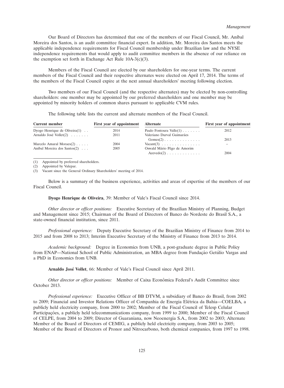Our Board of Directors has determined that one of the members of our Fiscal Council, Mr. An´ıbal Moreira dos Santos, is an audit committee financial expert. In addition, Mr. Moreira dos Santos meets the applicable independence requirements for Fiscal Council membership under Brazilian law and the NYSE independence requirements that would apply to audit committee members in the absence of our reliance on the exemption set forth in Exchange Act Rule  $10A-3(c)(3)$ .

Members of the Fiscal Council are elected by our shareholders for one-year terms. The current members of the Fiscal Council and their respective alternates were elected on April 17, 2014. The terms of the members of the Fiscal Council expire at the next annual shareholders' meeting following election.

Two members of our Fiscal Council (and the respective alternates) may be elected by non-controlling shareholders: one member may be appointed by our preferred shareholders and one member may be appointed by minority holders of common shares pursuant to applicable CVM rules.

The following table lists the current and alternate members of the Fiscal Council.

| Current member                     | First year of appointment | <b>Alternate</b>                               | First year of appointment |
|------------------------------------|---------------------------|------------------------------------------------|---------------------------|
| Dyogo Henrique de Oliveira $(1)$ . | 2014                      | Paulo Fontoura Valle $(1)$                     | 2012                      |
| Arnaldo José Vollet $(2)$          | 2011                      | Valeriano Durval Guimarães                     |                           |
|                                    |                           | $Gomes(2)$                                     | 2013                      |
| Marcelo Amaral Moraes $(2)$        | 2004                      | $\text{Vacant}(3) \ldots \ldots \ldots \ldots$ |                           |
| Aníbal Moreira dos Santos(2)       | 2005                      | Oswald Mário Pêgo de Amorim                    |                           |
|                                    |                           | $A$ zevedo $(2)$                               | 2004                      |

(1) Appointed by preferred shareholders.

(2) Appointed by Valepar.

(3) Vacant since the General Ordinary Shareholders' meeting of 2014.

Below is a summary of the business experience, activities and areas of expertise of the members of our Fiscal Council.

**Dyogo Henrique de Oliveira**, 39: Member of Vale's Fiscal Council since 2014.

*Other director or officer positions:* Executive Secretary of the Brazilian Ministry of Planning, Budget and Management since 2015; Chairman of the Board of Directors of Banco do Nordeste do Brasil S.A., a state-owned financial institution, since 2011.

*Professional experience:* Deputy Executive Secretary of the Brazilian Ministry of Finance from 2014 to 2015 and from 2008 to 2013; Interim Executive Secretary of the Ministry of Finance from 2013 to 2014.

*Academic background:* Degree in Economics from UNB, a post-graduate degree in Public Policy from ENAP—National School of Public Administration, an MBA degree from Fundação Getúlio Vargas and a PhD in Economics from UNB.

Arnaldo José Vollet, 66: Member of Vale's Fiscal Council since April 2011.

*Other director or officer positions:* Member of Caixa Econômica Federal's Audit Committee since October 2013.

*Professional experience:* Executive Officer of BB DTVM, a subsidiary of Banco do Brasil, from 2002 to 2009; Financial and Investor Relations Officer of Companhia de Energia Elétrica da Bahia—COELBA, a publicly held electricity company, from 2000 to 2002; Member of the Fiscal Council of Telesp Celular Participações, a publicly held telecommunications company, from 1999 to 2000; Member of the Fiscal Council of CELPE, from 2004 to 2009; Director of Guaraniana, now Neoenergia S.A., from 2002 to 2003; Alternate Member of the Board of Directors of CEMIG, a publicly held electricity company, from 2003 to 2005; Member of the Board of Directors of Pronor and Nitrocarbono, both chemical companies, from 1997 to 1998.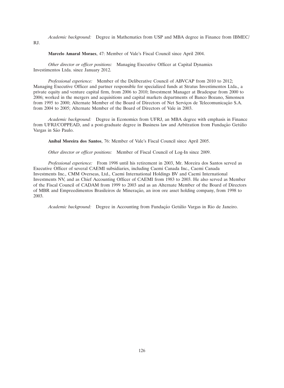*Academic background:* Degree in Mathematics from USP and MBA degree in Finance from IBMEC/

RJ.

# **Marcelo Amaral Moraes**, 47: Member of Vale's Fiscal Council since April 2004.

*Other director or officer positions:* Managing Executive Officer at Capital Dynamics Investimentos Ltda. since January 2012.

*Professional experience:* Member of the Deliberative Council of ABVCAP from 2010 to 2012; Managing Executive Officer and partner responsible for specialized funds at Stratus Investimentos Ltda., a private equity and venture capital firm, from 2006 to 2010; Investment Manager at Bradespar from 2000 to 2006; worked in the mergers and acquisitions and capital markets departments of Banco Bozano, Simonsen from 1995 to 2000; Alternate Member of the Board of Directors of Net Serviços de Telecomunicação S.A. from 2004 to 2005; Alternate Member of the Board of Directors of Vale in 2003.

*Academic background:* Degree in Economics from UFRJ, an MBA degree with emphasis in Finance from UFRJ/COPPEAD, and a post-graduate degree in Business law and Arbitration from Fundação Getúlio Vargas in São Paulo.

**An´ıbal Moreira dos Santos**, 76: Member of Vale's Fiscal Council since April 2005.

*Other director or officer positions:* Member of Fiscal Council of Log-In since 2009.

*Professional experience:* From 1998 until his retirement in 2003, Mr. Moreira dos Santos served as Executive Officer of several CAEMI subsidiaries, including Caemi Canada Inc., Caemi Canada Investments Inc., CMM Overseas, Ltd., Caemi International Holdings BV and Caemi International Investments NV, and as Chief Accounting Officer of CAEMI from 1983 to 2003. He also served as Member of the Fiscal Council of CADAM from 1999 to 2003 and as an Alternate Member of the Board of Directors of MBR and Empreedimentos Brasileiros de Mineração, an iron ore asset holding company, from 1998 to 2003.

*Academic background:* Degree in Accounting from Fundação Getúlio Vargas in Rio de Janeiro.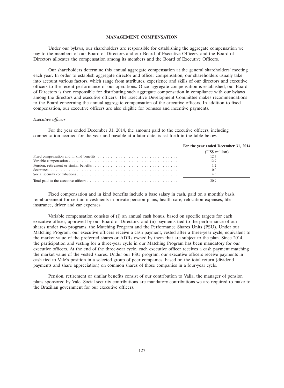### **MANAGEMENT COMPENSATION**

Under our bylaws, our shareholders are responsible for establishing the aggregate compensation we pay to the members of our Board of Directors and our Board of Executive Officers, and the Board of Directors allocates the compensation among its members and the Board of Executive Officers.

Our shareholders determine this annual aggregate compensation at the general shareholders' meeting each year. In order to establish aggregate director and officer compensation, our shareholders usually take into account various factors, which range from attributes, experience and skills of our directors and executive officers to the recent performance of our operations. Once aggregate compensation is established, our Board of Directors is then responsible for distributing such aggregate compensation in compliance with our bylaws among the directors and executive officers. The Executive Development Committee makes recommendations to the Board concerning the annual aggregate compensation of the executive officers. In addition to fixed compensation, our executive officers are also eligible for bonuses and incentive payments.

### *Executive officers*

For the year ended December 31, 2014, the amount paid to the executive officers, including compensation accrued for the year and payable at a later date, is set forth in the table below.

| For the year ended December 31, 2014 |
|--------------------------------------|
| (US\$ million)                       |
| 12.3                                 |
| 12.9                                 |
|                                      |
| 0.0                                  |
| 4.5                                  |
| 30.9                                 |

Fixed compensation and in kind benefits include a base salary in cash, paid on a monthly basis, reimbursement for certain investments in private pension plans, health care, relocation expenses, life insurance, driver and car expenses.

Variable compensation consists of (i) an annual cash bonus, based on specific targets for each executive officer, approved by our Board of Directors, and (ii) payments tied to the performance of our shares under two programs, the Matching Program and the Performance Shares Units (PSU). Under our Matching Program, our executive officers receive a cash payment, vested after a three-year cycle, equivalent to the market value of the preferred shares or ADRs owned by them that are subject to the plan. Since 2014, the participation and vesting for a three-year cycle in our Matching Program has been mandatory for our executive officers. At the end of the three-year cycle, each executive officer receives a cash payment matching the market value of the vested shares. Under our PSU program, our executive officers receive payments in cash tied to Vale's position in a selected group of peer companies, based on the total return (dividend payments and share appreciation) on common shares of those companies in a four-year cycle.

Pension, retirement or similar benefits consist of our contribution to Valia, the manager of pension plans sponsored by Vale. Social security contributions are mandatory contributions we are required to make to the Brazilian government for our executive officers.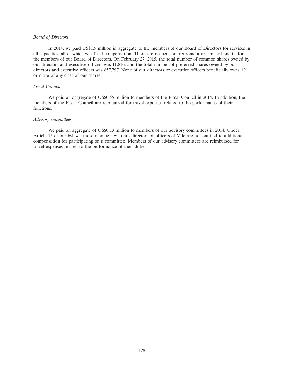# *Board of Directors*

In 2014, we paid US\$1.9 million in aggregate to the members of our Board of Directors for services in all capacities, all of which was fixed compensation. There are no pension, retirement or similar benefits for the members of our Board of Directors. On February 27, 2015, the total number of common shares owned by our directors and executive officers was 11,816, and the total number of preferred shares owned by our directors and executive officers was 857,797. None of our directors or executive officers beneficially owns 1% or more of any class of our shares.

#### *Fiscal Council*

We paid an aggregate of US\$0.55 million to members of the Fiscal Council in 2014. In addition, the members of the Fiscal Council are reimbursed for travel expenses related to the performance of their functions.

# *Advisory committees*

We paid an aggregate of US\$0.13 million to members of our advisory committees in 2014. Under Article 15 of our bylaws, those members who are directors or officers of Vale are not entitled to additional compensation for participating on a committee. Members of our advisory committees are reimbursed for travel expenses related to the performance of their duties.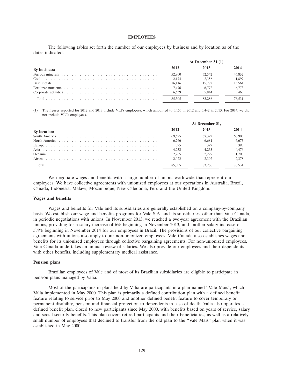#### **EMPLOYEES**

The following tables set forth the number of our employees by business and by location as of the dates indicated.

|              | At December $31,(1)$ |        |        |  |
|--------------|----------------------|--------|--------|--|
| By business: | 2012                 |        | 2014   |  |
|              | 52,900               | 52,542 | 46.832 |  |
|              | 2.174                | 2.356  | 1.897  |  |
|              | 16.116               | 15.772 | 15.564 |  |
|              | 7.476                | 6.772  | 6.773  |  |
|              | 6.639                | 5.844  | 5.465  |  |
| Total        | 85 305               | 83 286 | 76 531 |  |

(1) The figures reported for 2012 and 2013 include VLI's employees, which amounted to 5,155 in 2012 and 5,442 in 2013. For 2014, we did not include VLI's employees.

|              | At December 31. |        |        |
|--------------|-----------------|--------|--------|
| By location: | 2012            | 2013   | 2014   |
|              | 69.625          | 67.392 | 60,903 |
|              | 6.766           | 6.681  | 6.673  |
|              | 395             | 397    | 395    |
|              | 4.232           | 4.235  | 4.476  |
|              | 2.265           | 2.279  | 1.706  |
| Africa       | 2.022           | 2.302  | 2.378  |
| Total        | 85 305          |        | 76 531 |

We negotiate wages and benefits with a large number of unions worldwide that represent our employees. We have collective agreements with unionized employees at our operations in Australia, Brazil, Canada, Indonesia, Malawi, Mozambique, New Caledonia, Peru and the United Kingdom.

### **Wages and benefits**

Wages and benefits for Vale and its subsidiaries are generally established on a company-by-company basis. We establish our wage and benefits programs for Vale S.A. and its subsidiaries, other than Vale Canada, in periodic negotiations with unions. In November 2013, we reached a two-year agreement with the Brazilian unions, providing for a salary increase of 6% beginning in November 2013, and another salary increase of 5.4% beginning in November 2014 for our employees in Brazil. The provisions of our collective bargaining agreements with unions also apply to our non-unionized employees. Vale Canada also establishes wages and benefits for its unionized employees through collective bargaining agreements. For non-unionized employees, Vale Canada undertakes an annual review of salaries. We also provide our employees and their dependents with other benefits, including supplementary medical assistance.

#### **Pension plans**

Brazilian employees of Vale and of most of its Brazilian subsidiaries are eligible to participate in pension plans managed by Valia.

Most of the participants in plans held by Valia are participants in a plan named ''Vale Mais'', which Valia implemented in May 2000. This plan is primarily a defined contribution plan with a defined benefit feature relating to service prior to May 2000 and another defined benefit feature to cover temporary or permanent disability, pension and financial protection to dependents in case of death. Valia also operates a defined benefit plan, closed to new participants since May 2000, with benefits based on years of service, salary and social security benefits. This plan covers retired participants and their beneficiaries, as well as a relatively small number of employees that declined to transfer from the old plan to the ''Vale Mais'' plan when it was established in May 2000.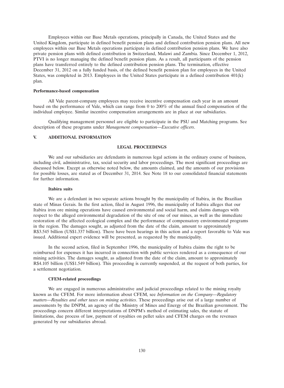Employees within our Base Metals operations, principally in Canada, the United States and the United Kingdom, participate in defined benefit pension plans and defined contribution pension plans. All new employees within our Base Metals operations participate in defined contribution pension plans. We have also private pension plans with defined contribution in Switzerland, Malawi and Zambia. Since December 1, 2012, PTVI is no longer managing the defined benefit pension plans. As a result, all participants of the pension plans have transferred entirely to the defined contribution pension plans. The termination, effective December 31, 2012 on a fully funded basis, of the defined benefit pension plan for employees in the United States, was completed in 2013. Employees in the United States participate in a defined contribution 401(k) plan.

#### **Performance-based compensation**

All Vale parent-company employees may receive incentive compensation each year in an amount based on the performance of Vale, which can range from 0 to 200% of the annual fixed compensation of the individual employee. Similar incentive compensation arrangements are in place at our subsidiaries.

Qualifying management personnel are eligible to participate in the PSU and Matching programs. See description of these programs under *Management compensation—Executive officers*.

# **V. ADDITIONAL INFORMATION**

### **LEGAL PROCEEDINGS**

We and our subsidiaries are defendants in numerous legal actions in the ordinary course of business, including civil, administrative, tax, social security and labor proceedings. The most significant proceedings are discussed below. Except as otherwise noted below, the amounts claimed, and the amounts of our provisions for possible losses, are stated as of December 31, 2014. See Note 18 to our consolidated financial statements for further information.

# **Itabira suits**

We are a defendant in two separate actions brought by the municipality of Itabira, in the Brazilian state of Minas Gerais. In the first action, filed in August 1996, the municipality of Itabira alleges that our Itabira iron ore mining operations have caused environmental and social harm, and claims damages with respect to the alleged environmental degradation of the site of one of our mines, as well as the immediate restoration of the affected ecological complex and the performance of compensatory environmental programs in the region. The damages sought, as adjusted from the date of the claim, amount to approximately R\$3.545 billion (US\$1.337 billion). There have been hearings in this action and a report favorable to Vale was issued. Additional expert evidence will be presented, as requested by the municipality.

In the second action, filed in September 1996, the municipality of Itabira claims the right to be reimbursed for expenses it has incurred in connection with public services rendered as a consequence of our mining activities. The damages sought, as adjusted from the date of the claim, amount to approximately R\$4.105 billion (US\$1.549 billion). This proceeding is currently suspended, at the request of both parties, for a settlement negotiation.

# **CFEM-related proceedings**

We are engaged in numerous administrative and judicial proceedings related to the mining royalty known as the CFEM. For more information about CFEM, see *Information on the Company—Regulatory matters*—*Royalties and other taxes on mining activities*. These proceedings arise out of a large number of assessments by the DNPM, an agency of the Ministry of Mines and Energy of the Brazilian government. The proceedings concern different interpretations of DNPM's method of estimating sales, the statute of limitations, due process of law, payment of royalties on pellet sales and CFEM charges on the revenues generated by our subsidiaries abroad.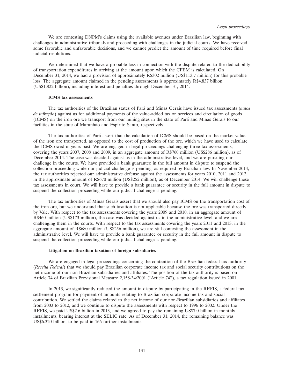We are contesting DNPM's claims using the available avenues under Brazilian law, beginning with challenges in administrative tribunals and proceeding with challenges in the judicial courts. We have received some favorable and unfavorable decisions, and we cannot predict the amount of time required before final judicial resolutions.

We determined that we have a probable loss in connection with the dispute related to the deductibility of transportation expenditures in arriving at the amount upon which the CFEM is calculated. On December 31, 2014, we had a provision of approximately R\$302 million (US\$113.7 million) for this probable loss. The aggregate amount claimed in the pending assessments is approximately R\$4.837 billion (US\$1.822 billion), including interest and penalties through December 31, 2014.

# **ICMS tax assessments**

The tax authorities of the Brazilian states of Pará and Minas Gerais have issued tax assessments (*autos de infração*) against us for additional payments of the value-added tax on services and circulation of goods (ICMS) on the iron ore we transport from our mining sites in the state of Para and Minas Gerais to our ´ facilities in the state of Maranhão and Espírito Santo, respectively.

The tax authorities of Pará assert that the calculation of ICMS should be based on the market value of the iron ore transported, as opposed to the cost of production of the ore, which we have used to calculate the ICMS owed in years past. We are engaged in legal proceedings challenging three tax assessments, covering the years 2007, 2008 and 2009, in an aggregate amount of R\$760 million (US\$286 million), as of December 2014. The case was decided against us in the administrative level, and we are pursuing our challenge in the courts. We have provided a bank guarantee in the full amount in dispute to suspend the collection proceeding while our judicial challenge is pending, as required by Brazilian law. In November 2014, the tax authorities rejected our administrative defense against the assessments for years 2010, 2011 and 2012, in the approximate amount of R\$670 million (US\$252 million), as of December 2014. We will challenge these tax assessments in court. We will have to provide a bank guarantee or security in the full amount in dispute to suspend the collection proceeding while our judicial challenge is pending.

The tax authorities of Minas Gerais assert that we should also pay ICMS on the transportation cost of the iron ore, but we understand that such taxation is not applicable because the ore was transported directly by Vale. With respect to the tax assessments covering the years 2009 and 2010, in an aggregate amount of R\$460 million (US\$173 million), the case was decided against us in the administrative level, and we are challenging them in the courts. With respect to the tax assessments covering the years 2011 and 2013, in the aggregate amount of R\$680 million (US\$256 million), we are still contesting the assessment in the administrative level. We will have to provide a bank guarantee or security in the full amount in dispute to suspend the collection proceeding while our judicial challenge is pending.

#### **Litigation on Brazilian taxation of foreign subsidiaries**

We are engaged in legal proceedings concerning the contention of the Brazilian federal tax authority (*Receita Federal*) that we should pay Brazilian corporate income tax and social security contributions on the net income of our non-Brazilian subsidiaries and affiliates. The position of the tax authority is based on Article 74 of Brazilian Provisional Measure 2,158-34/2001 (''Article 74''), a tax regulation issued in 2001.

In 2013, we significantly reduced the amount in dispute by participating in the REFIS, a federal tax settlement program for payment of amounts relating to Brazilian corporate income tax and social contribution. We settled the claims related to the net income of our non-Brazilian subsidiaries and affiliates from 2003 to 2012, and we continue to dispute the assessments with respect to 1996 to 2002. Under the REFIS, we paid US\$2.6 billion in 2013, and we agreed to pay the remaining US\$7.0 billion in monthly installments, bearing interest at the SELIC rate. As of December 31, 2014, the remaining balance was US\$6.320 billion, to be paid in 166 further installments.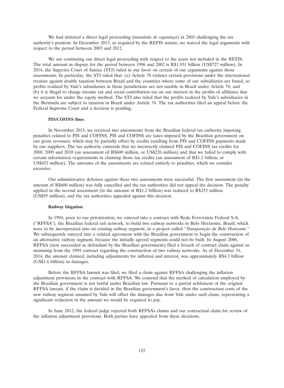We had initiated a direct legal proceeding *(mandado de segurança)* in 2003 challenging the tax authority's position. In December 2013, as required by the REFIS statute, we waived the legal arguments with respect to the period between 2003 and 2012.

We are continuing our direct legal proceeding with respect to the years not included in the REFIS. The total amount in dispute for the period between 1996 and 2002 is R\$1.931 billion (US\$727 million). In 2014, the Superior Court of Justice (STJ) ruled in our favor on certain of our arguments against those assessments. In particular, the STJ ruled that: (a) Article 74 violates certain provisions under the international treaties against double taxation between Brazil and the countries where some of our subsidiaries are based, so profits realized by Vale's subsidiaries in those jurisdictions are not taxable in Brazil under Article 74; and (b) it is illegal to charge income tax and social contribution tax on our interest in the profits of affiliates that we account for under the equity method. The STJ also ruled that the profits realized by Vale's subsidiaries in the Bermuda are subject to taxation in Brazil under Article 74. The tax authorities filed an appeal before the Federal Supreme Court and a decision is pending.

# **PIS/COFINS fines**

In November 2013, we received two assessments from the Brazilian federal tax authority imposing penalties related to PIS and COFINS. PIS and COFINS are taxes imposed by the Brazilian government on our gross revenues, which may be partially offset by credits resulting from PIS and COFINS payments made by our suppliers. The tax authority contends that we incorrectly claimed PIS and COFINS tax credits for 2008, 2009 and 2010 (an assessment of R\$600 million, or US\$226 million) and that we failed to comply with certain information requirements in claiming those tax credits (an assessment of R\$1.2 billion, or US\$452 million). The amounts of the assessments are related entirely to penalties, which we consider excessive.

Our administrative defenses against these two assessments were successful. The first assessment (in the amount of R\$600 million) was fully cancelled and the tax authorities did not appeal the decision. The penalty applied in the second assessment (in the amount of R\$1.2 billion) was reduced to R\$253 million (US\$95 million), and the tax authorities appealed against this decision.

#### **Railway litigation**

In 1994, prior to our privatization, we entered into a contract with Rede Ferroviária Federal S.A. (''RFFSA''), the Brazilian federal rail network, to build two railway networks in Belo Horizonte, Brazil, which were to be incorporated into an existing railway segment, in a project called "*Transposição de Belo Horizonte*." We subsequently entered into a related agreement with the Brazilian government to begin the construction of an alternative railway segment, because the initially agreed segments could not be built. In August 2006, RFFSA (now succeeded as defendant by the Brazilian government) filed a breach of contract claim against us stemming from the 1994 contract regarding the construction of two railway networks. As of December 31, 2014, the amount claimed, including adjustments for inflation and interest, was approximately R\$4.3 billion (US\$1.6 billion) in damages.

Before the RFFSA lawsuit was filed, we filed a claim against RFFSA challenging the inflation adjustment provisions in the contract with RFFSA. We contend that the method of calculation employed by the Brazilian government is not lawful under Brazilian law. Pursuant to a partial settlement of the original RFFSA lawsuit, if the claim is decided in the Brazilian government's favor, then the construction costs of the new railway segment assumed by Vale will offset the damages due from Vale under such claim, representing a significant reduction in the amount we would be required to pay.

In June 2012, the federal judge rejected both RFFSA's claims and our contractual claim for review of the inflation adjustment provisions. Both parties have appealed from these decisions.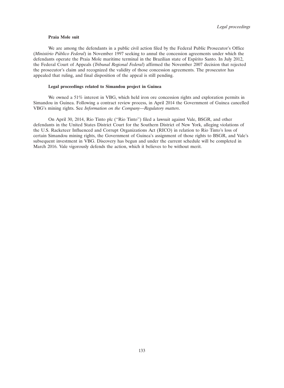#### **Praia Mole suit**

We are among the defendants in a public civil action filed by the Federal Public Prosecutor's Office *(Ministério Público Federal)* in November 1997 seeking to annul the concession agreements under which the defendants operate the Praia Mole maritime terminal in the Brazilian state of Espírito Santo. In July 2012, the Federal Court of Appeals (*Tribunal Regional Federal*) affirmed the November 2007 decision that rejected the prosecutor's claim and recognized the validity of those concession agreements. The prosecutor has appealed that ruling, and final disposition of the appeal is still pending.

# **Legal proceedings related to Simandou project in Guinea**

We owned a 51% interest in VBG, which held iron ore concession rights and exploration permits in Simandou in Guinea. Following a contract review process, in April 2014 the Government of Guinea cancelled VBG's mining rights. See *Information on the Company—Regulatory matters*.

On April 30, 2014, Rio Tinto plc (''Rio Tinto'') filed a lawsuit against Vale, BSGR, and other defendants in the United States District Court for the Southern District of New York, alleging violations of the U.S. Racketeer Influenced and Corrupt Organizations Act (RICO) in relation to Rio Tinto's loss of certain Simandou mining rights, the Government of Guinea's assignment of those rights to BSGR, and Vale's subsequent investment in VBG. Discovery has begun and under the current schedule will be completed in March 2016. Vale vigorously defends the action, which it believes to be without merit.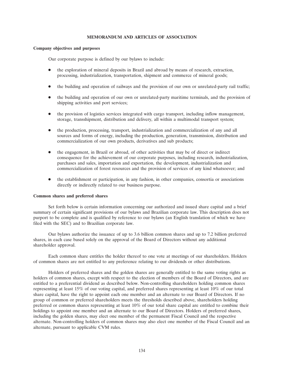# **MEMORANDUM AND ARTICLES OF ASSOCIATION**

# **Company objectives and purposes**

Our corporate purpose is defined by our bylaws to include:

- the exploration of mineral deposits in Brazil and abroad by means of research, extraction, processing, industrialization, transportation, shipment and commerce of mineral goods;
- the building and operation of railways and the provision of our own or unrelated-party rail traffic;
- the building and operation of our own or unrelated-party maritime terminals, and the provision of shipping activities and port services;
- the provision of logistics services integrated with cargo transport, including inflow management, storage, transshipment, distribution and delivery, all within a multimodal transport system;
- the production, processing, transport, industrialization and commercialization of any and all sources and forms of energy, including the production, generation, transmission, distribution and commercialization of our own products, derivatives and sub products;
- the engagement, in Brazil or abroad, of other activities that may be of direct or indirect consequence for the achievement of our corporate purposes, including research, industrialization, purchases and sales, importation and exportation, the development, industrialization and commercialization of forest resources and the provision of services of any kind whatsoever; and
- the establishment or participation, in any fashion, in other companies, consortia or associations directly or indirectly related to our business purpose.

#### **Common shares and preferred shares**

Set forth below is certain information concerning our authorized and issued share capital and a brief summary of certain significant provisions of our bylaws and Brazilian corporate law. This description does not purport to be complete and is qualified by reference to our bylaws (an English translation of which we have filed with the SEC) and to Brazilian corporate law.

Our bylaws authorize the issuance of up to 3.6 billion common shares and up to 7.2 billion preferred shares, in each case based solely on the approval of the Board of Directors without any additional shareholder approval.

Each common share entitles the holder thereof to one vote at meetings of our shareholders. Holders of common shares are not entitled to any preference relating to our dividends or other distributions.

Holders of preferred shares and the golden shares are generally entitled to the same voting rights as holders of common shares, except with respect to the election of members of the Board of Directors, and are entitled to a preferential dividend as described below. Non-controlling shareholders holding common shares representing at least 15% of our voting capital, and preferred shares representing at least 10% of our total share capital, have the right to appoint each one member and an alternate to our Board of Directors. If no group of common or preferred shareholders meets the thresholds described above, shareholders holding preferred or common shares representing at least 10% of our total share capital are entitled to combine their holdings to appoint one member and an alternate to our Board of Directors. Holders of preferred shares, including the golden shares, may elect one member of the permanent Fiscal Council and the respective alternate. Non-controlling holders of common shares may also elect one member of the Fiscal Council and an alternate, pursuant to applicable CVM rules.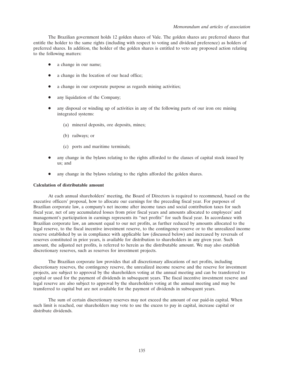The Brazilian government holds 12 golden shares of Vale. The golden shares are preferred shares that entitle the holder to the same rights (including with respect to voting and dividend preference) as holders of preferred shares. In addition, the holder of the golden shares is entitled to veto any proposed action relating to the following matters:

- a change in our name;
- a change in the location of our head office;
- a change in our corporate purpose as regards mining activities;
- any liquidation of the Company;
- any disposal or winding up of activities in any of the following parts of our iron ore mining integrated systems:
	- (a) mineral deposits, ore deposits, mines;
	- (b) railways; or
	- (c) ports and maritime terminals;
- any change in the bylaws relating to the rights afforded to the classes of capital stock issued by us; and
- any change in the bylaws relating to the rights afforded the golden shares.

### **Calculation of distributable amount**

At each annual shareholders' meeting, the Board of Directors is required to recommend, based on the executive officers' proposal, how to allocate our earnings for the preceding fiscal year. For purposes of Brazilian corporate law, a company's net income after income taxes and social contribution taxes for such fiscal year, net of any accumulated losses from prior fiscal years and amounts allocated to employees' and management's participation in earnings represents its ''net profits'' for such fiscal year. In accordance with Brazilian corporate law, an amount equal to our net profits, as further reduced by amounts allocated to the legal reserve, to the fiscal incentive investment reserve, to the contingency reserve or to the unrealized income reserve established by us in compliance with applicable law (discussed below) and increased by reversals of reserves constituted in prior years, is available for distribution to shareholders in any given year. Such amount, the adjusted net profits, is referred to herein as the distributable amount. We may also establish discretionary reserves, such as reserves for investment projects.

The Brazilian corporate law provides that all discretionary allocations of net profits, including discretionary reserves, the contingency reserve, the unrealized income reserve and the reserve for investment projects, are subject to approval by the shareholders voting at the annual meeting and can be transferred to capital or used for the payment of dividends in subsequent years. The fiscal incentive investment reserve and legal reserve are also subject to approval by the shareholders voting at the annual meeting and may be transferred to capital but are not available for the payment of dividends in subsequent years.

The sum of certain discretionary reserves may not exceed the amount of our paid-in capital. When such limit is reached, our shareholders may vote to use the excess to pay in capital, increase capital or distribute dividends.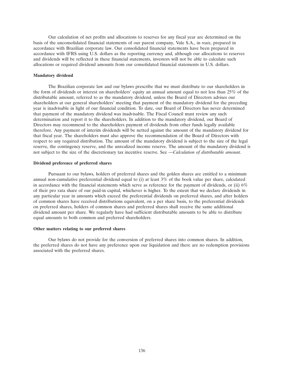Our calculation of net profits and allocations to reserves for any fiscal year are determined on the basis of the unconsolidated financial statements of our parent company, Vale S.A., in *reais*, prepared in accordance with Brazilian corporate law. Our consolidated financial statements have been prepared in accordance with IFRS using U.S. dollars as the reporting currency and, although our allocations to reserves and dividends will be reflected in these financial statements, investors will not be able to calculate such allocations or required dividend amounts from our consolidated financial statements in U.S. dollars.

# **Mandatory dividend**

The Brazilian corporate law and our bylaws prescribe that we must distribute to our shareholders in the form of dividends or interest on shareholders' equity an annual amount equal to not less than 25% of the distributable amount, referred to as the mandatory dividend, unless the Board of Directors advises our shareholders at our general shareholders' meeting that payment of the mandatory dividend for the preceding year is inadvisable in light of our financial condition. To date, our Board of Directors has never determined that payment of the mandatory dividend was inadvisable. The Fiscal Council must review any such determination and report it to the shareholders. In addition to the mandatory dividend, our Board of Directors may recommend to the shareholders payment of dividends from other funds legally available therefore. Any payment of interim dividends will be netted against the amount of the mandatory dividend for that fiscal year. The shareholders must also approve the recommendation of the Board of Directors with respect to any required distribution. The amount of the mandatory dividend is subject to the size of the legal reserve, the contingency reserve, and the unrealized income reserve. The amount of the mandatory dividend is not subject to the size of the discretionary tax incentive reserve. See *—Calculation of distributable amount*.

### **Dividend preference of preferred shares**

Pursuant to our bylaws, holders of preferred shares and the golden shares are entitled to a minimum annual non-cumulative preferential dividend equal to (i) at least 3% of the book value per share, calculated in accordance with the financial statements which serve as reference for the payment of dividends, or (ii) 6% of their pro rata share of our paid-in capital, whichever is higher. To the extent that we declare dividends in any particular year in amounts which exceed the preferential dividends on preferred shares, and after holders of common shares have received distributions equivalent, on a per share basis, to the preferential dividends on preferred shares, holders of common shares and preferred shares shall receive the same additional dividend amount per share. We regularly have had sufficient distributable amounts to be able to distribute equal amounts to both common and preferred shareholders.

# **Other matters relating to our preferred shares**

Our bylaws do not provide for the conversion of preferred shares into common shares. In addition, the preferred shares do not have any preference upon our liquidation and there are no redemption provisions associated with the preferred shares.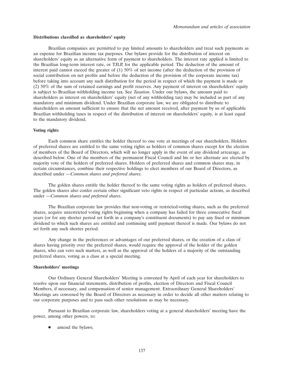#### **Distributions classified as shareholders' equity**

Brazilian companies are permitted to pay limited amounts to shareholders and treat such payments as an expense for Brazilian income tax purposes. Our bylaws provide for the distribution of interest on shareholders' equity as an alternative form of payment to shareholders. The interest rate applied is limited to the Brazilian long-term interest rate, or TJLP, for the applicable period. The deduction of the amount of interest paid cannot exceed the greater of (1) 50% of net income (after the deduction of the provision of social contribution on net profits and before the deduction of the provision of the corporate income tax) before taking into account any such distribution for the period in respect of which the payment is made or (2) 50% of the sum of retained earnings and profit reserves. Any payment of interest on shareholders' equity is subject to Brazilian withholding income tax. See *Taxation*. Under our bylaws, the amount paid to shareholders as interest on shareholders' equity (net of any withholding tax) may be included as part of any mandatory and minimum dividend. Under Brazilian corporate law, we are obligated to distribute to shareholders an amount sufficient to ensure that the net amount received, after payment by us of applicable Brazilian withholding taxes in respect of the distribution of interest on shareholders' equity, is at least equal to the mandatory dividend.

## **Voting rights**

Each common share entitles the holder thereof to one vote at meetings of our shareholders. Holders of preferred shares are entitled to the same voting rights as holders of common shares except for the election of members of the Board of Directors, which will no longer apply in the event of any dividend arrearage, as described below. One of the members of the permanent Fiscal Council and his or her alternate are elected by majority vote of the holders of preferred shares. Holders of preferred shares and common shares may, in certain circumstances, combine their respective holdings to elect members of our Board of Directors, as described under *—Common shares and preferred shares*.

The golden shares entitle the holder thereof to the same voting rights as holders of preferred shares. The golden shares also confer certain other significant veto rights in respect of particular actions, as described under *—Common shares and preferred shares*.

The Brazilian corporate law provides that non-voting or restricted-voting shares, such as the preferred shares, acquire unrestricted voting rights beginning when a company has failed for three consecutive fiscal years (or for any shorter period set forth in a company's constituent documents) to pay any fixed or minimum dividend to which such shares are entitled and continuing until payment thereof is made. Our bylaws do not set forth any such shorter period.

Any change in the preferences or advantages of our preferred shares, or the creation of a class of shares having priority over the preferred shares, would require the approval of the holder of the golden shares, who can veto such matters, as well as the approval of the holders of a majority of the outstanding preferred shares, voting as a class at a special meeting.

# **Shareholders' meetings**

Our Ordinary General Shareholders' Meeting is convened by April of each year for shareholders to resolve upon our financial statements, distribution of profits, election of Directors and Fiscal Council Members, if necessary, and compensation of senior management. Extraordinary General Shareholders' Meetings are convened by the Board of Directors as necessary in order to decide all other matters relating to our corporate purposes and to pass such other resolutions as may be necessary.

Pursuant to Brazilian corporate law, shareholders voting at a general shareholders' meeting have the power, among other powers, to:

• amend the bylaws;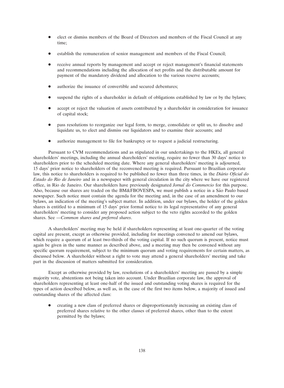- elect or dismiss members of the Board of Directors and members of the Fiscal Council at any time;
- establish the remuneration of senior management and members of the Fiscal Council;
- receive annual reports by management and accept or reject management's financial statements and recommendations including the allocation of net profits and the distributable amount for payment of the mandatory dividend and allocation to the various reserve accounts;
- authorize the issuance of convertible and secured debentures;
- suspend the rights of a shareholder in default of obligations established by law or by the bylaws;
- accept or reject the valuation of assets contributed by a shareholder in consideration for issuance of capital stock;
- pass resolutions to reorganize our legal form, to merge, consolidate or split us, to dissolve and liquidate us, to elect and dismiss our liquidators and to examine their accounts; and
- authorize management to file for bankruptcy or to request a judicial restructuring.

Pursuant to CVM recommendations and as stipulated in our undertakings to the HKEx, all general shareholders' meetings, including the annual shareholders' meeting, require no fewer than 30 days' notice to shareholders prior to the scheduled meeting date. Where any general shareholders' meeting is adjourned, 15 days' prior notice to shareholders of the reconvened meeting is required. Pursuant to Brazilian corporate law, this notice to shareholders is required to be published no fewer than three times, in the *Diario Oficial do ´ Estado do Rio de Janeiro* and in a newspaper with general circulation in the city where we have our registered office, in Rio de Janeiro. Our shareholders have previously designated *Jornal do Commercio* for this purpose. Also, because our shares are traded on the BM&FBOVESPA, we must publish a notice in a São Paulo based newspaper. Such notice must contain the agenda for the meeting and, in the case of an amendment to our bylaws, an indication of the meeting's subject matter. In addition, under our bylaws, the holder of the golden shares is entitled to a minimum of 15 days' prior formal notice to its legal representative of any general shareholders' meeting to consider any proposed action subject to the veto rights accorded to the golden shares. See *—Common shares and preferred shares*.

A shareholders' meeting may be held if shareholders representing at least one-quarter of the voting capital are present, except as otherwise provided, including for meetings convened to amend our bylaws, which require a quorum of at least two-thirds of the voting capital. If no such quorum is present, notice must again be given in the same manner as described above, and a meeting may then be convened without any specific quorum requirement, subject to the minimum quorum and voting requirements for certain matters, as discussed below. A shareholder without a right to vote may attend a general shareholders' meeting and take part in the discussion of matters submitted for consideration.

Except as otherwise provided by law, resolutions of a shareholders' meeting are passed by a simple majority vote, abstentions not being taken into account. Under Brazilian corporate law, the approval of shareholders representing at least one-half of the issued and outstanding voting shares is required for the types of action described below, as well as, in the case of the first two items below, a majority of issued and outstanding shares of the affected class:

 creating a new class of preferred shares or disproportionately increasing an existing class of preferred shares relative to the other classes of preferred shares, other than to the extent permitted by the bylaws;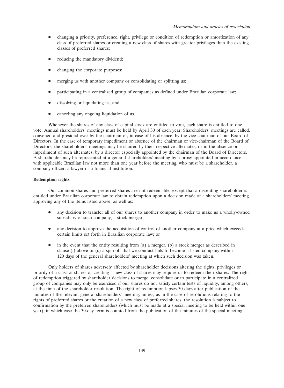- changing a priority, preference, right, privilege or condition of redemption or amortization of any class of preferred shares or creating a new class of shares with greater privileges than the existing classes of preferred shares;
- reducing the mandatory dividend;
- changing the corporate purposes;
- merging us with another company or consolidating or splitting us;
- participating in a centralized group of companies as defined under Brazilian corporate law;
- dissolving or liquidating us; and
- canceling any ongoing liquidation of us.

Whenever the shares of any class of capital stock are entitled to vote, each share is entitled to one vote. Annual shareholders' meetings must be held by April 30 of each year. Shareholders' meetings are called, convened and presided over by the chairman or, in case of his absence, by the vice-chairman of our Board of Directors. In the case of temporary impediment or absence of the chairman or vice-chairman of the Board of Directors, the shareholders' meetings may be chaired by their respective alternates, or in the absence or impediment of such alternates, by a director especially appointed by the chairman of the Board of Directors. A shareholder may be represented at a general shareholders' meeting by a proxy appointed in accordance with applicable Brazilian law not more than one year before the meeting, who must be a shareholder, a company officer, a lawyer or a financial institution.

# **Redemption rights**

Our common shares and preferred shares are not redeemable, except that a dissenting shareholder is entitled under Brazilian corporate law to obtain redemption upon a decision made at a shareholders' meeting approving any of the items listed above, as well as:

- any decision to transfer all of our shares to another company in order to make us a wholly-owned subsidiary of such company, a stock merger;
- any decision to approve the acquisition of control of another company at a price which exceeds certain limits set forth in Brazilian corporate law; or
- $\bullet$  in the event that the entity resulting from (a) a merger, (b) a stock merger as described in clause (i) above or (c) a spin-off that we conduct fails to become a listed company within 120 days of the general shareholders' meeting at which such decision was taken.

Only holders of shares adversely affected by shareholder decisions altering the rights, privileges or priority of a class of shares or creating a new class of shares may require us to redeem their shares. The right of redemption triggered by shareholder decisions to merge, consolidate or to participate in a centralized group of companies may only be exercised if our shares do not satisfy certain tests of liquidity, among others, at the time of the shareholder resolution. The right of redemption lapses 30 days after publication of the minutes of the relevant general shareholders' meeting, unless, as in the case of resolutions relating to the rights of preferred shares or the creation of a new class of preferred shares, the resolution is subject to confirmation by the preferred shareholders (which must be made at a special meeting to be held within one year), in which case the 30-day term is counted from the publication of the minutes of the special meeting.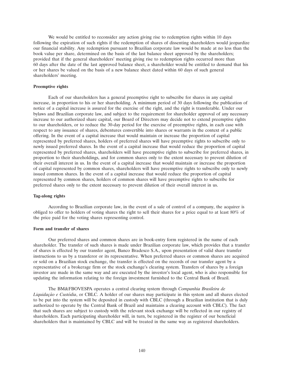We would be entitled to reconsider any action giving rise to redemption rights within 10 days following the expiration of such rights if the redemption of shares of dissenting shareholders would jeopardize our financial stability. Any redemption pursuant to Brazilian corporate law would be made at no less than the book value per share, determined on the basis of the last balance sheet approved by the shareholders; provided that if the general shareholders' meeting giving rise to redemption rights occurred more than 60 days after the date of the last approved balance sheet, a shareholder would be entitled to demand that his or her shares be valued on the basis of a new balance sheet dated within 60 days of such general shareholders' meeting.

### **Preemptive rights**

Each of our shareholders has a general preemptive right to subscribe for shares in any capital increase, in proportion to his or her shareholding. A minimum period of 30 days following the publication of notice of a capital increase is assured for the exercise of the right, and the right is transferable. Under our bylaws and Brazilian corporate law, and subject to the requirement for shareholder approval of any necessary increase to our authorized share capital, our Board of Directors may decide not to extend preemptive rights to our shareholders, or to reduce the 30-day period for the exercise of preemptive rights, in each case with respect to any issuance of shares, debentures convertible into shares or warrants in the context of a public offering. In the event of a capital increase that would maintain or increase the proportion of capital represented by preferred shares, holders of preferred shares will have preemptive rights to subscribe only to newly issued preferred shares. In the event of a capital increase that would reduce the proportion of capital represented by preferred shares, shareholders will have preemptive rights to subscribe for preferred shares, in proportion to their shareholdings, and for common shares only to the extent necessary to prevent dilution of their overall interest in us. In the event of a capital increase that would maintain or increase the proportion of capital represented by common shares, shareholders will have preemptive rights to subscribe only to newly issued common shares. In the event of a capital increase that would reduce the proportion of capital represented by common shares, holders of common shares will have preemptive rights to subscribe for preferred shares only to the extent necessary to prevent dilution of their overall interest in us.

# **Tag-along rights**

According to Brazilian corporate law, in the event of a sale of control of a company, the acquirer is obliged to offer to holders of voting shares the right to sell their shares for a price equal to at least 80% of the price paid for the voting shares representing control.

# **Form and transfer of shares**

Our preferred shares and common shares are in book-entry form registered in the name of each shareholder. The transfer of such shares is made under Brazilian corporate law, which provides that a transfer of shares is effected by our transfer agent, Banco Bradesco S.A., upon presentation of valid share transfer instructions to us by a transferor or its representative. When preferred shares or common shares are acquired or sold on a Brazilian stock exchange, the transfer is effected on the records of our transfer agent by a representative of a brokerage firm or the stock exchange's clearing system. Transfers of shares by a foreign investor are made in the same way and are executed by the investor's local agent, who is also responsible for updating the information relating to the foreign investment furnished to the Central Bank of Brazil.

The BM&FBOVESPA operates a central clearing system through *Companhia Brasileira de Liquidação e Custódia*, or CBLC. A holder of our shares may participate in this system and all shares elected to be put into the system will be deposited in custody with CBLC (through a Brazilian institution that is duly authorized to operate by the Central Bank of Brazil and maintains a clearing account with CBLC). The fact that such shares are subject to custody with the relevant stock exchange will be reflected in our registry of shareholders. Each participating shareholder will, in turn, be registered in the register of our beneficial shareholders that is maintained by CBLC and will be treated in the same way as registered shareholders.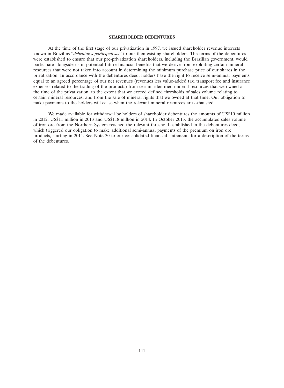# **SHAREHOLDER DEBENTURES**

At the time of the first stage of our privatization in 1997, we issued shareholder revenue interests known in Brazil as ''*debentures participativas*'' to our then-existing shareholders. The terms of the debentures were established to ensure that our pre-privatization shareholders, including the Brazilian government, would participate alongside us in potential future financial benefits that we derive from exploiting certain mineral resources that were not taken into account in determining the minimum purchase price of our shares in the privatization. In accordance with the debentures deed, holders have the right to receive semi-annual payments equal to an agreed percentage of our net revenues (revenues less value-added tax, transport fee and insurance expenses related to the trading of the products) from certain identified mineral resources that we owned at the time of the privatization, to the extent that we exceed defined thresholds of sales volume relating to certain mineral resources, and from the sale of mineral rights that we owned at that time. Our obligation to make payments to the holders will cease when the relevant mineral resources are exhausted.

We made available for withdrawal by holders of shareholder debentures the amounts of US\$10 million in 2012, US\$11 million in 2013 and US\$118 million in 2014. In October 2013, the accumulated sales volume of iron ore from the Northern System reached the relevant threshold established in the debentures deed, which triggered our obligation to make additional semi-annual payments of the premium on iron ore products, starting in 2014. See Note 30 to our consolidated financial statements for a description of the terms of the debentures.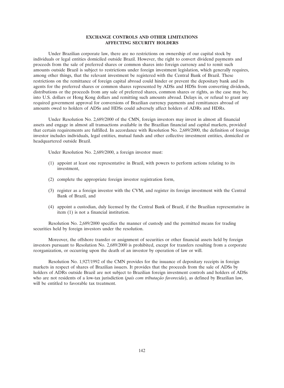# **EXCHANGE CONTROLS AND OTHER LIMITATIONS AFFECTING SECURITY HOLDERS**

Under Brazilian corporate law, there are no restrictions on ownership of our capital stock by individuals or legal entities domiciled outside Brazil. However, the right to convert dividend payments and proceeds from the sale of preferred shares or common shares into foreign currency and to remit such amounts outside Brazil is subject to restrictions under foreign investment legislation, which generally requires, among other things, that the relevant investment be registered with the Central Bank of Brazil. These restrictions on the remittance of foreign capital abroad could hinder or prevent the depositary bank and its agents for the preferred shares or common shares represented by ADSs and HDSs from converting dividends, distributions or the proceeds from any sale of preferred shares, common shares or rights, as the case may be, into U.S. dollars or Hong Kong dollars and remitting such amounts abroad. Delays in, or refusal to grant any required government approval for conversions of Brazilian currency payments and remittances abroad of amounts owed to holders of ADSs and HDSs could adversely affect holders of ADRs and HDRs.

Under Resolution No. 2,689/2000 of the CMN, foreign investors may invest in almost all financial assets and engage in almost all transactions available in the Brazilian financial and capital markets, provided that certain requirements are fulfilled. In accordance with Resolution No. 2,689/2000, the definition of foreign investor includes individuals, legal entities, mutual funds and other collective investment entities, domiciled or headquartered outside Brazil.

Under Resolution No. 2,689/2000, a foreign investor must:

- (1) appoint at least one representative in Brazil, with powers to perform actions relating to its investment,
- (2) complete the appropriate foreign investor registration form,
- (3) register as a foreign investor with the CVM, and register its foreign investment with the Central Bank of Brazil, and
- (4) appoint a custodian, duly licensed by the Central Bank of Brazil, if the Brazilian representative in item (1) is not a financial institution.

Resolution No. 2,689/2000 specifies the manner of custody and the permitted means for trading securities held by foreign investors under the resolution.

Moreover, the offshore transfer or assignment of securities or other financial assets held by foreign investors pursuant to Resolution No. 2,689/2000 is prohibited, except for transfers resulting from a corporate reorganization, or occurring upon the death of an investor by operation of law or will.

Resolution No. 1,927/1992 of the CMN provides for the issuance of depositary receipts in foreign markets in respect of shares of Brazilian issuers. It provides that the proceeds from the sale of ADSs by holders of ADRs outside Brazil are not subject to Brazilian foreign investment controls and holders of ADSs who are not residents of a low-tax jurisdiction (*país com tributação favorecida*), as defined by Brazilian law, will be entitled to favorable tax treatment.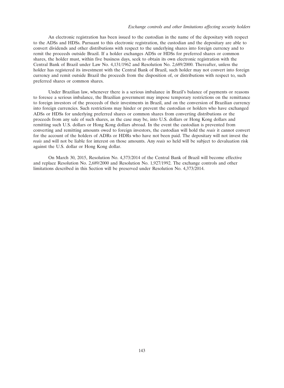# *Exchange controls and other limitations affecting security holders*

An electronic registration has been issued to the custodian in the name of the depositary with respect to the ADSs and HDSs. Pursuant to this electronic registration, the custodian and the depositary are able to convert dividends and other distributions with respect to the underlying shares into foreign currency and to remit the proceeds outside Brazil. If a holder exchanges ADSs or HDSs for preferred shares or common shares, the holder must, within five business days, seek to obtain its own electronic registration with the Central Bank of Brazil under Law No. 4,131/1962 and Resolution No. 2,689/2000. Thereafter, unless the holder has registered its investment with the Central Bank of Brazil, such holder may not convert into foreign currency and remit outside Brazil the proceeds from the disposition of, or distributions with respect to, such preferred shares or common shares.

Under Brazilian law, whenever there is a serious imbalance in Brazil's balance of payments or reasons to foresee a serious imbalance, the Brazilian government may impose temporary restrictions on the remittance to foreign investors of the proceeds of their investments in Brazil, and on the conversion of Brazilian currency into foreign currencies. Such restrictions may hinder or prevent the custodian or holders who have exchanged ADSs or HDSs for underlying preferred shares or common shares from converting distributions or the proceeds from any sale of such shares, as the case may be, into U.S. dollars or Hong Kong dollars and remitting such U.S. dollars or Hong Kong dollars abroad. In the event the custodian is prevented from converting and remitting amounts owed to foreign investors, the custodian will hold the *reais* it cannot convert for the account of the holders of ADRs or HDRs who have not been paid. The depositary will not invest the *reais* and will not be liable for interest on those amounts. Any *reais* so held will be subject to devaluation risk against the U.S. dollar or Hong Kong dollar.

On March 30, 2015, Resolution No. 4,373/2014 of the Central Bank of Brazil will become effective and replace Resolution No. 2,689/2000 and Resolution No. 1,927/1992. The exchange controls and other limitations described in this Section will be preserved under Resolution No. 4,373/2014.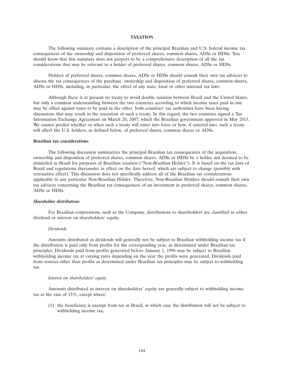### **TAXATION**

The following summary contains a description of the principal Brazilian and U.S. federal income tax consequences of the ownership and disposition of preferred shares, common shares, ADSs or HDSs. You should know that this summary does not purport to be a comprehensive description of all the tax considerations that may be relevant to a holder of preferred shares, common shares, ADSs or HDSs.

Holders of preferred shares, common shares, ADSs or HDSs should consult their own tax advisors to discuss the tax consequences of the purchase, ownership and disposition of preferred shares, common shares, ADSs or HDSs, including, in particular, the effect of any state, local or other national tax laws.

Although there is at present no treaty to avoid double taxation between Brazil and the United States, but only a common understanding between the two countries according to which income taxes paid in one may be offset against taxes to be paid in the other, both countries' tax authorities have been having discussions that may result in the execution of such a treaty. In this regard, the two countries signed a Tax Information Exchange Agreement on March 20, 2007, which the Brazilian government approved in May 2013. We cannot predict whether or when such a treaty will enter into force or how, if entered into, such a treaty will affect the U.S. holders, as defined below, of preferred shares, common shares or ADSs.

# **Brazilian tax considerations**

The following discussion summarizes the principal Brazilian tax consequences of the acquisition, ownership and disposition of preferred shares, common shares, ADSs or HDSs by a holder not deemed to be domiciled in Brazil for purposes of Brazilian taxation (''Non-Brazilian Holder''). It is based on the tax laws of Brazil and regulations thereunder in effect on the date hereof, which are subject to change (possibly with retroactive effect). This discussion does not specifically address all of the Brazilian tax considerations applicable to any particular Non-Brazilian Holder. Therefore, Non-Brazilian Holders should consult their own tax advisors concerning the Brazilian tax consequences of an investment in preferred shares, common shares, ADSs or HDSs.

# *Shareholder distributions*

For Brazilian corporations, such as the Company, distributions to shareholders are classified as either dividend or interest on shareholders' equity.

### *Dividends*

Amounts distributed as dividends will generally not be subject to Brazilian withholding income tax if the distribution is paid only from profits for the corresponding year, as determined under Brazilian tax principles. Dividends paid from profits generated before January 1, 1996 may be subject to Brazilian withholding income tax at varying rates depending on the year the profits were generated. Dividends paid from sources other than profits as determined under Brazilian tax principles may be subject to withholding tax.

### *Interest on shareholders' equity*

Amounts distributed as interest on shareholders' equity are generally subject to withholding income tax at the rate of 15%, except where:

(1) the beneficiary is exempt from tax in Brazil, in which case the distribution will not be subject to withholding income tax;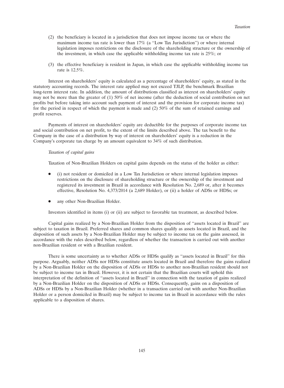- (2) the beneficiary is located in a jurisdiction that does not impose income tax or where the maximum income tax rate is lower than 17% (a ''Low Tax Jurisdiction'') or where internal legislation imposes restrictions on the disclosure of the shareholding structure or the ownership of the investment, in which case the applicable withholding income tax rate is 25%; or
- (3) the effective beneficiary is resident in Japan, in which case the applicable withholding income tax rate is 12.5%.

Interest on shareholders' equity is calculated as a percentage of shareholders' equity, as stated in the statutory accounting records. The interest rate applied may not exceed TJLP, the benchmark Brazilian long-term interest rate. In addition, the amount of distributions classified as interest on shareholders' equity may not be more than the greater of (1) 50% of net income (after the deduction of social contribution on net profits but before taking into account such payment of interest and the provision for corporate income tax) for the period in respect of which the payment is made and (2) 50% of the sum of retained earnings and profit reserves.

Payments of interest on shareholders' equity are deductible for the purposes of corporate income tax and social contribution on net profit, to the extent of the limits described above. The tax benefit to the Company in the case of a distribution by way of interest on shareholders' equity is a reduction in the Company's corporate tax charge by an amount equivalent to 34% of such distribution.

## *Taxation of capital gains*

Taxation of Non-Brazilian Holders on capital gains depends on the status of the holder as either:

- (i) not resident or domiciled in a Low Tax Jurisdiction or where internal legislation imposes restrictions on the disclosure of shareholding structure or the ownership of the investment and registered its investment in Brazil in accordance with Resolution No. 2,689 or, after it becomes effective, Resolution No. 4,373/2014 (a 2,689 Holder), or (ii) a holder of ADSs or HDSs; or
- any other Non-Brazilian Holder.

Investors identified in items (i) or (ii) are subject to favorable tax treatment, as described below.

Capital gains realized by a Non-Brazilian Holder from the disposition of ''assets located in Brazil'' are subject to taxation in Brazil. Preferred shares and common shares qualify as assets located in Brazil, and the disposition of such assets by a Non-Brazilian Holder may be subject to income tax on the gains assessed, in accordance with the rules described below, regardless of whether the transaction is carried out with another non-Brazilian resident or with a Brazilian resident.

There is some uncertainty as to whether ADSs or HDSs qualify as ''assets located in Brazil'' for this purpose. Arguably, neither ADSs nor HDSs constitute assets located in Brazil and therefore the gains realized by a Non-Brazilian Holder on the disposition of ADSs or HDSs to another non-Brazilian resident should not be subject to income tax in Brazil. However, it is not certain that the Brazilian courts will uphold this interpretation of the definition of ''assets located in Brazil'' in connection with the taxation of gains realized by a Non-Brazilian Holder on the disposition of ADSs or HDSs. Consequently, gains on a disposition of ADSs or HDSs by a Non-Brazilian Holder (whether in a transaction carried out with another Non-Brazilian Holder or a person domiciled in Brazil) may be subject to income tax in Brazil in accordance with the rules applicable to a disposition of shares.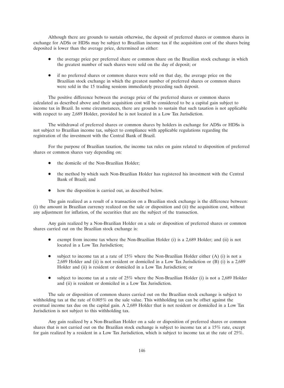Although there are grounds to sustain otherwise, the deposit of preferred shares or common shares in exchange for ADSs or HDSs may be subject to Brazilian income tax if the acquisition cost of the shares being deposited is lower than the average price, determined as either:

- the average price per preferred share or common share on the Brazilian stock exchange in which the greatest number of such shares were sold on the day of deposit; or
- if no preferred shares or common shares were sold on that day, the average price on the Brazilian stock exchange in which the greatest number of preferred shares or common shares were sold in the 15 trading sessions immediately preceding such deposit.

The positive difference between the average price of the preferred shares or common shares calculated as described above and their acquisition cost will be considered to be a capital gain subject to income tax in Brazil. In some circumstances, there are grounds to sustain that such taxation is not applicable with respect to any 2,689 Holder, provided he is not located in a Low Tax Jurisdiction.

The withdrawal of preferred shares or common shares by holders in exchange for ADSs or HDSs is not subject to Brazilian income tax, subject to compliance with applicable regulations regarding the registration of the investment with the Central Bank of Brazil.

For the purpose of Brazilian taxation, the income tax rules on gains related to disposition of preferred shares or common shares vary depending on:

- the domicile of the Non-Brazilian Holder;
- the method by which such Non-Brazilian Holder has registered his investment with the Central Bank of Brazil; and
- how the disposition is carried out, as described below.

The gain realized as a result of a transaction on a Brazilian stock exchange is the difference between: (i) the amount in Brazilian currency realized on the sale or disposition and (ii) the acquisition cost, without any adjustment for inflation, of the securities that are the subject of the transaction.

Any gain realized by a Non-Brazilian Holder on a sale or disposition of preferred shares or common shares carried out on the Brazilian stock exchange is:

- exempt from income tax where the Non-Brazilian Holder (i) is a 2,689 Holder; and (ii) is not located in a Low Tax Jurisdiction;
- subject to income tax at a rate of  $15\%$  where the Non-Brazilian Holder either (A) (i) is not a 2,689 Holder and (ii) is not resident or domiciled in a Low Tax Jurisdiction or (B) (i) is a 2,689 Holder and (ii) is resident or domiciled in a Low Tax Jurisdiction; or
- subject to income tax at a rate of 25% where the Non-Brazilian Holder (i) is not a 2,689 Holder and (ii) is resident or domiciled in a Low Tax Jurisdiction.

The sale or disposition of common shares carried out on the Brazilian stock exchange is subject to withholding tax at the rate of 0.005% on the sale value. This withholding tax can be offset against the eventual income tax due on the capital gain. A 2,689 Holder that is not resident or domiciled in a Low Tax Jurisdiction is not subject to this withholding tax.

Any gain realized by a Non-Brazilian Holder on a sale or disposition of preferred shares or common shares that is not carried out on the Brazilian stock exchange is subject to income tax at a 15% rate, except for gain realized by a resident in a Low Tax Jurisdiction, which is subject to income tax at the rate of 25%.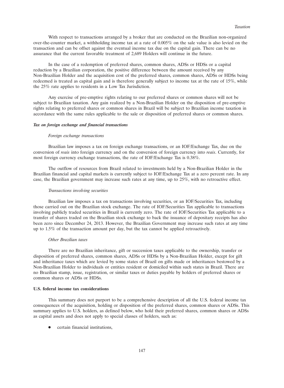With respect to transactions arranged by a broker that are conducted on the Brazilian non-organized over-the-counter market, a withholding income tax at a rate of 0.005% on the sale value is also levied on the transaction and can be offset against the eventual income tax due on the capital gain. There can be no assurance that the current favorable treatment of 2,689 Holders will continue in the future.

In the case of a redemption of preferred shares, common shares, ADSs or HDSs or a capital reduction by a Brazilian corporation, the positive difference between the amount received by any Non-Brazilian Holder and the acquisition cost of the preferred shares, common shares, ADSs or HDSs being redeemed is treated as capital gain and is therefore generally subject to income tax at the rate of 15%, while the 25% rate applies to residents in a Low Tax Jurisdiction.

Any exercise of pre-emptive rights relating to our preferred shares or common shares will not be subject to Brazilian taxation. Any gain realized by a Non-Brazilian Holder on the disposition of pre-emptive rights relating to preferred shares or common shares in Brazil will be subject to Brazilian income taxation in accordance with the same rules applicable to the sale or disposition of preferred shares or common shares.

### *Tax on foreign exchange and financial transactions*

### *Foreign exchange transactions*

Brazilian law imposes a tax on foreign exchange transactions, or an IOF/Exchange Tax, due on the conversion of *reais* into foreign currency and on the conversion of foreign currency into *reais*. Currently, for most foreign currency exchange transactions, the rate of IOF/Exchange Tax is 0.38%.

The outflow of resources from Brazil related to investments held by a Non-Brazilian Holder in the Brazilian financial and capital markets is currently subject to IOF/Exchange Tax at a zero percent rate. In any case, the Brazilian government may increase such rates at any time, up to 25%, with no retroactive effect.

# *Transactions involving securities*

Brazilian law imposes a tax on transactions involving securities, or an IOF/Securities Tax, including those carried out on the Brazilian stock exchange. The rate of IOF/Securities Tax applicable to transactions involving publicly traded securities in Brazil is currently zero. The rate of IOF/Securities Tax applicable to a transfer of shares traded on the Brazilian stock exchange to back the issuance of depositary receipts has also been zero since December 24, 2013. However, the Brazilian Government may increase such rates at any time up to 1.5% of the transaction amount per day, but the tax cannot be applied retroactively.

# *Other Brazilian taxes*

There are no Brazilian inheritance, gift or succession taxes applicable to the ownership, transfer or disposition of preferred shares, common shares, ADSs or HDSs by a Non-Brazilian Holder, except for gift and inheritance taxes which are levied by some states of Brazil on gifts made or inheritances bestowed by a Non-Brazilian Holder to individuals or entities resident or domiciled within such states in Brazil. There are no Brazilian stamp, issue, registration, or similar taxes or duties payable by holders of preferred shares or common shares or ADSs or HDSs.

### **U.S. federal income tax considerations**

This summary does not purport to be a comprehensive description of all the U.S. federal income tax consequences of the acquisition, holding or disposition of the preferred shares, common shares or ADSs. This summary applies to U.S. holders, as defined below, who hold their preferred shares, common shares or ADSs as capital assets and does not apply to special classes of holders, such as:

• certain financial institutions,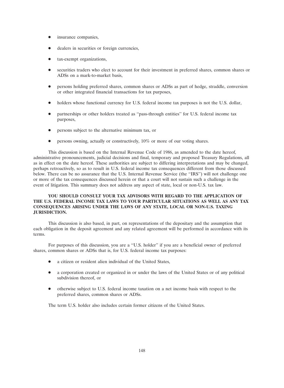- insurance companies,
- dealers in securities or foreign currencies,
- tax-exempt organizations,
- securities traders who elect to account for their investment in preferred shares, common shares or ADSs on a mark-to-market basis,
- persons holding preferred shares, common shares or ADSs as part of hedge, straddle, conversion or other integrated financial transactions for tax purposes,
- holders whose functional currency for U.S. federal income tax purposes is not the U.S. dollar,
- partnerships or other holders treated as ''pass-through entities'' for U.S. federal income tax purposes,
- persons subject to the alternative minimum tax, or
- persons owning, actually or constructively, 10% or more of our voting shares.

This discussion is based on the Internal Revenue Code of 1986, as amended to the date hereof, administrative pronouncements, judicial decisions and final, temporary and proposed Treasury Regulations, all as in effect on the date hereof. These authorities are subject to differing interpretations and may be changed, perhaps retroactively, so as to result in U.S. federal income tax consequences different from those discussed below. There can be no assurance that the U.S. Internal Revenue Service (the ''IRS'') will not challenge one or more of the tax consequences discussed herein or that a court will not sustain such a challenge in the event of litigation. This summary does not address any aspect of state, local or non-U.S. tax law.

# **YOU SHOULD CONSULT YOUR TAX ADVISORS WITH REGARD TO THE APPLICATION OF THE U.S. FEDERAL INCOME TAX LAWS TO YOUR PARTICULAR SITUATIONS AS WELL AS ANY TAX CONSEQUENCES ARISING UNDER THE LAWS OF ANY STATE, LOCAL OR NON-U.S. TAXING JURISDICTION.**

This discussion is also based, in part, on representations of the depositary and the assumption that each obligation in the deposit agreement and any related agreement will be performed in accordance with its terms.

For purposes of this discussion, you are a ''U.S. holder'' if you are a beneficial owner of preferred shares, common shares or ADSs that is, for U.S. federal income tax purposes:

- a citizen or resident alien individual of the United States,
- a corporation created or organized in or under the laws of the United States or of any political subdivision thereof, or
- otherwise subject to U.S. federal income taxation on a net income basis with respect to the preferred shares, common shares or ADSs.

The term U.S. holder also includes certain former citizens of the United States.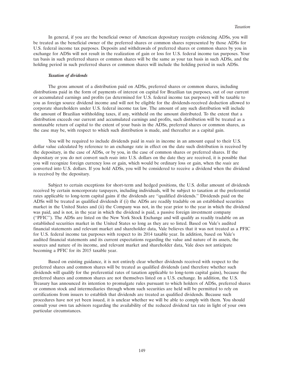In general, if you are the beneficial owner of American depositary receipts evidencing ADSs, you will be treated as the beneficial owner of the preferred shares or common shares represented by those ADSs for U.S. federal income tax purposes. Deposits and withdrawals of preferred shares or common shares by you in exchange for ADSs will not result in the realization of gain or loss for U.S. federal income tax purposes. Your tax basis in such preferred shares or common shares will be the same as your tax basis in such ADSs, and the holding period in such preferred shares or common shares will include the holding period in such ADSs.

### *Taxation of dividends*

The gross amount of a distribution paid on ADSs, preferred shares or common shares, including distributions paid in the form of payments of interest on capital for Brazilian tax purposes, out of our current or accumulated earnings and profits (as determined for U.S. federal income tax purposes) will be taxable to you as foreign source dividend income and will not be eligible for the dividends-received deduction allowed to corporate shareholders under U.S. federal income tax law. The amount of any such distribution will include the amount of Brazilian withholding taxes, if any, withheld on the amount distributed. To the extent that a distribution exceeds our current and accumulated earnings and profits, such distribution will be treated as a nontaxable return of capital to the extent of your basis in the ADSs, preferred shares or common shares, as the case may be, with respect to which such distribution is made, and thereafter as a capital gain.

You will be required to include dividends paid in *reais* in income in an amount equal to their U.S. dollar value calculated by reference to an exchange rate in effect on the date such distribution is received by the depositary, in the case of ADSs, or by you, in the case of common shares or preferred shares. If the depositary or you do not convert such *reais* into U.S. dollars on the date they are received, it is possible that you will recognize foreign currency loss or gain, which would be ordinary loss or gain, when the *reais* are converted into U.S. dollars. If you hold ADSs, you will be considered to receive a dividend when the dividend is received by the depositary.

Subject to certain exceptions for short-term and hedged positions, the U.S. dollar amount of dividends received by certain noncorporate taxpayers, including individuals, will be subject to taxation at the preferential rates applicable to long-term capital gains if the dividends are ''qualified dividends.'' Dividends paid on the ADSs will be treated as qualified dividends if (i) the ADSs are readily tradable on an established securities market in the United States and (ii) the Company was not, in the year prior to the year in which the dividend was paid, and is not, in the year in which the dividend is paid, a passive foreign investment company (''PFIC''). The ADSs are listed on the New York Stock Exchange and will qualify as readily tradable on an established securities market in the United States so long as they are so listed. Based on Vale's audited financial statements and relevant market and shareholder data, Vale believes that it was not treated as a PFIC for U.S. federal income tax purposes with respect to its 2014 taxable year. In addition, based on Vale's audited financial statements and its current expectations regarding the value and nature of its assets, the sources and nature of its income, and relevant market and shareholder data, Vale does not anticipate becoming a PFIC for its 2015 taxable year.

Based on existing guidance, it is not entirely clear whether dividends received with respect to the preferred shares and common shares will be treated as qualified dividends (and therefore whether such dividends will qualify for the preferential rates of taxation applicable to long-term capital gains), because the preferred shares and common shares are not themselves listed on a U.S. exchange. In addition, the U.S. Treasury has announced its intention to promulgate rules pursuant to which holders of ADSs, preferred shares or common stock and intermediaries through whom such securities are held will be permitted to rely on certifications from issuers to establish that dividends are treated as qualified dividends. Because such procedures have not yet been issued, it is unclear whether we will be able to comply with them. You should consult your own tax advisors regarding the availability of the reduced dividend tax rate in light of your own particular circumstances.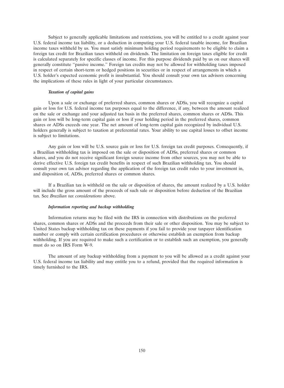Subject to generally applicable limitations and restrictions, you will be entitled to a credit against your U.S. federal income tax liability, or a deduction in computing your U.S. federal taxable income, for Brazilian income taxes withheld by us. You must satisfy minimum holding period requirements to be eligible to claim a foreign tax credit for Brazilian taxes withheld on dividends. The limitation on foreign taxes eligible for credit is calculated separately for specific classes of income. For this purpose dividends paid by us on our shares will generally constitute ''passive income.'' Foreign tax credits may not be allowed for withholding taxes imposed in respect of certain short-term or hedged positions in securities or in respect of arrangements in which a U.S. holder's expected economic profit is insubstantial. You should consult your own tax advisors concerning the implications of these rules in light of your particular circumstances.

# *Taxation of capital gains*

Upon a sale or exchange of preferred shares, common shares or ADSs, you will recognize a capital gain or loss for U.S. federal income tax purposes equal to the difference, if any, between the amount realized on the sale or exchange and your adjusted tax basis in the preferred shares, common shares or ADSs. This gain or loss will be long-term capital gain or loss if your holding period in the preferred shares, common shares or ADSs exceeds one year. The net amount of long-term capital gain recognized by individual U.S. holders generally is subject to taxation at preferential rates. Your ability to use capital losses to offset income is subject to limitations.

Any gain or loss will be U.S. source gain or loss for U.S. foreign tax credit purposes. Consequently, if a Brazilian withholding tax is imposed on the sale or disposition of ADSs, preferred shares or common shares, and you do not receive significant foreign source income from other sources, you may not be able to derive effective U.S. foreign tax credit benefits in respect of such Brazilian withholding tax. You should consult your own tax advisor regarding the application of the foreign tax credit rules to your investment in, and disposition of, ADSs, preferred shares or common shares.

If a Brazilian tax is withheld on the sale or disposition of shares, the amount realized by a U.S. holder will include the gross amount of the proceeds of such sale or disposition before deduction of the Brazilian tax. See *Brazilian tax considerations* above.

### *Information reporting and backup withholding*

Information returns may be filed with the IRS in connection with distributions on the preferred shares, common shares or ADSs and the proceeds from their sale or other disposition. You may be subject to United States backup withholding tax on these payments if you fail to provide your taxpayer identification number or comply with certain certification procedures or otherwise establish an exemption from backup withholding. If you are required to make such a certification or to establish such an exemption, you generally must do so on IRS Form W-9.

The amount of any backup withholding from a payment to you will be allowed as a credit against your U.S. federal income tax liability and may entitle you to a refund, provided that the required information is timely furnished to the IRS.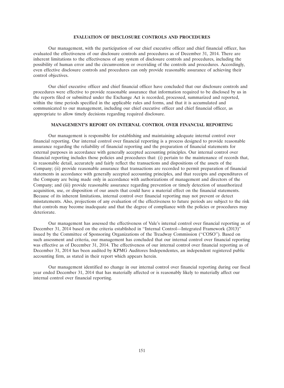# **EVALUATION OF DISCLOSURE CONTROLS AND PROCEDURES**

Our management, with the participation of our chief executive officer and chief financial officer, has evaluated the effectiveness of our disclosure controls and procedures as of December 31, 2014. There are inherent limitations to the effectiveness of any system of disclosure controls and procedures, including the possibility of human error and the circumvention or overriding of the controls and procedures. Accordingly, even effective disclosure controls and procedures can only provide reasonable assurance of achieving their control objectives.

Our chief executive officer and chief financial officer have concluded that our disclosure controls and procedures were effective to provide reasonable assurance that information required to be disclosed by us in the reports filed or submitted under the Exchange Act is recorded, processed, summarized and reported, within the time periods specified in the applicable rules and forms, and that it is accumulated and communicated to our management, including our chief executive officer and chief financial officer, as appropriate to allow timely decisions regarding required disclosure.

# **MANAGEMENT'S REPORT ON INTERNAL CONTROL OVER FINANCIAL REPORTING**

Our management is responsible for establishing and maintaining adequate internal control over financial reporting. Our internal control over financial reporting is a process designed to provide reasonable assurance regarding the reliability of financial reporting and the preparation of financial statements for external purposes in accordance with generally accepted accounting principles. Our internal control over financial reporting includes those policies and procedures that: (i) pertain to the maintenance of records that, in reasonable detail, accurately and fairly reflect the transactions and dispositions of the assets of the Company; (ii) provide reasonable assurance that transactions are recorded to permit preparation of financial statements in accordance with generally accepted accounting principles, and that receipts and expenditures of the Company are being made only in accordance with authorizations of management and directors of the Company; and (iii) provide reasonable assurance regarding prevention or timely detection of unauthorized acquisition, use, or disposition of our assets that could have a material effect on the financial statements. Because of its inherent limitations, internal control over financial reporting may not prevent or detect misstatements. Also, projections of any evaluation of the effectiveness to future periods are subject to the risk that controls may become inadequate and that the degree of compliance with the policies or procedures may deteriorate.

Our management has assessed the effectiveness of Vale's internal control over financial reporting as of December 31, 2014 based on the criteria established in ''Internal Control—Integrated Framework (2013)'' issued by the Committee of Sponsoring Organizations of the Treadway Commission (''COSO''). Based on such assessment and criteria, our management has concluded that our internal control over financial reporting was effective as of December 31, 2014. The effectiveness of our internal control over financial reporting as of December 31, 2014 has been audited by KPMG Auditores Independentes, an independent registered public accounting firm, as stated in their report which appears herein.

Our management identified no change in our internal control over financial reporting during our fiscal year ended December 31, 2014 that has materially affected or is reasonably likely to materially affect our internal control over financial reporting.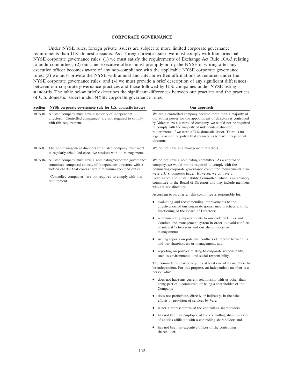# **CORPORATE GOVERNANCE**

Under NYSE rules, foreign private issuers are subject to more limited corporate governance requirements than U.S. domestic issuers. As a foreign private issuer, we must comply with four principal NYSE corporate governance rules: (1) we must satisfy the requirements of Exchange Act Rule 10A-3 relating to audit committees; (2) our chief executive officer must promptly notify the NYSE in writing after any executive officer becomes aware of any non-compliance with the applicable NYSE corporate governance rules; (3) we must provide the NYSE with annual and interim written affirmations as required under the NYSE corporate governance rules; and (4) we must provide a brief description of any significant differences between our corporate governance practices and those followed by U.S. companies under NYSE listing standards. The table below briefly describes the significant differences between our practices and the practices of U.S. domestic issuers under NYSE corporate governance rules.

| 303A.01 A listed company must have a majority of independent<br>directors. "Controlled companies" are not required to comply<br>with this requirement.                                                                                                                               | We are a controlled company because more than a majority of<br>our voting power for the appointment of directors is controlled<br>by Valepar. As a controlled company, we would not be required<br>to comply with the majority of independent director<br>requirements if we were a U.S. domestic issuer. There is no<br>legal provision or policy that requires us to have independent<br>directors. |
|--------------------------------------------------------------------------------------------------------------------------------------------------------------------------------------------------------------------------------------------------------------------------------------|-------------------------------------------------------------------------------------------------------------------------------------------------------------------------------------------------------------------------------------------------------------------------------------------------------------------------------------------------------------------------------------------------------|
| 303A.03 The non-management directors of a listed company must meet<br>at regularly scheduled executive sessions without management.                                                                                                                                                  | We do not have any management directors.                                                                                                                                                                                                                                                                                                                                                              |
| 303A.04 A listed company must have a nominating/corporate governance<br>committee composed entirely of independent directors, with a<br>written charter that covers certain minimum specified duties.<br>"Controlled companies" are not required to comply with this<br>requirement. | We do not have a nominating committee. As a controlled<br>company, we would not be required to comply with the<br>nominating/corporate governance committee requirements if we<br>were a U.S. domestic issuer. However, we do have a<br>Governance and Sustainability Committee, which is an advisory<br>committee to the Board of Directors and may include members<br>who are not directors.        |
|                                                                                                                                                                                                                                                                                      | According to its charter, this committee is responsible for:                                                                                                                                                                                                                                                                                                                                          |
|                                                                                                                                                                                                                                                                                      | evaluating and recommending improvements to the<br>$\bullet$<br>effectiveness of our corporate governance practices and the<br>functioning of the Board of Directors;                                                                                                                                                                                                                                 |
|                                                                                                                                                                                                                                                                                      | recommending improvements to our code of Ethics and<br>$\bullet$<br>Conduct and management system in order to avoid conflicts<br>of interest between us and our shareholders or<br>management;                                                                                                                                                                                                        |
|                                                                                                                                                                                                                                                                                      | issuing reports on potential conflicts of interest between us<br>$\bullet$<br>and our shareholders or management; and                                                                                                                                                                                                                                                                                 |
|                                                                                                                                                                                                                                                                                      | reporting on policies relating to corporate responsibility,<br>$\bullet$<br>such as environmental and social responsibility.                                                                                                                                                                                                                                                                          |
|                                                                                                                                                                                                                                                                                      | The committee's charter requires at least one of its members to<br>be independent. For this purpose, an independent member is a<br>person who:                                                                                                                                                                                                                                                        |
|                                                                                                                                                                                                                                                                                      | does not have any current relationship with us other than<br>$\bullet$<br>being part of a committee, or being a shareholder of the<br>Company;                                                                                                                                                                                                                                                        |
|                                                                                                                                                                                                                                                                                      | does not participate, directly or indirectly, in the sales<br>$\bullet$<br>efforts or provision of services by Vale;                                                                                                                                                                                                                                                                                  |
|                                                                                                                                                                                                                                                                                      | is not a representative of the controlling shareholders;<br>$\bullet$                                                                                                                                                                                                                                                                                                                                 |
|                                                                                                                                                                                                                                                                                      | has not been an employee of the controlling shareholder or<br>٠<br>of entities affiliated with a controlling shareholder; and                                                                                                                                                                                                                                                                         |
|                                                                                                                                                                                                                                                                                      | has not been an executive officer of the controlling<br>shareholder.                                                                                                                                                                                                                                                                                                                                  |
|                                                                                                                                                                                                                                                                                      |                                                                                                                                                                                                                                                                                                                                                                                                       |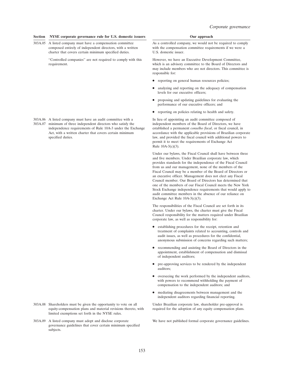#### **Section NYSE corporate governance rule for U.S. domestic issuers Our approach Our approach**

303A.05 A listed company must have a compensation committee As a controlled company, we would not be required to comply charter that covers certain minimum specified duties. U.S. domestic issuer.

''Controlled companies'' are not required to comply with this However, we have an Executive Development Committee,

- 
- independence requirements of Rule 10A-3 under the Exchange specified duties. law, and provided the fiscal council with additional powers to

- 303A.08 Shareholders must be given the opportunity to vote on all Under Brazilian corporate law, shareholder pre-approval is equity-compensation plans and material revisions thereto, with required for the adoption of any equity compensation plans. limited exemptions set forth in the NYSE rules.
- 303A.09 A listed company must adopt and disclose corporate We have not published formal corporate governance guidelines. governance guidelines that cover certain minimum specified subjects.

composed entirely of independent directors, with a written with the compensation committee requirements if we were a

requirement. which is an advisory committee to the Board of Directors and may include members who are not directors. This committee is responsible for:

- reporting on general human resources policies;
- analyzing and reporting on the adequacy of compensation levels for our executive officers;
- proposing and updating guidelines for evaluating the performance of our executive officers; and
- reporting on policies relating to health and safety.

303A.06 A listed company must have an audit committee with a In lieu of appointing an audit committee composed of 303A.07 minimum of three independent directors who satisfy the independent members of the Board of Directors 303A.07 minimum of three independent directors who satisfy the independent members of the Board of Directors, we have independence requirements of Rule 10A-3 under the Exchange established a permanent *conselho fiscal*, or Act, with a written charter that covers certain minimum accordance with the applicable provisions of Brazilian corporate permit it to meet the requirements of Exchange Act Rule 10A-3(c)(3).

> Under our bylaws, the Fiscal Council shall have between three and five members. Under Brazilian corporate law, which provides standards for the independence of the Fiscal Council from us and our management, none of the members of the Fiscal Council may be a member of the Board of Directors or an executive officer. Management does not elect any Fiscal Council member. Our Board of Directors has determined that one of the members of our Fiscal Council meets the New York Stock Exchange independence requirements that would apply to audit committee members in the absence of our reliance on Exchange Act Rule 10A-3(c)(3).

The responsibilities of the Fiscal Council are set forth in its charter. Under our bylaws, the charter must give the Fiscal Council responsibility for the matters required under Brazilian corporate law, as well as responsibility for:

- establishing procedures for the receipt, retention and treatment of complaints related to accounting, controls and audit issues, as well as procedures for the confidential, anonymous submission of concerns regarding such matters;
- recommending and assisting the Board of Directors in the appointment, establishment of compensation and dismissal of independent auditors;
- pre-approving services to be rendered by the independent auditors;
- overseeing the work performed by the independent auditors, with powers to recommend withholding the payment of compensation to the independent auditors; and
- mediating disagreements between management and the independent auditors regarding financial reporting.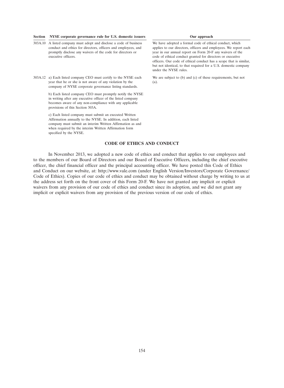### **Section NYSE corporate governance rule for U.S. domestic issuers Our approach**

- 303A.10 A listed company must adopt and disclose a code of business We have adopted a formal code of ethical conduct, which executive officers. code of ethical conduct granted for directors or executive
- 303A.12 a) Each listed company CEO must certify to the NYSE each We are subject to (b) and (c) of these requirements, but not year that he or she is not aware of any violation by the (a). company of NYSE corporate governance listing standards.

b) Each listed company CEO must promptly notify the NYSE in writing after any executive officer of the listed company becomes aware of any non-compliance with any applicable provisions of this Section 303A.

c) Each listed company must submit an executed Written Affirmation annually to the NYSE. In addition, each listed company must submit an interim Written Affirmation as and when required by the interim Written Affirmation form specified by the NYSE.

conduct and ethics for directors, officers and employees, and applies to our directors, officers and employees. We report each promptly disclose any waivers of the code for directors or vear in our annual report on Form 20  $\frac{1}{2}$  vear in our annual report on Form 20-F any waivers of the officers. Our code of ethical conduct has a scope that is similar, but not identical, to that required for a U.S. domestic company under the NYSE rules.

### **CODE OF ETHICS AND CONDUCT**

In November 2013, we adopted a new code of ethics and conduct that applies to our employees and to the members of our Board of Directors and our Board of Executive Officers, including the chief executive officer, the chief financial officer and the principal accounting officer. We have posted this Code of Ethics and Conduct on our website, at: http://www.vale.com (under English Version/Investors/Corporate Governance/ Code of Ethics). Copies of our code of ethics and conduct may be obtained without charge by writing to us at the address set forth on the front cover of this Form 20-F. We have not granted any implicit or explicit waivers from any provision of our code of ethics and conduct since its adoption, and we did not grant any implicit or explicit waivers from any provision of the previous version of our code of ethics.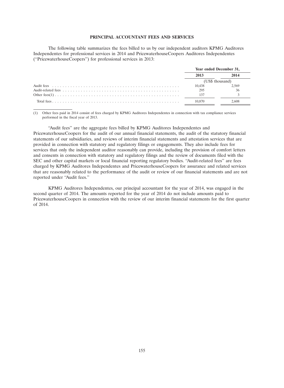# **PRINCIPAL ACCOUNTANT FEES AND SERVICES**

The following table summarizes the fees billed to us by our independent auditors KPMG Auditores Independentes for professional services in 2014 and PricewaterhouseCoopers Auditores Independentes (''PricewaterhouseCoopers'') for professional services in 2013:

| Year ended December 31, |       |
|-------------------------|-------|
| 2013                    | 2014  |
| (US\$ thousand)         |       |
| 10.438                  | 2,569 |
| 295                     | 36    |
| 137                     |       |
| 10.870                  | 2.608 |

(1) Other fees paid in 2014 consist of fees charged by KPMG Auditores Independentes in connection with tax compliance services performed in the fiscal year of 2013.

''Audit fees'' are the aggregate fees billed by KPMG Auditores Independentes and PricewaterhouseCoopers for the audit of our annual financial statements, the audit of the statutory financial statements of our subsidiaries, and reviews of interim financial statements and attestation services that are provided in connection with statutory and regulatory filings or engagements. They also include fees for services that only the independent auditor reasonably can provide, including the provision of comfort letters and consents in connection with statutory and regulatory filings and the review of documents filed with the SEC and other capital markets or local financial reporting regulatory bodies. ''Audit-related fees'' are fees charged by KPMG Auditores Independentes and PricewaterhouseCoopers for assurance and related services that are reasonably related to the performance of the audit or review of our financial statements and are not reported under ''Audit fees.''

KPMG Auditores Independentes, our principal accountant for the year of 2014, was engaged in the second quarter of 2014. The amounts reported for the year of 2014 do not include amounts paid to PricewaterhouseCoopers in connection with the review of our interim financial statements for the first quarter of 2014.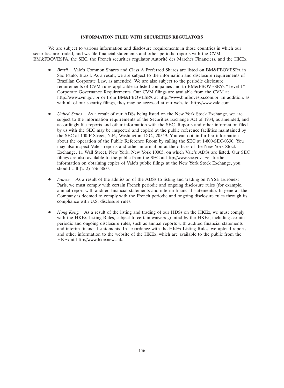# **INFORMATION FILED WITH SECURITIES REGULATORS**

We are subject to various information and disclosure requirements in those countries in which our securities are traded, and we file financial statements and other periodic reports with the CVM, BM&FBOVESPA, the SEC, the French securities regulator Autorité des Marchés Financiers, and the HKEx.

- *Brazil.* Vale's Common Shares and Class A Preferred Shares are listed on BM&FBOVESPA in São Paulo, Brazil. As a result, we are subject to the information and disclosure requirements of Brazilian Corporate Law, as amended. We are also subject to the periodic disclosure requirements of CVM rules applicable to listed companies and to BM&FBOVESPA's ''Level 1'' Corporate Governance Requirements. Our CVM filings are available from the CVM at http://www.cvm.gov.br or from BM&FBOVESPA at http://www.bmfbovespa.com.br. In addition, as with all of our security filings, they may be accessed at our website, http://www.vale.com.
- *United States.* As a result of our ADSs being listed on the New York Stock Exchange, we are subject to the information requirements of the Securities Exchange Act of 1934, as amended, and accordingly file reports and other information with the SEC. Reports and other information filed by us with the SEC may be inspected and copied at the public reference facilities maintained by the SEC at 100 F Street, N.E., Washington, D.C., 20549. You can obtain further information about the operation of the Public Reference Room by calling the SEC at 1-800-SEC-0330. You may also inspect Vale's reports and other information at the offices of the New York Stock Exchange, 11 Wall Street, New York, New York 10005, on which Vale's ADSs are listed. Our SEC filings are also available to the public from the SEC at http://www.sec.gov. For further information on obtaining copies of Vale's public filings at the New York Stock Exchange, you should call (212) 656-5060.
- *France.* As a result of the admission of the ADSs to listing and trading on NYSE Euronext Paris, we must comply with certain French periodic and ongoing disclosure rules (for example, annual report with audited financial statements and interim financial statements). In general, the Company is deemed to comply with the French periodic and ongoing disclosure rules through its compliance with U.S. disclosure rules.
- *Hong Kong.* As a result of the listing and trading of our HDSs on the HKEx, we must comply with the HKEx Listing Rules, subject to certain waivers granted by the HKEx, including certain periodic and ongoing disclosure rules, such as annual reports with audited financial statements and interim financial statements. In accordance with the HKEx Listing Rules, we upload reports and other information to the website of the HKEx, which are available to the public from the HKEx at http://www.hkexnews.hk.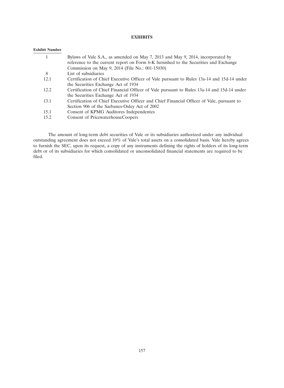# **EXHIBITS**

# **Exhibit Number**

|      | Bylaws of Vale S.A., as amended on May 7, 2013 and May 9, 2014, incorporated by            |
|------|--------------------------------------------------------------------------------------------|
|      | reference to the current report on Form 6-K furnished to the Securities and Exchange       |
|      | Commission on May 9, 2014 (File No.: 001-15030)                                            |
| 8    | List of subsidiaries                                                                       |
| 12.1 | Certification of Chief Executive Officer of Vale pursuant to Rules 13a-14 and 15d-14 under |
|      | the Securities Exchange Act of 1934                                                        |
| 12.2 | Certification of Chief Financial Officer of Vale pursuant to Rules 13a-14 and 15d-14 under |
|      | the Securities Exchange Act of 1934                                                        |
| 13.1 | Certification of Chief Executive Officer and Chief Financial Officer of Vale, pursuant to  |
|      | Section 906 of the Sarbanes-Oxley Act of 2002                                              |
| 15.1 | Consent of KPMG Auditores Independentes                                                    |
| 15.2 | Consent of PricewaterhouseCoopers                                                          |
|      |                                                                                            |

The amount of long-term debt securities of Vale or its subsidiaries authorized under any individual outstanding agreement does not exceed 10% of Vale's total assets on a consolidated basis. Vale hereby agrees to furnish the SEC, upon its request, a copy of any instruments defining the rights of holders of its long-term debt or of its subsidiaries for which consolidated or unconsolidated financial statements are required to be filed.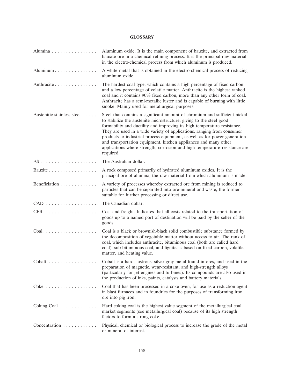# **GLOSSARY**

| Alumina                                         | Aluminum oxide. It is the main component of bauxite, and extracted from<br>bauxite ore in a chemical refining process. It is the principal raw material<br>in the electro-chemical process from which aluminum is produced.                                                                                                                                                                                                                                                                                                                        |
|-------------------------------------------------|----------------------------------------------------------------------------------------------------------------------------------------------------------------------------------------------------------------------------------------------------------------------------------------------------------------------------------------------------------------------------------------------------------------------------------------------------------------------------------------------------------------------------------------------------|
| Aluminum                                        | A white metal that is obtained in the electro-chemical process of reducing<br>aluminum oxide.                                                                                                                                                                                                                                                                                                                                                                                                                                                      |
| Anthracite                                      | The hardest coal type, which contains a high percentage of fixed carbon<br>and a low percentage of volatile matter. Anthracite is the highest ranked<br>coal and it contains 90% fixed carbon, more than any other form of coal.<br>Anthracite has a semi-metallic luster and is capable of burning with little<br>smoke. Mainly used for metallurgical purposes.                                                                                                                                                                                  |
| Austenitic stainless steel                      | Steel that contains a significant amount of chromium and sufficient nickel<br>to stabilize the austenite microstructure, giving to the steel good<br>formability and ductility and improving its high temperature resistance.<br>They are used in a wide variety of applications, ranging from consumer<br>products to industrial process equipment, as well as for power generation<br>and transportation equipment, kitchen appliances and many other<br>applications where strength, corrosion and high temperature resistance are<br>required. |
|                                                 | The Australian dollar.                                                                                                                                                                                                                                                                                                                                                                                                                                                                                                                             |
| Bauxite                                         | A rock composed primarily of hydrated aluminum oxides. It is the<br>principal ore of alumina, the raw material from which aluminum is made.                                                                                                                                                                                                                                                                                                                                                                                                        |
| Beneficiation                                   | A variety of processes whereby extracted ore from mining is reduced to<br>particles that can be separated into ore-mineral and waste, the former<br>suitable for further processing or direct use.                                                                                                                                                                                                                                                                                                                                                 |
| $CAD \dots \dots \dots \dots \dots \dots \dots$ | The Canadian dollar.                                                                                                                                                                                                                                                                                                                                                                                                                                                                                                                               |
| CFR                                             | Cost and freight. Indicates that all costs related to the transportation of<br>goods up to a named port of destination will be paid by the seller of the<br>goods.                                                                                                                                                                                                                                                                                                                                                                                 |
| $Coal. \ldots \ldots \ldots \ldots \ldots$      | Coal is a black or brownish-black solid combustible substance formed by<br>the decomposition of vegetable matter without access to air. The rank of<br>coal, which includes anthracite, bituminous coal (both are called hard<br>coal), sub-bituminous coal, and lignite, is based on fixed carbon, volatile<br>matter, and heating value.                                                                                                                                                                                                         |
| Cobalt                                          | Cobalt is a hard, lustrous, silver-gray metal found in ores, and used in the<br>preparation of magnetic, wear-resistant, and high-strength alloys<br>(particularly for jet engines and turbines). Its compounds are also used in<br>the production of inks, paints, catalysts and battery materials.                                                                                                                                                                                                                                               |
| $\text{Coke}$                                   | Coal that has been processed in a coke oven, for use as a reduction agent<br>in blast furnaces and in foundries for the purposes of transforming iron<br>ore into pig iron.                                                                                                                                                                                                                                                                                                                                                                        |
| Coking Coal                                     | Hard coking coal is the highest value segment of the metallurgical coal<br>market segments (see metallurgical coal) because of its high strength<br>factors to form a strong coke.                                                                                                                                                                                                                                                                                                                                                                 |
| Concentration                                   | Physical, chemical or biological process to increase the grade of the metal<br>or mineral of interest.                                                                                                                                                                                                                                                                                                                                                                                                                                             |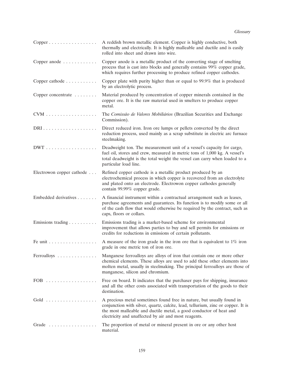| $Copper \ldots \ldots \ldots \ldots \ldots$ | A reddish brown metallic element. Copper is highly conductive, both<br>thermally and electrically. It is highly malleable and ductile and is easily<br>rolled into sheet and drawn into wire.                                                                                           |
|---------------------------------------------|-----------------------------------------------------------------------------------------------------------------------------------------------------------------------------------------------------------------------------------------------------------------------------------------|
| Copper anode                                | Copper anode is a metallic product of the converting stage of smelting<br>process that is cast into blocks and generally contains 99% copper grade,<br>which requires further processing to produce refined copper cathodes.                                                            |
| Copper cathode                              | Copper plate with purity higher than or equal to 99.9% that is produced<br>by an electrolytic process.                                                                                                                                                                                  |
| Copper concentrate                          | Material produced by concentration of copper minerals contained in the<br>copper ore. It is the raw material used in smelters to produce copper<br>metal.                                                                                                                               |
| CVM                                         | The Comissão de Valores Mobiliários (Brazilian Securities and Exchange<br>Commission).                                                                                                                                                                                                  |
|                                             | Direct reduced iron. Iron ore lumps or pellets converted by the direct<br>reduction process, used mainly as a scrap substitute in electric arc furnace<br>steelmaking.                                                                                                                  |
| $DWT \ldots \ldots \ldots \ldots \ldots$    | Deadweight ton. The measurement unit of a vessel's capacity for cargo,<br>fuel oil, stores and crew, measured in metric tons of 1,000 kg. A vessel's<br>total deadweight is the total weight the vessel can carry when loaded to a<br>particular load line.                             |
| Electrowon copper cathode                   | Refined copper cathode is a metallic product produced by an<br>electrochemical process in which copper is recovered from an electrolyte<br>and plated onto an electrode. Electrowon copper cathodes generally<br>contain 99.99% copper grade.                                           |
| Embedded derivatives                        | A financial instrument within a contractual arrangement such as leases,<br>purchase agreements and guarantees. Its function is to modify some or all<br>of the cash flow that would otherwise be required by the contract, such as<br>caps, floors or collars.                          |
| Emissions trading                           | Emissions trading is a market-based scheme for environmental<br>improvement that allows parties to buy and sell permits for emissions or<br>credits for reductions in emissions of certain pollutants.                                                                                  |
| Fe unit                                     | A measure of the iron grade in the iron ore that is equivalent to $1\%$ iron<br>grade in one metric ton of iron ore.                                                                                                                                                                    |
| Ferroalloys                                 | Manganese ferroalloys are alloys of iron that contain one or more other<br>chemical elements. These alloys are used to add these other elements into<br>molten metal, usually in steelmaking. The principal ferroalloys are those of<br>manganese, silicon and chromium.                |
| FOB                                         | Free on board. It indicates that the purchaser pays for shipping, insurance<br>and all the other costs associated with transportation of the goods to their<br>destination.                                                                                                             |
|                                             | A precious metal sometimes found free in nature, but usually found in<br>conjunction with silver, quartz, calcite, lead, tellurium, zinc or copper. It is<br>the most malleable and ductile metal, a good conductor of heat and<br>electricity and unaffected by air and most reagents. |
| Grade                                       | The proportion of metal or mineral present in ore or any other host<br>material.                                                                                                                                                                                                        |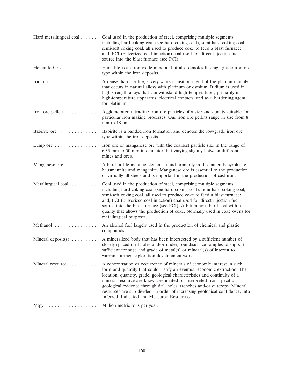| Hard metallurgical coal                   | Coal used in the production of steel, comprising multiple segments,<br>including hard coking coal (see hard coking coal), semi-hard coking coal,<br>semi-soft coking coal, all used to produce coke to feed a blast furnace;<br>and, PCI (pulverized coal injection) coal used for direct injection fuel<br>source into the blast furnace (see PCI).                                                                                                                                                                 |
|-------------------------------------------|----------------------------------------------------------------------------------------------------------------------------------------------------------------------------------------------------------------------------------------------------------------------------------------------------------------------------------------------------------------------------------------------------------------------------------------------------------------------------------------------------------------------|
| Hematite Ore                              | Hematite is an iron oxide mineral, but also denotes the high-grade iron ore<br>type within the iron deposits.                                                                                                                                                                                                                                                                                                                                                                                                        |
| Iridium                                   | A dense, hard, brittle, silvery-white transition metal of the platinum family<br>that occurs in natural alloys with platinum or osmium. Iridium is used in<br>high-strength alloys that can withstand high temperatures, primarily in<br>high-temperature apparatus, electrical contacts, and as a hardening agent<br>for platinum.                                                                                                                                                                                  |
| Iron ore pellets $\dots \dots$            | Agglomerated ultra-fine iron ore particles of a size and quality suitable for<br>particular iron making processes. Our iron ore pellets range in size from 8<br>mm to 18 mm.                                                                                                                                                                                                                                                                                                                                         |
| Itabirite ore                             | Itabirite is a banded iron formation and denotes the low-grade iron ore<br>type within the iron deposits.                                                                                                                                                                                                                                                                                                                                                                                                            |
| Lump ore $\dots \dots \dots \dots$        | Iron ore or manganese ore with the coarsest particle size in the range of<br>6.35 mm to 50 mm in diameter, but varying slightly between different<br>mines and ores.                                                                                                                                                                                                                                                                                                                                                 |
| Manganese ore                             | A hard brittle metallic element found primarily in the minerals pyrolusite,<br>hausmannite and manganite. Manganese ore is essential to the production<br>of virtually all steels and is important in the production of cast iron.                                                                                                                                                                                                                                                                                   |
| Metallurgical coal                        | Coal used in the production of steel, comprising multiple segments,<br>including hard coking coal (see hard coking coal), semi-hard coking coal,<br>semi-soft coking coal, all used to produce coke to feed a blast furnace;<br>and, PCI (pulverized coal injection) coal used for direct injection fuel<br>source into the blast furnace (see PCI). A bituminous hard coal with a<br>quality that allows the production of coke. Normally used in coke ovens for<br>metallurgical purposes.                         |
| Methanol                                  | An alcohol fuel largely used in the production of chemical and plastic<br>compounds.                                                                                                                                                                                                                                                                                                                                                                                                                                 |
| Mineral deposit(s) $\dots \dots$          | A mineralized body that has been intersected by a sufficient number of<br>closely spaced drill holes and/or underground/surface samples to support<br>sufficient tonnage and grade of metal(s) or mineral(s) of interest to<br>warrant further exploration-development work.                                                                                                                                                                                                                                         |
| Mineral resource                          | A concentration or occurrence of minerals of economic interest in such<br>form and quantity that could justify an eventual economic extraction. The<br>location, quantity, grade, geological characteristics and continuity of a<br>mineral resource are known, estimated or interpreted from specific<br>geological evidence through drill holes, trenches and/or outcrops. Mineral<br>resources are sub-divided, in order of increasing geological confidence, into<br>Inferred, Indicated and Measured Resources. |
| Mtpy $\ldots \ldots \ldots \ldots \ldots$ | Million metric tons per year.                                                                                                                                                                                                                                                                                                                                                                                                                                                                                        |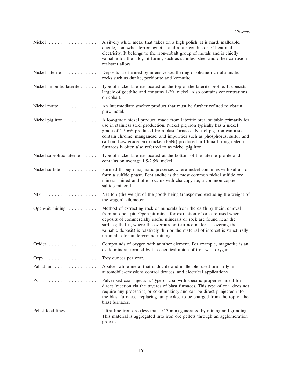| Nickel                                    | A silvery white metal that takes on a high polish. It is hard, malleable,<br>ductile, somewhat ferromagnetic, and a fair conductor of heat and<br>electricity. It belongs to the iron-cobalt group of metals and is chiefly<br>valuable for the alloys it forms, such as stainless steel and other corrosion-<br>resistant alloys.                                                                                                                    |
|-------------------------------------------|-------------------------------------------------------------------------------------------------------------------------------------------------------------------------------------------------------------------------------------------------------------------------------------------------------------------------------------------------------------------------------------------------------------------------------------------------------|
| Nickel laterite                           | Deposits are formed by intensive weathering of olivine-rich ultramafic<br>rocks such as dunite, peridotite and komatite.                                                                                                                                                                                                                                                                                                                              |
| Nickel limonitic laterite                 | Type of nickel laterite located at the top of the laterite profile. It consists<br>largely of goethite and contains 1-2% nickel. Also contains concentrations<br>on cobalt.                                                                                                                                                                                                                                                                           |
| Nickel matte                              | An intermediate smelter product that must be further refined to obtain<br>pure metal.                                                                                                                                                                                                                                                                                                                                                                 |
| Nickel pig iron                           | A low-grade nickel product, made from lateritic ores, suitable primarily for<br>use in stainless steel production. Nickel pig iron typically has a nickel<br>grade of 1.5-6% produced from blast furnaces. Nickel pig iron can also<br>contain chrome, manganese, and impurities such as phosphorus, sulfur and<br>carbon. Low grade ferro-nickel (FeNi) produced in China through electric<br>furnaces is often also referred to as nickel pig iron. |
| Nickel saprolitic laterite                | Type of nickel laterite located at the bottom of the laterite profile and<br>contains on average 1.5-2.5% nickel.                                                                                                                                                                                                                                                                                                                                     |
| Nickel sulfide                            | Formed through magmatic processes where nickel combines with sulfur to<br>form a sulfide phase. Pentlandite is the most common nickel sulfide ore<br>mineral mined and often occurs with chalcopyrite, a common copper<br>sulfide mineral.                                                                                                                                                                                                            |
|                                           | Net ton (the weight of the goods being transported excluding the weight of<br>the wagon) kilometer.                                                                                                                                                                                                                                                                                                                                                   |
| Open-pit mining                           | Method of extracting rock or minerals from the earth by their removal<br>from an open pit. Open-pit mines for extraction of ore are used when<br>deposits of commercially useful minerals or rock are found near the<br>surface; that is, where the overburden (surface material covering the<br>valuable deposit) is relatively thin or the material of interest is structurally<br>unsuitable for underground mining.                               |
| Oxides                                    | Compounds of oxygen with another element. For example, magnetite is an<br>oxide mineral formed by the chemical union of iron with oxygen.                                                                                                                                                                                                                                                                                                             |
| Ozpy $\ldots \ldots \ldots \ldots \ldots$ | Troy ounces per year.                                                                                                                                                                                                                                                                                                                                                                                                                                 |
| Palladium                                 | A silver-white metal that is ductile and malleable, used primarily in<br>automobile-emissions control devices, and electrical applications.                                                                                                                                                                                                                                                                                                           |
|                                           | Pulverized coal injection. Type of coal with specific properties ideal for<br>direct injection via the tuyeres of blast furnaces. This type of coal does not<br>require any processing or coke making, and can be directly injected into<br>the blast furnaces, replacing lump cokes to be charged from the top of the<br>blast furnaces.                                                                                                             |
| Pellet feed fines                         | Ultra-fine iron ore (less than 0.15 mm) generated by mining and grinding.<br>This material is aggregated into iron ore pellets through an agglomeration<br>process.                                                                                                                                                                                                                                                                                   |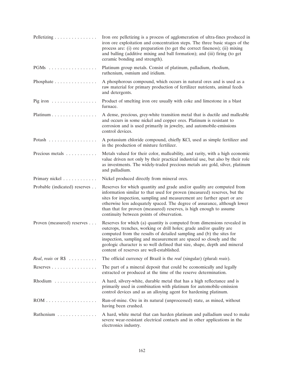| Pelletizing                              | Iron ore pelletizing is a process of agglomeration of ultra-fines produced in<br>iron ore exploitation and concentration steps. The three basic stages of the<br>process are: (i) ore preparation (to get the correct fineness); (ii) mixing<br>and balling (additive mixing and ball formation); and (iii) firing (to get<br>ceramic bonding and strength).                                                                  |
|------------------------------------------|-------------------------------------------------------------------------------------------------------------------------------------------------------------------------------------------------------------------------------------------------------------------------------------------------------------------------------------------------------------------------------------------------------------------------------|
| $PGMs$                                   | Platinum group metals. Consist of platinum, palladium, rhodium,<br>ruthenium, osmium and iridium.                                                                                                                                                                                                                                                                                                                             |
| Phosphate $\ldots \ldots \ldots \ldots$  | A phosphorous compound, which occurs in natural ores and is used as a<br>raw material for primary production of fertilizer nutrients, animal feeds<br>and detergents.                                                                                                                                                                                                                                                         |
| Pig iron $\dots \dots \dots \dots \dots$ | Product of smelting iron ore usually with coke and limestone in a blast<br>furnace.                                                                                                                                                                                                                                                                                                                                           |
| Platinum                                 | A dense, precious, grey-white transition metal that is ductile and malleable<br>and occurs in some nickel and copper ores. Platinum is resistant to<br>corrosion and is used primarily in jewelry, and automobile-emissions<br>control devices.                                                                                                                                                                               |
| Potash                                   | A potassium chloride compound, chiefly KCl, used as simple fertilizer and<br>in the production of mixture fertilizer.                                                                                                                                                                                                                                                                                                         |
| Precious metals                          | Metals valued for their color, malleability, and rarity, with a high economic<br>value driven not only by their practical industrial use, but also by their role<br>as investments. The widely-traded precious metals are gold, silver, platinum<br>and palladium.                                                                                                                                                            |
| Primary nickel                           | Nickel produced directly from mineral ores.                                                                                                                                                                                                                                                                                                                                                                                   |
| Probable (indicated) reserves            | Reserves for which quantity and grade and/or quality are computed from<br>information similar to that used for proven (measured) reserves, but the<br>sites for inspection, sampling and measurement are farther apart or are<br>otherwise less adequately spaced. The degree of assurance, although lower<br>than that for proven (measured) reserves, is high enough to assume<br>continuity between points of observation. |
| Proven (measured) reserves               | Reserves for which (a) quantity is computed from dimensions revealed in<br>outcrops, trenches, working or drill holes; grade and/or quality are<br>computed from the results of detailed sampling and (b) the sites for<br>inspection, sampling and measurement are spaced so closely and the<br>geologic character is so well defined that size, shape, depth and mineral<br>content of reserves are well-established.       |
| Real, reais or R\$                       | The official currency of Brazil is the real (singular) (plural: reais).                                                                                                                                                                                                                                                                                                                                                       |
| Reserves                                 | The part of a mineral deposit that could be economically and legally<br>extracted or produced at the time of the reserve determination.                                                                                                                                                                                                                                                                                       |
| Rhodium                                  | A hard, silvery-white, durable metal that has a high reflectance and is<br>primarily used in combination with platinum for automobile-emission<br>control devices and as an alloying agent for hardening platinum.                                                                                                                                                                                                            |
|                                          | Run-of-mine. Ore in its natural (unprocessed) state, as mined, without<br>having been crushed.                                                                                                                                                                                                                                                                                                                                |
| Ruthenium                                | A hard, white metal that can harden platinum and palladium used to make<br>severe wear-resistant electrical contacts and in other applications in the<br>electronics industry.                                                                                                                                                                                                                                                |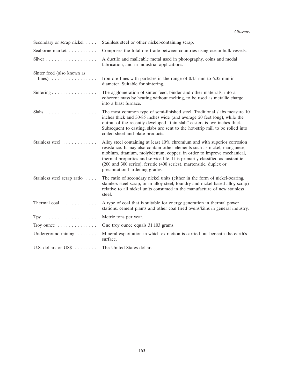*Glossary*

| Secondary or scrap nickel                   | Stainless steel or other nickel-containing scrap.                                                                                                                                                                                                                                                                                                                                                                          |  |  |  |
|---------------------------------------------|----------------------------------------------------------------------------------------------------------------------------------------------------------------------------------------------------------------------------------------------------------------------------------------------------------------------------------------------------------------------------------------------------------------------------|--|--|--|
| Seaborne market                             | Comprises the total ore trade between countries using ocean bulk vessels.                                                                                                                                                                                                                                                                                                                                                  |  |  |  |
|                                             | A ductile and malleable metal used in photography, coins and medal<br>fabrication, and in industrial applications.                                                                                                                                                                                                                                                                                                         |  |  |  |
| Sinter feed (also known as                  |                                                                                                                                                                                                                                                                                                                                                                                                                            |  |  |  |
| fines) $\ldots \ldots \ldots \ldots \ldots$ | Iron ore fines with particles in the range of 0.15 mm to 6.35 mm in<br>diameter. Suitable for sintering.                                                                                                                                                                                                                                                                                                                   |  |  |  |
| Sintering                                   | The agglomeration of sinter feed, binder and other materials, into a<br>coherent mass by heating without melting, to be used as metallic charge<br>into a blast furnace.                                                                                                                                                                                                                                                   |  |  |  |
|                                             | The most common type of semi-finished steel. Traditional slabs measure 10<br>inches thick and 30-85 inches wide (and average 20 feet long), while the<br>output of the recently developed "thin slab" casters is two inches thick.<br>Subsequent to casting, slabs are sent to the hot-strip mill to be rolled into<br>coiled sheet and plate products.                                                                    |  |  |  |
| Stainless steel                             | Alloy steel containing at least 10% chromium and with superior corrosion<br>resistance. It may also contain other elements such as nickel, manganese,<br>niobium, titanium, molybdenum, copper, in order to improve mechanical,<br>thermal properties and service life. It is primarily classified as austenitic<br>(200 and 300 series), ferritic (400 series), martensitic, duplex or<br>precipitation hardening grades. |  |  |  |
| Stainless steel scrap ratio                 | The ratio of secondary nickel units (either in the form of nickel-bearing,<br>stainless steel scrap, or in alloy steel, foundry and nickel-based alloy scrap)<br>relative to all nickel units consumed in the manufacture of new stainless<br>steel.                                                                                                                                                                       |  |  |  |
| Thermal coal                                | A type of coal that is suitable for energy generation in thermal power<br>stations, cement plants and other coal fired ovens/kilns in general industry.                                                                                                                                                                                                                                                                    |  |  |  |
|                                             | Metric tons per year.                                                                                                                                                                                                                                                                                                                                                                                                      |  |  |  |
| Troy ounce                                  | One troy ounce equals 31.103 grams.                                                                                                                                                                                                                                                                                                                                                                                        |  |  |  |
| Underground mining $\dots$ .                | Mineral exploitation in which extraction is carried out beneath the earth's<br>surface.                                                                                                                                                                                                                                                                                                                                    |  |  |  |
| U.S. dollars or US\$                        | The United States dollar.                                                                                                                                                                                                                                                                                                                                                                                                  |  |  |  |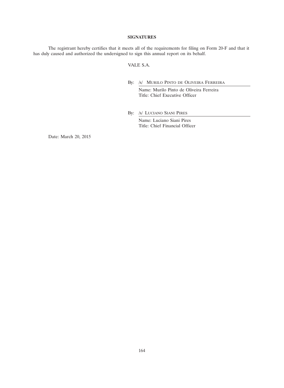# **SIGNATURES**

The registrant hereby certifies that it meets all of the requirements for filing on Form 20-F and that it has duly caused and authorized the undersigned to sign this annual report on its behalf.

# VALE S.A.

By: /s/ MURILO PINTO DE OLIVEIRA FERREIRA

Name: Murilo Pinto de Oliveira Ferreira Title: Chief Executive Officer

By: /s/ LUCIANO SIANI PIRES

Name: Luciano Siani Pires Title: Chief Financial Officer

Date: March 20, 2015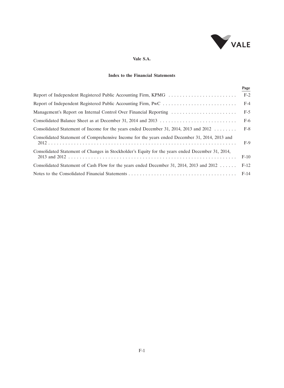

# **Vale S.A.**

# **Index to the Financial Statements**

|                                                                                                     | Page   |
|-----------------------------------------------------------------------------------------------------|--------|
| Report of Independent Registered Public Accounting Firm, KPMG                                       | $F-2$  |
|                                                                                                     | $F-4$  |
|                                                                                                     | $F-5$  |
|                                                                                                     | $F-6$  |
| Consolidated Statement of Income for the years ended December 31, 2014, 2013 and 2012 $\dots \dots$ | $F-8$  |
| Consolidated Statement of Comprehensive Income for the years ended December 31, 2014, 2013 and      | $F-9$  |
| Consolidated Statement of Changes in Stockholder's Equity for the years ended December 31, 2014,    | $F-10$ |
| Consolidated Statement of Cash Flow for the years ended December 31, 2014, 2013 and 2012            | $F-12$ |
|                                                                                                     | $F-14$ |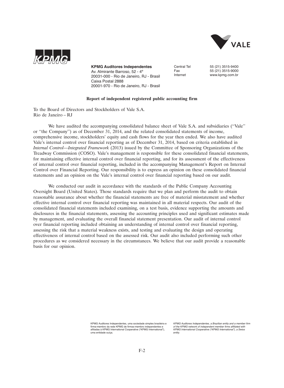



**KPMG Auditores Independentes**  Av. Almirante Barroso, 52 - 4º 20031-000 - Rio de Janeiro, RJ - Brasil Caixa Postal 2888 20001-970 - Rio de Janeiro, RJ - Brasil

Central Tel 55 (21) 3515-9400 Fax 55 (21) 3515-9000 www.kpmg.com.br

### **Report of independent registered public accounting firm**

To the Board of Directors and Stockholders of Vale S.A. Rio de Janeiro – RJ

We have audited the accompanying consolidated balance sheet of Vale S.A. and subsidiaries ("Vale" or ''the Company'') as of December 31, 2014, and the related consolidated statements of income, comprehensive income, stockholders' equity and cash flows for the year then ended. We also have audited Vale's internal control over financial reporting as of December 31, 2014, based on criteria established in *Internal Control—Integrated Framework* (2013) issued by the Committee of Sponsoring Organizations of the Treadway Commission (COSO). Vale's management is responsible for these consolidated financial statements, for maintaining effective internal control over financial reporting, and for its assessment of the effectiveness of internal control over financial reporting, included in the accompanying Management's Report on Internal Control over Financial Reporting. Our responsibility is to express an opinion on these consolidated financial statements and an opinion on the Vale's internal control over financial reporting based on our audit.

We conducted our audit in accordance with the standards of the Public Company Accounting Oversight Board (United States). Those standards require that we plan and perform the audit to obtain reasonable assurance about whether the financial statements are free of material misstatement and whether effective internal control over financial reporting was maintained in all material respects. Our audit of the consolidated financial statements included examining, on a test basis, evidence supporting the amounts and disclosures in the financial statements, assessing the accounting principles used and significant estimates made by management, and evaluating the overall financial statement presentation. Our audit of internal control over financial reporting included obtaining an understanding of internal control over financial reporting, assessing the risk that a material weakness exists, and testing and evaluating the design and operating effectiveness of internal control based on the assessed risk. Our audit also included performing such other procedures as we considered necessary in the circumstances. We believe that our audit provide a reasonable basis for our opinion.

> KPMG Auditores Independentes, uma sociedade simples brasileira e firma-membro da rede KPMG de firmas-membro independentes e afiliadas à KPMG International Cooperative ("KPMG International"), uma entidade suíça.

*KPMG Auditores Independentes, a Brazilian entity and a member firm of the KPMG network of independent member firms affiliated with KPMG International Cooperative ("KPMG International"), a Swiss entity.*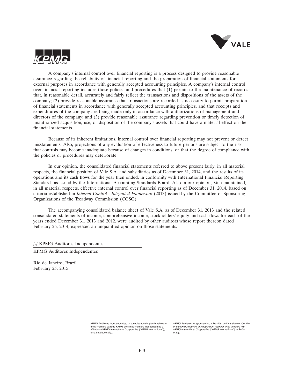



A company's internal control over financial reporting is a process designed to provide reasonable assurance regarding the reliability of financial reporting and the preparation of financial statements for external purposes in accordance with generally accepted accounting principles. A company's internal control over financial reporting includes those policies and procedures that (1) pertain to the maintenance of records that, in reasonable detail, accurately and fairly reflect the transactions and dispositions of the assets of the company; (2) provide reasonable assurance that transactions are recorded as necessary to permit preparation of financial statements in accordance with generally accepted accounting principles, and that receipts and expenditures of the company are being made only in accordance with authorizations of management and directors of the company; and (3) provide reasonable assurance regarding prevention or timely detection of unauthorized acquisition, use, or disposition of the company's assets that could have a material effect on the financial statements.

Because of its inherent limitations, internal control over financial reporting may not prevent or detect misstatements. Also, projections of any evaluation of effectiveness to future periods are subject to the risk that controls may become inadequate because of changes in conditions, or that the degree of compliance with the policies or procedures may deteriorate.

In our opinion, the consolidated financial statements referred to above present fairly, in all material respects, the financial position of Vale S.A. and subsidiaries as of December 31, 2014, and the results of its operations and its cash flows for the year then ended, in conformity with International Financial Reporting Standards as issued by the International Accounting Standards Board. Also in our opinion, Vale maintained, in all material respects, effective internal control over financial reporting as of December 31, 2014, based on criteria established in *Internal Control—Integrated Framework* (2013) issued by the Committee of Sponsoring Organizations of the Treadway Commission (COSO).

The accompanying consolidated balance sheet of Vale S.A. as of December 31, 2013 and the related consolidated statements of income, comprehensive income, stockholders' equity and cash flows for each of the years ended December 31, 2013 and 2012, were audited by other auditors whose report thereon dated February 26, 2014, expressed an unqualified opinion on those statements.

/s/ KPMG Auditores Independentes

KPMG Auditores Independentes

Rio de Janeiro, Brazil February 25, 2015

> KPMG Auditores Independentes, uma sociedade simples brasileira e firma-membro da rede KPMG de firmas-membro independentes e afiliadas à KPMG International Cooperative ("KPMG International"), uma entidade suíça.

*KPMG Auditores Independentes, a Brazilian entity and a member firm of the KPMG network of independent member firms affiliated with KPMG International Cooperative ("KPMG International"), a Swiss entity.*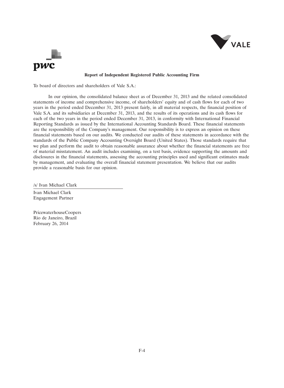



# **Report of Independent Registered Public Accounting Firm**

To board of directors and shareholders of Vale S.A.:

In our opinion, the consolidated balance sheet as of December 31, 2013 and the related consolidated statements of income and comprehensive income, of shareholders' equity and of cash flows for each of two years in the period ended December 31, 2013 present fairly, in all material respects, the financial position of Vale S.A. and its subsidiaries at December 31, 2013, and the results of its operations and its cash flows for each of the two years in the period ended December 31, 2013, in conformity with International Financial Reporting Standards as issued by the International Accounting Standards Board. These financial statements are the responsibility of the Company's management. Our responsibility is to express an opinion on these financial statements based on our audits. We conducted our audits of these statements in accordance with the standards of the Public Company Accounting Oversight Board (United States). Those standards require that we plan and perform the audit to obtain reasonable assurance about whether the financial statements are free of material misstatement. An audit includes examining, on a test basis, evidence supporting the amounts and disclosures in the financial statements, assessing the accounting principles used and significant estimates made by management, and evaluating the overall financial statement presentation. We believe that our audits provide a reasonable basis for our opinion.

/s/ Ivan Michael Clark

Ivan Michael Clark Engagement Partner

PricewaterhouseCoopers Rio de Janeiro, Brazil February 26, 2014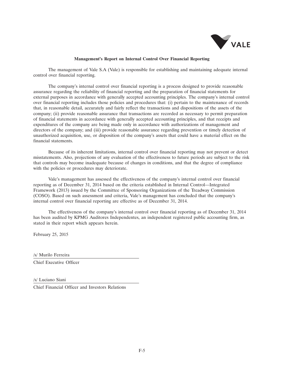

# **Management's Report on Internal Control Over Financial Reporting**

The management of Vale S.A (Vale) is responsible for establishing and maintaining adequate internal control over financial reporting.

The company's internal control over financial reporting is a process designed to provide reasonable assurance regarding the reliability of financial reporting and the preparation of financial statements for external purposes in accordance with generally accepted accounting principles. The company's internal control over financial reporting includes those policies and procedures that: (i) pertain to the maintenance of records that, in reasonable detail, accurately and fairly reflect the transactions and dispositions of the assets of the company; (ii) provide reasonable assurance that transactions are recorded as necessary to permit preparation of financial statements in accordance with generally accepted accounting principles, and that receipts and expenditures of the company are being made only in accordance with authorizations of management and directors of the company; and (iii) provide reasonable assurance regarding prevention or timely detection of unauthorized acquisition, use, or disposition of the company's assets that could have a material effect on the financial statements.

Because of its inherent limitations, internal control over financial reporting may not prevent or detect misstatements. Also, projections of any evaluation of the effectiveness to future periods are subject to the risk that controls may become inadequate because of changes in conditions, and that the degree of compliance with the policies or procedures may deteriorate.

Vale's management has assessed the effectiveness of the company's internal control over financial reporting as of December 31, 2014 based on the criteria established in Internal Control—Integrated Framework (2013) issued by the Committee of Sponsoring Organizations of the Treadway Commission (COSO). Based on such assessment and criteria, Vale's management has concluded that the company's internal control over financial reporting are effective as of December 31, 2014.

The effectiveness of the company's internal control over financial reporting as of December 31, 2014 has been audited by KPMG Auditores Independentes, an independent registered public accounting firm, as stated in their report which appears herein.

February 25, 2015

/s/ Murilo Ferreira

Chief Executive Officer

/s/ Luciano Siani

Chief Financial Officer and Investors Relations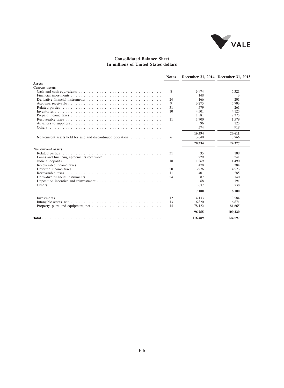

# **Consolidated Balance Sheet In millions of United States dollars**

|                                                                                                     | <b>Notes</b> |         | December 31, 2014 December 31, 2013 |
|-----------------------------------------------------------------------------------------------------|--------------|---------|-------------------------------------|
| <b>Assets</b>                                                                                       |              |         |                                     |
| <b>Current assets</b>                                                                               |              |         |                                     |
|                                                                                                     | 8            | 3,974   | 5,321                               |
|                                                                                                     |              | 148     | 3                                   |
|                                                                                                     | 24           | 166     | 201                                 |
|                                                                                                     | 9            | 3,275   | 5,703                               |
|                                                                                                     | 31           | 579     | 261                                 |
|                                                                                                     | 10           | 4,501   | 4,125                               |
|                                                                                                     |              | 1,581   | 2,375                               |
|                                                                                                     | 11           | 1,700   | 1,579                               |
|                                                                                                     |              | 96      | 125                                 |
|                                                                                                     |              | 574     | 918                                 |
|                                                                                                     |              | 16,594  | 20,611                              |
| Non-current assets held for sale and discontinued operation $\dots \dots \dots \dots$               | 6            | 3.640   | 3.766                               |
|                                                                                                     |              | 20,234  | 24,377                              |
| Non-current assets                                                                                  |              |         |                                     |
|                                                                                                     | 31           | 35      | 108                                 |
| Loans and financing agreements receivable $\dots \dots \dots \dots \dots \dots \dots \dots$         |              | 229     | 241                                 |
|                                                                                                     | 18           | 1,269   | 1.490                               |
|                                                                                                     |              | 478     | 384                                 |
|                                                                                                     | 20           | 3.976   | 4.523                               |
|                                                                                                     | 11           | 401     | 285                                 |
|                                                                                                     | 24           | 87      | 140                                 |
| Deposit on incentive and reinvestment $\dots \dots \dots \dots \dots \dots \dots \dots \dots \dots$ |              | 68      | 191                                 |
|                                                                                                     |              | 637     | 738                                 |
|                                                                                                     |              | 7,180   | 8,100                               |
|                                                                                                     | 12           | 4.133   | 3,584                               |
|                                                                                                     | 13           | 6,820   | 6,871                               |
|                                                                                                     | 14           | 78,122  | 81,665                              |
|                                                                                                     |              | 96,255  | 100,220                             |
|                                                                                                     |              | 116,489 | 124.597                             |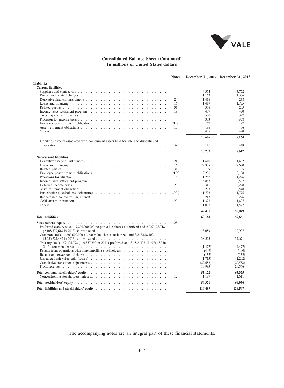

# **Consolidated Balance Sheet (Continued) In millions of United States dollars**

|                                                                                                                                                                                                                               | <b>Notes</b> |          | December 31, 2014 December 31, 2013 |
|-------------------------------------------------------------------------------------------------------------------------------------------------------------------------------------------------------------------------------|--------------|----------|-------------------------------------|
| <b>Liabilities</b>                                                                                                                                                                                                            |              |          |                                     |
| <b>Current liabilities</b>                                                                                                                                                                                                    |              |          |                                     |
|                                                                                                                                                                                                                               |              | 4,354    | 3,772                               |
|                                                                                                                                                                                                                               |              | 1,163    | 1,386                               |
|                                                                                                                                                                                                                               | 24           | 1.416    | 238                                 |
|                                                                                                                                                                                                                               | 16           | 1,419    | 1,775                               |
|                                                                                                                                                                                                                               | 31           | 306      | 205                                 |
|                                                                                                                                                                                                                               | 19           | 457      | 470                                 |
|                                                                                                                                                                                                                               |              | 550      | 327                                 |
|                                                                                                                                                                                                                               |              | 353      | 378                                 |
|                                                                                                                                                                                                                               | 21(a)        | 67       | 97                                  |
|                                                                                                                                                                                                                               | 17           | 136      | 96                                  |
|                                                                                                                                                                                                                               |              | 405      | 420                                 |
|                                                                                                                                                                                                                               |              |          |                                     |
| Liabilities directly associated with non-current assets held for sale and discontinued                                                                                                                                        |              | 10,626   | 9,164                               |
|                                                                                                                                                                                                                               | 6            | 111      | 448                                 |
|                                                                                                                                                                                                                               |              | 10,737   | 9,612                               |
| <b>Non-current liabilities</b>                                                                                                                                                                                                |              |          |                                     |
|                                                                                                                                                                                                                               | 24           | 1.610    | 1.492                               |
|                                                                                                                                                                                                                               | 16           | 27,388   | 27,670                              |
|                                                                                                                                                                                                                               | 31           | 109      | 5                                   |
|                                                                                                                                                                                                                               | 21(a)        | 2,236    | 2,198                               |
|                                                                                                                                                                                                                               | 18           | 1,282    | 1,276                               |
|                                                                                                                                                                                                                               | 19           | 5,863    | 6,507                               |
|                                                                                                                                                                                                                               | 20           | 3.341    | 3.228                               |
|                                                                                                                                                                                                                               | 17           | 3,233    | 2,548                               |
|                                                                                                                                                                                                                               |              | 1.726    | 1.775                               |
|                                                                                                                                                                                                                               | 30(c)        |          |                                     |
|                                                                                                                                                                                                                               | 29           | 243      | 276                                 |
|                                                                                                                                                                                                                               |              | 1.323    | 1.497                               |
|                                                                                                                                                                                                                               |              | 1,077    | 1,577                               |
|                                                                                                                                                                                                                               |              | 49,431   | 50,049                              |
|                                                                                                                                                                                                                               |              | 60,168   | 59,661                              |
|                                                                                                                                                                                                                               | 25           |          |                                     |
| Preferred class A stock—7,200,000,000 no-par-value shares authorized and 2,027,127,718                                                                                                                                        |              |          |                                     |
|                                                                                                                                                                                                                               |              | 23,089   | 22,907                              |
| Common stock—3,600,000,000 no-par-value shares authorized and $3,217,188,402$                                                                                                                                                 |              |          |                                     |
|                                                                                                                                                                                                                               |              | 38.525   | 37.671                              |
| Treasury stock-59,405,792 (140,857,692 in 2013) preferred and 31,535,402 (71,071,482 in                                                                                                                                       |              |          |                                     |
|                                                                                                                                                                                                                               |              | (1, 477) | (4, 477)                            |
|                                                                                                                                                                                                                               |              | (449)    | (400)                               |
|                                                                                                                                                                                                                               |              | (152)    | (152)                               |
|                                                                                                                                                                                                                               |              | (1,713)  | (1,202)                             |
|                                                                                                                                                                                                                               |              | (22,686) | (20, 588)                           |
|                                                                                                                                                                                                                               |              | 19,985   | 29,566                              |
|                                                                                                                                                                                                                               |              | 55,122   | 63,325                              |
| Noncontrolling stockholders' interests $\dots \dots \dots \dots \dots \dots \dots \dots \dots \dots \dots$                                                                                                                    | 12           | 1,199    | 1,611                               |
|                                                                                                                                                                                                                               |              | 56,321   | 64,936                              |
|                                                                                                                                                                                                                               |              | 116,489  | 124,597                             |
| Total liabilities and stockholders' equity respectively and the set of the set of the set of the set of the set of the set of the set of the set of the set of the set of the set of the set of the set of the set of the set |              |          |                                     |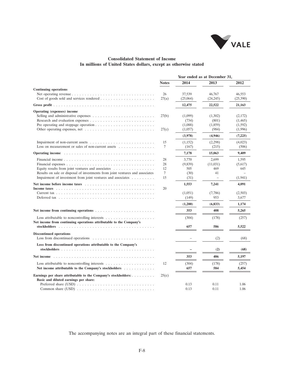

# **Consolidated Statement of Income In millions of United States dollars, except as otherwise stated**

|                                                                                                                                                                                                                                                                                                  | Year ended as at December 31, |                                         |                                      |                                          |  |  |
|--------------------------------------------------------------------------------------------------------------------------------------------------------------------------------------------------------------------------------------------------------------------------------------------------|-------------------------------|-----------------------------------------|--------------------------------------|------------------------------------------|--|--|
|                                                                                                                                                                                                                                                                                                  | <b>Notes</b>                  | 2014                                    | 2013                                 | 2012                                     |  |  |
| <b>Continuing operations</b>                                                                                                                                                                                                                                                                     |                               |                                         |                                      |                                          |  |  |
|                                                                                                                                                                                                                                                                                                  | 26<br>27(a)                   | 37,539<br>(25,064)                      | 46,767<br>(24, 245)                  | 46,553<br>(25,390)                       |  |  |
|                                                                                                                                                                                                                                                                                                  |                               | 12,475                                  | 22,522                               | 21,163                                   |  |  |
| Operating (expenses) income                                                                                                                                                                                                                                                                      |                               |                                         |                                      |                                          |  |  |
| Selling and administrative expenses $\dots \dots \dots \dots \dots \dots \dots \dots \dots$<br>Pre operating and stoppage operation $\dots \dots \dots \dots \dots \dots \dots \dots \dots$<br>Other operating expenses, net $\dots \dots \dots \dots \dots \dots \dots \dots \dots \dots \dots$ | 27(b)<br>27(c)                | (1,099)<br>(734)<br>(1,088)<br>(1,057)  | (1,302)<br>(801)<br>(1,859)<br>(984) | (2,172)<br>(1,465)<br>(1,592)<br>(1,996) |  |  |
|                                                                                                                                                                                                                                                                                                  |                               | (3,978)                                 | (4,946)                              | (7,225)                                  |  |  |
| Loss on measurement or sales of non-current assets $\dots$ ,                                                                                                                                                                                                                                     | 15<br>7                       | (1,152)<br>(167)                        | (2,298)<br>(215)                     | (4,023)<br>(506)                         |  |  |
| Operating income contact to a contract the contact of the contact of the contact of the contact of the contact of the contact of the contact of the contact of the contact of the contact of the contact of the contact of the                                                                   |                               | 7,178                                   | 15,063                               | 9,409                                    |  |  |
| Equity results from joint ventures and associates<br>Results on sale or disposal of investments from joint ventures and associates<br>Impairment of investment from joint ventures and associates                                                                                                | 28<br>28<br>12<br>7<br>15     | 3.770<br>(9,839)<br>505<br>(30)<br>(31) | 2.699<br>(11,031)<br>469<br>41       | 1.595<br>(5,617)<br>645<br>(1, 941)      |  |  |
| Net income before income taxes $\ldots$ , $\ldots$ , $\ldots$ , $\ldots$ , $\ldots$ , $\ldots$ , $\ldots$ , $\ldots$                                                                                                                                                                             |                               | 1,553                                   | 7,241                                | 4,091                                    |  |  |
|                                                                                                                                                                                                                                                                                                  | 20                            | (1,051)<br>(149)                        | (7,786)<br>953                       | (2,503)<br>3,677                         |  |  |
|                                                                                                                                                                                                                                                                                                  |                               | (1,200)                                 | (6, 833)                             | 1.174                                    |  |  |
|                                                                                                                                                                                                                                                                                                  |                               | 353                                     | 408                                  | 5,265                                    |  |  |
| Loss attributable to noncontrolling interests $\dots \dots \dots \dots \dots \dots$<br>Net income from continuing operations attributable to the Company's                                                                                                                                       |                               | (304)                                   | (178)                                | (257)                                    |  |  |
|                                                                                                                                                                                                                                                                                                  |                               | 657                                     | 586                                  | 5,522                                    |  |  |
| <b>Discontinued operations</b><br>Loss from discontinued operations $\dots \dots \dots \dots \dots \dots \dots \dots \dots$                                                                                                                                                                      |                               |                                         | (2)                                  | (68)                                     |  |  |
| Loss from discontinued operations attributable to the Company's                                                                                                                                                                                                                                  |                               |                                         |                                      |                                          |  |  |
|                                                                                                                                                                                                                                                                                                  |                               |                                         | (2)                                  | (68)                                     |  |  |
| Net income                                                                                                                                                                                                                                                                                       |                               | 353                                     | 406                                  | 5,197                                    |  |  |
| Net income attributable to the Company's stockholders                                                                                                                                                                                                                                            | 12                            | (304)<br>657                            | (178)<br>584                         | (257)<br>5,454                           |  |  |
| Earnings per share attributable to the Company's stockholders:<br>Basic and diluted earnings per share:                                                                                                                                                                                          | 25(e)                         |                                         |                                      |                                          |  |  |
|                                                                                                                                                                                                                                                                                                  |                               | 0.13<br>0.13                            | 0.11<br>0.11                         | 1.06<br>1.06                             |  |  |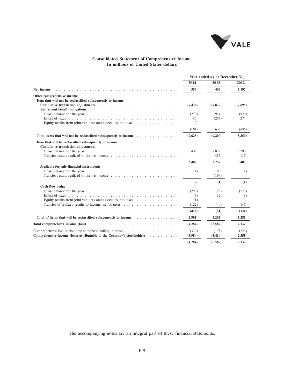

# **Consolidated Statement of Comprehensive Income In millions of United States dollars**

|                                                                                                                                                                                                                                | Year ended as at December 31, |            |           |  |
|--------------------------------------------------------------------------------------------------------------------------------------------------------------------------------------------------------------------------------|-------------------------------|------------|-----------|--|
|                                                                                                                                                                                                                                | 2014                          | 2013       | 2012      |  |
|                                                                                                                                                                                                                                | 353                           | 406        | 5,197     |  |
| Other comprehensive income                                                                                                                                                                                                     |                               |            |           |  |
| Item that will not be reclassified subsequently to income                                                                                                                                                                      |                               |            |           |  |
| <b>Retirement benefit obligations</b>                                                                                                                                                                                          | (7, 436)                      | (9,830)    | (7,695)   |  |
|                                                                                                                                                                                                                                | (279)                         | 914        | (929)     |  |
|                                                                                                                                                                                                                                | 85                            | (284)      | 274       |  |
|                                                                                                                                                                                                                                | 2                             |            |           |  |
|                                                                                                                                                                                                                                | (192)                         | 630        | (655)     |  |
| Total items that will not be reclassified subsequently to income                                                                                                                                                               | (7,628)                       | (9,200)    | (8,350)   |  |
| Item that will be reclassified subsequently to income                                                                                                                                                                          |                               |            |           |  |
| <b>Cumulative translation adjustments</b>                                                                                                                                                                                      |                               |            |           |  |
|                                                                                                                                                                                                                                | 3,407                         | 2,822      | 5,290     |  |
| Transfer results realized to the net income $\ldots$ , $\ldots$ , $\ldots$ , $\ldots$ , $\ldots$ , $\ldots$ , $\ldots$                                                                                                         |                               | 435        | 117       |  |
|                                                                                                                                                                                                                                | 3,407                         | 3,257      | 5,407     |  |
| Available-for-sale financial instruments                                                                                                                                                                                       |                               |            |           |  |
|                                                                                                                                                                                                                                | (4)                           | 193        | (1)       |  |
|                                                                                                                                                                                                                                | 4                             | (194)      |           |  |
|                                                                                                                                                                                                                                |                               | (1)        | (1)       |  |
| Cash flow hedge                                                                                                                                                                                                                |                               |            |           |  |
| Effect of taxes enterpreteration of the contract of taxes and the contract of taxes and the contract of the contract of the contract of the contract of the contract of the contract of the contract of the contract of the co | (290)                         | (23)<br>12 | (273)     |  |
| Equity results from joint ventures and associates, net taxes $\dots \dots \dots \dots \dots \dots$                                                                                                                             | (3)<br>(1)                    |            | (8)<br>13 |  |
|                                                                                                                                                                                                                                | (122)                         | (40)       | 147       |  |
|                                                                                                                                                                                                                                | (416)                         | (51)       | (121)     |  |
|                                                                                                                                                                                                                                |                               |            |           |  |
| Total of items that will be reclassified subsequently to income                                                                                                                                                                | 2,991                         | 3,205      | 5,285     |  |
|                                                                                                                                                                                                                                | (4,284)                       | (5,589)    | 2,132     |  |
|                                                                                                                                                                                                                                | (330)                         | (175)      | (223)     |  |
| Comprehensive income (loss) attributable to the Company's stockholders $\dots \dots \dots \dots$                                                                                                                               | (3,954)                       | (5, 414)   | 2,355     |  |
|                                                                                                                                                                                                                                | (4.284)                       | (5.589)    | 2.132     |  |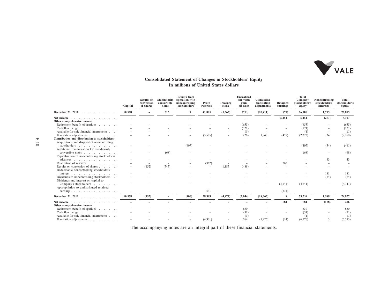

# **Consolidated Statement of Changes in Stockholders' Equity In millions of United States dollars**

|                                                                                               | Capital | <b>Results</b> on<br>conversion<br>of shares | Mandatorily<br>convertible<br>notes | <b>Results from</b><br>operation with<br>noncontrolling<br>stockholders | Profit<br>reserves       | <b>Treasury</b><br>stock | <b>Unrealized</b><br>fair value<br>gain<br>(losses) | Cumulative<br>translation<br>adjustments | <b>Retained</b><br>earnings | <b>Total</b><br>Company<br>stockholder's<br>equity | Noncontrolling<br>stockholders'<br>interests | <b>Total</b><br>stockholder's<br>equity |
|-----------------------------------------------------------------------------------------------|---------|----------------------------------------------|-------------------------------------|-------------------------------------------------------------------------|--------------------------|--------------------------|-----------------------------------------------------|------------------------------------------|-----------------------------|----------------------------------------------------|----------------------------------------------|-----------------------------------------|
| December 31, 2011<br>.                                                                        | 60,578  |                                              | 613                                 | 7                                                                       | 41,805                   | (5,662)                  | (753)                                               | (20, 411)                                | (77)                        | 76,100                                             | 1,715                                        | 77,815                                  |
| Net income $\ldots$<br>Other comprehensive income:                                            |         |                                              |                                     |                                                                         |                          |                          |                                                     |                                          | 5,454                       | 5,454                                              | (257)                                        | 5,197                                   |
| Retirement benefit obligations                                                                |         |                                              |                                     |                                                                         |                          |                          | (655)                                               |                                          |                             | (655)                                              |                                              | (655)                                   |
| Cash flow hedge                                                                               |         |                                              |                                     |                                                                         |                          |                          | (121)                                               |                                          |                             | (121)                                              |                                              | (121)                                   |
| Available-for-sale financial instruments                                                      |         |                                              |                                     |                                                                         |                          |                          | (1)                                                 |                                          | $\overline{\phantom{a}}$    | (1)                                                |                                              | (1)                                     |
| Translation adjustments                                                                       |         |                                              |                                     |                                                                         | (3,585)                  |                          | (26)                                                | 1,748                                    | (459)                       | (2, 322)                                           | 34                                           | (2,288)                                 |
| Contribution and distribution to stockholders:<br>Acquisitions and disposal of noncontrolling |         |                                              |                                     |                                                                         |                          |                          |                                                     |                                          |                             |                                                    |                                              |                                         |
| stockholders<br>Additional remuneration for mandatorily                                       |         |                                              |                                     | (407)                                                                   |                          |                          |                                                     |                                          |                             | (407)                                              | (54)                                         | (461)                                   |
| convertible notes<br>Capitalization of noncontrolling stockholders                            |         |                                              | (68)                                |                                                                         |                          |                          |                                                     |                                          |                             | (68)                                               |                                              | (68)                                    |
| advances                                                                                      |         |                                              |                                     |                                                                         |                          |                          |                                                     |                                          |                             |                                                    | 43                                           | 43                                      |
| Realization of reserves                                                                       |         |                                              |                                     |                                                                         | (362)                    |                          |                                                     |                                          | 362                         |                                                    |                                              |                                         |
| Results on conversion of shares<br>Redeemable noncontrolling stockholders'                    |         | (152)                                        | (545)                               |                                                                         | $\overline{\phantom{0}}$ | 1.185                    | (488)                                               |                                          |                             |                                                    |                                              |                                         |
| interest $\ldots$                                                                             |         |                                              |                                     |                                                                         |                          |                          |                                                     |                                          |                             |                                                    | 181                                          | 181                                     |
| Dividends to noncontrolling stockholders<br>Dividends and interest on capital to              |         |                                              |                                     |                                                                         |                          |                          |                                                     |                                          |                             |                                                    | (74)                                         | (74)                                    |
| Company's stockholders<br>Appropriation to undistributed retained                             |         |                                              |                                     |                                                                         |                          |                          |                                                     |                                          | (4,741)                     | (4,741)                                            |                                              | (4,741)                                 |
| earnings                                                                                      |         |                                              |                                     |                                                                         | 531                      |                          |                                                     |                                          | (531)                       |                                                    |                                              |                                         |
| December 31, 2012                                                                             | 60,578  | (152)                                        |                                     | (400)                                                                   | 38,389                   | (4, 477)                 | (2,044)                                             | (18, 663)                                | 8                           | 73,239                                             | 1,588                                        | 74,827                                  |
| Net income $\ldots$<br>Other comprehensive income:                                            |         |                                              |                                     |                                                                         |                          |                          |                                                     |                                          | 584                         | 584                                                | (178)                                        | 406                                     |
| Retirement benefit obligations                                                                |         |                                              |                                     |                                                                         |                          |                          | 630                                                 |                                          |                             | 630                                                |                                              | 630                                     |
| Cash flow hedge                                                                               |         |                                              |                                     |                                                                         |                          |                          | (51)                                                |                                          |                             | (51)                                               |                                              | (51)                                    |
| Available-for-sale financial instruments                                                      |         |                                              |                                     |                                                                         |                          |                          | (1)                                                 |                                          |                             | (1)                                                |                                              | (1)                                     |
| Translation adjustments                                                                       |         |                                              |                                     |                                                                         | (4,901)                  |                          | 264                                                 | (1,925)                                  | (14)                        | (6,576)                                            | $\mathcal{R}$                                | (6, 573)                                |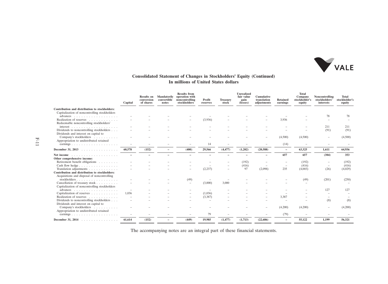

#### **Consolidated Statement of Changes in Stockholders' Equity (Continued) In millions of United States dollars**

|                                                                                                                                                                                                                                                     | Capital | <b>Results on</b><br>conversion<br>of shares | <b>Mandatorily</b><br>convertible<br>notes | <b>Results from</b><br>operation with<br>noncontrolling<br>stockholders | Profit<br>reserves | <b>Treasury</b><br>stock | <b>Unrealized</b><br>fair value<br>gain<br>(losses) | <b>Cumulative</b><br>translation<br>adjustments | <b>Retained</b><br>earnings | <b>Total</b><br>Company<br>stockholder's<br>equity | Noncontrolling<br>stockholders'<br>interests | <b>Total</b><br>stockholder's<br>equity |
|-----------------------------------------------------------------------------------------------------------------------------------------------------------------------------------------------------------------------------------------------------|---------|----------------------------------------------|--------------------------------------------|-------------------------------------------------------------------------|--------------------|--------------------------|-----------------------------------------------------|-------------------------------------------------|-----------------------------|----------------------------------------------------|----------------------------------------------|-----------------------------------------|
| Contribution and distribution to stockholders:                                                                                                                                                                                                      |         |                                              |                                            |                                                                         |                    |                          |                                                     |                                                 |                             |                                                    |                                              |                                         |
| Capitalization of noncontrolling stockholders                                                                                                                                                                                                       |         |                                              |                                            |                                                                         |                    |                          |                                                     |                                                 |                             |                                                    |                                              |                                         |
| advances $\ldots \ldots \ldots \ldots \ldots$                                                                                                                                                                                                       |         |                                              |                                            |                                                                         |                    |                          |                                                     |                                                 |                             |                                                    | 78                                           | 78                                      |
| Realization of reserves<br>Redeemable noncontrolling stockholders'                                                                                                                                                                                  |         |                                              |                                            |                                                                         | (3,936)            |                          |                                                     |                                                 | 3,936                       |                                                    |                                              |                                         |
| interest $\ldots \ldots \ldots \ldots \ldots \ldots$                                                                                                                                                                                                |         |                                              |                                            |                                                                         |                    |                          |                                                     |                                                 |                             |                                                    | 211                                          | 211                                     |
| Dividends to noncontrolling stockholders<br>Dividends and interest on capital to                                                                                                                                                                    |         |                                              |                                            |                                                                         |                    |                          |                                                     |                                                 |                             |                                                    | (91)                                         | (91)                                    |
| Company's stockholders<br>Appropriation to undistributed retained                                                                                                                                                                                   |         |                                              |                                            |                                                                         |                    |                          |                                                     |                                                 | (4,500)                     | (4,500)                                            |                                              | (4,500)                                 |
| earnings                                                                                                                                                                                                                                            |         |                                              |                                            |                                                                         | 14                 |                          |                                                     |                                                 | (14)                        |                                                    |                                              |                                         |
| December 31, 2013                                                                                                                                                                                                                                   | 60,578  | (152)                                        |                                            | (400)                                                                   | 29,566             | (4, 477)                 | (1,202)                                             | (20, 588)                                       | $\overline{\phantom{a}}$    | 63,325                                             | 1.611                                        | 64,936                                  |
| Net income contained a series and a series and a series of the series of the series of the series of the series of the series of the series of the series of the series of the series of the series of the series of the serie                      |         |                                              |                                            |                                                                         |                    |                          |                                                     |                                                 | 657                         | 657                                                | (304)                                        | 353                                     |
| Other comprehensive income:                                                                                                                                                                                                                         |         |                                              |                                            |                                                                         |                    |                          |                                                     |                                                 |                             |                                                    |                                              |                                         |
| Retirement benefit obligations                                                                                                                                                                                                                      |         |                                              |                                            |                                                                         |                    |                          | (192)                                               |                                                 |                             | (192)                                              |                                              | (192)                                   |
| Cash flow hedge                                                                                                                                                                                                                                     |         |                                              |                                            |                                                                         |                    |                          | (416)                                               |                                                 |                             | (416)                                              |                                              | (416)                                   |
| Translation adjustments                                                                                                                                                                                                                             |         |                                              |                                            |                                                                         | (2, 237)           |                          | 97                                                  | (2,098)                                         | 235                         | (4,003)                                            | (26)                                         | (4,029)                                 |
| Contribution and distribution to stockholders:                                                                                                                                                                                                      |         |                                              |                                            |                                                                         |                    |                          |                                                     |                                                 |                             |                                                    |                                              |                                         |
| Acquisitions and disposal of noncontrolling                                                                                                                                                                                                         |         |                                              |                                            |                                                                         |                    |                          |                                                     |                                                 |                             |                                                    |                                              |                                         |
| stockholders                                                                                                                                                                                                                                        |         |                                              |                                            | (49)                                                                    |                    |                          |                                                     |                                                 |                             | (49)                                               | (201)                                        | (250)                                   |
| Cancellation of treasury stock<br>Capitalization of noncontrolling stockholders                                                                                                                                                                     |         |                                              |                                            |                                                                         | (3,000)            | 3,000                    |                                                     |                                                 |                             |                                                    |                                              |                                         |
|                                                                                                                                                                                                                                                     |         |                                              |                                            |                                                                         |                    |                          |                                                     |                                                 |                             |                                                    | 127                                          | 127                                     |
| Capitalization of reserves                                                                                                                                                                                                                          | 1,036   |                                              |                                            |                                                                         | (1,036)            |                          |                                                     |                                                 |                             |                                                    |                                              |                                         |
| Realization of reserves                                                                                                                                                                                                                             |         |                                              |                                            |                                                                         | (3,387)            |                          |                                                     |                                                 | 3,387                       |                                                    |                                              |                                         |
| Dividends to noncontrolling stockholders<br>Dividends and interest on capital to                                                                                                                                                                    |         |                                              |                                            |                                                                         |                    |                          |                                                     |                                                 |                             |                                                    | (8)                                          | (8)                                     |
| Company's stockholders<br>Appropriation to undistributed retained                                                                                                                                                                                   |         |                                              |                                            |                                                                         |                    |                          |                                                     |                                                 | (4,200)                     | (4,200)                                            |                                              | (4,200)                                 |
| earnings                                                                                                                                                                                                                                            |         |                                              |                                            |                                                                         | 79                 |                          |                                                     |                                                 | (79)                        |                                                    |                                              |                                         |
| December 31, 2014<br>design and development of the control of the second service of the service of the service of the service of the service of the service of the service of the service of the service of the service of the service of the servi | 61,614  | (152)                                        |                                            | (449)                                                                   | 19,985             | (1, 477)                 | (1,713)                                             | (22, 686)                                       | $\overline{\phantom{0}}$    | 55,122                                             | 1,199                                        | 56,321                                  |
|                                                                                                                                                                                                                                                     |         |                                              |                                            |                                                                         |                    |                          |                                                     |                                                 |                             |                                                    |                                              |                                         |

The accompanying notes are an integral part of these financial statements.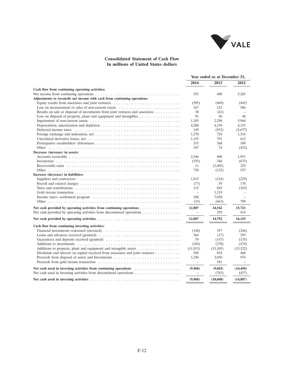

## **Consolidated Statement of Cash Flow In millions of United States dollars**

|                                                                                                                                                                  |               | Year ended as at December 31, |                          |
|------------------------------------------------------------------------------------------------------------------------------------------------------------------|---------------|-------------------------------|--------------------------|
|                                                                                                                                                                  | 2014          | 2013                          | 2012                     |
| Cash flow from continuing operating activities:                                                                                                                  |               |                               |                          |
| Net income from continuing operations $\dots \dots \dots \dots \dots \dots \dots \dots \dots \dots \dots \dots \dots$                                            | 353           | 408                           | 5,265                    |
| Adjustments to reconcile net income with cash from continuing operations                                                                                         |               |                               |                          |
| Equity results from associates and joint ventures $\dots \dots \dots \dots \dots \dots \dots \dots \dots \dots$                                                  | (505)         | (469)                         | (645)                    |
| Loss on measurement or sales of non-current assets $\dots \dots \dots \dots \dots \dots \dots \dots \dots$                                                       | 167           | 215                           | 506                      |
| Results on sale or disposal of investments from joint ventures and associates $\dots \dots \dots$                                                                | 30            | (41)                          |                          |
| Loss on disposal of property, plant and equipment and intangibles $\dots \dots \dots \dots \dots$                                                                | 91            | 96                            | 40                       |
|                                                                                                                                                                  | 1,183         | 2,298                         | 5,964                    |
|                                                                                                                                                                  | 4,288         | 4,150                         | 4,155                    |
|                                                                                                                                                                  | 149           | (953)                         | (3,677)                  |
|                                                                                                                                                                  | 1,270         | 724                           | 1,314                    |
|                                                                                                                                                                  | 1.155         | 791                           | 613                      |
|                                                                                                                                                                  | 315           | 368                           | 109                      |
|                                                                                                                                                                  | 347           | 74                            | (452)                    |
| Decrease (increase) in assets:                                                                                                                                   |               |                               |                          |
| Accounts receivable $\ldots$ , $\ldots$ , $\ldots$ , $\ldots$ , $\ldots$ , $\ldots$ , $\ldots$ , $\ldots$ , $\ldots$ , $\ldots$ , $\ldots$ , $\ldots$ , $\ldots$ | 2,546         | 608                           | 1,951                    |
|                                                                                                                                                                  | (535)         | 346                           | (675)                    |
|                                                                                                                                                                  | 11            | (2,405)                       | 229                      |
|                                                                                                                                                                  | 738           |                               | 537                      |
|                                                                                                                                                                  |               | (132)                         |                          |
| Increase (decrease) in liabilities:                                                                                                                              |               |                               |                          |
|                                                                                                                                                                  | 1.013         | (124)                         | (229)                    |
|                                                                                                                                                                  | (77)          | 59                            | 170                      |
|                                                                                                                                                                  | 113           | 843                           | (163)                    |
|                                                                                                                                                                  | $\frac{1}{2}$ | 1,319                         | $\overline{\phantom{a}}$ |
| Income taxes—settlement program $\ldots \ldots \ldots \ldots \ldots \ldots \ldots \ldots \ldots \ldots \ldots \ldots$                                            | 188           | 7,030                         | ÷                        |
|                                                                                                                                                                  | (33)          | (663)                         | 709                      |
| Net cash provided by operating activities from continuing operations $\dots \dots \dots \dots \dots$                                                             | 12,807        | 14,542                        | 15,721                   |
| Net cash provided by operating activities from discontinued operations $\dots \dots \dots \dots \dots$                                                           |               | 250                           | 414                      |
|                                                                                                                                                                  | 12,807        | 14,792                        | 16,135                   |
| Cash flow from continuing investing activities:                                                                                                                  |               |                               |                          |
|                                                                                                                                                                  | (148)         | 357                           | (246)                    |
| Loans and advances received (granted) $\dots \dots \dots \dots \dots \dots \dots \dots \dots \dots \dots \dots$                                                  | 364           | (17)                          | 293                      |
|                                                                                                                                                                  | 59            | (147)                         | (135)                    |
|                                                                                                                                                                  | (244)         | (378)                         | (474)                    |
|                                                                                                                                                                  |               |                               |                          |
| Additions to property, plant and equipment and intangible assets                                                                                                 | (11, 813)     | (13, 105)                     | (15,322)                 |
| Dividends and interest on capital received from associates and joint ventures $\dots \dots \dots$                                                                | 568           | 834                           | 460                      |
|                                                                                                                                                                  | 1,246         | 2,030                         | 974                      |
|                                                                                                                                                                  | $\equiv$      | 581                           | $\overline{\phantom{a}}$ |
|                                                                                                                                                                  | (9,968)       | (9, 845)                      | (14, 450)                |
| Net cash used in investing activities from discontinued operations $\dots \dots \dots \dots \dots \dots$                                                         | $\sim$        | (763)                         | (437)                    |
|                                                                                                                                                                  | (9,968)       | (10,608)                      | (14, 887)                |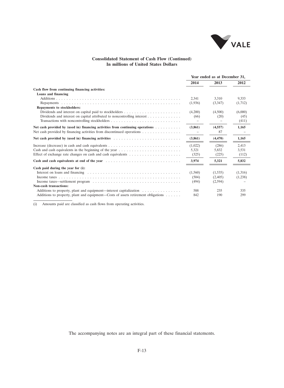

## **Consolidated Statement of Cash Flow (Continued) In millions of United States Dollars**

|                                                                                                                      | Year ended as at December 31, |          |         |
|----------------------------------------------------------------------------------------------------------------------|-------------------------------|----------|---------|
|                                                                                                                      | 2014                          | 2013     | 2012    |
| Cash flow from continuing financing activities:                                                                      |                               |          |         |
| Loans and financing                                                                                                  |                               |          |         |
|                                                                                                                      | 2,341                         | 3.310    | 9.333   |
|                                                                                                                      | (1,936)                       | (3,347)  | (1,712) |
| Repayments to stockholders:                                                                                          |                               |          |         |
|                                                                                                                      | (4,200)                       | (4,500)  | (6,000) |
|                                                                                                                      | (66)                          | (20)     | (45)    |
| Transactions with noncontrolling stockholders                                                                        |                               |          | (411)   |
| Net cash provided by (used in) financing activities from continuing operations                                       | (3,861)                       | (4.557)  | 1.165   |
| Net cash provided by financing activities from discontinued operations                                               |                               | 87       |         |
| Net cash provided by (used in) financing activities $\ldots \ldots \ldots \ldots \ldots \ldots \ldots \ldots \ldots$ | (3,861)                       | (4, 470) | 1,165   |
| Increase (decrease) in cash and cash equivalents $\dots \dots \dots \dots \dots \dots \dots \dots \dots \dots \dots$ | (1,022)                       | (286)    | 2,413   |
| Cash and cash equivalents in the beginning of the year $\dots \dots \dots \dots \dots \dots \dots \dots$             | 5,321                         | 5,832    | 3,531   |
|                                                                                                                      | (325)                         | (225)    | (112)   |
| Cash and cash equivalents at end of the year                                                                         | 3,974                         | 5,321    | 5,832   |
| Cash paid during the year for (i):                                                                                   |                               |          |         |
|                                                                                                                      | (1,560)                       | (1,535)  | (1,316) |
|                                                                                                                      | (504)                         | (2,405)  | (1,238) |
|                                                                                                                      | (494)                         | (2,594)  |         |
| Non-cash transactions:                                                                                               |                               |          |         |
| Additions to property, plant and equipment—interest capitalization $\dots \dots \dots \dots \dots$                   | 588                           | 235      | 335     |
| Additions to property, plant and equipment—Costs of assets retirement obligations $\dots \dots$                      | 842                           | 190      | 299     |

(i) Amounts paid are classified as cash flows from operating activities.

The accompanying notes are an integral part of these financial statements.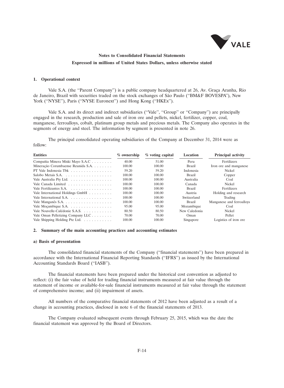

#### **1. Operational context**

Vale S.A. (the "Parent Company") is a public company headquartered at 26, Av. Graça Aranha, Rio de Janeiro, Brazil with securities traded on the stock exchanges of São Paulo ("BM&F BOVESPA"), New York ("NYSE"), Paris ("NYSE Euronext") and Hong Kong ("HKEx").

Vale S.A. and its direct and indirect subsidiaries (''Vale'', ''Group'' or ''Company'') are principally engaged in the research, production and sale of iron ore and pellets, nickel, fertilizer, copper, coal, manganese, ferroalloys, cobalt, platinum group metals and precious metals. The Company also operates in the segments of energy and steel. The information by segment is presented in note 26.

The principal consolidated operating subsidiaries of the Company at December 31, 2014 were as follow:

| <b>Entities</b>                                         | $%$ ownership | % voting capital | Location      | <b>Principal activity</b> |
|---------------------------------------------------------|---------------|------------------|---------------|---------------------------|
| Compañia Minera Miski Mayo S.A.C                        | 40.00         | 51.00            | Peru          | Fertilizers               |
| Mineração Corumbaense Reunida S.A.                      | 100.00        | 100.00           | Brazil        | Iron ore and manganese    |
|                                                         | 59.20         | 59.20            | Indonesia     | Nickel                    |
|                                                         | 100.00        | 100.00           | Brazil        | Copper                    |
| Vale Australia Pty Ltd.                                 | 100.00        | 100.00           | Australia     | Coal                      |
| Vale Canada Limited                                     | 100.00        | 100.00           | Canada        | Nickel                    |
| Vale Fertilizantes S.A.                                 | 100.00        | 100.00           | Brazil        | Fertilizers               |
| Vale International Holdings GmbH                        | 100.00        | 100.00           | Austria       | Holding and research      |
| Vale International S.A. $\dots \dots \dots \dots \dots$ | 100.00        | 100.00           | Switzerland   | Trading                   |
|                                                         | 100.00        | 100.00           | Brazil        | Manganese and ferroalloys |
| Vale Moçambique S.A.                                    | 95.00         | 95.00            | Mozambique    | Coal                      |
| Vale Nouvelle-Calédonie S.A.S.                          | 80.50         | 80.50            | New Caledonia | <b>Nickel</b>             |
| Vale Oman Pelletizing Company LLC                       | 70.00         | 70.00            | Oman          | Pellet                    |
| Vale Shipping Holding Pte Ltd.                          | 100.00        | 100.00           | Singapore     | Logistics of iron ore     |

### **2. Summary of the main accounting practices and accounting estimates**

#### **a) Basis of presentation**

The consolidated financial statements of the Company (''financial statements'') have been prepared in accordance with the International Financial Reporting Standards (''IFRS'') as issued by the International Accounting Standards Board (''IASB'').

The financial statements have been prepared under the historical cost convention as adjusted to reflect: (i) the fair value of held for trading financial instruments measured at fair value through the statement of income or available-for-sale financial instruments measured at fair value through the statement of comprehensive income; and (ii) impairment of assets.

All numbers of the comparative financial statements of 2012 have been adjusted as a result of a change in accounting practices, disclosed in note 6 of the financial statements of 2013.

The Company evaluated subsequent events through February 25, 2015, which was the date the financial statement was approved by the Board of Directors.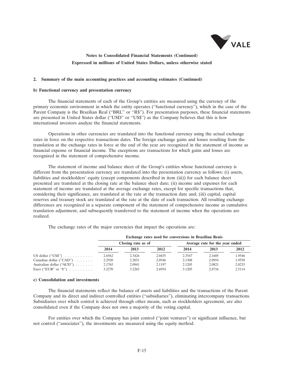

### **2. Summary of the main accounting practices and accounting estimates (Continued)**

### **b) Functional currency and presentation currency**

The financial statements of each of the Group's entities are measured using the currency of the primary economic environment in which the entity operates (''functional currency''), which in the case of the Parent Company is the Brazilian Real ("BRL" or "R\$"). For presentation purposes, these financial statements are presented in United States dollar (''USD'' or ''US\$'') as the Company believes that this is how international investors analyze the financial statements.

Operations in other currencies are translated into the functional currency using the actual exchange rates in force on the respective transactions dates. The foreign exchange gains and losses resulting from the translation at the exchange rates in force at the end of the year are recognized in the statement of income as financial expense or financial income. The exceptions are transactions for which gains and losses are recognized in the statement of comprehensive income.

The statement of income and balance sheet of the Group's entities whose functional currency is different from the presentation currency are translated into the presentation currency as follows: (i) assets, liabilities and stockholders' equity (except components described in item (iii)) for each balance sheet presented are translated at the closing rate at the balance sheet date; (ii) income and expenses for each statement of income are translated at the average exchange rates, except for specific transactions that, considering their significance, are translated at the rate at the transaction date and; (iii) capital, capital reserves and treasury stock are translated at the rate at the date of each transaction. All resulting exchange differences are recognized in a separate component of the statement of comprehensive income as cumulative translation adjustment, and subsequently transferred to the statement of income when the operations are realized.

The exchange rates of the major currencies that impact the operations are:

|                                                                | Exchange rates used for conversions in Brazilian Reais |                    |                  |                  |                                 |                  |  |
|----------------------------------------------------------------|--------------------------------------------------------|--------------------|------------------|------------------|---------------------------------|------------------|--|
|                                                                |                                                        | Closing rate as of |                  |                  | Average rate for the year ended |                  |  |
|                                                                | 2014                                                   | 2013               | 2012             | 2014             | 2013                            | 2012             |  |
| US dollar $("USS") \dots \dots \dots \dots$                    | 2.6562                                                 | 2.3426             | 2.0435           | 2.3547           | 2.1605                          | 1.9546           |  |
| Canadian dollar ("CAD") $\ldots$                               | 2.2920                                                 | 2.2031             | 2.0546           | 2.1308           | 2.0954                          | 1.9558           |  |
| Australian dollar ("AUD")<br>Euro ("EUR" or " $\mathcal{C}$ ") | 2.1765<br>3.2270                                       | 2.0941<br>3.2265   | 2.1197<br>2.6954 | 2.1205<br>3.1205 | 2.0821<br>2.8716                | 2.0233<br>2.5114 |  |

#### **c) Consolidation and investments**

The financial statements reflect the balance of assets and liabilities and the transactions of the Parent Company and its direct and indirect controlled entities (''subsidiaries''), eliminating intercompany transactions. Subsidiaries over which control is achieved through other means, such as stockholders agreement, are also consolidated even if the Company does not own a majority of the voting capital.

For entities over which the Company has joint control (''joint ventures'') or significant influence, but not control (''associates''), the investments are measured using the equity method.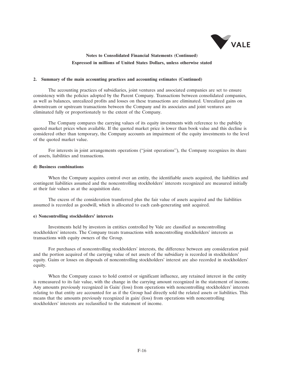

#### **2. Summary of the main accounting practices and accounting estimates (Continued)**

The accounting practices of subsidiaries, joint ventures and associated companies are set to ensure consistency with the policies adopted by the Parent Company. Transactions between consolidated companies, as well as balances, unrealized profits and losses on these transactions are eliminated. Unrealized gains on downstream or upstream transactions between the Company and its associates and joint ventures are eliminated fully or proportionately to the extent of the Company.

The Company compares the carrying values of its equity investments with reference to the publicly quoted market prices when available. If the quoted market price is lower than book value and this decline is considered other than temporary, the Company accounts an impairment of the equity investments to the level of the quoted market value.

For interests in joint arrangements operations (''joint operations''), the Company recognizes its share of assets, liabilities and transactions.

#### **d) Business combinations**

When the Company acquires control over an entity, the identifiable assets acquired, the liabilities and contingent liabilities assumed and the noncontrolling stockholders' interests recognized are measured initially at their fair values as at the acquisition date.

The excess of the consideration transferred plus the fair value of assets acquired and the liabilities assumed is recorded as goodwill, which is allocated to each cash-generating unit acquired.

### **e) Noncontrolling stockholders' interests**

Investments held by investors in entities controlled by Vale are classified as noncontrolling stockholders' interests. The Company treats transactions with noncontrolling stockholders' interests as transactions with equity owners of the Group.

For purchases of noncontrolling stockholders' interests, the difference between any consideration paid and the portion acquired of the carrying value of net assets of the subsidiary is recorded in stockholders' equity. Gains or losses on disposals of noncontrolling stockholders' interest are also recorded in stockholders' equity.

When the Company ceases to hold control or significant influence, any retained interest in the entity is remeasured to its fair value, with the change in the carrying amount recognized in the statement of income. Any amounts previously recognized in Gain/ (loss) from operations with noncontrolling stockholders' interests relating to that entity are accounted for as if the Group had directly sold the related assets or liabilities. This means that the amounts previously recognized in gain/ (loss) from operations with noncontrolling stockholders' interests are reclassified to the statement of income.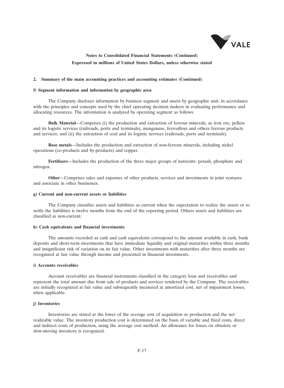

### **2. Summary of the main accounting practices and accounting estimates (Continued)**

#### **f) Segment information and information by geographic area**

The Company discloses information by business segment and assets by geographic unit, in accordance with the principles and concepts used by the chief operating decision makers in evaluating performance and allocating resources. The information is analyzed by operating segment as follows:

**Bulk Material**—Comprises (i) the production and extraction of ferrous minerals, as iron ore, pellets and its logistic services (railroads, ports and terminals), manganese, ferroalloys and others ferrous products and services; and (ii) the extraction of coal and its logistic services (railroads, ports and terminals).

**Base metals**—Includes the production and extraction of non-ferrous minerals, including nickel operations (co-products and by-products) and copper.

**Fertilizers**—Includes the production of the three major groups of nutrients: potash, phosphate and nitrogen.

**Other**—Comprises sales and expenses of other products, services and investments in joint ventures and associate in other businesses.

### **g) Current and non-current assets or liabilities**

The Company classifies assets and liabilities as current when the expectation to realize the assets or to settle the liabilities is twelve months from the end of the reporting period. Others assets and liabilities are classified as non-current.

#### **h) Cash equivalents and financial investments**

The amounts recorded as cash and cash equivalents correspond to the amount available in cash, bank deposits and short-term investments that have immediate liquidity and original maturities within three months and insignificant risk of variation on its fair value. Other investments with maturities after three months are recognized at fair value through income and presented in financial investments.

### **i) Accounts receivables**

Account receivables are financial instruments classified in the category loan and receivables and represent the total amount due from sale of products and services rendered by the Company. The receivables are initially recognized at fair value and subsequently measured at amortized cost, net of impairment losses, when applicable.

### **j) Inventories**

Inventories are stated at the lower of the average cost of acquisition or production and the net realizable value. The inventory production cost is determined on the basis of variable and fixed costs, direct and indirect costs of production, using the average cost method. An allowance for losses on obsolete or slow-moving inventory is recognized.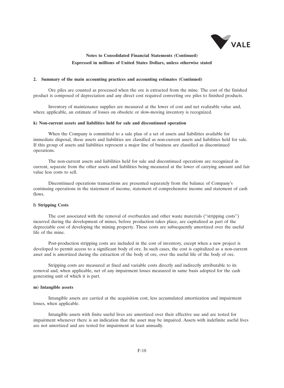

#### **2. Summary of the main accounting practices and accounting estimates (Continued)**

Ore piles are counted as processed when the ore is extracted from the mine. The cost of the finished product is composed of depreciation and any direct cost required converting ore piles to finished products.

Inventory of maintenance supplies are measured at the lower of cost and net realizable value and, where applicable, an estimate of losses on obsolete or slow-moving inventory is recognized.

#### **k) Non-current assets and liabilities held for sale and discontinued operation**

When the Company is committed to a sale plan of a set of assets and liabilities available for immediate disposal, these assets and liabilities are classified as non-current assets and liabilities held for sale. If this group of assets and liabilities represent a major line of business are classified as discontinued operations.

The non-current assets and liabilities held for sale and discontinued operations are recognized in current, separate from the other assets and liabilities being measured at the lower of carrying amount and fair value less costs to sell.

Discontinued operations transactions are presented separately from the balance of Company's continuing operations in the statement of income, statement of comprehensive income and statement of cash flows.

#### **l) Stripping Costs**

The cost associated with the removal of overburden and other waste materials (''stripping costs'') incurred during the development of mines, before production takes place, are capitalized as part of the depreciable cost of developing the mining property. These costs are subsequently amortized over the useful life of the mine.

Post-production stripping costs are included in the cost of inventory, except when a new project is developed to permit access to a significant body of ore. In such cases, the cost is capitalized as a non-current asset and is amortized during the extraction of the body of ore, over the useful life of the body of ore.

Stripping costs are measured at fixed and variable costs directly and indirectly attributable to its removal and, when applicable, net of any impairment losses measured in same basis adopted for the cash generating unit of which it is part.

#### **m) Intangible assets**

Intangible assets are carried at the acquisition cost, less accumulated amortization and impairment losses, when applicable.

Intangible assets with finite useful lives are amortized over their effective use and are tested for impairment whenever there is an indication that the asset may be impaired. Assets with indefinite useful lives are not amortized and are tested for impairment at least annually.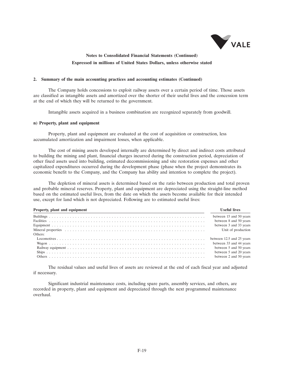

#### **2. Summary of the main accounting practices and accounting estimates (Continued)**

The Company holds concessions to exploit railway assets over a certain period of time. Those assets are classified as intangible assets and amortized over the shorter of their useful lives and the concession term at the end of which they will be returned to the government.

Intangible assets acquired in a business combination are recognized separately from goodwill.

### **n) Property, plant and equipment**

Property, plant and equipment are evaluated at the cost of acquisition or construction, less accumulated amortization and impairment losses, when applicable.

The cost of mining assets developed internally are determined by direct and indirect costs attributed to building the mining and plant, financial charges incurred during the construction period, depreciation of other fixed assets used into building, estimated decommissioning and site restoration expenses and other capitalized expenditures occurred during the development phase (phase when the project demonstrates its economic benefit to the Company, and the Company has ability and intention to complete the project).

The depletion of mineral assets is determined based on the ratio between production and total proven and probable mineral reserves. Property, plant and equipment are depreciated using the straight-line method based on the estimated useful lives, from the date on which the assets become available for their intended use, except for land which is not depreciated. Following are to estimated useful lives:

| Property, plant and equipment | <b>Useful lives</b>       |
|-------------------------------|---------------------------|
|                               | between 15 and 50 years   |
|                               | between 8 and 50 years    |
|                               | between 3 and 33 years    |
|                               | Unit of production        |
| Others:                       |                           |
|                               | between 12.5 and 25 years |
|                               | between 33 and 44 years   |
|                               | between 5 and 50 years    |
|                               | between 5 and 20 years    |
|                               | between 2 and 50 years    |

The residual values and useful lives of assets are reviewed at the end of each fiscal year and adjusted if necessary.

Significant industrial maintenance costs, including spare parts, assembly services, and others, are recorded in property, plant and equipment and depreciated through the next programmed maintenance overhaul.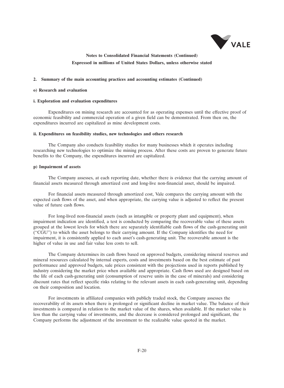

### **2. Summary of the main accounting practices and accounting estimates (Continued)**

#### **o) Research and evaluation**

#### **i. Exploration and evaluation expenditures**

Expenditures on mining research are accounted for as operating expenses until the effective proof of economic feasibility and commercial operation of a given field can be demonstrated. From then on, the expenditures incurred are capitalized as mine development costs.

#### **ii. Expenditures on feasibility studies, new technologies and others research**

The Company also conducts feasibility studies for many businesses which it operates including researching new technologies to optimize the mining process. After these costs are proven to generate future benefits to the Company, the expenditures incurred are capitalized.

#### **p) Impairment of assets**

The Company assesses, at each reporting date, whether there is evidence that the carrying amount of financial assets measured through amortized cost and long-live non-financial asset, should be impaired.

For financial assets measured through amortized cost, Vale compares the carrying amount with the expected cash flows of the asset, and when appropriate, the carrying value is adjusted to reflect the present value of future cash flows.

For long-lived non-financial assets (such as intangible or property plant and equipment), when impairment indication are identified, a test is conducted by comparing the recoverable value of these assets grouped at the lowest levels for which there are separately identifiable cash flows of the cash-generating unit (''CGU'') to which the asset belongs to their carrying amount. If the Company identifies the need for impairment, it is consistently applied to each asset's cash-generating unit. The recoverable amount is the higher of value in use and fair value less costs to sell.

The Company determines its cash flows based on approved budgets, considering mineral reserves and mineral resources calculated by internal experts, costs and investments based on the best estimate of past performance and approved budgets, sale prices consistent with the projections used in reports published by industry considering the market price when available and appropriate. Cash flows used are designed based on the life of each cash-generating unit (consumption of reserve units in the case of minerals) and considering discount rates that reflect specific risks relating to the relevant assets in each cash-generating unit, depending on their composition and location.

For investments in affiliated companies with publicly traded stock, the Company assesses the recoverability of its assets when there is prolonged or significant decline in market value. The balance of their investments is compared in relation to the market value of the shares, when available. If the market value is less than the carrying value of investments, and the decrease is considered prolonged and significant, the Company performs the adjustment of the investment to the realizable value quoted in the market.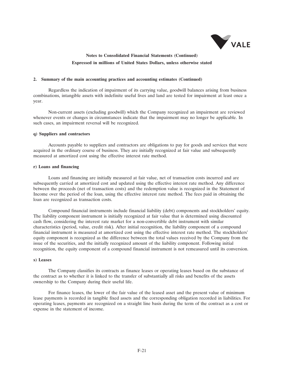

#### **2. Summary of the main accounting practices and accounting estimates (Continued)**

Regardless the indication of impairment of its carrying value, goodwill balances arising from business combinations, intangible assets with indefinite useful lives and land are tested for impairment at least once a year.

Non-current assets (excluding goodwill) which the Company recognized an impairment are reviewed whenever events or changes in circumstances indicate that the impairment may no longer be applicable. In such cases, an impairment reversal will be recognized.

### **q) Suppliers and contractors**

Accounts payable to suppliers and contractors are obligations to pay for goods and services that were acquired in the ordinary course of business. They are initially recognized at fair value and subsequently measured at amortized cost using the effective interest rate method.

#### **r) Loans and financing**

Loans and financing are initially measured at fair value, net of transaction costs incurred and are subsequently carried at amortized cost and updated using the effective interest rate method. Any difference between the proceeds (net of transaction costs) and the redemption value is recognized in the Statement of Income over the period of the loan, using the effective interest rate method. The fees paid in obtaining the loan are recognized as transaction costs.

Compound financial instruments include financial liability (debt) components and stockholders' equity. The liability component instrument is initially recognized at fair value that is determined using discounted cash flow, considering the interest rate market for a non-convertible debt instrument with similar characteristics (period, value, credit risk). After initial recognition, the liability component of a compound financial instrument is measured at amortized cost using the effective interest rate method. The stockholders' equity component is recognized as the difference between the total values received by the Company from the issue of the securities, and the initially recognized amount of the liability component. Following initial recognition, the equity component of a compound financial instrument is not remeasured until its conversion.

## **s) Leases**

The Company classifies its contracts as finance leases or operating leases based on the substance of the contract as to whether it is linked to the transfer of substantially all risks and benefits of the assets ownership to the Company during their useful life.

For finance leases, the lower of the fair value of the leased asset and the present value of minimum lease payments is recorded in tangible fixed assets and the corresponding obligation recorded in liabilities. For operating leases, payments are recognized on a straight line basis during the term of the contract as a cost or expense in the statement of income.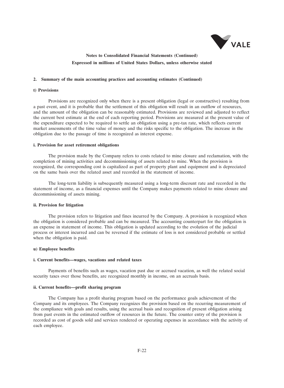

### **2. Summary of the main accounting practices and accounting estimates (Continued)**

### **t) Provisions**

Provisions are recognized only when there is a present obligation (legal or constructive) resulting from a past event, and it is probable that the settlement of this obligation will result in an outflow of resources, and the amount of the obligation can be reasonably estimated. Provisions are reviewed and adjusted to reflect the current best estimate at the end of each reporting period. Provisions are measured at the present value of the expenditure expected to be required to settle an obligation using a pre-tax rate, which reflects current market assessments of the time value of money and the risks specific to the obligation. The increase in the obligation due to the passage of time is recognized as interest expense.

#### **i. Provision for asset retirement obligations**

The provision made by the Company refers to costs related to mine closure and reclamation, with the completion of mining activities and decommissioning of assets related to mine. When the provision is recognized, the corresponding cost is capitalized as part of property plant and equipment and is depreciated on the same basis over the related asset and recorded in the statement of income.

The long-term liability is subsequently measured using a long-term discount rate and recorded in the statement of income, as a financial expenses until the Company makes payments related to mine closure and decommissioning of assets mining.

#### **ii. Provision for litigation**

The provision refers to litigation and fines incurred by the Company. A provision is recognized when the obligation is considered probable and can be measured. The accounting counterpart for the obligation is an expense in statement of income. This obligation is updated according to the evolution of the judicial process or interest incurred and can be reversed if the estimate of loss is not considered probable or settled when the obligation is paid.

## **u) Employee benefits**

### **i. Current benefits—wages, vacations and related taxes**

Payments of benefits such as wages, vacation past due or accrued vacation, as well the related social security taxes over those benefits, are recognized monthly in income, on an accruals basis.

## **ii. Current benefits—profit sharing program**

The Company has a profit sharing program based on the performance goals achievement of the Company and its employees. The Company recognizes the provision based on the recurring measurement of the compliance with goals and results, using the accrual basis and recognition of present obligation arising from past events in the estimated outflow of resources in the future. The counter entry of the provision is recorded as cost of goods sold and services rendered or operating expenses in accordance with the activity of each employee.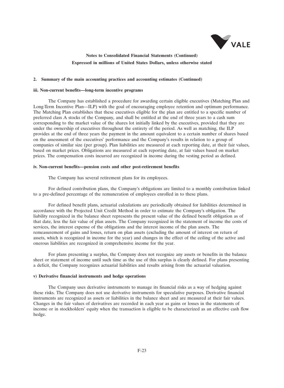

### **2. Summary of the main accounting practices and accounting estimates (Continued)**

#### **iii. Non-current benefits—long-term incentive programs**

The Company has established a procedure for awarding certain eligible executives (Matching Plan and Long-Term Incentive Plan—ILP) with the goal of encouraging employee retention and optimum performance. The Matching Plan establishes that these executives eligible for the plan are entitled to a specific number of preferred class A stocks of the Company, and shall be entitled at the end of three years to a cash sum corresponding to the market value of the shares lot initially linked by the executives, provided that they are under the ownership of executives throughout the entirety of the period. As well as matching, the ILP provides at the end of three years the payment in the amount equivalent to a certain number of shares based on the assessment of the executives' performance and the Company's results in relation to a group of companies of similar size (per group). Plan liabilities are measured at each reporting date, at their fair values, based on market prices. Obligations are measured at each reporting date, at fair values based on market prices. The compensation costs incurred are recognized in income during the vesting period as defined.

#### **iv. Non-current benefits—pension costs and other post-retirement benefits**

The Company has several retirement plans for its employees.

For defined contribution plans, the Company's obligations are limited to a monthly contribution linked to a pre-defined percentage of the remuneration of employees enrolled in to these plans.

For defined benefit plans, actuarial calculations are periodically obtained for liabilities determined in accordance with the Projected Unit Credit Method in order to estimate the Company's obligation. The liability recognized in the balance sheet represents the present value of the defined benefit obligation as of that date, less the fair value of plan assets. The Company recognized in the statement of income the costs of services, the interest expense of the obligations and the interest income of the plan assets. The remeasurement of gains and losses, return on plan assets (excluding the amount of interest on return of assets, which is recognized in income for the year) and changes in the effect of the ceiling of the active and onerous liabilities are recognized in comprehensive income for the year.

For plans presenting a surplus, the Company does not recognize any assets or benefits in the balance sheet or statement of income until such time as the use of this surplus is clearly defined. For plans presenting a deficit, the Company recognizes actuarial liabilities and results arising from the actuarial valuation.

### **v) Derivative financial instruments and hedge operations**

The Company uses derivative instruments to manage its financial risks as a way of hedging against these risks. The Company does not use derivative instruments for speculative purposes. Derivative financial instruments are recognized as assets or liabilities in the balance sheet and are measured at their fair values. Changes in the fair values of derivatives are recorded in each year as gains or losses in the statements of income or in stockholders' equity when the transaction is eligible to be characterized as an effective cash flow hedge.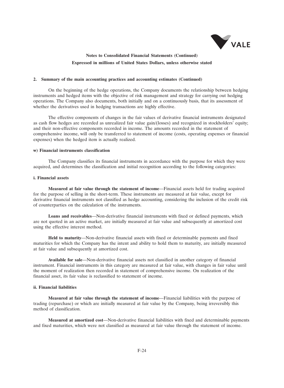

#### **2. Summary of the main accounting practices and accounting estimates (Continued)**

On the beginning of the hedge operations, the Company documents the relationship between hedging instruments and hedged items with the objective of risk management and strategy for carrying out hedging operations. The Company also documents, both initially and on a continuously basis, that its assessment of whether the derivatives used in hedging transactions are highly effective.

The effective components of changes in the fair values of derivative financial instruments designated as cash flow hedges are recorded as unrealized fair value gain/(losses) and recognized in stockholders' equity; and their non-effective components recorded in income. The amounts recorded in the statement of comprehensive income, will only be transferred to statement of income (costs, operating expenses or financial expenses) when the hedged item is actually realized.

## **w) Financial instruments classification**

The Company classifies its financial instruments in accordance with the purpose for which they were acquired, and determines the classification and initial recognition according to the following categories:

### **i. Financial assets**

**Measured at fair value through the statement of income**—Financial assets held for trading acquired for the purpose of selling in the short-term. These instruments are measured at fair value, except for derivative financial instruments not classified as hedge accounting, considering the inclusion of the credit risk of counterparties on the calculation of the instruments.

**Loans and receivables**—Non-derivative financial instruments with fixed or defined payments, which are not quoted in an active market, are initially measured at fair value and subsequently at amortized cost using the effective interest method.

**Held to maturity**—Non-derivative financial assets with fixed or determinable payments and fixed maturities for which the Company has the intent and ability to hold them to maturity, are initially measured at fair value and subsequently at amortized cost.

**Available for sale**—Non-derivative financial assets not classified in another category of financial instrument. Financial instruments in this category are measured at fair value, with changes in fair value until the moment of realization then recorded in statement of comprehensive income. On realization of the financial asset, its fair value is reclassified to statement of income.

### **ii. Financial liabilities**

**Measured at fair value through the statement of income**—Financial liabilities with the purpose of trading (repurchase) or which are initially measured at fair value by the Company, being irreversibly this method of classification.

**Measured at amortized cost**—Non-derivative financial liabilities with fixed and determinable payments and fixed maturities, which were not classified as measured at fair value through the statement of income.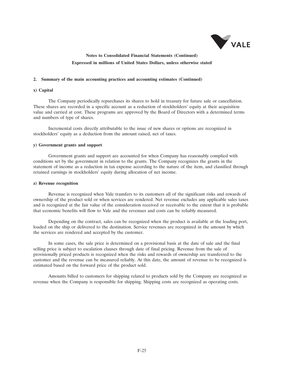

### **2. Summary of the main accounting practices and accounting estimates (Continued)**

### **x) Capital**

The Company periodically repurchases its shares to hold in treasury for future sale or cancellation. These shares are recorded in a specific account as a reduction of stockholders' equity at their acquisition value and carried at cost. These programs are approved by the Board of Directors with a determined terms and numbers of type of shares.

Incremental costs directly attributable to the issue of new shares or options are recognized in stockholders' equity as a deduction from the amount raised, net of taxes.

### **y) Government grants and support**

Government grants and support are accounted for when Company has reasonably complied with conditions set by the government in relation to the grants. The Company recognizes the grants in the statement of income as a reduction in tax expense according to the nature of the item, and classified through retained earnings in stockholders' equity during allocation of net income.

#### **z) Revenue recognition**

Revenue is recognized when Vale transfers to its customers all of the significant risks and rewards of ownership of the product sold or when services are rendered. Net revenue excludes any applicable sales taxes and is recognized at the fair value of the consideration received or receivable to the extent that it is probable that economic benefits will flow to Vale and the revenues and costs can be reliably measured.

Depending on the contract, sales can be recognized when the product is available at the loading port, loaded on the ship or delivered to the destination. Service revenues are recognized in the amount by which the services are rendered and accepted by the customer.

In some cases, the sale price is determined on a provisional basis at the date of sale and the final selling price is subject to escalation clauses through date of final pricing. Revenue from the sale of provisionally priced products is recognized when the risks and rewards of ownership are transferred to the customer and the revenue can be measured reliably. At this date, the amount of revenue to be recognized is estimated based on the forward price of the product sold.

Amounts billed to customers for shipping related to products sold by the Company are recognized as revenue when the Company is responsible for shipping. Shipping costs are recognized as operating costs.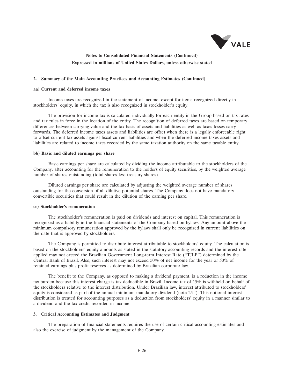

### **2. Summary of the Main Accounting Practices and Accounting Estimates (Continued)**

### **aa) Current and deferred income taxes**

Income taxes are recognized in the statement of income, except for items recognized directly in stockholders' equity, in which the tax is also recognized in stockholder's equity.

The provision for income tax is calculated individually for each entity in the Group based on tax rates and tax rules in force in the location of the entity. The recognition of deferred taxes are based on temporary differences between carrying value and the tax basis of assets and liabilities as well as taxes losses carry forwards. The deferred income taxes assets and liabilities are offset when there is a legally enforceable right to offset current tax assets against fiscal current liabilities and when the deferred income taxes assets and liabilities are related to income taxes recorded by the same taxation authority on the same taxable entity.

### **bb) Basic and diluted earnings per share**

Basic earnings per share are calculated by dividing the income attributable to the stockholders of the Company, after accounting for the remuneration to the holders of equity securities, by the weighted average number of shares outstanding (total shares less treasury shares).

Diluted earnings per share are calculated by adjusting the weighted average number of shares outstanding for the conversion of all dilutive potential shares. The Company does not have mandatory convertible securities that could result in the dilution of the earning per share.

#### **cc) Stockholder's remuneration**

The stockholder's remuneration is paid on dividends and interest on capital. This remuneration is recognized as a liability in the financial statements of the Company based on bylaws. Any amount above the minimum compulsory remuneration approved by the bylaws shall only be recognized in current liabilities on the date that is approved by stockholders.

The Company is permitted to distribute interest attributable to stockholders' equity. The calculation is based on the stockholders' equity amounts as stated in the statutory accounting records and the interest rate applied may not exceed the Brazilian Government Long-term Interest Rate (''TJLP'') determined by the Central Bank of Brazil. Also, such interest may not exceed 50% of net income for the year or 50% of retained earnings plus profit reserves as determined by Brazilian corporate law.

The benefit to the Company, as opposed to making a dividend payment, is a reduction in the income tax burden because this interest charge is tax deductible in Brazil. Income tax of 15% is withheld on behalf of the stockholders relative to the interest distribution. Under Brazilian law, interest attributed to stockholders' equity is considered as part of the annual minimum mandatory dividend (note 25-f). This notional interest distribution is treated for accounting purposes as a deduction from stockholders' equity in a manner similar to a dividend and the tax credit recorded in income.

### **3. Critical Accounting Estimates and Judgment**

The preparation of financial statements requires the use of certain critical accounting estimates and also the exercise of judgment by the management of the Company.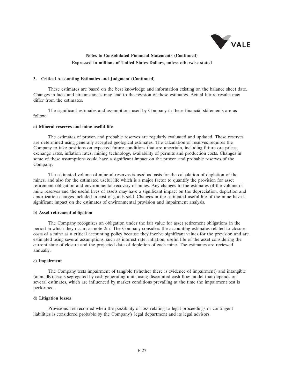

#### **3. Critical Accounting Estimates and Judgment (Continued)**

These estimates are based on the best knowledge and information existing on the balance sheet date. Changes in facts and circumstances may lead to the revision of these estimates. Actual future results may differ from the estimates.

The significant estimates and assumptions used by Company in these financial statements are as follow:

#### **a) Mineral reserves and mine useful life**

The estimates of proven and probable reserves are regularly evaluated and updated. These reserves are determined using generally accepted geological estimates. The calculation of reserves requires the Company to take positions on expected future conditions that are uncertain, including future ore prices, exchange rates, inflation rates, mining technology, availability of permits and production costs. Changes in some of these assumptions could have a significant impact on the proven and probable reserves of the Company.

The estimated volume of mineral reserves is used as basis for the calculation of depletion of the mines, and also for the estimated useful life which is a major factor to quantify the provision for asset retirement obligation and environmental recovery of mines. Any changes to the estimates of the volume of mine reserves and the useful lives of assets may have a significant impact on the depreciation, depletion and amortization charges included in cost of goods sold. Changes in the estimated useful life of the mine have a significant impact on the estimates of environmental provision and impairment analysis.

#### **b) Asset retirement obligation**

The Company recognizes an obligation under the fair value for asset retirement obligations in the period in which they occur, as note 2t-i. The Company considers the accounting estimates related to closure costs of a mine as a critical accounting policy because they involve significant values for the provision and are estimated using several assumptions, such as interest rate, inflation, useful life of the asset considering the current state of closure and the projected date of depletion of each mine. The estimates are reviewed annually.

#### **c) Impairment**

The Company tests impairment of tangible (whether there is evidence of impairment) and intangible (annually) assets segregated by cash-generating units using discounted cash flow model that depends on several estimates, which are influenced by market conditions prevailing at the time the impairment test is performed.

### **d) Litigation losses**

Provisions are recorded when the possibility of loss relating to legal proceedings or contingent liabilities is considered probable by the Company's legal department and its legal advisors.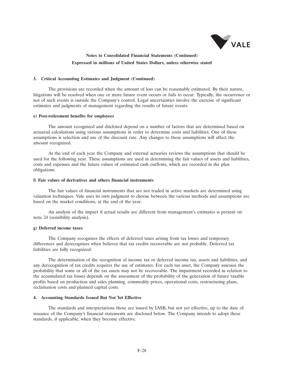

#### **3. Critical Accounting Estimates and Judgment (Continued)**

The provisions are recorded when the amount of loss can be reasonably estimated. By their nature, litigations will be resolved when one or more future event occurs or fails to occur. Typically, the occurrence or not of such events is outside the Company's control. Legal uncertainties involve the exercise of significant estimates and judgments of management regarding the results of future events.

#### **e) Post-retirement benefits for employees**

The amount recognized and disclosed depend on a number of factors that are determined based on actuarial calculations using various assumptions in order to determine costs and liabilities. One of these assumptions is selection and use of the discount rate. Any changes to these assumptions will affect the amount recognized.

At the end of each year the Company and external actuaries reviews the assumptions that should be used for the following year. These assumptions are used in determining the fair values of assets and liabilities, costs and expenses and the future values of estimated cash outflows, which are recorded in the plan obligations.

### **f) Fair values of derivatives and others financial instruments**

The fair values of financial instruments that are not traded in active markets are determined using valuation techniques. Vale uses its own judgment to choose between the various methods and assumptions are based on the market conditions, at the end of the year.

An analysis of the impact if actual results are different from management's estimates is present on note 24 (sensibility analysis).

### **g) Deferred income taxes**

The Company recognizes the effects of deferred taxes arising from tax losses and temporary differences and derecognizes when believes that tax credits recoverable are not probable. Deferred tax liabilities are fully recognized.

The determination of the recognition of income tax or deferred income tax, assets and liabilities, and any derecognition of tax credits requires the use of estimates. For each tax asset, the Company assesses the probability that some or all of the tax assets may not be recoverable. The impairment recorded in relation to the accumulated tax losses depends on the assessment of the probability of the generation of future taxable profits based on production and sales planning, commodity prices, operational costs, restructuring plans, reclamation costs and planned capital costs.

#### **4. Accounting Standards Issued But Not Yet Effective**

The standards and interpretations those are issued by IASB, but not yet effective, up to the date of issuance of the Company's financial statements are disclosed below. The Company intends to adopt these standards, if applicable, when they become effective.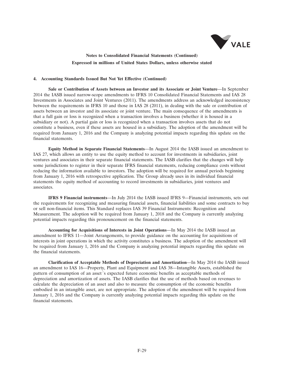

### **4. Accounting Standards Issued But Not Yet Effective (Continued)**

**Sale or Contribution of Assets between an Investor and its Associate or Joint Venture**—In September 2014 the IASB issued narrow-scope amendments to IFRS 10 Consolidated Financial Statements and IAS 28 Investments in Associates and Joint Ventures (2011). The amendments address an acknowledged inconsistency between the requirements in IFRS 10 and those in IAS 28 (2011), in dealing with the sale or contribution of assets between an investor and its associate or joint venture. The main consequence of the amendments is that a full gain or loss is recognized when a transaction involves a business (whether it is housed in a subsidiary or not). A partial gain or loss is recognized when a transaction involves assets that do not constitute a business, even if these assets are housed in a subsidiary. The adoption of the amendment will be required from January 1, 2016 and the Company is analyzing potential impacts regarding this update on the financial statements.

**Equity Method in Separate Financial Statements**—In August 2014 the IASB issued an amendment to IAS 27, which allows an entity to use the equity method to account for investments in subsidiaries, joint ventures and associates in their separate financial statements. The IASB clarifies that the changes will help some jurisdictions to register in their separate IFRS financial statements, reducing compliance costs without reducing the information available to investors. The adoption will be required for annual periods beginning from January 1, 2016 with retrospective application. The Group already uses in its individual financial statements the equity method of accounting to record investments in subsidiaries, joint ventures and associates.

**IFRS 9 Financial instruments**—In July 2014 the IASB issued IFRS 9—Financial instruments, sets out the requirements for recognizing and measuring financial assets, financial liabilities and some contracts to buy or sell non-financial items. This Standard replaces IAS 39 Financial Instruments: Recognition and Measurement. The adoption will be required from January 1, 2018 and the Company is currently analyzing potential impacts regarding this pronouncement on the financial statements.

**Accounting for Acquisitions of Interests in Joint Operations**—In May 2014 the IASB issued an amendment to IFRS 11—Joint Arrangements, to provide guidance on the accounting for acquisitions of interests in joint operations in which the activity constitutes a business. The adoption of the amendment will be required from January 1, 2016 and the Company is analyzing potential impacts regarding this update on the financial statements.

**Clarification of Acceptable Methods of Depreciation and Amortization**—In May 2014 the IASB issued an amendment to IAS 16—Property, Plant and Equipment and IAS 38—Intangible Assets, established the pattern of consumption of an asset´s expected future economic benefits as acceptable methods of depreciation and amortization of assets. The IASB clarifies that the use of methods based on revenues to calculate the depreciation of an asset and also to measure the consumption of the economic benefits embodied in an intangible asset, are not appropriate. The adoption of the amendment will be required from January 1, 2016 and the Company is currently analyzing potential impacts regarding this update on the financial statements.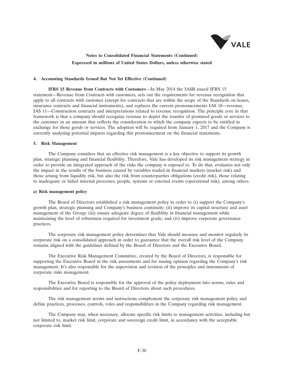

### **4. Accounting Standards Issued But Not Yet Effective (Continued)**

**IFRS 15 Revenue from Contracts with Customers**—In May 2014 the IASB issued IFRS 15 statement—Revenue from Contracts with customers, sets out the requirements for revenue recognition that apply to all contracts with customer (except for contracts that are within the scope of the Standards on leases, insurance contracts and financial instruments), and replaces the current pronouncements IAS 18—revenue, IAS 11—Construction contracts and interpretations related to revenue recognition. The principle core in that framework is that a company should recognize revenue to depict the transfer of promised goods or services to the customer in an amount that reflects the consideration to which the company expects to be entitled in exchange for those goods or services. The adoption will be required from January 1, 2017 and the Company is currently analyzing potential impacts regarding this pronouncement on the financial statements.

### **5. Risk Management**

The Company considers that an effective risk management is a key objective to support its growth plan, strategic planning and financial flexibility. Therefore, Vale has developed its risk management strategy in order to provide an integrated approach of the risks the company is exposed to. To do that, evaluates not only the impact in the results of the business caused by variables traded in financial markets (market risk) and those arising from liquidity risk, but also the risk from counterparties obligations (credit risk), those relating to inadequate or failed internal processes, people, systems or external events (operational risk), among others.

### **a) Risk management policy**

The Board of Directors established a risk management policy in order to (i) support the Company's growth plan, strategic planning and Company's business continuity; (ii) improve its capital structure and asset management of the Group; (iii) ensure adequate degree of flexibility in financial management while maintaining the level of robustness required for investment grade; and (iv) improve corporate governance practices.

The corporate risk management policy determines that Vale should measure and monitor regularly its corporate risk on a consolidated approach in order to guarantee that the overall risk level of the Company remains aligned with the guidelines defined by the Board of Directors and the Executive Board.

The Executive Risk Management Committee, created by the Board of Directors, is responsible for supporting the Executive Board in the risk assessments and for issuing opinion regarding the Company's risk management. It's also responsible for the supervision and revision of the principles and instruments of corporate risks management.

The Executive Board is responsible for the approval of the policy deployment into norms, rules and responsibilities and for reporting to the Board of Directors about such procedures.

The risk management norms and instructions complement the corporate risk management policy and define practices, processes, controls, roles and responsibilities in the Company regarding risk management.

The Company may, when necessary, allocate specific risk limits to management activities, including but not limited to, market risk limit, corporate and sovereign credit limit, in accordance with the acceptable corporate risk limit.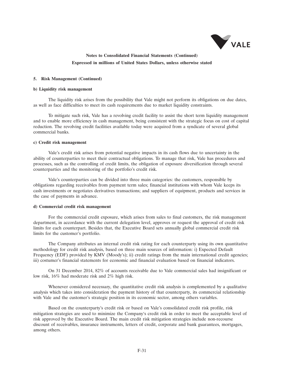

### **5. Risk Management (Continued)**

#### **b) Liquidity risk management**

The liquidity risk arises from the possibility that Vale might not perform its obligations on due dates, as well as face difficulties to meet its cash requirements due to market liquidity constraints.

To mitigate such risk, Vale has a revolving credit facility to assist the short term liquidity management and to enable more efficiency in cash management, being consistent with the strategic focus on cost of capital reduction. The revolving credit facilities available today were acquired from a syndicate of several global commercial banks.

#### **c) Credit risk management**

Vale's credit risk arises from potential negative impacts in its cash flows due to uncertainty in the ability of counterparties to meet their contractual obligations. To manage that risk, Vale has procedures and processes, such as the controlling of credit limits, the obligation of exposure diversification through several counterparties and the monitoring of the portfolio's credit risk.

Vale's counterparties can be divided into three main categories: the customers, responsible by obligations regarding receivables from payment term sales; financial institutions with whom Vale keeps its cash investments or negotiates derivatives transactions; and suppliers of equipment, products and services in the case of payments in advance.

#### **d) Commercial credit risk management**

For the commercial credit exposure, which arises from sales to final customers, the risk management department, in accordance with the current delegation level, approves or request the approval of credit risk limits for each counterpart. Besides that, the Executive Board sets annually global commercial credit risk limits for the customer's portfolio.

The Company attributes an internal credit risk rating for each counterparty using its own quantitative methodology for credit risk analysis, based on three main sources of information: i) Expected Default Frequency (EDF) provided by KMV (Moody's); ii) credit ratings from the main international credit agencies; iii) costumer's financial statements for economic and financial evaluation based on financial indicators.

On 31 December 2014, 82% of accounts receivable due to Vale commercial sales had insignificant or low risk, 16% had moderate risk and 2% high risk.

Whenever considered necessary, the quantitative credit risk analysis is complemented by a qualitative analysis which takes into consideration the payment history of that counterparty, its commercial relationship with Vale and the customer's strategic position in its economic sector, among others variables.

Based on the counterparty's credit risk or based on Vale's consolidated credit risk profile, risk mitigation strategies are used to minimize the Company's credit risk in order to meet the acceptable level of risk approved by the Executive Board. The main credit risk mitigation strategies include non-recourse discount of receivables, insurance instruments, letters of credit, corporate and bank guarantees, mortgages, among others.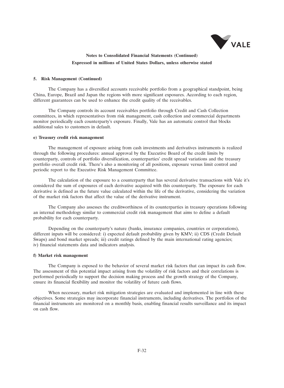

### **5. Risk Management (Continued)**

The Company has a diversified accounts receivable portfolio from a geographical standpoint, being China, Europe, Brazil and Japan the regions with more significant exposures. According to each region, different guarantees can be used to enhance the credit quality of the receivables.

The Company controls its account receivables portfolio through Credit and Cash Collection committees, in which representatives from risk management, cash collection and commercial departments monitor periodically each counterparty's exposure. Finally, Vale has an automatic control that blocks additional sales to customers in default.

#### **e) Treasury credit risk management**

The management of exposure arising from cash investments and derivatives instruments is realized through the following procedures: annual approval by the Executive Board of the credit limits by counterparty, controls of portfolio diversification, counterparties' credit spread variations and the treasury portfolio overall credit risk. There's also a monitoring of all positions, exposure versus limit control and periodic report to the Executive Risk Management Committee.

The calculation of the exposure to a counterparty that has several derivative transactions with Vale it's considered the sum of exposures of each derivative acquired with this counterparty. The exposure for each derivative is defined as the future value calculated within the life of the derivative, considering the variation of the market risk factors that affect the value of the derivative instrument.

The Company also assesses the creditworthiness of its counterparties in treasury operations following an internal methodology similar to commercial credit risk management that aims to define a default probability for each counterparty.

Depending on the counterparty's nature (banks, insurance companies, countries or corporations), different inputs will be considered: i) expected default probability given by KMV; ii) CDS (Credit Default Swaps) and bond market spreads; iii) credit ratings defined by the main international rating agencies; iv) financial statements data and indicators analysis.

#### **f) Market risk management**

The Company is exposed to the behavior of several market risk factors that can impact its cash flow. The assessment of this potential impact arising from the volatility of risk factors and their correlations is performed periodically to support the decision making process and the growth strategy of the Company, ensure its financial flexibility and monitor the volatility of future cash flows.

When necessary, market risk mitigation strategies are evaluated and implemented in line with these objectives. Some strategies may incorporate financial instruments, including derivatives. The portfolios of the financial instruments are monitored on a monthly basis, enabling financial results surveillance and its impact on cash flow.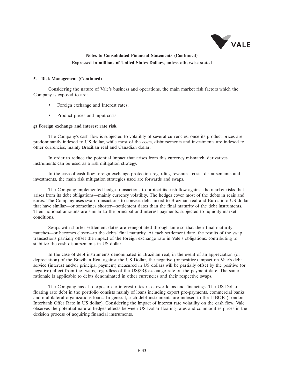

### **5. Risk Management (Continued)**

Considering the nature of Vale's business and operations, the main market risk factors which the Company is exposed to are:

- Foreign exchange and Interest rates;
- Product prices and input costs.

## **g) Foreign exchange and interest rate risk**

The Company's cash flow is subjected to volatility of several currencies, once its product prices are predominantly indexed to US dollar, while most of the costs, disbursements and investments are indexed to other currencies, mainly Brazilian real and Canadian dollar.

In order to reduce the potential impact that arises from this currency mismatch, derivatives instruments can be used as a risk mitigation strategy.

In the case of cash flow foreign exchange protection regarding revenues, costs, disbursements and investments, the main risk mitigation strategies used are forwards and swaps.

The Company implemented hedge transactions to protect its cash flow against the market risks that arises from its debt obligations—mainly currency volatility. The hedges cover most of the debts in reais and euros. The Company uses swap transactions to convert debt linked to Brazilian real and Euros into US dollar that have similar—or sometimes shorter—settlement dates than the final maturity of the debt instruments. Their notional amounts are similar to the principal and interest payments, subjected to liquidity market conditions.

Swaps with shorter settlement dates are renegotiated through time so that their final maturity matches—or becomes closer—to the debts' final maturity. At each settlement date, the results of the swap transactions partially offset the impact of the foreign exchange rate in Vale's obligations, contributing to stabilize the cash disbursements in US dollar.

In the case of debt instruments denominated in Brazilian real, in the event of an appreciation (or depreciation) of the Brazilian Real against the US Dollar, the negative (or positive) impact on Vale's debt service (interest and/or principal payment) measured in US dollars will be partially offset by the positive (or negative) effect from the swaps, regardless of the US\$/R\$ exchange rate on the payment date. The same rationale is applicable to debts denominated in other currencies and their respective swaps.

The Company has also exposure to interest rates risks over loans and financings. The US Dollar floating rate debt in the portfolio consists mainly of loans including export pre-payments, commercial banks and multilateral organizations loans. In general, such debt instruments are indexed to the LIBOR (London Interbank Offer Rate in US dollar). Considering the impact of interest rate volatility on the cash flow, Vale observes the potential natural hedges effects between US Dollar floating rates and commodities prices in the decision process of acquiring financial instruments.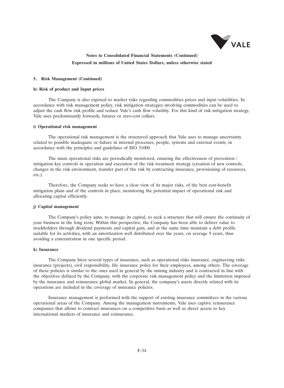

#### **5. Risk Management (Continued)**

#### **h) Risk of product and Input prices**

The Company is also exposed to market risks regarding commodities prices and input volatilities. In accordance with risk management policy, risk mitigation strategies involving commodities can be used to adjust the cash flow risk profile and reduce Vale's cash flow volatility. For this kind of risk mitigation strategy, Vale uses predominantly forwards, futures or zero-cost collars.

#### **i) Operational risk management**

The operational risk management is the structured approach that Vale uses to manage uncertainty related to possible inadequate or failure in internal processes, people, systems and external events, in accordance with the principles and guidelines of ISO 31000.

The main operational risks are periodically monitored, ensuring the effectiveness of prevention / mitigation key controls in operation and execution of the risk treatment strategy (creation of new controls, changes in the risk environment, transfer part of the risk by contracting insurance, provisioning of resources, etc.).

Therefore, the Company seeks to have a clear view of its major risks, of the best cost-benefit mitigation plans and of the controls in place, monitoring the potential impact of operational risk and allocating capital efficiently.

### **j) Capital management**

The Company's policy aims, to manage its capital, to seek a structure that will ensure the continuity of your business in the long term. Within this perspective, the Company has been able to deliver value to stockholders through dividend payments and capital gain, and at the same time maintain a debt profile suitable for its activities, with an amortization well distributed over the years, on average 9 years, thus avoiding a concentration in one specific period.

## **k) Insurance**

The Company hires several types of insurance, such as operational risks insurance, engineering risks insurance (projects), civil responsibility, life insurance policy for their employees, among others. The coverage of these policies is similar to the ones used in general by the mining industry and is contracted in line with the objectives defined by the Company, with the corporate risk management policy and the limitation imposed by the insurance and reinsurance global market. In general, the company's assets directly related with its operations are included in the coverage of insurance policies.

Insurance management is performed with the support of existing insurance committees in the various operational areas of the Company. Among the management instruments, Vale uses captive reinsurance companies that allows to contract insurances on a competitive basis as well as direct access to key international markets of insurance and reinsurance.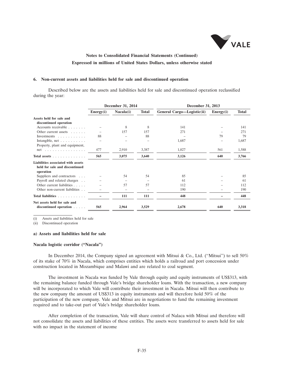

#### **6. Non-current assets and liabilities held for sale and discontinued operation**

Described below are the assets and liabilities held for sale and discontinued operation reclassified during the year:

|                                                                                   | December 31, 2014 |           |              |                            | December 31, 2013 |              |  |  |
|-----------------------------------------------------------------------------------|-------------------|-----------|--------------|----------------------------|-------------------|--------------|--|--|
|                                                                                   | Energy(i)         | Nacala(i) | <b>Total</b> | General Cargo—Logistic(ii) | Energy(i)         | <b>Total</b> |  |  |
| Assets held for sale and                                                          |                   |           |              |                            |                   |              |  |  |
| discontinued operation                                                            |                   |           |              |                            |                   |              |  |  |
| Accounts receivable                                                               |                   | 8         | 8            | 141                        |                   | 141          |  |  |
| Other current assets $\dots$ .                                                    |                   | 157       | 157          | 271                        |                   | 271          |  |  |
| Investments                                                                       | 88                |           | 88           |                            | 79                | 79           |  |  |
| Intangible, $net \dots \dots \dots$<br>Property, plant and equipment,             |                   |           |              | 1,687                      |                   | 1,687        |  |  |
| $net \dots \dots \dots \dots \dots \dots \dots$                                   | 477               | 2,910     | 3,387        | 1,027                      | 561               | 1,588        |  |  |
| Total assets                                                                      | 565               | 3,075     | 3,640        | 3,126                      | 640               | 3,766        |  |  |
| Liabilities associated with assets<br>held for sale and discontinued<br>operation |                   |           |              |                            |                   |              |  |  |
| Suppliers and contractors                                                         |                   | 54        | 54           | 85                         |                   | 85           |  |  |
| Payroll and related charges                                                       |                   |           |              | 61                         |                   | 61           |  |  |
| Other current liabilities                                                         |                   | 57        | 57           | 112                        |                   | 112          |  |  |
| Other non-current liabilities                                                     |                   |           |              | 190                        |                   | 190          |  |  |
| Total liabilities                                                                 |                   | 111       | 111          | 448                        |                   | 448          |  |  |
| Net assets held for sale and                                                      |                   |           |              |                            |                   |              |  |  |
| discontinued operation                                                            | 565               | 2,964     | 3,529        | 2,678                      | 640               | 3,318        |  |  |

(i) Assets and liabilities held for sale

(ii) Discontinued operation

#### **a) Assets and liabilities held for sale**

#### **Nacala logistic corridor (''Nacala'')**

In December 2014, the Company signed an agreement with Mitsui & Co., Ltd. ("Mitsui") to sell  $50\%$ of its stake of 70% in Nacala, which comprises entities which holds a railroad and port concession under construction located in Mozambique and Malawi and are related to coal segment.

The investment in Nacala was funded by Vale through equity and equity instruments of US\$313, with the remaining balance funded through Vale's bridge shareholder loans. With the transaction, a new company will be incorporated to which Vale will contribute their investment in Nacala. Mitsui will then contribute to the new company the amount of US\$313 in equity instruments and will therefore hold 50% of the participation of the new company. Vale and Mitsui are in negotiations to fund the remaining investment required and to take-out part of Vale's bridge shareholder loans.

After completion of the transaction, Vale will share control of Nalaca with Mitsui and therefore will not consolidate the assets and liabilities of these entities. The assets were transferred to assets held for sale with no impact in the statement of income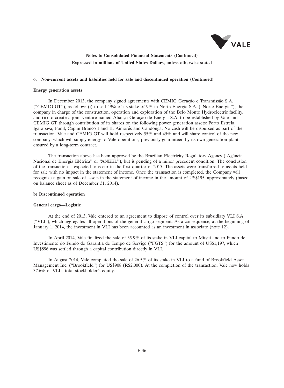

### **6. Non-current assets and liabilities held for sale and discontinued operation (Continued)**

#### **Energy generation assets**

In December 2013, the company signed agreements with CEMIG Geração e Transmissão S.A. (''CEMIG GT''), as follow: (i) to sell 49% of its stake of 9% in Norte Energia S.A. (''Norte Energia''), the company in charge of the construction, operation and exploration of the Belo Monte Hydroelectric facility, and (ii) to create a joint venture named Aliança Geração de Energia S.A. to be established by Vale and CEMIG GT through contribution of its shares on the following power generation assets: Porto Estrela, Igarapava, Funil, Capim Branco I and II, Aimores and Candonga. No cash will be disbursed as part of the ´ transaction. Vale and CEMIG GT will hold respectively 55% and 45% and will share control of the new company, which will supply energy to Vale operations, previously guaranteed by its own generation plant, ensured by a long-term contract.

The transaction above has been approved by the Brazilian Electricity Regulatory Agency ("Agência") Nacional de Energia Elétrica" or "ANEEL"), but is pending of a minor precedent condition. The conclusion of the transaction is expected to occur in the first quarter of 2015. The assets were transferred to assets held for sale with no impact in the statement of income. Once the transaction is completed, the Company will recognize a gain on sale of assets in the statement of income in the amount of US\$195, approximately (based on balance sheet as of December 31, 2014).

## **b) Discontinued operation**

#### **General cargo—Logistic**

At the end of 2013, Vale entered to an agreement to dispose of control over its subsidiary VLI S.A. (''VLI''), which aggregates all operations of the general cargo segment. As a consequence, at the beginning of January 1, 2014, the investment in VLI has been accounted as an investment in associate (note 12).

In April 2014, Vale finalized the sale of 35.9% of its stake in VLI capital to Mitsui and to Fundo de Investimento do Fundo de Garantia de Tempo de Serviço ("FGTS") for the amount of US\$1,197, which US\$896 was settled through a capital contribution directly in VLI.

In August 2014, Vale completed the sale of 26.5% of its stake in VLI to a fund of Brookfield Asset Management Inc. (''Brookfield'') for US\$908 (R\$2,000). At the completion of the transaction, Vale now holds 37.6% of VLI's total stockholder's equity.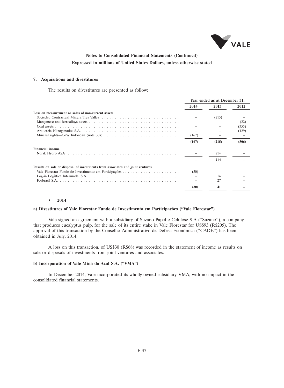

## **7. Acquisitions and divestitures**

The results on divestitures are presented as follow:

|                                                                                                             | Year ended as at December 31, |       |       |
|-------------------------------------------------------------------------------------------------------------|-------------------------------|-------|-------|
|                                                                                                             | 2014                          | 2013  | 2012  |
| Loss on measurement or sales of non-current assets                                                          |                               |       |       |
|                                                                                                             |                               | (215) |       |
|                                                                                                             |                               |       | (22)  |
|                                                                                                             |                               |       | (355) |
|                                                                                                             |                               |       | (129) |
| Mineral rights—CoW Indonesia (note 30a) $\dots \dots \dots \dots \dots \dots \dots \dots \dots \dots \dots$ | (167)                         |       |       |
|                                                                                                             | (167)                         | (215) | (506) |
| <b>Financial income</b>                                                                                     |                               |       |       |
|                                                                                                             |                               | 214   |       |
|                                                                                                             |                               | 214   |       |
| Results on sale or disposal of investments from associates and joint ventures                               |                               |       |       |
|                                                                                                             | (30)                          |       |       |
|                                                                                                             |                               | 14    |       |
|                                                                                                             |                               | 27    |       |
|                                                                                                             | (30)                          | 41    |       |
|                                                                                                             |                               |       |       |

#### • **2014**

## a) Divestitures of Vale Florestar Fundo de Investimento em Participações ("Vale Florestar")

Vale signed an agreement with a subsidiary of Suzano Papel e Celulose S.A (''Suzano''), a company that produces eucalyptus pulp, for the sale of its entire stake in Vale Florestar for US\$93 (R\$205). The approval of this transaction by the Conselho Administrativo de Defesa Econômica ("CADE") has been obtained in July, 2014.

A loss on this transaction, of US\$30 (R\$68) was recorded in the statement of income as results on sale or disposals of investments from joint ventures and associates.

#### **b) Incorporation of Vale Mina do Azul S.A. (''VMA'')**

In December 2014, Vale incorporated its wholly-owned subsidiary VMA, with no impact in the consolidated financial statements.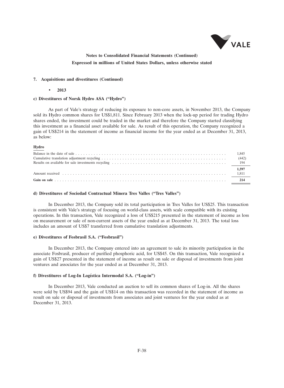

#### **7. Acquisitions and divestitures (Continued)**

• **2013**

### **c) Divestitures of Norsk Hydro ASA (''Hydro'')**

As part of Vale's strategy of reducing its exposure to non-core assets, in November 2013, the Company sold its Hydro common shares for US\$1,811. Since February 2013 when the lock-up period for trading Hydro shares ended, the investment could be traded in the market and therefore the Company started classifying this investment as a financial asset available for sale. As result of this operation, the Company recognized a gain of US\$214 in the statement of income as financial income for the year ended as at December 31, 2013, as below:

#### **Hydro**

| (442) |
|-------|
|       |
| 1.597 |
|       |
|       |
|       |

#### **d) Divestitures of Sociedad Contractual Minera Tres Valles (''Tres Valles'')**

In December 2013, the Company sold its total participation in Tres Valles for US\$25. This transaction is consistent with Vale's strategy of focusing on world-class assets, with scale compatible with its existing operations. In this transaction, Vale recognized a loss of US\$215 presented in the statement of income as loss on measurement or sale of non-current assets of the year ended as at December 31, 2013. The total loss includes an amount of US\$7 transferred from cumulative translation adjustments.

#### **e) Divestitures of Fosbrasil S.A. (''Fosbrasil'')**

In December 2013, the Company entered into an agreement to sale its minority participation in the associate Fosbrasil, producer of purified phosphoric acid, for US\$45. On this transaction, Vale recognized a gain of US\$27 presented in the statement of income as result on sale or disposal of investments from joint ventures and associates for the year ended as at December 31, 2013.

## f) Divestitures of Log-In Logística Intermodal S.A. ("Log-in")

In December 2013, Vale conducted an auction to sell its common shares of Log-in. All the shares were sold by US\$94 and the gain of US\$14 on this transaction was recorded in the statement of income as result on sale or disposal of investments from associates and joint ventures for the year ended as at December 31, 2013.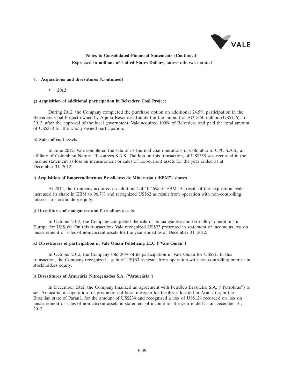

### **7. Acquisitions and divestitures (Continued)**

• **2012**

#### **g) Acquisition of additional participation in Belvedere Coal Project**

During 2012, the Company completed the purchase option on additional 24.5% participation in the Belvedere Coal Project owned by Aquila Resources Limited in the amount of AUD150 million (US\$156). In 2013, after the approval of the local government, Vale acquired 100% of Belvedere and paid the total amount of US\$338 for the wholly owned participation.

#### **h) Sales of coal assets**

In June 2012, Vale completed the sale of its thermal coal operations in Colombia to CPC S.A.S., an affiliate of Colombian Natural Resources S.A.S. The loss on this transaction, of US\$355 was recorded in the income statement as loss on measurement or sales of non-current assets for the year ended as at December 31, 2012.

### **i)** Acquisition of Empreendimentos Brasileiros de Mineração ("EBM") shares

At 2012, the Company acquired an additional of 10.46% of EBM. As result of the acquisition, Vale increased its share in EBM to 96.7% and recognized US\$62 as result from operation with non-controlling interest in stockholders equity.

#### **j) Divestitures of manganese and ferroalloys assets**

In October 2012, the Company completed the sale of its manganese and ferroalloys operations in Europe for US\$160. On this transactions Vale recognized US\$22 presented in statement of income as loss on measurement or sales of non-current assets for the year ended as at December 31, 2012.

## **k) Divestitures of participation in Vale Oman Pelletizing LLC (''Vale Oman'')**

In October 2012, the Company sold 30% of its participation in Vale Oman for US\$71. In this transaction, the Company recognized a gain of US\$63 as result from operation with non-controlling interest in stockholders equity.

## **l) Divestitures of Araucária Nitrogenados S.A. ("Araucária")**

In December 2012, the Company finalized an agreement with Petroleo Brasileiro S.A. (''Petrobras'') to ´ sell Araucária, an operation for production of basic nitrogen for fertilizer, located in Araucária, in the Brazilian state of Paraná, for the amount of US\$234 and recognized a loss of US\$129 recorded on loss on measurement or sales of non-current assets in statement of income for the year ended as at December 31, 2012.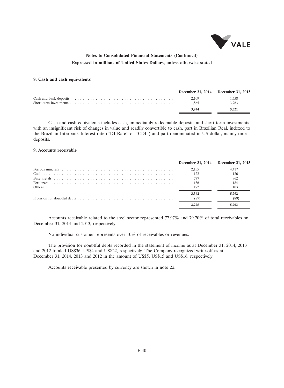

### **8. Cash and cash equivalents**

| December 31, 2014 December 31, 2013 |       |
|-------------------------------------|-------|
| 2.109                               | 1.558 |
| 1.865                               | 3.763 |
| 3 974                               | 5.321 |

Cash and cash equivalents includes cash, immediately redeemable deposits and short-term investments with an insignificant risk of changes in value and readily convertible to cash, part in Brazilian Real, indexed to the Brazilian Interbank Interest rate (''DI Rate'' or ''CDI'') and part denominated in US dollar, mainly time deposits.

## **9. Accounts receivable**

|               | December 31, 2014 December 31, 2013 |
|---------------|-------------------------------------|
| 2.155         | 4.417                               |
| 122           | 126                                 |
|               | 962                                 |
| 136           | 184                                 |
| 172           | 103                                 |
| 3.362<br>(87) | 5.792<br>(89)                       |
| 3.275         | 5.703                               |
|               |                                     |

Accounts receivable related to the steel sector represented 77.97% and 79.70% of total receivables on December 31, 2014 and 2013, respectively.

No individual customer represents over 10% of receivables or revenues.

The provision for doubtful debts recorded in the statement of income as at December 31, 2014, 2013 and 2012 totaled US\$36, US\$4 and US\$22, respectively. The Company recognized write-off as at December 31, 2014, 2013 and 2012 in the amount of US\$5, US\$15 and US\$16, respectively.

Accounts receivable presented by currency are shown in note 22.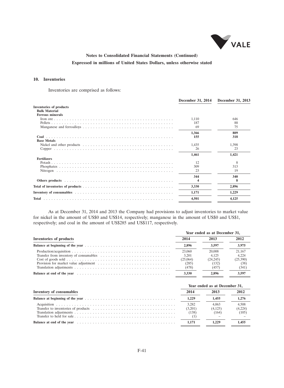

## **10. Inventories**

Inventories are comprised as follows:

|                                                                                                                 | December 31, 2014 | December 31, 2013 |
|-----------------------------------------------------------------------------------------------------------------|-------------------|-------------------|
| <b>Inventories of products</b><br><b>Bulk Material</b>                                                          |                   |                   |
| <b>Ferrous minerals</b>                                                                                         |                   |                   |
|                                                                                                                 | 1.110             | 646               |
|                                                                                                                 | 187               | 88                |
|                                                                                                                 | 69                | 75                |
|                                                                                                                 | 1,366             | 809               |
| Coal<br><b>Base Metals</b>                                                                                      | 155               | 318               |
| Nickel and other products $\dots \dots \dots \dots \dots \dots \dots \dots \dots \dots \dots \dots \dots \dots$ | 1,435             | 1,398             |
|                                                                                                                 | 26                | 23                |
|                                                                                                                 | 1,461             | 1,421             |
| <b>Fertilizers</b>                                                                                              |                   |                   |
|                                                                                                                 | 12                | 8                 |
|                                                                                                                 | 309               | 313               |
|                                                                                                                 | 23                | 19                |
|                                                                                                                 | 344               | 340               |
|                                                                                                                 | 4                 | x                 |
|                                                                                                                 | 3,330             | 2,896             |
|                                                                                                                 | 1,171             | 1,229             |
|                                                                                                                 | 4,501             | 4,125             |
|                                                                                                                 |                   |                   |

As at December 31, 2014 and 2013 the Company had provisions to adjust inventories to market value for nickel in the amount of US\$0 and US\$14, respectively; manganese in the amount of US\$0 and US\$1, respectively; and coal in the amount of US\$285 and US\$117, respectively.

|                                                                                                                                                                                                                                |                            |                           | Year ended as at December 31, |  |  |  |  |
|--------------------------------------------------------------------------------------------------------------------------------------------------------------------------------------------------------------------------------|----------------------------|---------------------------|-------------------------------|--|--|--|--|
| Inventories of products                                                                                                                                                                                                        |                            | 2013                      | 2012                          |  |  |  |  |
|                                                                                                                                                                                                                                | 2.896                      | 3.597                     | 3.975                         |  |  |  |  |
|                                                                                                                                                                                                                                | 23,060<br>3.201            | 20,008<br>4.125           | 21.167<br>4.224               |  |  |  |  |
|                                                                                                                                                                                                                                | (25,064)<br>(285)<br>(478) | (24.245)<br>(132)<br>(457 | (25,390)<br>(38)<br>(341)     |  |  |  |  |
| Balance at end of the year entertainment of the year entertainment of the year entertainment of the year entertainment of the year entertainment of the year entertainment of the year entertainment of the year entertainment | 3.330                      | 2.896                     | 3.597                         |  |  |  |  |

|                                 |                           | Year ended as at December 31, |                           |  |  |
|---------------------------------|---------------------------|-------------------------------|---------------------------|--|--|
| <b>Inventory of consumables</b> | 2014                      | 2013                          | 2012                      |  |  |
|                                 | 1.229                     | 1.455                         | 1.276                     |  |  |
|                                 | 3.282<br>(3,201)<br>(138) | 4.063<br>(4.125)<br>(164)     | 4.508<br>(4,224)<br>(105) |  |  |
|                                 | 1.171                     |                               | 1.455                     |  |  |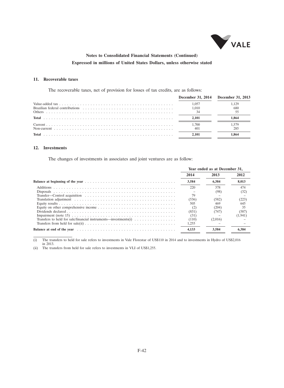

## **11. Recoverable taxes**

The recoverable taxes, net of provision for losses of tax credits, are as follows:

| December 31, 2014 December 31, 2013 |              |
|-------------------------------------|--------------|
| 1.057<br>1.010                      | 1.129<br>680 |
| 2.101                               | 1.864        |
| 1.700<br>401                        | 1.579<br>285 |
| 2.101                               | 1.864        |

## **12. Investments**

The changes of investments in associates and joint ventures are as follow:

|                                                                                                                              | Year ended as at December 31, |         |         |  |  |
|------------------------------------------------------------------------------------------------------------------------------|-------------------------------|---------|---------|--|--|
|                                                                                                                              | 2014                          | 2013    | 2012    |  |  |
|                                                                                                                              | 3,584                         | 6.384   | 8,013   |  |  |
|                                                                                                                              | 220                           | 378     | 474     |  |  |
|                                                                                                                              |                               | (98)    | (32)    |  |  |
|                                                                                                                              | 79                            |         |         |  |  |
|                                                                                                                              | (536)                         | (582)   | (223)   |  |  |
|                                                                                                                              | 505                           | 469     | 645     |  |  |
|                                                                                                                              |                               | (204)   | 35      |  |  |
|                                                                                                                              | (831)                         | 747)    | (587)   |  |  |
| Impairment (note 15) $\dots \dots \dots \dots \dots \dots \dots \dots \dots \dots \dots \dots \dots \dots \dots \dots \dots$ | (31)                          |         | (1,941) |  |  |
| Transfers to held for sale/financial instruments—investments(i) $\dots \dots \dots \dots \dots$                              | (110)                         | (2,016) |         |  |  |
|                                                                                                                              | 1.255                         |         |         |  |  |
|                                                                                                                              | 4.133                         | 3.584   |         |  |  |

(i) The transfers to held for sale refers to investments in Vale Florestar of US\$110 in 2014 and to investments in Hydro of US\$2,016 in 2013.

(ii) The transfers from held for sale refers to investments in VLI of US\$1,255.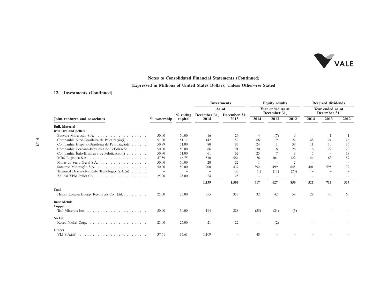

## **Notes to Consolidated Financial Statements (Continued)**

## **Expressed in Millions of United States Dollars, Unless Otherwise Stated**

## **12. Investments (Continued)**

|                                                |             |                        | <b>Investments</b>       | <b>Equity results</b><br>Year ended as at<br>December 31, |                          |                   | <b>Received dividends</b><br>Year ended as at<br>December 31, |                          |                          |      |
|------------------------------------------------|-------------|------------------------|--------------------------|-----------------------------------------------------------|--------------------------|-------------------|---------------------------------------------------------------|--------------------------|--------------------------|------|
| Joint ventures and associates                  |             |                        | As of<br>December 31,    |                                                           |                          |                   |                                                               |                          |                          |      |
|                                                | % ownership | $\%$ voting<br>capital | 2014                     | December 31,<br>2013                                      | 2014                     | 2013              | 2012                                                          | 2014                     | 2013                     | 2012 |
| <b>Bulk Material</b>                           |             |                        |                          |                                                           |                          |                   |                                                               |                          |                          |      |
| Iron Ore and pellets                           |             |                        |                          |                                                           |                          |                   |                                                               |                          |                          |      |
|                                                | 50.00       | 50.00                  | 16                       | 24                                                        | $\overline{4}$           | (7)               | 6                                                             |                          |                          |      |
| Companhia Nipo-Brasileira de Pelotização(i)    | 51.00       | 51.11                  | 142                      | 159                                                       | 66                       | 19                | 22                                                            | 48                       | 24                       | 26   |
| Companhia Hispano-Brasileira de Pelotização(i) | 50.89       | 51.00                  | 80                       | 83                                                        | 24                       |                   | 38                                                            | 11                       | 10                       | 36   |
| Companhia Coreano-Brasileira de Pelotização    | 50.00       | 50.00                  | 86                       | 91                                                        | 30                       | 18                | 26                                                            | 16                       | 22                       | 20   |
| Companhia Italo-Brasileira de Pelotização(i)   | 50.90       | 51.00                  | -61                      | 62                                                        | 25                       |                   | 8                                                             | 5                        | $\equiv$                 | 18   |
|                                                | 47.59       | 46.75                  | 510                      | 564                                                       | 76                       | 101               | 122                                                           | 44                       | 63                       | 57   |
|                                                | 50.00       | 50.00                  | 20                       | 22                                                        | -1                       |                   | $\overline{c}$                                                | $\overline{\phantom{a}}$ | $\overline{\phantom{0}}$ |      |
|                                                | 50.00       | 50.00                  | 200                      | 437                                                       | 392                      | 499               | 645                                                           | 401                      | 595                      | 179  |
| Tecnored Desenvolvimento Tecnológico S.A.(ii)  |             |                        | $\overline{\phantom{m}}$ | 38                                                        | (1)                      | (11)              | (20)                                                          | $\overline{\phantom{a}}$ |                          |      |
|                                                | 25.00       | 25.00                  | 24                       | 25                                                        | $\overline{\phantom{m}}$ | $\qquad \qquad -$ |                                                               | $\sim$                   |                          |      |
|                                                |             |                        | 1,139                    | 1,505                                                     | 617                      | 627               | 850                                                           | 525                      | 715                      | 337  |
| Coal                                           |             |                        |                          |                                                           |                          |                   |                                                               |                          |                          |      |
| Henan Longyu Energy Resources Co., Ltd.        | 25.00       | 25.00                  | 355                      | 357                                                       | 32                       | 42                | 59                                                            | 29                       | 40                       | 60   |
| <b>Base Metals</b>                             |             |                        |                          |                                                           |                          |                   |                                                               |                          |                          |      |
| Copper                                         |             |                        |                          |                                                           |                          |                   |                                                               |                          |                          |      |
|                                                | 50.00       | 50.00                  | 194                      | 228                                                       | (35)                     | (24)              | (5)                                                           |                          |                          |      |
| <b>Nickel</b>                                  |             |                        |                          |                                                           |                          |                   |                                                               |                          |                          |      |
|                                                | 25.00       | 25.00                  | 21                       | 22                                                        |                          | (2)               |                                                               |                          |                          |      |
| <b>Others</b>                                  |             |                        |                          |                                                           |                          |                   |                                                               |                          |                          |      |
|                                                | 37.61       | 37.61                  | 1,109                    |                                                           | 48                       |                   |                                                               |                          |                          |      |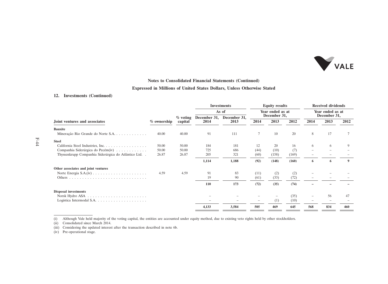

## **Notes to Consolidated Financial Statements (Continued)**

## **Expressed in Millions of United States Dollars, Unless Otherwise Stated**

## **12. Investments (Continued)**

|                                                                       |             |                       |                      | <b>Investments</b>               | <b>Equity results</b> |       |                                  | <b>Received dividends</b> |      |      |
|-----------------------------------------------------------------------|-------------|-----------------------|----------------------|----------------------------------|-----------------------|-------|----------------------------------|---------------------------|------|------|
|                                                                       |             |                       | As of                | Year ended as at<br>December 31, |                       |       | Year ended as at<br>December 31, |                           |      |      |
| Joint ventures and associates                                         | % ownership | $%$ voting<br>capital | December 31,<br>2014 | December 31,<br>2013             | 2014                  | 2013  | 2012                             | 2014                      | 2013 | 2012 |
| <b>Bauxite</b>                                                        |             |                       |                      |                                  |                       |       |                                  |                           |      |      |
| Mineração Rio Grande do Norte S.A.                                    | 40.00       | 40.00                 | 91                   | 111                              |                       | 10    | 20                               | 8                         | 17   |      |
| <b>Steel</b>                                                          |             |                       |                      |                                  |                       |       |                                  |                           |      |      |
| California Steel Industries, Inc.                                     | 50.00       | 50.00                 | 184                  | 181                              | 12                    | 20    | 16                               | 6                         | 6    | 9    |
| Companhia Siderúrgica do Pecém(iv)                                    | 50.00       | 50.00                 | 725                  | 686                              | (44)                  | (10)  | (7)                              | $\equiv$                  |      |      |
| Thyssenkrupp Companhia Siderúrgica do Atlântico Ltd                   | 26.87       | 26.87                 | 205                  | 321                              | (60)                  | (158) | (169)                            |                           |      |      |
|                                                                       |             |                       | 1,114                | 1,188                            | (92)                  | (148) | (160)                            | 6                         | 6    | 9    |
| Other associates and joint ventures                                   |             |                       |                      |                                  |                       |       |                                  |                           |      |      |
|                                                                       | 4.59        | 4.59                  | 91                   | 83                               | (11)                  | (2)   | (2)                              |                           |      |      |
|                                                                       |             |                       | 19                   | 90                               | (61)                  | (33)  | (72)                             |                           |      |      |
|                                                                       |             |                       | 110                  | 173                              | (72)                  | (35)  | (74)                             |                           |      |      |
| <b>Disposal investments</b>                                           |             |                       |                      |                                  |                       |       |                                  |                           |      |      |
|                                                                       |             |                       |                      |                                  |                       |       | (35)                             |                           | 56   | 47   |
| Logística Intermodal S.A. $\dots \dots \dots \dots \dots \dots \dots$ |             |                       |                      |                                  |                       | (1)   | (10)                             |                           |      |      |
|                                                                       |             |                       | 4,133                | 3,584                            | 505                   | 469   | 645                              | 568                       | 834  | 460  |
|                                                                       |             |                       |                      |                                  |                       |       |                                  |                           |      |      |

(i) Although Vale held majority of the voting capital, the entities are accounted under equity method, due to existing veto rights held by other stockholders.

(ii) Consolidated since March 2014.

(iii) Considering the updated interest after the transaction described in note 6b.

(iv) Pre-operational stage.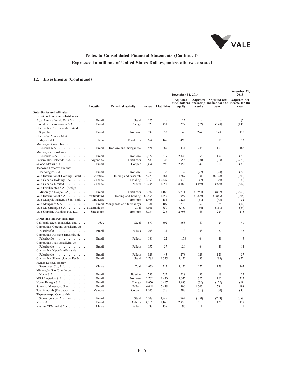

## **12. Investments (Continued)**

|                                                                                            |                                |                                  |                |                          | December 31, 2014                         |                          |                                                         | December 31,<br>2013                          |  |
|--------------------------------------------------------------------------------------------|--------------------------------|----------------------------------|----------------|--------------------------|-------------------------------------------|--------------------------|---------------------------------------------------------|-----------------------------------------------|--|
|                                                                                            | Location                       | <b>Principal activity</b>        | <b>Assets</b>  | <b>Liabilities</b>       | <b>Adjusted</b><br>stockholders<br>equity | Adjusted<br>results      | <b>Adjusted</b> net<br>operating income for the<br>vear | <b>Adjusted</b> net<br>income for the<br>vear |  |
| Subsidiaries and affiliates                                                                |                                |                                  |                |                          |                                           |                          |                                                         |                                               |  |
| Direct and indirect subsidiaries                                                           |                                |                                  |                |                          |                                           |                          |                                                         |                                               |  |
| Acos Laminados do Pará S.A.<br>and a                                                       | <b>Brazil</b>                  | Steel                            | 125            | $\overline{\phantom{0}}$ | 125                                       | $\overline{\phantom{0}}$ | $\overline{\phantom{a}}$                                | (2)                                           |  |
| Biopalma da Amazônia S.A.<br>$\sim$ $\sim$ $\sim$ $\sim$                                   | <b>Brazil</b>                  | Energy                           | 728            | 451                      | 277                                       | (82)                     | (148)                                                   | (145)                                         |  |
| Companhia Portuária da Baía de                                                             |                                |                                  |                |                          |                                           |                          |                                                         |                                               |  |
| Sepetiba                                                                                   | <b>Brazil</b>                  | Iron ore                         | 197            | 52                       | 145                                       | 224                      | 148                                                     | 120                                           |  |
| Compañia Minera Miski                                                                      |                                |                                  |                |                          |                                           |                          |                                                         |                                               |  |
| Mayo S.A.C. $\dots$ $\dots$ $\dots$ $\dots$                                                | Peru                           | Fertilizers                      | 664            | 169                      | 495                                       | 8                        | 10                                                      | 23                                            |  |
| Mineração Corumbaense                                                                      |                                |                                  |                |                          |                                           |                          |                                                         |                                               |  |
| Reunida S.A.                                                                               | <b>Brazil</b>                  | Iron ore and manganese           | 821            | 387                      | 434                                       | 248                      | 167                                                     | 162                                           |  |
| Minerações Brasileiras                                                                     |                                |                                  |                |                          |                                           |                          |                                                         |                                               |  |
| Reunidas S.A.<br>$\mathcal{A}$ , and $\mathcal{A}$ , and $\mathcal{A}$ , and $\mathcal{A}$ | <b>Brazil</b>                  | Iron ore                         | 2,977          | 649                      | 2,328                                     | 158                      | 150                                                     | (27)                                          |  |
| Potasio Rio Colorado S.A.                                                                  | Argentina                      | Fertilizers                      | 583            | 28                       | 555                                       | (30)                     | (33)                                                    | (2,723)                                       |  |
| Salobo Metais S.A.                                                                         | <b>Brazil</b>                  | Copper                           | 3,454          | 596                      | 2,858                                     | 149                      | 60                                                      | (31)                                          |  |
| Tecnored Desenvolvimento                                                                   |                                |                                  |                |                          |                                           |                          |                                                         |                                               |  |
| Tecnológico S.A. $\dots$ .                                                                 | Brazil                         | Iron ore                         | 67             | 35                       | 32                                        | (27)                     | (28)                                                    | (22)                                          |  |
| Vale International Holdings GmbH.                                                          | Austria                        | Holding and research             | 35,270         | 481                      | 34,789                                    | 331                      | (6,108)                                                 | (913)                                         |  |
| Vale Canada Holdings Inc.                                                                  | Canada                         | Holding                          | 12,359         | 10,429                   | 1,930                                     | (7)                      | (9)                                                     | (7)                                           |  |
| Vale Canada Limited                                                                        | Canada                         | Nickel                           | 40,235         | 31,855                   | 8,380                                     | (449)                    | (229)                                                   | (812)                                         |  |
| Vale Fertilizantes S.A. (Antiga                                                            |                                |                                  |                |                          |                                           |                          |                                                         |                                               |  |
| Mineração Naque S.A.)                                                                      | <b>Brazil</b>                  | Fertilizers                      | 6,397          | 1,186                    | 5,211                                     | (1,254)                  | (897)                                                   | (2,801)                                       |  |
| Vale International S.A.                                                                    | Switzerland                    | Trading and holding              | 63,454         | 31,457                   | 31,997                                    | (1,879)                  | (3,865)                                                 | (918)                                         |  |
| Vale Malaysia Minerals Sdn. Bhd. .                                                         | Malaysia                       | Iron ore                         | 1,408          | 184                      | 1,224                                     | (51)                     | (43)                                                    | 32                                            |  |
| Vale Manganês S.A.<br>and a straight                                                       |                                | Brazil Manganese and ferroalloys | 381            | 109                      | 272                                       | 62                       | 24                                                      | (10)                                          |  |
| Vale Moçambique S.A. Mozambique                                                            |                                | Coal                             | 6,301          | 850                      | 5,451                                     | (6)                      | (161)                                                   | (34)                                          |  |
| Vale Shipping Holding Pte. Ltd.                                                            | Singapore                      | Iron ore                         | 3,034          | 236                      | 2,798                                     | 43                       | 224                                                     | 175                                           |  |
| Direct and indirect affiliates                                                             |                                |                                  |                |                          |                                           |                          |                                                         |                                               |  |
| California Steel Industries, Inc.                                                          | <b>USA</b>                     | Steel                            | 870            | 502                      | 368                                       | 40                       | 24                                                      | 40                                            |  |
| Companhia Coreano-Brasileira de                                                            |                                |                                  |                |                          |                                           |                          |                                                         |                                               |  |
| Pelotização                                                                                | <b>Brazil</b>                  | Pellets                          | 203            | 31                       | 172                                       | 53                       | 60                                                      | 36                                            |  |
| Companhia Hispano-Brasileira de                                                            |                                |                                  |                |                          |                                           |                          |                                                         |                                               |  |
| Pelotização                                                                                | <b>Brazil</b>                  | Pellets                          | 180            | 22                       | 158                                       | 64                       | 48                                                      | 3                                             |  |
| Companhia Italo-Brasileira de                                                              |                                |                                  |                |                          |                                           |                          |                                                         |                                               |  |
| Pelotização                                                                                | <b>Brazil</b>                  | Pellets                          | 157            | 37                       | 120                                       | 64                       | 49                                                      | 14                                            |  |
| Companhia Nipo-Brasileira de                                                               |                                |                                  |                |                          |                                           |                          |                                                         |                                               |  |
| Pelotização                                                                                | Brazil                         | Pellets                          | 323            | 45                       | 278                                       | 123                      | 129                                                     | 37                                            |  |
| Companhia Siderúrgica do Pecém                                                             | <b>Brazil</b>                  | Steel                            | 2,785          | 1,335                    | 1,450                                     | 93                       | (88)                                                    | (22)                                          |  |
| Henan Longyu Energy                                                                        |                                |                                  |                |                          |                                           |                          |                                                         |                                               |  |
| Resources Co., Ltd. $\ldots$ $\ldots$ .                                                    | China                          | Coal                             | 1,633          | 213                      | 1,420                                     | 172                      | 128                                                     | 167                                           |  |
| Mineração Rio Grande do                                                                    |                                |                                  |                |                          |                                           |                          |                                                         |                                               |  |
| Norte S.A.<br>$\mathcal{A}$ , and a set of the set of the set of $\mathcal{A}$             | <b>Brazil</b>                  | Bauxite                          | 783            | 555                      | 228                                       | 83                       | 18                                                      | 25                                            |  |
| MRS Logística S.A.                                                                         | <b>Brazil</b>                  | Iron ore                         | 2,702          | 1,630                    | 1,072                                     | 325                      | 160                                                     | 212                                           |  |
| Norte Energia S.A.                                                                         | <b>Brazil</b>                  | Energy                           | 8,650          | 6,667                    | 1,983                                     | (32)                     | (122)                                                   | (19)                                          |  |
| Samarco Mineração S.A.                                                                     | <b>Brazil</b>                  | Pellets                          | 6,048          | 5,648                    | 400                                       | 1,503                    | 784                                                     | 998                                           |  |
| Teal Minerals (Barbados) Inc.                                                              | Zambia                         | Copper                           | 1,006          | 618                      | 388                                       | (51)                     | (70)                                                    | (47)                                          |  |
|                                                                                            |                                |                                  |                |                          |                                           |                          |                                                         |                                               |  |
| Thyssenkrupp Companhia                                                                     |                                |                                  |                |                          |                                           |                          |                                                         |                                               |  |
| Siderúrgica do Atlântico<br>$\sim$                                                         | <b>Brazil</b><br><b>Brazil</b> | Steel<br>Others                  | 4,008<br>4,116 | 3,245<br>1,166           | 763<br>2,950                              | (120)<br>118             | (223)<br>128                                            | (588)<br>129                                  |  |
| VLI S.A.                                                                                   |                                |                                  | 233            |                          | 96                                        | $\mathbf{1}$             | $\overline{c}$                                          | $\mathbf{1}$                                  |  |
| Zhuhai YPM Pellet Co                                                                       | China                          | Pellets                          |                | 137                      |                                           |                          |                                                         |                                               |  |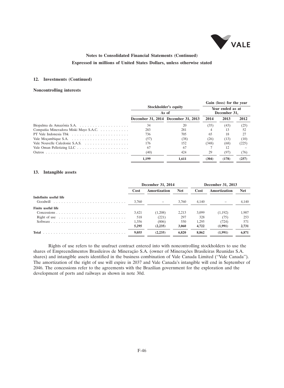

## **12. Investments (Continued)**

### **Noncontrolling interests**

|                                       |       | Gain (loss) for the year            |       |                                  |       |  |
|---------------------------------------|-------|-------------------------------------|-------|----------------------------------|-------|--|
|                                       |       | Stockholder's equity<br>As of       |       | Year ended as at<br>December 31, |       |  |
|                                       |       | December 31, 2014 December 31, 2013 | 2014  | 2013                             | 2012  |  |
|                                       | 34    | 20                                  | (35)  | (43)                             | (25)  |  |
| Compañia Mineradora Miski Mayo S.A.C. | 283   | 281                                 |       | 13                               | 52    |  |
|                                       | 736   | 705                                 | 65    | 18                               | 27    |  |
|                                       | (57)  | (38)                                | (26)  | (13)                             | (10)  |  |
|                                       | 176   | 152                                 | (348) | (68)                             | (225) |  |
|                                       | 67    | 67                                  |       | 12                               |       |  |
|                                       | (40)  | 424                                 | 29    | (97)                             | (76)  |  |
|                                       | 1.199 | 1.611                               | (304) | (178)                            | (257) |  |

#### **13. Intangible assets**

|                           |       | December 31, 2014           |       | December 31, 2013 |              |            |  |
|---------------------------|-------|-----------------------------|-------|-------------------|--------------|------------|--|
|                           |       | <b>Amortization</b><br>Cost |       | Cost              | Amortization | <b>Net</b> |  |
| Indefinite useful life    |       |                             |       |                   |              |            |  |
| Goodwill                  | 3.760 |                             | 3.760 | 4.140             |              | 4.140      |  |
| <b>Finite useful life</b> |       |                             |       |                   |              |            |  |
|                           | 3.421 | (1,208)                     | 2.213 | 3.099             | (1,192)      | 1,907      |  |
| Right of use              | 518   | (221)                       | 297   | 328               | (75)         | 253        |  |
|                           | 1,356 | (806)                       | 550   | 1.295             | (724)        | 571        |  |
|                           | 5.295 | (2, 235)                    | 3.060 | 4.722             | (1,991)      | 2.731      |  |
| Total                     | 9.055 | (2.235)                     | 6.820 | 8.862             | (1.991)      | 6.871      |  |

Rights of use refers to the usufruct contract entered into with noncontrolling stockholders to use the shares of Empreendimentos Brasileiros de Mineração S.A. (owner of Minerações Brasileiras Reunidas S.A. shares) and intangible assets identified in the business combination of Vale Canada Limited (''Vale Canada''). The amortization of the right of use will expire in 2037 and Vale Canada's intangible will end in September of 2046. The concessions refer to the agreements with the Brazilian government for the exploration and the development of ports and railways as shown in note 30d.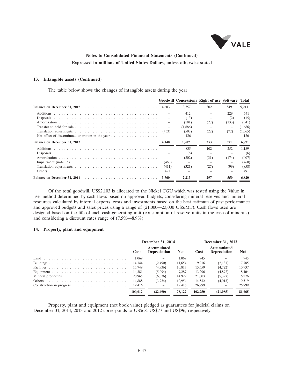

#### **13. Intangible assets (Continued)**

The table below shows the changes of intangible assets during the year:

|                                                                                                            |                          |         | Goodwill Concessions Right of use Software Total |       |         |
|------------------------------------------------------------------------------------------------------------|--------------------------|---------|--------------------------------------------------|-------|---------|
|                                                                                                            |                          | 3.757   | 302                                              | 549   | 9,211   |
|                                                                                                            |                          | 412     |                                                  | 229   | 641     |
|                                                                                                            |                          | (13)    |                                                  | (2)   | (15)    |
|                                                                                                            |                          | (181)   | (27)                                             | (133) | (341)   |
|                                                                                                            | $\overline{\phantom{a}}$ | (1,686) |                                                  | -     | (1,686) |
|                                                                                                            | (463)                    | (508)   | (22)                                             | (72)  | (1,065) |
| Net effect of discontinued operation in the year $\dots \dots \dots \dots \dots \dots$                     |                          | 126     |                                                  |       | 126     |
|                                                                                                            | 4.140                    | 1,907   | 253                                              | 571   | 6,871   |
|                                                                                                            |                          | 835     | 102                                              | 252   | 1,189   |
|                                                                                                            |                          | (6)     |                                                  |       | (6)     |
|                                                                                                            |                          | (202)   | (31)                                             | (174) | (407)   |
| Impairment (note 15) $\ldots \ldots \ldots \ldots \ldots \ldots \ldots \ldots \ldots \ldots \ldots \ldots$ | (460)                    |         |                                                  |       | (460)   |
|                                                                                                            | (411)                    | (321)   | (27)                                             | (99)  | (858)   |
|                                                                                                            | 491                      |         |                                                  |       | 491     |
|                                                                                                            | 3.760                    | 2.213   | 297                                              | 550   | 6.820   |

Of the total goodwill, US\$2,103 is allocated to the Nickel CGU which was tested using the Value in use method determined by cash flows based on approved budgets, considering mineral reserves and mineral resources calculated by internal experts, costs and investments based on the best estimate of past performance and approved budgets and sales prices using a range of (21,000—23,000 US\$/MT). Cash flows used are designed based on the life of each cash-generating unit (consumption of reserve units in the case of minerals) and considering a discount rates range of (7.5%—8.9%).

### **14. Property, plant and equipment**

| December 31, 2014 |                                    |            | December 31, 2013 |                                    |            |
|-------------------|------------------------------------|------------|-------------------|------------------------------------|------------|
| Cost              | Accumulated<br><b>Depreciation</b> | <b>Net</b> | Cost              | Accumulated<br><b>Depreciation</b> | <b>Net</b> |
| 1.069             |                                    | 1.069      | 945               |                                    | 945        |
| 14.144            | (2,490)                            | 11.654     | 9.916             | (2,131)                            | 7.785      |
| 15,749            | (4,936)                            | 10.813     | 15.659            | (4, 722)                           | 10,937     |
| 14,381            | (5,094)                            | 9.287      | 13.296            | (4,892)                            | 8.404      |
| 20,965            | (6,036)                            | 14,929     | 21,603            | (5,327)                            | 16,276     |
| 14.888            | (3,934)                            | 10,954     | 14.532            | (4,013)                            | 10,519     |
| 19.416            |                                    | 19.416     | 26,799            |                                    | 26,799     |
| 100.612           | (22.490)                           | 78.122     | 102.750           | (21.085)                           | 81,665     |

Property, plant and equipment (net book value) pledged as guarantees for judicial claims on December 31, 2014, 2013 and 2012 corresponds to US\$68, US\$77 and US\$96, respectively.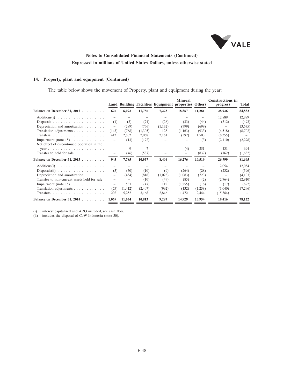

### **14. Property, plant and equipment (Continued)**

The table below shows the movement of Property, plant and equipment during the year:

|                                                                                              |       |                   |         | Land Building Facilities Equipment properties Others | <b>Mineral</b> |         | <b>Constructions in</b><br>progress | Total   |
|----------------------------------------------------------------------------------------------|-------|-------------------|---------|------------------------------------------------------|----------------|---------|-------------------------------------|---------|
| Balance on December 31, 2012                                                                 | 676   | 6,093             | 11,756  | 7,273                                                | 18,867         | 11,281  | 28,936                              | 84,882  |
| $Additions(i) \quad \ldots \quad \ldots \quad \ldots \quad \ldots \quad \ldots \quad \ldots$ |       |                   |         |                                                      |                |         | 12,889                              | 12,889  |
|                                                                                              | (1)   | (3)               | (74)    | (26)                                                 | (33)           | (44)    | (312)                               | (493)   |
| Depreciation and amortization $\ldots \ldots \ldots$                                         |       | (289)             | (756)   | (1,132)                                              | (799)          | (699)   | $\qquad \qquad -$                   | (3,675) |
| Translation adjustments                                                                      | (143) | (768)             | (1,305) | 128                                                  | (1,163)        | (933)   | (4,518)                             | (8,702) |
|                                                                                              | 413   | 2,802             | 2,068   | 2,161                                                | (592)          | 1,503   | (8,355)                             |         |
| Impairment (note $15$ )                                                                      |       | (13)              | (172)   |                                                      |                | (3)     | (2,110)                             | (2,298) |
| Net effect of discontinued operation in the                                                  |       |                   |         |                                                      |                |         |                                     |         |
|                                                                                              |       | 9                 | 7       |                                                      | (4)            | 251     | 431                                 | 694     |
| Transfer to held for sale                                                                    |       | (46)              | (587)   |                                                      | -              | (837)   | (162)                               | (1,632) |
| Balance on December 31, 2013                                                                 | 945   | 7,785             | 10,937  | 8,404                                                | 16,276         | 10,519  | 26,799                              | 81,665  |
|                                                                                              |       |                   |         |                                                      |                |         | 12,054                              | 12,054  |
| Disposals(ii) $\ldots \ldots \ldots \ldots \ldots$                                           | (3)   | (50)              | (10)    | (9)                                                  | (264)          | (28)    | (232)                               | (596)   |
| Depreciation and amortization $\ldots \ldots \ldots$                                         |       | (454)             | (818)   | (1,025)                                              | (1,083)        | (723)   |                                     | (4,103) |
| Transfer to non-current assets held for sale .                                               | -     | $\qquad \qquad -$ | (10)    | (49)                                                 | (85)           | (2)     | (2,764)                             | (2,910) |
| Impairment (note $15$ )                                                                      |       | 533               | (47)    | 112                                                  | (1,255)        | (18)    | (17)                                | (692)   |
| Translation adjustments $\ldots \ldots \ldots \ldots$                                        | (75)  | (1, 412)          | (2,407) | (992)                                                | (132)          | (1,238) | (1,040)                             | (7,296) |
|                                                                                              | 202   | 5,252             | 3,168   | 2,846                                                | 1,472          | 2,444   | (15,384)                            |         |
| Balance on December 31, 2014 1,069                                                           |       | 11,654            | 10,813  | 9,287                                                | 14,929         | 10,954  | 19,416                              | 78,122  |

(i) interest capitalized and ARO included, see cash flow.

(i) includes the disposal of CoW Indonesia (note 30).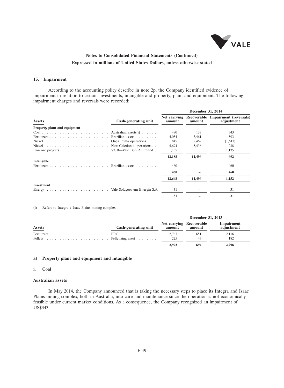

#### **15. Impairment**

According to the accounting policy describe in note 2p, the Company identified evidence of impairment in relation to certain investments, intangible and property, plant and equipment. The following impairment charges and reversals were recorded:

|                               |                      | December 31, 2014 |        |                                                               |  |
|-------------------------------|----------------------|-------------------|--------|---------------------------------------------------------------|--|
| <b>Assets</b>                 | Cash-generating unit | amount            | amount | Net carrying Recoverable Impairment (reversals)<br>adjustment |  |
| Property, plant and equipment |                      |                   |        |                                                               |  |
|                               |                      | 480               | 137    | 343                                                           |  |
|                               |                      | 4,054             | 3,461  | 593                                                           |  |
|                               |                      | 845               | 2,462  | (1,617)                                                       |  |
|                               |                      | 5,674             | 5,436  | 238                                                           |  |
|                               |                      | 1,135             |        | 1,135                                                         |  |
|                               |                      | 12,188            | 11,496 | 692                                                           |  |
| Intangible                    |                      |                   |        |                                                               |  |
|                               |                      | 460               |        | 460                                                           |  |
|                               |                      | 460               |        | 460                                                           |  |
|                               |                      | 12,648            | 11,496 | 1,152                                                         |  |
| Investment                    |                      |                   |        |                                                               |  |
|                               |                      | 31                |        | 31                                                            |  |
|                               |                      | 31                |        | 31                                                            |  |

(i) Refers to Integra e Isaac Plains mining complex

|               |                      | December 31, 2013        |               |                          |  |
|---------------|----------------------|--------------------------|---------------|--------------------------|--|
| <b>Assets</b> | Cash-generating unit | Net carrying Recoverable | amount amount | Impairment<br>adjustment |  |
|               |                      | 2.767                    | 651           | 2.116                    |  |
|               |                      | 225                      | 43            | 182                      |  |
|               |                      | 2.992                    | 694           | 2.298                    |  |

#### **a) Property plant and equipment and intangible**

### **i. Coal**

#### **Australian assets**

In May 2014, the Company announced that is taking the necessary steps to place its Integra and Isaac Plains mining complex, both in Australia, into care and maintenance since the operation is not economically feasible under current market conditions. As a consequence, the Company recognized an impairment of US\$343.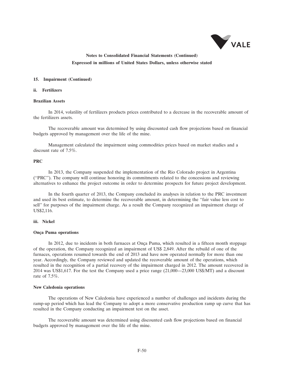

#### **15. Impairment (Continued)**

#### **ii. Fertilizers**

#### **Brazilian Assets**

In 2014, volatility of fertilizers products prices contributed to a decrease in the recoverable amount of the fertilizers assets.

The recoverable amount was determined by using discounted cash flow projections based on financial budgets approved by management over the life of the mine.

Management calculated the impairment using commodities prices based on market studies and a discount rate of 7.5%.

#### **PRC**

In 2013, the Company suspended the implementation of the Rio Colorado project in Argentina (''PRC''). The company will continue honoring its commitments related to the concessions and reviewing alternatives to enhance the project outcome in order to determine prospects for future project development.

In the fourth quarter of 2013, the Company concluded its analyses in relation to the PRC investment and used its best estimate, to determine the recoverable amount, in determining the ''fair value less cost to sell'' for purposes of the impairment charge. As a result the Company recognized an impairment charge of US\$2,116.

#### **iii. Nickel**

#### **Onça Puma operations**

In 2012, due to incidents in both furnaces at Onça Puma, which resulted in a fifteen month stoppage of the operation, the Company recognized an impairment of US\$ 2,849. After the rebuild of one of the furnaces, operations resumed towards the end of 2013 and have now operated normally for more than one year. Accordingly, the Company reviewed and updated the recoverable amount of the operations, which resulted in the recognition of a partial recovery of the impairment charged in 2012. The amount recovered in 2014 was US\$1,617. For the test the Company used a price range (21,000—23,000 US\$/MT) and a discount rate of 7.5%.

#### **New Caledonia operations**

The operations of New Caledonia have experienced a number of challenges and incidents during the ramp-up period which has lead the Company to adopt a more conservative production ramp up curve that has resulted in the Company conducting an impairment test on the asset.

The recoverable amount was determined using discounted cash flow projections based on financial budgets approved by management over the life of the mine.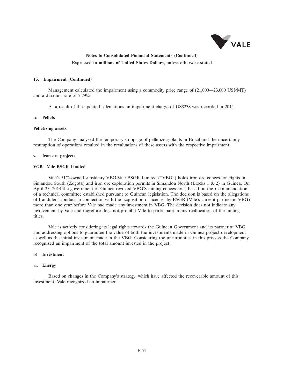

#### **15. Impairment (Continued)**

Management calculated the impairment using a commodity price range of (21,000—23,000 US\$/MT) and a discount rate of 7.79%.

As a result of the updated calculations an impairment charge of US\$238 was recorded in 2014.

#### **iv. Pellets**

#### **Pelletizing assets**

The Company analyzed the temporary stoppage of pelletizing plants in Brazil and the uncertainty resumption of operations resulted in the revaluations of these assets with the respective impairment.

#### **v. Iron ore projects**

#### **VGB—Vale BSGR Limited**

Vale's 51%-owned subsidiary VBG-Vale BSGR Limited (''VBG'') holds iron ore concession rights in Simandou South (Zogota) and iron ore exploration permits in Simandou North (Blocks 1 & 2) in Guinea. On April 25, 2014 the government of Guinea revoked VBG'S mining concessions, based on the recommendation of a technical committee established pursuant to Guinean legislation. The decision is based on the allegations of fraudulent conduct in connection with the acquisition of licenses by BSGR (Vale's current partner in VBG) more than one year before Vale had made any investment in VBG. The decision does not indicate any involvement by Vale and therefore does not prohibit Vale to participate in any reallocation of the mining titles.

Vale is actively considering its legal rights towards the Guinean Government and its partner at VBG and addressing options to guarantee the value of both the investments made in Guinea project development as well as the initial investment made in the VBG. Considering the uncertainties in this process the Company recognized an impairment of the total amount invested in the project.

#### **b) Investment**

#### **vi. Energy**

Based on changes in the Company's strategy, which have affected the recoverable amount of this investment, Vale recognized an impairment.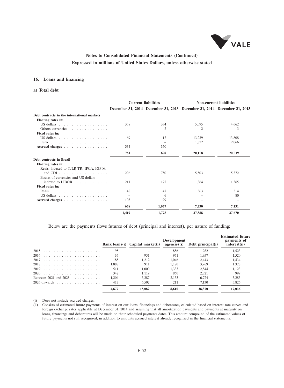

### **16. Loans and financing**

#### **a) Total debt**

|                                                      |       | <b>Current liabilities</b> | <b>Non-current liabilities</b>                                          |        |  |
|------------------------------------------------------|-------|----------------------------|-------------------------------------------------------------------------|--------|--|
|                                                      |       |                            | December 31, 2014 December 31, 2013 December 31, 2014 December 31, 2013 |        |  |
| Debt contracts in the international markets          |       |                            |                                                                         |        |  |
| Floating rates in:                                   |       |                            |                                                                         |        |  |
|                                                      | 358   | 334                        | 5,095                                                                   | 4,662  |  |
| Others currencies                                    |       | $\overline{2}$             |                                                                         | 3      |  |
| Fixed rates in:                                      |       |                            |                                                                         |        |  |
|                                                      | 69    | 12                         | 13,239                                                                  | 13,808 |  |
|                                                      |       |                            | 1,822                                                                   | 2,066  |  |
| Accrued charges                                      | 334   | 350                        |                                                                         |        |  |
|                                                      | 761   | 698                        | 20,158                                                                  | 20,539 |  |
| Debt contracts in Brazil                             |       |                            |                                                                         |        |  |
| Floating rates in:                                   |       |                            |                                                                         |        |  |
| Reais, indexed to TJLP, TR, IPCA, IGP-M              |       |                            |                                                                         |        |  |
|                                                      | 296   | 750                        | 5,503                                                                   | 5,372  |  |
| Basket of currencies and US dollars                  |       |                            |                                                                         |        |  |
| indexed to LIBOR $\ldots$ ,                          | 211   | 175                        | 1,364                                                                   | 1,365  |  |
| Fixed rates in:                                      |       |                            |                                                                         |        |  |
|                                                      | 48    | 47                         | 363                                                                     | 314    |  |
| US dollars $\ldots$ , $\ldots$ , $\ldots$ , $\ldots$ |       | 6                          |                                                                         | 80     |  |
| Accrued charges                                      | 103   | 99                         |                                                                         |        |  |
|                                                      | 658   | 1,077                      | 7,230                                                                   | 7,131  |  |
|                                                      | 1,419 | 1,775                      | 27,388                                                                  | 27,670 |  |
|                                                      |       |                            |                                                                         |        |  |

Below are the payments flows futures of debt (principal and interest), per nature of funding:

|                       |       | Bank loans(i) Capital market(i) | <b>Development</b><br>agencies(i) | Debt principal(i) | <b>Estimated future</b><br>payments of<br>interest(ii) |
|-----------------------|-------|---------------------------------|-----------------------------------|-------------------|--------------------------------------------------------|
|                       | 95    |                                 | 886                               | 982               | 1.523                                                  |
| 2016                  | 35    | 951                             | 971                               | 1.957             | 1,520                                                  |
| 2017                  | 185   | 1.212                           | 1.046                             | 2.443             | 1.434                                                  |
|                       | 1.888 | 911                             | 1.170                             | 3.969             | 1.328                                                  |
|                       | 511   | 1.000                           | 1.333                             | 2.844             | 1.123                                                  |
|                       | 342   | 1.119                           | 860                               | 2.321             | 999                                                    |
| Between 2021 and 2025 | 1.204 | 3.387                           | 2.133                             | 6.724             | 3.283                                                  |
| $2026$ onwards        | 417   | 6.502                           | 211                               | 7.130             | 5.826                                                  |
|                       |       | 15.082                          | 8.610                             | 28.370            | 17.036                                                 |

(i) Does not include accrued charges.

(ii) Consists of estimated future payments of interest on our loans, financings and debentures, calculated based on interest rate curves and foreign exchange rates applicable at December 31, 2014 and assuming that all amortization payments and payments at maturity on loans, financings and debentures will be made on their scheduled payments dates. This amount compound of the estimated values of future payments not still recognized, in addition to amounts accrued interest already recognized in the financial statements.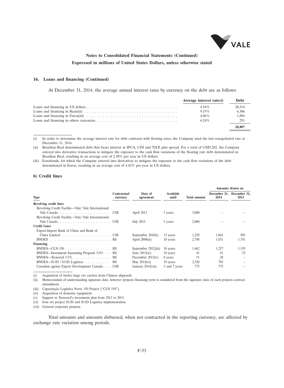

#### **16. Loans and financing (Continued)**

At December 31, 2014, the average annual interest rates by currency on the debt are as follows:

|                                                                                                                  | Average interest rate(i) | Debt   |
|------------------------------------------------------------------------------------------------------------------|--------------------------|--------|
|                                                                                                                  | $4.54\%$                 | 20,314 |
|                                                                                                                  | $9.55\%$                 | 6.306  |
| Loans and financing in Euros(iii) $\ldots \ldots \ldots \ldots \ldots \ldots \ldots \ldots \ldots \ldots \ldots$ | $4.06\%$                 | 1,896  |
|                                                                                                                  | $6.24\%$                 | 291    |
|                                                                                                                  |                          | 28,807 |

(i) In order to determine the average interest rate for debt contracts with floating rates, the Company used the last renegotiated rate at December 31, 2014.

(ii) Brazilian Real denominated debt that bears interest at IPCA, CDI and TJLP, plus spread. For a total of US\$5,202, the Company entered into derivative transactions to mitigate the exposure to the cash flow variations of the floating rate debt denominated in Brazilian Real, resulting in an average cost of 2.38% per year in US dollars.

(iii) Eurobonds, for which the Company entered into derivatives to mitigate the exposure to the cash flow variations of the debt denominated in Euros, resulting in an average cost of 4.42% per year in US dollars.

### **b) Credit lines**

|                                                               |                         |                      |                    |                     | Amounts drawn on                  |       |  |
|---------------------------------------------------------------|-------------------------|----------------------|--------------------|---------------------|-----------------------------------|-------|--|
| <b>Type</b>                                                   | Contractual<br>currency | Date of<br>agreement | Available<br>until | <b>Total amount</b> | December 31, December 31,<br>2014 | 2013  |  |
| <b>Revolving credit lines</b>                                 |                         |                      |                    |                     |                                   |       |  |
| Revolving Credit Facility-Vale/ Vale International/           |                         |                      |                    |                     |                                   |       |  |
|                                                               |                         | April 2011           | 5 years            | 3,000               |                                   |       |  |
| Revolving Credit Facility-Vale/ Vale International/           |                         |                      |                    |                     |                                   |       |  |
|                                                               |                         | July 2013            | 5 years            | 2,000               |                                   |       |  |
| <b>Credit Lines</b>                                           |                         |                      |                    |                     |                                   |       |  |
| Export-Import Bank of China and Bank of                       |                         |                      |                    |                     |                                   |       |  |
| China Limited USS                                             |                         | September $2010(i)$  | 13 years           | 1,229               | 1.062                             | 985   |  |
| BNDES RS                                                      |                         | April $2008(ii)$     | 10 years           | 2.748               | 1,831                             | 1,741 |  |
| Financing                                                     |                         |                      |                    |                     |                                   |       |  |
|                                                               |                         | September 2012(iii)  | 10 years           | 1.462               | 1,257                             | 1,159 |  |
| BNDES—Investment Sustaining Program 3.0% . R\$                |                         | June $2013(iv)$      | 10 years           | 41                  | 41                                | 33    |  |
| BNDES—Tecnored $3.5\%$ R\$                                    |                         | December $2013(v)$   | 8 years            | 51                  | 28                                |       |  |
| BNDES—S11D / S11D Logística $\ldots \ldots \ldots \ldots$ R\$ |                         | May $2014$ (vi)      | 10 years           | 2.320               | 703                               |       |  |
| Canadian agency Export Development Canada US\$                |                         | January 2014(vii)    | 5 and 7 years      | 775                 | 775                               |       |  |

(i) Acquisition of twelve large ore carriers from Chinese shipyards.

(ii) Memorandum of understanding signature date, however projects financing term is considered from the signature date of each projects contract amendment.

(iii) Capacitação Logística Norte 150 Project ("CLN 150").

(iv) Acquisition of domestic equipment.

(v) Support to Tecnored's investment plan from 2013 to 2015.

(vi) Iron ore project S11D and S11D Logistica implementation.

(vii) General corporate purpose.

Total amounts and amounts disbursed, when not contracted in the reporting currency, are affected by exchange rate variation among periods.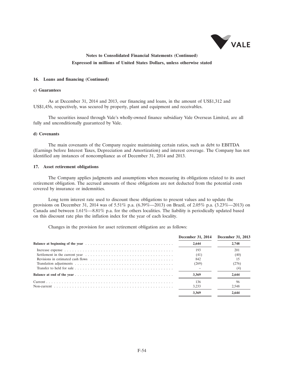

#### **16. Loans and financing (Continued)**

#### **c) Guarantees**

As at December 31, 2014 and 2013, our financing and loans, in the amount of US\$1,312 and US\$1,456, respectively, was secured by property, plant and equipment and receivables.

The securities issued through Vale's wholly-owned finance subsidiary Vale Overseas Limited, are all fully and unconditionally guaranteed by Vale.

#### **d) Covenants**

The main covenants of the Company require maintaining certain ratios, such as debt to EBITDA (Earnings before Interest Taxes, Depreciation and Amortization) and interest coverage. The Company has not identified any instances of noncompliance as of December 31, 2014 and 2013.

#### **17. Asset retirement obligations**

The Company applies judgments and assumptions when measuring its obligations related to its asset retirement obligation. The accrued amounts of these obligations are not deducted from the potential costs covered by insurance or indemnities.

Long term interest rate used to discount these obligations to present values and to update the provisions on December 31, 2014 was of 5.51% p.a. (6.39%—2013) on Brazil, of 2.05% p.a. (3.23%—2013) on Canada and between 1.61%—8.81% p.a. for the others localities. The liability is periodically updated based on this discount rate plus the inflation index for the year of each locality.

Changes in the provision for asset retirement obligation are as follows:

| December 31, 2014 | December 31, 2013 |
|-------------------|-------------------|
| 2.644             | 2.748             |
| 193               | 201               |
| (41)              | (40)              |
| 842               | 15                |
| (269)             | (276)             |
|                   |                   |
| 3.369             | 2.644             |
| 136               | 96                |
| 3.233             | 2.548             |
| 3.369             | 2.644             |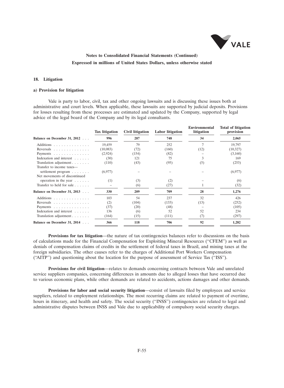

#### **18. Litigation**

#### **a) Provision for litigation**

Vale is party to labor, civil, tax and other ongoing lawsuits and is discussing these issues both at administrative and court levels. When applicable, these lawsuits are supported by judicial deposits. Provisions for losses resulting from these processes are estimated and updated by the Company, supported by legal advice of the legal board of the Company and by its legal consultants.

|                                                                                  | <b>Tax litigation</b> | Civil litigation | Labor litigation | <b>Environmental</b><br>litigation | <b>Total of litigation</b><br>provision |
|----------------------------------------------------------------------------------|-----------------------|------------------|------------------|------------------------------------|-----------------------------------------|
| Balance on December 31, 2012                                                     | 996                   | 287              | 748              | 34                                 | 2.065                                   |
| Additions                                                                        | 19,459                | 79               | 252              | 7                                  | 19,797                                  |
| Reversals                                                                        | (10,083)              | (72)             | (160)            | (12)                               | (10, 327)                               |
| Payments $\ldots$ , $\ldots$ , $\ldots$                                          | (2,924)               | (154)            | (82)             |                                    | (3,160)                                 |
| Indexation and interest                                                          | (30)                  | 121              | 75               | 3                                  | 169                                     |
| Translation adjustment                                                           | (110)                 | (43)             | (95)             | (5)                                | (253)                                   |
| Transfer to income taxes—<br>settlement program<br>Net movements of discontinued | (6,977)               |                  |                  |                                    | (6,977)                                 |
| operation in the year $\dots$ .                                                  | (1)                   | (3)              | (2)              |                                    | (6)                                     |
| Transfer to held for sale                                                        |                       | (6)              | (27)             |                                    | (32)                                    |
| Balance on December 31, 2013                                                     | 330                   | 209              | 709              | 28                                 | 1,276                                   |
| Additions                                                                        | 103                   | 54               | 237              | 32                                 | 426                                     |
| Reversals                                                                        | (2)                   | (104)            | (133)            | (13)                               | (252)                                   |
| Payments $\ldots$ , $\ldots$ , $\ldots$                                          | (37)                  | (20)             | (48)             |                                    | (105)                                   |
| Indexation and interest                                                          | 136                   | (6)              | 52               | 52                                 | 234                                     |
| Translation adjustment                                                           | (164)                 | (15)             | (111)            | (7)                                | (297)                                   |
| Balance on December 31, 2014                                                     | 366                   | 118              | 706              | 92                                 | 1,282                                   |

**Provisions for tax litigation**—the nature of tax contingencies balances refer to discussions on the basis of calculations made for the Financial Compensation for Exploiting Mineral Resources (''CFEM'') as well as denials of compensation claims of credits in the settlement of federal taxes in Brazil, and mining taxes at the foreign subsidiaries. The other causes refer to the charges of Additional Port Workers Compensation (''AITP'') and questioning about the location for the purpose of assessment of Service Tax (''ISS'').

**Provisions for civil litigation**—relates to demands concerning contracts between Vale and unrelated service suppliers companies, concerning differences in amounts due to alleged losses that have occurred due to various economic plans, while other demands are related to accidents, actions damages and other demands.

**Provisions for labor and social security litigation**—consist of lawsuits filed by employees and service suppliers, related to employment relationships. The most recurring claims are related to payment of overtime, hours in itinerary, and health and safety. The social security ("INSS") contingencies are related to legal and administrative disputes between INSS and Vale due to applicability of compulsory social security charges.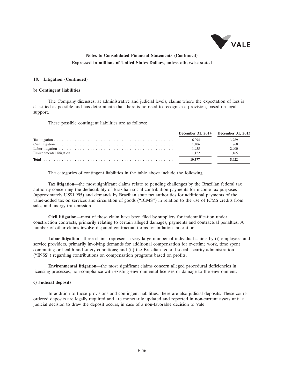

#### **18. Litigation (Continued)**

#### **b) Contingent liabilities**

The Company discusses, at administrative and judicial levels, claims where the expectation of loss is classified as possible and has determinate that there is no need to recognize a provision, based on legal support.

These possible contingent liabilities are as follows:

| December 31, 2014 December 31, 2013 |       |
|-------------------------------------|-------|
| 6.094                               | 3.789 |
| 1.406                               | 768   |
| 1.955                               | 2,900 |
| 1.122                               | 1.165 |
| 10.577                              | 8.622 |

The categories of contingent liabilities in the table above include the following:

**Tax litigation**—the most significant claims relate to pending challenges by the Brazilian federal tax authority concerning the deductibility of Brazilian social contribution payments for income tax purposes (approximately US\$1,995) and demands by Brazilian state tax authorities for additional payments of the value-added tax on services and circulation of goods (''ICMS'') in relation to the use of ICMS credits from sales and energy transmission.

**Civil litigation**—most of these claim have been filed by suppliers for indemnification under construction contracts, primarily relating to certain alleged damages, payments and contractual penalties. A number of other claims involve disputed contractual terms for inflation indexation.

**Labor litigation**—these claims represent a very large number of individual claims by (i) employees and service providers, primarily involving demands for additional compensation for overtime work, time spent commuting or health and safety conditions; and (ii) the Brazilian federal social security administration (''INSS'') regarding contributions on compensation programs based on profits.

**Environmental litigation**—the most significant claims concern alleged procedural deficiencies in licensing processes, non-compliance with existing environmental licenses or damage to the environment.

#### **c) Judicial deposits**

In addition to those provisions and contingent liabilities, there are also judicial deposits. These courtordered deposits are legally required and are monetarily updated and reported in non-current assets until a judicial decision to draw the deposit occurs, in case of a non-favorable decision to Vale.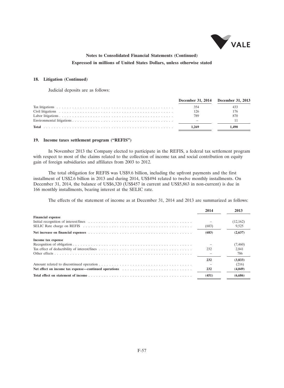

#### **18. Litigation (Continued)**

Judicial deposits are as follows:

| December 31, 2014 December 31, 2013 |       |
|-------------------------------------|-------|
|                                     |       |
| 126                                 | 176   |
| 789                                 | 870   |
|                                     |       |
| 1.269                               | 1.490 |

#### **19. Income taxes settlement program (''REFIS'')**

In November 2013 the Company elected to participate in the REFIS, a federal tax settlement program with respect to most of the claims related to the collection of income tax and social contribution on equity gain of foreign subsidiaries and affiliates from 2003 to 2012.

The total obligation for REFIS was US\$9.6 billion, including the upfront payments and the first installment of US\$2.6 billion in 2013 and during 2014, US\$494 related to twelve monthly installments. On December 31, 2014, the balance of US\$6,320 (US\$457 in current and US\$5,863 in non-current) is due in 166 monthly installments, bearing interest at the SELIC rate.

The effects of the statement of income as at December 31, 2014 and 2013 are summarized as follows:

|                                                                     | 2014  | 2013      |
|---------------------------------------------------------------------|-------|-----------|
| <b>Financial expense</b>                                            |       |           |
|                                                                     |       | (12, 162) |
|                                                                     | (683) | 9.525     |
|                                                                     | (683) | (2,637)   |
| Income tax expense                                                  |       |           |
|                                                                     |       | (7,460)   |
|                                                                     | 232   | 2.841     |
|                                                                     |       | 786       |
|                                                                     | 232   | (3,833)   |
|                                                                     |       | (216)     |
| Net effect on income tax expense—continued operations respectively. | 232   | (4,049)   |
|                                                                     | (451) | (6,686)   |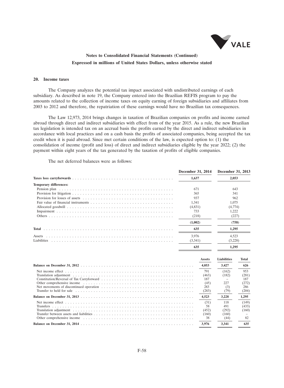

### **20. Income taxes**

The Company analyzes the potential tax impact associated with undistributed earnings of each subsidiary. As described in note 19, the Company entered into the Brazilian REFIS program to pay the amounts related to the collection of income taxes on equity earning of foreign subsidiaries and affiliates from 2003 to 2012 and therefore, the repatriation of these earnings would have no Brazilian tax consequences.

The Law 12,973, 2014 brings changes in taxation of Brazilian companies on profits and income earned abroad through direct and indirect subsidiaries with effect from of the year 2015. As a rule, the new Brazilian tax legislation is intended tax on an accrual basis the profits earned by the direct and indirect subsidiaries in accordance with local practices and on a cash basis the profits of associated companies, being accepted the tax credit when it is paid abroad. Since met certain conditions of the law, is expected option to: (1) the consolidation of income (profit and loss) of direct and indirect subsidiaries eligible by the year 2022; (2) the payment within eight years of the tax generated by the taxation of profits of eligible companies.

The net deferred balances were as follows:

|                               | December 31, 2014 |               | December 31, 2013  |       |
|-------------------------------|-------------------|---------------|--------------------|-------|
|                               | 1.637             |               | 2,053              |       |
| <b>Temporary differences:</b> |                   |               |                    |       |
|                               | 671               |               | 643                |       |
|                               | 365               |               | 341                |       |
|                               | 937               |               | 962                |       |
|                               | 1,341             |               | 1,075              |       |
|                               | (4,831)           |               | (4,774)            |       |
|                               | 733               |               | 1,222              |       |
|                               | (218)             |               | (227)              |       |
|                               | (1.002)           |               | (758)              |       |
|                               | 635               |               | 1.295              |       |
|                               |                   |               |                    |       |
| Assets                        | 3,976             |               | 4,523              |       |
|                               | (3,341)           |               | (3,228)            |       |
|                               | 635               |               | 1,295              |       |
|                               |                   |               |                    |       |
|                               |                   | <b>Assets</b> | <b>Liabilities</b> | Total |
|                               |                   | 4.053         | 3.427              | 626   |
|                               |                   | 791           | (162)              | 953   |
|                               |                   | (463)         | (182)              | (281) |
|                               |                   | 187           |                    | 187   |
|                               |                   | (45)          | 227                | (272) |
|                               |                   | 283           | (3)                | 286   |
|                               |                   | (283)         | (79)               | (204) |
|                               |                   | 4,523         | 3,228              | 1,295 |
|                               |                   | (31)          | 118                | (149) |
|                               |                   | 58            | 491                | (433) |
|                               |                   | (452)         | (292)              | (160) |
|                               |                   | (160)         | (160)              |       |
|                               |                   | 38            | (44)               | 82    |
|                               |                   | 3.976         | 3.341              | 635   |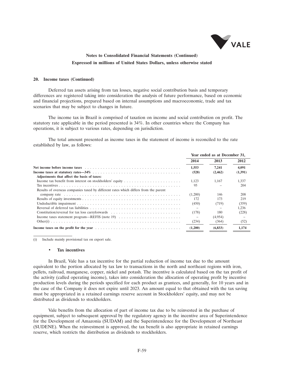

#### **20. Income taxes (Continued)**

Deferred tax assets arising from tax losses, negative social contribution basis and temporary differences are registered taking into consideration the analysis of future performance, based on economic and financial projections, prepared based on internal assumptions and macroeconomic, trade and tax scenarios that may be subject to changes in future.

The income tax in Brazil is comprised of taxation on income and social contribution on profit. The statutory rate applicable in the period presented is 34%. In other countries where the Company has operations, it is subject to various rates, depending on jurisdiction.

The total amount presented as income taxes in the statement of income is reconciled to the rate established by law, as follows:

|                                                                                                                                                                                                                                | Year ended as at December 31, |          |         |  |
|--------------------------------------------------------------------------------------------------------------------------------------------------------------------------------------------------------------------------------|-------------------------------|----------|---------|--|
|                                                                                                                                                                                                                                | 2014                          | 2013     | 2012    |  |
| Net income before income taxes response in the set of the set of the set of the set of the set of the set of the set of the set of the set of the set of the set of the set of the set of the set of the set of the set of the | 1,553                         | 7.241    | 4,091   |  |
|                                                                                                                                                                                                                                | (528)                         | (2, 462) | (1,391) |  |
| Adjustments that affect the basis of taxes:                                                                                                                                                                                    |                               |          |         |  |
|                                                                                                                                                                                                                                | 1.123                         | 1.167    | 1.337   |  |
|                                                                                                                                                                                                                                | 95                            |          | 204     |  |
| Results of overseas companies taxed by different rates which differs from the parent                                                                                                                                           |                               |          |         |  |
|                                                                                                                                                                                                                                | (1,200)                       | 146      | 208     |  |
|                                                                                                                                                                                                                                | 172                           | 173      | 219     |  |
|                                                                                                                                                                                                                                | (450)                         | (719)    | (359)   |  |
|                                                                                                                                                                                                                                | $\overline{\phantom{a}}$      |          | 1.236   |  |
| Constitution/reversal for tax loss carryforwards                                                                                                                                                                               | (178)                         | 180      | (228)   |  |
| Income taxes statement program—REFIS (note 19) $\dots \dots \dots \dots \dots \dots \dots \dots \dots$                                                                                                                         |                               | (4,954)  |         |  |
|                                                                                                                                                                                                                                | (234)                         | (364)    | (52)    |  |
|                                                                                                                                                                                                                                | (1,200)                       | (6, 833) | 1,174   |  |

(i) Include mainly provisional tax on export sale.

#### • **Tax incentives**

In Brazil, Vale has a tax incentive for the partial reduction of income tax due to the amount equivalent to the portion allocated by tax law to transactions in the north and northeast regions with iron, pellets, railroad, manganese, copper, nickel and potash. The incentive is calculated based on the tax profit of the activity (called operating income), takes into consideration the allocation of operating profit by incentive production levels during the periods specified for each product as grantees, and generally, for 10 years and in the case of the Company it does not expire until 2023. An amount equal to that obtained with the tax saving must be appropriated in a retained earnings reserve account in Stockholders' equity, and may not be distributed as dividends to stockholders.

Vale benefits from the allocation of part of income tax due to be reinvested in the purchase of equipment, subject to subsequent approval by the regulatory agency in the incentive area of Superintendence for the Development of Amazonia (SUDAM) and the Superintendence for the Development of Northeast (SUDENE). When the reinvestment is approved, the tax benefit is also appropriate in retained earnings reserve, which restricts the distribution as dividends to stockholders.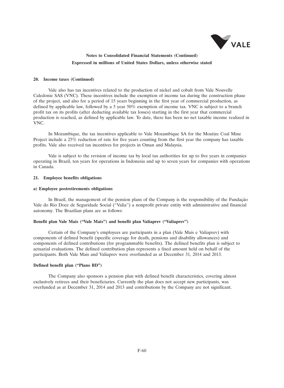

#### **20. Income taxes (Continued)**

Vale also has tax incentives related to the production of nickel and cobalt from Vale Nouvelle Caledonie SAS (VNC). These incentives include the exemption of income tax during the construction phase of the project, and also for a period of 15 years beginning in the first year of commercial production, as defined by applicable law, followed by a 5 year 50% exemption of income tax. VNC is subject to a branch profit tax on its profits (after deducting available tax losses) starting in the first year that commercial production is reached, as defined by applicable law. To date, there has been no net taxable income realized in VNC.

In Mozambique, the tax incentives applicable to Vale Mozambique SA for the Moatize Coal Mine Project include a 25% reduction of rate for five years counting from the first year the company has taxable profits. Vale also received tax incentives for projects in Oman and Malaysia.

Vale is subject to the revision of income tax by local tax authorities for up to five years in companies operating in Brazil, ten years for operations in Indonesia and up to seven years for companies with operations in Canada.

#### **21. Employee benefits obligations**

#### **a) Employee postretirements obligations**

In Brazil, the management of the pension plans of the Company is the responsibility of the Fundação Vale do Rio Doce de Seguridade Social (''Valia'') a nonprofit private entity with administrative and financial autonomy. The Brazilian plans are as follows:

### **Benefit plan Vale Mais (''Vale Mais'') and benefit plan Valiaprev (''Valiaprev'')**

Certain of the Company's employees are participants in a plan (Vale Mais e Valiaprev) with components of defined benefit (specific coverage for death, pensions and disability allowances) and components of defined contributions (for programmable benefits). The defined benefits plan is subject to actuarial evaluations. The defined contribution plan represents a fixed amount held on behalf of the participants. Both Vale Mais and Valiaprev were overfunded as at December 31, 2014 and 2013.

#### **Defined benefit plan (''Plano BD'')**

The Company also sponsors a pension plan with defined benefit characteristics, covering almost exclusively retirees and their beneficiaries. Currently the plan does not accept new participants, was overfunded as at December 31, 2014 and 2013 and contributions by the Company are not significant.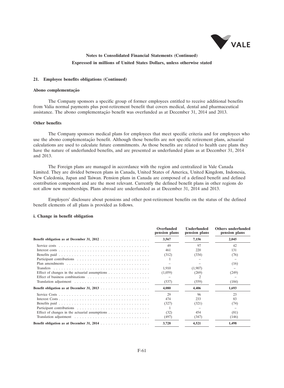

#### **21. Employee benefits obligations (Continued)**

#### Abono complementação

The Company sponsors a specific group of former employees entitled to receive additional benefits from Valia normal payments plus post-retirement benefit that covers medical, dental and pharmaceutical assistance. The abono complementação benefit was overfunded as at December 31, 2014 and 2013.

#### **Other benefits**

The Company sponsors medical plans for employees that meet specific criteria and for employees who use the abono complementação benefit. Although those benefits are not specific retirement plans, actuarial calculations are used to calculate future commitments. As those benefits are related to health care plans they have the nature of underfunded benefits, and are presented as underfunded plans as at December 31, 2014 and 2013.

The Foreign plans are managed in accordance with the region and centralized in Vale Canada Limited. They are divided between plans in Canada, United States of America, United Kingdom, Indonesia, New Caledonia, Japan and Taiwan. Pension plans in Canada are composed of a defined benefit and defined contribution component and are the most relevant. Currently the defined benefit plans in other regions do not allow new memberships. Plans abroad are underfunded as at December 31, 2014 and 2013.

Employers' disclosure about pensions and other post-retirement benefits on the status of the defined benefit elements of all plans is provided as follows.

#### **i. Change in benefit obligation**

|                                                                                | Overfunded<br>pension plans | <b>Underfunded</b><br>pension plans | Others underfunded<br>pension plans |
|--------------------------------------------------------------------------------|-----------------------------|-------------------------------------|-------------------------------------|
|                                                                                | 3,567                       | 7,156                               | 2,045                               |
|                                                                                | 49                          | 97                                  | 42                                  |
|                                                                                | 461                         | 220                                 | 131                                 |
|                                                                                | (312)                       | (334)                               | (76)                                |
|                                                                                |                             |                                     |                                     |
|                                                                                |                             |                                     | (16)                                |
|                                                                                | 1,910                       | (1,907)                             |                                     |
| Effect of changes in the actuarial assumptions $\dots \dots \dots \dots \dots$ | (1,059)                     | (269)                               | (249)                               |
|                                                                                |                             |                                     |                                     |
|                                                                                | (537)                       | (559)                               | (184)                               |
|                                                                                | 4.080                       | 4.406                               | 1,693                               |
|                                                                                | 29                          | 96                                  | 23                                  |
|                                                                                | 474                         | 233                                 | 83                                  |
|                                                                                | (327)                       | (321)                               | (74)                                |
|                                                                                |                             |                                     |                                     |
| Effect of changes in the actuarial assumptions                                 | (32)                        | 454                                 | (81)                                |
|                                                                                | (497)                       | (347)                               | (146)                               |
|                                                                                | 3,728                       | 4,521                               | 1,498                               |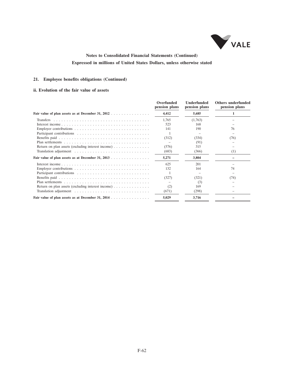

### **21. Employee benefits obligations (Continued)**

### **ii. Evolution of the fair value of assets**

|                                                                             | Overfunded<br>pension plans | <b>Underfunded</b><br>pension plans | Others underfunded<br>pension plans |
|-----------------------------------------------------------------------------|-----------------------------|-------------------------------------|-------------------------------------|
|                                                                             | 4,412                       | 5,685                               |                                     |
|                                                                             | 1,765                       | (1,763)                             |                                     |
|                                                                             | 523                         | 168                                 |                                     |
|                                                                             | 141                         | 190                                 | 76                                  |
|                                                                             |                             |                                     |                                     |
|                                                                             | (312)                       | (334)                               | (76)                                |
|                                                                             |                             | (91)                                |                                     |
| Return on plan assets (excluding interest income) $\dots \dots \dots \dots$ | (576)                       | 315                                 |                                     |
|                                                                             | (683)                       | (366)                               | (1)                                 |
| Fair value of plan assets as at December 31, 2013                           | 5,271                       | 3,804                               |                                     |
|                                                                             | 625                         | 201                                 |                                     |
|                                                                             | 132                         | 164                                 | 74                                  |
|                                                                             |                             |                                     |                                     |
|                                                                             | (327)                       | (321)                               | (74)                                |
|                                                                             |                             | (3)                                 |                                     |
|                                                                             | (2)                         | 169                                 |                                     |
|                                                                             | (671)                       | (298)                               |                                     |
|                                                                             | 5,029                       | 3,716                               |                                     |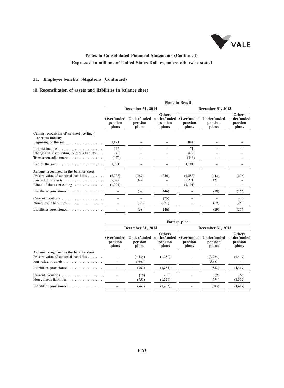

### **21. Employee benefits obligations (Continued)**

### **iii. Reconciliation of assets and liabilities in balance sheet**

|                                                                 | <b>Plans</b> in Brazil         |                                        |                                                  |                                |                                        |                                                  |  |  |  |
|-----------------------------------------------------------------|--------------------------------|----------------------------------------|--------------------------------------------------|--------------------------------|----------------------------------------|--------------------------------------------------|--|--|--|
|                                                                 |                                | December 31, 2014                      |                                                  |                                | December 31, 2013                      |                                                  |  |  |  |
|                                                                 | Overfunded<br>pension<br>plans | <b>Underfunded</b><br>pension<br>plans | <b>Others</b><br>underfunded<br>pension<br>plans | Overfunded<br>pension<br>plans | <b>Underfunded</b><br>pension<br>plans | <b>Others</b><br>underfunded<br>pension<br>plans |  |  |  |
| Ceiling recognition of an asset (ceiling)/<br>onerous liability |                                |                                        |                                                  |                                |                                        |                                                  |  |  |  |
| Beginning of the year                                           | 1,191                          |                                        |                                                  | 844                            |                                        |                                                  |  |  |  |
| Interest income                                                 | 142                            |                                        |                                                  | 71                             |                                        |                                                  |  |  |  |
| Changes in asset ceiling/ onerous liability                     | 140                            |                                        |                                                  | 422                            |                                        |                                                  |  |  |  |
| Translation adjustment                                          | (172)                          |                                        |                                                  | (146)                          |                                        |                                                  |  |  |  |
| End of the year $\dots$ ,                                       | 1,301                          |                                        |                                                  | 1,191                          |                                        |                                                  |  |  |  |
| Amount recognized in the balance sheet                          |                                |                                        |                                                  |                                |                                        |                                                  |  |  |  |
| Present value of actuarial liabilities                          | (3,728)                        | (387)                                  | (246)                                            | (4,080)                        | (442)                                  | (276)                                            |  |  |  |
|                                                                 | 5,029                          | 349                                    |                                                  | 5,271                          | 423                                    |                                                  |  |  |  |
| Effect of the asset ceiling $\ldots \ldots \ldots$              | (1,301)                        |                                        |                                                  | (1,191)                        |                                        |                                                  |  |  |  |
| Liabilities provisioned                                         |                                | (38)                                   | (246)                                            |                                | (19)                                   | (276)                                            |  |  |  |
| Current liabilities                                             |                                |                                        | (25)                                             |                                |                                        | (23)                                             |  |  |  |
| Non-current liabilities                                         |                                | (38)                                   | (221)                                            |                                | (19)                                   | (253)                                            |  |  |  |
| Liabilities provisioned                                         |                                | (38)                                   | (246)                                            |                                | (19)                                   | (276)                                            |  |  |  |

|                                        | Foreign plan                   |                                 |                                                  |                                |                                 |                                                  |  |  |
|----------------------------------------|--------------------------------|---------------------------------|--------------------------------------------------|--------------------------------|---------------------------------|--------------------------------------------------|--|--|
|                                        |                                | December 31, 2014               |                                                  |                                | December 31, 2013               |                                                  |  |  |
|                                        | Overfunded<br>pension<br>plans | Underfunded<br>pension<br>plans | <b>Others</b><br>underfunded<br>pension<br>plans | Overfunded<br>pension<br>plans | Underfunded<br>pension<br>plans | <b>Others</b><br>underfunded<br>pension<br>plans |  |  |
| Amount recognized in the balance sheet |                                |                                 |                                                  |                                |                                 |                                                  |  |  |
| Present value of actuarial liabilities |                                | (4, 134)                        | (1,252)                                          |                                | (3,964)                         | (1, 417)                                         |  |  |
|                                        |                                | 3,367                           |                                                  |                                | 3,381                           |                                                  |  |  |
| Liabilities provisioned                |                                | (767)                           | (1,252)                                          |                                | (583)                           | (1, 417)                                         |  |  |
| Current liabilities                    |                                | (16)                            | (26)                                             |                                | (9)                             | (65)                                             |  |  |
| Non-current liabilities                |                                | (751)                           | (1,226)                                          |                                | (574)                           | (1,352)                                          |  |  |
| Liabilities provisioned                |                                | (767)                           | (1,252)                                          |                                | (583)                           | (1, 417)                                         |  |  |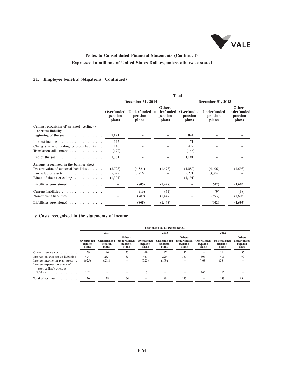

### **21. Employee benefits obligations (Continued)**

|                                                                  | <b>Total</b>                   |                                        |                                                  |                                |                                        |                                                  |  |  |  |
|------------------------------------------------------------------|--------------------------------|----------------------------------------|--------------------------------------------------|--------------------------------|----------------------------------------|--------------------------------------------------|--|--|--|
|                                                                  |                                | December 31, 2014                      |                                                  |                                | December 31, 2013                      |                                                  |  |  |  |
|                                                                  | Overfunded<br>pension<br>plans | <b>Underfunded</b><br>pension<br>plans | <b>Others</b><br>underfunded<br>pension<br>plans | Overfunded<br>pension<br>plans | <b>Underfunded</b><br>pension<br>plans | <b>Others</b><br>underfunded<br>pension<br>plans |  |  |  |
| Ceiling recognition of an asset (ceiling) /<br>onerous liability |                                |                                        |                                                  |                                |                                        |                                                  |  |  |  |
| Beginning of the year                                            | 1.191                          |                                        |                                                  | 844                            |                                        |                                                  |  |  |  |
| Interest income $\ldots$ ,                                       | 142                            |                                        |                                                  | 71                             |                                        |                                                  |  |  |  |
| Changes in asset ceiling/ onerous liability                      | 140                            |                                        |                                                  | 422                            |                                        |                                                  |  |  |  |
| Translation adjustment                                           | (172)                          |                                        |                                                  | (146)                          |                                        |                                                  |  |  |  |
| End of the year $\ldots$ ,                                       | 1,301                          |                                        |                                                  | 1,191                          |                                        |                                                  |  |  |  |
| Amount recognized in the balance sheet                           |                                |                                        |                                                  |                                |                                        |                                                  |  |  |  |
| Present value of actuarial liabilities                           | (3,728)                        | (4,521)                                | (1,498)                                          | (4,080)                        | (4, 406)                               | (1,693)                                          |  |  |  |
|                                                                  | 5,029                          | 3,716                                  |                                                  | 5,271                          | 3.804                                  |                                                  |  |  |  |
| Effect of the asset ceiling $\ldots \ldots \ldots$               | (1,301)                        |                                        |                                                  | (1,191)                        |                                        |                                                  |  |  |  |
| Liabilities provisioned                                          |                                | (805)                                  | (1, 498)                                         |                                | (602)                                  | (1,693)                                          |  |  |  |
| Current liabilities                                              |                                | (16)                                   | (51)                                             |                                | (9)                                    | (88)                                             |  |  |  |
| Non-current liabilities                                          |                                | (789)                                  | (1, 447)                                         |                                | (593)                                  | (1,605)                                          |  |  |  |
| Liabilities provisioned                                          |                                | (805)                                  | (1, 498)                                         |                                | (602)                                  | (1,693)                                          |  |  |  |

### **iv. Costs recognized in the statements of income**

|                                                                                             | Year ended as at December 31,  |                                 |                                                  |                                |                                 |                                                  |                                |                                 |                                                  |
|---------------------------------------------------------------------------------------------|--------------------------------|---------------------------------|--------------------------------------------------|--------------------------------|---------------------------------|--------------------------------------------------|--------------------------------|---------------------------------|--------------------------------------------------|
|                                                                                             |                                | 2014                            |                                                  |                                | 2013                            |                                                  | 2012                           |                                 |                                                  |
|                                                                                             | Overfunded<br>pension<br>plans | Underfunded<br>pension<br>plans | <b>Others</b><br>underfunded<br>pension<br>plans | Overfunded<br>pension<br>plans | Underfunded<br>pension<br>plans | <b>Others</b><br>underfunded<br>pension<br>plans | Overfunded<br>pension<br>plans | Underfunded<br>pension<br>plans | <b>Others</b><br>underfunded<br>pension<br>plans |
| Current service cost                                                                        | 29                             | 96                              | 23                                               | 49                             | 97                              | 42                                               |                                | 114                             | 35                                               |
| Interest on expense on liabilities                                                          | 474                            | 233                             | 83                                               | 461                            | 220                             | 131                                              | 309                            | 403                             | 99                                               |
| Interest income on plan assets<br>Interest expense on effect of<br>(asset ceiling)/ onerous | (625)                          | (201)                           | -                                                | (523)                          | (169)                           | $\qquad \qquad$                                  | (469)                          | (384)                           |                                                  |
| liability<br>the company of the company of the company                                      | 142                            |                                 |                                                  | 13                             | $\overline{\phantom{a}}$        |                                                  | 160                            | 12                              |                                                  |
| Total of cost, net<br>.                                                                     | 20                             | 128                             | 106                                              |                                | 148                             | 173                                              | -                              | 145                             | 134                                              |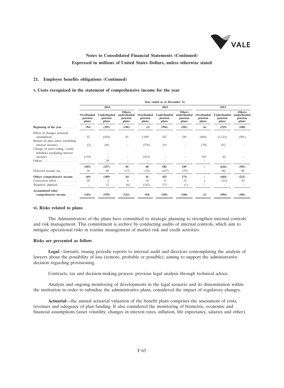

#### **21. Employee benefits obligations (Continued)**

#### **v. Costs recognized in the statement of comprehensive income for the year**

|                                                                                          | Year ended as at December 31,  |                                 |                                                  |                                |                                 |                                                  |                                |                                 |                                                  |  |
|------------------------------------------------------------------------------------------|--------------------------------|---------------------------------|--------------------------------------------------|--------------------------------|---------------------------------|--------------------------------------------------|--------------------------------|---------------------------------|--------------------------------------------------|--|
|                                                                                          |                                | 2014                            |                                                  |                                | 2013                            |                                                  |                                | 2012                            |                                                  |  |
|                                                                                          | Overfunded<br>pension<br>plans | Underfunded<br>pension<br>plans | <b>Others</b><br>underfunded<br>pension<br>plans | Overfunded<br>pension<br>plans | Underfunded<br>pension<br>plans | <b>Others</b><br>underfunded<br>pension<br>plans | Overfunded<br>pension<br>plans | Underfunded<br>pension<br>plans | <b>Others</b><br>underfunded<br>pension<br>plans |  |
| Beginning of the year $\ldots$ .                                                         | (94)                           | (395)                           | (196)                                            | (3)                            | (994)                           | (381)                                            | (4)                            | (529)                           | (180)                                            |  |
| Effect of changes actuarial<br>assumptions $\ldots$<br>Return on plan assets (excluding  | 32                             | (454)                           | 81                                               | 1,059                          | 267                             | 249                                              | (684)                          | (1,121)                         | (301)                                            |  |
| interest income)<br>Change of asset ceiling / costly<br>liabilities (excluding interest) | (2)                            | 169                             |                                                  | (576)                          | 315                             |                                                  | (79)                           | 412                             |                                                  |  |
| $income)$                                                                                | (133)                          |                                 |                                                  | (423)                          |                                 |                                                  | 763                            | 83                              |                                                  |  |
| Others                                                                                   |                                | 28                              | -                                                | $\qquad \qquad -$              | -                               |                                                  |                                |                                 |                                                  |  |
| Deferred income tax                                                                      | (103)<br>34                    | (257)<br>68                     | 81<br>(17)                                       | 60<br>(19)                     | 582<br>(167)                    | 249<br>(75)                                      |                                | (626)<br>182                    | (301)<br>90                                      |  |
| Others comprehensive income                                                              | (69)                           | (189)                           | 64                                               | 41                             | 415                             | 174                                              |                                | (444)                           | (211)                                            |  |
| Conversion effect                                                                        | 20                             | 2                               | 6                                                | 10                             | 11                              | 12                                               |                                | (21)                            | 10                                               |  |
| Transfers/ $disposal$                                                                    | $\overline{\phantom{0}}$       | 12                              | (6)                                              | (142)                          | 173                             | (1)                                              |                                |                                 | $\overline{\phantom{0}}$                         |  |
| <b>Accumulated other</b><br>comprehensive income<br><b>Sandwich</b>                      | (143)                          | (570)                           | (132)                                            | (94)                           | (395)                           | (196)                                            | (3)                            | (994)                           | (381)                                            |  |
|                                                                                          |                                |                                 |                                                  |                                |                                 |                                                  |                                |                                 |                                                  |  |

#### **vi. Risks related to plans**

The Administrators of the plans have committed to strategic planning to strengthen internal controls and risk management. This commitment is archive by conducting audits of internal controls, which aim to mitigate operational risks in routine management of market risk and credit activities.

#### **Risks are presented as follow:**

**Legal**—lawsuits: issuing periodic reports to internal audit and directors contemplating the analysis of lawyers about the possibility of loss (remote, probable or possible), aiming to support the administrative decision regarding provisioning.

Contracts, tax and decision-making process: previous legal analysis through technical advice.

Analysis and ongoing monitoring of developments in the legal scenario and its dissemination within the institution in order to subsidize the administrative plans, considered the impact of regulatory changes.

**Actuarial**—the annual actuarial valuation of the benefit plans comprises the assessment of costs, revenues and adequacy of plan funding. It also considered the monitoring of biometric, economic and financial assumptions (asset volatility, changes in interest rates, inflation, life expectancy, salaries and other).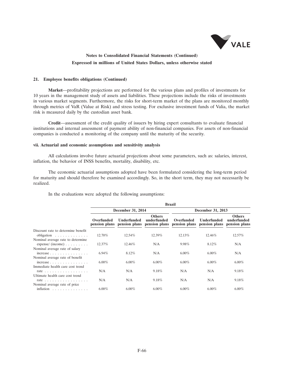

#### **21. Employee benefits obligations (Continued)**

**Market**—profitability projections are performed for the various plans and profiles of investments for 10 years in the management study of assets and liabilities. These projections include the risks of investments in various market segments. Furthermore, the risks for short-term market of the plans are monitored monthly through metrics of VaR (Value at Risk) and stress testing. For exclusive investment funds of Valia, the market risk is measured daily by the custodian asset bank.

**Credit**—assessment of the credit quality of issuers by hiring expert consultants to evaluate financial institutions and internal assessment of payment ability of non-financial companies. For assets of non-financial companies is conducted a monitoring of the company until the maturity of the security.

#### **vii. Actuarial and economic assumptions and sensitivity analysis**

All calculations involve future actuarial projections about some parameters, such as: salaries, interest, inflation, the behavior of INSS benefits, mortality, disability, etc.

The economic actuarial assumptions adopted have been formulated considering the long-term period for maturity and should therefore be examined accordingly. So, in the short term, they may not necessarily be realized.

|                                                                                                          |                             | <b>Brazil</b>      |                                                             |                             |                                                   |                              |  |  |  |  |
|----------------------------------------------------------------------------------------------------------|-----------------------------|--------------------|-------------------------------------------------------------|-----------------------------|---------------------------------------------------|------------------------------|--|--|--|--|
|                                                                                                          |                             | December 31, 2014  |                                                             |                             | December 31, 2013                                 |                              |  |  |  |  |
|                                                                                                          | Overfunded<br>pension plans | <b>Underfunded</b> | <b>Others</b><br>underfunded<br>pension plans pension plans | Overfunded<br>pension plans | <b>Underfunded</b><br>pension plans pension plans | <b>Others</b><br>underfunded |  |  |  |  |
| Discount rate to determine benefit<br>obligation $\ldots \ldots \ldots \ldots$                           | 12.70%                      | 12.54%             | 12.39%                                                      | 12.13%                      | 12.46%                                            | 12.57%                       |  |  |  |  |
| Nominal average rate to determine.<br>$expense/$ (income) $\ldots \ldots \ldots$                         | 12.37%                      | 12.46%             | N/A                                                         | $9.98\%$                    | 8.12%                                             | N/A                          |  |  |  |  |
| Nominal average rate of salary<br>$increase \dots \dots \dots \dots$                                     | $6.94\%$                    | 8.12%              | N/A                                                         | $6.00\%$                    | $6.00\%$                                          | N/A                          |  |  |  |  |
| Nominal average rate of benefit                                                                          | $6.00\%$                    | $6.00\%$           | $6.00\%$                                                    | $6.00\%$                    | $6.00\%$                                          | $6.00\%$                     |  |  |  |  |
| Immediate health care cost trend<br>rate $\ldots$ , $\ldots$ , $\ldots$ , $\ldots$ , $\ldots$ , $\ldots$ | N/A                         | N/A                | 9.18%                                                       | N/A                         | N/A                                               | 9.18%                        |  |  |  |  |
| Ultimate health care cost trend<br>rate $\ldots$ , $\ldots$ , $\ldots$ , $\ldots$ , $\ldots$             | N/A                         | N/A                | 9.18%                                                       | N/A                         | N/A                                               | 9.18%                        |  |  |  |  |
| Nominal average rate of price.                                                                           |                             |                    |                                                             |                             |                                                   |                              |  |  |  |  |
| inflation $\ldots \ldots \ldots \ldots$                                                                  | $6.00\%$                    | $6.00\%$           | $6.00\%$                                                    | $6.00\%$                    | $6.00\%$                                          | $6.00\%$                     |  |  |  |  |

In the evaluations were adopted the following assumptions: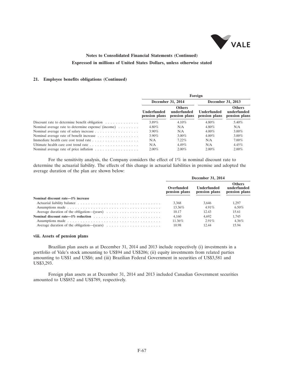

### **21. Employee benefits obligations (Continued)**

|                                                                              | <b>Foreign</b>               |                                               |                              |                                               |  |  |  |
|------------------------------------------------------------------------------|------------------------------|-----------------------------------------------|------------------------------|-----------------------------------------------|--|--|--|
|                                                                              |                              | December 31, 2014                             |                              | December 31, 2013                             |  |  |  |
|                                                                              | Underfunded<br>pension plans | <b>Others</b><br>underfunded<br>pension plans | Underfunded<br>pension plans | <b>Others</b><br>underfunded<br>pension plans |  |  |  |
| Discount rate to determine benefit obligation $\dots \dots \dots \dots$      | $3.89\%$                     | 4.10%                                         | $4.80\%$                     | 5.40%                                         |  |  |  |
| Nominal average rate to determine expense/ (income) $\dots \dots$            | $4.80\%$                     | N/A                                           | $4.80\%$                     | N/A                                           |  |  |  |
|                                                                              | $3.90\%$                     | N/A                                           | $4.00\%$                     | $3.00\%$                                      |  |  |  |
|                                                                              | $3.90\%$                     | $3.00\%$                                      | $4.00\%$                     | $3.00\%$                                      |  |  |  |
|                                                                              | N/A                          | $7.22\%$                                      | N/A                          | $7.00\%$                                      |  |  |  |
|                                                                              | N/A                          | $4.49\%$                                      | N/A                          | 4.45%                                         |  |  |  |
| Nominal average rate of price inflation $\ldots \ldots \ldots \ldots \ldots$ | $2.00\%$                     | $2.00\%$                                      | $2.00\%$                     | $2.00\%$                                      |  |  |  |

For the sensitivity analysis, the Company considers the effect of 1% in nominal discount rate to determine the actuarial liability. The effects of this change in actuarial liabilities in premise and adopted the average duration of the plan are shown below:

|                                                                                        | December 31, 2014           |                              |                                               |  |  |
|----------------------------------------------------------------------------------------|-----------------------------|------------------------------|-----------------------------------------------|--|--|
|                                                                                        | Overfunded<br>pension plans | Underfunded<br>pension plans | <b>Others</b><br>underfunded<br>pension plans |  |  |
| Nominal discount rate—1% increase                                                      |                             |                              |                                               |  |  |
|                                                                                        | 3.368                       | 3.646                        | 1.297                                         |  |  |
|                                                                                        | 13.36%                      | $4.91\%$                     | $6.50\%$                                      |  |  |
| Average duration of the obligation—(years) $\dots \dots \dots \dots \dots \dots \dots$ | 10.17                       | 12.43                        | 15.61                                         |  |  |
|                                                                                        | 4.160                       | 4.692                        | 1.745                                         |  |  |
|                                                                                        | 11.36%                      | $2.91\%$                     | $4.36\%$                                      |  |  |
| Average duration of the obligation—(years) $\dots \dots \dots \dots \dots \dots \dots$ | 10.98                       | 12.44                        | 15.94                                         |  |  |

#### **viii. Assets of pension plans**

Brazilian plan assets as at December 31, 2014 and 2013 include respectively (i) investments in a portfolio of Vale's stock amounting to US\$94 and US\$206; (ii) equity investments from related parties amounting to US\$1 and US\$6; and (iii) Brazilian Federal Government in securities of US\$3,581 and US\$3,293.

Foreign plan assets as at December 31, 2014 and 2013 included Canadian Government securities amounted to US\$852 and US\$789, respectively.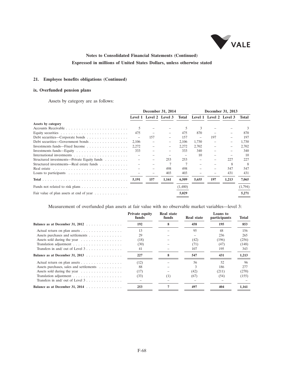

### **21. Employee benefits obligations (Continued)**

### **ix. Overfunded pension plans**

Assets by category are as follows:

|                                             | December 31, 2014 |                         |       | December 31, 2013        |                   |                         |       |         |
|---------------------------------------------|-------------------|-------------------------|-------|--------------------------|-------------------|-------------------------|-------|---------|
|                                             |                   | Level 1 Level 2 Level 3 |       | Total                    |                   | Level 1 Level 2 Level 3 |       | Total   |
| Assets by category                          |                   |                         |       |                          |                   |                         |       |         |
|                                             | .5                |                         |       |                          | 3                 |                         |       |         |
|                                             | 475               |                         |       | 475                      | 870               |                         |       | 870     |
| Debt securities—Corporate bonds             | $\qquad \qquad -$ | 157                     |       | 157                      | $\qquad \qquad -$ | 197                     |       | 197     |
| Debt securities—Government bonds            | 2,106             |                         |       | 2,106                    | 1,730             |                         |       | 1,730   |
| Investments funds—Fixed Income              | 2,272             |                         |       | 2.272                    | 2,702             |                         |       | 2,702   |
|                                             | 333               |                         |       | 333                      | 340               |                         |       | 340     |
|                                             |                   |                         |       | $\overline{\phantom{0}}$ | 10                |                         |       | 10      |
| Structured investments—Private Equity funds |                   |                         | 253   | 253                      |                   |                         | 227   | 227     |
| Structured investments—Real estate funds    |                   |                         |       |                          |                   |                         | 8     | 8       |
|                                             |                   |                         | 498   | 498                      |                   |                         | 547   | 547     |
|                                             |                   |                         | 403   | 403                      |                   |                         | 431   | 431     |
|                                             | 5,191             | 157                     | 1,161 | 6,509                    | 5,655             | 197                     | 1,213 | 7,065   |
|                                             |                   |                         |       | (1,480)                  |                   |                         |       | (1,794) |
| Fair value of plan assets at end of year    |                   |                         |       | 5,029                    |                   |                         |       | 5,271   |

Measurement of overfunded plan assets at fair value with no observable market variables—level 3:

|                                                                | <b>Private equity</b><br>funds | Real state<br>funds | <b>Real state</b> | Loans to<br><i>participants</i> | Total |
|----------------------------------------------------------------|--------------------------------|---------------------|-------------------|---------------------------------|-------|
| Balance as at December 31, 2012                                | 192                            | 8                   | 458               | 195                             | 853   |
| Actual return on plan assets                                   | 13                             |                     | 95                | 48                              | 156   |
| Assets purchases and settlements                               | 29                             |                     |                   | 236                             | 265   |
| Assets sold during the year                                    | (18)                           |                     | (42)              | (196)                           | (256) |
|                                                                | (30)                           |                     | (71)              | (47)                            | (148) |
| Transfers in and/ out of Level $3 \ldots \ldots \ldots \ldots$ | 41                             |                     | 107               | 195                             | 343   |
| Balance as at December 31, $2013$                              | 227                            | 8                   | 547               | 431                             | 1,213 |
| Actual return on plan assets                                   | (12)                           |                     | 56                | 52                              | 96    |
| Assets purchases, sales and settlements                        | 88                             |                     |                   | 186                             | 277   |
| Assets sold during the year                                    | (17)                           |                     | (42)              | (211)                           | (270) |
|                                                                | (33)                           | (1)                 | (67)              | (54)                            | (155) |
| Transfers in and/ out of Level $3 \ldots \ldots \ldots \ldots$ |                                |                     |                   |                                 |       |
| Balance as at December 31, 2014                                | 253                            |                     | 497               | 404                             | 1.161 |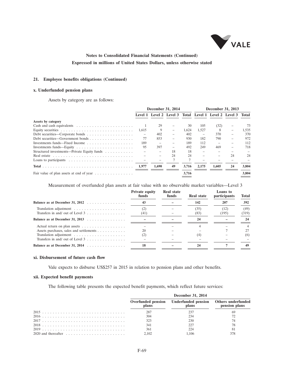

### **21. Employee benefits obligations (Continued)**

### **x. Underfunded pension plans**

Assets by category are as follows:

|                                                                              | December 31, 2014 |       |    | December 31, 2013 |       |                                                             |    |       |
|------------------------------------------------------------------------------|-------------------|-------|----|-------------------|-------|-------------------------------------------------------------|----|-------|
|                                                                              |                   |       |    |                   |       | Level 1 Level 2 Level 3 Total Level 1 Level 2 Level 3 Total |    |       |
| Assets by category                                                           |                   |       |    |                   |       |                                                             |    |       |
|                                                                              |                   | 29    |    | 30                | 105   | (32)                                                        |    | 73    |
|                                                                              | 1.615             | 9     |    | 1.624             | 1.527 | 8                                                           |    | 1,535 |
|                                                                              |                   | 402   |    | 402               |       | 370                                                         |    | 370   |
| Debt securities—Government bonds                                             | 77                | 853   |    | 930               | 182   | 790                                                         |    | 972   |
| Investments funds—Fixed Income                                               | 189               |       |    | 189               | 112   |                                                             |    | 112   |
|                                                                              | 95                | 397   |    | 492               | 249   | 469                                                         |    | 718   |
| Structured investments—Private Equity funds                                  |                   |       | 18 | 18                |       |                                                             |    |       |
| Real estate $\ldots \ldots \ldots \ldots \ldots \ldots \ldots \ldots \ldots$ |                   |       | 24 | 24                |       |                                                             | 24 | 24    |
|                                                                              |                   |       |    |                   |       |                                                             |    |       |
|                                                                              | 1.977             | 1.690 | 49 | 3.716             | 2.175 | 1.605                                                       | 24 | 3.804 |
| Fair value of plan assets at end of year $\dots \dots \dots \dots$           |                   |       |    | 3,716             |       |                                                             |    | 3,804 |

Measurement of overfunded plan assets at fair value with no observable market variables—Level 3

|                                                                         | <b>Private equity</b><br>funds | <b>Real state</b><br>funds | Real state   | Loans to<br>participants | <b>Total</b>  |
|-------------------------------------------------------------------------|--------------------------------|----------------------------|--------------|--------------------------|---------------|
|                                                                         | 43                             |                            | 142          | 207                      | 392           |
| Transfers in and/ out of Level $3 \ldots \ldots \ldots \ldots$          | (2)<br>(41)                    |                            | (35)<br>(83) | (12)<br>(195)            | (49)<br>(319) |
| Balance as at December 31, 2013                                         |                                |                            | 24           |                          | 24            |
| Actual return on plan assets<br>Assets purchases, sales and settlements | 20<br>$\left( 2\right)$        |                            | (4)          |                          | (6)           |
| Transfers in and/ out of Level $3 \ldots \ldots \ldots \ldots$          |                                |                            |              |                          |               |
| Balance as at December 31, 2014 $\ldots$ ,                              | 18                             |                            | 24           |                          | 49            |

### **xi. Disbursement of future cash flow**

Vale expects to disburse US\$257 in 2015 in relation to pension plans and other benefits.

### **xii. Expected benefit payments**

The following table presents the expected benefit payments, which reflect future services:

| December 31, 2014 |                                                 |                                     |  |  |  |  |
|-------------------|-------------------------------------------------|-------------------------------------|--|--|--|--|
|                   | Overfunded pension Underfunded pension<br>plans | Others underfunded<br>pension plans |  |  |  |  |
|                   |                                                 |                                     |  |  |  |  |
| 304               | 234                                             |                                     |  |  |  |  |
| 323               | 230                                             |                                     |  |  |  |  |
| 341               |                                                 |                                     |  |  |  |  |
| 361               |                                                 | -81                                 |  |  |  |  |
| 2.102             | 1.106                                           | 378                                 |  |  |  |  |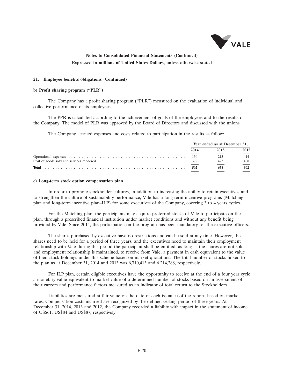

#### **21. Employee benefits obligations (Continued)**

#### **b) Profit sharing program (''PLR'')**

The Company has a profit sharing program (''PLR'') measured on the evaluation of individual and collective performance of its employees.

The PPR is calculated according to the achievement of goals of the employees and to the results of the Company. The model of PLR was approved by the Board of Directors and discussed with the unions.

The Company accrued expenses and costs related to participation in the results as follow:

|     | Year ended as at December 31, |      |  |
|-----|-------------------------------|------|--|
|     | 2013                          | 2012 |  |
| 130 | 215                           |      |  |
| 372 | 423                           | 488  |  |
| 502 | 638                           | 902  |  |

#### **c) Long-term stock option compensation plan**

In order to promote stockholder cultures, in addition to increasing the ability to retain executives and to strengthen the culture of sustainability performance, Vale has a long-term incentive programs (Matching plan and long-term incentive plan–ILP) for some executives of the Company, covering 3 to 4 years cycles.

For the Matching plan, the participants may acquire preferred stocks of Vale to participate on the plan, through a prescribed financial institution under market conditions and without any benefit being provided by Vale. Since 2014, the participation on the program has been mandatory for the executive officers.

The shares purchased by executive have no restrictions and can be sold at any time. However, the shares need to be held for a period of three years, and the executives need to maintain their employment relationship with Vale during this period the participant shall be entitled, as long as the shares are not sold and employment relationship is maintained, to receive from Vale, a payment in cash equivalent to the value of their stock holdings under this scheme based on market quotations. The total number of stocks linked to the plan as at December 31, 2014 and 2013 was 6,710,413 and 6,214,288, respectively.

For ILP plan, certain eligible executives have the opportunity to receive at the end of a four year cycle a monetary value equivalent to market value of a determined number of stocks based on an assessment of their careers and performance factors measured as an indicator of total return to the Stockholders.

Liabilities are measured at fair value on the date of each issuance of the report, based on market rates. Compensation costs incurred are recognized by the defined vesting period of three years. At December 31, 2014, 2013 and 2012, the Company recorded a liability with impact in the statement of income of US\$61, US\$84 and US\$87, respectively.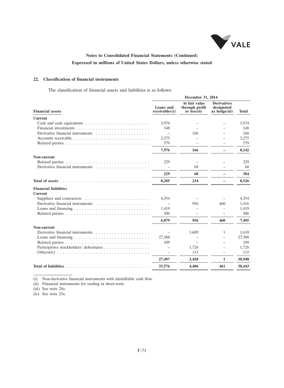

### **22. Classification of financial instruments**

The classification of financial assets and liabilities is as follows:

|                                                                                            | December 31, 2014           |                                                |                                                   |              |  |
|--------------------------------------------------------------------------------------------|-----------------------------|------------------------------------------------|---------------------------------------------------|--------------|--|
| <b>Financial assets</b>                                                                    | Loans and<br>receivables(i) | At fair value<br>through profit<br>or loss(ii) | <b>Derivatives</b><br>designated<br>as hedge(iii) | <b>Total</b> |  |
| <b>Current</b>                                                                             |                             |                                                |                                                   |              |  |
|                                                                                            | 3,974                       |                                                |                                                   | 3,974        |  |
|                                                                                            | 148                         |                                                |                                                   | 148          |  |
| Derivative financial instruments                                                           |                             | 166                                            |                                                   | 166          |  |
|                                                                                            | 3,275                       |                                                |                                                   | 3,275        |  |
|                                                                                            | 579                         |                                                |                                                   | 579          |  |
|                                                                                            | 7,976                       | 166                                            |                                                   | 8,142        |  |
| Non-current                                                                                |                             |                                                |                                                   |              |  |
|                                                                                            | 229                         |                                                |                                                   | 229          |  |
| Derivative financial instruments                                                           |                             | 68                                             |                                                   | 68           |  |
|                                                                                            | 229                         | 68                                             |                                                   | 384          |  |
|                                                                                            | 8,205                       | 234                                            |                                                   | 8,526        |  |
| <b>Financial liabilities</b>                                                               |                             |                                                |                                                   |              |  |
| <b>Current</b>                                                                             |                             |                                                |                                                   |              |  |
| Suppliers and contractors $\dots \dots \dots \dots \dots \dots \dots \dots$                | 4,354                       |                                                |                                                   | 4,354        |  |
|                                                                                            |                             | 956                                            | 460                                               | 1,416        |  |
|                                                                                            | 1,419                       |                                                |                                                   | 1,419        |  |
|                                                                                            | 306                         |                                                |                                                   | 306          |  |
|                                                                                            | 6,079                       | 956                                            | 460                                               | 7,495        |  |
| Non-current                                                                                |                             |                                                |                                                   |              |  |
|                                                                                            |                             | 1,609                                          | 1                                                 | 1,610        |  |
|                                                                                            | 27,388                      |                                                |                                                   | 27,388       |  |
|                                                                                            | 109                         |                                                |                                                   | 109          |  |
| Participative stockholders' debentures                                                     |                             | 1,726                                          |                                                   | 1,726        |  |
| Others (iv) $\ldots \ldots \ldots \ldots \ldots \ldots \ldots \ldots \ldots \ldots \ldots$ |                             | 115                                            |                                                   | 115          |  |
|                                                                                            | 27,497                      | 3,450                                          | 1                                                 | 30,948       |  |
|                                                                                            | 33,576                      | 4,406                                          | 461                                               | 38,443       |  |
|                                                                                            |                             |                                                |                                                   |              |  |

(i) Non-derivative financial instruments with identifiable cash flow.

(ii) Financial instruments for trading in short-term.

(iii) See note 24a.

(iv) See note 23a.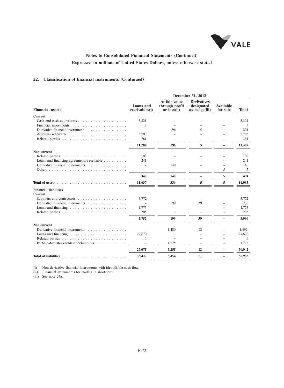

### **22. Classification of financial instruments (Continued)**

|                                                                 | December 31, 2013           |                                                |                                                   |                          |              |  |  |  |
|-----------------------------------------------------------------|-----------------------------|------------------------------------------------|---------------------------------------------------|--------------------------|--------------|--|--|--|
| <b>Financial assets</b>                                         | Loans and<br>receivables(i) | At fair value<br>through profit<br>or loss(ii) | <b>Derivatives</b><br>designated<br>as hedge(iii) | Available<br>for sale    | <b>Total</b> |  |  |  |
| <b>Current</b>                                                  |                             |                                                |                                                   |                          |              |  |  |  |
|                                                                 | 5,321                       |                                                |                                                   |                          | 5,321        |  |  |  |
|                                                                 | 3                           |                                                |                                                   |                          | 3            |  |  |  |
| Derivative financial instruments                                |                             | 196                                            | 5                                                 | -                        | 201          |  |  |  |
|                                                                 | 5,703                       |                                                |                                                   | $\equiv$                 | 5.703        |  |  |  |
|                                                                 | 261                         |                                                |                                                   | $=$                      | 261          |  |  |  |
|                                                                 | 11,288                      | 196                                            | 5                                                 | -                        | 11,489       |  |  |  |
| Non-current                                                     |                             |                                                |                                                   |                          |              |  |  |  |
|                                                                 | 108                         |                                                |                                                   |                          | 108          |  |  |  |
| Loans and financing agreements receivable                       | 241                         |                                                |                                                   |                          | 241          |  |  |  |
| Derivative financial instruments                                |                             | 140                                            |                                                   |                          | 140          |  |  |  |
|                                                                 |                             |                                                |                                                   | 5                        | 5            |  |  |  |
|                                                                 | 349                         | 140                                            | $\overline{\phantom{0}}$                          | 5                        | 494          |  |  |  |
|                                                                 | 11,637                      | 336                                            | 5                                                 | 5                        | 11,983       |  |  |  |
| <b>Financial liabilities</b>                                    |                             |                                                |                                                   |                          |              |  |  |  |
| <b>Current</b>                                                  |                             |                                                |                                                   |                          |              |  |  |  |
|                                                                 | 3,772                       |                                                |                                                   |                          | 3.772        |  |  |  |
| Derivative financial instruments                                |                             | 199                                            | 39                                                |                          | 238          |  |  |  |
|                                                                 | 1,775                       |                                                |                                                   |                          | 1,775        |  |  |  |
|                                                                 | 205                         |                                                |                                                   | -                        | 205          |  |  |  |
|                                                                 | 5,752                       | 199                                            | 39                                                | $\overline{\phantom{0}}$ | 5,990        |  |  |  |
| Non-current                                                     |                             |                                                |                                                   |                          |              |  |  |  |
| Derivative financial instruments                                |                             | 1,480                                          | 12                                                |                          | 1,492        |  |  |  |
| Loans and financing $\ldots \ldots \ldots \ldots \ldots \ldots$ | 27,670                      |                                                |                                                   |                          | 27,670       |  |  |  |
|                                                                 | 5                           |                                                |                                                   |                          | 5            |  |  |  |
| Participative stockholders' debentures                          | ÷                           | 1,775                                          |                                                   |                          | 1,775        |  |  |  |
|                                                                 | 27,675                      | 3,255                                          | 12                                                | $\overline{\phantom{0}}$ | 30,942       |  |  |  |
| Total of liabilities $\ldots$                                   | 33,427                      | 3,454                                          | 51                                                |                          | 36,932       |  |  |  |

(i) Non-derivative financial instruments with identifiable cash flow.

(ii) Financial instruments for trading in short-term.

(iii) See note 24a.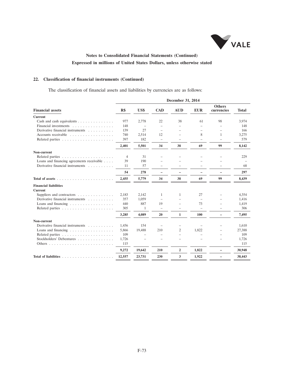

### **22. Classification of financial instruments (Continued)**

The classification of financial assets and liabilities by currencies are as follows:

|                                                          | December 31, 2014 |                          |                          |                |            |                             |              |  |  |
|----------------------------------------------------------|-------------------|--------------------------|--------------------------|----------------|------------|-----------------------------|--------------|--|--|
| <b>Financial assets</b>                                  | R\$               | US\$                     | <b>CAD</b>               | <b>AUD</b>     | <b>EUR</b> | <b>Others</b><br>currencies | <b>Total</b> |  |  |
| <b>Current</b>                                           |                   |                          |                          |                |            |                             |              |  |  |
| Cash and cash equivalents                                | 977               | 2,778                    | 22                       | 38             | 61         | 98                          | 3.974        |  |  |
| Financial investments                                    | 148               | $\overline{\phantom{a}}$ | $\equiv$                 | $\equiv$       |            | $\equiv$                    | 148          |  |  |
| Derivative financial instruments                         | 139               | 27                       |                          |                |            |                             | 166          |  |  |
|                                                          | 740               | 2,514                    | 12                       |                | 8          | $\mathbf{1}$                | 3,275        |  |  |
|                                                          | 397               | 182                      | $\overline{\phantom{m}}$ |                | $\equiv$   | $\equiv$                    | 579          |  |  |
|                                                          | 2,401             | 5,501                    | 34                       | 38             | 69         | 99                          | 8,142        |  |  |
| Non-current                                              |                   |                          |                          |                |            |                             |              |  |  |
|                                                          | $\overline{4}$    | 31                       |                          |                |            |                             | 229          |  |  |
| Loans and financing agreements receivable                | 39                | 190                      |                          |                |            |                             |              |  |  |
| Derivative financial instruments                         | 11                | 57                       |                          |                |            |                             | 68           |  |  |
|                                                          | 54                | 278                      | $\overline{\phantom{0}}$ |                |            | $\overline{\phantom{0}}$    | 297          |  |  |
| Total of assets                                          | 2,455             | 5,779                    | 34                       | 38             | 69         | 99                          | 8,439        |  |  |
| <b>Financial liabilities</b><br><b>Current</b>           |                   |                          |                          |                |            |                             |              |  |  |
| Suppliers and contractors                                | 2,183             | 2,142                    | 1                        | 1              | 27         |                             | 4,354        |  |  |
| Derivative financial instruments                         | 357               | 1,059                    | $\equiv$                 |                | $\equiv$   |                             | 1,416        |  |  |
| Loans and financing $\ldots \ldots \ldots \ldots \ldots$ | 440               | 887                      | 19                       | $\equiv$       | 73         | $\equiv$                    | 1,419        |  |  |
|                                                          | 305               | 1                        | $=$                      | $\equiv$       | ÷          | $\equiv$                    | 306          |  |  |
|                                                          | 3,285             | 4,089                    | 20                       | 1              | 100        | $\overline{\phantom{0}}$    | 7,495        |  |  |
| Non-current                                              |                   |                          |                          |                |            |                             |              |  |  |
| Derivative financial instruments                         | 1,456             | 154                      |                          |                |            |                             | 1,610        |  |  |
| Loans and financing $\ldots \ldots \ldots \ldots \ldots$ | 5,866             | 19,488                   | 210                      | 2              | 1.822      |                             | 27,388       |  |  |
|                                                          | 109               |                          |                          |                |            |                             | 109          |  |  |
| Stockholders' Debentures                                 | 1,726             |                          |                          |                |            |                             | 1,726        |  |  |
|                                                          | 115               |                          |                          |                |            |                             | 115          |  |  |
|                                                          | 9,272             | 19,642                   | 210                      | $\overline{2}$ | 1,822      | $\overline{\phantom{0}}$    | 30,948       |  |  |
|                                                          | 12,557            | 23,731                   | 230                      | 3              | 1,922      |                             | 38,443       |  |  |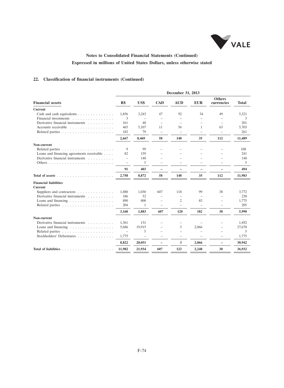

### **22. Classification of financial instruments (Continued)**

|                                                                                                                                                                                                                                                                                                                                                                                                                                                                                  | December 31, 2013        |                          |                          |                          |                          |                             |              |  |  |
|----------------------------------------------------------------------------------------------------------------------------------------------------------------------------------------------------------------------------------------------------------------------------------------------------------------------------------------------------------------------------------------------------------------------------------------------------------------------------------|--------------------------|--------------------------|--------------------------|--------------------------|--------------------------|-----------------------------|--------------|--|--|
| <b>Financial assets</b>                                                                                                                                                                                                                                                                                                                                                                                                                                                          | R\$                      | US\$                     | <b>CAD</b>               | <b>AUD</b>               | <b>EUR</b>               | <b>Others</b><br>currencies | <b>Total</b> |  |  |
| <b>Current</b>                                                                                                                                                                                                                                                                                                                                                                                                                                                                   |                          |                          |                          |                          |                          |                             |              |  |  |
| Cash and cash equivalents                                                                                                                                                                                                                                                                                                                                                                                                                                                        | 1,856                    | 3,243                    | 47                       | 92                       | 34                       | 49                          | 5,321        |  |  |
| Financial investments                                                                                                                                                                                                                                                                                                                                                                                                                                                            | 3                        |                          |                          |                          |                          |                             | 3            |  |  |
| Derivative financial instruments                                                                                                                                                                                                                                                                                                                                                                                                                                                 | 161                      | 40                       |                          |                          |                          |                             | 201          |  |  |
|                                                                                                                                                                                                                                                                                                                                                                                                                                                                                  | 465                      | 5.107                    | 11                       | 56                       | $\mathbf{1}$             | 63                          | 5.703        |  |  |
|                                                                                                                                                                                                                                                                                                                                                                                                                                                                                  | 182                      | 79                       | $\equiv$                 | $\overline{\phantom{m}}$ | $\overline{\phantom{0}}$ | $\overline{\phantom{m}}$    | 261          |  |  |
|                                                                                                                                                                                                                                                                                                                                                                                                                                                                                  | 2,667                    | 8,469                    | 58                       | 148                      | 35                       | 112                         | 11,489       |  |  |
| Non-current                                                                                                                                                                                                                                                                                                                                                                                                                                                                      |                          |                          |                          |                          |                          |                             |              |  |  |
|                                                                                                                                                                                                                                                                                                                                                                                                                                                                                  | 9                        | 99                       |                          |                          |                          |                             | 108          |  |  |
| Loans and financing agreements receivable                                                                                                                                                                                                                                                                                                                                                                                                                                        | 82                       | 159                      |                          |                          |                          |                             | 241          |  |  |
| Derivative financial instruments                                                                                                                                                                                                                                                                                                                                                                                                                                                 | $\overline{\phantom{0}}$ | 140                      |                          |                          |                          |                             | 140          |  |  |
|                                                                                                                                                                                                                                                                                                                                                                                                                                                                                  | $\overline{\phantom{0}}$ | 5                        |                          |                          |                          |                             | 5            |  |  |
|                                                                                                                                                                                                                                                                                                                                                                                                                                                                                  | 91                       | 403                      | $\overline{\phantom{0}}$ |                          |                          |                             | 494          |  |  |
| Total of assets<br>$\label{eq:1} \begin{array}{lllllllll} \mathbf{1}_{\mathbf{1}_{1}} & \mathbf{1}_{\mathbf{1}_{1}} & \mathbf{1}_{\mathbf{1}_{1}} & \mathbf{1}_{\mathbf{1}_{1}} \\ \mathbf{1}_{\mathbf{1}_{1}} & \mathbf{1}_{\mathbf{1}_{1}} & \mathbf{1}_{\mathbf{1}_{1}} & \mathbf{1}_{\mathbf{1}_{1}} & \mathbf{1}_{\mathbf{1}_{1}} \\ \mathbf{1}_{\mathbf{1}_{1}} & \mathbf{1}_{\mathbf{1}_{1}} & \mathbf{1}_{\mathbf{1}_{1}} & \mathbf{1}_{\mathbf{1}_{1}} & \mathbf{1}_{\$ | 2,758                    | 8,872                    | 58                       | 148                      | 35                       | 112                         | 11,983       |  |  |
| <b>Financial liabilities</b>                                                                                                                                                                                                                                                                                                                                                                                                                                                     |                          |                          |                          |                          |                          |                             |              |  |  |
| <b>Current</b>                                                                                                                                                                                                                                                                                                                                                                                                                                                                   |                          |                          |                          |                          |                          |                             |              |  |  |
| Suppliers and contractors                                                                                                                                                                                                                                                                                                                                                                                                                                                        | 1,880                    | 1,030                    | 607                      | 118                      | 99                       | 38                          | 3,772        |  |  |
| Derivative financial instruments                                                                                                                                                                                                                                                                                                                                                                                                                                                 | 186                      | 52                       | $\equiv$                 | $\qquad \qquad -$        | $\equiv$                 | $\equiv$                    | 238          |  |  |
| Loans and financing $\ldots \ldots \ldots \ldots \ldots$                                                                                                                                                                                                                                                                                                                                                                                                                         | 890                      | 800                      | $\overline{\phantom{m}}$ | $\overline{c}$           | 83                       | $\overline{\phantom{m}}$    | 1,775        |  |  |
|                                                                                                                                                                                                                                                                                                                                                                                                                                                                                  | 204                      | 1                        | $=$                      | $\equiv$                 | $\equiv$                 | $\equiv$                    | 205          |  |  |
|                                                                                                                                                                                                                                                                                                                                                                                                                                                                                  | 3,160                    | 1,883                    | 607                      | 120                      | 182                      | 38                          | 5,990        |  |  |
| Non-current                                                                                                                                                                                                                                                                                                                                                                                                                                                                      |                          |                          |                          |                          |                          |                             |              |  |  |
| Derivative financial instruments                                                                                                                                                                                                                                                                                                                                                                                                                                                 | 1,361                    | 131                      |                          |                          |                          |                             | 1,492        |  |  |
| Loans and financing $\ldots \ldots \ldots \ldots \ldots$                                                                                                                                                                                                                                                                                                                                                                                                                         | 5.686                    | 19.915                   |                          | 3                        | 2,066                    | $\overline{\phantom{a}}$    | 27,670       |  |  |
|                                                                                                                                                                                                                                                                                                                                                                                                                                                                                  |                          | 5                        |                          | $=$                      |                          |                             | 5            |  |  |
| Stockholders' Debentures                                                                                                                                                                                                                                                                                                                                                                                                                                                         | 1,775                    | $\overline{\phantom{0}}$ |                          |                          |                          |                             | 1,775        |  |  |
|                                                                                                                                                                                                                                                                                                                                                                                                                                                                                  | 8,822                    | 20,051                   | $\overline{\phantom{0}}$ | 3                        | 2,066                    | $\overline{\phantom{0}}$    | 30,942       |  |  |
| Total of liabilities                                                                                                                                                                                                                                                                                                                                                                                                                                                             | 11,982                   | 21,934                   | 607                      | 123                      | 2,248                    | 38                          | 36,932       |  |  |
|                                                                                                                                                                                                                                                                                                                                                                                                                                                                                  |                          |                          |                          |                          |                          |                             |              |  |  |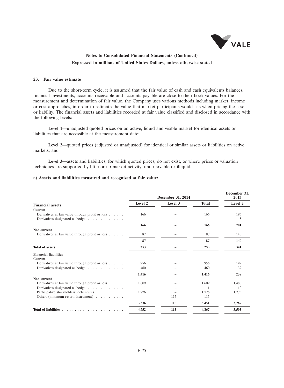

#### **23. Fair value estimate**

Due to the short-term cycle, it is assumed that the fair value of cash and cash equivalents balances, financial investments, accounts receivable and accounts payable are close to their book values. For the measurement and determination of fair value, the Company uses various methods including market, income or cost approaches, in order to estimate the value that market participants would use when pricing the asset or liability. The financial assets and liabilities recorded at fair value classified and disclosed in accordance with the following levels:

**Level 1**—unadjusted quoted prices on an active, liquid and visible market for identical assets or liabilities that are accessible at the measurement date;

Level 2—quoted prices (adjusted or unadjusted) for identical or similar assets or liabilities on active markets; and

**Level 3**—assets and liabilities, for which quoted prices, do not exist, or where prices or valuation techniques are supported by little or no market activity, unobservable or illiquid.

#### **a) Assets and liabilities measured and recognized at fair value:**

|                                                  |                          | December 31, 2014 |              | December 31,<br>2013 |
|--------------------------------------------------|--------------------------|-------------------|--------------|----------------------|
| <b>Financial assets</b>                          | Level 2                  | Level 3           | <b>Total</b> | Level 2              |
| <b>Current</b>                                   |                          |                   |              |                      |
| Derivatives at fair value through profit or loss | 166                      |                   | 166          | 196                  |
| Derivatives designated as hedge                  | $\overline{\phantom{0}}$ |                   |              | 5                    |
|                                                  | 166                      |                   | 166          | 201                  |
| Non-current                                      |                          |                   |              |                      |
| Derivatives at fair value through profit or loss | 87                       |                   | 87           | 140                  |
|                                                  | 87                       |                   | 87           | 140                  |
|                                                  | 253                      |                   | 253          | 341                  |
| <b>Financial liabilities</b>                     |                          |                   |              |                      |
| <b>Current</b>                                   |                          |                   |              |                      |
| Derivatives at fair value through profit or loss | 956                      |                   | 956          | 199                  |
| Derivatives designated as hedge                  | 460                      |                   | 460          | 39                   |
|                                                  | 1,416                    |                   | 1,416        | 238                  |
| Non-current                                      |                          |                   |              |                      |
| Derivatives at fair value through profit or loss | 1.609                    |                   | 1.609        | 1,480                |
| Derivatives designated as hedge                  | 1                        |                   |              | 12                   |
| Participative stockholders' debentures           | 1,726                    |                   | 1,726        | 1,775                |
| Others (minimum return instrument)               |                          | 115               | 115          |                      |
|                                                  | 3,336                    | 115               | 3,451        | 3,267                |
|                                                  | 4,752                    | 115               | 4,867        | 3,505                |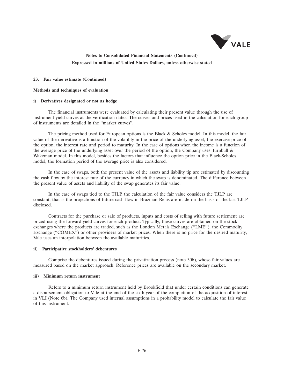

#### **23. Fair value estimate (Continued)**

#### **Methods and techniques of evaluation**

#### **i) Derivatives designated or not as hedge**

The financial instruments were evaluated by calculating their present value through the use of instrument yield curves at the verification dates. The curves and prices used in the calculation for each group of instruments are detailed in the ''market curves''.

The pricing method used for European options is the Black  $\&$  Scholes model. In this model, the fair value of the derivative is a function of the volatility in the price of the underlying asset, the exercise price of the option, the interest rate and period to maturity. In the case of options when the income is a function of the average price of the underlying asset over the period of the option, the Company uses Turnbull  $\&$ Wakeman model. In this model, besides the factors that influence the option price in the Black-Scholes model, the formation period of the average price is also considered.

In the case of swaps, both the present value of the assets and liability tip are estimated by discounting the cash flow by the interest rate of the currency in which the swap is denominated. The difference between the present value of assets and liability of the swap generates its fair value.

In the case of swaps tied to the TJLP, the calculation of the fair value considers the TJLP are constant, that is the projections of future cash flow in Brazilian Reais are made on the basis of the last TJLP disclosed.

Contracts for the purchase or sale of products, inputs and costs of selling with future settlement are priced using the forward yield curves for each product. Typically, these curves are obtained on the stock exchanges where the products are traded, such as the London Metals Exchange (''LME''), the Commodity Exchange (''COMEX'') or other providers of market prices. When there is no price for the desired maturity, Vale uses an interpolation between the available maturities.

#### **ii) Participative stockholders' debentures**

Comprise the debentures issued during the privatization process (note 30b), whose fair values are measured based on the market approach. Reference prices are available on the secondary market.

#### **iii) Minimum return instrument**

Refers to a minimum return instrument held by Brookfield that under certain conditions can generate a disbursement obligation to Vale at the end of the sixth year of the completion of the acquisition of interest in VLI (Note 6b). The Company used internal assumptions in a probability model to calculate the fair value of this instrument.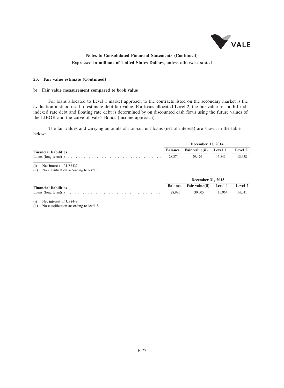

#### **23. Fair value estimate (Continued)**

#### **b) Fair value measurement compared to book value**

For loans allocated to Level 1 market approach to the contracts listed on the secondary market is the evaluation method used to estimate debt fair value. For loans allocated Level 2, the fair value for both fixedindexed rate debt and floating rate debt is determined by on discounted cash flows using the future values of the LIBOR and the curve of Vale's Bonds (income approach).

The fair values and carrying amounts of non-current loans (net of interest) are shown in the table below:

|                              |        | December 31, 2014                      |        |        |  |
|------------------------------|--------|----------------------------------------|--------|--------|--|
| <b>Financial liabilities</b> |        | Balance Fair value(ii) Level 1 Level 2 |        |        |  |
|                              | 28.370 | 29.479                                 | 15.841 | 13.638 |  |
|                              |        |                                        |        |        |  |

(i) Net interest of US\$437

(ii) No classification according to level 3.

|                              | December 31, 2013                      |               |  |
|------------------------------|----------------------------------------|---------------|--|
| <b>Financial liabilities</b> | Balance Fair value(ii) Level 1 Level 2 |               |  |
|                              | 30,005                                 | 15.964 14.041 |  |

(i) Net interest of US\$449

(ii) No classification according to level 3.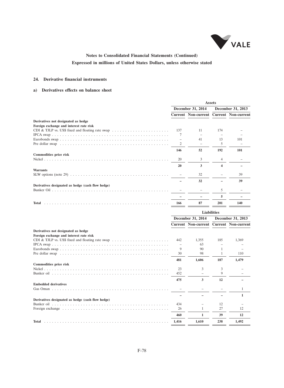

### **24. Derivative financial instruments**

### **a) Derivatives effects on balance sheet**

|                                                                                                    |     |                            | <b>Assets</b>      |                            |
|----------------------------------------------------------------------------------------------------|-----|----------------------------|--------------------|----------------------------|
|                                                                                                    |     | December 31, 2014          |                    | December 31, 2013          |
|                                                                                                    |     | <b>Current Non-current</b> |                    | <b>Current Non-current</b> |
| Derivatives not designated as hedge                                                                |     |                            |                    |                            |
| Foreign exchange and interest rate risk                                                            |     |                            |                    |                            |
| CDI & TJLP vs. US\$ fixed and floating rate swap $\dots \dots \dots \dots \dots \dots \dots \dots$ | 137 | 11                         | 174                |                            |
|                                                                                                    | 7   | $\overline{\phantom{m}}$   |                    |                            |
|                                                                                                    | ÷   | 41                         | 13                 | 101                        |
|                                                                                                    | 2   |                            | 5                  |                            |
|                                                                                                    | 146 | 52                         | 192                | 101                        |
| Commodities price risk                                                                             |     |                            |                    |                            |
|                                                                                                    | 20  | 3                          | 4                  |                            |
|                                                                                                    | 20  | 3                          | 4                  |                            |
| <b>Warrants</b>                                                                                    |     |                            |                    |                            |
|                                                                                                    |     | 32                         |                    | 39                         |
|                                                                                                    |     | 32                         |                    | 39                         |
| Derivatives designated as hedge (cash flow hedge)                                                  |     |                            |                    |                            |
|                                                                                                    |     |                            | 5                  |                            |
|                                                                                                    |     |                            | 5                  |                            |
| Total                                                                                              | 166 | 87                         | 201                | 140                        |
|                                                                                                    |     |                            | <b>Liabilities</b> |                            |
|                                                                                                    |     |                            |                    |                            |
|                                                                                                    |     | December 31, 2014          |                    | December 31, 2013          |
|                                                                                                    |     | <b>Current Non-current</b> |                    | <b>Current Non-current</b> |
| Derivatives not designated as hedge                                                                |     |                            |                    |                            |
| Foreign exchange and interest rate risk                                                            |     |                            |                    |                            |
|                                                                                                    | 442 | 1,355                      | 185                | 1,369                      |
|                                                                                                    |     | 63                         |                    |                            |
|                                                                                                    | 9   | 90                         |                    |                            |

|       | 90    |     |       |
|-------|-------|-----|-------|
| 30    | 98    |     | 110   |
| 481   | 1.606 | 187 | 1,479 |
|       |       |     |       |
| 23    |       |     |       |
| 452   |       |     |       |
| 475   | 3     | 12  |       |
|       |       |     |       |
|       |       |     |       |
|       |       |     |       |
|       |       |     |       |
| 434   |       | 12  |       |
| 26    |       | 27  | 12    |
| 460   | 1     | 39  | 12    |
| 1.416 | 1.610 | 238 | 1.492 |
|       |       |     |       |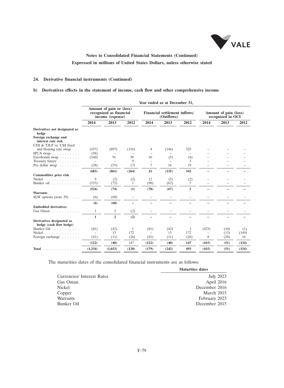

### **24. Derivative financial instruments (Continued)**

### **b) Derivatives effects in the statement of income, cash flow and other comprehensive income**

|                                                      |          |                                                                         |              |                          | Year ended as at December 31,               |      |                                            |      |       |  |
|------------------------------------------------------|----------|-------------------------------------------------------------------------|--------------|--------------------------|---------------------------------------------|------|--------------------------------------------|------|-------|--|
|                                                      |          | Amount of gain or (loss)<br>recognized as financial<br>income (expense) |              |                          | Financial settlement inflows/<br>(Outflows) |      | Amount of gain (loss)<br>recognized in OCI |      |       |  |
|                                                      | 2014     | 2013                                                                    | 2012         | 2014                     | 2013                                        | 2012 | 2014                                       | 2013 | 2012  |  |
| Derivatives not designated as<br>hedge               |          |                                                                         |              |                          |                                             |      |                                            |      |       |  |
| Foreign exchange and<br>interest rate risk           |          |                                                                         |              |                          |                                             |      |                                            |      |       |  |
| CDI & TJLP vs. US\$ fixed                            |          |                                                                         |              |                          |                                             |      |                                            |      |       |  |
| and floating rate swap                               | (437)    | (897)                                                                   | (316)        | 4                        | (146)                                       | 325  |                                            |      |       |  |
| IPCA swap $\ldots$                                   | (58)     |                                                                         |              |                          |                                             |      |                                            |      |       |  |
| Eurobonds swap                                       | (160)    | 91                                                                      | 50           | 10                       | (5)                                         | (4)  |                                            |      |       |  |
| Treasury future                                      | $=$      | $=$                                                                     | 9            | $\equiv$                 | $=$                                         | 3    |                                            |      |       |  |
| Pre dollar swap $\dots \dots$                        | (28)     | (55)                                                                    | (7)          | 7                        | 16                                          | 19   |                                            |      |       |  |
|                                                      | (683)    | (861)                                                                   | (264)        | 21                       | (135)                                       | 343  |                                            |      |       |  |
| <b>Commodities price risk</b>                        |          |                                                                         |              |                          |                                             |      |                                            |      |       |  |
| Nickel $\ldots$ $\ldots$ $\ldots$ $\ldots$           | 9        | (2)                                                                     | (2)          | 12                       | (5)                                         | (2)  |                                            |      |       |  |
| Bunker oil                                           | (533)    | (72)                                                                    | 1            | (90)                     | (62)                                        | 5    |                                            |      |       |  |
|                                                      | (524)    | (74)                                                                    | (1)          | (78)                     | (67)                                        | 3    |                                            |      |       |  |
| <b>Warrants</b>                                      |          |                                                                         |              |                          |                                             |      |                                            |      |       |  |
| SLW options (note 29) $\ldots$ .                     | (6)      | (60)                                                                    |              |                          |                                             |      |                                            |      |       |  |
|                                                      | (6)      | (60)                                                                    |              |                          |                                             |      |                                            |      |       |  |
| <b>Embedded derivatives</b>                          |          |                                                                         |              |                          |                                             |      |                                            |      |       |  |
| Gas Oman $\ldots$ ,                                  | 1        | 2                                                                       | (2)          |                          |                                             |      |                                            |      |       |  |
|                                                      | 1        | $\mathbf{2}$                                                            | (2)          |                          |                                             |      |                                            |      |       |  |
| Derivatives designated as<br>hedge (cash flow hedge) |          |                                                                         |              |                          |                                             |      |                                            |      |       |  |
| Bunker Oil                                           | (81)     | (42)                                                                    | $\mathbf{1}$ | (81)                     | (42)                                        | 1    | (423)                                      | (10) | (1)   |  |
| Nickel $\ldots$ $\ldots$ $\ldots$ $\ldots$ $\ldots$  | $\equiv$ | 13                                                                      | 172          | $\overline{\phantom{m}}$ | 13                                          | 172  |                                            | (13) | (149) |  |
| Foreign exchange                                     | (41)     | (11)                                                                    | (26)         | (41)                     | (11)                                        | (26) | 8                                          | (28) | 16    |  |
|                                                      | (122)    | (40)                                                                    | 147          | (122)                    | (40)                                        | 147  | (415)                                      | (51) | (134) |  |
| <b>Total</b><br>.                                    | (1, 334) | (1,033)                                                                 | (120)        | (179)                    | (242)                                       | 493  | (415)                                      | (51) | (134) |  |
|                                                      |          |                                                                         |              |                          |                                             |      |                                            |      |       |  |

The maturities dates of the consolidated financial instruments are as follows:

|                            | <b>Maturities dates</b> |
|----------------------------|-------------------------|
| Currencies/ Interest Rates | July 2023               |
| Gas Oman                   | April 2016              |
| Nickel                     | December 2016           |
| Copper                     | March 2015              |
| Warrants                   | February 2023           |
| Bunker Oil                 | December 2015           |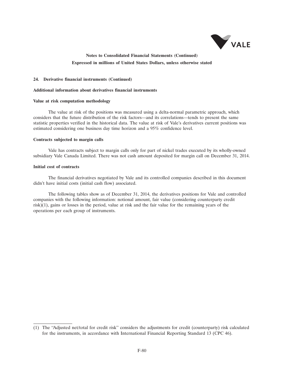

#### **24. Derivative financial instruments (Continued)**

#### **Additional information about derivatives financial instruments**

#### **Value at risk computation methodology**

The value at risk of the positions was measured using a delta-normal parametric approach, which considers that the future distribution of the risk factors—and its correlations—tends to present the same statistic properties verified in the historical data. The value at risk of Vale's derivatives current positions was estimated considering one business day time horizon and a 95% confidence level.

#### **Contracts subjected to margin calls**

Vale has contracts subject to margin calls only for part of nickel trades executed by its wholly-owned subsidiary Vale Canada Limited. There was not cash amount deposited for margin call on December 31, 2014.

#### **Initial cost of contracts**

The financial derivatives negotiated by Vale and its controlled companies described in this document didn't have initial costs (initial cash flow) associated.

The following tables show as of December 31, 2014, the derivatives positions for Vale and controlled companies with the following information: notional amount, fair value (considering counterparty credit risk)(1), gains or losses in the period, value at risk and the fair value for the remaining years of the operations per each group of instruments.

<sup>(1)</sup> The ''Adjusted net/total for credit risk'' considers the adjustments for credit (counterparty) risk calculated for the instruments, in accordance with International Financial Reporting Standard 13 (CPC 46).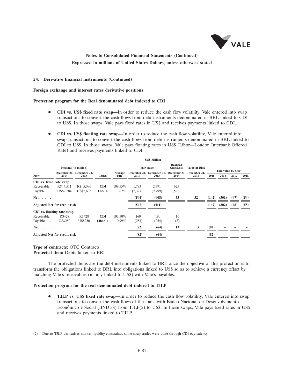

### **24. Derivative financial instruments (Continued)**

**Foreign exchange and interest rates derivative positions**

#### **Protection program for the Real denominated debt indexed to CDI**

- **CDI vs. US\$ fixed rate swap—**In order to reduce the cash flow volatility, Vale entered into swap transactions to convert the cash flows from debt instruments denominated in BRL linked to CDI to US\$. In those swaps, Vale pays fixed rates in US\$ and receives payments linked to CDI.
- **CDI vs. US\$ floating rate swap—**In order to reduce the cash flow volatility, Vale entered into swap transactions to convert the cash flows from debt instruments denominated in BRL linked to CDI to US\$. In those swaps, Vale pays floating rates in US\$ (Libor—London Interbank Offered Rate) and receives payments linked to CDI.

|                                     |                |                                   |                |                 |            | <b>US\$ Million</b>                                         |                              |               |       |                            |      |      |
|-------------------------------------|----------------|-----------------------------------|----------------|-----------------|------------|-------------------------------------------------------------|------------------------------|---------------|-------|----------------------------|------|------|
| Flow                                |                | Notional (\$ million)             |                |                 | Fair value |                                                             | <b>Realized</b><br>Gain/Loss | Value at Risk |       |                            |      |      |
|                                     | 2014           | December 31, December 31,<br>2013 | <b>Index</b>   | Average<br>rate | 2014       | December 31, December 31, December 31, December 31,<br>2013 | 2014                         | 2014          | 2015  | Fair value by year<br>2016 | 2017 | 2018 |
| CDI vs. fixed rate swap             |                |                                   |                |                 |            |                                                             |                              |               |       |                            |      |      |
| Receivable . R\$ 4,511              |                | R\$ 5,096                         | <b>CDI</b>     | 109.55%         | 1,783      | 2,391                                                       | 625                          |               |       |                            |      |      |
| Payable US\$2,284                   |                | US\$2,603                         | $\text{USS}$ + | $3.82\%$        | (2,327)    | (2,799)                                                     | (592)                        |               |       |                            |      |      |
| Net.                                |                |                                   |                |                 | (544)      | (408)                                                       | 33                           | 32            | (142) | (301)                      | (47) | (54) |
| <b>Adjusted Net for credit risk</b> |                |                                   |                |                 | (547)      | (411)                                                       |                              |               | (142) | (302)                      | (48) | (55) |
| CDI vs. floating rate swap          |                |                                   |                |                 |            |                                                             |                              |               |       |                            |      |      |
| Receivable.                         | R\$428         | R\$428                            | <b>CDI</b>     | 103.50%         | 169        | 190                                                         | 16                           |               |       |                            |      |      |
| Payable                             | <b>US\$250</b> | US\$250                           | $Libor +$      | $0.99\%$        | (251)      | (254)                                                       | (3)                          |               |       |                            |      |      |
| Net.                                |                |                                   |                |                 | (82)       | (64)                                                        | 13                           | 3             | (82)  |                            |      |      |
| <b>Adjusted Net for credit risk</b> |                |                                   |                |                 | (82)       | (64)                                                        |                              |               | (82)  |                            |      |      |
|                                     |                |                                   |                |                 |            |                                                             |                              |               |       |                            |      |      |

### **Type of contracts:** OTC Contracts **Protected item:** Debts linked to BRL

The protected items are the debt instruments linked to BRL once the objective of this protection is to transform the obligations linked to BRL into obligations linked to US\$ so as to achieve a currency offset by matching Vale's receivables (mainly linked to US\$) with Vale's payables.

### **Protection program for the real denominated debt indexed to TJLP**

 **TJLP vs. US\$ fixed rate swap—**In order to reduce the cash flow volatility, Vale entered into swap transactions to convert the cash flows of the loans with Banco Nacional de Desenvolvimento Econômico e Social (BNDES) from TJLP $(2)$  to US\$. In those swaps, Vale pays fixed rates in US\$ and receives payments linked to TJLP.

<sup>(2)</sup> Due to TJLP derivatives market liquidity constraints, some swap trades were done through CDI equivalency.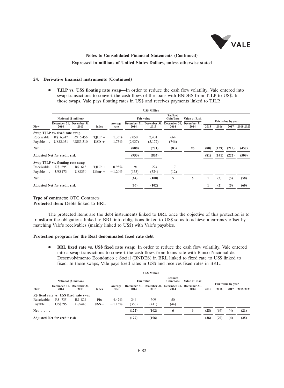

#### **24. Derivative financial instruments (Continued)**

**• TJLP vs. US\$ floating rate swap—In** order to reduce the cash flow volatility, Vale entered into swap transactions to convert the cash flows of the loans with BNDES from TJLP to US\$. In those swaps, Vale pays floating rates in US\$ and receives payments linked to TJLP.

|              |                                     |                                   |              |                 |                                                   | <b>US\$ Million</b>                                         |               |      |      |       |                            |           |
|--------------|-------------------------------------|-----------------------------------|--------------|-----------------|---------------------------------------------------|-------------------------------------------------------------|---------------|------|------|-------|----------------------------|-----------|
|              | Notional (\$ million)               |                                   |              |                 | <b>Realized</b><br><b>Fair value</b><br>Gain/Loss |                                                             | Value at Risk |      |      |       |                            |           |
| Flow         | 2014                                | December 31, December 31,<br>2013 | <b>Index</b> | Average<br>rate | 2014                                              | December 31, December 31, December 31, December 31,<br>2013 | 2014          | 2014 | 2015 | 2016  | Fair value by year<br>2017 | 2018-2023 |
|              | Swap TJLP vs. fixed rate swap       |                                   |              |                 |                                                   |                                                             |               |      |      |       |                            |           |
| Receivable   | R\$ 6,247                           | R\$ 6,456                         | $TJLP +$     | $1.33\%$        | 2,050                                             | 2,401                                                       | 664           |      |      |       |                            |           |
| Payable      | US\$3,051                           | US\$3,310                         | $USD +$      | $1.75\%$        | (2,937)                                           | (3,172)                                                     | (746)         |      |      |       |                            |           |
| $Net \ldots$ |                                     |                                   |              |                 | (888)                                             | (771)                                                       | (83)          | 96   | (80) | (139) | (212)                      | (457)     |
|              | <b>Adjusted Net for credit risk</b> |                                   |              |                 | (953)                                             | (803)                                                       |               |      | (81) | (141) | (222)                      | (509)     |
|              | Swap TJLP vs. floating rate swap    |                                   |              |                 |                                                   |                                                             |               |      |      |       |                            |           |
| Receivable   | R\$ 295                             | R\$ 615                           | $TJLP +$     | $0.95\%$        | 91                                                | 224                                                         | 17            |      |      |       |                            |           |
| Payable      | US\$173                             | <b>US\$350</b>                    | Libor +      | $-1.20\%$       | (155)                                             | (324)                                                       | (12)          |      |      |       |                            |           |
| $Net \ldots$ |                                     |                                   |              |                 | (64)                                              | (100)                                                       | 5             | 6    | 1    | (2)   | (5)                        | (58)      |
|              | <b>Adjusted Net for credit risk</b> |                                   |              |                 | (66)                                              | (102)                                                       |               |      | 1    | (2)   | (5)                        | (60)      |

#### **Type of contracts:** OTC Contracts **Protected item:** Debts linked to BRL

The protected items are the debt instruments linked to BRL once the objective of this protection is to transform the obligations linked to BRL into obligations linked to US\$ so as to achieve a currency offset by matching Vale's receivables (mainly linked to US\$) with Vale's payables.

### **Protection program for the Real denominated fixed rate debt**

 **BRL fixed rate vs. US\$ fixed rate swap:** In order to reduce the cash flow volatility, Vale entered into a swap transactions to convert the cash flows from loans rate with Banco Nacional de Desenvolvimento Econômico e Social (BNDES) in BRL linked to fixed rate to US\$ linked to fixed. In those swaps, Vale pays fixed rates in US\$ and receives fixed rates in BRL.

|              | <b>US\$ Million</b>                 |                                         |         |                 |                                            |                                                             |               |      |      |                            |      |           |  |  |
|--------------|-------------------------------------|-----------------------------------------|---------|-----------------|--------------------------------------------|-------------------------------------------------------------|---------------|------|------|----------------------------|------|-----------|--|--|
| Flow         | Notional (\$ million)               |                                         |         |                 | <b>Realized</b><br>Fair value<br>Gain/Loss |                                                             | Value at Risk |      |      |                            |      |           |  |  |
|              | 2014                                | December 31. December 31.<br>2013       | Index   | Average<br>rate | 2014                                       | December 31, December 31, December 31, December 31,<br>2013 | 2014          | 2014 | 2015 | Fair value by year<br>2016 | 2017 | 2018-2023 |  |  |
|              |                                     | R\$ fixed rate vs. US\$ fixed rate swap |         |                 |                                            |                                                             |               |      |      |                            |      |           |  |  |
| Receivable   | R\$ 735                             | R\$ 824                                 | Fix     | 4.47%           | 244                                        | 309                                                         | 50            |      |      |                            |      |           |  |  |
| Payable      | <b>US\$395</b>                      | <b>US\$446</b>                          | $USS -$ | $-1.15\%$       | (366)                                      | (411)                                                       | (44)          |      |      |                            |      |           |  |  |
| $Net \ldots$ |                                     |                                         |         |                 | (122)                                      | (102)                                                       | 6             | 9    | (28) | (69)                       | (4)  | (21)      |  |  |
|              | <b>Adjusted Net for credit risk</b> |                                         |         |                 | (127)                                      | (106)                                                       |               |      | (28) | (70)                       | (4)  | (25)      |  |  |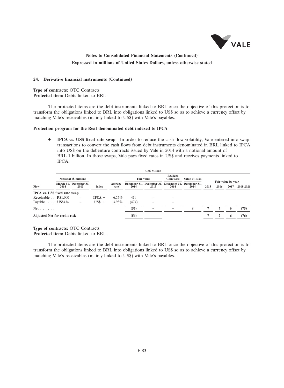

#### **24. Derivative financial instruments (Continued)**

**Type of contracts:** OTC Contracts **Protected item:** Debts linked to BRL

The protected items are the debt instruments linked to BRL once the objective of this protection is to transform the obligations linked to BRL into obligations linked to US\$ so as to achieve a currency offset by matching Vale's receivables (mainly linked to US\$) with Vale's payables.

### **Protection program for the Real denominated debt indexed to IPCA**

**IPCA vs. US\$ fixed rate swap—In** order to reduce the cash flow volatility, Vale entered into swap transactions to convert the cash flows from debt instruments denominated in BRL linked to IPCA into US\$ on the debenture contracts issued by Vale in 2014 with a notional amount of BRL 1 billion. In those swaps, Vale pays fixed rates in US\$ and receives payments linked to IPCA.

|                                     | <b>US\$ Million</b>                             |                                |                |                 |            |                                                             |                       |               |      |      |                    |           |  |  |
|-------------------------------------|-------------------------------------------------|--------------------------------|----------------|-----------------|------------|-------------------------------------------------------------|-----------------------|---------------|------|------|--------------------|-----------|--|--|
| Flow                                | Notional (\$ million)<br>March 31. December 31. |                                |                |                 | Fair value |                                                             | Realized<br>Gain/Loss | Value at Risk |      |      | Fair value by year |           |  |  |
|                                     | 2014                                            | 2013                           | <b>Index</b>   | Average<br>rate | 2014       | December 31. December 31. December 31. December 31.<br>2013 | 2014                  | 2014          | 2015 | 2016 | 2017               | 2018-2021 |  |  |
| IPCA vs. US\$ fixed rate swap       |                                                 |                                |                |                 |            |                                                             |                       |               |      |      |                    |           |  |  |
| Receivable . R\$1,000               |                                                 | $\qquad \qquad -$              | $IPCA +$       | $6.55\%$        | 419        |                                                             |                       |               |      |      |                    |           |  |  |
| Payable US\$434                     |                                                 | $\qquad \qquad \longleftarrow$ | $\text{USS}$ + | 3.98%           | (474)      |                                                             |                       |               |      |      |                    |           |  |  |
| $Net \ldots \ldots$                 |                                                 |                                |                |                 | (55)       |                                                             |                       | 8             |      | 7    | 6                  | (75)      |  |  |
| <b>Adjusted Net for credit risk</b> |                                                 |                                |                |                 | (56)       | -                                                           |                       |               |      |      | 6                  | (76)      |  |  |

**Type of contracts:** OTC Contracts **Protected item:** Debts linked to BRL

The protected items are the debt instruments linked to BRL once the objective of this protection is to transform the obligations linked to BRL into obligations linked to US\$ so as to achieve a currency offset by matching Vale's receivables (mainly linked to US\$) with Vale's payables.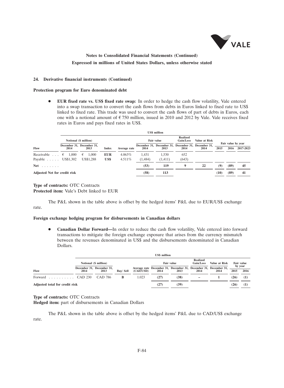

#### **24. Derivative financial instruments (Continued)**

#### **Protection program for Euro denominated debt**

 **EUR fixed rate vs. US\$ fixed rate swap:** In order to hedge the cash flow volatility, Vale entered into a swap transaction to convert the cash flows from debts in Euros linked to fixed rate to US\$ linked to fixed rate. This trade was used to convert the cash flows of part of debts in Euros, each one with a notional amount of  $\epsilon$  750 million, issued in 2010 and 2012 by Vale. Vale receives fixed rates in Euros and pays fixed rates in US\$.

|                                                | <b>US\$</b> million   |                                   |                    |                   |                  |                                                             |                       |               |      |                            |           |  |  |  |
|------------------------------------------------|-----------------------|-----------------------------------|--------------------|-------------------|------------------|-------------------------------------------------------------|-----------------------|---------------|------|----------------------------|-----------|--|--|--|
|                                                | Notional (\$ million) |                                   |                    |                   |                  | Fair value                                                  | Realized<br>Gain/Loss | Value at Risk |      |                            |           |  |  |  |
| Flow                                           | 2014                  | December 31, December 31,<br>2013 | <b>Index</b>       | Average rate      | 2014             | December 31. December 31. December 31. December 31.<br>2013 | 2014                  | 2014          | 2015 | Fair value by year<br>2016 | 2017-2023 |  |  |  |
| Receivable $\ldots$ $\in$<br>Payable US\$1,302 | 1.000                 | 1.000<br>€<br>US\$1,288           | <b>EUR</b><br>US\$ | 4.063%<br>4.511\% | 1.431<br>(1,484) | 1.530<br>(1, 411)                                           | 652<br>(643)          |               |      |                            |           |  |  |  |
| <b>Net</b><br>and a strained                   |                       |                                   |                    |                   | (53)             | 119                                                         | 9                     | 22            | (9)  | (89)                       | 45        |  |  |  |
| <b>Adjusted Net for credit risk</b>            |                       |                                   |                    | (58)              | 113              |                                                             |                       | (10)          | (89) | 41                         |           |  |  |  |

### **Type of contracts:** OTC Contracts **Protected item:** Vale's Debt linked to EUR

The P&L shown in the table above is offset by the hedged items' P&L due to EUR/US\$ exchange rate.

#### **Foreign exchange hedging program for disbursements in Canadian dollars**

 **Canadian Dollar Forward—**In order to reduce the cash flow volatility, Vale entered into forward transactions to mitigate the foreign exchange exposure that arises from the currency mismatch between the revenues denominated in US\$ and the disbursements denominated in Canadian Dollars.

|                                        | <b>US\$</b> million   |                                   |          |           |            |                                                                          |                              |                  |      |                   |  |  |  |
|----------------------------------------|-----------------------|-----------------------------------|----------|-----------|------------|--------------------------------------------------------------------------|------------------------------|------------------|------|-------------------|--|--|--|
|                                        | Notional (\$ million) |                                   |          |           | Fair value |                                                                          | <b>Realized</b><br>Gain/Loss | Value at Risk    |      | <b>Fair value</b> |  |  |  |
| Flow                                   | 2014                  | December 31, December 31,<br>2013 | Buv/Sell | (CAD/USD) | 2014       | Average rate December 31, December 31, December 31, December 31,<br>2013 | 2014                         | 2014             | 2015 | by year<br>2016   |  |  |  |
| Forward $\ldots \ldots \ldots$ CAD 230 |                       | CAD 786                           | В        | 1.023     | (27)       | (38)                                                                     |                              |                  | (26) | (1)               |  |  |  |
| Adjusted total for credit risk         |                       |                                   | (27)     | (39)      |            |                                                                          | 126                          | $\left(1\right)$ |      |                   |  |  |  |

### **Type of contracts:** OTC Contracts

**Hedged item:** part of disbursements in Canadian Dollars

The P&L shown in the table above is offset by the hedged items' P&L due to CAD/US\$ exchange rate.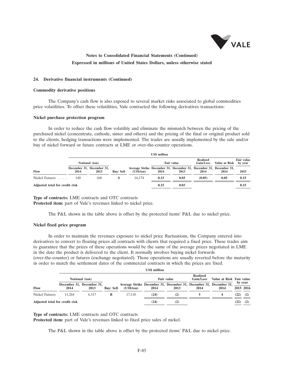

#### **24. Derivative financial instruments (Continued)**

#### **Commodity derivative positions**

The Company's cash flow is also exposed to several market risks associated to global commodities price volatilities. To offset these volatilities, Vale contracted the following derivatives transactions:

#### **Nickel purchase protection program**

In order to reduce the cash flow volatility and eliminate the mismatch between the pricing of the purchased nickel (concentrate, cathode, sinter and others) and the pricing of the final or original product sold to the clients, hedging transactions were implemented. The trades are usually implemented by the sale and/or buy of nickel forward or future contracts at LME or over-the-counter operations.

|                                | <b>US\$</b> million |                                   |                 |                                                                                          |      |                   |                              |               |                              |  |  |  |
|--------------------------------|---------------------|-----------------------------------|-----------------|------------------------------------------------------------------------------------------|------|-------------------|------------------------------|---------------|------------------------------|--|--|--|
|                                |                     | Notional (ton)                    |                 |                                                                                          |      | <b>Fair value</b> | <b>Realized</b><br>Gain/Loss | Value at Risk | <b>Fair value</b><br>by year |  |  |  |
| Flow                           | 2014                | December 31. December 31.<br>2013 | <b>Buv/Sell</b> | Average Strike December 31, December 31, December 31, December 31,<br>$(US\frac{2}{10})$ | 2014 | 2013              | 2014                         | 2014          | 2015                         |  |  |  |
| Nickel Futures                 | 140                 | 168                               | S               | 16.174                                                                                   | 0.15 | 0.03              | (0.05)                       | 0.05          | 0.15                         |  |  |  |
| Adjusted total for credit risk |                     |                                   |                 |                                                                                          | 0.15 | 0.03              |                              |               | 0.15                         |  |  |  |

**Type of contracts:** LME contracts and OTC contracts **Protected item:** part of Vale's revenues linked to nickel price.

The P&L shown in the table above is offset by the protected items' P&L due to nickel price.

#### **Nickel fixed price program**

In order to maintain the revenues exposure to nickel price fluctuations, the Company entered into derivatives to convert to floating prices all contracts with clients that required a fixed price. These trades aim to guarantee that the prices of these operations would be the same of the average prices negotiated in LME in the date the product is delivered to the client. It normally involves buying nickel forwards (over-the-counter) or futures (exchange negotiated). Those operations are usually reverted before the maturity in order to match the settlement dates of the commercial contracts in which the prices are fixed.

|                                | <b>US\$</b> million |                                   |                 |                                                                                           |      |                   |                              |                          |      |                      |  |  |
|--------------------------------|---------------------|-----------------------------------|-----------------|-------------------------------------------------------------------------------------------|------|-------------------|------------------------------|--------------------------|------|----------------------|--|--|
|                                |                     | Notional (ton)                    |                 |                                                                                           |      | <b>Fair value</b> | <b>Realized</b><br>Gain/Loss | Value at Risk Fair value |      |                      |  |  |
| Flow                           | 2014                | December 31, December 31,<br>2013 | <b>Buv/Sell</b> | Average Strike December 31, December 31, December 31, December 31,<br>$(US\frac{5}{tan})$ | 2014 | 2013              | 2014                         | 2014                     |      | by year<br>2015 2016 |  |  |
| Nickel Futures                 | 11.264              | 6.317                             | B               | 17.110                                                                                    | (24) | (2)               |                              |                          | (22) | (2)                  |  |  |
| Adjusted total for credit risk |                     |                                   |                 |                                                                                           | (24) | (2)               |                              |                          | (22) | (2)                  |  |  |

**Type of contracts:** LME contracts and OTC contracts

**Protected item:** part of Vale's revenues linked to fixed price sales of nickel.

The P&L shown in the table above is offset by the protected items' P&L due to nickel price.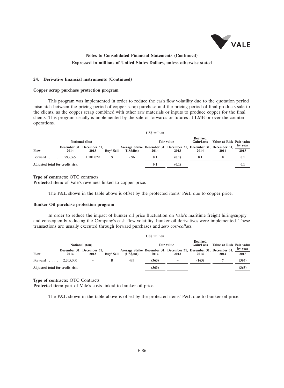

#### **24. Derivative financial instruments (Continued)**

#### **Copper scrap purchase protection program**

This program was implemented in order to reduce the cash flow volatility due to the quotation period mismatch between the pricing period of copper scrap purchase and the pricing period of final products sale to the clients, as the copper scrap combined with other raw materials or inputs to produce copper for the final clients. This program usually is implemented by the sale of forwards or futures at LME or over-the-counter operations.

|                                | <b>US\$</b> million |                                   |                 |                                                                                  |      |                   |                              |                          |                 |  |  |  |
|--------------------------------|---------------------|-----------------------------------|-----------------|----------------------------------------------------------------------------------|------|-------------------|------------------------------|--------------------------|-----------------|--|--|--|
|                                |                     | Notional (lbs)                    |                 |                                                                                  |      | <b>Fair value</b> | <b>Realized</b><br>Gain/Loss | Value at Risk Fair value |                 |  |  |  |
| Flow                           | 2014                | December 31, December 31,<br>2013 | <b>Buv/Sell</b> | Average Strike December 31, December 31, December 31, December 31,<br>(US\$/lbs) | 2014 | 2013              | 2014                         | 2014                     | by year<br>2015 |  |  |  |
| Forward                        | 793.665             | 1.101.029                         |                 | 2.96                                                                             | 0.1  | (0.1)             | 0.1                          |                          | 0.1             |  |  |  |
| Adjusted total for credit risk |                     |                                   |                 |                                                                                  | 0.1  | (0.1)             |                              |                          | 0.1             |  |  |  |

**Type of contracts:** OTC contracts

**Protected item:** of Vale's revenues linked to copper price.

The P&L shown in the table above is offset by the protected items' P&L due to copper price.

#### **Bunker Oil purchase protection program**

In order to reduce the impact of bunker oil price fluctuation on Vale's maritime freight hiring/supply and consequently reducing the Company's cash flow volatility, bunker oil derivatives were implemented. These transactions are usually executed through forward purchases and *zero cost-collars*.

|                                | <b>US\$</b> million |                                   |                 |                                                                                                    |       |                   |                              |                          |                 |  |  |  |
|--------------------------------|---------------------|-----------------------------------|-----------------|----------------------------------------------------------------------------------------------------|-------|-------------------|------------------------------|--------------------------|-----------------|--|--|--|
|                                |                     | Notional (ton)                    |                 |                                                                                                    |       | <b>Fair value</b> | <b>Realized</b><br>Gain/Loss | Value at Risk Fair value |                 |  |  |  |
| Flow                           | 2014                | December 31, December 31,<br>2013 | <b>Buv/Sell</b> | Average Strike December 31, December 31, December 31, December 31,<br>$(US\mathbf{S}/\mathbf{m}t)$ | 2014  | 2013              | 2014                         | 2014                     | by year<br>2015 |  |  |  |
| Forward                        | 2.205.000           |                                   | в               | 483                                                                                                | (363) |                   | (163)                        |                          | (363)           |  |  |  |
| Adjusted total for credit risk |                     |                                   |                 |                                                                                                    | (363) |                   |                              |                          | (363)           |  |  |  |

**Type of contracts:** OTC Contracts

**Protected item:** part of Vale's costs linked to bunker oil price

The P&L shown in the table above is offset by the protected items' P&L due to bunker oil price.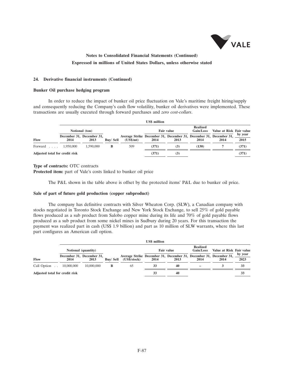

#### **24. Derivative financial instruments (Continued)**

#### **Bunker Oil purchase hedging program**

In order to reduce the impact of bunker oil price fluctuation on Vale's maritime freight hiring/supply and consequently reducing the Company's cash flow volatility, bunker oil derivatives were implemented. These transactions are usually executed through forward purchases and *zero cost-collars*.

|                                | <b>US\$</b> million               |                |                 |                                                                                                    |       |                   |                              |                          |                 |  |  |  |
|--------------------------------|-----------------------------------|----------------|-----------------|----------------------------------------------------------------------------------------------------|-------|-------------------|------------------------------|--------------------------|-----------------|--|--|--|
|                                |                                   | Notional (ton) |                 |                                                                                                    |       | <b>Fair value</b> | <b>Realized</b><br>Gain/Loss | Value at Risk Fair value |                 |  |  |  |
| Flow                           | December 31, December 31,<br>2014 | 2013           | <b>Buv/Sell</b> | Average Strike December 31, December 31, December 31, December 31,<br>$(US\mathbf{S}/\mathbf{m}t)$ | 2014  | 2013              | 2014                         | 2014                     | by year<br>2015 |  |  |  |
| Forward  1,950,000             |                                   | 1.590,000      | в               | 509                                                                                                | (371) | (3)               | (130)                        |                          | (371)           |  |  |  |
| Adjusted total for credit risk |                                   |                |                 |                                                                                                    | (371) | (3)               |                              |                          | (371)           |  |  |  |

### **Type of contracts:** OTC contracts

**Protected item:** part of Vale's costs linked to bunker oil price

The P&L shown in the table above is offset by the protected items' P&L due to bunker oil price.

#### **Sale of part of future gold production (copper subproduct)**

The company has definitive contracts with Silver Wheaton Corp. (SLW), a Canadian company with stocks negotiated in Toronto Stock Exchange and New York Stock Exchange, to sell 25% of gold payable flows produced as a sub product from Salobo copper mine during its life and 70% of gold payable flows produced as a sub product from some nickel mines in Sudbury during 20 years. For this transaction the payment was realized part in cash (US\$ 1.9 billion) and part as 10 million of SLW warrants, where this last part configures an American call option.

|                                | <b>US\$</b> million |                                   |                 |                                                                                    |      |                   |                                     |                          |                 |  |  |  |
|--------------------------------|---------------------|-----------------------------------|-----------------|------------------------------------------------------------------------------------|------|-------------------|-------------------------------------|--------------------------|-----------------|--|--|--|
|                                |                     | Notional (quantity)               |                 |                                                                                    |      | <b>Fair value</b> | <b>Realized</b><br><b>Gain/Loss</b> | Value at Risk Fair value |                 |  |  |  |
| Flow                           | 2014                | December 31. December 31.<br>2013 | <b>Buv/Sell</b> | Average Strike December 31, December 31, December 31, December 31,<br>(US\$/stock) | 2014 | 2013              | 2014                                | 2014                     | by year<br>2023 |  |  |  |
| Call Option                    | 10,000,000          | 10,000,000                        | в               | 65                                                                                 | 33   | 40                |                                     |                          | 33              |  |  |  |
| Adjusted total for credit risk |                     |                                   |                 |                                                                                    | 33   | 40                |                                     |                          | 33              |  |  |  |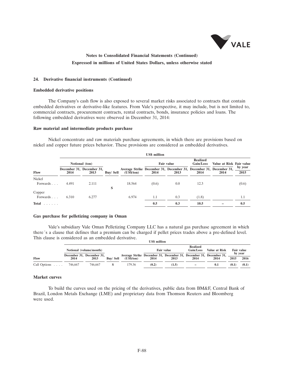

#### **24. Derivative financial instruments (Continued)**

#### **Embedded derivative positions**

The Company's cash flow is also exposed to several market risks associated to contracts that contain embedded derivatives or derivative-like features. From Vale's perspective, it may include, but is not limited to, commercial contracts, procurement contracts, rental contracts, bonds, insurance policies and loans. The following embedded derivatives were observed in December 31, 2014:

### **Raw material and intermediate products purchase**

Nickel concentrate and raw materials purchase agreements, in which there are provisions based on nickel and copper future prices behavior. These provisions are considered as embedded derivatives.

|                    | <b>US\$</b> million |                                   |                 |                                                                                           |       |                   |                              |                          |                 |  |  |  |
|--------------------|---------------------|-----------------------------------|-----------------|-------------------------------------------------------------------------------------------|-------|-------------------|------------------------------|--------------------------|-----------------|--|--|--|
|                    | Notional (ton)      |                                   |                 |                                                                                           |       | <b>Fair value</b> | <b>Realized</b><br>Gain/Loss | Value at Risk Fair value |                 |  |  |  |
| Flow               | 2014                | December 31, December 31,<br>2013 | <b>Buy/Sell</b> | Average Strike December 31, December 31, December 31, December 31,<br>$(US\frac{5}{tan})$ | 2014  | 2013              | 2014                         | 2014                     | by year<br>2015 |  |  |  |
| Nickel<br>Forwards | 4.491               | 2.111                             | S               | 18.564                                                                                    | (0.6) | 0.0               | 12.3                         |                          | (0.6)           |  |  |  |
| Copper<br>Forwards | 6.310               | 6.277                             |                 | 6.974                                                                                     | 1.1   | 0.3               | (1.8)                        |                          | 1.1             |  |  |  |
| <b>Total</b><br>.  |                     |                                   |                 |                                                                                           | 0.5   | 0.3               | 10.5                         |                          | 0.5             |  |  |  |

#### **Gas purchase for pelletizing company in Oman**

Vale's subsidiary Vale Oman Pelletizing Company LLC has a natural gas purchase agreement in which there´s a clause that defines that a premium can be charged if pellet prices trades above a pre-defined level. This clause is considered as an embedded derivative. **US\$ million**

|              | Notional (volume/month)           |         |           |                                                                                           | <b>Realized</b><br>Value at Risk<br>Fair value<br>Gain/Loss<br><b>Fair value</b> |       |                          |      |                 |       |
|--------------|-----------------------------------|---------|-----------|-------------------------------------------------------------------------------------------|----------------------------------------------------------------------------------|-------|--------------------------|------|-----------------|-------|
| Flow         | December 31, December 31,<br>2014 | 2013    | Buv/ Sell | Average Strike December 31, December 31, December 31, December 31,<br>$(US\frac{5}{tan})$ | 2014                                                                             | 2013  | 2014                     | 2014 | by year<br>2015 | 2016  |
| Call Options | 746,667                           | 746,667 |           | 179.36                                                                                    | (0.2)                                                                            | (1.5) | $\overline{\phantom{a}}$ | 0.1  | (0.1)           | (0.1) |

#### **Market curves**

To build the curves used on the pricing of the derivatives, public data from BM&F, Central Bank of Brazil, London Metals Exchange (LME) and proprietary data from Thomson Reuters and Bloomberg were used.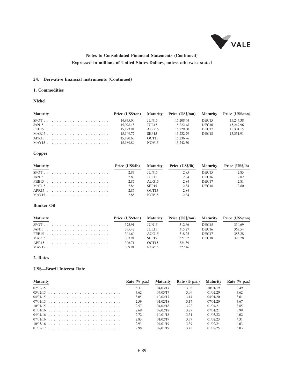

### **24. Derivative financial instruments (Continued)**

### **1. Commodities**

#### **Nickel**

| <b>Maturity</b> |           |                   | Price (US\$/ton) Maturity Price (US\$/ton) Maturity Price (US\$/ton) |                   |           |
|-----------------|-----------|-------------------|----------------------------------------------------------------------|-------------------|-----------|
| $SPOT$          | 14.935.00 | JUN15             | 15.208.64                                                            | DEC <sub>15</sub> | 15.244.38 |
|                 | 15.098.18 | JUL 15            | 15.222.48                                                            | DEC <sub>16</sub> | 15.249.96 |
|                 | 15.123.94 | AUG15             | 15.229.50                                                            | DEC <sub>17</sub> | 15,301.15 |
|                 | 15 149 77 | SEP <sub>15</sub> | 15 232 29                                                            | DEC <sub>18</sub> | 15.351.91 |
|                 | 15.170.68 | OCT15             | 15.236.96                                                            |                   |           |
| MAY15           | 15.189.89 | NOV <sub>15</sub> | 15.242.50                                                            |                   |           |

## **Copper**

| <b>Maturity</b> |      |                   | Price (US\$/lb) Maturity Price (US\$/lb) Maturity Price (US\$/lb) |                   |      |
|-----------------|------|-------------------|-------------------------------------------------------------------|-------------------|------|
|                 | 2.83 | JUN15             | 2.85                                                              | DEC <sub>15</sub> | 2.83 |
|                 | 2.88 | <b>IUL15</b>      | 2.84                                                              | DEC <sub>16</sub> | 2.82 |
|                 | 2.87 | AUG15             | 2.84                                                              | DEC <sub>17</sub> | 2.81 |
|                 | 2.86 | SEP <sub>15</sub> | 2.84                                                              | DEC <sub>18</sub> | 2.80 |
|                 | 2.85 | OCT <sub>15</sub> | 2.84                                                              |                   |      |
|                 | 2.85 | NOV <sub>15</sub> | 2.84                                                              |                   |      |

### **Bunker Oil**

| <b>Maturity</b> |        |                   | Price (US\$/ton) Maturity Price (US\$/ton) Maturity Price (US\$/ton) |                   |        |
|-----------------|--------|-------------------|----------------------------------------------------------------------|-------------------|--------|
|                 | 375.91 | <b>IUN15</b>      | 312.66                                                               | DEC <sub>15</sub> | 330.69 |
|                 | 335.42 | <b>IUL15</b>      | 315 27                                                               | DEC <sub>16</sub> | 367.54 |
|                 | 301.60 | AUG15             | 318.25                                                               | DEC <sub>17</sub> | 383.28 |
|                 | 303.94 | SEP <sub>15</sub> | 321.32                                                               | DEC <sub>18</sub> | 390.28 |
|                 | 306.71 | OCT15             | 324 39                                                               |                   |        |
|                 | 309.91 | NOV <sub>15</sub> | 327.46                                                               |                   |        |

### **2. Rates**

### **US\$—Brazil Interest Rate**

| <b>Maturity</b> | Rate $(\%$ p.a.) |          | Maturity Rate $(\%$ p.a.) | <b>Maturity</b> | Rate $(\%$ p.a.) |
|-----------------|------------------|----------|---------------------------|-----------------|------------------|
|                 | 5.37             | 04/03/17 | 3.03                      | 10/01/19        | 3.49             |
|                 | 3.62             | 07/03/17 | 3.09                      | 01/02/20        | 3.62             |
|                 | 3.05             | 10/02/17 | 3.14                      | 04/01/20        | 3.61             |
|                 | 2.59             | 01/02/18 | 3.17                      | 07/01/20        | 3.67             |
|                 | 2.57             | 04/02/18 | 3.22                      | 01/04/21        | 3.85             |
|                 | 2.69             | 07/02/18 | 3.27                      | 07/01/21        | 3.99             |
|                 | 2.72             | 10/01/18 | 3.31                      | 01/03/22        | 4.02             |
|                 | 2.83             | 01/02/19 | 3.37                      | 01/02/23        | 4.31             |
|                 | 2.93             | 04/01/19 | 3.39                      | 01/02/24        | 4.63             |
|                 | 2.98             | 07/01/19 | 3.45                      | 01/02/25        | 5.03             |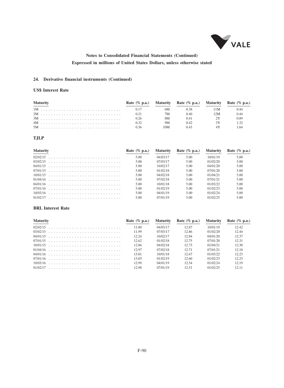

### **24. Derivative financial instruments (Continued)**

### **US\$ Interest Rate**

| <b>Maturity</b> |      |     | Rate $(\%$ p.a.) Maturity Rate $(\%$ p.a.) Maturity Rate $(\%$ p.a.) |      |      |
|-----------------|------|-----|----------------------------------------------------------------------|------|------|
|                 | 0.17 | 6M  | 0.38                                                                 | 11 M | 0.44 |
|                 | 0.21 | 7M  | 0.40                                                                 | 12M  | 0.44 |
|                 | 0.26 | 8M. | 0.41                                                                 |      | 0.89 |
|                 | 0.32 | 9М. | 0.42                                                                 |      |      |
|                 | 0.36 | 10M | 0.43                                                                 |      | 1.64 |

## **TJLP**

| <b>Maturity</b> | Rate $(\%$ p.a.) | <b>Maturity</b> | Rate $(\%$ p.a.) | <b>Maturity</b> | Rate $(\%$ p.a.) |
|-----------------|------------------|-----------------|------------------|-----------------|------------------|
|                 | 5.00             | 04/03/17        | 5.00             | 10/01/19        | 5.00             |
|                 | 5.00             | 07/03/17        | 5.00             | 01/02/20        | 5.00             |
|                 | 5.00             | 10/02/17        | 5.00             | 04/01/20        | 5.00             |
|                 | 5.00             | 01/02/18        | 5.00             | 07/01/20        | 5.00             |
|                 | 5.00             | 04/02/18        | 5.00             | 01/04/21        | 5.00             |
|                 | 5.00             | 07/02/18        | 5.00             | 07/01/21        | 5.00             |
|                 | 5.00             | 10/01/18        | 5.00             | 01/03/22        | 5.00             |
|                 | 5.00             | 01/02/19        | 5.00             | 01/02/23        | 5.00             |
|                 | 5.00             | 04/01/19        | 5.00             | 01/02/24        | 5.00             |
|                 | 5.00             | 07/01/19        | 5.00             | 01/02/25        | 5.00             |

#### **BRL Interest Rate**

| <b>Maturity</b> | Rate $(\%$ p.a.) | <b>Maturity</b> | Rate $(\%$ p.a.) | <b>Maturity</b> | Rate $(\%$ p.a.) |
|-----------------|------------------|-----------------|------------------|-----------------|------------------|
|                 | 11.80            | 04/03/17        | 12.87            | 10/01/19        | 12.42            |
|                 | 11 99            | 07/03/17        | 12.86            | 01/02/20        | 12.44            |
|                 | 12.24            | 10/02/17        | 12.84            | 04/01/20        | 12.37            |
|                 | 12.62            | 01/02/18        | 12.75            | 07/01/20        | 12.31            |
|                 | 12.86            | 04/02/18        | 12.73            | 01/04/21        | 12.30            |
|                 | 12.97            | 07/02/18        | 12.71            | 07/01/21        | 12.18            |
|                 | 13.01            | 10/01/18        | 12.67            | 01/03/22        | 12.23            |
|                 | 13.03            | 01/02/19        | 12.60            | 01/02/23        | 12.23            |
|                 | 12.99            | 04/01/19        | 12.54            | 01/02/24        | 12.19            |
|                 | 12.90            | 07/01/19        | 12.51            | 01/02/25        | 12.11            |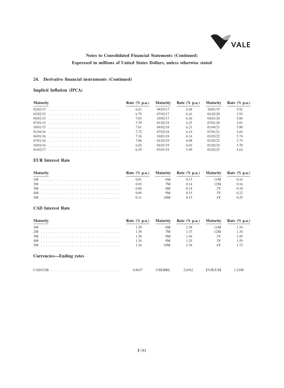

### **24. Derivative financial instruments (Continued)**

### **Implicit Inflation (IPCA)**

| <b>Maturity</b> | Rate $(\%$ p.a.) | <b>Maturity</b> | Rate $(\%$ p.a.) | <b>Maturity</b> | Rate $(\%$ p.a.) |
|-----------------|------------------|-----------------|------------------|-----------------|------------------|
|                 | 6.61             | 04/03/17        | 6.48             | 10/01/19        | 5.91             |
|                 | 6.79             | 07/03/17        | 6.41             | 01/02/20        | 5.93             |
|                 | 7.03             | 10/02/17        | 6.36             | 04/01/20        | 5.86             |
|                 | 7.39             | 01/02/18        | 6.25             | 07/01/20        | 5.81             |
|                 | 7.61             | 04/02/18        | 6.21             | 01/04/21        | 5.80             |
|                 | 7.72             | 07/02/18        | 6.19             | 07/01/21        | 5.69             |
|                 | 7.34             | 10/01/18        | 6.14             | 01/03/22        | 5.74             |
|                 | 7.06             | 01/02/19        | 6.08             | 01/02/23        | 5.73             |
|                 | 6.82             | 04/01/19        | 6.02             | 01/02/24        | 5.70             |
|                 | 6.59             | 07/01/19        | 599              | 01/02/25        | 5.62             |

### **EUR Interest Rate**

| <b>Maturity</b> |      |      | Rate $(\%$ p.a.) Maturity Rate $(\%$ p.a.) Maturity Rate $(\%$ p.a.) |      |      |
|-----------------|------|------|----------------------------------------------------------------------|------|------|
|                 | 0.01 | 6M   |                                                                      | 11 M | 0.16 |
|                 | 0.03 | 7M   | (114)                                                                | 12M. | 0.16 |
|                 | 0.06 | 8M.  |                                                                      |      | 0.18 |
|                 | 0.09 | 9M   | 0.15                                                                 |      | 0.22 |
|                 |      | 10M. |                                                                      |      |      |

#### **CAD Interest Rate**

| <b>Maturity</b>                | Rate $(\%$ p.a.) |     | Maturity Rate (% p.a.) Maturity |      | Rate $(\%$ p.a.) |
|--------------------------------|------------------|-----|---------------------------------|------|------------------|
|                                | 1.30             | 6M  | 1.38                            | 11 M | 1.34             |
|                                | 1.30             | 7M  | 1.37                            | 12M  | 1.34             |
|                                | 1.30             | 8M  | 1.36                            | 2Y   | 1.45             |
|                                | 1.34             | 9M  | 1.35                            | 3Y   | 1.59             |
|                                | 136              | 10M | 1.34                            | 4Y   | 1.73             |
| <b>Currencies—Ending rates</b> |                  |     |                                 |      |                  |

| 0.8627 | US\$/BRL | 2.6562 | EUR/US\$ | 1.2100 |
|--------|----------|--------|----------|--------|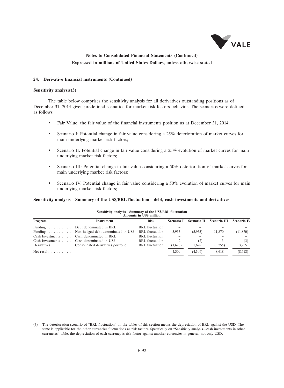

#### **24. Derivative financial instruments (Continued)**

#### **Sensitivity analysis(3)**

The table below comprises the sensitivity analysis for all derivatives outstanding positions as of December 31, 2014 given predefined scenarios for market risk factors behavior. The scenarios were defined as follows:

- Fair Value: the fair value of the financial instruments position as at December 31, 2014;
- Scenario I: Potential change in fair value considering a 25% deterioration of market curves for main underlying market risk factors;
- Scenario II: Potential change in fair value considering a 25% evolution of market curves for main underlying market risk factors;
- Scenario III: Potential change in fair value considering a 50% deterioration of market curves for main underlying market risk factors;
- Scenario IV: Potential change in fair value considering a 50% evolution of market curves for main underlying market risk factors;

#### **Sensitivity analysis—Summary of the US\$/BRL fluctuation—debt, cash investments and derivatives**

| Amounts in USS million         |                                                |                        |            |             |              |                    |  |  |  |
|--------------------------------|------------------------------------------------|------------------------|------------|-------------|--------------|--------------------|--|--|--|
| Program                        | <b>Instrument</b>                              | <b>Risk</b>            | Scenario I | Scenario II | Scenario III | <b>Scenario IV</b> |  |  |  |
|                                | Funding Debt denominated in BRL                | <b>BRL</b> fluctuation |            |             |              |                    |  |  |  |
|                                | Funding Non hedged debt denominated in US\$    | <b>BRL</b> fluctuation | 5.935      | (5,935)     | 11,870       | (11,870)           |  |  |  |
|                                | Cash Investments Cash denominated in BRL       | <b>BRL</b> fluctuation |            |             |              |                    |  |  |  |
|                                | Cash Investments Cash denominated in US\$      | <b>BRL</b> fluctuation |            | (2)         |              | (3)                |  |  |  |
|                                | Derivatives Consolidated derivatives portfolio | <b>BRL</b> fluctuation | (1.628)    | 1.628       | (3,255)      | 3,255              |  |  |  |
| Net result $\ldots$ , $\ldots$ |                                                |                        | 4.309      | (4,309)     | 8,618        | (8,618)            |  |  |  |

**Sensitivity analysis—Summary of the US\$/BRL fluctuation Amounts in US\$ million**

<sup>(3)</sup> The deterioration scenario of ''BRL fluctuation'' on the tables of this section means the depreciation of BRL against the USD. The same is applicable for the other currencies fluctuations as risk factors. Specifically on "Sensitivity analysis—cash investments in other currencies'' table, the depreciation of each currency is risk factor against another currencies in general, not only USD.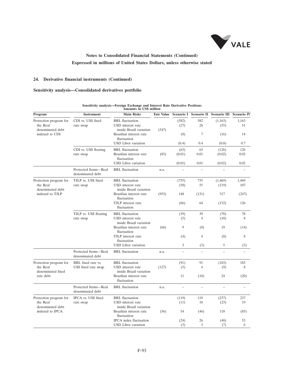

### **24. Derivative financial instruments (Continued)**

### **Sensitivity analysis—Consolidated derivatives portfolio**

| Program                                                | <b>Instrument</b>                        | <b>Amounts in US\$ million</b><br><b>Main Risks</b>                  | <b>Fair Value</b> | Scenario I    | <b>Scenario II</b> | <b>Scenario III</b> | <b>Scenario IV</b> |
|--------------------------------------------------------|------------------------------------------|----------------------------------------------------------------------|-------------------|---------------|--------------------|---------------------|--------------------|
|                                                        |                                          |                                                                      |                   |               |                    |                     |                    |
| Protection program for<br>the Real<br>denominated debt | CDI vs. US\$ fixed<br>rate swap          | BRL fluctuation<br>USD interest rate<br>inside Brazil variation      | (547)             | (582)<br>(27) | 582<br>26          | (1.163)<br>(55)     | 1.163<br>51        |
| indexed to CDI                                         |                                          | Brazilian interest rate<br>fluctuation<br><b>USD</b> Libor variation |                   | (8)<br>(0.4)  | 7<br>0.4           | (16)<br>(0.8)       | 14<br>0.7          |
|                                                        | CDI vs. US\$ floating                    | <b>BRL</b> fluctuation                                               |                   | (63)          | 63                 | (126)               | 126                |
|                                                        | rate swap                                | Brazilian interest rate<br>fluctuation                               | (83)              | (0.01)        | 0.01               | (0.02)              | 0.02               |
|                                                        |                                          | <b>USD</b> Libor variation                                           |                   | (0.01)        | 0.01               | (0.02)              | 0.02               |
|                                                        | Protected Items-Real<br>denominated debt | <b>BRL</b> fluctuation                                               | n.a.              |               |                    |                     |                    |
| Protection program for                                 | TJLP vs. US\$ fixed                      | <b>BRL</b> fluctuation                                               |                   | (735)         | 735                | (1, 469)            | 1,469              |
| the Real<br>denominated debt                           | rate swap                                | USD interest rate<br>inside Brazil variation                         |                   | (58)          | 55                 | (119)               | 107                |
| indexed to TJLP                                        |                                          | Brazilian interest rate<br>fluctuation                               | (953)             | 148           | (131)              | 317                 | (247)              |
|                                                        |                                          | TJLP interest rate<br>fluctuation                                    |                   | (66)          | 64                 | (132)               | 126                |
|                                                        | TJLP vs. US\$ floating                   | <b>BRL</b> fluctuation                                               |                   | (39)          | 39                 | (78)                | 78                 |
|                                                        | rate swap                                | USD interest rate<br>inside Brazil variation                         |                   | (5)           | $\overline{4}$     | (10)                | 8                  |
|                                                        |                                          | Brazilian interest rate<br>fluctuation                               | (66)              | 9             | (8)                | 19                  | (14)               |
|                                                        |                                          | TJLP interest rate<br>fluctuation                                    |                   | (4)           | $\overline{4}$     | (8)                 | 8                  |
|                                                        |                                          | <b>USD</b> Libor variation                                           |                   | 3             | (3)                | 5                   | (5)                |
|                                                        | Protected Items-Real<br>denominated debt | <b>BRL</b> fluctuation                                               | n.a.              | $\equiv$      | $\equiv$           | $\equiv$            |                    |
| Protection program for                                 | BRL fixed rate vs.                       | <b>BRL</b> fluctuation                                               |                   | (91)          | 91                 | (183)               | 183                |
| the Real<br>denominated fixed                          | US\$ fixed rate swap                     | USD interest rate<br>inside Brazil variation                         | (127)             | (5)           | $\overline{4}$     | (9)                 | 8                  |
| rate debt                                              |                                          | Brazilian interest rate<br>fluctuation                               |                   | 11            | (10)               | 24                  | (20)               |
|                                                        | Protected Items-Real<br>denominated debt | <b>BRL</b> fluctuation                                               | n.a.              | $\equiv$      | $\equiv$           | $\equiv$            |                    |
| Protection program for                                 | IPCA vs. US\$ fixed                      | <b>BRL</b> fluctuation                                               |                   | (119)         | 119                | (237)               | 237                |
| the Real<br>denominated debt                           | rate swap                                | USD interest rate<br>inside Brazil variation                         |                   | (11)          | 10                 | (23)                | 19                 |
| indexed to IPCA                                        |                                          | Brazilian interest rate<br>fluctuation                               | (56)              | 54            | (46)               | 118                 | (85)               |
|                                                        |                                          | IPCA index fluctuation                                               |                   | (24)          | 26                 | (48)                | 53                 |
|                                                        |                                          | <b>USD</b> Libor variation                                           |                   | (3)           | 3                  | (7)                 | 6                  |

## **Sensitivity analysis—Foreign Exchange and Interest Rate Derivative Positions**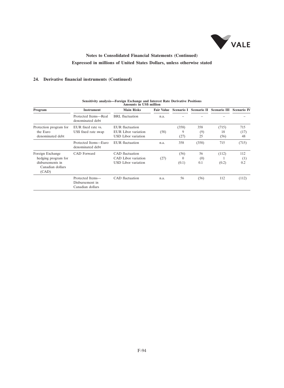

### **24. Derivative financial instruments (Continued)**

| Program                                                                                  | <b>Instrument</b>                                       | <b>Main Risks</b>                                                    | <b>Fair Value</b> |                           |                  | Scenario I Scenario II Scenario III Scenario IV |                   |
|------------------------------------------------------------------------------------------|---------------------------------------------------------|----------------------------------------------------------------------|-------------------|---------------------------|------------------|-------------------------------------------------|-------------------|
|                                                                                          | Protected Items-Real<br>denominated debt                | BRL fluctuation                                                      | n.a.              |                           |                  |                                                 |                   |
| Protection program for<br>the Euro<br>denominated debt                                   | EUR fixed rate vs.<br>US\$ fixed rate swap              | EUR fluctuation<br>EUR Libor variation<br>USD Libor variation        | (58)              | (358)<br>9<br>(27)        | 358<br>(9)<br>25 | (715)<br>18<br>(56)                             | 715<br>(17)<br>48 |
|                                                                                          | Protected Items—Euro<br>denominated debt                | EUR fluctuation                                                      | n.a.              | 358                       | (358)            | 715                                             | (715)             |
| Foreign Exchange<br>hedging program for<br>disbursements in<br>Canadian dollars<br>(CAD) | CAD Forward                                             | CAD fluctuation<br>CAD Libor variation<br><b>USD</b> Libor variation | (27)              | (56)<br>$\Omega$<br>(0.1) | 56<br>(0)<br>0.1 | (112)<br>(0.2)                                  | 112<br>(1)<br>0.2 |
|                                                                                          | Protected Items-<br>Disbursement in<br>Canadian dollars | CAD fluctuation                                                      | n.a.              | 56                        | (56)             | 112                                             | (112)             |

# **Sensitivity analysis—Foreign Exchange and Interest Rate Derivative Positions**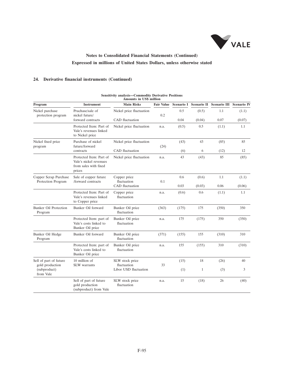

### **24. Derivative financial instruments (Continued)**

|                                             | <b>Amounts in US\$ million</b>                                                       |                                 |                   |            |              |                     |                    |  |  |
|---------------------------------------------|--------------------------------------------------------------------------------------|---------------------------------|-------------------|------------|--------------|---------------------|--------------------|--|--|
| Program                                     | <b>Instrument</b>                                                                    | <b>Main Risks</b>               | <b>Fair Value</b> | Scenario I | Scenario II  | <b>Scenario III</b> | <b>Scenario IV</b> |  |  |
| Nickel purchase<br>protection program       | Pruchase/sale of<br>nickel future/                                                   | Nickel price fluctuation        | 0.2               | 0.5        | (0.5)        | 1.1                 | (1.1)              |  |  |
|                                             | forward contracts                                                                    | CAD fluctuation                 |                   | 0.04       | (0.04)       | 0.07                | (0.07)             |  |  |
|                                             | Protected Item: Part of<br>Vale's revenues linked<br>to Nickel price                 | Nickel price fluctuation        | n.a.              | (0.5)      | 0.5          | (1.1)               | 1.1                |  |  |
| Nickel fixed price<br>program               | Purchase of nickel<br>future/forward                                                 | Nickel price fluctuation        | (24)              | (43)       | 43           | (85)                | 85                 |  |  |
|                                             | contracts                                                                            | CAD fluctuation                 |                   | (6)        | 6            | (12)                | 12                 |  |  |
|                                             | Protected Item: Part of<br>Vale's nickel revenues<br>from sales with fixed<br>prices | Nickel price fluctuation        | n.a.              | 43         | (43)         | 85                  | (85)               |  |  |
| Copper Scrap Purchase<br>Protection Program | Sale of copper future<br>/forward contracts                                          | Copper price<br>fluctuation     | 0.1               | 0.6        | (0.6)        | 1.1                 | (1.1)              |  |  |
|                                             |                                                                                      | CAD fluctuation                 |                   | 0.03       | (0.03)       | 0.06                | (0.06)             |  |  |
|                                             | Protected Item: Part of<br>Vale's revenues linked<br>to Copper price                 | Copper price<br>fluctuation     | n.a.              | (0.6)      | 0.6          | (1.1)               | 1.1                |  |  |
| <b>Bunker Oil Protection</b><br>Program     | Bunker Oil forward                                                                   | Bunker Oil price<br>fluctuation | (363)             | (175)      | 175          | (350)               | 350                |  |  |
|                                             | Protected Item: part of<br>Vale's costs linked to<br>Bunker Oil price                | Bunker Oil price<br>fluctuation | n.a.              | 175        | (175)        | 350                 | (350)              |  |  |
| Bunker Oil Hedge<br>Program                 | Bunker Oil forward                                                                   | Bunker Oil price<br>fluctuation | (371)             | (155)      | 155          | (310)               | 310                |  |  |
|                                             | Protected Item: part of<br>Vale's costs linked to<br>Bunker Oil price                | Bunker Oil price<br>fluctuation | n.a.              | 155        | (155)        | 310                 | (310)              |  |  |
| Sell of part of future<br>gold production   | 10 million of<br><b>SLW</b> warrants                                                 | SLW stock price<br>fluctuation  | 33                | (15)       | 18           | (26)                | 40                 |  |  |
| (subproduct)<br>from Vale                   |                                                                                      | Libor USD fluctuation           |                   | (1)        | $\mathbf{1}$ | (3)                 | 3                  |  |  |
|                                             | Sell of part of future<br>gold production<br>(subproduct) from Vale                  | SLW stock price<br>fluctuation  | n.a.              | 15         | (18)         | 26                  | (40)               |  |  |

# **Sensitivity analysis—Commodity Derivative Positions**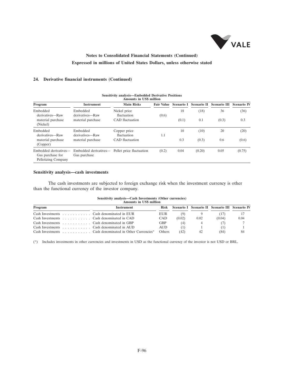

### **24. Derivative financial instruments (Continued)**

| <b>Amounts in US\$ million</b>                                   |                                       |                             |                   |            |                    |                     |                    |
|------------------------------------------------------------------|---------------------------------------|-----------------------------|-------------------|------------|--------------------|---------------------|--------------------|
| Program                                                          | <b>Instrument</b>                     | <b>Main Risks</b>           | <b>Fair Value</b> | Scenario I | <b>Scenario II</b> | <b>Scenario III</b> | <b>Scenario IV</b> |
| Embedded<br>derivatives-Raw                                      | Embedded<br>derivatives-Raw           | Nickel price<br>fluctuation | (0.6)             | 18         | (18)               | 36                  | (36)               |
| material purchase<br>(Nickel)                                    | material purchase                     | CAD fluctuation             |                   | (0.1)      | 0.1                | (0.3)               | 0.3                |
| Embedded<br>derivatives—Raw                                      | Embedded<br>derivatives—Raw           | Copper price<br>fluctuation | 1.1               | 10         | (10)               | 20                  | (20)               |
| material purchase<br>(Copper)                                    | material purchase                     | CAD fluctuation             |                   | 0.3        | (0.3)              | 0.6                 | (0.6)              |
| Embedded derivatives-<br>Gas purchase for<br>Pelletizing Company | Embedded derivatives—<br>Gas purchase | Pellet price fluctuation    | (0.2)             | 0.04       | (0.20)             | 0.05                | (0.75)             |

## **Sensitivity analysis—Embedded Derivative Positions**

### **Sensitivity analysis—cash investments**

The cash investments are subjected to foreign exchange risk when the investment currency is other than the functional currency of the investor company.

| Sensitivity analysis—Cash Investments (Other currencies) |                                |  |
|----------------------------------------------------------|--------------------------------|--|
|                                                          | <b>Amounts in US\$ million</b> |  |

| типуанка не села пиними                                                 |                                                        |               |        |      |                                                 |      |  |
|-------------------------------------------------------------------------|--------------------------------------------------------|---------------|--------|------|-------------------------------------------------|------|--|
| Program                                                                 | Instrument                                             | Risk          |        |      | Scenario I Scenario II Scenario III Scenario IV |      |  |
| Cash Investments $\dots \dots \dots$ Cash denominated in EUR            |                                                        | EUR           | (9)    |      | (17)                                            |      |  |
| Cash Investments Cash denominated in CAD                                |                                                        | <b>CAD</b>    | (0.02) | 0.02 | (0.04)                                          | 0.04 |  |
| Cash Investments $\ldots$ , $\ldots$ , $\ldots$ Cash denominated in GBP |                                                        | <b>GBP</b>    | (4)    |      |                                                 |      |  |
| Cash Investments $\dots \dots \dots$ Cash denominated in AUD            |                                                        | <b>AUD</b>    | (1)    |      |                                                 |      |  |
|                                                                         | Cash Investments Cash denominated in Other Currencies* | <b>Others</b> | (42)   | 42   | (84)                                            | 84   |  |

(\*) Includes investments in other currencies and investments in USD as the functional currency of the investor is not USD or BRL.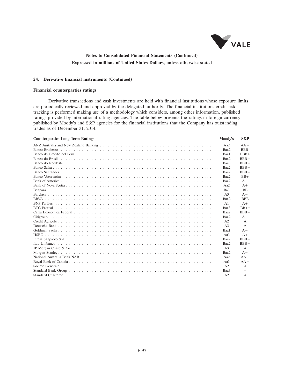

### **24. Derivative financial instruments (Continued)**

#### **Financial counterparties ratings**

Derivative transactions and cash investments are held with financial institutions whose exposure limits are periodically reviewed and approved by the delegated authority. The financial institutions credit risk tracking is performed making use of a methodology which considers, among other information, published ratings provided by international rating agencies. The table below presents the ratings in foreign currency published by Moody's and S&P agencies for the financial institutions that the Company has outstanding trades as of December 31, 2014.

| <b>Counterparties Long Term Ratings</b> | Moody's        | S&P             |
|-----------------------------------------|----------------|-----------------|
|                                         | Aa2            | $AA -$          |
|                                         | Baa2           | BBB-            |
|                                         | Baa1           | $BBB+$          |
|                                         | Baa2           | $BBB -$         |
|                                         | Baa3           | $BBB -$         |
|                                         | Baa2           | $BBB -$         |
|                                         | Baa2           | $BBB -$         |
|                                         | Baa2           | $BB+$           |
|                                         | Baa2           | $A -$           |
|                                         | Aa2            | $A+$            |
|                                         | Ba3            | <b>BB</b>       |
|                                         | A <sub>3</sub> | $A -$           |
|                                         | Baa2           | <b>BBB</b>      |
|                                         | A1             | $A+$            |
|                                         | Baa3           | $BB+$ *         |
|                                         | Baa2           | $R$ $R$ $R$ $-$ |
|                                         | Baa2           | $A -$           |
|                                         | A2             | $\mathsf{A}$    |
|                                         | A <sub>3</sub> | $\mathsf{A}$    |
|                                         | Baa1           | $A -$           |
|                                         | Aa $3$         | $A+$            |
|                                         | Baa2           | $BBB -$         |
|                                         | Baa2           | $BBB -$         |
|                                         | A <sub>3</sub> | $\mathsf{A}$    |
|                                         | Baa2           | $A -$           |
|                                         | Aa2            | $AA -$          |
|                                         | Aa3            | $AA -$          |
|                                         | A <sub>2</sub> | $\mathsf{A}$    |
|                                         | Baa3           |                 |
|                                         | A <sub>2</sub> | $\mathsf{A}$    |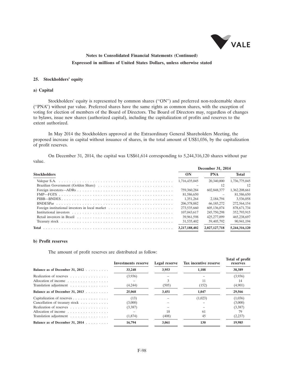

**Total of profit**

## **Notes to Consolidated Financial Statements (Continued) Expressed in millions of United States Dollars, unless otherwise stated**

#### **25. Stockholders' equity**

#### **a) Capital**

Stockholders' equity is represented by common shares (''ON'') and preferred non-redeemable shares (''PNA'') without par value. Preferred shares have the same rights as common shares, with the exception of voting for election of members of the Board of Directors. The Board of Directors may, regardless of changes to bylaws, issue new shares (authorized capital), including the capitalization of profits and reserves to the extent authorized.

In May 2014 the Stockholders approved at the Extraordinary General Shareholders Meeting, the proposed increase in capital without issuance of shares, in the total amount of US\$1,036, by the capitalization of profit reserves.

On December 31, 2014, the capital was US\$61,614 corresponding to 5,244,316,120 shares without par value.

|                                                 | December 31, 2014 |               |               |  |  |
|-------------------------------------------------|-------------------|---------------|---------------|--|--|
| <b>Stockholders</b>                             | ON                | <b>PNA</b>    | Total         |  |  |
|                                                 | 1.716,435,045     | 20,340,000    | 1,736,775,045 |  |  |
|                                                 |                   | 12            | 12            |  |  |
|                                                 | 759,360,284       | 602,848,377   | 1.362.208.661 |  |  |
|                                                 | 81,586,650        |               | 81,586,650    |  |  |
|                                                 | 1.351.264         | 2.184.794     | 3.536,058     |  |  |
|                                                 | 206,378,882       | 66,185,272    | 272,564,154   |  |  |
| Foreign institutional investors in local market | 273,535,660       | 605,136,074   | 878,671,734   |  |  |
|                                                 | 107,043,617       | 245,750,298   | 352,793,915   |  |  |
|                                                 | 39,961,598        | 425,277,099   | 465,238,697   |  |  |
|                                                 | 31,535,402        | 59,405,792    | 90.941.194    |  |  |
|                                                 | 3.217.188.402     | 2,027,127,718 | 5.244.316.120 |  |  |
|                                                 |                   |               |               |  |  |

### **b) Profit reserves**

The amount of profit reserves are distributed as follow:

|       | Tax incentive reserve                                                                                                   | reserves      |
|-------|-------------------------------------------------------------------------------------------------------------------------|---------------|
| 3,953 | 1,188                                                                                                                   | 38,389        |
|       |                                                                                                                         | (3,936)       |
|       | 11                                                                                                                      | 14            |
| (505) | (152)                                                                                                                   | (4,901)       |
| 3,451 | 1,047                                                                                                                   | 29,566        |
|       | (1,023)                                                                                                                 | (1,036)       |
|       |                                                                                                                         | (3,000)       |
|       |                                                                                                                         | (3,387)       |
| 18    | -61                                                                                                                     | 79            |
| (408) | 45                                                                                                                      | (2,237)       |
| 3,061 | 130                                                                                                                     | 19,985        |
|       | <b>Investments reserve</b><br>33,248<br>(3,936)<br>(4,244)<br>25,068<br>(13)<br>(3,000)<br>(3,387)<br>(1,874)<br>16,794 | Legal reserve |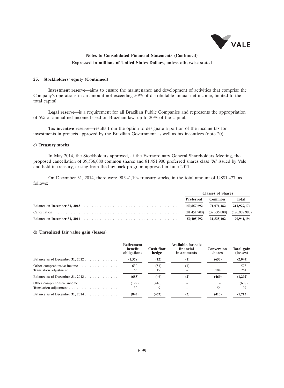

#### **25. Stockholders' equity (Continued)**

**Investment reserve**—aims to ensure the maintenance and development of activities that comprise the Company's operations in an amount not exceeding 50% of distributable annual net income, limited to the total capital.

**Legal reserve**—is a requirement for all Brazilian Public Companies and represents the appropriation of 5% of annual net income based on Brazilian law, up to 20% of the capital.

**Tax incentive reserve**—results from the option to designate a portion of the income tax for investments in projects approved by the Brazilian Government as well as tax incentives (note 20).

#### **c) Treasury stocks**

In May 2014, the Stockholders approved, at the Extraordinary General Shareholders Meeting, the proposed cancellation of 39,536,080 common shares and 81,451,900 preferred shares class "A" issued by Vale and held in treasury, arising from the buy-back program approved in June 2011.

On December 31, 2014, there were 90,941,194 treasury stocks, in the total amount of US\$1,477, as follows:

|           | <b>Classes of Shares</b> |            |
|-----------|--------------------------|------------|
| Preferred | Common                   | Total      |
|           |                          |            |
|           |                          |            |
|           |                          | 90.941.194 |

#### **d) Unrealized fair value gain (losses)**

|                                   | Retirement<br>benefit<br>obligations | <b>Cash flow</b><br>hedge | Available-for-sale<br>financial<br><i>instruments</i> | <b>Conversion</b><br>shares | Total gain<br>(losses) |
|-----------------------------------|--------------------------------------|---------------------------|-------------------------------------------------------|-----------------------------|------------------------|
| Balance as of December 31, $2012$ | (1,378)                              | (12)                      | $\left(1\right)$                                      | (653)                       | (2,044)                |
| Other comprehensive income        | 630<br>63                            | (51)                      | (1)                                                   | 184                         | 578<br>264             |
| Balance as of December 31, 2013   | (685)                                | (46)                      | (2)                                                   | (469)                       | (1,202)                |
| Other comprehensive income        | (192)<br>32                          | (416)                     |                                                       | 56                          | (608)<br>97            |
| Balance as of December 31, 2014.  | (845)                                | (453)                     | (2)                                                   | (413)                       | (1.713)                |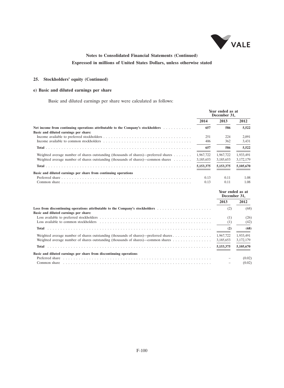

### **25. Stockholders' equity (Continued)**

### **e) Basic and diluted earnings per share**

Basic and diluted earnings per share were calculated as follows:

|                                                                                                                                                                                                                                | Year ended as at<br>December 31, |              |                                  |
|--------------------------------------------------------------------------------------------------------------------------------------------------------------------------------------------------------------------------------|----------------------------------|--------------|----------------------------------|
|                                                                                                                                                                                                                                | 2014                             | 2013         | 2012                             |
| Net income from continuing operations attributable to the Company's stockholders<br>Basic and diluted earnings per share:                                                                                                      | 657                              | 586          | 5,522                            |
|                                                                                                                                                                                                                                | 251<br>406                       | 224<br>362   | 2.091<br>3,431                   |
|                                                                                                                                                                                                                                | 657                              | 586          | 5.522                            |
| Weighted average number of shares outstanding (thousands of shares)—preferred shares $\dots \dots$                                                                                                                             | 1,967,722                        | 1,967,722    | 1,933,491                        |
| Weighted average number of shares outstanding (thousands of shares)—common shares $\dots \dots$                                                                                                                                | 3,185,653                        | 3,185,653    | 3,172,179                        |
|                                                                                                                                                                                                                                | 5,153,375                        | 5,153,375    | 5,105,670                        |
| Basic and diluted earnings per share from continuing operations                                                                                                                                                                |                                  |              |                                  |
|                                                                                                                                                                                                                                | 0.13<br>0.13                     | 0.11<br>0.11 | 1.08<br>1.08                     |
|                                                                                                                                                                                                                                |                                  |              | Year ended as at<br>December 31, |
|                                                                                                                                                                                                                                |                                  | 2013         | 2012                             |
| Loss from discontinuing operations attributable to the Company's stockholders<br>Basic and diluted earnings per share:                                                                                                         |                                  | (2)          | (68)                             |
|                                                                                                                                                                                                                                |                                  | (1)          | (26)                             |
| Loss available to common stockholders experience in the series of the series of the series of the series of the series of the series of the series of the series of the series of the series of the series of the series of th |                                  | (1)          | (42)                             |
|                                                                                                                                                                                                                                |                                  | (2)          | (68)                             |
|                                                                                                                                                                                                                                |                                  | 1,967,722    | 1,933,491                        |
|                                                                                                                                                                                                                                |                                  | 3,185,653    | 3,172,179                        |
|                                                                                                                                                                                                                                |                                  | 5,153,375    | 5.105.670<br>$ -$                |
| Basic and diluted earnings per share from discontinuing operations                                                                                                                                                             |                                  |              |                                  |
| Preferred share in the contract of the contract of the contract of the contract of the contract of the contract of the contract of the contract of the contract of the contract of the contract of the contract of the contrac |                                  |              | (0.02)                           |
|                                                                                                                                                                                                                                |                                  |              | (0.02)                           |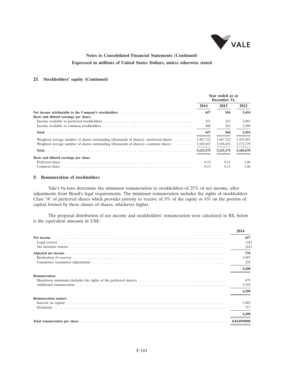

### **25. Stockholders' equity (Continued)**

|                                                                                                 | Year ended as at<br>December 31, |             |           |
|-------------------------------------------------------------------------------------------------|----------------------------------|-------------|-----------|
|                                                                                                 | 2014                             | 2013        | 2012      |
| Basic and diluted earnings per share:                                                           | 657                              | 584         | 5,454     |
|                                                                                                 | 251                              | 223         | 2,065     |
|                                                                                                 | 406                              | 361         | 3,389     |
|                                                                                                 | 657                              | 584         | 5,454     |
| Weighted average number of shares outstanding (thousands of shares)—preferred shares $\dots$    | 1,967,722                        | 1,967,722   | 1,933,491 |
| Weighted average number of shares outstanding (thousands of shares)—common shares $\dots \dots$ | 3,185,653                        | 3,185,653   | 3,172,179 |
|                                                                                                 | 5, 153, 375                      | 5, 153, 375 | 5,105,670 |
| Basic and diluted earnings per share                                                            |                                  |             |           |
|                                                                                                 | 0.13                             | 0.11        | 1.06      |
|                                                                                                 | 0.13                             | 0.11        | 1.06      |

#### **f) Remuneration of stockholders**

Vale's by-laws determine the minimum remuneration to stockholders of 25% of net income, after adjustments from Brazil's legal requirements. The minimum remuneration includes the rights of stockholders Class "A" of preferred shares which provides priority to receive of  $3\%$  of the equity or  $6\%$  on the portion of capital formed by these classes of shares, whichever higher.

The proposal distribution of net income and stockholders' remuneration were calculated in R\$, below is the equivalent amounts in US\$:

|                                                                 | 2014                         |
|-----------------------------------------------------------------|------------------------------|
|                                                                 | 657                          |
|                                                                 | (18)                         |
|                                                                 | (61)                         |
|                                                                 | 578<br>3,387<br>235<br>4,200 |
| <b>Remuneration:</b>                                            | 675                          |
| Mandatory minimum (includes the rights of the preferred shares) | 3,525                        |
|                                                                 | 4.200                        |
| <b>Remuneration nature:</b>                                     | 3,483                        |
|                                                                 | 717                          |
|                                                                 | 4.200                        |
|                                                                 | 0.814999890                  |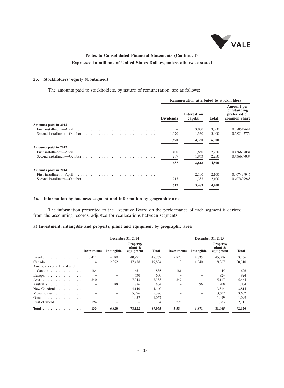

### **25. Stockholders' equity (Continued)**

The amounts paid to stockholders, by nature of remuneration, are as follows:

|                      |                  | Remuneration attributed to stockholders |       |                                                           |
|----------------------|------------------|-----------------------------------------|-------|-----------------------------------------------------------|
|                      | <b>Dividends</b> | Interest on<br>capital                  | Total | Amount per<br>outstanding<br>preferred or<br>common share |
| Amounts paid in 2012 |                  |                                         |       |                                                           |
|                      |                  | 3,000                                   | 3,000 | 0.588547644                                               |
|                      | 1,670            | 1,330                                   | 3,000 | 0.582142779                                               |
|                      | 1,670            | 4,330                                   | 6,000 |                                                           |
| Amounts paid in 2013 |                  |                                         |       |                                                           |
|                      | 400              | 1,850                                   | 2,250 | 0.436607084                                               |
|                      | 287              | 1,963                                   | 2,250 | 0.436607084                                               |
|                      | 687              | 3,813                                   | 4,500 |                                                           |
| Amounts paid in 2014 |                  |                                         |       |                                                           |
|                      |                  | 2.100                                   | 2,100 | 0.407499945                                               |
|                      | 717              | 1,383                                   | 2,100 | 0.407499945                                               |
|                      | 717              | 3,483                                   | 4,200 |                                                           |
|                      |                  |                                         |       |                                                           |

### **26. Information by business segment and information by geographic area**

The information presented to the Executive Board on the performance of each segment is derived from the accounting records, adjusted for reallocations between segments.

### **a) Investment, intangible and property, plant and equipment by geographic area**

|                                            |                          |            | December 31, 2014                    |        | December 31, 2013  |            |                                      |        |  |  |
|--------------------------------------------|--------------------------|------------|--------------------------------------|--------|--------------------|------------|--------------------------------------|--------|--|--|
|                                            | Investments              | Intangible | Property,<br>plant $\&$<br>equipment | Total  | <b>Investments</b> | Intangible | Property,<br>plant $\&$<br>equipment | Total  |  |  |
| Brazil.                                    | 3.411                    | 4,380      | 40,971                               | 48,762 | 2,825              | 4,835      | 45,506                               | 53,166 |  |  |
| Canada                                     | 4                        | 2,352      | 17,478                               | 19.834 | 3                  | 1.940      | 18.367                               | 20,310 |  |  |
| America, except Brazil and                 |                          |            |                                      |        |                    |            |                                      |        |  |  |
| Canada                                     | 184                      |            | 651                                  | 835    | 181                |            | 445                                  | 626    |  |  |
| Europa                                     |                          |            | 630                                  | 630    |                    |            | 924                                  | 924    |  |  |
| Asia                                       | 340                      |            | 7.043                                | 7,383  | 347                |            | 5.117                                | 5,464  |  |  |
| Australia                                  |                          | 88         | 776                                  | 864    |                    | 96         | 908                                  | 1,004  |  |  |
| New Caledonia                              |                          |            | 4,140                                | 4,140  |                    |            | 3,814                                | 3,814  |  |  |
| Mozambique $\ldots$ ,                      |                          |            | 5,376                                | 5,376  |                    |            | 3.602                                | 3,602  |  |  |
| Oman                                       | $\overline{\phantom{0}}$ |            | 1,057                                | 1.057  |                    |            | 1.099                                | 1.099  |  |  |
| Rest of world $\ldots$                     | 194                      |            |                                      | 194    | 228                |            | 1,883                                | 2,111  |  |  |
| Total $\ldots \ldots \ldots \ldots \ldots$ | 4,133                    | 6,820      | 78,122                               | 89,075 | 3,584              | 6,871      | 81,665                               | 92,120 |  |  |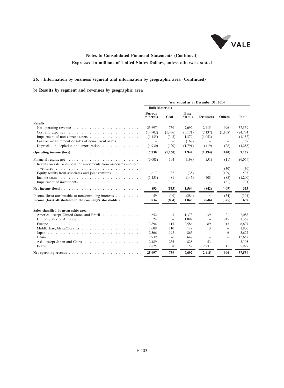

### **26. Information by business segment and information by geographic area (Continued)**

### **b) Results by segment and revenues by geographic area**

|                                                                                               |                            |                          |                              | Year ended as at December 31, 2014 |                          |              |
|-----------------------------------------------------------------------------------------------|----------------------------|--------------------------|------------------------------|------------------------------------|--------------------------|--------------|
|                                                                                               | <b>Bulk Materials</b>      |                          |                              |                                    |                          |              |
|                                                                                               | <b>Ferrous</b><br>minerals | Coal                     | <b>Base</b><br><b>Metals</b> | <b>Fertilizers</b>                 | <b>Others</b>            | <b>Total</b> |
| <b>Results</b>                                                                                |                            |                          |                              |                                    |                          |              |
| Net operating revenue $\ldots \ldots \ldots \ldots \ldots \ldots \ldots \ldots$               | 25,697                     | 739                      | 7.692                        | 2.415                              | 996                      | 37.539       |
|                                                                                               | (14,902)                   | (1, 436)                 | (5,171)                      | (2,137)                            | (1,108)                  | (24, 754)    |
|                                                                                               | (1,135)                    | (343)                    | 1,379                        | (1,053)                            | $\overline{\phantom{m}}$ | (1,152)      |
| Loss on measurement or sales of non-current assets $\dots \dots$                              |                            |                          | (167)                        |                                    | $\overline{\phantom{m}}$ | (167)        |
| Depreciation, depletion and amortization                                                      | (1,930)                    | (120)                    | (1,791)                      | (419)                              | (28)                     | (4,288)      |
|                                                                                               | 7,730                      | (1,160)                  | 1,942                        | (1, 194)                           | (140)                    | 7,178        |
| Results on sale or disposal of investments from associates and joint                          | (6,003)                    | 194                      | (198)                        | (51)                               | (11)                     | (6,069)      |
|                                                                                               | $\overline{\phantom{m}}$   | $\overline{\phantom{m}}$ | $\qquad \qquad -$            | $\overline{\phantom{m}}$           | (30)                     | (30)         |
| Equity results from associates and joint ventures                                             | 617                        | 32                       | (35)                         | $\overline{\phantom{a}}$           | (109)                    | 505          |
|                                                                                               | (1,451)                    | 81                       | (145)                        | 403                                | (88)                     | (1,200)      |
|                                                                                               | $\overline{\phantom{m}}$   | $\qquad \qquad -$        | $\overline{\phantom{m}}$     | $\qquad \qquad -$                  | (31)                     | (31)         |
|                                                                                               | 893                        | (853)                    | 1,564                        | (842)                              | (409)                    | 353          |
| Income (loss) attributable to noncontrolling interests $\dots \dots \dots$                    | 59                         | (49)                     | (284)                        | 4                                  | (34)                     | (304)        |
| Income (loss) attributable to the company's stockholders                                      | 834                        | (804)                    | 1,848                        | (846)                              | (375)                    | 657          |
| Sales classified by geographic area:                                                          |                            |                          |                              |                                    |                          |              |
| America, except United States and Brazil                                                      | 652                        | 3                        | 1,373                        | 39                                 | 21                       | 2,088        |
|                                                                                               | 24                         | $\overline{\phantom{m}}$ | 1,099                        | $\equiv$                           | 245                      | 1,368        |
|                                                                                               | 3,894                      | 115                      | 2,586                        | 89                                 | 13                       | 6,697        |
|                                                                                               | 1,608                      | 110                      | 149                          | 3                                  | $\equiv$                 | 1,870        |
|                                                                                               | 2,566                      | 192                      | 863                          | $\equiv$                           | 6                        | 3.627        |
|                                                                                               | 11,939                     | 76                       | 642                          | $\equiv$                           | $\overline{\phantom{a}}$ | 12,657       |
|                                                                                               | 2,189                      | 235                      | 828                          | 53                                 | $\equiv$                 | 3,305        |
|                                                                                               | 2,825                      | 8                        | 152                          | 2,231                              | 711                      | 5,927        |
| Net operating revenue $\ldots \ldots \ldots \ldots \ldots \ldots \ldots \ldots \ldots \ldots$ | 25,697                     | 739                      | 7,692                        | 2,415                              | 996                      | 37,539       |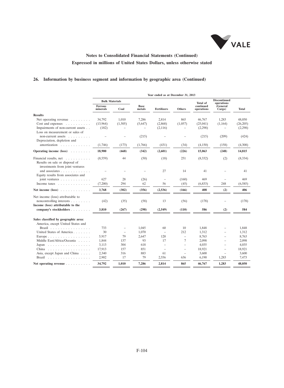

## **26. Information by business segment and information by geographic area (Continued)**

|                                                                                             |                            |                          |                       | Year ended as at December 31, 2013 |                          |                         |                                   |          |
|---------------------------------------------------------------------------------------------|----------------------------|--------------------------|-----------------------|------------------------------------|--------------------------|-------------------------|-----------------------------------|----------|
|                                                                                             | <b>Bulk Materials</b>      |                          |                       |                                    |                          | <b>Total of</b>         | <b>Discontinued</b><br>operations |          |
|                                                                                             | <b>Ferrous</b><br>minerals | Coal                     | <b>Base</b><br>metals | <b>Fertilizers</b>                 | <b>Others</b>            | continued<br>operations | <b>General</b><br>Cargo)          | Total    |
| <b>Results</b>                                                                              |                            |                          |                       |                                    |                          |                         |                                   |          |
| Net operating revenue $\ldots$ ,                                                            | 34,792                     | 1.010                    | 7,286                 | 2,814                              | 865                      | 46,767                  | 1,283                             | 48,050   |
| Cost and expenses $\dots \dots \dots$                                                       | (13,964)                   | (1,505)                  | (5,647)               | (2,868)                            | (1,057)                  | (25,041)                | (1,164)                           | (26,205) |
| Impairments of non-current assets                                                           | (182)                      |                          |                       | (2,116)                            |                          | (2,298)                 |                                   | (2,298)  |
| Loss on measurement or sales of                                                             |                            |                          |                       |                                    |                          |                         |                                   |          |
| non-current assets                                                                          |                            |                          | (215)                 | ۳                                  |                          | (215)                   | (209)                             | (424)    |
| Depreciation, depletion and                                                                 |                            |                          |                       |                                    |                          |                         |                                   |          |
| amortization                                                                                | (1,746)                    | (173)                    | (1,766)               | (431)                              | (34)                     | (4,150)                 | (158)                             | (4,308)  |
| Operating income $(\text{loss})$                                                            | 18.900                     | (668)                    | (342)                 | (2,601)                            | (226)                    | 15,063                  | (248)                             | 14,815   |
| Financial results, net<br>Results on sale or disposal of<br>investments from joint ventures | (8,559)                    | 44                       | (50)                  | (18)                               | 251                      | (8,332)                 | (2)                               | (8, 334) |
| and associates<br>Equity results from associates and                                        |                            |                          |                       | 27                                 | 14                       | 41                      |                                   | 41       |
| joint ventures $\ldots$                                                                     | 627                        | 28                       | (26)                  | $\qquad \qquad -$                  | (160)                    | 469                     |                                   | 469      |
| Income taxes $\ldots$ ,                                                                     | (7,200)                    | 294                      | 62                    | 56                                 | (45)                     | (6,833)                 | 248                               | (6,585)  |
| Net income $(\text{loss})$                                                                  | 3,768                      | (302)                    | (356)                 | (2,536)                            | (166)                    | 408                     | (2)                               | 406      |
| Net income (loss) attributable to                                                           |                            |                          |                       |                                    |                          |                         |                                   |          |
| noncontrolling interests                                                                    | (42)                       | (35)                     | (58)                  | 13                                 | (56)                     | (178)                   |                                   | (178)    |
| Income (loss) attributable to the                                                           |                            |                          |                       |                                    |                          |                         |                                   |          |
| company's stockholders                                                                      | 3,810                      | (267)                    | (298)                 | (2,549)                            | (110)                    | 586                     | (2)                               | 584      |
| Sales classified by geographic area:<br>America, except United States and                   |                            |                          |                       |                                    |                          |                         |                                   |          |
| Brazil, $\ldots$ , $\ldots$ , $\ldots$ , $\ldots$ , $\ldots$                                | 733                        | $\qquad \qquad -$        | 1,045                 | 60                                 | 10                       | 1,848                   |                                   | 1,848    |
| United States of America                                                                    | 30                         | $\overline{\phantom{a}}$ | 1,070                 | $\overline{\phantom{a}}$           | 212                      | 1,312                   | $\equiv$                          | 1,312    |
| Europe                                                                                      | 5,917                      | 79                       | 2,647                 | 120                                | $\qquad \qquad -$        | 8,763                   | $\equiv$                          | 8,763    |
| Middle East/Africa/Oceania                                                                  | 1.844                      | 137                      | 93                    | 17                                 | 7                        | 2,098                   |                                   | 2,098    |
| Japan                                                                                       | 3,113                      | 304                      | 618                   | ÷                                  | $\equiv$                 | 4,035                   |                                   | 4,035    |
| China                                                                                       | 17,913                     | 157                      | 851                   | ÷                                  | $\equiv$                 | 18,921                  |                                   | 18,921   |
| Asia, except Japan and China                                                                | 2,340                      | 316                      | 883                   | 61                                 | $\overline{\phantom{a}}$ | 3,600                   | $\qquad \qquad -$                 | 3,600    |
| Brazil                                                                                      | 2,902                      | 17                       | 79                    | 2,556                              | 636                      | 6,190                   | 1,283                             | 7,473    |
| Net operating revenue                                                                       | 34,792                     | 1,010                    | 7,286                 | 2,814                              | 865                      | 46,767                  | 1,283                             | 48,050   |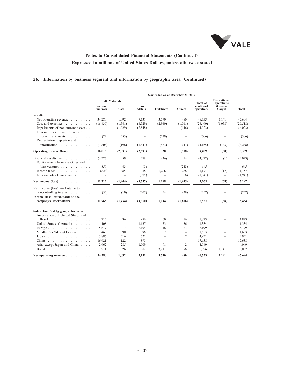

## **26. Information by business segment and information by geographic area (Continued)**

|                                                              |                            |                          |                          | Year ended as at December 31, 2012 |                                   |                         |                                   |              |
|--------------------------------------------------------------|----------------------------|--------------------------|--------------------------|------------------------------------|-----------------------------------|-------------------------|-----------------------------------|--------------|
|                                                              | <b>Bulk Materials</b>      |                          |                          |                                    |                                   | Total of                | <b>Discontinued</b><br>operations |              |
|                                                              | <b>Ferrous</b><br>minerals | Coal                     | Base<br><b>Metals</b>    | <b>Fertilizers</b>                 | Others                            | continued<br>operations | <i><b>General</b></i><br>Cargo)   | <b>Total</b> |
| <b>Results</b>                                               |                            |                          |                          |                                    |                                   |                         |                                   |              |
| Net operating revenue $\ldots$                               | 34,280                     | 1.092                    | 7.131                    | 3,570                              | 480                               | 46.553                  | 1.141                             | 47.694       |
| $Cost and expenses \dots \dots \dots$                        | (16, 439)                  | (1, 541)                 | (6,529)                  | (2,940)                            | (1,011)                           | (28, 460)               | (1,058)                           | (29,518)     |
| Impairments of non-current assets                            |                            | (1,029)                  | (2,848)                  |                                    | (146)                             | (4,023)                 | $\qquad \qquad -$                 | (4,023)      |
| Loss on measurement or sales of                              |                            |                          |                          |                                    |                                   |                         |                                   |              |
| non-current assets                                           | (22)                       | (355)                    | $\overline{\phantom{0}}$ | (129)                              | $\qquad \qquad -$                 | (506)                   | $\overline{\phantom{0}}$          | (506)        |
| Depreciation, depletion and                                  |                            |                          |                          |                                    |                                   |                         |                                   |              |
| amortization                                                 | (1,806)                    | (198)                    | (1,647)                  | (463)                              | (41)                              | (4,155)                 | (133)                             | (4,288)      |
| Operating income (loss)                                      | 16,013                     | (2,031)                  | (3,893)                  | 38                                 | (718)                             | 9,409                   | (50)                              | 9,359        |
| Financial results, net<br>Equity results from associates and | (4,327)                    | 59                       | 278                      | (46)                               | 14                                | (4,022)                 | (1)                               | (4,023)      |
| joint ventures $\ldots$ ,                                    | 850                        | 43                       | (5)                      | $\equiv$                           | (243)                             | 645                     | $\overline{\phantom{a}}$          | 645          |
| Income taxes $\dots \dots \dots \dots$                       | (823)                      | 485                      | 38                       | 1,206                              | 268                               | 1,174                   | (17)                              | 1,157        |
| Impairments of investments                                   | $\qquad \qquad -$          | $\overline{\phantom{0}}$ | (975)                    |                                    | (966)                             | (1,941)                 | -                                 | (1, 941)     |
| Net income $(\text{loss})$                                   | 11,713                     | (1, 444)                 | (4, 557)                 | 1,198                              | (1,645)                           | 5,265                   | (68)                              | 5,197        |
| Net income (loss) attributable to                            |                            |                          |                          |                                    |                                   |                         |                                   |              |
| noncontrolling interests                                     | (55)                       | (10)                     | (207)                    | 54                                 | (39)                              | (257)                   |                                   | (257)        |
| Income (loss) attributable to the                            |                            |                          |                          |                                    |                                   |                         |                                   |              |
| company's stockholders                                       | 11,768                     | (1, 434)                 | (4,350)                  | 1.144                              | (1,606)                           | 5,522                   | (68)                              | 5,454        |
| Sales classified by geographic area:                         |                            |                          |                          |                                    |                                   |                         |                                   |              |
| America, except United States and                            |                            |                          |                          |                                    |                                   |                         |                                   |              |
| Brazil $\ldots$ ,                                            | 715                        | 36                       | 996                      | 60                                 | 16                                | 1,823                   |                                   | 1,823        |
| United States of America                                     | 108                        | $\qquad \qquad -$        | 1,137                    | 53                                 | 36                                | 1,334                   |                                   | 1,334        |
| Europe                                                       | 5,617                      | 217                      | 2,194                    | 148                                | 23                                | 8,199                   |                                   | 8,199        |
| Middle East/Africa/Oceania                                   | 1,460                      | 90                       | 96                       | 7                                  | $\qquad \qquad -$                 | 1.653                   |                                   | 1.653        |
| Japan                                                        | 3,886                      | 316                      | 722                      | L.                                 | 7                                 | 4,931                   | $\overline{\phantom{0}}$          | 4,931        |
| China                                                        | 16,621                     | 122                      | 895                      | $\equiv$                           | $\hspace{1.0cm} - \hspace{1.0cm}$ | 17,638                  | ÷,                                | 17,638       |
| Asia, except Japan and China                                 | 2,662                      | 285                      | 1.009                    | 91                                 | $\overline{c}$                    | 4,049                   | $\overline{\phantom{a}}$          | 4,049        |
| Brazil                                                       | 3,211                      | 26                       | 82                       | 3,211                              | 396                               | 6,926                   | 1,141                             | 8,067        |
| Net operating revenue $\ldots$ $\ldots$ $\ldots$ $\ldots$    | 34,280                     | 1,092                    | 7,131                    | 3,570                              | 480                               | 46,553                  | 1,141                             | 47,694       |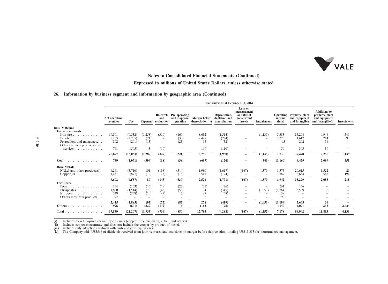

#### **Notes to Consolidated Financial Statements (Continued)**

#### **Expressed in millions of United States Dollars, unless otherwise stated**

#### **26. Information by business segment and information by geographic area (Continued)**

| Loss on<br><b>Additions</b> to<br>measurement<br>Research Pre operating<br>Depreciation,<br>or sales of<br>Operating Property, plant<br>property, plant<br>Margin before<br>depletion and<br>and equipment<br>Net operating<br>and stoppage<br>and equipment<br>and<br>non-current<br>income<br>and intangible(iii)<br>Expenses evaluation<br>Cost<br>depreciation(iv)<br>amortization<br>and intangible<br>assets<br>Impairment<br>$(\text{loss})$<br>Investments<br>operation<br>revenues<br><b>Bulk Material</b><br><b>Ferrous minerals</b><br>19,301<br>(9, 532)<br>(1, 135)<br>35,294<br>(1,258)<br>(319)<br>8,032<br>(160)<br>(1,514)<br>5,383<br>6,946<br>546<br>Iron ore.<br>.<br>5,263<br>2,499<br>2,225<br>593<br>(2,705)<br>(21)<br>(274)<br>1,617<br>214<br>Pellets<br>(38)<br>$\overline{\phantom{a}}$<br>$\overline{\phantom{a}}$<br>(13)<br>392<br>(23)<br>262<br>(261)<br>(32)<br>56<br>Ferroalloys and manganese<br>95<br>63<br>$\overline{\phantom{0}}$<br>$\overline{\phantom{a}}$<br>Others ferrous products and<br>(565)<br>169<br>(110)<br>59<br>305<br>39<br>services $\ldots$<br>741<br>3<br>(10)<br>$-$<br>-<br>(1,289)<br>7,255<br>25,697<br>(13,063)<br>(329)<br>(221)<br>10,795<br>(1,930)<br>(1, 135)<br>7,730<br>37,478<br>1,139<br>-<br>739<br>(1,071)<br>(309)<br>(38)<br>(697)<br>(120)<br>(343)<br>4,429<br>355<br>(18)<br>2,099<br>(1,160)<br>Coal<br>.<br>$\equiv$<br><b>Base Metals</b><br>(3,710)<br>1,379<br>29,615<br>1,522<br>Nickel and other products(i)<br>101<br>(138)<br>(514)<br>1,980<br>(1,617)<br>(167)<br>6.241<br>1,575<br>21<br>1,451<br>(877)<br>(12)<br>541<br>367<br>3,664<br>563<br>194<br>(16)<br>(174)<br>(5)<br>$Copper(ii)$<br>7,692<br>(4,587)<br>89<br>(143)<br>(530)<br>(1,791)<br>1,379<br>33,279<br>215<br>2,521<br>(167)<br>1,942<br>2,085<br><b>Fertilizers</b><br>154<br>(133)<br>(22)<br>156<br>Potash<br>(15)<br>(19)<br>(35)<br>(26)<br>(61)<br>(70)<br>(46)<br>(56)<br>(1,053)<br>36<br>1,820<br>(345)<br>5,509<br>(1,514)<br>134<br>(1,264)<br>Phosphates<br>-<br>349<br>87<br>39<br>(238)<br>(48)<br>(10)<br>Nitrogen<br>(7)<br>(7)<br>$\overline{\phantom{a}}$<br>-<br>92<br>92<br>92<br>Others fertilizers products<br>$\overline{\phantom{a}}$<br>$\qquad \qquad -$<br>-<br>$\overline{\phantom{0}}$<br>$\overline{\phantom{0}}$<br>$\overline{\phantom{a}}$<br>(1, 885)<br>(95)<br>278<br>(1,053)<br>2,415<br>(72)<br>(85)<br>(419)<br>(1,194)<br>5,665<br>36<br>-<br>996<br>(329)<br>338<br>2,424<br>(601)<br>(112)<br>(28)<br>4,091<br>Others<br>(172)<br>(6)<br>(140)<br>$\overline{\phantom{a}}$<br>-<br>7,178<br>37,539<br>(21, 207)<br>(1,933)<br>(734)<br>(880)<br>12,785<br>(4,288)<br>(167)<br>(1,152)<br>84,942<br>4,133<br>11,813<br>Total<br>. |  |  |  | Year ended as at December 31, 2014 |  |  |  |
|-------------------------------------------------------------------------------------------------------------------------------------------------------------------------------------------------------------------------------------------------------------------------------------------------------------------------------------------------------------------------------------------------------------------------------------------------------------------------------------------------------------------------------------------------------------------------------------------------------------------------------------------------------------------------------------------------------------------------------------------------------------------------------------------------------------------------------------------------------------------------------------------------------------------------------------------------------------------------------------------------------------------------------------------------------------------------------------------------------------------------------------------------------------------------------------------------------------------------------------------------------------------------------------------------------------------------------------------------------------------------------------------------------------------------------------------------------------------------------------------------------------------------------------------------------------------------------------------------------------------------------------------------------------------------------------------------------------------------------------------------------------------------------------------------------------------------------------------------------------------------------------------------------------------------------------------------------------------------------------------------------------------------------------------------------------------------------------------------------------------------------------------------------------------------------------------------------------------------------------------------------------------------------------------------------------------------------------------------------------------------------------------------------------------------------------------------------------------------------------------------------------------------------------------------------------------------------------------------------------------------------------------------------------------------------------------------------------------------------------------|--|--|--|------------------------------------|--|--|--|
|                                                                                                                                                                                                                                                                                                                                                                                                                                                                                                                                                                                                                                                                                                                                                                                                                                                                                                                                                                                                                                                                                                                                                                                                                                                                                                                                                                                                                                                                                                                                                                                                                                                                                                                                                                                                                                                                                                                                                                                                                                                                                                                                                                                                                                                                                                                                                                                                                                                                                                                                                                                                                                                                                                                                           |  |  |  |                                    |  |  |  |
|                                                                                                                                                                                                                                                                                                                                                                                                                                                                                                                                                                                                                                                                                                                                                                                                                                                                                                                                                                                                                                                                                                                                                                                                                                                                                                                                                                                                                                                                                                                                                                                                                                                                                                                                                                                                                                                                                                                                                                                                                                                                                                                                                                                                                                                                                                                                                                                                                                                                                                                                                                                                                                                                                                                                           |  |  |  |                                    |  |  |  |
|                                                                                                                                                                                                                                                                                                                                                                                                                                                                                                                                                                                                                                                                                                                                                                                                                                                                                                                                                                                                                                                                                                                                                                                                                                                                                                                                                                                                                                                                                                                                                                                                                                                                                                                                                                                                                                                                                                                                                                                                                                                                                                                                                                                                                                                                                                                                                                                                                                                                                                                                                                                                                                                                                                                                           |  |  |  |                                    |  |  |  |
|                                                                                                                                                                                                                                                                                                                                                                                                                                                                                                                                                                                                                                                                                                                                                                                                                                                                                                                                                                                                                                                                                                                                                                                                                                                                                                                                                                                                                                                                                                                                                                                                                                                                                                                                                                                                                                                                                                                                                                                                                                                                                                                                                                                                                                                                                                                                                                                                                                                                                                                                                                                                                                                                                                                                           |  |  |  |                                    |  |  |  |
|                                                                                                                                                                                                                                                                                                                                                                                                                                                                                                                                                                                                                                                                                                                                                                                                                                                                                                                                                                                                                                                                                                                                                                                                                                                                                                                                                                                                                                                                                                                                                                                                                                                                                                                                                                                                                                                                                                                                                                                                                                                                                                                                                                                                                                                                                                                                                                                                                                                                                                                                                                                                                                                                                                                                           |  |  |  |                                    |  |  |  |
|                                                                                                                                                                                                                                                                                                                                                                                                                                                                                                                                                                                                                                                                                                                                                                                                                                                                                                                                                                                                                                                                                                                                                                                                                                                                                                                                                                                                                                                                                                                                                                                                                                                                                                                                                                                                                                                                                                                                                                                                                                                                                                                                                                                                                                                                                                                                                                                                                                                                                                                                                                                                                                                                                                                                           |  |  |  |                                    |  |  |  |
|                                                                                                                                                                                                                                                                                                                                                                                                                                                                                                                                                                                                                                                                                                                                                                                                                                                                                                                                                                                                                                                                                                                                                                                                                                                                                                                                                                                                                                                                                                                                                                                                                                                                                                                                                                                                                                                                                                                                                                                                                                                                                                                                                                                                                                                                                                                                                                                                                                                                                                                                                                                                                                                                                                                                           |  |  |  |                                    |  |  |  |
|                                                                                                                                                                                                                                                                                                                                                                                                                                                                                                                                                                                                                                                                                                                                                                                                                                                                                                                                                                                                                                                                                                                                                                                                                                                                                                                                                                                                                                                                                                                                                                                                                                                                                                                                                                                                                                                                                                                                                                                                                                                                                                                                                                                                                                                                                                                                                                                                                                                                                                                                                                                                                                                                                                                                           |  |  |  |                                    |  |  |  |
|                                                                                                                                                                                                                                                                                                                                                                                                                                                                                                                                                                                                                                                                                                                                                                                                                                                                                                                                                                                                                                                                                                                                                                                                                                                                                                                                                                                                                                                                                                                                                                                                                                                                                                                                                                                                                                                                                                                                                                                                                                                                                                                                                                                                                                                                                                                                                                                                                                                                                                                                                                                                                                                                                                                                           |  |  |  |                                    |  |  |  |
|                                                                                                                                                                                                                                                                                                                                                                                                                                                                                                                                                                                                                                                                                                                                                                                                                                                                                                                                                                                                                                                                                                                                                                                                                                                                                                                                                                                                                                                                                                                                                                                                                                                                                                                                                                                                                                                                                                                                                                                                                                                                                                                                                                                                                                                                                                                                                                                                                                                                                                                                                                                                                                                                                                                                           |  |  |  |                                    |  |  |  |
|                                                                                                                                                                                                                                                                                                                                                                                                                                                                                                                                                                                                                                                                                                                                                                                                                                                                                                                                                                                                                                                                                                                                                                                                                                                                                                                                                                                                                                                                                                                                                                                                                                                                                                                                                                                                                                                                                                                                                                                                                                                                                                                                                                                                                                                                                                                                                                                                                                                                                                                                                                                                                                                                                                                                           |  |  |  |                                    |  |  |  |
|                                                                                                                                                                                                                                                                                                                                                                                                                                                                                                                                                                                                                                                                                                                                                                                                                                                                                                                                                                                                                                                                                                                                                                                                                                                                                                                                                                                                                                                                                                                                                                                                                                                                                                                                                                                                                                                                                                                                                                                                                                                                                                                                                                                                                                                                                                                                                                                                                                                                                                                                                                                                                                                                                                                                           |  |  |  |                                    |  |  |  |
|                                                                                                                                                                                                                                                                                                                                                                                                                                                                                                                                                                                                                                                                                                                                                                                                                                                                                                                                                                                                                                                                                                                                                                                                                                                                                                                                                                                                                                                                                                                                                                                                                                                                                                                                                                                                                                                                                                                                                                                                                                                                                                                                                                                                                                                                                                                                                                                                                                                                                                                                                                                                                                                                                                                                           |  |  |  |                                    |  |  |  |
|                                                                                                                                                                                                                                                                                                                                                                                                                                                                                                                                                                                                                                                                                                                                                                                                                                                                                                                                                                                                                                                                                                                                                                                                                                                                                                                                                                                                                                                                                                                                                                                                                                                                                                                                                                                                                                                                                                                                                                                                                                                                                                                                                                                                                                                                                                                                                                                                                                                                                                                                                                                                                                                                                                                                           |  |  |  |                                    |  |  |  |
|                                                                                                                                                                                                                                                                                                                                                                                                                                                                                                                                                                                                                                                                                                                                                                                                                                                                                                                                                                                                                                                                                                                                                                                                                                                                                                                                                                                                                                                                                                                                                                                                                                                                                                                                                                                                                                                                                                                                                                                                                                                                                                                                                                                                                                                                                                                                                                                                                                                                                                                                                                                                                                                                                                                                           |  |  |  |                                    |  |  |  |
|                                                                                                                                                                                                                                                                                                                                                                                                                                                                                                                                                                                                                                                                                                                                                                                                                                                                                                                                                                                                                                                                                                                                                                                                                                                                                                                                                                                                                                                                                                                                                                                                                                                                                                                                                                                                                                                                                                                                                                                                                                                                                                                                                                                                                                                                                                                                                                                                                                                                                                                                                                                                                                                                                                                                           |  |  |  |                                    |  |  |  |
|                                                                                                                                                                                                                                                                                                                                                                                                                                                                                                                                                                                                                                                                                                                                                                                                                                                                                                                                                                                                                                                                                                                                                                                                                                                                                                                                                                                                                                                                                                                                                                                                                                                                                                                                                                                                                                                                                                                                                                                                                                                                                                                                                                                                                                                                                                                                                                                                                                                                                                                                                                                                                                                                                                                                           |  |  |  |                                    |  |  |  |

(i) Includes nickel by-products and by-products (copper, precious metal, cobalt and others).<br>(iii) Includes copper concentrate and does not include the cooper by-product of nickel.<br>(iii) Includes only addictions realized w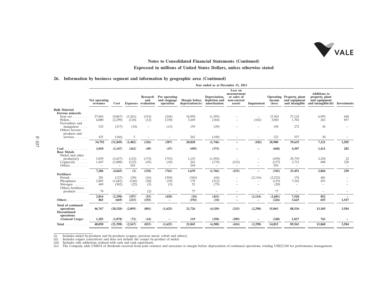

#### **26. Information by business segment and information by geographic area (Continued)**

|                                                                                                             |                                            |                                         |                       |                                               |                                            |                                   | Year ended as at December 31, 2013             |                                                                |                                                 |                           |                                                              |                                                                                |                                       |
|-------------------------------------------------------------------------------------------------------------|--------------------------------------------|-----------------------------------------|-----------------------|-----------------------------------------------|--------------------------------------------|-----------------------------------|------------------------------------------------|----------------------------------------------------------------|-------------------------------------------------|---------------------------|--------------------------------------------------------------|--------------------------------------------------------------------------------|---------------------------------------|
|                                                                                                             | Net operating<br>revenues                  | Cost                                    |                       | Research<br>and<br><b>Expenses</b> evaluation | Pre operating<br>and stoppage<br>operation | Margin before<br>depreciation(iv) | Depreciation,<br>depletion and<br>amortization | Loss on<br>measurement<br>or sales of<br>non-current<br>assets | Impairment                                      | income<br>$(\text{loss})$ | Operating Property, plant<br>and equipment<br>and intangible | <b>Additions to</b><br>property, plant<br>and equipment<br>and intangible(iii) | Investments                           |
| <b>Bulk Material</b>                                                                                        |                                            |                                         |                       |                                               |                                            |                                   |                                                |                                                                |                                                 |                           |                                                              |                                                                                |                                       |
| <b>Ferrous minerals</b><br>Iron ore $\ldots$<br>Pellets<br>Ferroalloys and                                  | 27,844<br>6,000                            | (9,067)<br>(2,299)                      | (1,261)<br>(110)      | (314)<br>(12)                                 | (244)<br>(130)                             | 16,958<br>3,449                   | (1, 393)<br>(184)                              |                                                                | $\qquad \qquad -$<br>(182)                      | 15,565<br>3,083           | 37,124<br>1,702                                              | 6,993<br>262                                                                   | 648<br>857                            |
| manganese<br>Others ferrous<br>products and                                                                 | 523                                        | (317)                                   | (34)                  | $\qquad \qquad -$                             | (13)                                       | 159                               | (29)                                           |                                                                | $\equiv$                                        | 130                       | 272                                                          | 36                                                                             |                                       |
| $s$ ervices $\ldots$ .                                                                                      | 425                                        | (166)                                   | 3                     | $-$                                           | $\overline{\phantom{a}}$                   | 262                               | (140)                                          |                                                                |                                                 | 122                       | 537                                                          | 30                                                                             |                                       |
|                                                                                                             | 34,792                                     | (11, 849)                               | (1, 402)              | (326)                                         | (387)                                      | 20,828                            | (1,746)                                        |                                                                | (182)                                           | 18,900                    | 39,635                                                       | 7,321                                                                          | 1,505                                 |
| $Coal$<br><b>Base Metals</b><br>Nickel and other                                                            | 1,010                                      | (1,147)                                 | (262)                 | (49)                                          | (47)                                       | (495)                             | (173)                                          |                                                                |                                                 | (668)                     | 4,307                                                        | 1,411                                                                          | 282                                   |
| $products(i) \dots$<br>$Copper(ii)$<br>Others $\ldots$ $\ldots$ .                                           | 5,839<br>1,447<br>$\overline{\phantom{a}}$ | (3,657)<br>(1,008)<br>$\qquad \qquad -$ | (123)<br>(122)<br>244 | (173)<br>(45)<br>$-$                          | (753)<br>(10)<br>$\overline{\phantom{m}}$  | 1,133<br>262<br>244               | (1,592)<br>(174)                               | (215)<br>$\overline{\phantom{a}}$                              |                                                 | (459)<br>(127)<br>244     | 29,739<br>3,712<br>$\overline{\phantom{a}}$                  | 2,258<br>608<br>$\equiv$                                                       | 22<br>228<br>$\overline{\phantom{0}}$ |
|                                                                                                             | 7,286                                      | (4,665)                                 | (1)                   | (218)                                         | (763)                                      | 1,639                             | (1,766)                                        | (215)                                                          | ÷                                               | (342)                     | 33,451                                                       | 2,866                                                                          | 250                                   |
| <b>Fertilizers</b><br>Potash<br>Phosphates<br>Nitrogen $\dots$ .<br>Others fertilizers                      | 201<br>2,065<br>469                        | (127)<br>(1,681)<br>(382)               | (29)<br>(146)<br>(22) | (16)<br>(30)<br>(5)                           | (394)<br>(29)<br>(5)                       | (365)<br>179<br>55                | (44)<br>(312)<br>(75)                          | $\qquad \qquad -$<br>$\equiv$<br>$\overline{\phantom{a}}$      | (2,116)<br>$\overline{\phantom{0}}$<br>$\equiv$ | (2,525)<br>(133)<br>(20)  | 176<br>7,342<br>$\overline{\phantom{a}}$                     | 401<br>451<br>$\overline{\phantom{a}}$                                         |                                       |
| products $\ldots$                                                                                           | 79                                         | $\overline{\phantom{a}}$                | -                     | (2)                                           | $\overline{\phantom{a}}$                   | 77                                | $\overline{\phantom{a}}$                       |                                                                | $\equiv$                                        | 77                        | $\overline{\phantom{a}}$                                     | $\overline{\phantom{a}}$                                                       |                                       |
| Others                                                                                                      | 2,814<br>865                               | (2,190)<br>(669)                        | (197)<br>(233)        | (53)<br>(155)                                 | (428)<br>$\overline{\phantom{0}}$          | (54)<br>(192)                     | (431)<br>(34)                                  |                                                                | (2,116)<br>÷                                    | (2,601)<br>(226)          | 7,518<br>3,625                                               | 852<br>655                                                                     | 1,547                                 |
| <b>Total of continued</b><br>operations<br>$\sim$ $\sim$ $\sim$ $\sim$<br><b>Discontinued</b><br>operations | 46,767                                     | (20, 520)                               | (2,095)               | (801)                                         | (1,625)                                    | 21,726                            | (4,150)                                        | (215)                                                          | (2,298)                                         | 15,063                    | 88,536                                                       | 13,105                                                                         | 3,584                                 |
| (General Cargo).                                                                                            | 1,283                                      | (1,078)                                 | (72)                  | (14)                                          | $\overline{\phantom{0}}$                   | 119                               | (158)                                          | (209)                                                          |                                                 | (248)                     | 1,027                                                        | 763                                                                            |                                       |
| Total                                                                                                       | 48,050                                     | (21, 598)                               | (2,167)               | (815)                                         | (1,625)                                    | 21,845                            | (4,308)                                        | (424)                                                          | (2,298)                                         | 14,815                    | 89,563                                                       | 13,868                                                                         | 3,584                                 |

<sup>(</sup>i) Includes nickel by-products and by-products (copper, precious metal, cobalt and others).<br>(iii) Includes copper concentrate and does not include the cooper by-product of nickel.<br>(iii) Includes only addictions realized w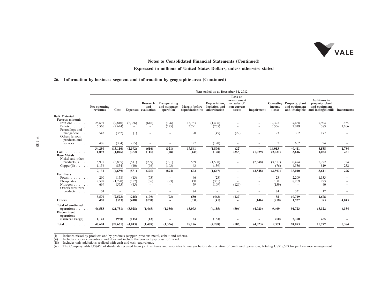

### **Notes to Consolidated Financial Statements (Continued)**

### **Expressed in millions of United States Dollars, unless otherwise stated**

#### **26. Information by business segment and information by geographic area (Continued)**

|                                                                      |                           |                          |                          |                                        |                                            |                                          | Year ended as at December 31, 2012             |                                                                |                                     |                           |                                                              |                                                                                |              |
|----------------------------------------------------------------------|---------------------------|--------------------------|--------------------------|----------------------------------------|--------------------------------------------|------------------------------------------|------------------------------------------------|----------------------------------------------------------------|-------------------------------------|---------------------------|--------------------------------------------------------------|--------------------------------------------------------------------------------|--------------|
|                                                                      | Net operating<br>revenues | Cost                     |                          | Research<br>and<br>Expenses evaluation | Pre operating<br>and stoppage<br>operation | <b>Margin</b> before<br>depreciation(iv) | Depreciation,<br>depletion and<br>amortization | Loss on<br>measurement<br>or sales of<br>non-current<br>assets | Impairment                          | income<br>$(\text{loss})$ | Operating Property, plant<br>and equipment<br>and intangible | <b>Additions</b> to<br>property, plant<br>and equipment<br>and intangible(iii) | Investments  |
| <b>Bulk Material</b>                                                 |                           |                          |                          |                                        |                                            |                                          |                                                |                                                                |                                     |                           |                                                              |                                                                                |              |
| <b>Ferrous minerals</b><br>Iron ore $\ldots$                         | 26,691                    | (9,810)                  | (2, 336)                 | (616)                                  | (196)                                      | 13,733                                   | (1,406)                                        |                                                                |                                     | 12,327                    | 37,488                                                       | 7,904                                                                          | 678          |
| Pellets                                                              | 6,560                     | (2,644)                  | $\overline{\phantom{a}}$ | $\overline{\phantom{0}}$               | (125)                                      | 3,791                                    | (235)                                          |                                                                |                                     | 3,556                     | 2,019                                                        | 383                                                                            | 1,106        |
| Ferroalloys and<br>manganese                                         | 543                       | (352)                    | (1)                      | $\overline{\phantom{a}}$               |                                            | 190                                      | (45)                                           | (22)                                                           |                                     | 123                       | 302                                                          | 177                                                                            |              |
| Others ferrous<br>products and                                       |                           |                          |                          |                                        |                                            |                                          |                                                |                                                                |                                     |                           |                                                              |                                                                                |              |
| services $\ldots$ .                                                  | 486                       | (304)                    | (55)                     | $\overline{\phantom{m}}$               | $\overline{\phantom{a}}$                   | 127                                      | (120)                                          | $\overline{\phantom{a}}$                                       | -                                   | 7                         | 602                                                          | 94                                                                             |              |
| Coal<br>.<br><b>Base Metals</b>                                      | 34,280<br>1.092           | (13, 110)<br>(1,046)     | (2, 392)<br>(352)        | (616)<br>(115)                         | (321)<br>(28)                              | 17,841<br>(449)                          | (1,806)<br>(198)                               | (22)<br>(355)                                                  | $\overline{\phantom{0}}$<br>(1,029) | 16,013<br>(2,031)         | 40,411<br>3,616                                              | 8,558<br>1,082                                                                 | 1,784<br>281 |
| Nickel and other                                                     |                           |                          |                          |                                        |                                            |                                          |                                                |                                                                |                                     |                           |                                                              |                                                                                |              |
| $products(i) \dots$<br>$Copper(ii) \ldots \ldots$                    | 5,975<br>1,156            | (3,835)<br>(854)         | (511)<br>(40)            | (299)<br>(96)                          | (791)<br>(103)                             | 539<br>63                                | (1,508)<br>(139)                               | $\equiv$                                                       | (2,848)<br>$\overline{\phantom{a}}$ | (3,817)<br>(76)           | 30,474<br>4,536                                              | 2,792<br>819                                                                   | 24<br>252    |
|                                                                      | 7,131                     | (4,689)                  | (551)                    | (395)                                  | (894)                                      | 602                                      | (1,647)                                        | Ξ.                                                             | (2, 848)                            | (3,893)                   | 35,010                                                       | 3,611                                                                          | 276          |
| <b>Fertilizers</b>                                                   |                           |                          |                          |                                        |                                            |                                          |                                                |                                                                |                                     |                           |                                                              |                                                                                |              |
| Potash<br>Phosphates                                                 | 290<br>2,507              | (158)<br>(1,790)         | (13)<br>(157)            | (73)<br>(36)                           | $\qquad \qquad -$<br>(93)                  | 46<br>431                                | (23)<br>(331)                                  | $\overline{\phantom{a}}$                                       | $\equiv$                            | 23<br>100                 | 2,209<br>8,209                                               | 1,333<br>293                                                                   |              |
| Nitrogen $\ldots$<br>Others fertilizers                              | 699                       | (575)                    | (45)                     | $\overline{\phantom{a}}$               | $\overline{\phantom{a}}$                   | 79                                       | (109)                                          | (129)                                                          | $\equiv$                            | (159)                     | $\overline{\phantom{a}}$                                     | 40                                                                             |              |
| products $\ldots$ .                                                  | 74                        | $\overline{\phantom{a}}$ | $\qquad \qquad -$        | $\overline{\phantom{0}}$               | $\qquad \qquad -$                          | 74                                       | $\overline{\phantom{0}}$                       | $\overline{\phantom{0}}$                                       | -                                   | 74                        | 331                                                          | 12                                                                             |              |
|                                                                      | 3,570                     | (2,523)                  | (215)                    | (109)                                  | (93)                                       | 630                                      | (463)                                          | (129)                                                          | $\overline{\phantom{0}}$            | 38                        | 10,749                                                       | 1,678                                                                          |              |
| Others $\ldots$ $\ldots$ $\ldots$                                    | 480                       | (363)                    | (418)                    | (230)                                  | $\overline{\phantom{a}}$                   | (531)                                    | (41)                                           | $\qquad \qquad -$                                              | (146)                               | (718)                     | 1,937                                                        | 393                                                                            | 4,043        |
| <b>Total of continued</b><br>operations.<br>.<br><b>Discontinued</b> | 46,553                    | (21, 731)                | (3,928)                  | (1, 465)                               | (1,336)                                    | 18,093                                   | (4,155)                                        | (506)                                                          | (4,023)                             | 9,409                     | 91,723                                                       | 15,322                                                                         | 6,384        |
| operations<br>(General Cargo)                                        | 1,141                     | (930)                    | (115)                    | (13)                                   | $\overline{\phantom{0}}$                   | 83                                       | (133)                                          |                                                                |                                     | (50)                      | 2,370                                                        | 455                                                                            |              |
| Total $\ldots$                                                       | 47,694                    | (22, 661)                | (4,043)                  | (1, 478)                               | (1,336)                                    | 18,176                                   | (4,288)                                        | (506)                                                          | (4,023)                             | 9,359                     | 94,093                                                       | 15,777                                                                         | 6,384        |

<sup>(</sup>i) Includes nickel by-products and by-products (copper, precious metal, cobalt and others).<br>(iii) Includes copper concentrate and does not include the cooper by-product of nickel.<br>(iii) Includes only addictions realized w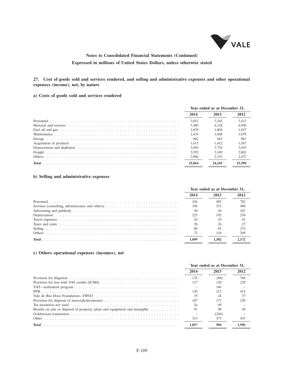

### **27. Cost of goods sold and services rendered, and selling and administrative expenses and other operational expenses (income), net, by nature**

### **a) Costs of goods sold and services rendered**

|        | Year ended as at December 31. |        |        |  |
|--------|-------------------------------|--------|--------|--|
|        | 2014                          | 2013   | 2012   |  |
|        | 3.051                         | 3.265  | 3.413  |  |
|        | 5.389                         | 6.128  | 6.990  |  |
|        | 1.639                         | 1.804  | 1.947  |  |
|        | 2.434                         | 1.868  | 1.878  |  |
|        | 602                           | 663    | 863    |  |
|        | 1.615                         | 1.412  | 1.367  |  |
|        | 3.856                         | 3.724  | 3.659  |  |
|        | 3.592                         | 3.189  | 2.801  |  |
| Others | 2.886                         | 2.192  | 2.472  |  |
|        | 25,064                        | 24.245 | 25.390 |  |

### **b) Selling and administrative expenses**

|                                                                                                                                                                                                                               |       | Year ended as at December 31, |     |  |  |
|-------------------------------------------------------------------------------------------------------------------------------------------------------------------------------------------------------------------------------|-------|-------------------------------|-----|--|--|
|                                                                                                                                                                                                                               | 2014  |                               |     |  |  |
|                                                                                                                                                                                                                               | 436   | 495                           | 782 |  |  |
| Services (consulting, infrastructure and others) $\dots \dots \dots \dots \dots \dots \dots \dots \dots \dots$                                                                                                                | 196   | 331                           | 480 |  |  |
|                                                                                                                                                                                                                               | 40    | 44                            | 101 |  |  |
|                                                                                                                                                                                                                               | 223   | 192                           | 236 |  |  |
|                                                                                                                                                                                                                               | 24    |                               | 63  |  |  |
| Taxes and rents enterprise in the contract of the contract of the contract of the contract of the contract of the contract of the contract of the contract of the contract of the contract of the contract of the contract of | 28    |                               |     |  |  |
|                                                                                                                                                                                                                               | 80    | 85                            | 274 |  |  |
| <b>Others</b>                                                                                                                                                                                                                 |       | 110                           | 209 |  |  |
|                                                                                                                                                                                                                               | 1.099 |                               |     |  |  |

### **c) Others operational expenses (incomes), net**

|                                                                                                                    |       | Year ended as at December 31, |       |  |  |
|--------------------------------------------------------------------------------------------------------------------|-------|-------------------------------|-------|--|--|
|                                                                                                                    | 2014  | 2013                          | 2012  |  |  |
|                                                                                                                    | 174   | (88)                          | 704   |  |  |
| Provision for loss with VAT credits (ICMS) $\ldots \ldots \ldots \ldots \ldots \ldots \ldots \ldots \ldots \ldots$ | 117   | 120                           | 238   |  |  |
|                                                                                                                    |       | 166                           |       |  |  |
|                                                                                                                    | 130   | 215                           | 414   |  |  |
|                                                                                                                    | 19    | 24                            | 37    |  |  |
|                                                                                                                    | 187   | 171                           | 128   |  |  |
|                                                                                                                    | 26    | 49                            |       |  |  |
| Results on sale or disposal of property, plant and equipment and intangible $\dots \dots \dots$                    | 91    | 98                            | 40    |  |  |
|                                                                                                                    |       | (244)                         |       |  |  |
|                                                                                                                    | 313   | 473                           | 435   |  |  |
|                                                                                                                    | 1.057 | 984                           | 1.996 |  |  |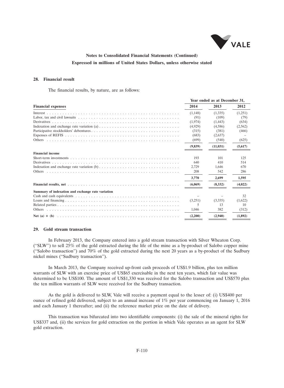

#### **28. Financial result**

The financial results, by nature, are as follows:

|                                                                                                                                             |          | Year ended as at December 31, |         |
|---------------------------------------------------------------------------------------------------------------------------------------------|----------|-------------------------------|---------|
| <b>Financial expenses</b>                                                                                                                   | 2014     | 2013                          | 2012    |
|                                                                                                                                             | (1.148)  | (1,335)                       | (1,251) |
|                                                                                                                                             | (91)     | (109)                         | (79)    |
|                                                                                                                                             | (1,974)  | (1, 443)                      | (634)   |
|                                                                                                                                             | (4,929)  | (4,586)                       | (2,562) |
|                                                                                                                                             | (315)    | (381)                         | (466)   |
|                                                                                                                                             | (683)    | (2,637)                       |         |
|                                                                                                                                             | (699)    | (540)                         | (625)   |
|                                                                                                                                             | (9, 839) | (11, 031)                     | (5,617) |
| <b>Financial income</b>                                                                                                                     |          |                               |         |
| Short-term investments $\ldots$ $\ldots$ $\ldots$ $\ldots$ $\ldots$ $\ldots$ $\ldots$ $\ldots$ $\ldots$ $\ldots$ $\ldots$ $\ldots$ $\ldots$ | 193      | 101                           | 125     |
|                                                                                                                                             | 640      | 410                           | 514     |
|                                                                                                                                             | 2.729    | 1.646                         | 670     |
|                                                                                                                                             | 208      | 542                           | 286     |
|                                                                                                                                             | 3.770    | 2.699                         | 1,595   |
|                                                                                                                                             | (6,069)  | (8.332)                       | (4,022) |
| Summary of indexation and exchange rate variation                                                                                           |          |                               |         |
|                                                                                                                                             |          |                               | 32      |
|                                                                                                                                             | (3,251)  | (3,335)                       | (1,622) |
|                                                                                                                                             | 5        | 13                            | 10      |
|                                                                                                                                             | 1.046    | 382                           | (312)   |
|                                                                                                                                             | (2,200)  | (2,940)                       | (1,892) |

#### **29. Gold stream transaction**

In February 2013, the Company entered into a gold stream transaction with Silver Wheaton Corp. (''SLW'') to sell 25% of the gold extracted during the life of the mine as a by-product of Salobo copper mine (''Salobo transaction'') and 70% of the gold extracted during the next 20 years as a by-product of the Sudbury nickel mines (''Sudbury transaction'').

In March 2013, the Company received up-front cash proceeds of US\$1.9 billion, plus ten million warrants of SLW with an exercise price of US\$65 exercisable in the next ten years, which fair value was determined to be US\$100. The amount of US\$1,330 was received for the Salobo transaction and US\$570 plus the ten million warrants of SLW were received for the Sudbury transaction.

As the gold is delivered to SLW, Vale will receive a payment equal to the lesser of: (i) US\$400 per ounce of refined gold delivered, subject to an annual increase of 1% per year commencing on January 1, 2016 and each January 1 thereafter; and (ii) the reference market price on the date of delivery.

This transaction was bifurcated into two identifiable components: (i) the sale of the mineral rights for US\$337 and, (ii) the services for gold extraction on the portion in which Vale operates as an agent for SLW gold extraction.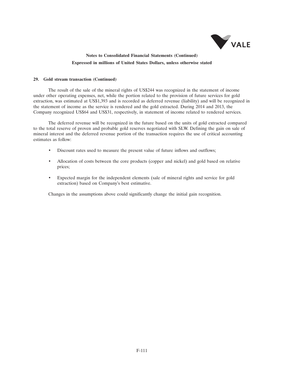

#### **29. Gold stream transaction (Continued)**

The result of the sale of the mineral rights of US\$244 was recognized in the statement of income under other operating expenses, net, while the portion related to the provision of future services for gold extraction, was estimated at US\$1,393 and is recorded as deferred revenue (liability) and will be recognized in the statement of income as the service is rendered and the gold extracted. During 2014 and 2013, the Company recognized US\$64 and US\$31, respectively, in statement of income related to rendered services.

The deferred revenue will be recognized in the future based on the units of gold extracted compared to the total reserve of proven and probable gold reserves negotiated with SLW. Defining the gain on sale of mineral interest and the deferred revenue portion of the transaction requires the use of critical accounting estimates as follow:

- Discount rates used to measure the present value of future inflows and outflows;
- Allocation of costs between the core products (copper and nickel) and gold based on relative prices;
- Expected margin for the independent elements (sale of mineral rights and service for gold extraction) based on Company's best estimative.

Changes in the assumptions above could significantly change the initial gain recognition.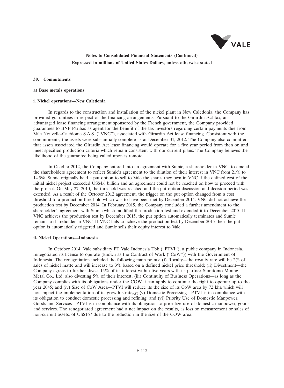

#### **30. Commitments**

#### **a) Base metals operations**

#### **i. Nickel operations—New Caledonia**

In regards to the construction and installation of the nickel plant in New Caledonia, the Company has provided guarantees in respect of the financing arrangements. Pursuant to the Girardin Act tax, an advantaged lease financing arrangement sponsored by the French government, the Company provided guarantees to BNP Paribas as agent for the benefit of the tax investors regarding certain payments due from Vale Nouvelle-Caledonie S.A.S. (''VNC''), associated with Girardin Act lease financing. Consistent with the ´ commitments, the assets were substantially complete as at December 31, 2012. The Company also committed that assets associated the Girardin Act lease financing would operate for a five year period from then on and meet specified production criteria which remain consistent with our current plans. The Company believes the likelihood of the guarantee being called upon is remote.

In October 2012, the Company entered into an agreement with Sumic, a shareholder in VNC, to amend the shareholders agreement to reflect Sumic's agreement to the dilution of their interest in VNC from 21% to 14.5%. Sumic originally held a put option to sell to Vale the shares they own in VNC if the defined cost of the initial nickel project exceeded US\$4.6 billion and an agreement could not be reached on how to proceed with the project. On May 27, 2010, the threshold was reached and the put option discussion and decision period was extended. As a result of the October 2012 agreement, the trigger on the put option changed from a cost threshold to a production threshold which was to have been met by December 2014. VNC did not achieve the production test by December 2014. In February 2015, the Company concluded a further amendment to the shareholder's agreement with Sumic which modified the production test and extended it to December 2015. If VNC achieves the production test by December 2015, the put option automatically terminates and Sumic remains a shareholder in VNC. If VNC fails to achieve the production test by December 2015 then the put option is automatically triggered and Sumic sells their equity interest to Vale.

#### **ii. Nickel Operations—Indonesia**

In October 2014, Vale subsidiary PT Vale Indonesia Tbk (''PTVI''), a public company in Indonesia, renegotiated its license to operate (known as the Contract of Work (''CoW'')) with the Government of Indonesia. The renegotiation included the following main points: (i) Royalty—the royalty rate will be 2% of sales of nickel matte and will increase to 3% based on a defined nickel price threshold; (ii) Divestment—the Company agrees to further divest 15% of its interest within five years with its partner Sumitomo Mining Metal Co., Ltd. also divesting 5% of their interest; (iii) Continuity of Business Operations—as long as the Company complies with its obligations under the COW it can apply to continue the right to operate up to the year 2045; and (iv) Size of CoW Area—PTVI will reduce its the size of its CoW area by 72 kha which will not impact the implementation of its growth strategy; (v) Domestic Processing—PTVI is in compliance with its obligation to conduct domestic processing and refining; and (vi) Priority Use of Domestic Manpower, Goods and Services—PTVI is in compliance with its obligation to prioritize use of domestic manpower, goods and services. The renegotiated agreement had a net impact on the results, as loss on measurement or sales of non-current assets, of US\$167 due to the reduction in the size of the COW area.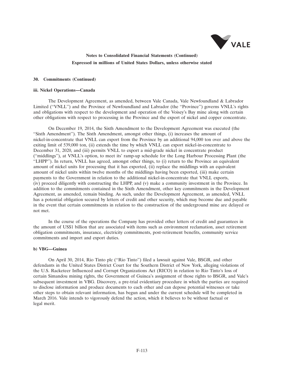

#### **30. Commitments (Continued)**

#### **iii. Nickel Operations—Canada**

The Development Agreement, as amended, between Vale Canada, Vale Newfoundland & Labrador Limited (''VNLL'') and the Province of Newfoundland and Labrador (the ''Province'') governs VNLL's rights and obligations with respect to the development and operation of the Voisey's Bay mine along with certain other obligations with respect to processing in the Province and the export of nickel and copper concentrate.

On December 19, 2014, the Sixth Amendment to the Development Agreement was executed (the "Sixth Amendment"). The Sixth Amendment, amongst other things, (i) increases the amount of nickel-in-concentrate that VNLL can export from the Province by an additional 94,000 ton over and above the exiting limit of 539,000 ton, (ii) extends the time by which VNLL can export nickel-in-concentrate to December 31, 2020, and (iii) permits VNLL to export a mid-grade nickel in concentrate product (''middlings''), at VNLL's option, to meet its' ramp-up schedule for the Long Harbour Processing Plant (the ''LHPP''). In return, VNLL has agreed, amongst other things, to (i) return to the Province an equivalent amount of nickel units for processing that it has exported, (ii) replace the middlings with an equivalent amount of nickel units within twelve months of the middlings having been exported, (iii) make certain payments to the Government in relation to the additional nickel-in-concentrate that VNLL exports, (iv) proceed diligently with constructing the LHPP, and (v) make a community investment in the Province. In addition to the commitments contained in the Sixth Amendment, other key commitments in the Development Agreement, as amended, remain binding. As such, under the Development Agreement, as amended, VNLL has a potential obligation secured by letters of credit and other security, which may become due and payable in the event that certain commitments in relation to the construction of the underground mine are delayed or not met.

In the course of the operations the Company has provided other letters of credit and guarantees in the amount of US\$1 billion that are associated with items such as environment reclamation, asset retirement obligation commitments, insurance, electricity commitments, post-retirement benefits, community service commitments and import and export duties.

#### **b) VBG—Guinea**

On April 30, 2014, Rio Tinto plc (''Rio Tinto'') filed a lawsuit against Vale, BSGR, and other defendants in the United States District Court for the Southern District of New York, alleging violations of the U.S. Racketeer Influenced and Corrupt Organizations Act (RICO) in relation to Rio Tinto's loss of certain Simandou mining rights, the Government of Guinea's assignment of those rights to BSGR, and Vale's subsequent investment in VBG. Discovery, a pre-trial evidentiary procedure in which the parties are required to disclose information and produce documents to each other and can depose potential witnesses or take other steps to obtain relevant information, has begun and under the current schedule will be completed in March 2016. Vale intends to vigorously defend the action, which it believes to be without factual or legal merit.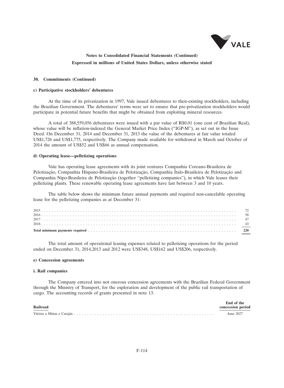

#### **30. Commitments (Continued)**

#### **c) Participative stockholders' debentures**

At the time of its privatization in 1997, Vale issued debentures to then-existing stockholders, including the Brazilian Government. The debentures' terms were set to ensure that pre-privatization stockholders would participate in potential future benefits that might be obtained from exploiting mineral resources.

A total of 388,559,056 debentures were issued with a par value of R\$0.01 (one cent of Brazilian Real), whose value will be inflation-indexed the General Market Price Index (''IGP-M''), as set out in the Issue Deed. On December 31, 2014 and December 31, 2013 the value of the debentures at fair value totaled US\$1,726 and US\$1,775, respectively. The Company made available for withdrawal in March and October of 2014 the amount of US\$52 and US\$66 as annual compensation.

#### **d) Operating lease—pelletizing operations**

Vale has operating lease agreements with its joint ventures Companhia Coreano-Brasileira de Pelotização, Companhia Hispano-Brasileira de Pelotização, Companhia Ítalo-Brasileira de Pelotização and Companhia Nipo-Brasileira de Pelotização (together "pelletizing companies"), in which Vale leases their pelletizing plants. These renewable operating lease agreements have last between 3 and 10 years.

The table below shows the minimum future annual payments and required non-cancelable operating lease for the pelletizing companies as at December 31:

The total amount of operational leasing expenses related to pelletizing operations for the period ended on December 31, 2014,2013 and 2012 were US\$348, US\$162 and US\$206, respectively.

#### **e) Concession agreements**

#### **i. Rail companies**

The Company entered into not onerous concession agreements with the Brazilian Federal Government through the Ministry of Transport, for the exploration and development of the public rail transportation of cargo. The accounting records of grants presented in note 13.

| Railroad | End of the<br>concession period |
|----------|---------------------------------|
|          | June 2027                       |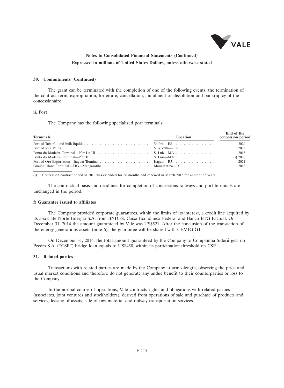

#### **30. Commitments (Continued)**

The grant can be terminated with the completion of one of the following events: the termination of the contract term, expropriation, forfeiture, cancellation, annulment or dissolution and bankruptcy of the concessionaire.

#### **ii. Port**

The Company has the following specialized port terminals:

| <b>Terminals</b> | Location | End of the<br>concession period |
|------------------|----------|---------------------------------|
|                  |          | 2020                            |
|                  |          | 2023                            |
|                  |          | 2018                            |
|                  |          | (i) 2028                        |
|                  |          | 2021                            |
|                  |          | 2018                            |

(i) Concession contract ended in 2010 was extended for 36 months and renewed in March 2013 for another 15 years.

The contractual basis and deadlines for completion of concessions railways and port terminals are unchanged in the period.

#### **f) Guarantee issued to affiliates**

The Company provided corporate guarantees, within the limits of its interest, a credit line acquired by its associate Norte Energia S.A. from BNDES, Caixa Econômica Federal and Banco BTG Pactual. On December 31, 2014 the amount guaranteed by Vale was US\$521. After the conclusion of the transaction of the energy generations assets (note 6), the guarantee will be shared with CEMIG GT.

On December 31, 2014, the total amount guaranteed by the Company to Companhia Siderúrgica do Pecém S.A. ("CSP") bridge loan equals to US\$450, within its participation threshold on CSP.

#### **31. Related parties**

Transactions with related parties are made by the Company at arm's-length, observing the price and usual market conditions and therefore do not generate any undue benefit to their counterparties or loss to the Company.

In the normal course of operations, Vale contracts rights and obligations with related parties (associates, joint ventures and stockholders), derived from operations of sale and purchase of products and services, leasing of assets, sale of raw material and railway transportation services.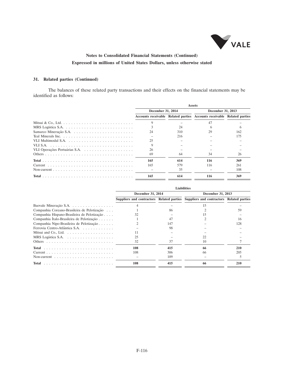

### **31. Related parties (Continued)**

The balances of these related party transactions and their effects on the financial statements may be identified as follows:

|                   |     | <b>Assets</b>                                                           |                   |  |  |
|-------------------|-----|-------------------------------------------------------------------------|-------------------|--|--|
| December 31, 2014 |     |                                                                         | December 31, 2013 |  |  |
|                   |     | Accounts receivable Related parties Accounts receivable Related parties |                   |  |  |
|                   |     |                                                                         |                   |  |  |
|                   | 24  |                                                                         |                   |  |  |
| 24                | 310 | 29                                                                      | 162               |  |  |
|                   | 216 |                                                                         | 175               |  |  |
| 25                |     |                                                                         |                   |  |  |
|                   |     |                                                                         |                   |  |  |
| 26                |     |                                                                         |                   |  |  |
| 69                | 64  | 34                                                                      | 26                |  |  |
| 165               | 614 | 116                                                                     | 369               |  |  |
| 165               | 579 | 116                                                                     | 261               |  |  |
|                   | 35  |                                                                         | 108               |  |  |
| 165               | 614 | 116                                                                     | 369               |  |  |

|                                                            | <b>Liabilities</b> |     |                                                                                     |     |
|------------------------------------------------------------|--------------------|-----|-------------------------------------------------------------------------------------|-----|
|                                                            | December 31, 2014  |     | December 31, 2013                                                                   |     |
|                                                            |                    |     | Suppliers and contractors Related parties Suppliers and contractors Related parties |     |
| Baovale Mineração S.A.                                     |                    |     |                                                                                     |     |
| Companhia Coreano-Brasileira de Pelotização                |                    | 86  |                                                                                     | 59  |
| Companhia Hispano-Brasileira de Pelotização                | 32                 |     |                                                                                     |     |
| Companhia Italo-Brasileira de Pelotização                  |                    | 47  |                                                                                     | 16  |
| Companhia Nipo-Brasileira de Pelotização                   |                    | 147 |                                                                                     | 128 |
| Ferrovia Centro-Atlântica S.A.                             |                    | 98  |                                                                                     |     |
| Mitsui and Co., Ltd. $\dots \dots \dots \dots \dots \dots$ | 11                 |     |                                                                                     |     |
|                                                            | 25                 |     | 22                                                                                  |     |
|                                                            | 32                 | 37  | 10                                                                                  |     |
|                                                            | 108                | 415 | 66                                                                                  | 210 |
|                                                            | 108                | 306 | 66                                                                                  | 205 |
|                                                            |                    | 109 |                                                                                     |     |
| <b>Total</b>                                               | 108                | 415 | 66                                                                                  | 210 |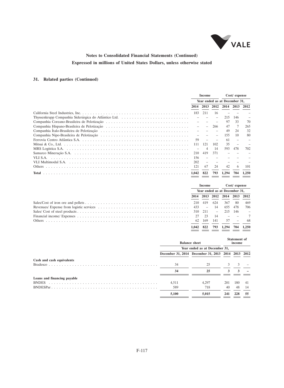

## **31. Related parties (Continued)**

|              | Income                        |     | $Cost /$ expense |           |     |       |
|--------------|-------------------------------|-----|------------------|-----------|-----|-------|
|              | Year ended as at December 31. |     |                  |           |     |       |
|              |                               |     | 2014 2013 2012   | 2014 2013 |     | 2012  |
|              | 183                           | 211 | 16               |           |     |       |
|              |                               |     |                  | 215       | 146 |       |
|              |                               |     |                  | 97        | 33  | 70    |
|              |                               |     | 266              |           |     | 265   |
|              |                               |     |                  | 49        | 24  | 32    |
|              |                               |     |                  | 155       | 10  | 80    |
|              | 59                            |     |                  | 61        |     |       |
|              | 111                           | 121 | 102              | 35        |     |       |
|              |                               |     | 14               | 593       | 478 | 702   |
|              | 210                           | 419 | 371              |           |     |       |
|              | 156                           |     |                  |           |     |       |
|              | 202                           |     |                  |           |     |       |
|              | 121                           | 67  | 24               | 42        | 6   | 101   |
| <b>Total</b> |                               | 822 | 793              | 1.294     | 704 | 1.250 |

| Income                        |        | $Cost /$ expense |                               |        |                         |
|-------------------------------|--------|------------------|-------------------------------|--------|-------------------------|
| Year ended as at December 31, |        |                  |                               |        |                         |
|                               |        |                  | 2014 2013 2012 2014 2013 2012 |        |                         |
|                               |        | 624              |                               | 367 80 | 469                     |
|                               |        |                  | 655                           | 478    | 706                     |
|                               |        |                  | 215 146                       |        | $\sim 100$ km s $^{-1}$ |
|                               |        | 14               | $  7$                         |        |                         |
|                               | 62 169 | 141              | 57                            |        | -68                     |
| 1.042                         | 822    |                  | 793 1.294                     | 704    | 1.250                   |

|                             | <b>Balance sheet</b>          |                                                    |     | <b>Statement</b> of<br>income |    |  |
|-----------------------------|-------------------------------|----------------------------------------------------|-----|-------------------------------|----|--|
|                             | Year ended as at December 31, |                                                    |     |                               |    |  |
|                             |                               | December 31, 2014 December 31, 2013 2014 2013 2012 |     |                               |    |  |
| Cash and cash equivalents   |                               |                                                    |     |                               |    |  |
|                             | 34                            | 25                                                 |     |                               |    |  |
|                             | 34                            | 25                                                 | 3   |                               |    |  |
| Loans and financing payable |                               |                                                    |     |                               |    |  |
| <b>BNDES</b>                | 4.511                         | 4.297                                              | 201 | 180                           | 41 |  |
|                             | 589                           | 718                                                | 40  | 48                            | 14 |  |
|                             | 5,100                         | 5,015                                              | 241 | 228                           | 55 |  |
|                             |                               |                                                    |     |                               |    |  |